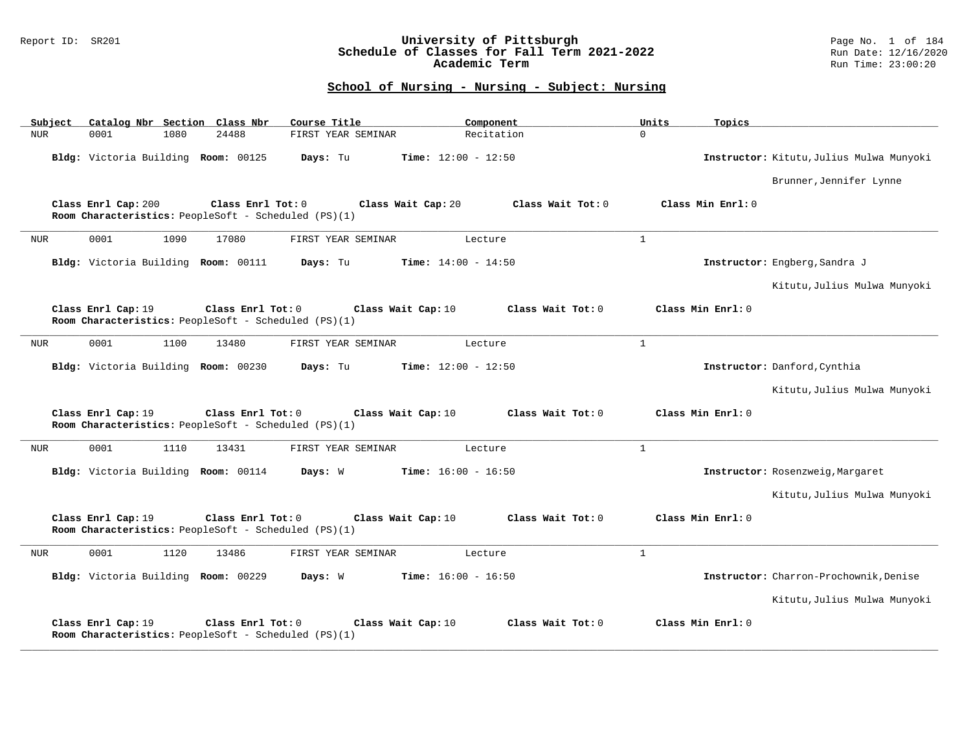### Report ID: SR201 **University of Pittsburgh** Page No. 1 of 184 **Schedule of Classes for Fall Term 2021-2022** Run Date: 12/16/2020 **Academic Term** Run Time: 23:00:20

| Subject    |                                     |      | Catalog Nbr Section Class Nbr                                             | Course Title       | Component                                 | Units        | Topics                                   |
|------------|-------------------------------------|------|---------------------------------------------------------------------------|--------------------|-------------------------------------------|--------------|------------------------------------------|
| <b>NUR</b> | 0001                                | 1080 | 24488                                                                     | FIRST YEAR SEMINAR | Recitation                                | $\Omega$     |                                          |
|            | Bldg: Victoria Building Room: 00125 |      |                                                                           | Days: Tu           | <b>Time:</b> $12:00 - 12:50$              |              | Instructor: Kitutu, Julius Mulwa Munyoki |
|            |                                     |      |                                                                           |                    |                                           |              | Brunner, Jennifer Lynne                  |
|            | Class Enrl Cap: 200                 |      | Class Enrl Tot: 0<br>Room Characteristics: PeopleSoft - Scheduled (PS)(1) |                    | Class Wait Cap: 20<br>Class Wait $Tot: 0$ |              | Class Min Enrl: 0                        |
| <b>NUR</b> | 0001                                | 1090 | 17080                                                                     | FIRST YEAR SEMINAR | Lecture                                   | $\mathbf{1}$ |                                          |
|            | Bldg: Victoria Building Room: 00111 |      |                                                                           | Days: Tu           | Time: $14:00 - 14:50$                     |              | Instructor: Engberg, Sandra J            |
|            |                                     |      |                                                                           |                    |                                           |              | Kitutu, Julius Mulwa Munyoki             |
|            | Class Enrl Cap: 19                  |      | Class Enrl Tot: 0<br>Room Characteristics: PeopleSoft - Scheduled (PS)(1) |                    | Class Wait Tot: 0<br>Class Wait Cap: 10   |              | Class Min Enrl: 0                        |
| <b>NUR</b> | 0001                                | 1100 | 13480                                                                     | FIRST YEAR SEMINAR | Lecture                                   | $\mathbf{1}$ |                                          |
|            | Bldg: Victoria Building Room: 00230 |      |                                                                           | Days: Tu           | <b>Time:</b> $12:00 - 12:50$              |              | Instructor: Danford, Cynthia             |
|            |                                     |      |                                                                           |                    |                                           |              | Kitutu, Julius Mulwa Munyoki             |
|            | Class Enrl Cap: 19                  |      | Class Enrl Tot: 0<br>Room Characteristics: PeopleSoft - Scheduled (PS)(1) |                    | Class Wait Cap: 10<br>Class Wait Tot: 0   |              | Class Min Enrl: 0                        |
| <b>NUR</b> | 0001                                | 1110 | 13431                                                                     | FIRST YEAR SEMINAR | Lecture                                   | $\mathbf{1}$ |                                          |
|            |                                     |      | Bldg: Victoria Building Room: 00114                                       | Days: W            | <b>Time:</b> $16:00 - 16:50$              |              | Instructor: Rosenzweig, Margaret         |
|            |                                     |      |                                                                           |                    |                                           |              | Kitutu, Julius Mulwa Munyoki             |
|            | Class Enrl Cap: 19                  |      | Class Enrl Tot: 0<br>Room Characteristics: PeopleSoft - Scheduled (PS)(1) |                    | Class Wait Cap: 10<br>Class Wait Tot: 0   |              | Class Min Enrl: 0                        |
| <b>NUR</b> | 0001                                | 1120 | 13486                                                                     | FIRST YEAR SEMINAR | Lecture                                   | $\mathbf{1}$ |                                          |
|            | Bldg: Victoria Building Room: 00229 |      |                                                                           | Days: W            | <b>Time:</b> $16:00 - 16:50$              |              | Instructor: Charron-Prochownik, Denise   |
|            |                                     |      |                                                                           |                    |                                           |              | Kitutu, Julius Mulwa Munyoki             |
|            | Class Enrl Cap: 19                  |      | Class Enrl Tot: 0<br>Room Characteristics: PeopleSoft - Scheduled (PS)(1) |                    | Class Wait Cap: 10<br>Class Wait Tot: 0   |              | Class Min Enrl: 0                        |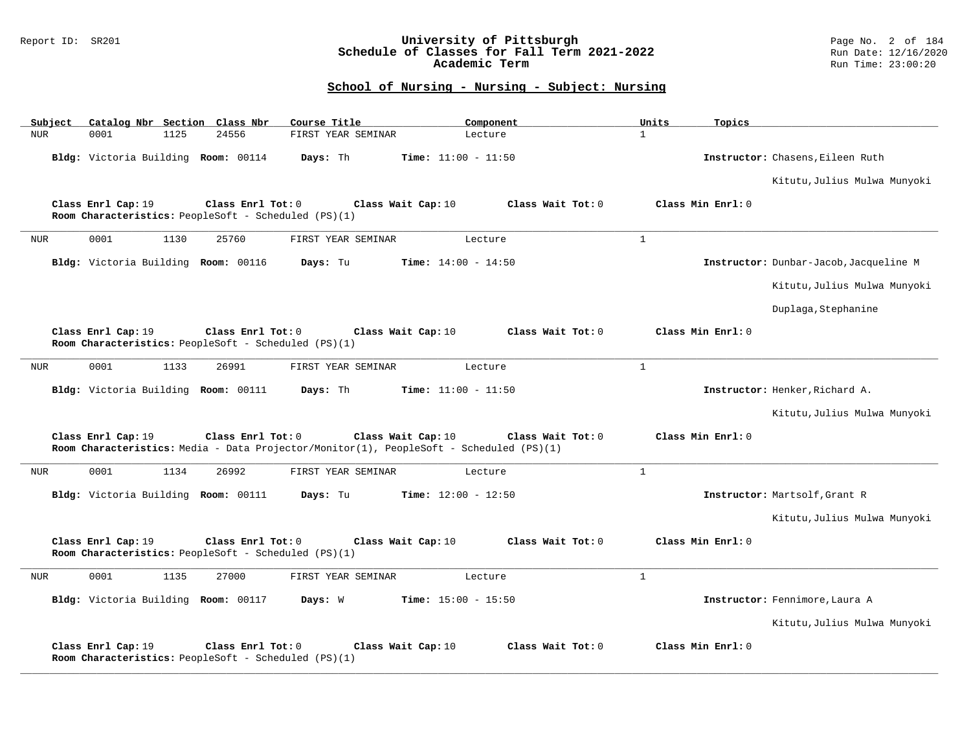### Report ID: SR201 **University of Pittsburgh** Page No. 2 of 184 **Schedule of Classes for Fall Term 2021-2022** Run Date: 12/16/2020 **Academic Term** Run Time: 23:00:20

| Subject    |                                     |      | Catalog Nbr Section Class Nbr                                               | Course Title                                                                            |                              | Component         | Units        | Topics            |                                        |
|------------|-------------------------------------|------|-----------------------------------------------------------------------------|-----------------------------------------------------------------------------------------|------------------------------|-------------------|--------------|-------------------|----------------------------------------|
| <b>NUR</b> | 0001                                | 1125 | 24556                                                                       | FIRST YEAR SEMINAR                                                                      |                              | Lecture           | $\mathbf{1}$ |                   |                                        |
|            | Bldg: Victoria Building Room: 00114 |      |                                                                             | Days: Th                                                                                | <b>Time:</b> $11:00 - 11:50$ |                   |              |                   | Instructor: Chasens, Eileen Ruth       |
|            |                                     |      |                                                                             |                                                                                         |                              |                   |              |                   | Kitutu, Julius Mulwa Munyoki           |
|            | Class Enrl Cap: 19                  |      | Class Enrl Tot: $0$<br>Room Characteristics: PeopleSoft - Scheduled (PS)(1) |                                                                                         | Class Wait Cap: 10           | Class Wait Tot: 0 |              | Class Min Enrl: 0 |                                        |
| <b>NUR</b> | 0001                                | 1130 | 25760                                                                       | FIRST YEAR SEMINAR                                                                      |                              | Lecture           | $\mathbf{1}$ |                   |                                        |
|            | Bldg: Victoria Building Room: 00116 |      |                                                                             | Days: Tu                                                                                | <b>Time:</b> $14:00 - 14:50$ |                   |              |                   | Instructor: Dunbar-Jacob, Jacqueline M |
|            |                                     |      |                                                                             |                                                                                         |                              |                   |              |                   | Kitutu, Julius Mulwa Munyoki           |
|            |                                     |      |                                                                             |                                                                                         |                              |                   |              |                   | Duplaga, Stephanine                    |
|            | Class Enrl Cap: 19                  |      | Class Enrl Tot: 0<br>Room Characteristics: PeopleSoft - Scheduled (PS)(1)   |                                                                                         | Class Wait Cap: 10           | Class Wait Tot: 0 |              | Class Min Enrl: 0 |                                        |
| <b>NUR</b> | 0001                                | 1133 | 26991                                                                       | FIRST YEAR SEMINAR                                                                      |                              | Lecture           | $\mathbf{1}$ |                   |                                        |
|            | Bldg: Victoria Building Room: 00111 |      |                                                                             | Days: Th                                                                                | <b>Time:</b> $11:00 - 11:50$ |                   |              |                   | Instructor: Henker, Richard A.         |
|            |                                     |      |                                                                             |                                                                                         |                              |                   |              |                   | Kitutu, Julius Mulwa Munyoki           |
|            | Class Enrl Cap: 19                  |      | Class Enrl Tot: 0                                                           | Room Characteristics: Media - Data Projector/Monitor(1), PeopleSoft - Scheduled (PS)(1) | Class Wait Cap: 10           | Class Wait Tot: 0 |              | Class Min Enrl: 0 |                                        |
| <b>NUR</b> | 0001                                | 1134 | 26992                                                                       | FIRST YEAR SEMINAR                                                                      |                              | Lecture           | $\mathbf{1}$ |                   |                                        |
|            | Bldg: Victoria Building Room: 00111 |      |                                                                             | Days: Tu                                                                                | <b>Time:</b> $12:00 - 12:50$ |                   |              |                   | Instructor: Martsolf, Grant R          |
|            |                                     |      |                                                                             |                                                                                         |                              |                   |              |                   | Kitutu, Julius Mulwa Munyoki           |
|            | Class Enrl Cap: 19                  |      | Class Enrl Tot: 0<br>Room Characteristics: PeopleSoft - Scheduled (PS)(1)   |                                                                                         | Class Wait Cap: 10           | Class Wait Tot: 0 |              | Class Min Enrl: 0 |                                        |
| <b>NUR</b> | 0001                                | 1135 | 27000                                                                       | FIRST YEAR SEMINAR                                                                      |                              | Lecture           | $\mathbf{1}$ |                   |                                        |
|            | Bldg: Victoria Building Room: 00117 |      |                                                                             | Days: W                                                                                 | <b>Time:</b> $15:00 - 15:50$ |                   |              |                   | Instructor: Fennimore, Laura A         |
|            |                                     |      |                                                                             |                                                                                         |                              |                   |              |                   | Kitutu, Julius Mulwa Munyoki           |
|            | Class Enrl Cap: 19                  |      | Class Enrl Tot: 0<br>Room Characteristics: PeopleSoft - Scheduled (PS)(1)   |                                                                                         | Class Wait Cap: 10           | Class Wait Tot: 0 |              | Class Min Enrl: 0 |                                        |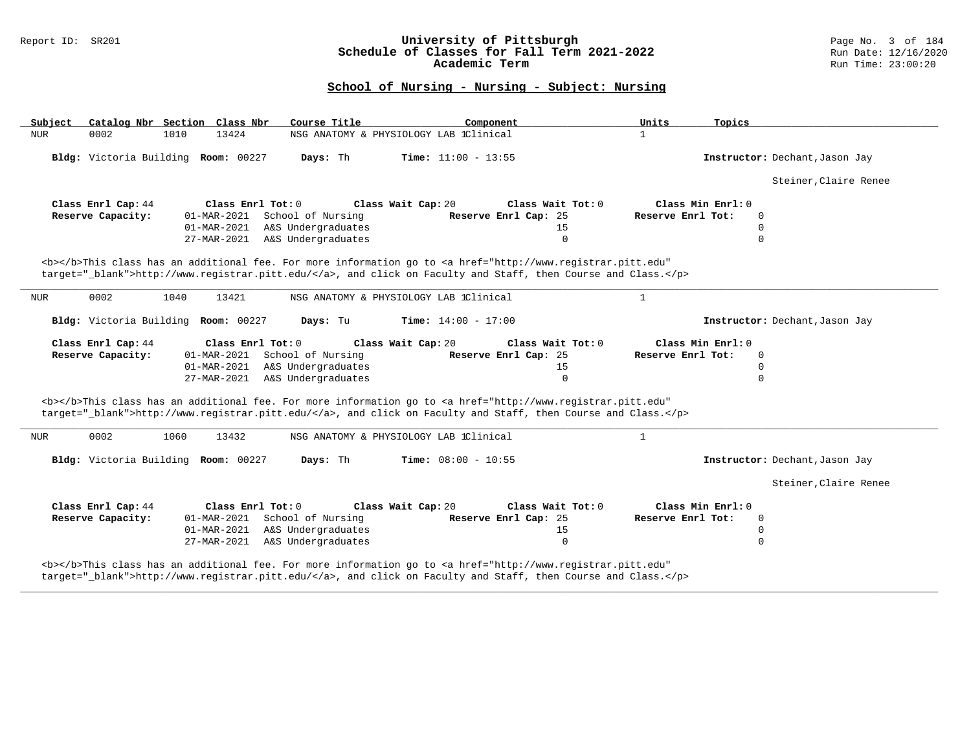### Report ID: SR201 **University of Pittsburgh** Page No. 3 of 184 **Schedule of Classes for Fall Term 2021-2022** Run Date: 12/16/2020 **Academic Term** Run Time: 23:00:20

# **School of Nursing - Nursing - Subject: Nursing**

| Subject                             | Catalog Nbr Section Class Nbr | Course Title                   | Component                                                                                                                                                                                                                          | Units               | Topics                         |
|-------------------------------------|-------------------------------|--------------------------------|------------------------------------------------------------------------------------------------------------------------------------------------------------------------------------------------------------------------------------|---------------------|--------------------------------|
| NUR<br>0002                         | 1010<br>13424                 |                                | NSG ANATOMY & PHYSIOLOGY LAB 1Clinical                                                                                                                                                                                             | $\mathbf{1}$        |                                |
| Bldg: Victoria Building Room: 00227 |                               | Days: Th                       | <b>Time:</b> $11:00 - 13:55$                                                                                                                                                                                                       |                     | Instructor: Dechant, Jason Jay |
|                                     |                               |                                |                                                                                                                                                                                                                                    |                     | Steiner, Claire Renee          |
| Class Enrl Cap: 44                  | Class $Enr1 Tot: 0$           |                                | Class Wait Cap: 20<br>Class Wait Tot: $0$                                                                                                                                                                                          | Class Min $Enr1: 0$ |                                |
| Reserve Capacity:                   |                               | 01-MAR-2021 School of Nursing  | Reserve Enrl Cap: 25                                                                                                                                                                                                               | Reserve Enrl Tot:   | 0                              |
|                                     |                               | 01-MAR-2021 A&S Undergraduates | 15                                                                                                                                                                                                                                 |                     | 0                              |
|                                     |                               | 27-MAR-2021 A&S Undergraduates | $\Omega$                                                                                                                                                                                                                           |                     | $\Omega$                       |
|                                     |                               |                                | <b></b> This class has an additional fee. For more information go to <a <br="" href="http://www.registrar.pitt.edu">target=" blank"&gt;http://www.registrar.pitt.edu/</a> , and click on Faculty and Staff, then Course and Class. |                     |                                |
|                                     |                               |                                |                                                                                                                                                                                                                                    |                     |                                |
| 0002<br>NUR                         | 1040<br>13421                 |                                | NSG ANATOMY & PHYSIOLOGY LAB 1Clinical                                                                                                                                                                                             | $\mathbf{1}$        |                                |
|                                     |                               |                                |                                                                                                                                                                                                                                    |                     |                                |
| Bldg: Victoria Building Room: 00227 |                               | Days: Tu                       | <b>Time:</b> $14:00 - 17:00$                                                                                                                                                                                                       |                     | Instructor: Dechant, Jason Jay |
| Class Enrl Cap: 44                  | Class Enrl Tot: $0$           |                                | Class Wait Cap: 20<br>Class Wait Tot: 0                                                                                                                                                                                            | Class Min Enrl: 0   |                                |
| Reserve Capacity:                   |                               | 01-MAR-2021 School of Nursing  | Reserve Enrl Cap: 25                                                                                                                                                                                                               | Reserve Enrl Tot:   | $\mathbf 0$                    |
|                                     |                               | 01-MAR-2021 A&S Undergraduates | 15                                                                                                                                                                                                                                 |                     | 0                              |
|                                     |                               | 27-MAR-2021 A&S Undergraduates | $\Omega$                                                                                                                                                                                                                           |                     | 0                              |
|                                     |                               |                                | <b></b> This class has an additional fee. For more information go to <a <="" href="http://www.registrar.pitt.edu" td=""><td></td><td></td></a>                                                                                     |                     |                                |
|                                     |                               |                                | target="_blank">http://www.registrar.pitt.edu/, and click on Faculty and Staff, then Course and Class.                                                                                                                             |                     |                                |
| 0002<br>NUR                         | 13432<br>1060                 |                                | NSG ANATOMY & PHYSIOLOGY LAB 1Clinical                                                                                                                                                                                             | $\mathbf{1}$        |                                |
| Bldg: Victoria Building Room: 00227 |                               | Days: Th                       | Time: $08:00 - 10:55$                                                                                                                                                                                                              |                     | Instructor: Dechant, Jason Jay |
|                                     |                               |                                |                                                                                                                                                                                                                                    |                     | Steiner, Claire Renee          |
| Class Enrl Cap: 44                  | Class Enrl Tot: 0             |                                | Class Wait Cap: 20<br>Class Wait Tot: 0                                                                                                                                                                                            | Class Min Enrl: 0   |                                |
| Reserve Capacity:                   |                               | 01-MAR-2021 School of Nursing  | Reserve Enrl Cap: 25                                                                                                                                                                                                               | Reserve Enrl Tot:   | 0                              |
|                                     |                               | 01-MAR-2021 A&S Undergraduates | 15                                                                                                                                                                                                                                 |                     | 0                              |

**\_\_\_\_\_\_\_\_\_\_\_\_\_\_\_\_\_\_\_\_\_\_\_\_\_\_\_\_\_\_\_\_\_\_\_\_\_\_\_\_\_\_\_\_\_\_\_\_\_\_\_\_\_\_\_\_\_\_\_\_\_\_\_\_\_\_\_\_\_\_\_\_\_\_\_\_\_\_\_\_\_\_\_\_\_\_\_\_\_\_\_\_\_\_\_\_\_\_\_\_\_\_\_\_\_\_\_\_\_\_\_\_\_\_\_\_\_\_\_\_\_\_\_\_\_\_\_\_\_\_\_\_\_\_\_\_\_\_\_\_\_\_\_\_\_\_\_\_\_\_\_\_\_\_\_\_**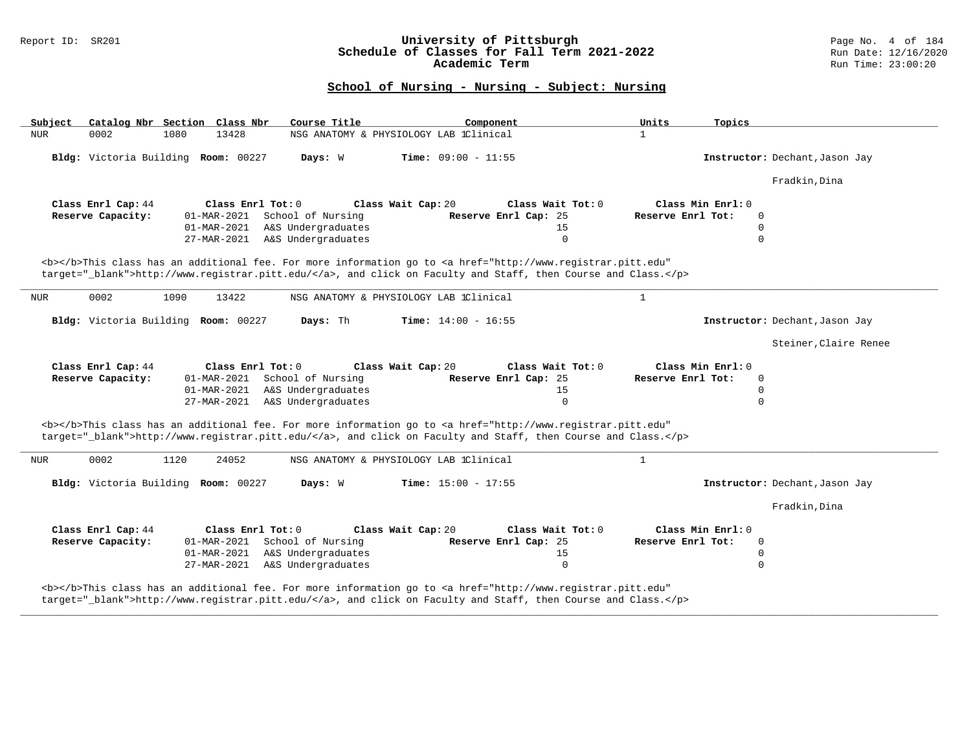### Report ID: SR201 **University of Pittsburgh** Page No. 4 of 184 **Schedule of Classes for Fall Term 2021-2022** Run Date: 12/16/2020 **Academic Term** Run Time: 23:00:20

| Catalog Nbr Section Class Nbr<br>Subject                                                         | Course Title<br>Component                                                                                                                                                                                                          | Units<br>Topics                                    |
|--------------------------------------------------------------------------------------------------|------------------------------------------------------------------------------------------------------------------------------------------------------------------------------------------------------------------------------------|----------------------------------------------------|
| <b>NUR</b><br>0002<br>1080<br>13428                                                              | NSG ANATOMY & PHYSIOLOGY LAB 1Clinical                                                                                                                                                                                             | $\mathbf{1}$                                       |
| Bldg: Victoria Building Room: 00227                                                              | Time: $09:00 - 11:55$<br>Days: W                                                                                                                                                                                                   | Instructor: Dechant, Jason Jay                     |
|                                                                                                  |                                                                                                                                                                                                                                    | Fradkin, Dina                                      |
| Class Enrl Cap: 44<br>Class Enrl Tot: 0                                                          | Class Wait Cap: 20<br>Class Wait Tot: 0                                                                                                                                                                                            | Class Min Enrl: 0                                  |
| Reserve Capacity:<br>School of Nursing<br>01-MAR-2021                                            | Reserve Enrl Cap: 25                                                                                                                                                                                                               | Reserve Enrl Tot:<br>$\Omega$                      |
| 01-MAR-2021                                                                                      | A&S Undergraduates<br>15                                                                                                                                                                                                           | 0                                                  |
| 27-MAR-2021 A&S Undergraduates                                                                   | $\Omega$                                                                                                                                                                                                                           | $\Omega$                                           |
|                                                                                                  | <b></b> This class has an additional fee. For more information go to <a <br="" href="http://www.registrar.pitt.edu">target=" blank"&gt;http://www.reqistrar.pitt.edu/</a> , and click on Faculty and Staff, then Course and Class. |                                                    |
| 0002<br><b>NUR</b><br>1090<br>13422                                                              | NSG ANATOMY & PHYSIOLOGY LAB 1Clinical                                                                                                                                                                                             | $\mathbf{1}$                                       |
| Bldg: Victoria Building Room: 00227                                                              | Days: Th<br><b>Time:</b> $14:00 - 16:55$                                                                                                                                                                                           | Instructor: Dechant, Jason Jay                     |
|                                                                                                  |                                                                                                                                                                                                                                    | Steiner, Claire Renee                              |
|                                                                                                  |                                                                                                                                                                                                                                    |                                                    |
| Class Enrl Cap: 44<br>Class Enrl Tot: 0<br>Reserve Capacity:<br>School of Nursing<br>01-MAR-2021 | Class Wait Cap: 20<br>Class Wait Tot: 0<br>Reserve Enrl Cap: 25                                                                                                                                                                    | Class Min Enrl: 0<br>Reserve Enrl Tot:<br>$\Omega$ |
| 01-MAR-2021                                                                                      | A&S Undergraduates<br>15                                                                                                                                                                                                           | $\Omega$                                           |
| 27-MAR-2021 A&S Undergraduates                                                                   | $\mathbf 0$                                                                                                                                                                                                                        | $\Omega$                                           |
|                                                                                                  |                                                                                                                                                                                                                                    |                                                    |
|                                                                                                  | <b></b> This class has an additional fee. For more information go to <a <br="" href="http://www.registrar.pitt.edu">target="_blank"&gt;http://www.registrar.pitt.edu/</a> , and click on Faculty and Staff, then Course and Class. |                                                    |
| 0002<br>1120<br>24052<br>NUR                                                                     | NSG ANATOMY & PHYSIOLOGY LAB 1Clinical                                                                                                                                                                                             | $\mathbf{1}$                                       |
| Bldg: Victoria Building Room: 00227                                                              | Time: $15:00 - 17:55$<br>Days: W                                                                                                                                                                                                   | Instructor: Dechant, Jason Jay                     |
|                                                                                                  |                                                                                                                                                                                                                                    | Fradkin, Dina                                      |
| Class Enrl Cap: 44<br>Class Enrl Tot: 0                                                          | Class Wait Cap: 20<br>Class Wait Tot: 0                                                                                                                                                                                            | Class Min Enrl: 0                                  |
| 01-MAR-2021 School of Nursing<br>Reserve Capacity:                                               | Reserve Enrl Cap: 25                                                                                                                                                                                                               | Reserve Enrl Tot:<br>0                             |
| 01-MAR-2021                                                                                      | A&S Undergraduates<br>15                                                                                                                                                                                                           | $\Omega$                                           |
| 27-MAR-2021                                                                                      | A&S Undergraduates<br>$\mathbf 0$                                                                                                                                                                                                  | $\Omega$                                           |
|                                                                                                  | <b></b> This class has an additional fee. For more information go to <a <br="" href="http://www.registrar.pitt.edu">target="_blank"&gt;http://www.registrar.pitt.edu/</a> , and click on Faculty and Staff, then Course and Class. |                                                    |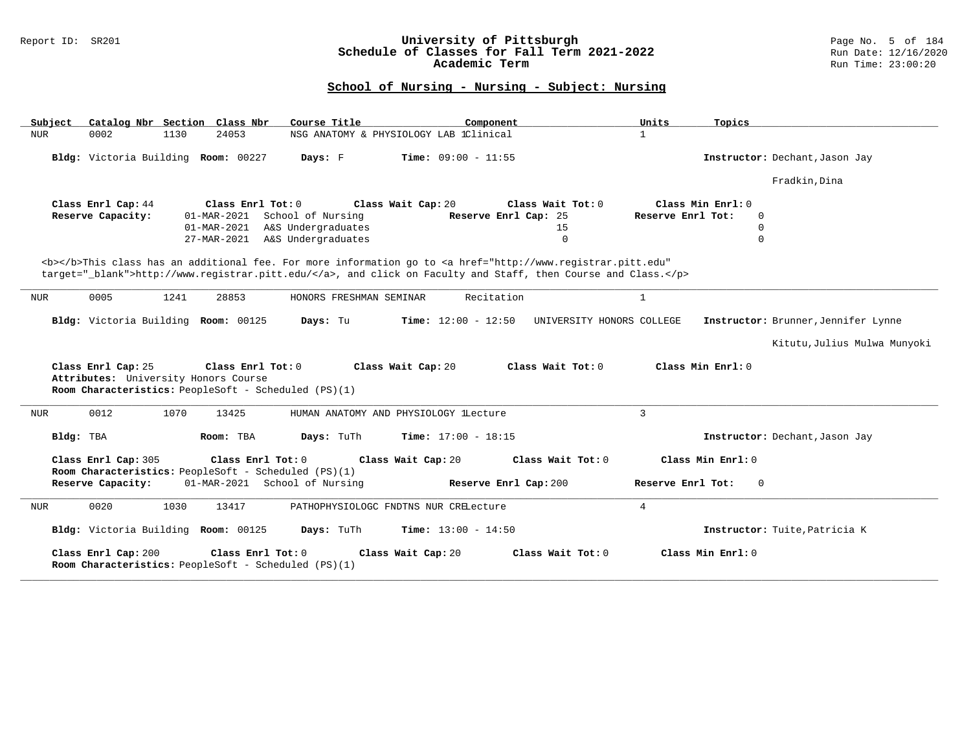### Report ID: SR201 **University of Pittsburgh** Page No. 5 of 184 **Schedule of Classes for Fall Term 2021-2022** Run Date: 12/16/2020 **Academic Term** Run Time: 23:00:20

| Catalog Nbr Section Class Nbr<br>Subject                                                                                                                                                                                                                                  | Course Title                             | Component                 | Units<br>Topics                     |  |
|---------------------------------------------------------------------------------------------------------------------------------------------------------------------------------------------------------------------------------------------------------------------------|------------------------------------------|---------------------------|-------------------------------------|--|
| <b>NUR</b><br>0002<br>24053<br>1130                                                                                                                                                                                                                                       | NSG ANATOMY & PHYSIOLOGY LAB 1Clinical   |                           | $\mathbf{1}$                        |  |
| Bldg: Victoria Building Room: 00227                                                                                                                                                                                                                                       | Days: F<br>Time: $09:00 - 11:55$         |                           | Instructor: Dechant, Jason Jay      |  |
|                                                                                                                                                                                                                                                                           |                                          |                           | Fradkin, Dina                       |  |
| Class Enrl Cap: 44<br>Class Enrl Tot: 0                                                                                                                                                                                                                                   | Class Wait Cap: 20                       | Class Wait Tot: 0         | $Class Min$ $Rnr1: 0$               |  |
| Reserve Capacity:<br>01-MAR-2021                                                                                                                                                                                                                                          | School of Nursing                        | Reserve Enrl Cap: 25      | Reserve Enrl Tot:<br>$\Omega$       |  |
| 01-MAR-2021                                                                                                                                                                                                                                                               | A&S Undergraduates                       | 15                        | 0                                   |  |
|                                                                                                                                                                                                                                                                           | 27-MAR-2021 A&S Undergraduates           | $\mathsf 0$               | $\Omega$                            |  |
| <b></b> This class has an additional fee. For more information go to <a <br="" href="http://www.registrar.pitt.edu">target="_blank"&gt;http://www.registrar.pitt.edu/</a> , and click on Faculty and Staff, then Course and Class.<br>0005<br>1241<br>28853<br><b>NUR</b> | HONORS FRESHMAN SEMINAR                  | Recitation                | $\mathbf{1}$                        |  |
|                                                                                                                                                                                                                                                                           |                                          |                           |                                     |  |
| Bldg: Victoria Building Room: 00125                                                                                                                                                                                                                                       | Days: Tu<br><b>Time:</b> $12:00 - 12:50$ | UNIVERSITY HONORS COLLEGE | Instructor: Brunner, Jennifer Lynne |  |
|                                                                                                                                                                                                                                                                           |                                          |                           | Kitutu, Julius Mulwa Munyoki        |  |
| Class Enrl Cap: 25<br>Class Enrl Tot: $0$<br>Attributes: University Honors Course<br>Room Characteristics: PeopleSoft - Scheduled (PS)(1)                                                                                                                                 | Class Wait Cap: 20                       | Class Wait $Tot: 0$       | Class Min Enrl: 0                   |  |
| 0012<br>1070<br>13425<br><b>NUR</b>                                                                                                                                                                                                                                       | HUMAN ANATOMY AND PHYSIOLOGY lLecture    |                           | $\overline{3}$                      |  |
| Bldg: TBA<br>Room: TBA                                                                                                                                                                                                                                                    | Days: TuTh<br>Time: $17:00 - 18:15$      |                           | Instructor: Dechant, Jason Jay      |  |
| Class Enrl Cap: 305<br>Class Enrl Tot: 0<br>Room Characteristics: PeopleSoft - Scheduled (PS)(1)                                                                                                                                                                          | Class Wait Cap: 20                       | Class Wait Tot: 0         | Class Min Enrl: 0                   |  |
| 01-MAR-2021 School of Nursing<br>Reserve Capacity:                                                                                                                                                                                                                        |                                          | Reserve Enrl Cap: 200     | Reserve Enrl Tot:<br>$\Omega$       |  |
| 0020<br>1030<br>13417<br><b>NUR</b>                                                                                                                                                                                                                                       | PATHOPHYSIOLOGC FNDTNS NUR CRELecture    |                           | $\overline{4}$                      |  |
| Bldg: Victoria Building Room: 00125                                                                                                                                                                                                                                       | Days: TuTh<br>Time: $13:00 - 14:50$      |                           | Instructor: Tuite, Patricia K       |  |
| Class Enrl Cap: 200<br>Class Enrl Tot: 0<br>Room Characteristics: PeopleSoft - Scheduled (PS)(1)                                                                                                                                                                          | Class Wait Cap: 20                       | Class Wait Tot: 0         | Class Min Enrl: 0                   |  |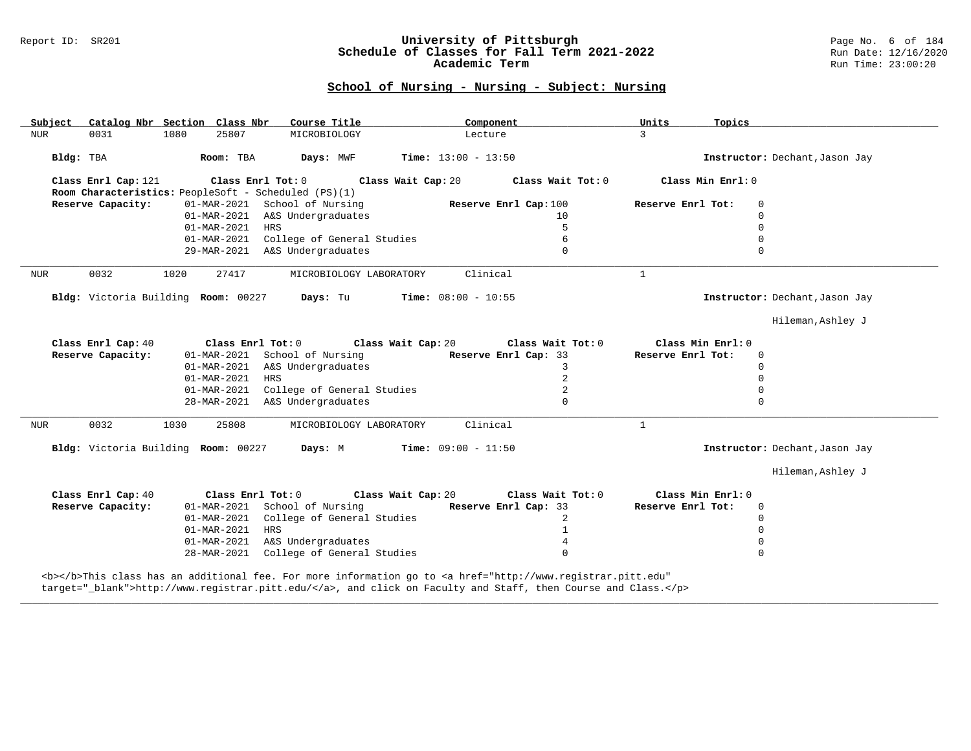#### Report ID: SR201 **University of Pittsburgh** Page No. 6 of 184 **Schedule of Classes for Fall Term 2021-2022** Run Date: 12/16/2020 **Academic Term** Run Time: 23:00:20

### **School of Nursing - Nursing - Subject: Nursing**

| Subject             | Course Title<br>Catalog Nbr Section Class Nbr        | Component                                                                                                                                                                                                                                                                                        | Units<br>Topics                        |
|---------------------|------------------------------------------------------|--------------------------------------------------------------------------------------------------------------------------------------------------------------------------------------------------------------------------------------------------------------------------------------------------|----------------------------------------|
| <b>NUR</b><br>0031  | 1080<br>25807<br>MICROBIOLOGY                        | Lecture                                                                                                                                                                                                                                                                                          | $\mathcal{E}$                          |
|                     | Room: TBA<br>Days: MWF                               | <b>Time:</b> $13:00 - 13:50$                                                                                                                                                                                                                                                                     | Instructor: Dechant, Jason Jay         |
| Bldg: TBA           |                                                      |                                                                                                                                                                                                                                                                                                  |                                        |
| Class Enrl Cap: 121 |                                                      | Class Enrl Tot: $0$ Class Wait Cap: $20$ Class Wait Tot: $0$                                                                                                                                                                                                                                     | Class Min Enrl: 0                      |
|                     | Room Characteristics: PeopleSoft - Scheduled (PS)(1) |                                                                                                                                                                                                                                                                                                  |                                        |
| Reserve Capacity:   | 01-MAR-2021 School of Nursing Reserve Enrl Cap:100   |                                                                                                                                                                                                                                                                                                  | Reserve Enrl Tot:<br>$\mathbf 0$       |
|                     | 01-MAR-2021 A&S Undergraduates                       | 10                                                                                                                                                                                                                                                                                               | $\Omega$                               |
|                     | 01-MAR-2021 HRS                                      | 5                                                                                                                                                                                                                                                                                                | $\Omega$                               |
|                     | 01-MAR-2021 College of General Studies               | 6                                                                                                                                                                                                                                                                                                | $\Omega$                               |
|                     | 29-MAR-2021 A&S Undergraduates                       | $\Omega$                                                                                                                                                                                                                                                                                         | $\Omega$                               |
| 0032<br>NUR         | 27417<br>1020<br>MICROBIOLOGY LABORATORY             | Clinical                                                                                                                                                                                                                                                                                         | $\mathbf{1}$                           |
|                     | Bldg: Victoria Building Room: 00227 Days: Tu         | $Time: 08:00 - 10:55$                                                                                                                                                                                                                                                                            | Instructor: Dechant, Jason Jay         |
|                     |                                                      |                                                                                                                                                                                                                                                                                                  | Hileman, Ashley J                      |
|                     |                                                      |                                                                                                                                                                                                                                                                                                  |                                        |
| Class Enrl Cap: 40  | Class Enrl Tot: $0$                                  | Class Wait Cap: 20 Class Wait Tot: 0                                                                                                                                                                                                                                                             | Class Min Enrl: 0<br>Reserve Enrl Tot: |
| Reserve Capacity:   | 01-MAR-2021 School of Nursing                        | Reserve Enrl Cap: 33                                                                                                                                                                                                                                                                             | $\Omega$                               |
|                     | 01-MAR-2021 A&S Undergraduates                       | 3                                                                                                                                                                                                                                                                                                | $\mathbf 0$                            |
|                     | 01-MAR-2021 HRS                                      | $\overline{a}$                                                                                                                                                                                                                                                                                   | $\mathbf 0$                            |
|                     | 01-MAR-2021 College of General Studies               | 2                                                                                                                                                                                                                                                                                                | $\mathbf 0$                            |
|                     | 28-MAR-2021 A&S Undergraduates                       | $\Omega$                                                                                                                                                                                                                                                                                         | $\Omega$                               |
| 0032<br><b>NUR</b>  | 1030<br>25808<br>MICROBIOLOGY LABORATORY             | Clinical                                                                                                                                                                                                                                                                                         | $\mathbf{1}$                           |
|                     | Bldg: Victoria Building Room: 00227 Days: M          | $Time: 09:00 - 11:50$                                                                                                                                                                                                                                                                            | Instructor: Dechant, Jason Jay         |
|                     |                                                      |                                                                                                                                                                                                                                                                                                  | Hileman, Ashley J                      |
| Class Enrl Cap: 40  | Class Enrl Tot: 0 Class Wait Cap: 20                 | Class Wait Tot: 0                                                                                                                                                                                                                                                                                | Class Min Enrl: 0                      |
| Reserve Capacity:   | 01-MAR-2021 School of Nursing Reserve Enrl Cap: 33   |                                                                                                                                                                                                                                                                                                  | Reserve Enrl Tot:<br>$\Omega$          |
|                     | 01-MAR-2021 College of General Studies               | $\overline{a}$                                                                                                                                                                                                                                                                                   | $\Omega$                               |
|                     | 01-MAR-2021 HRS                                      | 1                                                                                                                                                                                                                                                                                                | $\mathbf 0$                            |
|                     | 01-MAR-2021 A&S Undergraduates                       | 4                                                                                                                                                                                                                                                                                                | $\Omega$                               |
|                     | 28-MAR-2021 College of General Studies               | $\cap$                                                                                                                                                                                                                                                                                           |                                        |
| .                   |                                                      | $\mathbf{r}$ and $\mathbf{r}$ and $\mathbf{r}$ and $\mathbf{r}$ and $\mathbf{r}$ and $\mathbf{r}$ and $\mathbf{r}$ and $\mathbf{r}$ and $\mathbf{r}$ and $\mathbf{r}$ and $\mathbf{r}$ and $\mathbf{r}$ and $\mathbf{r}$ and $\mathbf{r}$ and $\mathbf{r}$ and $\mathbf{r}$ and $\mathbf{r}$ and |                                        |

**\_\_\_\_\_\_\_\_\_\_\_\_\_\_\_\_\_\_\_\_\_\_\_\_\_\_\_\_\_\_\_\_\_\_\_\_\_\_\_\_\_\_\_\_\_\_\_\_\_\_\_\_\_\_\_\_\_\_\_\_\_\_\_\_\_\_\_\_\_\_\_\_\_\_\_\_\_\_\_\_\_\_\_\_\_\_\_\_\_\_\_\_\_\_\_\_\_\_\_\_\_\_\_\_\_\_\_\_\_\_\_\_\_\_\_\_\_\_\_\_\_\_\_\_\_\_\_\_\_\_\_\_\_\_\_\_\_\_\_\_\_\_\_\_\_\_\_\_\_\_\_\_\_\_\_\_**

<b></b>This class has an additional fee. For more information go to <a href="http://www.registrar.pitt.edu" target="\_blank">http://www.registrar.pitt.edu/</a>, and click on Faculty and Staff, then Course and Class.</p>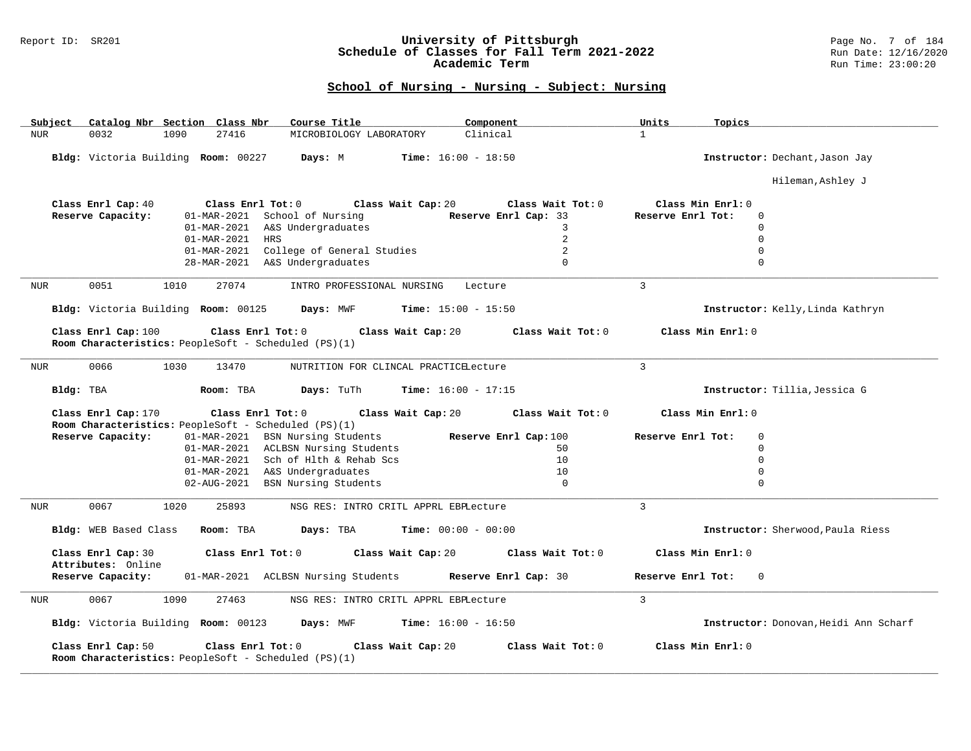### Report ID: SR201 **University of Pittsburgh** Page No. 7 of 184 **Schedule of Classes for Fall Term 2021-2022** Run Date: 12/16/2020 **Academic Term** Run Time: 23:00:20

| Subject    | Catalog Nbr Section Class Nbr       |      |                   | Course Title                                         |                            |                                       | Component             |                     | Units             | Topics                           |                                       |
|------------|-------------------------------------|------|-------------------|------------------------------------------------------|----------------------------|---------------------------------------|-----------------------|---------------------|-------------------|----------------------------------|---------------------------------------|
| <b>NUR</b> | 0032                                | 1090 | 27416             |                                                      | MICROBIOLOGY LABORATORY    |                                       | Clinical              |                     | $\mathbf{1}$      |                                  |                                       |
|            | Bldg: Victoria Building Room: 00227 |      |                   | Days: M                                              |                            | <b>Time:</b> $16:00 - 18:50$          |                       |                     |                   | Instructor: Dechant, Jason Jay   |                                       |
|            |                                     |      |                   |                                                      |                            |                                       |                       |                     |                   |                                  | Hileman, Ashley J                     |
|            | Class Enrl Cap: 40                  |      | Class Enrl Tot: 0 |                                                      |                            | Class Wait Cap: 20                    |                       | Class Wait Tot: 0   | Class Min Enrl: 0 |                                  |                                       |
|            | Reserve Capacity:                   |      |                   | 01-MAR-2021 School of Nursing                        |                            |                                       | Reserve Enrl Cap: 33  |                     | Reserve Enrl Tot: | $\Omega$                         |                                       |
|            |                                     |      |                   | 01-MAR-2021 A&S Undergraduates                       |                            |                                       |                       | 3                   |                   | $\Omega$                         |                                       |
|            |                                     |      | 01-MAR-2021       | <b>HRS</b>                                           |                            |                                       |                       | $\overline{2}$      |                   | $\Omega$                         |                                       |
|            |                                     |      |                   | 01-MAR-2021 College of General Studies               |                            |                                       |                       | 2                   |                   | $\Omega$                         |                                       |
|            |                                     |      |                   | 28-MAR-2021 A&S Undergraduates                       |                            |                                       |                       | $\Omega$            |                   | $\Omega$                         |                                       |
|            |                                     |      |                   |                                                      |                            |                                       |                       |                     |                   |                                  |                                       |
| <b>NUR</b> | 0051                                | 1010 | 27074             |                                                      | INTRO PROFESSIONAL NURSING |                                       | Lecture               |                     | $\overline{3}$    |                                  |                                       |
|            | Bldg: Victoria Building Room: 00125 |      |                   | Days: MWF                                            |                            | <b>Time:</b> $15:00 - 15:50$          |                       |                     |                   | Instructor: Kelly, Linda Kathryn |                                       |
|            | Class Enrl Cap: 100                 |      | Class Enrl Tot: 0 |                                                      |                            | Class Wait Cap: 20                    |                       | Class Wait Tot: 0   |                   | Class Min Enrl: 0                |                                       |
|            |                                     |      |                   | Room Characteristics: PeopleSoft - Scheduled (PS)(1) |                            |                                       |                       |                     |                   |                                  |                                       |
| NUR        | 0066                                | 1030 | 13470             |                                                      |                            | NUTRITION FOR CLINCAL PRACTICELecture |                       |                     | $\overline{3}$    |                                  |                                       |
| Bldg: TBA  |                                     |      | Room: TBA         | Days: TuTh                                           |                            | <b>Time:</b> $16:00 - 17:15$          |                       |                     |                   | Instructor: Tillia, Jessica G    |                                       |
|            | Class Enrl Cap: 170                 |      | Class Enrl Tot: 0 |                                                      |                            | Class Wait Cap: 20                    |                       | Class Wait Tot: 0   |                   | Class Min Enrl: 0                |                                       |
|            |                                     |      |                   | Room Characteristics: PeopleSoft - Scheduled (PS)(1) |                            |                                       |                       |                     |                   |                                  |                                       |
|            | Reserve Capacity:                   |      |                   | 01-MAR-2021 BSN Nursing Students                     |                            |                                       | Reserve Enrl Cap: 100 |                     | Reserve Enrl Tot: | $\Omega$                         |                                       |
|            |                                     |      |                   | 01-MAR-2021 ACLBSN Nursing Students                  |                            |                                       |                       | 50                  |                   | $\Omega$                         |                                       |
|            |                                     |      |                   | 01-MAR-2021 Sch of Hlth & Rehab Scs                  |                            |                                       |                       | 10                  |                   | $\Omega$                         |                                       |
|            |                                     |      |                   | 01-MAR-2021 A&S Undergraduates                       |                            |                                       |                       | 10                  |                   | $\Omega$                         |                                       |
|            |                                     |      | 02-AUG-2021       | BSN Nursing Students                                 |                            |                                       |                       | $\Omega$            |                   | $\Omega$                         |                                       |
| <b>NUR</b> | 0067                                | 1020 | 25893             |                                                      |                            | NSG RES: INTRO CRITL APPRL EBPLecture |                       |                     | $\mathbf{3}$      |                                  |                                       |
|            | Bldg: WEB Based Class               |      | Room: TBA         | Days: TBA                                            |                            | <b>Time:</b> $00:00 - 00:00$          |                       |                     |                   |                                  | Instructor: Sherwood, Paula Riess     |
|            | Class Enrl Cap: 30                  |      | Class Enrl Tot: 0 |                                                      |                            | Class Wait Cap: 20                    |                       | Class Wait Tot: 0   | Class Min Enrl: 0 |                                  |                                       |
|            | Attributes: Online                  |      |                   |                                                      |                            |                                       |                       |                     |                   |                                  |                                       |
|            | Reserve Capacity:                   |      |                   | 01-MAR-2021 ACLBSN Nursing Students                  |                            |                                       | Reserve Enrl Cap: 30  |                     | Reserve Enrl Tot: | $\mathbf 0$                      |                                       |
| NUR        | 0067                                | 1090 | 27463             |                                                      |                            | NSG RES: INTRO CRITL APPRL EBPLecture |                       |                     | $\mathcal{L}$     |                                  |                                       |
|            | Bldg: Victoria Building Room: 00123 |      |                   | Days: MWF                                            |                            | $Time: 16:00 - 16:50$                 |                       |                     |                   |                                  | Instructor: Donovan, Heidi Ann Scharf |
|            | Class Enrl Cap: 50                  |      | Class Enrl Tot: 0 | Room Characteristics: PeopleSoft - Scheduled (PS)(1) |                            | Class Wait Cap: 20                    |                       | Class Wait $Tot: 0$ | Class Min Enrl: 0 |                                  |                                       |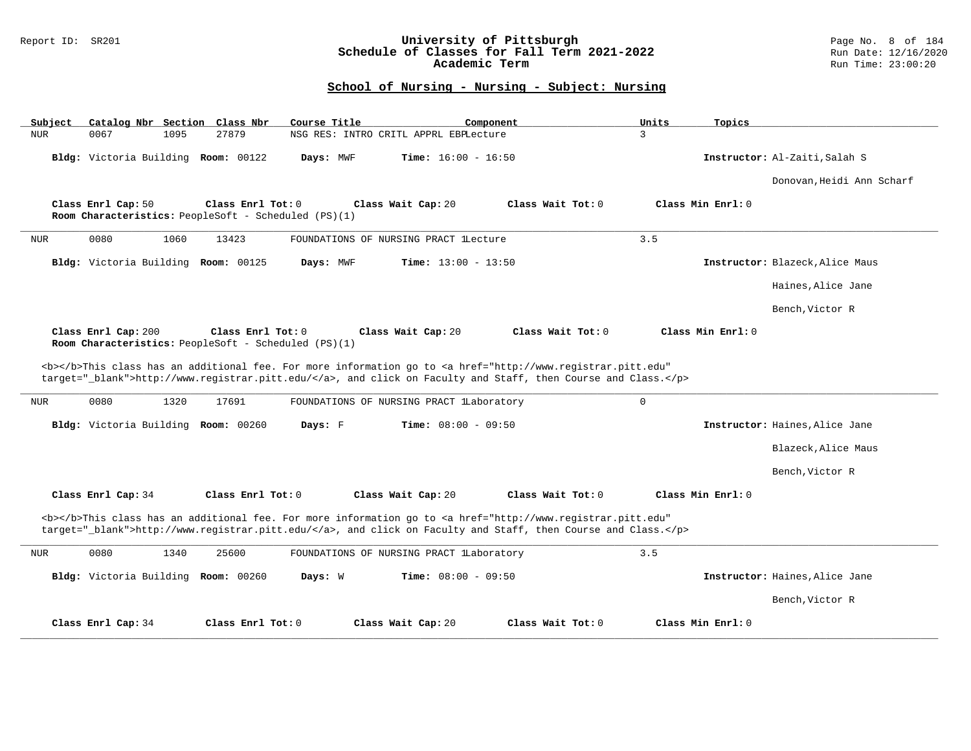### Report ID: SR201 **University of Pittsburgh** Page No. 8 of 184 **Schedule of Classes for Fall Term 2021-2022** Run Date: 12/16/2020 **Academic Term** Run Time: 23:00:20

| Catalog Nbr Section Class Nbr<br>Subject                                                         | Course Title<br>Component                                                                                                                                                                                                          | Units<br>Topics                 |
|--------------------------------------------------------------------------------------------------|------------------------------------------------------------------------------------------------------------------------------------------------------------------------------------------------------------------------------------|---------------------------------|
| 0067<br>1095<br>27879<br><b>NUR</b>                                                              | NSG RES: INTRO CRITL APPRL EBPLecture                                                                                                                                                                                              | 3                               |
| Bldg: Victoria Building Room: 00122                                                              | <b>Time:</b> $16:00 - 16:50$<br>Days: MWF                                                                                                                                                                                          | Instructor: Al-Zaiti, Salah S   |
|                                                                                                  |                                                                                                                                                                                                                                    | Donovan, Heidi Ann Scharf       |
| Class Enrl Cap: 50<br>Class Enrl Tot: 0<br>Room Characteristics: PeopleSoft - Scheduled (PS)(1)  | Class Wait Tot: 0<br>Class Wait Cap: 20                                                                                                                                                                                            | Class Min Enrl: 0               |
| 0080<br>1060<br>13423<br><b>NUR</b>                                                              | FOUNDATIONS OF NURSING PRACT lLecture                                                                                                                                                                                              | 3.5                             |
| Bldg: Victoria Building Room: 00125                                                              | Days: MWF<br>Time: $13:00 - 13:50$                                                                                                                                                                                                 | Instructor: Blazeck, Alice Maus |
|                                                                                                  |                                                                                                                                                                                                                                    | Haines, Alice Jane              |
|                                                                                                  |                                                                                                                                                                                                                                    | Bench, Victor R                 |
| Class Enrl Cap: 200<br>Class Enrl Tot: 0<br>Room Characteristics: PeopleSoft - Scheduled (PS)(1) | Class Wait Tot: 0<br>Class Wait Cap: 20                                                                                                                                                                                            | Class Min Enrl: 0               |
|                                                                                                  |                                                                                                                                                                                                                                    |                                 |
|                                                                                                  | <b></b> This class has an additional fee. For more information go to <a <br="" href="http://www.registrar.pitt.edu">target="_blank"&gt;http://www.registrar.pitt.edu/</a> , and click on Faculty and Staff, then Course and Class. |                                 |
| 0080<br>1320<br>17691<br><b>NUR</b>                                                              | FOUNDATIONS OF NURSING PRACT lLaboratory                                                                                                                                                                                           | $\Omega$                        |
| Bldg: Victoria Building Room: 00260                                                              | <b>Time:</b> $08:00 - 09:50$<br>Days: F                                                                                                                                                                                            | Instructor: Haines, Alice Jane  |
|                                                                                                  |                                                                                                                                                                                                                                    | Blazeck, Alice Maus             |
|                                                                                                  |                                                                                                                                                                                                                                    | Bench, Victor R                 |
| Class Enrl Tot: 0<br>Class Enrl Cap: 34                                                          | Class Wait Tot: 0<br>Class Wait Cap: 20                                                                                                                                                                                            | Class Min Enrl: 0               |
|                                                                                                  | <b></b> This class has an additional fee. For more information go to <a <br="" href="http://www.registrar.pitt.edu">target="_blank"&gt;http://www.registrar.pitt.edu/</a> , and click on Faculty and Staff, then Course and Class. |                                 |
| 0080<br><b>NUR</b><br>1340<br>25600                                                              | FOUNDATIONS OF NURSING PRACT LLaboratory                                                                                                                                                                                           | 3.5                             |
| Bldg: Victoria Building Room: 00260                                                              | Days: W<br><b>Time:</b> $08:00 - 09:50$                                                                                                                                                                                            | Instructor: Haines, Alice Jane  |
|                                                                                                  |                                                                                                                                                                                                                                    |                                 |
|                                                                                                  |                                                                                                                                                                                                                                    | Bench, Victor R                 |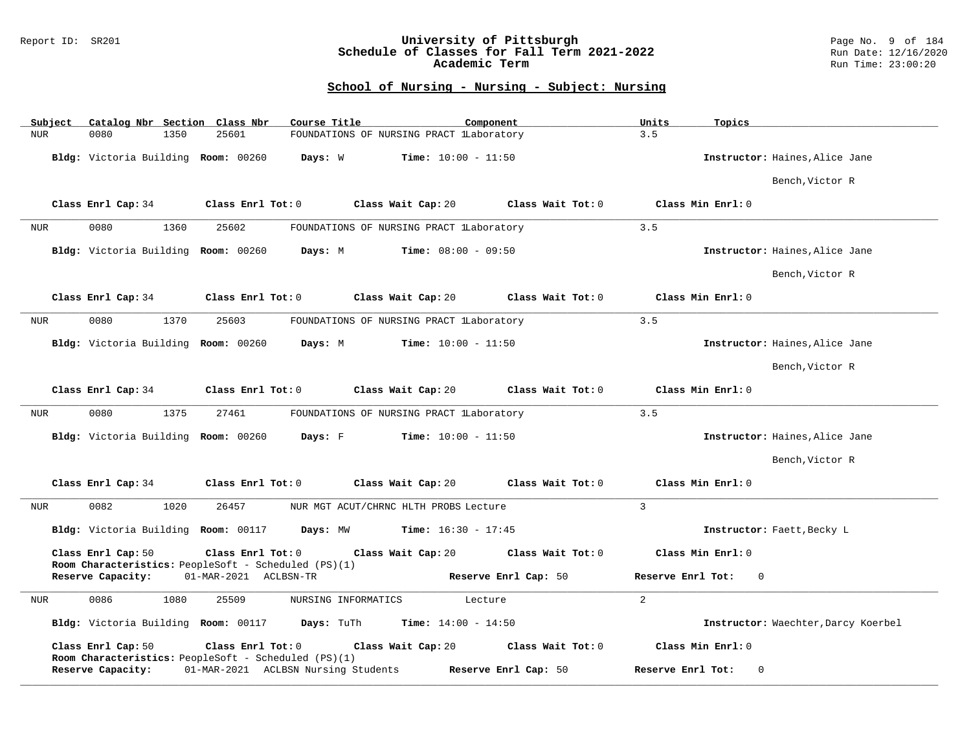### Report ID: SR201 **University of Pittsburgh** Page No. 9 of 184 **Schedule of Classes for Fall Term 2021-2022** Run Date: 12/16/2020 **Academic Term** Run Time: 23:00:20

| Catalog Nbr Section Class Nbr<br>Subject | Course Title<br>Component                                                                       | Units<br>Topics                                          |
|------------------------------------------|-------------------------------------------------------------------------------------------------|----------------------------------------------------------|
| <b>NUR</b><br>0080<br>1350               | 25601<br>FOUNDATIONS OF NURSING PRACT lLaboratory                                               | 3.5                                                      |
| Bldg: Victoria Building Room: 00260      | <b>Time:</b> $10:00 - 11:50$<br>Days: W                                                         | Instructor: Haines, Alice Jane                           |
|                                          |                                                                                                 | Bench, Victor R                                          |
| Class Enrl Cap: 34                       | Class Enrl Tot: 0<br>Class Wait Cap: 20                                                         | Class Wait Tot: 0<br>Class Min Enrl: 0                   |
| 0080<br>1360<br><b>NUR</b>               | 25602<br>FOUNDATIONS OF NURSING PRACT LLaboratory                                               | 3.5                                                      |
| Bldg: Victoria Building Room: 00260      | <b>Time:</b> $08:00 - 09:50$<br>Days: M                                                         | Instructor: Haines, Alice Jane                           |
|                                          |                                                                                                 | Bench, Victor R                                          |
| Class Enrl Cap: 34                       | Class Enrl Tot: 0<br>Class Wait Cap: 20                                                         | Class Min Enrl: 0<br>Class Wait Tot: 0                   |
| 0080<br>1370<br><b>NUR</b>               | 25603<br>FOUNDATIONS OF NURSING PRACT LLaboratory                                               | 3.5                                                      |
| Bldg: Victoria Building Room: 00260      | Days: M<br><b>Time:</b> $10:00 - 11:50$                                                         | Instructor: Haines, Alice Jane                           |
|                                          |                                                                                                 | Bench, Victor R                                          |
| Class Enrl Cap: 34                       | Class Enrl Tot: 0<br>Class Wait Cap: 20                                                         | Class Wait Tot: 0<br>Class Min Enrl: 0                   |
| 0080<br>1375<br>NUR                      | 27461<br>FOUNDATIONS OF NURSING PRACT lLaboratory                                               | 3.5                                                      |
| Bldg: Victoria Building Room: 00260      | Days: F<br><b>Time:</b> $10:00 - 11:50$                                                         | Instructor: Haines, Alice Jane                           |
|                                          |                                                                                                 | Bench, Victor R                                          |
| Class Enrl Cap: 34                       | Class Enrl Tot: 0<br>Class Wait Cap: 20                                                         | Class Wait Tot: 0<br>Class Min Enrl: 0                   |
| 0082<br>1020<br><b>NUR</b>               | 26457<br>NUR MGT ACUT/CHRNC HLTH PROBS Lecture                                                  | $\overline{3}$                                           |
| Bldg: Victoria Building Room: 00117      | <b>Time:</b> $16:30 - 17:45$<br>Days: MW                                                        | Instructor: Faett, Becky L                               |
| Class Enrl Cap: 50                       | Class Enrl Tot: 0<br>Class Wait Cap: 20<br>Room Characteristics: PeopleSoft - Scheduled (PS)(1) | Class Wait Tot: 0<br>Class Min Enrl: 0                   |
| Reserve Capacity:                        | 01-MAR-2021 ACLBSN-TR                                                                           | Reserve Enrl Cap: 50<br>Reserve Enrl Tot:<br>$\Omega$    |
| 0086<br>1080<br>NUR                      | 25509<br>NURSING INFORMATICS<br>Lecture                                                         | $\overline{2}$                                           |
| Bldg: Victoria Building Room: 00117      | Days: TuTh<br><b>Time:</b> $14:00 - 14:50$                                                      | Instructor: Waechter, Darcy Koerbel                      |
| Class Enrl Cap: 50                       | Class Enrl Tot: 0<br>Class Wait Cap: 20<br>Room Characteristics: PeopleSoft - Scheduled (PS)(1) | Class Wait Tot: 0<br>Class Min Enrl: 0                   |
| Reserve Capacity:                        | 01-MAR-2021 ACLBSN Nursing Students                                                             | Reserve Enrl Cap: 50<br>Reserve Enrl Tot:<br>$\mathbf 0$ |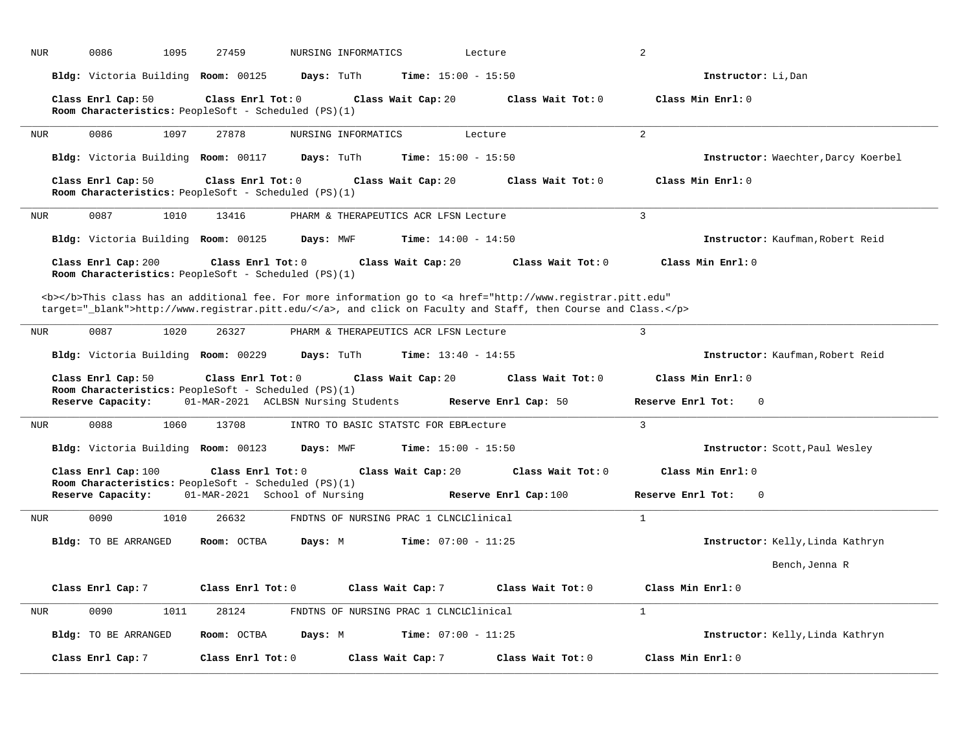| <b>NUR</b> | 0086<br>1095                        | 27459                                                                                                                                                                                                                              | NURSING INFORMATICS<br>Lecture         |                       | $\overline{2}$                      |
|------------|-------------------------------------|------------------------------------------------------------------------------------------------------------------------------------------------------------------------------------------------------------------------------------|----------------------------------------|-----------------------|-------------------------------------|
|            | Bldg: Victoria Building Room: 00125 | Days: TuTh                                                                                                                                                                                                                         | <b>Time:</b> $15:00 - 15:50$           |                       | Instructor: Li, Dan                 |
|            | Class Enrl Cap: 50                  | Class Enrl Tot: 0<br>Room Characteristics: PeopleSoft - Scheduled (PS)(1)                                                                                                                                                          | Class Wait Cap: 20                     | Class Wait Tot: 0     | Class Min Enrl: 0                   |
| NUR        | 0086<br>1097                        | 27878                                                                                                                                                                                                                              | NURSING INFORMATICS                    | Lecture               | 2                                   |
|            | Bldg: Victoria Building Room: 00117 | Days: TuTh                                                                                                                                                                                                                         | <b>Time:</b> $15:00 - 15:50$           |                       | Instructor: Waechter, Darcy Koerbel |
|            | Class Enrl Cap: 50                  | Class Enrl Tot: 0<br>Room Characteristics: PeopleSoft - Scheduled (PS)(1)                                                                                                                                                          | Class Wait Cap: 20                     | Class Wait Tot: 0     | Class Min Enrl: 0                   |
| <b>NUR</b> | 0087<br>1010                        | 13416                                                                                                                                                                                                                              | PHARM & THERAPEUTICS ACR LFSN Lecture  |                       | 3                                   |
|            | Bldg: Victoria Building Room: 00125 | Days: MWF                                                                                                                                                                                                                          | Time: $14:00 - 14:50$                  |                       | Instructor: Kaufman, Robert Reid    |
|            | Class Enrl Cap: 200                 | Class Enrl Tot: 0<br>Room Characteristics: PeopleSoft - Scheduled (PS)(1)                                                                                                                                                          | Class Wait Cap: 20                     | Class Wait Tot: 0     | Class Min Enrl: 0                   |
|            |                                     | <b></b> This class has an additional fee. For more information go to <a <br="" href="http://www.registrar.pitt.edu">target="_blank"&gt;http://www.registrar.pitt.edu/</a> , and click on Faculty and Staff, then Course and Class. |                                        |                       |                                     |
| NUR        | 0087<br>1020                        | 26327                                                                                                                                                                                                                              | PHARM & THERAPEUTICS ACR LFSN Lecture  |                       | 3                                   |
|            | Bldg: Victoria Building Room: 00229 | Days: TuTh                                                                                                                                                                                                                         | <b>Time:</b> $13:40 - 14:55$           |                       | Instructor: Kaufman, Robert Reid    |
|            | Class Enrl Cap: 50                  | Class Enrl Tot: 0                                                                                                                                                                                                                  | Class Wait Cap: 20                     | Class Wait Tot: 0     | Class Min Enrl: 0                   |
|            | Reserve Capacity:                   | Room Characteristics: PeopleSoft - Scheduled (PS)(1)<br>01-MAR-2021 ACLBSN Nursing Students                                                                                                                                        |                                        | Reserve Enrl Cap: 50  | Reserve Enrl Tot:<br>$\mathbf{0}$   |
| <b>NUR</b> | 0088<br>1060                        | 13708                                                                                                                                                                                                                              | INTRO TO BASIC STATSTC FOR EBPLecture  |                       | 3                                   |
|            | Bldg: Victoria Building Room: 00123 | Days: MWF                                                                                                                                                                                                                          | <b>Time:</b> $15:00 - 15:50$           |                       | Instructor: Scott, Paul Wesley      |
|            | Class Enrl Cap: 100                 | Class Enrl Tot: 0                                                                                                                                                                                                                  | Class Wait Cap: 20                     | Class Wait Tot: 0     | Class Min Enrl: 0                   |
|            | Reserve Capacity:                   | Room Characteristics: PeopleSoft - Scheduled (PS)(1)<br>01-MAR-2021 School of Nursing                                                                                                                                              |                                        | Reserve Enrl Cap: 100 | Reserve Enrl Tot:<br>$\Omega$       |
| <b>NUR</b> | 0090<br>1010                        | 26632                                                                                                                                                                                                                              | FNDTNS OF NURSING PRAC 1 CLNCLClinical |                       | $\mathbf{1}$                        |
|            | Bldg: TO BE ARRANGED                | Room: OCTBA<br>Days: M                                                                                                                                                                                                             | <b>Time:</b> $07:00 - 11:25$           |                       | Instructor: Kelly, Linda Kathryn    |
|            |                                     |                                                                                                                                                                                                                                    |                                        |                       | Bench, Jenna R                      |
|            | Class Enrl Cap: 7                   | Class Enrl Tot: 0                                                                                                                                                                                                                  | Class Wait Cap: 7                      | Class Wait Tot: 0     | Class Min Enrl: 0                   |
| <b>NUR</b> | 0090<br>1011                        | 28124                                                                                                                                                                                                                              | FNDTNS OF NURSING PRAC 1 CLNCLClinical |                       | $\mathbf{1}$                        |
|            | Bldg: TO BE ARRANGED                | Room: OCTBA<br>Days: M                                                                                                                                                                                                             | Time: $07:00 - 11:25$                  |                       | Instructor: Kelly, Linda Kathryn    |
|            | Class Enrl Cap: 7                   | Class $Enr1$ Tot: $0$                                                                                                                                                                                                              | Class Wait Cap: 7                      | Class Wait Tot: 0     | Class Min Enrl: 0                   |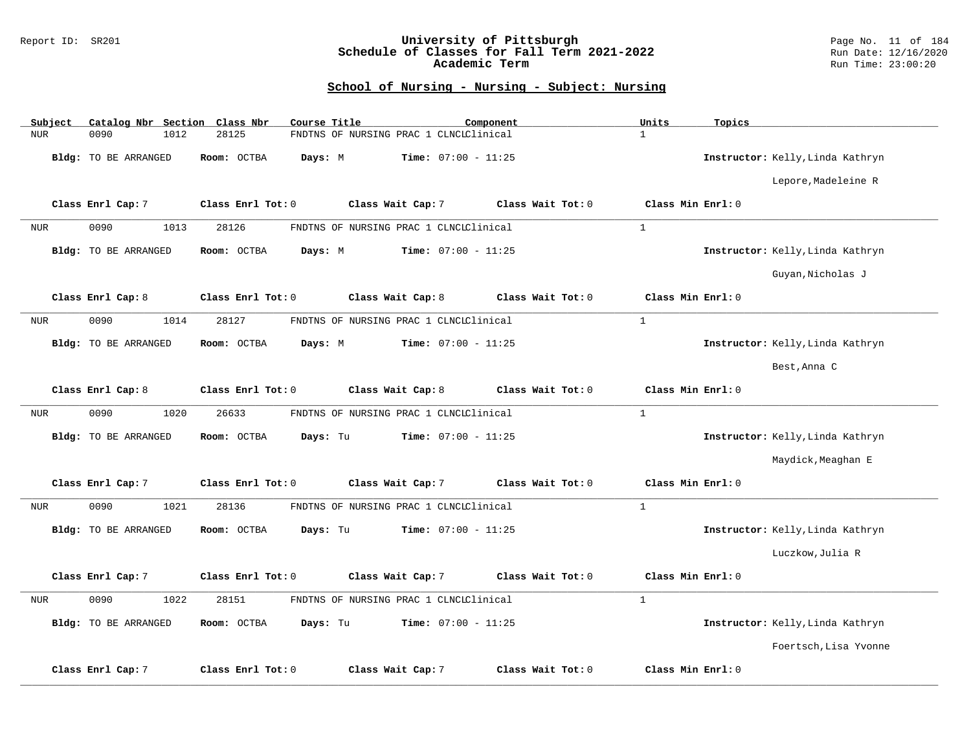### Report ID: SR201 **University of Pittsburgh** Page No. 11 of 184 **Schedule of Classes for Fall Term 2021-2022** Run Date: 12/16/2020 **Academic Term** Run Time: 23:00:20

| Subject    | Catalog Nbr Section Class Nbr | Course Title            |                                        | Component         | Units<br>Topics                  |  |
|------------|-------------------------------|-------------------------|----------------------------------------|-------------------|----------------------------------|--|
| <b>NUR</b> | 0090<br>1012                  | 28125                   | FNDTNS OF NURSING PRAC 1 CLNCLClinical |                   | $\mathbf{1}$                     |  |
|            | Bldg: TO BE ARRANGED          | Room: OCTBA<br>Days: M  | <b>Time:</b> $07:00 - 11:25$           |                   | Instructor: Kelly, Linda Kathryn |  |
|            |                               |                         |                                        |                   | Lepore, Madeleine R              |  |
|            | Class Enrl Cap: 7             | Class Enrl Tot: 0       | Class Wait Cap: 7                      | Class Wait Tot: 0 | Class Min Enrl: 0                |  |
| <b>NUR</b> | 0090<br>1013                  | 28126                   | FNDTNS OF NURSING PRAC 1 CLNCLClinical |                   | $\mathbf{1}$                     |  |
|            | Bldg: TO BE ARRANGED          | Room: OCTBA<br>Days: M  | Time: $07:00 - 11:25$                  |                   | Instructor: Kelly, Linda Kathryn |  |
|            |                               |                         |                                        |                   | Guyan, Nicholas J                |  |
|            | Class Enrl Cap: 8             | Class Enrl Tot: 0       | Class Wait Cap: 8                      | Class Wait Tot: 0 | Class Min Enrl: 0                |  |
| <b>NUR</b> | 0090<br>1014                  | 28127                   | FNDTNS OF NURSING PRAC 1 CLNCLClinical |                   | $\mathbf{1}$                     |  |
|            | Bldg: TO BE ARRANGED          | Room: OCTBA<br>Days: M  | <b>Time:</b> $07:00 - 11:25$           |                   | Instructor: Kelly, Linda Kathryn |  |
|            |                               |                         |                                        |                   | Best, Anna C                     |  |
|            | Class Enrl Cap: 8             | Class Enrl Tot: 0       | Class Wait Cap: 8                      | Class Wait Tot: 0 | Class Min Enrl: 0                |  |
| NUR        | 0090<br>1020                  | 26633                   | FNDTNS OF NURSING PRAC 1 CLNCLClinical |                   | $\mathbf{1}$                     |  |
|            | <b>Bldg:</b> TO BE ARRANGED   | Room: OCTBA<br>Days: Tu | Time: $07:00 - 11:25$                  |                   | Instructor: Kelly, Linda Kathryn |  |
|            |                               |                         |                                        |                   | Maydick, Meaghan E               |  |
|            | Class Enrl Cap: 7             | Class Enrl Tot: 0       | Class Wait Cap: 7                      | Class Wait Tot: 0 | Class Min Enrl: 0                |  |
| <b>NUR</b> | 0090<br>1021                  | 28136                   | FNDTNS OF NURSING PRAC 1 CLNCLClinical |                   | $\mathbf{1}$                     |  |
|            | <b>Bldg:</b> TO BE ARRANGED   | Room: OCTBA<br>Days: Tu | Time: $07:00 - 11:25$                  |                   | Instructor: Kelly, Linda Kathryn |  |
|            |                               |                         |                                        |                   | Luczkow, Julia R                 |  |
|            | Class Enrl Cap: 7             | Class Enrl Tot: 0       | Class Wait Cap: 7                      | Class Wait Tot: 0 | Class Min Enrl: 0                |  |
| <b>NUR</b> | 0090<br>1022                  | 28151                   | FNDTNS OF NURSING PRAC 1 CLNCLClinical |                   | $\mathbf{1}$                     |  |
|            | Bldg: TO BE ARRANGED          | Room: OCTBA<br>Days: Tu | Time: $07:00 - 11:25$                  |                   | Instructor: Kelly, Linda Kathryn |  |
|            |                               |                         |                                        |                   | Foertsch, Lisa Yvonne            |  |
|            | Class Enrl Cap: 7             | Class Enrl Tot: 0       | Class Wait Cap: 7                      | Class Wait Tot: 0 | Class Min Enrl: 0                |  |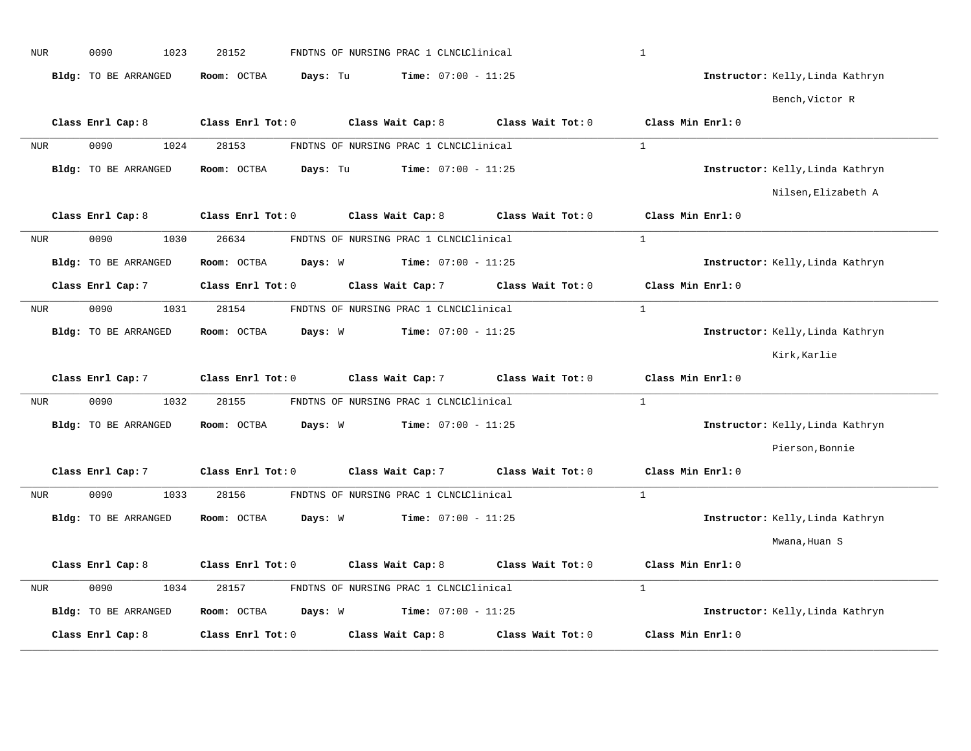| <b>NUR</b> | 0090<br>1023         | 28152                   | FNDTNS OF NURSING PRAC 1 CLNCLClinical |                   | $1\,$                            |  |
|------------|----------------------|-------------------------|----------------------------------------|-------------------|----------------------------------|--|
|            | Bldg: TO BE ARRANGED | Room: OCTBA<br>Days: Tu | <b>Time:</b> $07:00 - 11:25$           |                   | Instructor: Kelly, Linda Kathryn |  |
|            |                      |                         |                                        |                   | Bench, Victor R                  |  |
|            | Class Enrl Cap: 8    | Class Enrl Tot: 0       | Class Wait Cap: 8                      | Class Wait Tot: 0 | Class Min Enrl: 0                |  |
| <b>NUR</b> | 0090<br>1024         | 28153                   | FNDTNS OF NURSING PRAC 1 CLNCIClinical |                   | $\mathbf{1}$                     |  |
|            | Bldg: TO BE ARRANGED | Room: OCTBA<br>Days: Tu | <b>Time:</b> $07:00 - 11:25$           |                   | Instructor: Kelly, Linda Kathryn |  |
|            |                      |                         |                                        |                   | Nilsen, Elizabeth A              |  |
|            | Class Enrl Cap: 8    | Class Enrl Tot: 0       | Class Wait Cap: 8                      | Class Wait Tot: 0 | Class Min Enrl: 0                |  |
| <b>NUR</b> | 0090<br>1030         | 26634                   | FNDTNS OF NURSING PRAC 1 CLNCLClinical |                   | $\mathbf{1}$                     |  |
|            | Bldg: TO BE ARRANGED | Room: OCTBA<br>Days: W  | <b>Time:</b> $07:00 - 11:25$           |                   | Instructor: Kelly, Linda Kathryn |  |
|            | Class Enrl Cap: 7    | Class Enrl Tot: 0       | Class Wait Cap: 7                      | Class Wait Tot: 0 | Class Min Enrl: 0                |  |
| <b>NUR</b> | 0090<br>1031         | 28154                   | FNDTNS OF NURSING PRAC 1 CLNCLClinical |                   | $\mathbf{1}$                     |  |
|            | Bldg: TO BE ARRANGED | Room: OCTBA<br>Days: W  | Time: $07:00 - 11:25$                  |                   | Instructor: Kelly, Linda Kathryn |  |
|            |                      |                         |                                        |                   | Kirk, Karlie                     |  |
|            | Class Enrl Cap: 7    | Class Enrl Tot: 0       | Class Wait Cap: 7                      | Class Wait Tot: 0 | Class Min Enrl: 0                |  |
| <b>NUR</b> | 0090<br>1032         | 28155                   | FNDTNS OF NURSING PRAC 1 CLNCIClinical |                   | $\mathbf{1}$                     |  |
|            | Bldg: TO BE ARRANGED | Room: OCTBA<br>Days: W  | <b>Time:</b> $07:00 - 11:25$           |                   | Instructor: Kelly, Linda Kathryn |  |
|            |                      |                         |                                        |                   | Pierson, Bonnie                  |  |
|            | Class Enrl Cap: 7    | Class Enrl Tot: 0       | Class Wait Cap: 7                      | Class Wait Tot: 0 | Class Min Enrl: 0                |  |
| <b>NUR</b> | 0090<br>1033         | 28156                   | FNDTNS OF NURSING PRAC 1 CLNCLClinical |                   | $\mathbf{1}$                     |  |
|            | Bldg: TO BE ARRANGED | Room: OCTBA<br>Days: W  | <b>Time:</b> $07:00 - 11:25$           |                   | Instructor: Kelly, Linda Kathryn |  |
|            |                      |                         |                                        |                   | Mwana, Huan S                    |  |
|            | Class Enrl Cap: 8    | Class Enrl Tot: 0       | Class Wait Cap: 8                      | Class Wait Tot: 0 | Class Min Enrl: 0                |  |
| NUR        | 0090<br>1034         | 28157                   | FNDTNS OF NURSING PRAC 1 CLNCLClinical |                   | $\mathbf{1}$                     |  |
|            | Bldg: TO BE ARRANGED | Room: OCTBA<br>Days: W  | Time: $07:00 - 11:25$                  |                   | Instructor: Kelly, Linda Kathryn |  |
|            | Class Enrl Cap: 8    | Class Enrl Tot: 0       | Class Wait Cap: 8                      | Class Wait Tot: 0 | Class Min Enrl: 0                |  |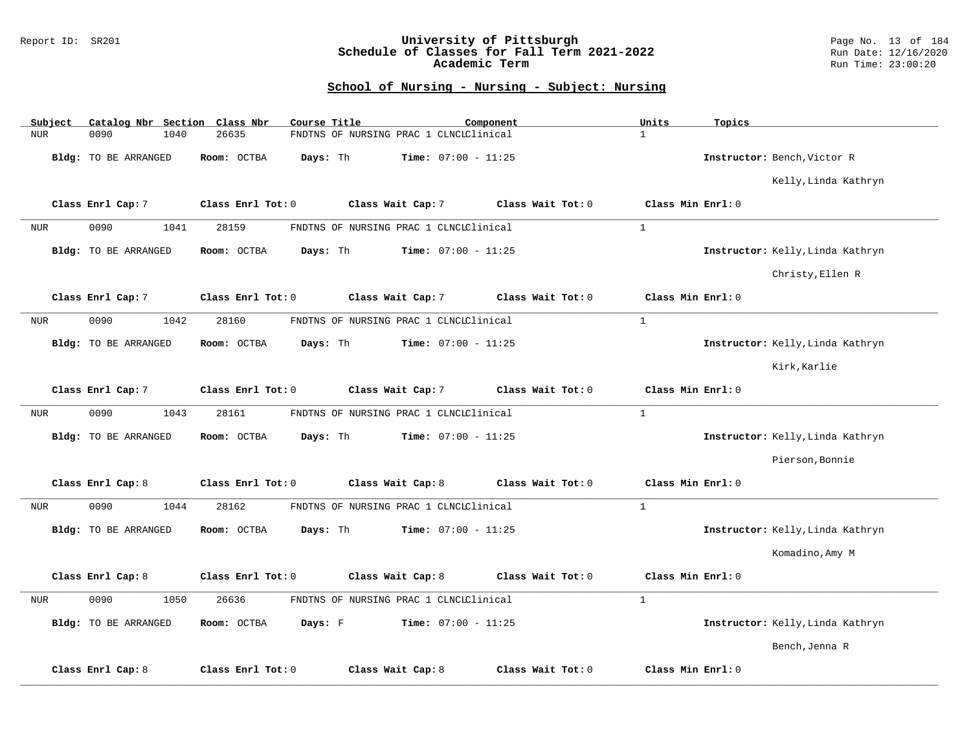### Report ID: SR201 **University of Pittsburgh** Page No. 13 of 184 **Schedule of Classes for Fall Term 2021-2022** Run Date: 12/16/2020 **Academic Term** Run Time: 23:00:20

| Subject    | Catalog Nbr Section Class Nbr |                   | Course Title                           | Component                    | Units<br>Topics                  |
|------------|-------------------------------|-------------------|----------------------------------------|------------------------------|----------------------------------|
| <b>NUR</b> | 0090<br>1040                  | 26635             | FNDTNS OF NURSING PRAC 1 CLNCIClinical |                              | $\mathbf{1}$                     |
|            | Bldg: TO BE ARRANGED          | Room: OCTBA       | Days: Th                               | <b>Time:</b> $07:00 - 11:25$ | Instructor: Bench, Victor R      |
|            |                               |                   |                                        |                              | Kelly, Linda Kathryn             |
|            | Class Enrl Cap: 7             | Class Enrl Tot: 0 | Class Wait Cap: 7                      | Class Wait Tot: 0            | Class Min Enrl: 0                |
| <b>NUR</b> | 0090<br>1041                  | 28159             | FNDTNS OF NURSING PRAC 1 CLNCIClinical |                              | $\mathbf{1}$                     |
|            | Bldg: TO BE ARRANGED          | Room: OCTBA       | Days: Th                               | Time: $07:00 - 11:25$        | Instructor: Kelly, Linda Kathryn |
|            |                               |                   |                                        |                              | Christy, Ellen R                 |
|            | Class Enrl Cap: 7             | Class Enrl Tot: 0 | Class Wait Cap: 7                      | Class Wait Tot: 0            | Class Min Enrl: 0                |
| <b>NUR</b> | 0090<br>1042                  | 28160             | FNDTNS OF NURSING PRAC 1 CLNCLClinical |                              | $\mathbf{1}$                     |
|            | Bldg: TO BE ARRANGED          | Room: OCTBA       | Days: Th                               | Time: $07:00 - 11:25$        | Instructor: Kelly, Linda Kathryn |
|            |                               |                   |                                        |                              | Kirk, Karlie                     |
|            | Class Enrl Cap: 7             | Class Enrl Tot: 0 | Class Wait Cap: 7                      | Class Wait Tot: 0            | Class Min Enrl: 0                |
| NUR        | 0090<br>1043                  | 28161             | FNDTNS OF NURSING PRAC 1 CLNCLClinical |                              | $\mathbf{1}$                     |
|            | <b>Bldg:</b> TO BE ARRANGED   | Room: OCTBA       | Days: Th                               | Time: $07:00 - 11:25$        | Instructor: Kelly, Linda Kathryn |
|            |                               |                   |                                        |                              | Pierson, Bonnie                  |
|            | Class Enrl Cap: 8             | Class Enrl Tot: 0 | Class Wait Cap: 8                      | Class Wait Tot: 0            | Class Min Enrl: 0                |
| NUR        | 0090<br>1044                  | 28162             | FNDTNS OF NURSING PRAC 1 CLNCLClinical |                              | $\mathbf{1}$                     |
|            | <b>Bldg:</b> TO BE ARRANGED   | Room: OCTBA       | Days: Th                               | Time: $07:00 - 11:25$        | Instructor: Kelly, Linda Kathryn |
|            |                               |                   |                                        |                              | Komadino, Amy M                  |
|            | Class Enrl Cap: 8             | Class Enrl Tot: 0 | Class Wait Cap: 8                      | Class Wait Tot: 0            | Class Min Enrl: 0                |
| NUR        | 0090<br>1050                  | 26636             | FNDTNS OF NURSING PRAC 1 CLNCLClinical |                              | $\mathbf{1}$                     |
|            | Bldg: TO BE ARRANGED          | Room: OCTBA       | Days: F                                | Time: $07:00 - 11:25$        | Instructor: Kelly, Linda Kathryn |
|            |                               |                   |                                        |                              | Bench, Jenna R                   |
|            | Class Enrl Cap: 8             | Class Enrl Tot: 0 | Class Wait Cap: 8                      | Class Wait Tot: 0            | Class Min Enrl: 0                |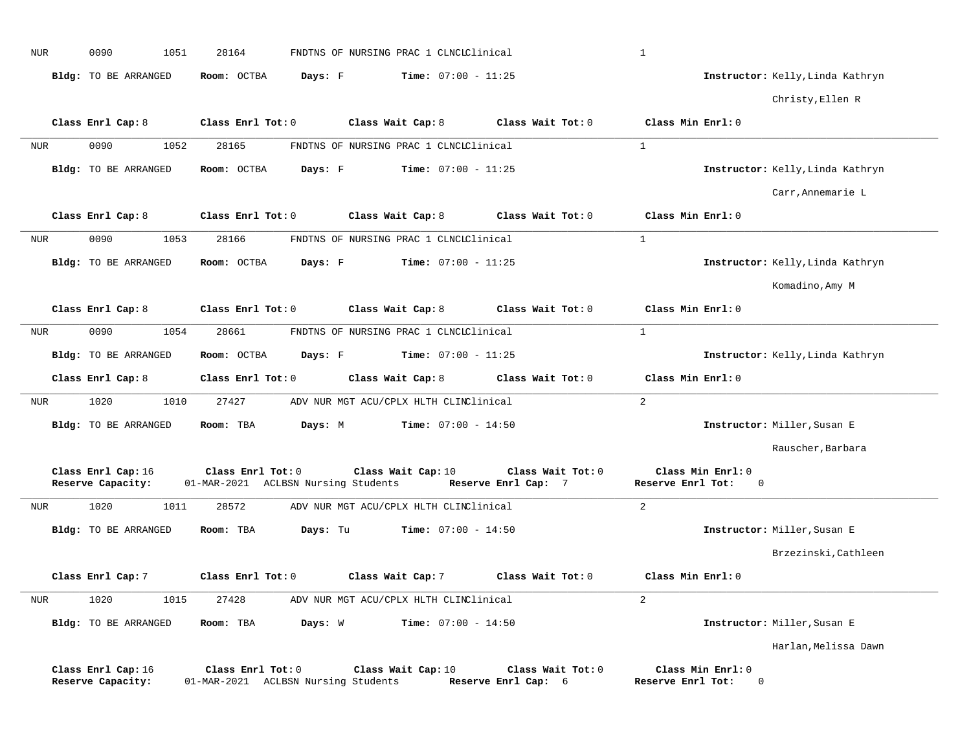| <b>NUR</b>   | 0090                                    | 1051 | 28164             |                                     | FNDTNS OF NURSING PRAC 1 CLNCLClinical |                                          | $\mathbf{1}$      |                                  |                                  |
|--------------|-----------------------------------------|------|-------------------|-------------------------------------|----------------------------------------|------------------------------------------|-------------------|----------------------------------|----------------------------------|
|              | Bldg: TO BE ARRANGED                    |      | Room: OCTBA       | Days: F                             | <b>Time:</b> $07:00 - 11:25$           |                                          |                   |                                  | Instructor: Kelly, Linda Kathryn |
|              |                                         |      |                   |                                     |                                        |                                          |                   |                                  | Christy, Ellen R                 |
|              | Class Enrl Cap: 8                       |      | Class Enrl Tot: 0 |                                     | Class Wait Cap: 8                      | Class Wait Tot: 0                        | Class Min Enrl: 0 |                                  |                                  |
| NUR          | 0090                                    | 1052 | 28165             |                                     | FNDTNS OF NURSING PRAC 1 CLNCLClinical |                                          | $\mathbf{1}$      |                                  |                                  |
|              | Bldg: TO BE ARRANGED                    |      | Room: OCTBA       | Days: F                             | <b>Time:</b> $07:00 - 11:25$           |                                          |                   |                                  | Instructor: Kelly, Linda Kathryn |
|              |                                         |      |                   |                                     |                                        |                                          |                   |                                  | Carr, Annemarie L                |
|              | Class Enrl Cap: 8                       |      | Class Enrl Tot: 0 |                                     | Class Wait Cap: 8                      | Class Wait Tot: 0                        | Class Min Enrl: 0 |                                  |                                  |
| <b>NUR</b>   | 0090                                    | 1053 | 28166             |                                     | FNDTNS OF NURSING PRAC 1 CLNCLClinical |                                          | $\mathbf{1}$      |                                  |                                  |
|              | Bldg: TO BE ARRANGED                    |      | Room: OCTBA       | Days: F                             | <b>Time:</b> $07:00 - 11:25$           |                                          |                   |                                  | Instructor: Kelly, Linda Kathryn |
|              |                                         |      |                   |                                     |                                        |                                          |                   |                                  |                                  |
|              |                                         |      |                   |                                     |                                        |                                          |                   |                                  | Komadino, Amy M                  |
|              | Class Enrl Cap: 8                       |      | Class Enrl Tot: 0 |                                     | Class Wait Cap: 8                      | Class Wait Tot: 0                        | Class Min Enrl: 0 |                                  |                                  |
| NUR          | 0090                                    | 1054 | 28661             |                                     | FNDTNS OF NURSING PRAC 1 CLNCLClinical |                                          | $\mathbf{1}$      |                                  |                                  |
|              | Bldg: TO BE ARRANGED                    |      | Room: OCTBA       | Days: F                             | <b>Time:</b> $07:00 - 11:25$           |                                          |                   |                                  | Instructor: Kelly, Linda Kathryn |
|              |                                         |      |                   |                                     |                                        |                                          |                   |                                  |                                  |
|              | Class Enrl Cap: 8                       |      | Class Enrl Tot: 0 |                                     | Class Wait Cap: 8                      | Class Wait Tot: 0                        | Class Min Enrl: 0 |                                  |                                  |
| NUR          | 1020                                    | 1010 | 27427             |                                     | ADV NUR MGT ACU/CPLX HLTH CLINClinical |                                          | 2                 |                                  |                                  |
|              | Bldg: TO BE ARRANGED                    |      | Room: TBA         | Days: M                             | <b>Time:</b> $07:00 - 14:50$           |                                          |                   |                                  | Instructor: Miller, Susan E      |
|              |                                         |      |                   |                                     |                                        |                                          |                   |                                  | Rauscher, Barbara                |
|              | Class Enrl Cap: 16<br>Reserve Capacity: |      | Class Enrl Tot: 0 | 01-MAR-2021 ACLBSN Nursing Students | Class Wait Cap: 10                     | Class Wait Tot: 0<br>Reserve Enrl Cap: 7 | Reserve Enrl Tot: | Class Min Enrl: 0<br>$\mathbf 0$ |                                  |
| NUR          | 1020                                    | 1011 | 28572             |                                     | ADV NUR MGT ACU/CPLX HLTH CLINClinical |                                          | 2                 |                                  |                                  |
|              | Bldg: TO BE ARRANGED                    |      | Room: TBA         | Days: Tu                            | $Time: 07:00 - 14:50$                  |                                          |                   |                                  | Instructor: Miller, Susan E      |
|              |                                         |      |                   |                                     |                                        |                                          |                   |                                  | Brzezinski, Cathleen             |
|              | Class Enrl Cap: 7                       |      | Class Enrl Tot: 0 |                                     | Class Wait Cap: 7                      | Class Wait Tot: 0                        | Class Min Enrl: 0 |                                  |                                  |
| $_{\rm NUR}$ | 1020                                    | 1015 | 27428             |                                     | ADV NUR MGT ACU/CPLX HLTH CLINClinical |                                          | 2                 |                                  |                                  |
|              | Bldg: TO BE ARRANGED                    |      | Room: TBA         | Days: W                             | <b>Time:</b> $07:00 - 14:50$           |                                          |                   |                                  | Instructor: Miller, Susan E      |
|              |                                         |      |                   |                                     |                                        |                                          |                   |                                  | Harlan, Melissa Dawn             |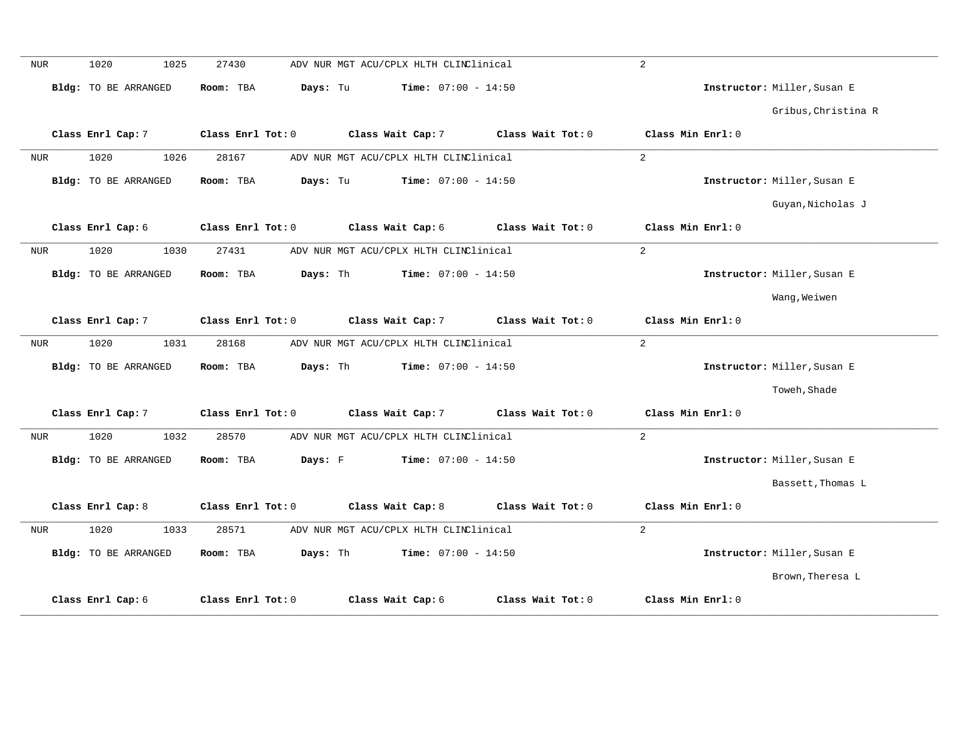| <b>NUR</b> | 1020<br>1025                | 27430                 | ADV NUR MGT ACU/CPLX HLTH CLINClinical |                   | 2                 |                             |
|------------|-----------------------------|-----------------------|----------------------------------------|-------------------|-------------------|-----------------------------|
|            | Bldg: TO BE ARRANGED        | Days: Tu<br>Room: TBA | <b>Time:</b> $07:00 - 14:50$           |                   |                   | Instructor: Miller, Susan E |
|            |                             |                       |                                        |                   |                   | Gribus, Christina R         |
|            | Class Enrl Cap: 7           | Class Enrl Tot: 0     | Class Wait Cap: 7                      | Class Wait Tot: 0 | Class Min Enrl: 0 |                             |
| <b>NUR</b> | 1020<br>1026                | 28167                 | ADV NUR MGT ACU/CPLX HLTH CLINClinical |                   | 2                 |                             |
|            | Bldg: TO BE ARRANGED        | Days: Tu<br>Room: TBA | <b>Time:</b> $07:00 - 14:50$           |                   |                   | Instructor: Miller, Susan E |
|            |                             |                       |                                        |                   |                   | Guyan, Nicholas J           |
|            | Class Enrl Cap: 6           | Class Enrl Tot: 0     | Class Wait Cap: 6                      | Class Wait Tot: 0 | Class Min Enrl: 0 |                             |
| <b>NUR</b> | 1020<br>1030                | 27431                 | ADV NUR MGT ACU/CPLX HLTH CLINClinical |                   | $\overline{a}$    |                             |
|            | Bldg: TO BE ARRANGED        | Days: Th<br>Room: TBA | Time: $07:00 - 14:50$                  |                   |                   | Instructor: Miller, Susan E |
|            |                             |                       |                                        |                   |                   | Wang, Weiwen                |
|            | Class Enrl Cap: 7           | Class Enrl Tot: 0     | Class Wait Cap: 7                      | Class Wait Tot: 0 | Class Min Enrl: 0 |                             |
| <b>NUR</b> | 1020<br>1031                | 28168                 | ADV NUR MGT ACU/CPLX HLTH CLINClinical |                   | $\overline{a}$    |                             |
|            | Bldg: TO BE ARRANGED        | Room: TBA<br>Days: Th | Time: $07:00 - 14:50$                  |                   |                   | Instructor: Miller, Susan E |
|            |                             |                       |                                        |                   |                   | Toweh, Shade                |
|            | Class Enrl Cap: 7           | Class Enrl Tot: 0     | Class Wait Cap: 7                      | Class Wait Tot: 0 | Class Min Enrl: 0 |                             |
| <b>NUR</b> | 1020<br>1032                | 28570                 | ADV NUR MGT ACU/CPLX HLTH CLINClinical |                   | 2                 |                             |
|            | Bldg: TO BE ARRANGED        | Room: TBA<br>Days: F  | <b>Time:</b> $07:00 - 14:50$           |                   |                   | Instructor: Miller, Susan E |
|            |                             |                       |                                        |                   |                   | Bassett, Thomas L           |
|            | Class Enrl Cap: 8           | Class Enrl Tot: 0     | Class Wait Cap: 8                      | Class Wait Tot: 0 | Class Min Enrl: 0 |                             |
| NUR        | 1020<br>1033                | 28571                 | ADV NUR MGT ACU/CPLX HLTH CLINClinical |                   | 2                 |                             |
|            | <b>Bldg:</b> TO BE ARRANGED | Room: TBA<br>Days: Th | Time: $07:00 - 14:50$                  |                   |                   | Instructor: Miller, Susan E |
|            |                             |                       |                                        |                   |                   | Brown, Theresa L            |
|            | Class Enrl Cap: 6           | Class Enrl Tot: 0     | Class Wait Cap: 6                      | Class Wait Tot: 0 | Class Min Enrl: 0 |                             |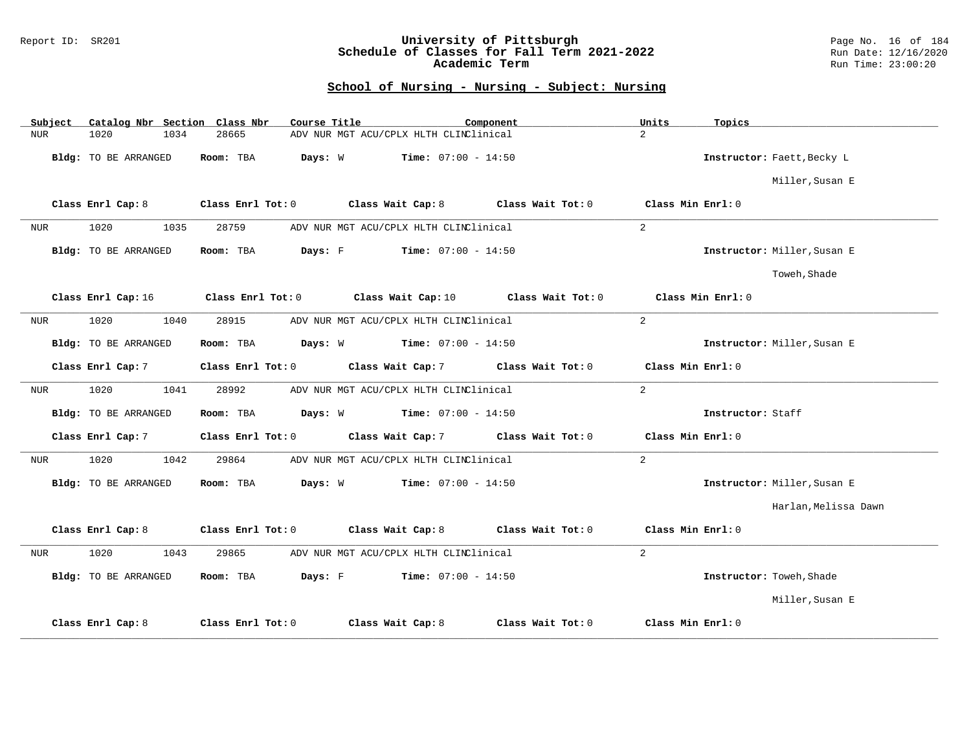### Report ID: SR201 **University of Pittsburgh** Page No. 16 of 184 **Schedule of Classes for Fall Term 2021-2022** Run Date: 12/16/2020 **Academic Term** Run Time: 23:00:20

| Subject                     | Catalog Nbr Section Class Nbr | Course Title                                  | Component                    | Units<br>Topics             |
|-----------------------------|-------------------------------|-----------------------------------------------|------------------------------|-----------------------------|
| <b>NUR</b><br>1020          | 1034<br>28665                 | ADV NUR MGT ACU/CPLX HLTH CLINClinical        |                              | $\overline{2}$              |
| Bldg: TO BE ARRANGED        | Room: TBA                     | Days: W                                       | <b>Time:</b> $07:00 - 14:50$ | Instructor: Faett, Becky L  |
|                             |                               |                                               |                              | Miller, Susan E             |
| Class Enrl Cap: 8           |                               | Class Enrl Tot: 0 Class Wait Cap: 8           | Class Wait Tot: 0            | Class Min Enrl: 0           |
| 1020<br>NUR                 | 1035<br>28759                 | ADV NUR MGT ACU/CPLX HLTH CLINClinical        |                              | $\overline{a}$              |
| Bldg: TO BE ARRANGED        | Room: TBA                     | Days: F<br><b>Time:</b> $07:00 - 14:50$       |                              | Instructor: Miller, Susan E |
|                             |                               |                                               |                              | Toweh, Shade                |
| Class Enrl Cap: 16          |                               | Class Enrl Tot: 0 Class Wait Cap: 10          | Class Wait Tot: 0            | Class Min $Enr1:0$          |
| 1020<br>NUR                 | 1040<br>28915                 | ADV NUR MGT ACU/CPLX HLTH CLINClinical        |                              | 2                           |
| <b>Bldg:</b> TO BE ARRANGED | Room: TBA                     | <b>Days:</b> $W$ <b>Time:</b> $07:00 - 14:50$ |                              | Instructor: Miller, Susan E |
| Class Enrl Cap: 7           | Class Enrl Tot: 0             | Class Wait Cap: 7                             | Class Wait Tot: 0            | Class Min Enrl: 0           |
| 1020<br>NUR                 | 1041<br>28992                 | ADV NUR MGT ACU/CPLX HLTH CLINClinical        |                              | $\overline{a}$              |
| Bldg: TO BE ARRANGED        | Room: TBA                     | <b>Days:</b> W <b>Time:</b> $07:00 - 14:50$   |                              | Instructor: Staff           |
| Class Enrl Cap: 7           | Class Enrl Tot: 0             | Class Wait Cap: 7                             | Class Wait Tot: 0            | Class Min Enrl: 0           |
| 1020<br>NUR                 | 1042<br>29864                 | ADV NUR MGT ACU/CPLX HLTH CLINClinical        |                              | $\overline{2}$              |
| Bldg: TO BE ARRANGED        | Room: TBA                     | Days: W<br>$Time: 07:00 - 14:50$              |                              | Instructor: Miller, Susan E |
|                             |                               |                                               |                              | Harlan, Melissa Dawn        |
| Class Enrl Cap: 8           | Class Enrl Tot: 0             | Class Wait Cap: 8                             | Class Wait Tot: 0            | Class Min Enrl: 0           |
| 1020<br><b>NUR</b>          | 29865<br>1043                 | ADV NUR MGT ACU/CPLX HLTH CLINClinical        |                              | $\overline{2}$              |
| Bldg: TO BE ARRANGED        | Room: TBA                     | Days: F<br>$Time: 07:00 - 14:50$              |                              | Instructor: Toweh, Shade    |
|                             |                               |                                               |                              | Miller, Susan E             |
| Class Enrl Cap: 8           | Class Enrl Tot: 0             | Class Wait Cap: 8                             | Class Wait Tot: 0            | Class Min Enrl: 0           |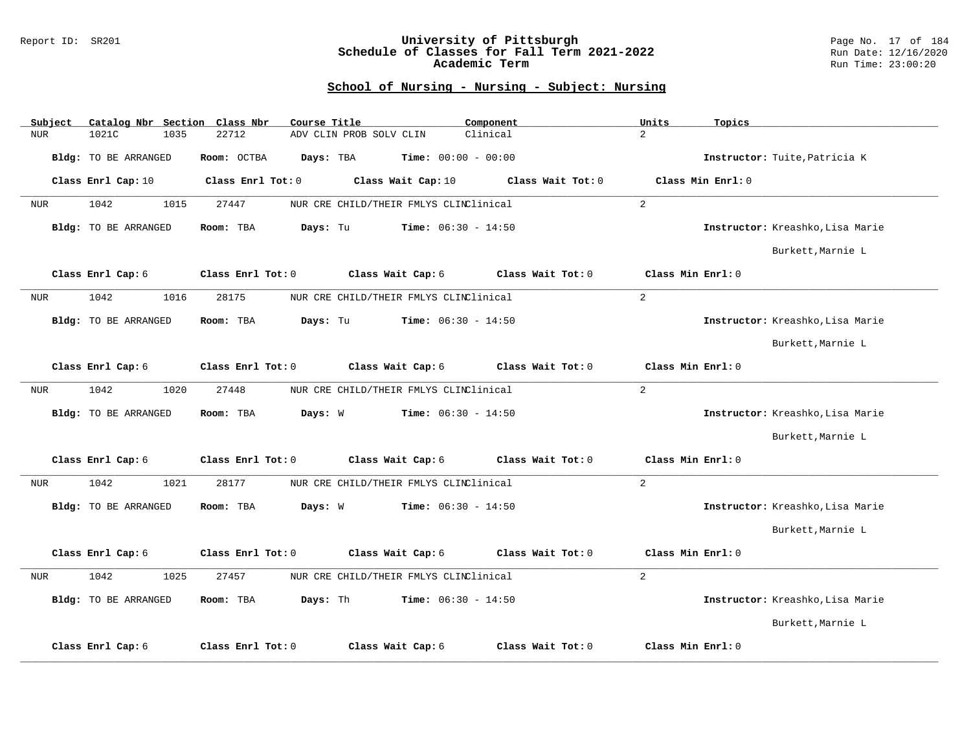#### Report ID: SR201 **University of Pittsburgh** Page No. 17 of 184 **Schedule of Classes for Fall Term 2021-2022** Run Date: 12/16/2020 **Academic Term** Run Time: 23:00:20

| Subject    |                             | Catalog Nbr Section Class Nbr | Course Title                           | Component                    | Units             | Topics                           |
|------------|-----------------------------|-------------------------------|----------------------------------------|------------------------------|-------------------|----------------------------------|
| <b>NUR</b> | 1021C                       | 22712<br>1035                 | ADV CLIN PROB SOLV CLIN                | Clinical                     | $\overline{2}$    |                                  |
|            | <b>Bldg:</b> TO BE ARRANGED | Room: OCTBA                   | Days: TBA                              | <b>Time:</b> $00:00 - 00:00$ |                   | Instructor: Tuite, Patricia K    |
|            | Class Enrl Cap: 10          | Class Enrl Tot: 0             | Class Wait Cap: 10                     | Class Wait Tot: 0            |                   | Class Min Enrl: 0                |
| <b>NUR</b> | 1042                        | 27447<br>1015                 | NUR CRE CHILD/THEIR FMLYS CLINClinical |                              | 2                 |                                  |
|            | <b>Bldg:</b> TO BE ARRANGED | Room: TBA                     | Days: Tu                               | <b>Time:</b> $06:30 - 14:50$ |                   | Instructor: Kreashko, Lisa Marie |
|            |                             |                               |                                        |                              |                   | Burkett, Marnie L                |
|            | Class Enrl Cap: 6           | Class Enrl Tot: 0             | Class Wait Cap: 6                      | Class Wait Tot: 0            | Class Min Enrl: 0 |                                  |
| <b>NUR</b> | 1042                        | 28175<br>1016                 | NUR CRE CHILD/THEIR FMLYS CLINClinical |                              | 2                 |                                  |
|            | <b>Bldg:</b> TO BE ARRANGED | Room: TBA                     | Days: Tu                               | <b>Time:</b> $06:30 - 14:50$ |                   | Instructor: Kreashko, Lisa Marie |
|            |                             |                               |                                        |                              |                   | Burkett, Marnie L                |
|            | Class Enrl Cap: 6           | Class Enrl Tot: 0             | Class Wait Cap: 6                      | Class Wait Tot: 0            | Class Min Enrl: 0 |                                  |
| <b>NUR</b> | 1042                        | 1020<br>27448                 | NUR CRE CHILD/THEIR FMLYS CLINClinical |                              | 2                 |                                  |
|            | <b>Bldg:</b> TO BE ARRANGED | Room: TBA                     | Days: W                                | <b>Time:</b> $06:30 - 14:50$ |                   | Instructor: Kreashko, Lisa Marie |
|            |                             |                               |                                        |                              |                   | Burkett, Marnie L                |
|            | Class Enrl Cap: 6           | Class Enrl Tot: 0             | Class Wait Cap: 6                      | Class Wait Tot: 0            | Class Min Enrl: 0 |                                  |
| <b>NUR</b> | 1042                        | 28177<br>1021                 | NUR CRE CHILD/THEIR FMLYS CLINClinical |                              | 2                 |                                  |
|            | <b>Bldg:</b> TO BE ARRANGED | Room: TBA                     | Days: W                                | Time: $06:30 - 14:50$        |                   | Instructor: Kreashko, Lisa Marie |
|            |                             |                               |                                        |                              |                   | Burkett, Marnie L                |
|            | Class Enrl Cap: 6           | Class Enrl Tot: 0             | Class Wait Cap: 6                      | Class Wait Tot: 0            | Class Min Enrl: 0 |                                  |
| <b>NUR</b> | 1042                        | 1025<br>27457                 | NUR CRE CHILD/THEIR FMLYS CLINClinical |                              | $\overline{2}$    |                                  |
|            | <b>Bldg:</b> TO BE ARRANGED | Room: TBA                     | Days: Th                               | <b>Time:</b> $06:30 - 14:50$ |                   | Instructor: Kreashko, Lisa Marie |
|            |                             |                               |                                        |                              |                   | Burkett, Marnie L                |
|            | Class Enrl Cap: 6           | Class Enrl Tot: 0             | Class Wait Cap: 6                      | Class Wait Tot: 0            | Class Min Enrl: 0 |                                  |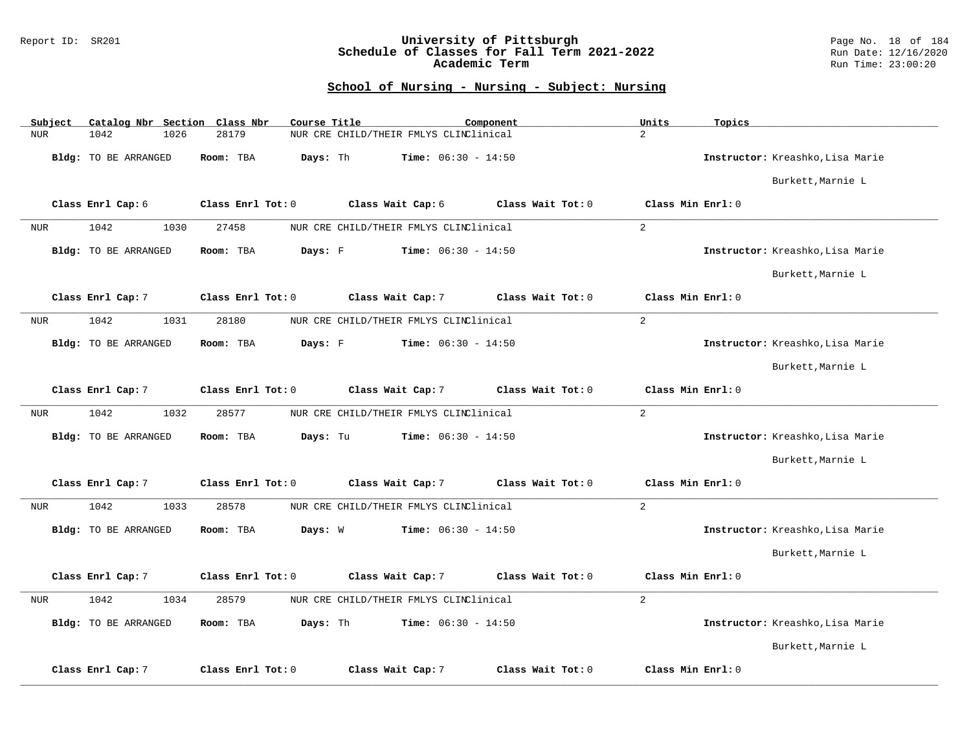### Report ID: SR201 **University of Pittsburgh** Page No. 18 of 184 **Schedule of Classes for Fall Term 2021-2022** Run Date: 12/16/2020 **Academic Term** Run Time: 23:00:20

| Subject    | Catalog Nbr Section Class Nbr | Course Title          |                                        | Component         | Units<br>Topics   |                                  |
|------------|-------------------------------|-----------------------|----------------------------------------|-------------------|-------------------|----------------------------------|
| <b>NUR</b> | 1042<br>1026                  | 28179                 | NUR CRE CHILD/THEIR FMLYS CLINClinical |                   | $\overline{2}$    |                                  |
|            | Bldg: TO BE ARRANGED          | Room: TBA<br>Days: Th | $Time: 06:30 - 14:50$                  |                   |                   | Instructor: Kreashko, Lisa Marie |
|            |                               |                       |                                        |                   |                   | Burkett, Marnie L                |
|            | Class Enrl Cap: 6             | Class Enrl Tot: 0     | Class Wait Cap: 6                      | Class Wait Tot: 0 | Class Min Enrl: 0 |                                  |
| <b>NUR</b> | 1042<br>1030                  | 27458                 | NUR CRE CHILD/THEIR FMLYS CLINClinical |                   | 2                 |                                  |
|            | <b>Bldg:</b> TO BE ARRANGED   | Room: TBA<br>Days: F  | <b>Time:</b> $06:30 - 14:50$           |                   |                   | Instructor: Kreashko, Lisa Marie |
|            |                               |                       |                                        |                   |                   | Burkett, Marnie L                |
|            | Class Enrl Cap: 7             | Class Enrl Tot: 0     | Class Wait Cap: 7                      | Class Wait Tot: 0 | Class Min Enrl: 0 |                                  |
| NUR        | 1042<br>1031                  | 28180                 | NUR CRE CHILD/THEIR FMLYS CLINClinical |                   | 2                 |                                  |
|            | <b>Bldg:</b> TO BE ARRANGED   | Days: F<br>Room: TBA  | <b>Time:</b> $06:30 - 14:50$           |                   |                   | Instructor: Kreashko, Lisa Marie |
|            |                               |                       |                                        |                   |                   | Burkett, Marnie L                |
|            | Class Enrl Cap: 7             | Class Enrl Tot: 0     | Class Wait Cap: 7                      | Class Wait Tot: 0 | Class Min Enrl: 0 |                                  |
| <b>NUR</b> | 1042<br>1032                  | 28577                 | NUR CRE CHILD/THEIR FMLYS CLINClinical |                   | $\overline{a}$    |                                  |
|            | Bldg: TO BE ARRANGED          | Room: TBA<br>Days: Tu | <b>Time:</b> $06:30 - 14:50$           |                   |                   | Instructor: Kreashko, Lisa Marie |
|            |                               |                       |                                        |                   |                   | Burkett, Marnie L                |
|            | Class Enrl Cap: 7             | Class Enrl Tot: 0     | Class Wait Cap: 7                      | Class Wait Tot: 0 | Class Min Enrl: 0 |                                  |
| <b>NUR</b> | 1042<br>1033                  | 28578                 | NUR CRE CHILD/THEIR FMLYS CLINClinical |                   | $\overline{2}$    |                                  |
|            | <b>Bldg:</b> TO BE ARRANGED   | Room: TBA<br>Days: W  | <b>Time:</b> $06:30 - 14:50$           |                   |                   | Instructor: Kreashko, Lisa Marie |
|            |                               |                       |                                        |                   |                   | Burkett, Marnie L                |
|            | Class Enrl Cap: 7             | Class Enrl Tot: 0     | Class Wait Cap: 7                      | Class Wait Tot: 0 | Class Min Enrl: 0 |                                  |
| <b>NUR</b> | 1042<br>1034                  | 28579                 | NUR CRE CHILD/THEIR FMLYS CLINClinical |                   | $\overline{a}$    |                                  |
|            | Bldg: TO BE ARRANGED          | Days: Th<br>Room: TBA | <b>Time:</b> $06:30 - 14:50$           |                   |                   | Instructor: Kreashko, Lisa Marie |
|            |                               |                       |                                        |                   |                   | Burkett, Marnie L                |
|            | Class Enrl Cap: 7             | Class Enrl Tot: 0     | Class Wait Cap: 7                      | Class Wait Tot: 0 | Class Min Enrl: 0 |                                  |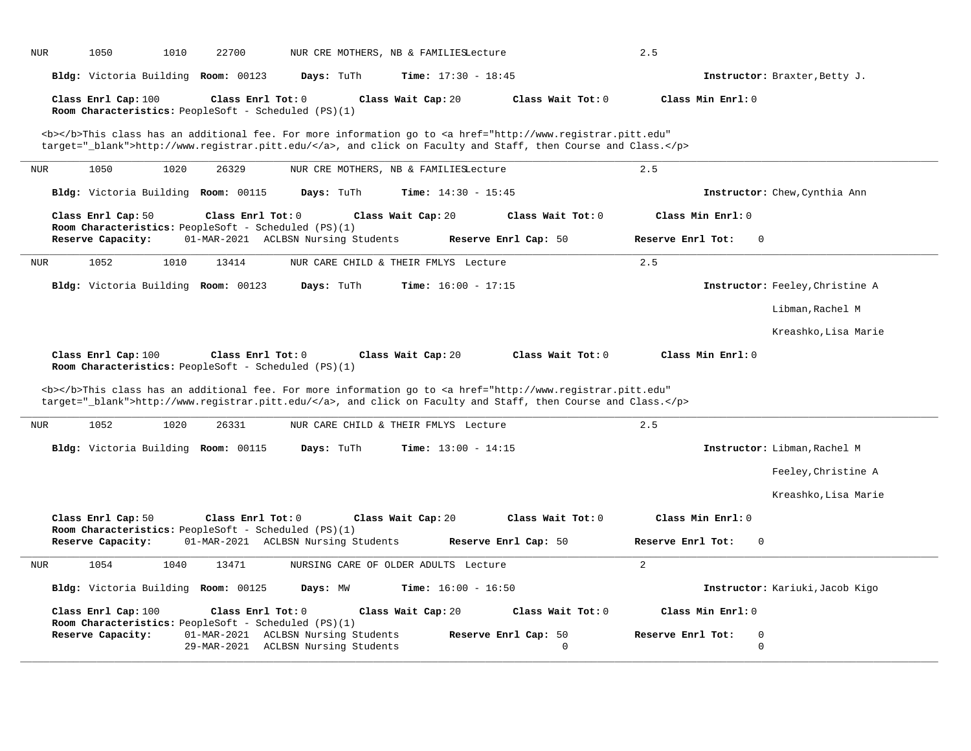|                   |                     |      | Bldg: Victoria Building Room: 00123                                         | Days: TuTh                                                                 | <b>Time:</b> $17:30 - 18:45$          |                                                                                                                                                                                                                                    |                   | Instructor: Braxter, Betty J.   |
|-------------------|---------------------|------|-----------------------------------------------------------------------------|----------------------------------------------------------------------------|---------------------------------------|------------------------------------------------------------------------------------------------------------------------------------------------------------------------------------------------------------------------------------|-------------------|---------------------------------|
|                   | Class Enrl Cap: 100 |      | Class Enrl Tot: $0$<br>Room Characteristics: PeopleSoft - Scheduled (PS)(1) |                                                                            | Class Wait Cap: 20                    | Class Wait Tot: 0                                                                                                                                                                                                                  | Class Min Enrl: 0 |                                 |
|                   |                     |      |                                                                             |                                                                            |                                       | <b></b> This class has an additional fee. For more information go to <a <="" href="http://www.registrar.pitt.edu" th=""><th></th><th></th></a>                                                                                     |                   |                                 |
|                   |                     |      |                                                                             |                                                                            |                                       | target="_blank">http://www.registrar.pitt.edu/, and click on Faculty and Staff, then Course and Class.                                                                                                                             |                   |                                 |
| <b>NUR</b>        | 1050                | 1020 | 26329                                                                       |                                                                            | NUR CRE MOTHERS, NB & FAMILIESLecture |                                                                                                                                                                                                                                    | 2.5               |                                 |
|                   |                     |      | Bldg: Victoria Building Room: 00115                                         | Days: TuTh                                                                 | Time: $14:30 - 15:45$                 |                                                                                                                                                                                                                                    |                   | Instructor: Chew, Cynthia Ann   |
|                   | Class Enrl Cap: 50  |      | Class Enrl Tot: 0                                                           |                                                                            | Class Wait Cap: 20                    | Class Wait Tot: 0                                                                                                                                                                                                                  | Class Min Enrl: 0 |                                 |
|                   | Reserve Capacity:   |      | Room Characteristics: PeopleSoft - Scheduled (PS)(1)                        | 01-MAR-2021 ACLBSN Nursing Students                                        |                                       | Reserve Enrl Cap: 50                                                                                                                                                                                                               | Reserve Enrl Tot: | $\Omega$                        |
| <b>NUR</b>        | 1052                | 1010 | 13414                                                                       |                                                                            | NUR CARE CHILD & THEIR FMLYS Lecture  |                                                                                                                                                                                                                                    | 2.5               |                                 |
|                   |                     |      | Bldg: Victoria Building Room: 00123                                         | Days: TuTh                                                                 | <b>Time:</b> $16:00 - 17:15$          |                                                                                                                                                                                                                                    |                   | Instructor: Feeley, Christine A |
|                   |                     |      |                                                                             |                                                                            |                                       |                                                                                                                                                                                                                                    |                   | Libman, Rachel M                |
|                   |                     |      |                                                                             |                                                                            |                                       |                                                                                                                                                                                                                                    |                   | Kreashko, Lisa Marie            |
|                   | Class Enrl Cap: 100 |      | Class Enrl Tot: 0<br>Room Characteristics: PeopleSoft - Scheduled (PS)(1)   |                                                                            | Class Wait Cap: 20                    | Class Wait Tot: 0                                                                                                                                                                                                                  | Class Min Enrl: 0 |                                 |
|                   |                     |      |                                                                             |                                                                            |                                       | <b></b> This class has an additional fee. For more information go to <a <br="" href="http://www.registrar.pitt.edu">target="_blank"&gt;http://www.registrar.pitt.edu/</a> , and click on Faculty and Staff, then Course and Class. |                   |                                 |
|                   | 1052                | 1020 | 26331                                                                       |                                                                            | NUR CARE CHILD & THEIR FMLYS Lecture  |                                                                                                                                                                                                                                    | 2.5               |                                 |
|                   |                     |      | Bldg: Victoria Building Room: 00115                                         | Days: TuTh                                                                 | Time: $13:00 - 14:15$                 |                                                                                                                                                                                                                                    |                   | Instructor: Libman, Rachel M    |
|                   |                     |      |                                                                             |                                                                            |                                       |                                                                                                                                                                                                                                    |                   | Feeley, Christine A             |
|                   |                     |      |                                                                             |                                                                            |                                       |                                                                                                                                                                                                                                    |                   | Kreashko, Lisa Marie            |
|                   | Class Enrl Cap: 50  |      | Class Enrl Tot: 0                                                           |                                                                            | Class Wait Cap: 20                    | Class Wait Tot: 0                                                                                                                                                                                                                  | Class Min Enrl: 0 |                                 |
|                   | Reserve Capacity:   |      | Room Characteristics: PeopleSoft - Scheduled (PS)(1)                        | 01-MAR-2021 ACLBSN Nursing Students                                        |                                       | Reserve Enrl Cap: 50                                                                                                                                                                                                               | Reserve Enrl Tot: | $\overline{0}$                  |
|                   | 1054                | 1040 | 13471                                                                       |                                                                            | NURSING CARE OF OLDER ADULTS Lecture  |                                                                                                                                                                                                                                    | $\overline{2}$    |                                 |
|                   |                     |      | Bldg: Victoria Building Room: 00125                                         | Days: MW                                                                   | Time: $16:00 - 16:50$                 |                                                                                                                                                                                                                                    |                   | Instructor: Kariuki, Jacob Kigo |
|                   | Class Enrl Cap: 100 |      | Class Enrl Tot: 0                                                           |                                                                            | Class Wait Cap: 20                    | Class Wait Tot: 0                                                                                                                                                                                                                  | Class Min Enrl: 0 |                                 |
| NUR<br><b>NUR</b> | Reserve Capacity:   |      | Room Characteristics: PeopleSoft - Scheduled (PS)(1)                        | 01-MAR-2021 ACLBSN Nursing Students<br>29-MAR-2021 ACLBSN Nursing Students |                                       | Reserve Enrl Cap: 50<br>$\mathbf 0$                                                                                                                                                                                                | Reserve Enrl Tot: | $\overline{0}$<br>$\mathbf 0$   |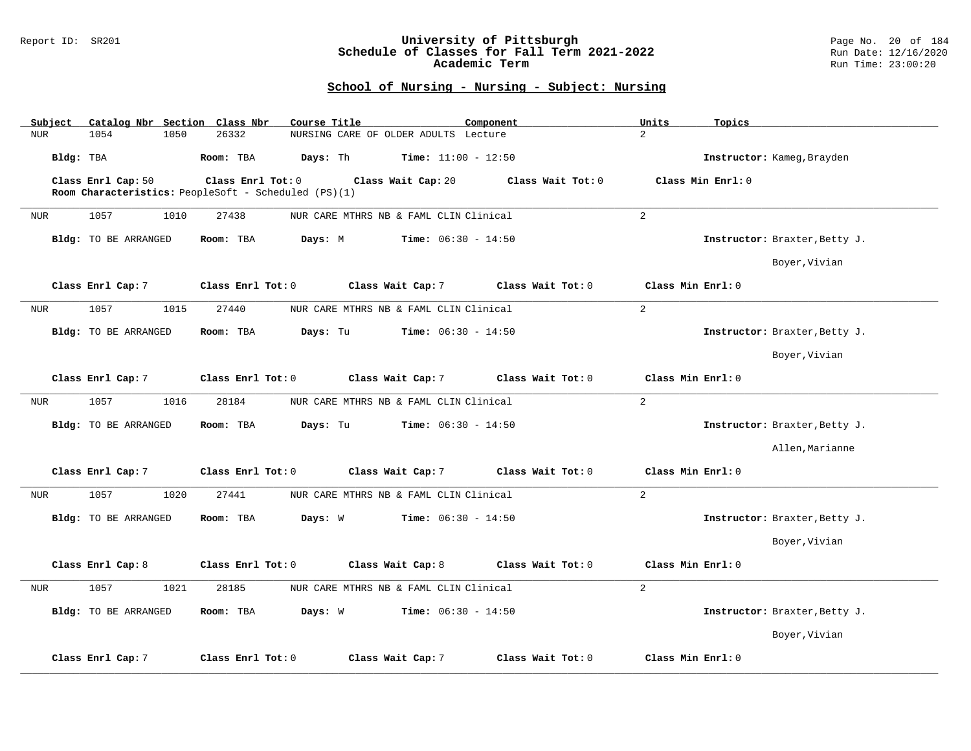#### Report ID: SR201 **University of Pittsburgh** Page No. 20 of 184 **Schedule of Classes for Fall Term 2021-2022** Run Date: 12/16/2020 **Academic Term** Run Time: 23:00:20

| Catalog Nbr Section Class Nbr<br>Subject | Course Title<br>Component                                    | Units<br>Topics               |
|------------------------------------------|--------------------------------------------------------------|-------------------------------|
| 1054<br>1050<br><b>NUR</b>               | 26332<br>NURSING CARE OF OLDER ADULTS Lecture                | $\overline{a}$                |
| Bldg: TBA                                | Room: TBA<br>Days: Th<br><b>Time:</b> $11:00 - 12:50$        | Instructor: Kameg, Brayden    |
| Class Enrl Cap: 50                       | Class Enrl Tot: 0<br>Class Wait Cap: 20<br>Class Wait Tot: 0 | Class Min Enrl: 0             |
|                                          | Room Characteristics: PeopleSoft - Scheduled (PS)(1)         |                               |
| 1057<br>1010<br>NUR                      | 27438<br>NUR CARE MTHRS NB & FAML CLIN Clinical              | $\overline{2}$                |
| <b>Bldg:</b> TO BE ARRANGED              | Room: TBA<br>Days: M<br><b>Time:</b> $06:30 - 14:50$         | Instructor: Braxter, Betty J. |
|                                          |                                                              | Boyer, Vivian                 |
| Class Enrl Cap: 7                        | Class Enrl Tot: 0<br>Class Wait Cap: 7<br>Class Wait Tot: 0  | Class Min Enrl: 0             |
| 1057<br>1015<br>NUR                      | 27440<br>NUR CARE MTHRS NB & FAML CLIN Clinical              | $\overline{a}$                |
| <b>Bldg:</b> TO BE ARRANGED              | Days: Tu<br><b>Time:</b> $06:30 - 14:50$<br>Room: TBA        | Instructor: Braxter, Betty J. |
|                                          |                                                              | Boyer, Vivian                 |
| Class Enrl Cap: 7                        | Class Wait Cap: 7<br>Class Enrl Tot: 0<br>Class Wait Tot: 0  | Class Min Enrl: 0             |
| 1057<br><b>NUR</b><br>1016               | 28184<br>NUR CARE MTHRS NB & FAML CLIN Clinical              | $\overline{2}$                |
| Bldg: TO BE ARRANGED                     | Days: Tu<br><b>Time:</b> $06:30 - 14:50$<br>Room: TBA        | Instructor: Braxter, Betty J. |
|                                          |                                                              | Allen, Marianne               |
| Class Enrl Cap: 7                        | Class Enrl Tot: 0<br>Class Wait Cap: 7<br>Class Wait Tot: 0  | Class Min Enrl: 0             |
| 1057<br><b>NUR</b><br>1020               | 27441<br>NUR CARE MTHRS NB & FAML CLIN Clinical              | $\overline{2}$                |
| Bldg: TO BE ARRANGED                     | <b>Time:</b> $06:30 - 14:50$<br>Room: TBA<br>Days: W         | Instructor: Braxter, Betty J. |
|                                          |                                                              | Boyer, Vivian                 |
| Class Enrl Cap: 8                        | Class Enrl Tot: 0<br>Class Wait Cap: 8<br>Class Wait Tot: 0  | Class Min Enrl: 0             |
| 1057<br>1021<br><b>NUR</b>               | 28185<br>NUR CARE MTHRS NB & FAML CLIN Clinical              | $\overline{a}$                |
| Bldg: TO BE ARRANGED                     | <b>Time:</b> $06:30 - 14:50$<br>Room: TBA<br>Days: W         | Instructor: Braxter, Betty J. |
|                                          |                                                              | Boyer, Vivian                 |
| Class Enrl Cap: 7                        | Class Enrl Tot: 0<br>Class Wait Cap: 7<br>Class Wait Tot: 0  | Class Min Enrl: 0             |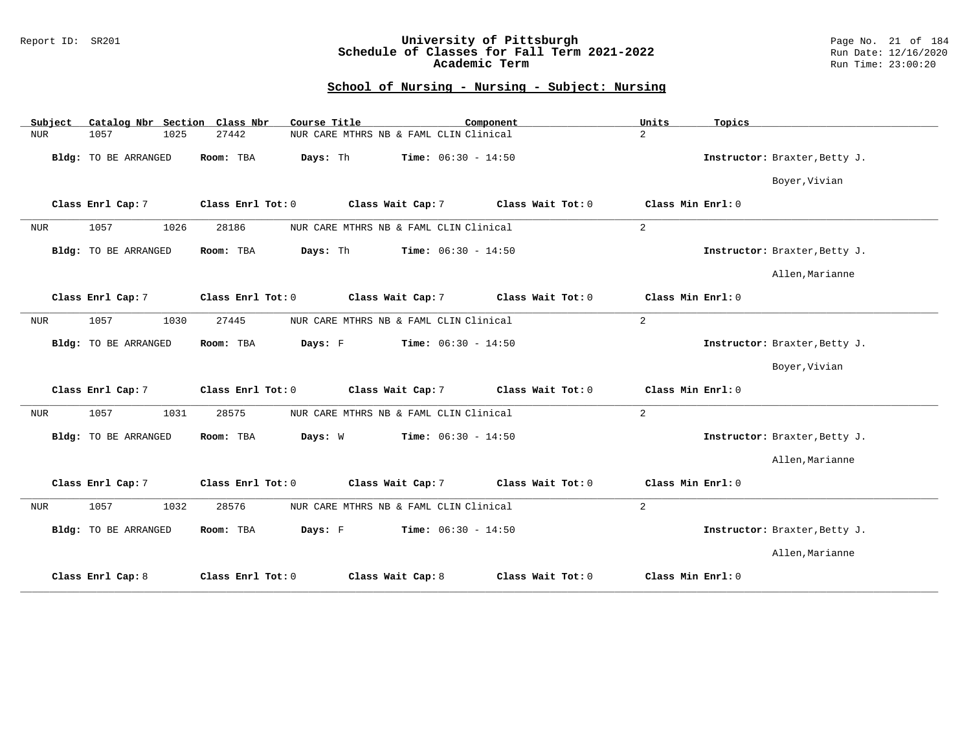### Report ID: SR201 **University of Pittsburgh** Page No. 21 of 184 **Schedule of Classes for Fall Term 2021-2022** Run Date: 12/16/2020 **Academic Term** Run Time: 23:00:20

| Catalog Nbr Section Class Nbr<br>Subject | Course Title                           | Component                              | Units<br>Topics               |
|------------------------------------------|----------------------------------------|----------------------------------------|-------------------------------|
| 1025<br><b>NUR</b><br>1057               | 27442                                  | NUR CARE MTHRS NB & FAML CLIN Clinical | $\overline{a}$                |
| Bldg: TO BE ARRANGED                     | Room: TBA<br>Days: Th                  | <b>Time:</b> $06:30 - 14:50$           | Instructor: Braxter, Betty J. |
|                                          |                                        |                                        | Boyer, Vivian                 |
| Class Enrl Cap: 7                        | Class Wait Cap: 7<br>Class Enrl Tot: 0 | Class Wait Tot: 0                      | Class Min $Enr1:0$            |
| 1057<br><b>NUR</b><br>1026               | 28186                                  | NUR CARE MTHRS NB & FAML CLIN Clinical | 2                             |
| Bldg: TO BE ARRANGED                     | Room: TBA<br>Days: Th                  | <b>Time:</b> $06:30 - 14:50$           | Instructor: Braxter, Betty J. |
|                                          |                                        |                                        | Allen, Marianne               |
| Class Enrl Cap: 7                        | Class Wait Cap: 7<br>Class Enrl Tot: 0 | Class Wait Tot: 0                      | Class Min $Enr1:0$            |
| 1057<br><b>NUR</b><br>1030               | 27445                                  | NUR CARE MTHRS NB & FAML CLIN Clinical | 2                             |
| Bldg: TO BE ARRANGED                     | Room: TBA<br>Days: F                   | $Time: 06:30 - 14:50$                  | Instructor: Braxter, Betty J. |
|                                          |                                        |                                        | Boyer, Vivian                 |
| Class Enrl Cap: 7                        | Class Enrl Tot: 0<br>Class Wait Cap: 7 | Class Wait Tot: 0                      | Class Min Enrl: 0             |
| <b>NUR</b><br>1057<br>1031               | 28575                                  | NUR CARE MTHRS NB & FAML CLIN Clinical | 2                             |
| Bldg: TO BE ARRANGED                     | Room: TBA<br>Days: W                   | <b>Time:</b> $06:30 - 14:50$           | Instructor: Braxter, Betty J. |
|                                          |                                        |                                        | Allen, Marianne               |
| Class Enrl Cap: 7                        | Class Wait Cap: 7<br>Class Enrl Tot: 0 | Class Wait Tot: $0$                    | Class Min Enrl: 0             |
| 1057<br>1032<br><b>NUR</b>               | 28576                                  | NUR CARE MTHRS NB & FAML CLIN Clinical | $\overline{2}$                |
| Bldg: TO BE ARRANGED                     | Room: TBA<br>Days: F                   | <b>Time:</b> $06:30 - 14:50$           | Instructor: Braxter, Betty J. |
|                                          |                                        |                                        | Allen, Marianne               |
| Class Enrl Cap: 8                        | Class Enrl Tot: 0<br>Class Wait Cap: 8 | Class Wait Tot: 0                      | Class Min Enrl: 0             |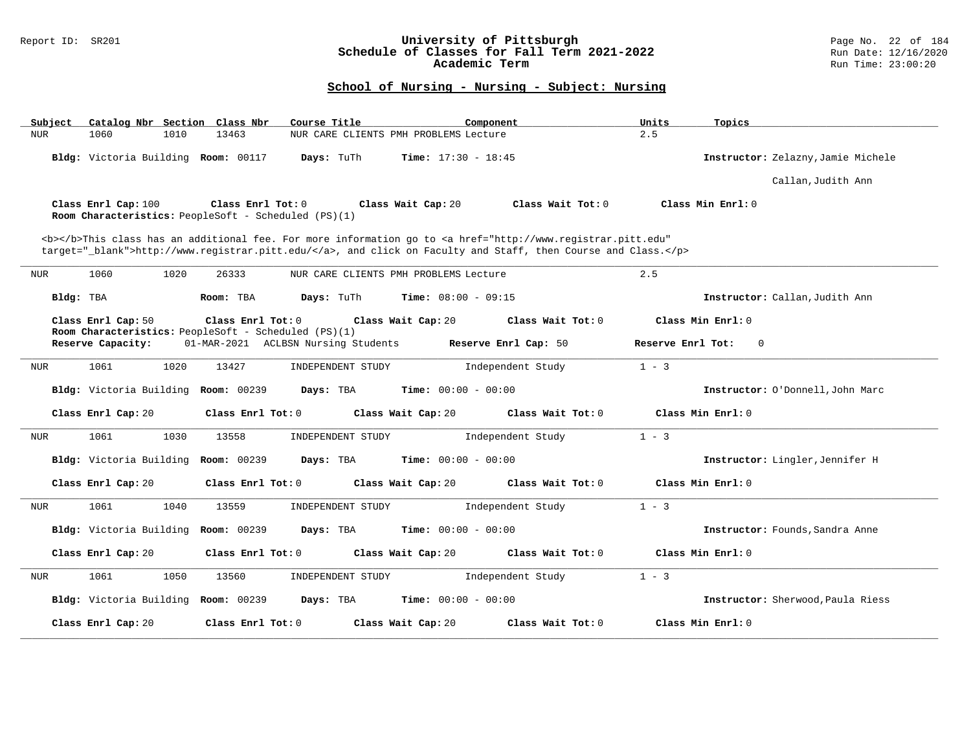### Report ID: SR201 **University of Pittsburgh** Page No. 22 of 184 **Schedule of Classes for Fall Term 2021-2022** Run Date: 12/16/2020 **Academic Term** Run Time: 23:00:20

| Catalog Nbr Section Class Nbr<br>Course Title<br>Subject                                                                                                                                                                           | Units<br>Component           | Topics                             |
|------------------------------------------------------------------------------------------------------------------------------------------------------------------------------------------------------------------------------------|------------------------------|------------------------------------|
| 1060<br>1010<br>13463<br>NUR<br>NUR CARE CLIENTS PMH PROBLEMS Lecture                                                                                                                                                              | 2.5                          |                                    |
| Bldg: Victoria Building Room: 00117<br>Days: TuTh                                                                                                                                                                                  | <b>Time:</b> $17:30 - 18:45$ | Instructor: Zelazny, Jamie Michele |
|                                                                                                                                                                                                                                    |                              | Callan, Judith Ann                 |
| Class Enrl Cap: 100<br>Class Enrl Tot: 0<br>Class Wait Cap: 20<br>Room Characteristics: PeopleSoft - Scheduled (PS)(1)                                                                                                             | Class Wait Tot: 0            | Class Min Enrl: 0                  |
| <b></b> This class has an additional fee. For more information go to <a <br="" href="http://www.registrar.pitt.edu">target="_blank"&gt;http://www.registrar.pitt.edu/</a> , and click on Faculty and Staff, then Course and Class. |                              |                                    |
| 1060<br>1020<br>26333<br>NUR CARE CLIENTS PMH PROBLEMS Lecture<br>NUR                                                                                                                                                              | 2.5                          |                                    |
| Bldg: TBA<br>Room: TBA<br>Days: TuTh                                                                                                                                                                                               | <b>Time:</b> $08:00 - 09:15$ | Instructor: Callan, Judith Ann     |
| Class Enrl Cap: 50<br>Class Enrl Tot: 0<br>Class Wait Cap: 20                                                                                                                                                                      | Class Wait Tot: 0            | Class Min Enrl: 0                  |
| Room Characteristics: PeopleSoft - Scheduled (PS)(1)<br>Reserve Capacity:<br>01-MAR-2021 ACLBSN Nursing Students                                                                                                                   | Reserve Enrl Cap: 50         | Reserve Enrl Tot:<br>$\mathbf 0$   |
| 1061<br>1020<br>13427<br>INDEPENDENT STUDY<br>NUR                                                                                                                                                                                  | $1 - 3$<br>Independent Study |                                    |
| Bldg: Victoria Building<br><b>Room: 00239</b><br>Days: TBA                                                                                                                                                                         | <b>Time:</b> $00:00 - 00:00$ | Instructor: O'Donnell, John Marc   |
| Class Wait Cap: 20<br>Class Enrl Cap: 20<br>Class Enrl Tot: 0                                                                                                                                                                      | Class Wait $Tot: 0$          | Class Min Enrl: 0                  |
| 1061<br>1030<br>13558<br>INDEPENDENT STUDY<br><b>NUR</b>                                                                                                                                                                           | $1 - 3$<br>Independent Study |                                    |
| Bldg: Victoria Building<br><b>Room: 00239</b><br>Days: TBA                                                                                                                                                                         | <b>Time:</b> $00:00 - 00:00$ | Instructor: Lingler, Jennifer H    |
| Class Enrl Cap: 20<br>Class Enrl Tot: 0<br>Class Wait Cap: 20                                                                                                                                                                      | Class Wait Tot: 0            | Class Min Enrl: 0                  |
| <b>NUR</b><br>1061<br>1040<br>13559<br>INDEPENDENT STUDY                                                                                                                                                                           | Independent Study<br>$1 - 3$ |                                    |
| Bldg: Victoria Building Room: 00239<br>Days: TBA                                                                                                                                                                                   | Time: $00:00 - 00:00$        | Instructor: Founds, Sandra Anne    |
| Class Enrl Cap: 20<br>Class Enrl Tot: 0<br>Class Wait Cap: 20                                                                                                                                                                      | Class Wait Tot: 0            | Class Min Enrl: 0                  |
| 1061<br>1050<br>13560<br><b>NUR</b><br>INDEPENDENT STUDY                                                                                                                                                                           | $1 - 3$<br>Independent Study |                                    |
| Bldg: Victoria Building Room: 00239<br>Days: TBA                                                                                                                                                                                   | <b>Time:</b> $00:00 - 00:00$ | Instructor: Sherwood, Paula Riess  |
| Class Enrl Cap: 20<br>Class Enrl Tot: 0<br>Class Wait Cap: 20                                                                                                                                                                      | Class Wait Tot: 0            | Class Min Enrl: 0                  |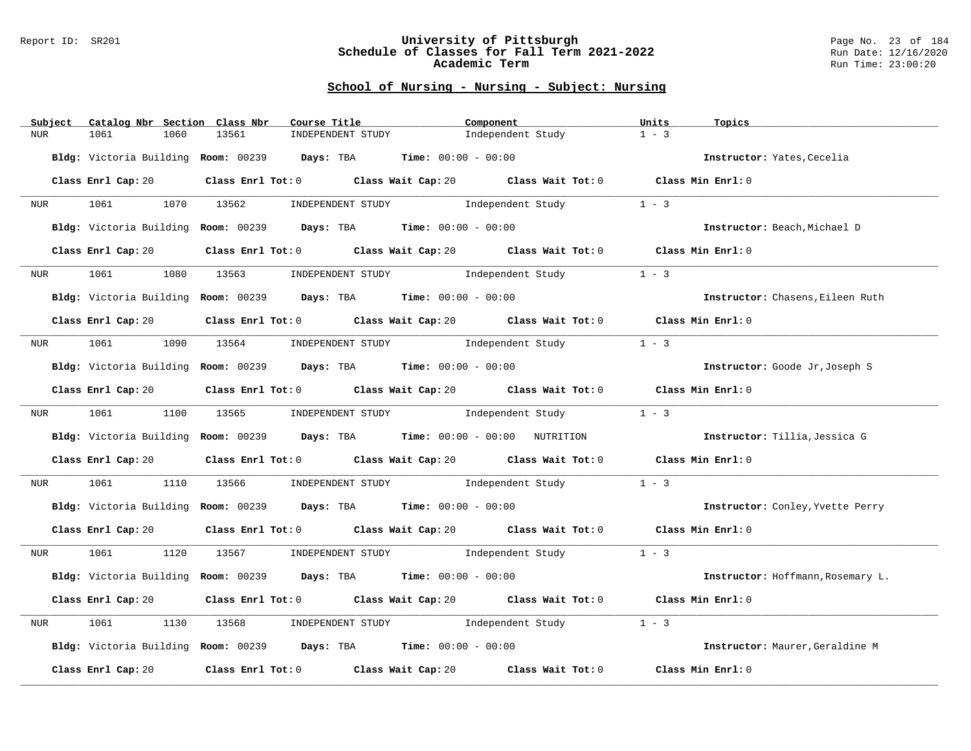#### Report ID: SR201 **University of Pittsburgh** Page No. 23 of 184 **Schedule of Classes for Fall Term 2021-2022** Run Date: 12/16/2020 **Academic Term** Run Time: 23:00:20

| Subject                      | Catalog Nbr Section Class Nbr | Course Title                                                                                        | Component                           | Units                                      | Topics                                                                                                    |
|------------------------------|-------------------------------|-----------------------------------------------------------------------------------------------------|-------------------------------------|--------------------------------------------|-----------------------------------------------------------------------------------------------------------|
| <b>NUR</b><br>1061           | 1060<br>13561                 | INDEPENDENT STUDY                                                                                   | Independent Study                   | $1 - 3$                                    |                                                                                                           |
|                              |                               | Bldg: Victoria Building Room: 00239 Days: TBA Time: 00:00 - 00:00                                   |                                     |                                            | Instructor: Yates, Cecelia                                                                                |
| Class Enrl Cap: 20           |                               | Class Enrl Tot: $0$ Class Wait Cap: $20$ Class Wait Tot: $0$ Class Min Enrl: $0$                    |                                     |                                            |                                                                                                           |
| 1061 700<br>NUR              | 1070 13562                    |                                                                                                     | INDEPENDENT STUDY 1 - 3             |                                            |                                                                                                           |
|                              |                               | Bldg: Victoria Building Room: 00239 Days: TBA Time: 00:00 - 00:00                                   |                                     |                                            | Instructor: Beach, Michael D                                                                              |
| Class Enrl Cap: 20           |                               | Class Enrl Tot: 0 Class Wait Cap: 20 Class Wait Tot: 0 Class Min Enrl: 0                            |                                     |                                            |                                                                                                           |
| 1061<br>NUR <sub>p</sub>     | 1080<br>13563                 |                                                                                                     | INDEPENDENT STUDY 1ndependent Study | $1 - 3$                                    |                                                                                                           |
|                              |                               | Bldg: Victoria Building Room: 00239 Days: TBA Time: 00:00 - 00:00                                   |                                     |                                            | Instructor: Chasens, Eileen Ruth                                                                          |
| Class Enrl Cap: 20           |                               | Class Enrl Tot: 0 $\qquad$ Class Wait Cap: 20 $\qquad$ Class Wait Tot: 0 $\qquad$ Class Min Enrl: 0 |                                     |                                            |                                                                                                           |
|                              |                               | NUR 1061 1090 13564 INDEPENDENT STUDY Independent Study                                             |                                     | $1 - 3$                                    |                                                                                                           |
|                              |                               | Bldg: Victoria Building Room: 00239 Days: TBA Time: 00:00 - 00:00                                   |                                     |                                            | Instructor: Goode Jr, Joseph S                                                                            |
| Class Enrl Cap: 20           |                               | Class Enrl Tot: $0$ Class Wait Cap: $20$ Class Wait Tot: $0$ Class Min Enrl: $0$                    |                                     |                                            |                                                                                                           |
| 1061 200<br>NUR <sub>p</sub> |                               | 1100 13565 INDEPENDENT STUDY 1ndependent Study                                                      |                                     | $1 - 3$                                    |                                                                                                           |
|                              |                               |                                                                                                     |                                     |                                            | Bldg: Victoria Building Room: 00239 Days: TBA Time: 00:00 - 00:00 NUTRITION Instructor: Tillia, Jessica G |
| Class Enrl Cap: 20           |                               | Class Enrl Tot: $0$ Class Wait Cap: $20$ Class Wait Tot: $0$ Class Min Enrl: $0$                    |                                     |                                            |                                                                                                           |
| 1061 200<br>NUR              | 1110<br>13566                 |                                                                                                     | INDEPENDENT STUDY 1ndependent Study | $1 - 3$                                    |                                                                                                           |
|                              |                               | Bldg: Victoria Building Room: 00239 Days: TBA Time: 00:00 - 00:00                                   |                                     |                                            | Instructor: Conley, Yvette Perry                                                                          |
| Class Enrl Cap: 20           |                               | Class Enrl Tot: $0$ Class Wait Cap: $20$ Class Wait Tot: $0$ Class Min Enrl: $0$                    |                                     |                                            |                                                                                                           |
| NUR <sub>p</sub>             |                               | 1061 1120 13567 INDEPENDENT STUDY Independent Study 1 - 3                                           |                                     |                                            |                                                                                                           |
|                              |                               | Bldg: Victoria Building Room: 00239 Days: TBA Time: 00:00 - 00:00                                   |                                     |                                            | Instructor: Hoffmann, Rosemary L.                                                                         |
| Class Enrl Cap: 20           |                               | Class Enrl Tot: 0 $\qquad$ Class Wait Cap: 20 $\qquad$ Class Wait Tot: 0 $\qquad$ Class Min Enrl: 0 |                                     |                                            |                                                                                                           |
| 1061<br>NUR                  | 1130<br>13568                 |                                                                                                     | INDEPENDENT STUDY 1ndependent Study | $1 - 3$                                    |                                                                                                           |
|                              |                               | Bldg: Victoria Building Room: 00239 Days: TBA Time: 00:00 - 00:00                                   |                                     |                                            | Instructor: Maurer, Geraldine M                                                                           |
| Class Enrl Cap: 20           |                               | Class Enrl Tot: 0 Class Wait Cap: 20                                                                |                                     | Class Wait Tot: $0$ $C$ lass Min Enrl: $0$ |                                                                                                           |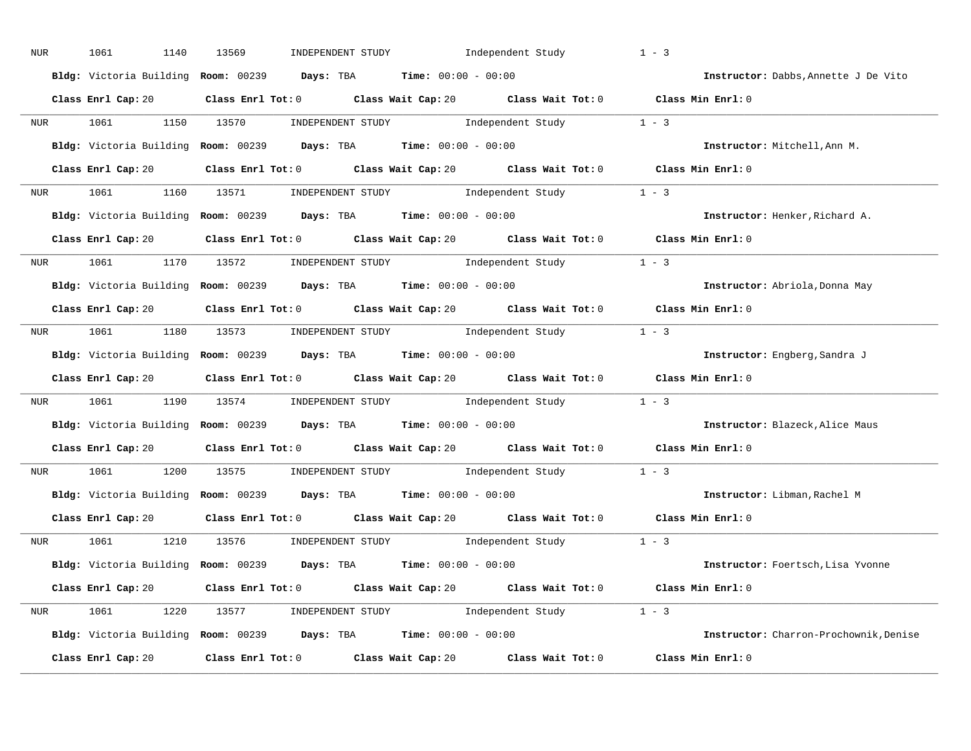| NUR | 1061<br>1140       | 13569<br>INDEPENDENT STUDY                                                                  | Independent Study                                                                                                                                                                                                                                                                                                                                                                                                 | $1 - 3$                                |
|-----|--------------------|---------------------------------------------------------------------------------------------|-------------------------------------------------------------------------------------------------------------------------------------------------------------------------------------------------------------------------------------------------------------------------------------------------------------------------------------------------------------------------------------------------------------------|----------------------------------------|
|     |                    | Bldg: Victoria Building Room: 00239 Days: TBA Time: 00:00 - 00:00                           |                                                                                                                                                                                                                                                                                                                                                                                                                   | Instructor: Dabbs, Annette J De Vito   |
|     |                    | Class Enrl Cap: 20 Class Enrl Tot: 0 Class Wait Cap: 20 Class Wait Tot: 0 Class Min Enrl: 0 |                                                                                                                                                                                                                                                                                                                                                                                                                   |                                        |
| NUR | 1061               | 1150 13570                                                                                  | INDEPENDENT STUDY 1 - 3                                                                                                                                                                                                                                                                                                                                                                                           |                                        |
|     |                    | Bldg: Victoria Building Room: 00239 Days: TBA Time: 00:00 - 00:00                           |                                                                                                                                                                                                                                                                                                                                                                                                                   | Instructor: Mitchell, Ann M.           |
|     |                    | Class Enrl Cap: 20 Class Enrl Tot: 0 Class Wait Cap: 20 Class Wait Tot: 0 Class Min Enrl: 0 |                                                                                                                                                                                                                                                                                                                                                                                                                   |                                        |
|     |                    | NUR 1061 1160 13571 INDEPENDENT STUDY Independent Study 1 - 3                               |                                                                                                                                                                                                                                                                                                                                                                                                                   |                                        |
|     |                    | Bldg: Victoria Building Room: 00239 Days: TBA Time: 00:00 - 00:00                           |                                                                                                                                                                                                                                                                                                                                                                                                                   | Instructor: Henker, Richard A.         |
|     |                    | Class Enrl Cap: 20 Class Enrl Tot: 0 Class Wait Cap: 20 Class Wait Tot: 0 Class Min Enrl: 0 |                                                                                                                                                                                                                                                                                                                                                                                                                   |                                        |
|     |                    | NUR 1061 1170 13572 INDEPENDENT STUDY Independent Study 1 - 3                               |                                                                                                                                                                                                                                                                                                                                                                                                                   |                                        |
|     |                    | Bldg: Victoria Building Room: 00239 Days: TBA Time: 00:00 - 00:00                           |                                                                                                                                                                                                                                                                                                                                                                                                                   | Instructor: Abriola, Donna May         |
|     |                    | Class Enrl Cap: 20 Class Enrl Tot: 0 Class Wait Cap: 20 Class Wait Tot: 0 Class Min Enrl: 0 |                                                                                                                                                                                                                                                                                                                                                                                                                   |                                        |
|     |                    | NUR 1061 1180 13573 INDEPENDENT STUDY Independent Study 1 - 3                               |                                                                                                                                                                                                                                                                                                                                                                                                                   |                                        |
|     |                    | Bldg: Victoria Building Room: 00239 Days: TBA Time: 00:00 - 00:00                           |                                                                                                                                                                                                                                                                                                                                                                                                                   | Instructor: Engberg, Sandra J          |
|     |                    | Class Enrl Cap: 20 Class Enrl Tot: 0 Class Wait Cap: 20 Class Wait Tot: 0 Class Min Enrl: 0 |                                                                                                                                                                                                                                                                                                                                                                                                                   |                                        |
| NUR | 1061<br>1190       | 13574                                                                                       | INDEPENDENT STUDY 1 - 3                                                                                                                                                                                                                                                                                                                                                                                           |                                        |
|     |                    | Bldg: Victoria Building Room: 00239 Days: TBA Time: 00:00 - 00:00                           |                                                                                                                                                                                                                                                                                                                                                                                                                   | Instructor: Blazeck, Alice Maus        |
|     |                    | Class Enrl Cap: 20 Class Enrl Tot: 0 Class Wait Cap: 20 Class Wait Tot: 0                   |                                                                                                                                                                                                                                                                                                                                                                                                                   | Class Min $Enrl: 0$                    |
| NUR | 1061<br>1200       | 13575                                                                                       | $\begin{minipage}[c]{0.9\linewidth} \textbf{INDEX} & \textbf{STUDY} \\ \textbf{1 - 3} & \textbf{1 - 3} \\ \textbf{2 - 1} & \textbf{1 - 3} \\ \textbf{3 - 2} & \textbf{1 - 3} \\ \textbf{4 - 3} & \textbf{1 - 3} \\ \textbf{5 - 4} & \textbf{1 - 3} \\ \textbf{6 - 1} & \textbf{1 - 3} \\ \textbf{7 - 2} & \textbf{1 - 3} \\ \textbf{8 - 1} & \textbf{1 - 3} \\ \textbf{9 - 1} & \textbf{1 - 3} \\ \textbf{1 - 3}$ |                                        |
|     |                    | Bldg: Victoria Building Room: 00239 Days: TBA Time: 00:00 - 00:00                           |                                                                                                                                                                                                                                                                                                                                                                                                                   | Instructor: Libman, Rachel M           |
|     |                    | Class Enrl Cap: 20 Class Enrl Tot: 0 Class Wait Cap: 20 Class Wait Tot: 0 Class Min Enrl: 0 |                                                                                                                                                                                                                                                                                                                                                                                                                   |                                        |
| NUR | 1061               | 1210 13576 INDEPENDENT STUDY Independent Study 1 - 3                                        |                                                                                                                                                                                                                                                                                                                                                                                                                   |                                        |
|     |                    | Bldg: Victoria Building Room: 00239 Days: TBA Time: 00:00 - 00:00                           |                                                                                                                                                                                                                                                                                                                                                                                                                   | Instructor: Foertsch, Lisa Yvonne      |
|     |                    | Class Enrl Cap: 20 Class Enrl Tot: 0 Class Wait Cap: 20 Class Wait Tot: 0 Class Min Enrl: 0 |                                                                                                                                                                                                                                                                                                                                                                                                                   |                                        |
|     |                    | NUR 1061 1220 13577 INDEPENDENT STUDY Independent Study 1 - 3                               |                                                                                                                                                                                                                                                                                                                                                                                                                   |                                        |
|     |                    | Bldg: Victoria Building Room: 00239 Days: TBA Time: 00:00 - 00:00                           |                                                                                                                                                                                                                                                                                                                                                                                                                   | Instructor: Charron-Prochownik, Denise |
|     | Class Enrl Cap: 20 | Class Enrl Tot: 0 Class Wait Cap: 20                                                        |                                                                                                                                                                                                                                                                                                                                                                                                                   |                                        |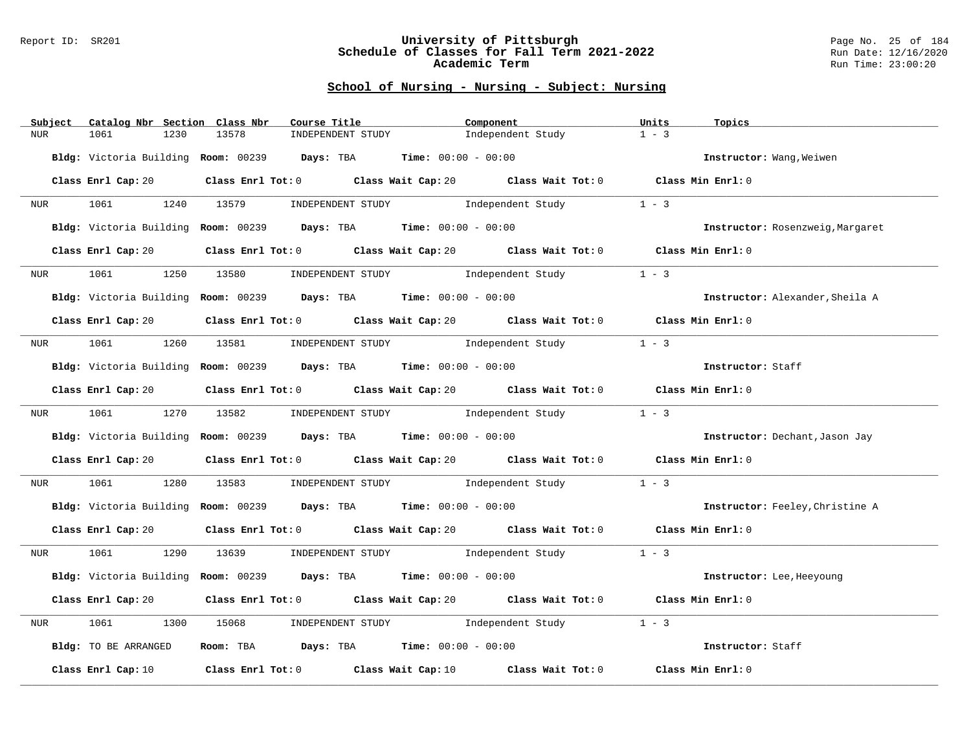#### Report ID: SR201 **University of Pittsburgh** Page No. 25 of 184 **Schedule of Classes for Fall Term 2021-2022** Run Date: 12/16/2020 **Academic Term** Run Time: 23:00:20

| Subject                      | Catalog Nbr Section Class Nbr | Course Title                                                      | Component                                                                                           | Units<br>Topics                  |  |
|------------------------------|-------------------------------|-------------------------------------------------------------------|-----------------------------------------------------------------------------------------------------|----------------------------------|--|
| <b>NUR</b><br>1061           | 1230<br>13578                 | INDEPENDENT STUDY                                                 | Independent Study                                                                                   | $1 - 3$                          |  |
|                              |                               | Bldg: Victoria Building Room: 00239 Days: TBA Time: 00:00 - 00:00 |                                                                                                     | Instructor: Wang, Weiwen         |  |
| Class Enrl Cap: 20           |                               |                                                                   | Class Enrl Tot: $0$ Class Wait Cap: $20$ Class Wait Tot: $0$ Class Min Enrl: $0$                    |                                  |  |
| NUR                          |                               |                                                                   | 1061 1240 13579 INDEPENDENT STUDY Independent Study 1 - 3                                           |                                  |  |
|                              |                               | Bldg: Victoria Building Room: 00239 Days: TBA Time: 00:00 - 00:00 |                                                                                                     | Instructor: Rosenzweig, Margaret |  |
| Class Enrl Cap: 20           |                               |                                                                   | Class Enrl Tot: 0 $\qquad$ Class Wait Cap: 20 $\qquad$ Class Wait Tot: 0 $\qquad$ Class Min Enrl: 0 |                                  |  |
| 1061<br>NUR <sub>p</sub>     | 13580<br>1250                 |                                                                   | INDEPENDENT STUDY The Independent Study                                                             | $1 - 3$                          |  |
|                              |                               | Bldg: Victoria Building Room: 00239 Days: TBA Time: 00:00 - 00:00 |                                                                                                     | Instructor: Alexander, Sheila A  |  |
| Class Enrl Cap: 20           |                               |                                                                   | Class Enrl Tot: 0 Class Wait Cap: 20 Class Wait Tot: 0 Class Min Enrl: 0                            |                                  |  |
|                              |                               |                                                                   | NUR 1061 1260 13581 INDEPENDENT STUDY Independent Study                                             | $1 - 3$                          |  |
|                              |                               | Bldg: Victoria Building Room: 00239 Days: TBA Time: 00:00 - 00:00 |                                                                                                     | Instructor: Staff                |  |
| Class Enrl Cap: 20           |                               |                                                                   | Class Enrl Tot: 0 Class Wait Cap: 20 Class Wait Tot: 0 Class Min Enrl: 0                            |                                  |  |
| NUR <sub>p</sub>             |                               |                                                                   | 1061 1270 13582 INDEPENDENT STUDY Independent Study                                                 | $1 - 3$                          |  |
|                              |                               | Bldg: Victoria Building Room: 00239 Days: TBA Time: 00:00 - 00:00 |                                                                                                     | Instructor: Dechant, Jason Jay   |  |
| Class Enrl Cap: 20           |                               |                                                                   | Class Enrl Tot: $0$ Class Wait Cap: $20$ Class Wait Tot: $0$ Class Min Enrl: $0$                    |                                  |  |
| 1061 700<br>NUR <sub>p</sub> | 1280<br>13583                 |                                                                   | INDEPENDENT STUDY The Independent Study                                                             | $1 - 3$                          |  |
|                              |                               | Bldg: Victoria Building Room: 00239 Days: TBA Time: 00:00 - 00:00 |                                                                                                     | Instructor: Feeley, Christine A  |  |
| Class Enrl Cap: 20           |                               |                                                                   | Class Enrl Tot: $0$ Class Wait Cap: $20$ Class Wait Tot: $0$ Class Min Enrl: $0$                    |                                  |  |
| NUR <sub>e</sub>             |                               |                                                                   | 1061 1290 13639 INDEPENDENT STUDY Independent Study 1 - 3                                           |                                  |  |
|                              |                               | Bldg: Victoria Building Room: 00239 Days: TBA Time: 00:00 - 00:00 |                                                                                                     | Instructor: Lee, Heeyoung        |  |
| Class Enrl Cap: 20           |                               |                                                                   | Class Enrl Tot: 0 $\qquad$ Class Wait Cap: 20 $\qquad$ Class Wait Tot: 0 $\qquad$ Class Min Enrl: 0 |                                  |  |
| 1061<br>NUR                  | 1300<br>15068                 |                                                                   | INDEPENDENT STUDY 1ndependent Study                                                                 | $1 - 3$                          |  |
| Bldg: TO BE ARRANGED         |                               | Room: TBA $Days:$ TBA $Time: 00:00 - 00:00$                       |                                                                                                     | Instructor: Staff                |  |
| Class Enrl Cap: 10           |                               |                                                                   | Class Enrl Tot: $0$ Class Wait Cap: $10$ Class Wait Tot: $0$ Class Min Enrl: $0$                    |                                  |  |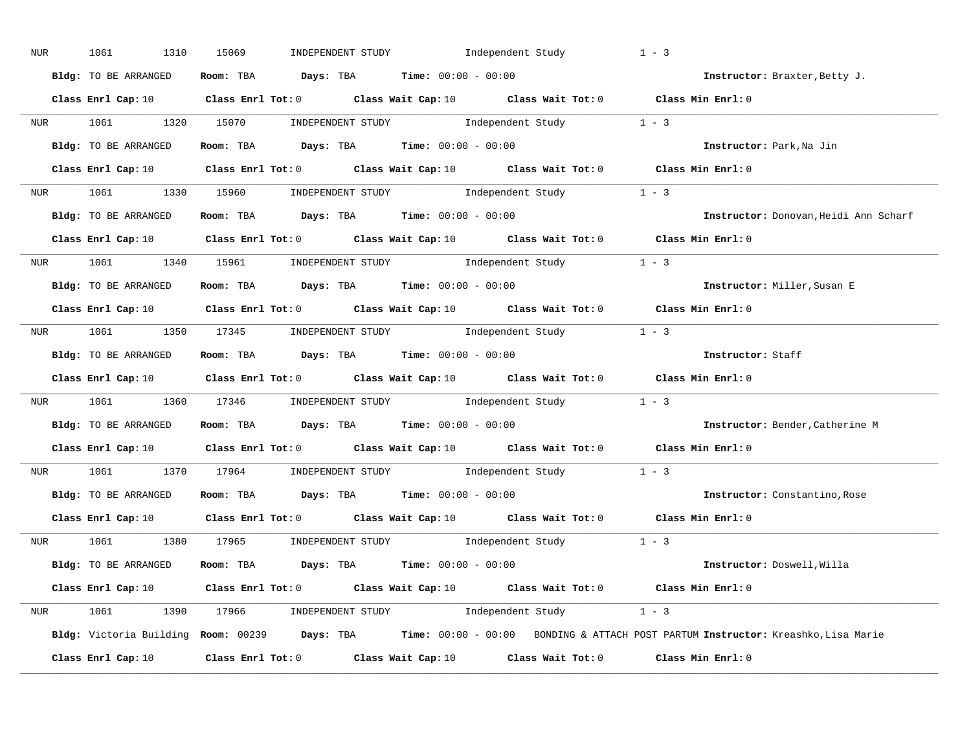| NUR | 1061<br>1310         | INDEPENDENT STUDY 1ndependent Study<br>15069                                                                                    | $1 - 3$                                                                                                                         |
|-----|----------------------|---------------------------------------------------------------------------------------------------------------------------------|---------------------------------------------------------------------------------------------------------------------------------|
|     | Bldg: TO BE ARRANGED | Room: TBA $Days:$ TBA $Time: 00:00 - 00:00$                                                                                     | Instructor: Braxter, Betty J.                                                                                                   |
|     |                      | Class Enrl Cap: 10 $\qquad$ Class Enrl Tot: 0 $\qquad$ Class Wait Cap: 10 $\qquad$ Class Wait Tot: 0 $\qquad$ Class Min Enrl: 0 |                                                                                                                                 |
|     |                      | NUR 1061 1320 15070 INDEPENDENT STUDY Independent Study 1 - 3                                                                   |                                                                                                                                 |
|     | Bldg: TO BE ARRANGED | Room: TBA $Days:$ TBA $Time:$ 00:00 - 00:00                                                                                     | Instructor: Park, Na Jin                                                                                                        |
|     |                      | Class Enrl Cap: 10 Class Enrl Tot: 0 Class Wait Cap: 10 Class Wait Tot: 0 Class Min Enrl: 0                                     |                                                                                                                                 |
|     |                      | NUR 1061 1330 15960 INDEPENDENT STUDY Independent Study 1 - 3                                                                   |                                                                                                                                 |
|     |                      | Bldg: TO BE ARRANGED ROOM: TBA Days: TBA Time: 00:00 - 00:00                                                                    | Instructor: Donovan, Heidi Ann Scharf                                                                                           |
|     |                      | Class Enrl Cap: 10 $\qquad$ Class Enrl Tot: 0 $\qquad$ Class Wait Cap: 10 $\qquad$ Class Wait Tot: 0 $\qquad$ Class Min Enrl: 0 |                                                                                                                                 |
|     |                      | NUR 1061 1340 15961 INDEPENDENT STUDY Independent Study 1 - 3                                                                   |                                                                                                                                 |
|     | Bldg: TO BE ARRANGED | Room: TBA $Days:$ TBA $Time: 00:00 - 00:00$                                                                                     | Instructor: Miller, Susan E                                                                                                     |
|     |                      | Class Enrl Cap: 10 Class Enrl Tot: 0 Class Wait Cap: 10 Class Wait Tot: 0 Class Min Enrl: 0                                     |                                                                                                                                 |
|     |                      | NUR 1061 1350 17345 INDEPENDENT STUDY Independent Study 1 - 3                                                                   |                                                                                                                                 |
|     | Bldg: TO BE ARRANGED | Room: TBA $\rule{1em}{0.15mm}$ Days: TBA Time: $00:00 - 00:00$                                                                  | Instructor: Staff                                                                                                               |
|     |                      | Class Enrl Cap: 10 Class Enrl Tot: 0 Class Wait Cap: 10 Class Wait Tot: 0 Class Min Enrl: 0                                     |                                                                                                                                 |
|     |                      | NUR 1061 1360 17346 INDEPENDENT STUDY Independent Study 1 - 3                                                                   |                                                                                                                                 |
|     |                      | Bldg: TO BE ARRANGED Room: TBA Days: TBA Time: 00:00 - 00:00                                                                    | Instructor: Bender, Catherine M                                                                                                 |
|     |                      | Class Enrl Cap: 10 Class Enrl Tot: 0 Class Wait Cap: 10 Class Wait Tot: 0 Class Min Enrl: 0                                     |                                                                                                                                 |
|     |                      | NUR 1061 1370 17964 INDEPENDENT STUDY Independent Study 1 - 3                                                                   |                                                                                                                                 |
|     | Bldg: TO BE ARRANGED | Room: TBA $\rule{1em}{0.15mm}$ Days: TBA $\rule{1.5mm}{0.15mm}$ Time: $00:00 - 00:00$                                           | Instructor: Constantino, Rose                                                                                                   |
|     |                      | Class Enrl Cap: 10 Class Enrl Tot: 0 Class Wait Cap: 10 Class Wait Tot: 0 Class Min Enrl: 0                                     |                                                                                                                                 |
|     |                      | NUR 1061 1380 17965 INDEPENDENT STUDY Independent Study 1 - 3                                                                   |                                                                                                                                 |
|     | Bldg: TO BE ARRANGED | Room: TBA $Days$ : TBA Time: $00:00 - 00:00$                                                                                    | Instructor: Doswell, Willa                                                                                                      |
|     |                      | Class Enrl Cap: 10 $\qquad$ Class Enrl Tot: 0 $\qquad$ Class Wait Cap: 10 $\qquad$ Class Wait Tot: 0 $\qquad$ Class Min Enrl: 0 |                                                                                                                                 |
|     |                      | NUR 1061 1390 17966 INDEPENDENT STUDY Independent Study 1 - 3                                                                   |                                                                                                                                 |
|     |                      |                                                                                                                                 | Bldg: Victoria Building Room: 00239 Days: TBA Time: 00:00 - 00:00 BONDING & ATTACH POST PARTUM Instructor: Kreashko, Lisa Marie |
|     |                      |                                                                                                                                 |                                                                                                                                 |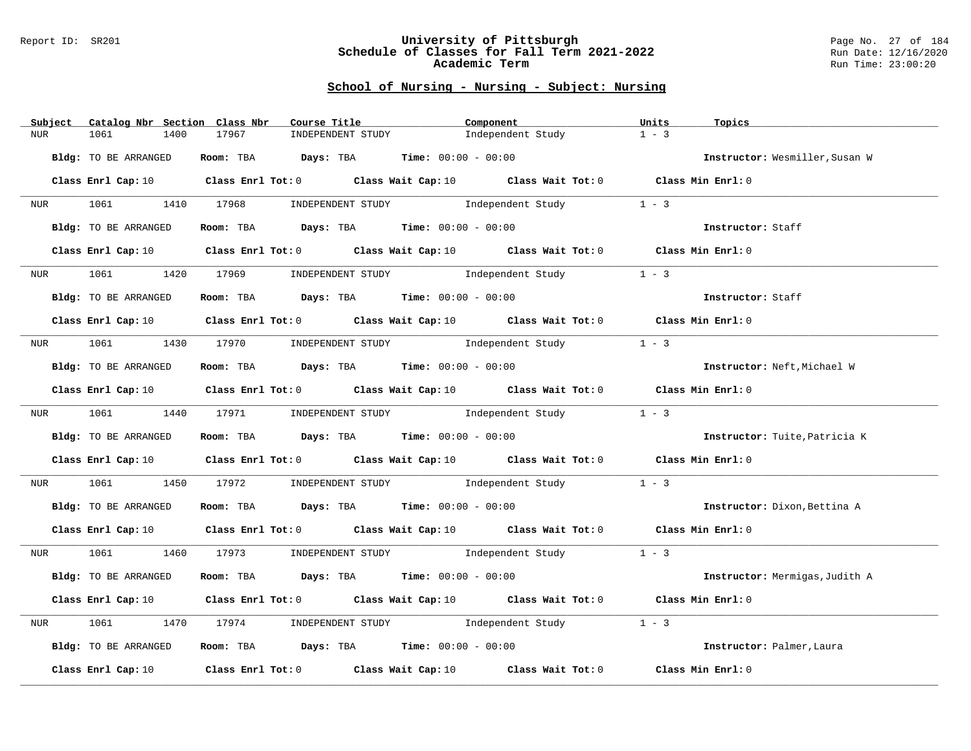#### Report ID: SR201 **University of Pittsburgh** Page No. 27 of 184 **Schedule of Classes for Fall Term 2021-2022** Run Date: 12/16/2020 **Academic Term** Run Time: 23:00:20

| Subject                    | Catalog Nbr Section Class Nbr<br>Course Title                                                                                   | Component                                                                                           | Units<br>Topics                |
|----------------------------|---------------------------------------------------------------------------------------------------------------------------------|-----------------------------------------------------------------------------------------------------|--------------------------------|
| 1061<br>1400<br><b>NUR</b> | 17967<br>INDEPENDENT STUDY                                                                                                      | Independent Study                                                                                   | $1 - 3$                        |
| Bldg: TO BE ARRANGED       | Room: TBA Days: TBA Time: $00:00 - 00:00$                                                                                       |                                                                                                     | Instructor: Wesmiller, Susan W |
|                            | Class Enrl Cap: 10 Class Enrl Tot: 0 Class Wait Cap: 10 Class Wait Tot: 0 Class Min Enrl: 0                                     |                                                                                                     |                                |
|                            | NUR 1061 1410 17968 INDEPENDENT STUDY Independent Study 1 - 3                                                                   |                                                                                                     |                                |
| Bldg: TO BE ARRANGED       | Room: TBA $\rule{1em}{0.15mm}$ Days: TBA $\rule{1.15mm}]{0.15mm}$ Time: $0.000 - 0.000$                                         |                                                                                                     | Instructor: Staff              |
| Class Enrl Cap: 10         |                                                                                                                                 | Class Enrl Tot: 0 $\qquad$ Class Wait Cap: 10 $\qquad$ Class Wait Tot: 0 $\qquad$ Class Min Enrl: 0 |                                |
| 1061<br><b>NUR</b><br>1420 | 17969 INDEPENDENT STUDY 1ndependent Study                                                                                       |                                                                                                     | $1 - 3$                        |
| Bldg: TO BE ARRANGED       | Room: TBA $Days:$ TBA $Time: 00:00 - 00:00$                                                                                     |                                                                                                     | Instructor: Staff              |
|                            | Class Enrl Cap: 10 Class Enrl Tot: 0 Class Wait Cap: 10 Class Wait Tot: 0 Class Min Enrl: 0                                     |                                                                                                     |                                |
|                            | NUR 1061 1430 17970 INDEPENDENT STUDY Independent Study                                                                         |                                                                                                     | $1 - 3$                        |
| Bldg: TO BE ARRANGED       | Room: TBA $Days:$ TBA Time: $00:00 - 00:00$                                                                                     |                                                                                                     | Instructor: Neft, Michael W    |
|                            | Class Enrl Cap: 10 Class Enrl Tot: 0 Class Wait Cap: 10 Class Wait Tot: 0 Class Min Enrl: 0                                     |                                                                                                     |                                |
|                            | NUR 1061 1440 17971 INDEPENDENT STUDY Independent Study                                                                         |                                                                                                     | $1 - 3$                        |
| Bldg: TO BE ARRANGED       | Room: TBA Days: TBA Time: $00:00 - 00:00$                                                                                       |                                                                                                     | Instructor: Tuite, Patricia K  |
|                            | Class Enrl Cap: 10 Class Enrl Tot: 0 Class Wait Cap: 10 Class Wait Tot: 0 Class Min Enrl: 0                                     |                                                                                                     |                                |
| <b>NUR</b>                 | 1061 1450 17972 INDEPENDENT STUDY Independent Study 1 - 3                                                                       |                                                                                                     |                                |
| Bldg: TO BE ARRANGED       | Room: TBA $Days:$ TBA Time: $00:00 - 00:00$                                                                                     |                                                                                                     | Instructor: Dixon, Bettina A   |
|                            | Class Enrl Cap: 10 $\qquad$ Class Enrl Tot: 0 $\qquad$ Class Wait Cap: 10 $\qquad$ Class Wait Tot: 0 $\qquad$ Class Min Enrl: 0 |                                                                                                     |                                |
|                            | NUR 1061 1460 17973 INDEPENDENT STUDY Independent Study 1 - 3                                                                   |                                                                                                     |                                |
| Bldg: TO BE ARRANGED       | Room: TBA $Days:$ TBA $Time: 00:00 - 00:00$                                                                                     |                                                                                                     | Instructor: Mermigas, Judith A |
|                            | Class Enrl Cap: 10 Class Enrl Tot: 0 Class Wait Cap: 10 Class Wait Tot: 0 Class Min Enrl: 0                                     |                                                                                                     |                                |
| 1061<br>1470<br>NUR        | 17974 INDEPENDENT STUDY 1ndependent Study                                                                                       |                                                                                                     | $1 - 3$                        |
| Bldg: TO BE ARRANGED       | Room: TBA $\rule{1em}{0.15mm}$ Days: TBA Time: $00:00 - 00:00$                                                                  |                                                                                                     | Instructor: Palmer, Laura      |
| Class Enrl Cap: 10         |                                                                                                                                 | Class Enrl Tot: $0$ Class Wait Cap: $10$ Class Wait Tot: $0$                                        | Class Min Enrl: 0              |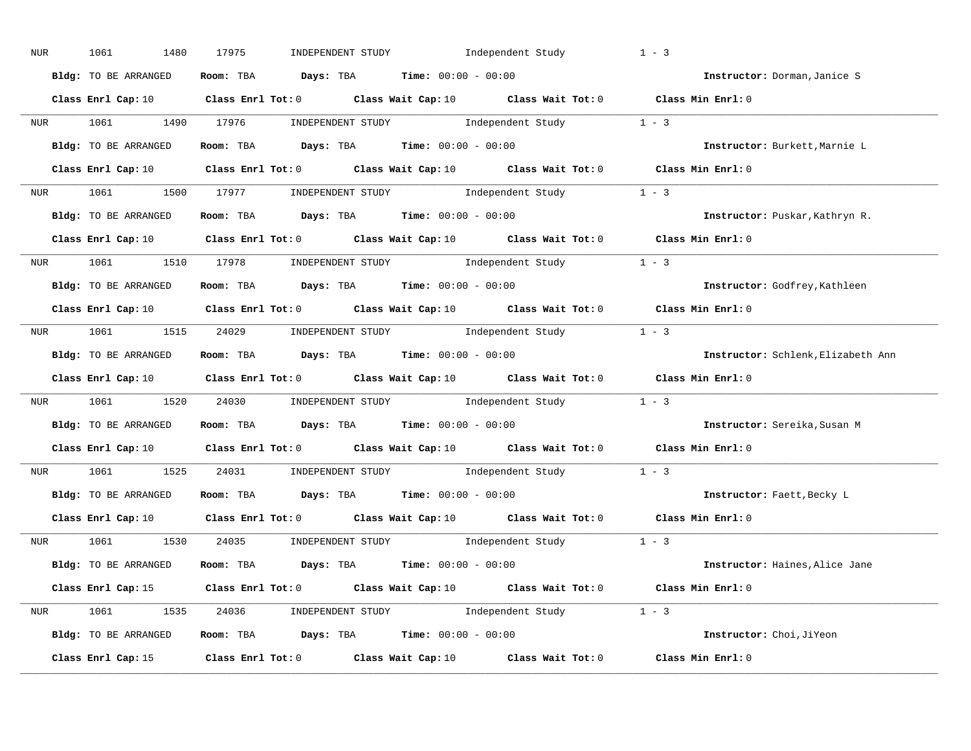| NUR | 1061<br>1480         | INDEPENDENT STUDY 1ndependent Study<br>17975                                                                                    | $1 - 3$                            |
|-----|----------------------|---------------------------------------------------------------------------------------------------------------------------------|------------------------------------|
|     | Bldg: TO BE ARRANGED | Room: TBA $Days:$ TBA $Time: 00:00 - 00:00$                                                                                     | Instructor: Dorman, Janice S       |
|     |                      | Class Enrl Cap: 10 $\qquad$ Class Enrl Tot: 0 $\qquad$ Class Wait Cap: 10 $\qquad$ Class Wait Tot: 0 $\qquad$ Class Min Enrl: 0 |                                    |
|     |                      | NUR 1061 1490 17976 INDEPENDENT STUDY Independent Study 1 - 3                                                                   |                                    |
|     | Bldg: TO BE ARRANGED | Room: TBA $Days:$ TBA $Time: 00:00 - 00:00$                                                                                     | Instructor: Burkett, Marnie L      |
|     |                      | Class Enrl Cap: 10 $\qquad$ Class Enrl Tot: 0 $\qquad$ Class Wait Cap: 10 $\qquad$ Class Wait Tot: 0 $\qquad$ Class Min Enrl: 0 |                                    |
|     |                      | NUR 1061 1500 17977 INDEPENDENT STUDY Independent Study 1 - 3                                                                   |                                    |
|     | Bldg: TO BE ARRANGED | Room: TBA $Days:$ TBA $Time: 00:00 - 00:00$                                                                                     | Instructor: Puskar, Kathryn R.     |
|     |                      | Class Enrl Cap: 10 Class Enrl Tot: 0 Class Wait Cap: 10 Class Wait Tot: 0 Class Min Enrl: 0                                     |                                    |
|     |                      | NUR 1061 1510 17978 INDEPENDENT STUDY Independent Study 1 - 3                                                                   |                                    |
|     | Bldg: TO BE ARRANGED | Room: TBA Days: TBA Time: $00:00 - 00:00$                                                                                       | Instructor: Godfrey, Kathleen      |
|     |                      | Class Enrl Cap: 10 $\qquad$ Class Enrl Tot: 0 $\qquad$ Class Wait Cap: 10 $\qquad$ Class Wait Tot: 0 $\qquad$ Class Min Enrl: 0 |                                    |
|     |                      | NUR 1061 1515 24029 INDEPENDENT STUDY Independent Study 1 - 3                                                                   |                                    |
|     | Bldg: TO BE ARRANGED | Room: TBA $Days:$ TBA $Time:$ $00:00 - 00:00$                                                                                   | Instructor: Schlenk, Elizabeth Ann |
|     |                      | Class Enrl Cap: 10 $\qquad$ Class Enrl Tot: 0 $\qquad$ Class Wait Cap: 10 $\qquad$ Class Wait Tot: 0 $\qquad$ Class Min Enrl: 0 |                                    |
|     |                      | NUR 1061 1520 24030 INDEPENDENT STUDY Independent Study 1 - 3                                                                   |                                    |
|     | Bldg: TO BE ARRANGED | Room: TBA $Days:$ TBA $Time: 00:00 - 00:00$                                                                                     | Instructor: Sereika, Susan M       |
|     |                      | Class Enrl Cap: 10 Class Enrl Tot: 0 Class Wait Cap: 10 Class Wait Tot: 0 Class Min Enrl: 0                                     |                                    |
|     |                      | NUR 1061 1525 24031 INDEPENDENT STUDY Independent Study 1 - 3                                                                   |                                    |
|     |                      | Bldg: TO BE ARRANGED Room: TBA Days: TBA Time: 00:00 - 00:00                                                                    | Instructor: Faett, Becky L         |
|     |                      | Class Enrl Cap: 10 Class Enrl Tot: 0 Class Wait Cap: 10 Class Wait Tot: 0 Class Min Enrl: 0                                     |                                    |
|     |                      | NUR 1061 1530 24035 INDEPENDENT STUDY Independent Study 1 - 3                                                                   |                                    |
|     | Bldg: TO BE ARRANGED | Room: TBA $Days: TBA$ Time: $00:00 - 00:00$                                                                                     | Instructor: Haines, Alice Jane     |
|     |                      | Class Enrl Cap: 15 Class Enrl Tot: 0 Class Wait Cap: 10 Class Wait Tot: 0 Class Min Enrl: 0                                     |                                    |
|     |                      | NUR 1061 1535 24036 INDEPENDENT STUDY Independent Study 1 - 3                                                                   |                                    |
|     | Bldg: TO BE ARRANGED | Room: TBA $Days: TBA$ Time: $00:00 - 00:00$                                                                                     | Instructor: Choi, JiYeon           |
|     |                      | Class Enrl Cap: 15 $\qquad$ Class Enrl Tot: 0 $\qquad$ Class Wait Cap: 10 $\qquad$ Class Wait Tot: 0                            | Class Min Enrl: 0                  |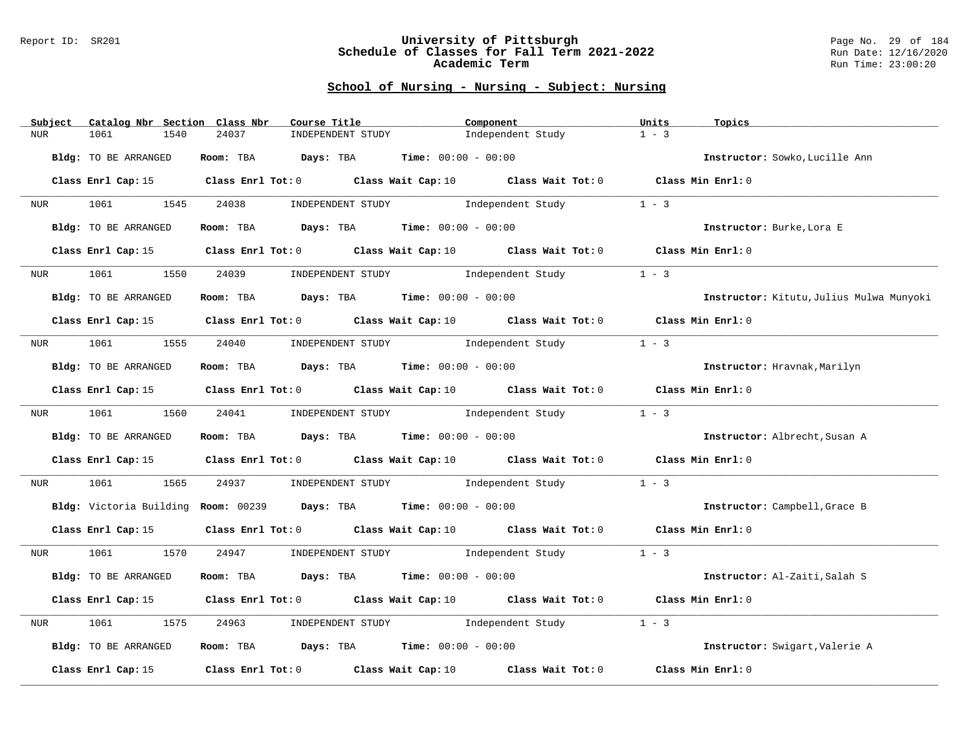#### Report ID: SR201 **University of Pittsburgh** Page No. 29 of 184 **Schedule of Classes for Fall Term 2021-2022** Run Date: 12/16/2020 **Academic Term** Run Time: 23:00:20

| Subject              | Catalog Nbr Section Class Nbr | Course Title                                                                                | Component                               | Units   | Topics                                   |
|----------------------|-------------------------------|---------------------------------------------------------------------------------------------|-----------------------------------------|---------|------------------------------------------|
| <b>NUR</b><br>1061   | 1540<br>24037                 | INDEPENDENT STUDY                                                                           | Independent Study                       | $1 - 3$ |                                          |
| Bldg: TO BE ARRANGED |                               | Room: TBA $Days:$ TBA $Time: 00:00 - 00:00$                                                 |                                         |         | Instructor: Sowko, Lucille Ann           |
|                      |                               | Class Enrl Cap: 15 Class Enrl Tot: 0 Class Wait Cap: 10 Class Wait Tot: 0 Class Min Enrl: 0 |                                         |         |                                          |
| NUR <sub>p</sub>     | 1061 1545                     | 24038                                                                                       | INDEPENDENT STUDY 1 - 3                 |         |                                          |
| Bldg: TO BE ARRANGED |                               | Room: TBA $Days:$ TBA $Time: 00:00 - 00:00$                                                 |                                         |         | Instructor: Burke, Lora E                |
|                      | Class Enrl Cap: 15            | Class Enrl Tot: $0$ Class Wait Cap: $10$ Class Wait Tot: $0$ Class Min Enrl: $0$            |                                         |         |                                          |
| 1061<br><b>NUR</b>   | 1550                          | 24039                                                                                       | INDEPENDENT STUDY The Independent Study | $1 - 3$ |                                          |
| Bldg: TO BE ARRANGED |                               | Room: TBA $Days:$ TBA $Time: 00:00 - 00:00$                                                 |                                         |         | Instructor: Kitutu, Julius Mulwa Munyoki |
|                      |                               | Class Enrl Cap: 15 Class Enrl Tot: 0 Class Wait Cap: 10 Class Wait Tot: 0 Class Min Enrl: 0 |                                         |         |                                          |
|                      |                               | NUR 1061 1555 24040 INDEPENDENT STUDY Independent Study                                     |                                         | $1 - 3$ |                                          |
| Bldg: TO BE ARRANGED |                               | Room: TBA $Days:$ TBA $Time: 00:00 - 00:00$                                                 |                                         |         | Instructor: Hravnak, Marilyn             |
|                      |                               | Class Enrl Cap: 15 Class Enrl Tot: 0 Class Wait Cap: 10 Class Wait Tot: 0 Class Min Enrl: 0 |                                         |         |                                          |
| NUR <sub>p</sub>     |                               | 1061 1560 24041 INDEPENDENT STUDY                                                           | Independent Study                       | $1 - 3$ |                                          |
| Bldg: TO BE ARRANGED |                               | Room: TBA $Days:$ TBA $Time:$ 00:00 - 00:00                                                 |                                         |         | Instructor: Albrecht, Susan A            |
|                      |                               | Class Enrl Cap: 15 Class Enrl Tot: 0 Class Wait Cap: 10 Class Wait Tot: 0 Class Min Enrl: 0 |                                         |         |                                          |
| NUR                  | 1565<br>1061 700              | 24937                                                                                       | INDEPENDENT STUDY 1ndependent Study     | $1 - 3$ |                                          |
|                      |                               | Bldg: Victoria Building Room: 00239 Days: TBA Time: 00:00 - 00:00                           |                                         |         | Instructor: Campbell, Grace B            |
|                      | Class Enrl Cap: 15            | Class Enrl Tot: $0$ Class Wait Cap: $10$ Class Wait Tot: $0$ Class Min Enrl: $0$            |                                         |         |                                          |
|                      |                               | NUR 1061 1570 24947 INDEPENDENT STUDY Independent Study 1 - 3                               |                                         |         |                                          |
| Bldg: TO BE ARRANGED |                               | Room: TBA $Days: TBA$ Time: $00:00 - 00:00$                                                 |                                         |         | Instructor: Al-Zaiti, Salah S            |
|                      |                               | Class Enrl Cap: 15 Class Enrl Tot: 0 Class Wait Cap: 10 Class Wait Tot: 0 Class Min Enrl: 0 |                                         |         |                                          |
| 1061<br>NUR          | 1575<br>24963                 |                                                                                             | INDEPENDENT STUDY 1ndependent Study     | $1 - 3$ |                                          |
| Bldg: TO BE ARRANGED |                               | Room: TBA $Days:$ TBA $Time: 00:00 - 00:00$                                                 |                                         |         | Instructor: Swigart, Valerie A           |
| Class Enrl Cap: 15   |                               | Class Enrl Tot: 0 $\qquad$ Class Wait Cap: 10 $\qquad$ Class Wait Tot: 0                    |                                         |         | Class Min Enrl: 0                        |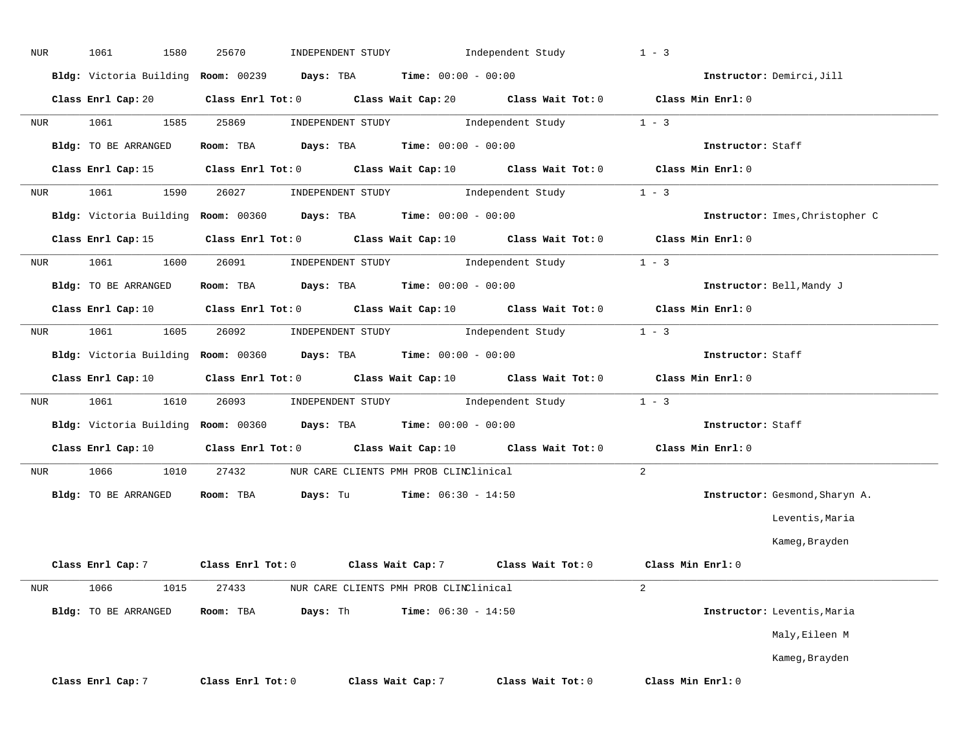| NUR              | 1580<br>1061         | 25670<br>INDEPENDENT STUDY                                                                                                      | Independent Study                                                                                                            | $1 - 3$                         |
|------------------|----------------------|---------------------------------------------------------------------------------------------------------------------------------|------------------------------------------------------------------------------------------------------------------------------|---------------------------------|
|                  |                      | Bldg: Victoria Building Room: 00239 Days: TBA Time: 00:00 - 00:00                                                               |                                                                                                                              | Instructor: Demirci, Jill       |
|                  | Class Enrl Cap: 20   | Class Enrl Tot: 0 Class Wait Cap: 20 Class Wait Tot: 0 Class Min Enrl: 0                                                        |                                                                                                                              |                                 |
| NUR              | 1061<br>1585         | 25869                                                                                                                           | $\begin{minipage}[c]{0.9\linewidth} \textbf{INDEX} & \textbf{STUDY} \\ \textbf{Independent Study} & 1 - 3 \\ \end{minipage}$ |                                 |
|                  | Bldg: TO BE ARRANGED | Room: TBA $\rule{1em}{0.15mm}$ Days: TBA $\rule{1.5mm}{0.15mm}$ Time: $00:00 - 00:00$                                           |                                                                                                                              | Instructor: Staff               |
|                  |                      | Class Enrl Cap: 15 Class Enrl Tot: 0 Class Wait Cap: 10 Class Wait Tot: 0 Class Min Enrl: 0                                     |                                                                                                                              |                                 |
| NUR              | 1061<br>1590         | 26027                                                                                                                           | INDEPENDENT STUDY 1 - 3                                                                                                      |                                 |
|                  |                      | Bldg: Victoria Building Room: 00360 Days: TBA Time: 00:00 - 00:00                                                               |                                                                                                                              | Instructor: Imes, Christopher C |
|                  |                      | Class Enrl Cap: 15 Class Enrl Tot: 0 Class Wait Cap: 10 Class Wait Tot: 0 Class Min Enrl: 0                                     |                                                                                                                              |                                 |
| NUR <sub>p</sub> | 1061 700<br>1600     | 26091                                                                                                                           | $\begin{minipage}[c]{0.9\linewidth} \textbf{INDEX} & \textbf{STUDY} \\ \textbf{Independent Study} & 1 - 3 \\ \end{minipage}$ |                                 |
|                  | Bldg: TO BE ARRANGED | <b>Room:</b> TBA <b>Days:</b> TBA <b>Time:</b> 00:00 - 00:00                                                                    |                                                                                                                              | Instructor: Bell, Mandy J       |
|                  |                      | Class Enrl Cap: 10 $\qquad$ Class Enrl Tot: 0 $\qquad$ Class Wait Cap: 10 $\qquad$ Class Wait Tot: 0 $\qquad$ Class Min Enrl: 0 |                                                                                                                              |                                 |
| NUR              | 1061<br>1605         | 26092                                                                                                                           | INDEPENDENT STUDY 1 - 3                                                                                                      |                                 |
|                  |                      | Bldg: Victoria Building Room: 00360 Days: TBA Time: 00:00 - 00:00                                                               |                                                                                                                              | Instructor: Staff               |
|                  | Class Enrl Cap: 10   | Class Enrl Tot: $0$ Class Wait Cap: $10$ Class Wait Tot: $0$ Class Min Enrl: $0$                                                |                                                                                                                              |                                 |
| NUR              | 1061<br>1610         | 26093                                                                                                                           | INDEPENDENT STUDY 1 - 3                                                                                                      |                                 |
|                  |                      | Bldg: Victoria Building Room: 00360 Days: TBA Time: 00:00 - 00:00                                                               |                                                                                                                              | Instructor: Staff               |
|                  |                      | Class Enrl Cap: 10 $\qquad$ Class Enrl Tot: 0 $\qquad$ Class Wait Cap: 10 $\qquad$ Class Wait Tot: 0 $\qquad$ Class Min Enrl: 0 |                                                                                                                              |                                 |
| NUR              | 1066<br>1010         | 27432 NUR CARE CLIENTS PMH PROB CLINClinical                                                                                    |                                                                                                                              | $\overline{2}$                  |
|                  | Bldg: TO BE ARRANGED | <b>Room:</b> TBA <b>Days:</b> Tu <b>Time:</b> $06:30 - 14:50$                                                                   |                                                                                                                              | Instructor: Gesmond, Sharyn A.  |
|                  |                      |                                                                                                                                 |                                                                                                                              | Leventis, Maria                 |
|                  |                      |                                                                                                                                 |                                                                                                                              | Kameg, Brayden                  |
|                  |                      | Class Enrl Cap: 7 $\qquad$ Class Enrl Tot: 0 $\qquad$ Class Wait Cap: 7 $\qquad$ Class Wait Tot: 0 $\qquad$ Class Min Enrl: 0   |                                                                                                                              |                                 |
| NUR              | 1066<br>1015         | 27433<br>NUR CARE CLIENTS PMH PROB CLINClinical                                                                                 |                                                                                                                              | $\overline{2}$                  |
|                  | Bldg: TO BE ARRANGED | Days: Th<br>Room: TBA                                                                                                           | <b>Time:</b> $06:30 - 14:50$                                                                                                 | Instructor: Leventis, Maria     |
|                  |                      |                                                                                                                                 |                                                                                                                              | Maly, Eileen M                  |
|                  |                      |                                                                                                                                 |                                                                                                                              | Kameg, Brayden                  |
|                  | Class Enrl Cap: 7    | Class Enrl Tot: 0<br>Class Wait Cap: 7                                                                                          | Class Wait Tot: 0                                                                                                            | Class Min Enrl: 0               |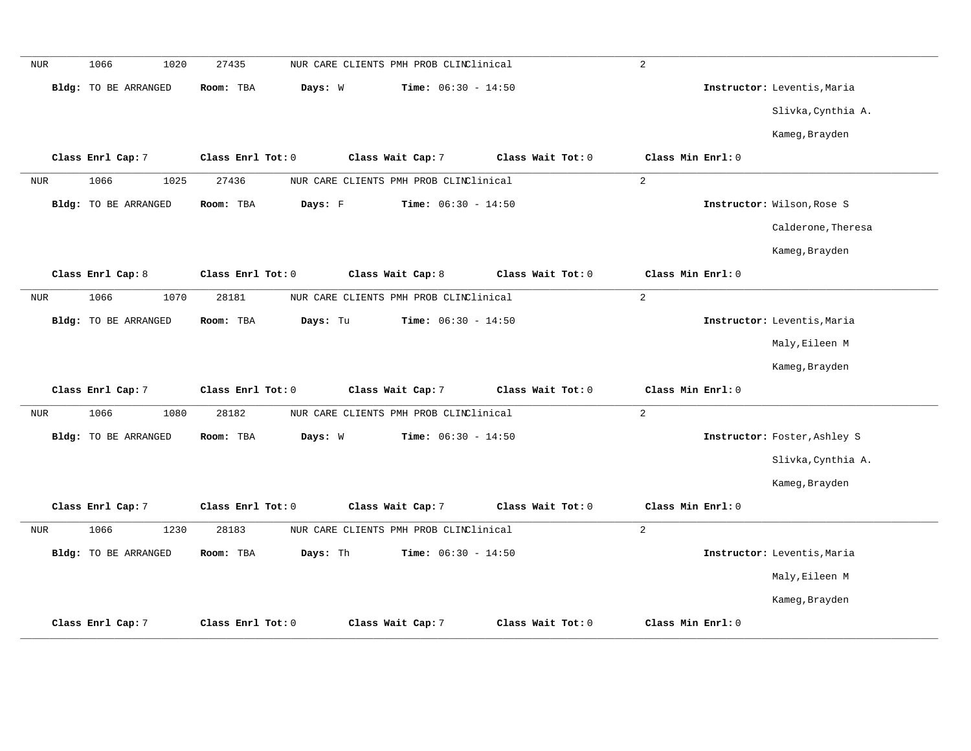| <b>NUR</b> | 1066<br>1020                | 27435<br>NUR CARE CLIENTS PMH PROB CLINClinical | 2                            |                              |
|------------|-----------------------------|-------------------------------------------------|------------------------------|------------------------------|
|            | Bldg: TO BE ARRANGED        | Room: TBA<br>Days: W                            | Time: $06:30 - 14:50$        | Instructor: Leventis, Maria  |
|            |                             |                                                 |                              | Slivka, Cynthia A.           |
|            |                             |                                                 |                              | Kameg, Brayden               |
|            | Class Enrl Cap: 7           | Class Enrl Tot: 0<br>Class Wait Cap: 7          | Class Wait Tot: 0            | Class Min Enrl: 0            |
| NUR        | 1066<br>1025                | 27436<br>NUR CARE CLIENTS PMH PROB CLINClinical | $\sqrt{2}$                   |                              |
|            | <b>Bldg:</b> TO BE ARRANGED | Days: F<br>Room: TBA                            | <b>Time:</b> $06:30 - 14:50$ | Instructor: Wilson, Rose S   |
|            |                             |                                                 |                              | Calderone, Theresa           |
|            |                             |                                                 |                              | Kameg, Brayden               |
|            | Class Enrl Cap: 8           | Class Enrl Tot: 0<br>Class Wait Cap: 8          | Class Wait Tot: 0            | Class Min Enrl: 0            |
| <b>NUR</b> | 1066<br>1070                | 28181<br>NUR CARE CLIENTS PMH PROB CLINClinical | 2                            |                              |
|            | Bldg: TO BE ARRANGED        | Room: TBA<br>Days: Tu                           | <b>Time:</b> $06:30 - 14:50$ | Instructor: Leventis, Maria  |
|            |                             |                                                 |                              | Maly, Eileen M               |
|            |                             |                                                 |                              | Kameg, Brayden               |
|            | Class Enrl Cap: 7           | Class Enrl Tot: 0<br>Class Wait Cap: 7          | Class Wait Tot: 0            | Class Min Enrl: 0            |
| NUR        | 1066<br>1080                | 28182<br>NUR CARE CLIENTS PMH PROB CLINClinical | 2                            |                              |
|            | Bldg: TO BE ARRANGED        | Room: TBA<br>Days: W                            | Time: $06:30 - 14:50$        | Instructor: Foster, Ashley S |
|            |                             |                                                 |                              | Slivka, Cynthia A.           |
|            |                             |                                                 |                              | Kameg, Brayden               |
|            | Class Enrl Cap: 7           | Class Enrl Tot: 0<br>Class Wait Cap: 7          | Class Wait Tot: 0            | Class Min Enrl: 0            |
| <b>NUR</b> | 1066<br>1230                | 28183<br>NUR CARE CLIENTS PMH PROB CLINClinical | 2                            |                              |
|            | Bldg: TO BE ARRANGED        | Days: Th<br>Room: TBA                           | <b>Time:</b> $06:30 - 14:50$ | Instructor: Leventis, Maria  |
|            |                             |                                                 |                              | Maly, Eileen M               |
|            |                             |                                                 |                              | Kameg, Brayden               |
|            | Class Enrl Cap: 7           | Class Enrl Tot: 0<br>Class Wait Cap: 7          | Class Wait Tot: 0            | Class Min Enrl: 0            |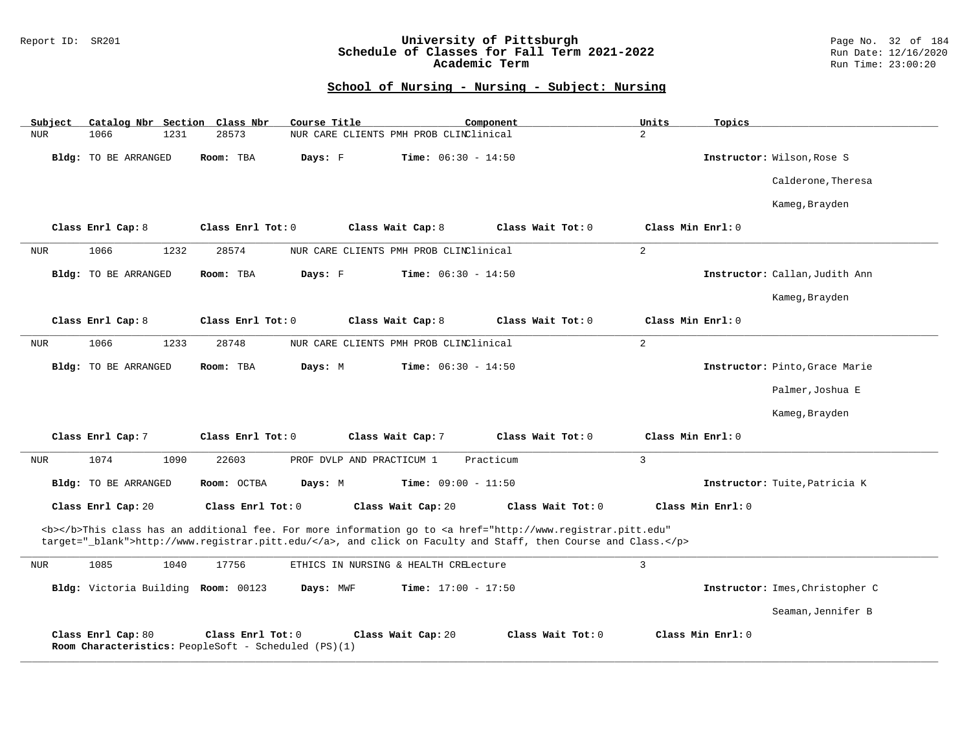### Report ID: SR201 **University of Pittsburgh** Page No. 32 of 184 **Schedule of Classes for Fall Term 2021-2022** Run Date: 12/16/2020 **Academic Term** Run Time: 23:00:20

| Subject              | Catalog Nbr Section Class Nbr                                             | Course Title                           | Component                                                                                                                                                                                                                          | Units<br>Topics   |                                 |
|----------------------|---------------------------------------------------------------------------|----------------------------------------|------------------------------------------------------------------------------------------------------------------------------------------------------------------------------------------------------------------------------------|-------------------|---------------------------------|
| 1066<br><b>NUR</b>   | 1231<br>28573                                                             | NUR CARE CLIENTS PMH PROB CLINClinical |                                                                                                                                                                                                                                    | $\overline{a}$    |                                 |
| Bldg: TO BE ARRANGED | Room: TBA                                                                 | Days: F                                | <b>Time:</b> $06:30 - 14:50$                                                                                                                                                                                                       |                   | Instructor: Wilson, Rose S      |
|                      |                                                                           |                                        |                                                                                                                                                                                                                                    |                   | Calderone, Theresa              |
|                      |                                                                           |                                        |                                                                                                                                                                                                                                    |                   | Kameg, Brayden                  |
| Class Enrl Cap: 8    | Class Enrl Tot: 0                                                         | Class Wait Cap: 8                      | Class Wait Tot: 0                                                                                                                                                                                                                  | Class Min Enrl: 0 |                                 |
| 1066<br><b>NUR</b>   | 28574<br>1232                                                             | NUR CARE CLIENTS PMH PROB CLINClinical |                                                                                                                                                                                                                                    | $\overline{a}$    |                                 |
| Bldg: TO BE ARRANGED | Room: TBA                                                                 | Days: F                                | <b>Time:</b> $06:30 - 14:50$                                                                                                                                                                                                       |                   | Instructor: Callan, Judith Ann  |
|                      |                                                                           |                                        |                                                                                                                                                                                                                                    |                   | Kameg, Brayden                  |
| Class Enrl Cap: 8    | Class Enrl Tot: $0$                                                       | Class Wait Cap: 8                      | Class Wait Tot: 0                                                                                                                                                                                                                  | Class Min Enrl: 0 |                                 |
| 1066<br><b>NUR</b>   | 1233<br>28748                                                             | NUR CARE CLIENTS PMH PROB CLINClinical |                                                                                                                                                                                                                                    | $\overline{2}$    |                                 |
| Bldg: TO BE ARRANGED | Room: TBA                                                                 | Days: M                                | <b>Time:</b> $06:30 - 14:50$                                                                                                                                                                                                       |                   | Instructor: Pinto, Grace Marie  |
|                      |                                                                           |                                        |                                                                                                                                                                                                                                    |                   | Palmer, Joshua E                |
|                      |                                                                           |                                        |                                                                                                                                                                                                                                    |                   | Kameg, Brayden                  |
| Class Enrl Cap: 7    | Class Enrl Tot: 0                                                         | Class Wait Cap: 7                      | Class Wait Tot: 0                                                                                                                                                                                                                  | Class Min Enrl: 0 |                                 |
| 1074<br><b>NUR</b>   | 22603<br>1090                                                             | PROF DVLP AND PRACTICUM 1              | Practicum                                                                                                                                                                                                                          | $\overline{3}$    |                                 |
| Bldg: TO BE ARRANGED | Room: OCTBA                                                               | Days: M                                | Time: $09:00 - 11:50$                                                                                                                                                                                                              |                   | Instructor: Tuite, Patricia K   |
| Class Enrl Cap: 20   | Class Enrl Tot: 0                                                         | Class Wait Cap: 20                     | Class Wait Tot: 0                                                                                                                                                                                                                  | Class Min Enrl: 0 |                                 |
|                      |                                                                           |                                        | <b></b> This class has an additional fee. For more information go to <a <br="" href="http://www.registrar.pitt.edu">target="_blank"&gt;http://www.registrar.pitt.edu/</a> , and click on Faculty and Staff, then Course and Class. |                   |                                 |
| 1085<br><b>NUR</b>   | 1040<br>17756                                                             | ETHICS IN NURSING & HEALTH CRELecture  |                                                                                                                                                                                                                                    | $\overline{3}$    |                                 |
|                      | Bldg: Victoria Building Room: 00123                                       | Days: MWF                              | <b>Time:</b> $17:00 - 17:50$                                                                                                                                                                                                       |                   | Instructor: Imes, Christopher C |
|                      |                                                                           |                                        |                                                                                                                                                                                                                                    |                   | Seaman, Jennifer B              |
| Class Enrl Cap: 80   | Class Enrl Tot: 0<br>Room Characteristics: PeopleSoft - Scheduled (PS)(1) | Class Wait Cap: 20                     | Class Wait Tot: 0                                                                                                                                                                                                                  | Class Min Enrl: 0 |                                 |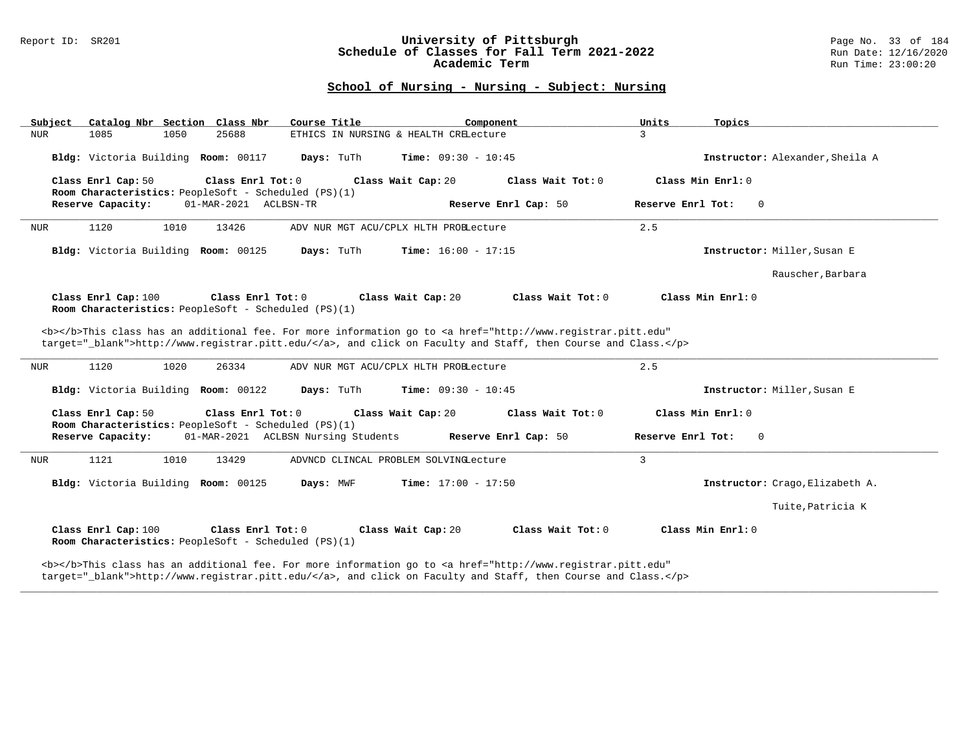#### Report ID: SR201 **University of Pittsburgh** Page No. 33 of 184 **Schedule of Classes for Fall Term 2021-2022** Run Date: 12/16/2020 **Academic Term** Run Time: 23:00:20

# **School of Nursing - Nursing - Subject: Nursing**

|                                                                                                                  | Course Title<br>Component                                                                                                                                                                                                          | Units<br>Topics                 |
|------------------------------------------------------------------------------------------------------------------|------------------------------------------------------------------------------------------------------------------------------------------------------------------------------------------------------------------------------------|---------------------------------|
| 25688<br>NUR<br>1085<br>1050                                                                                     | ETHICS IN NURSING & HEALTH CRELecture                                                                                                                                                                                              | $\overline{3}$                  |
| Bldg: Victoria Building Room: 00117                                                                              | Days: TuTh<br><b>Time:</b> $09:30 - 10:45$                                                                                                                                                                                         | Instructor: Alexander, Sheila A |
| Class Enrl Cap: 50<br>Class Enrl Tot: 0<br>Room Characteristics: PeopleSoft - Scheduled (PS)(1)                  | Class Wait Cap: 20<br>Class Wait Tot: 0                                                                                                                                                                                            | Class Min Enrl: 0               |
| Reserve Capacity:<br>01-MAR-2021 ACLBSN-TR                                                                       | Reserve Enrl Cap: 50                                                                                                                                                                                                               | Reserve Enrl Tot:<br>- 0        |
| 1120<br>1010<br>13426<br>NUR                                                                                     | ADV NUR MGT ACU/CPLX HLTH PROBLecture                                                                                                                                                                                              | 2.5                             |
| Bldg: Victoria Building Room: 00125                                                                              | Days: TuTh<br><b>Time:</b> $16:00 - 17:15$                                                                                                                                                                                         | Instructor: Miller, Susan E     |
|                                                                                                                  |                                                                                                                                                                                                                                    | Rauscher, Barbara               |
| Class Enrl Cap: 100<br>Class Enrl Tot: 0<br>Room Characteristics: PeopleSoft - Scheduled (PS)(1)                 | Class Wait Cap: 20<br>Class Wait Tot: 0                                                                                                                                                                                            | Class Min Enrl: 0               |
|                                                                                                                  | <b></b> This class has an additional fee. For more information go to <a <br="" href="http://www.registrar.pitt.edu">target=" blank"&gt;http://www.registrar.pitt.edu/</a> , and click on Faculty and Staff, then Course and Class. |                                 |
| 1120<br>1020<br>26334<br>NUR                                                                                     | ADV NUR MGT ACU/CPLX HLTH PROBLecture                                                                                                                                                                                              | 2.5                             |
| Bldg: Victoria Building Room: 00122                                                                              | Days: TuTh<br><b>Time:</b> $09:30 - 10:45$                                                                                                                                                                                         | Instructor: Miller, Susan E     |
|                                                                                                                  |                                                                                                                                                                                                                                    |                                 |
| Class Enrl Cap: 50<br>Class Enrl Tot: 0                                                                          | Class Wait Cap: 20<br>Class Wait Tot: 0                                                                                                                                                                                            | Class Min Enrl: 0               |
| Room Characteristics: PeopleSoft - Scheduled (PS)(1)<br>Reserve Capacity:<br>01-MAR-2021 ACLBSN Nursing Students | Reserve Enrl Cap: 50                                                                                                                                                                                                               | Reserve Enrl Tot:<br>$\Omega$   |
| 1121<br>1010<br>13429<br>NUR                                                                                     | ADVNCD CLINCAL PROBLEM SOLVINGLecture                                                                                                                                                                                              | 3                               |
| Bldg: Victoria Building Room: 00125                                                                              | Days: MWF<br><b>Time:</b> $17:00 - 17:50$                                                                                                                                                                                          | Instructor: Crago, Elizabeth A. |
|                                                                                                                  |                                                                                                                                                                                                                                    | Tuite, Patricia K               |
| Class Enrl Cap: 100<br>Class Enrl Tot: 0<br>Room Characteristics: PeopleSoft - Scheduled (PS)(1)                 | Class Wait Cap: 20<br>Class Wait Tot: 0                                                                                                                                                                                            | Class Min $Enrl: 0$             |

**\_\_\_\_\_\_\_\_\_\_\_\_\_\_\_\_\_\_\_\_\_\_\_\_\_\_\_\_\_\_\_\_\_\_\_\_\_\_\_\_\_\_\_\_\_\_\_\_\_\_\_\_\_\_\_\_\_\_\_\_\_\_\_\_\_\_\_\_\_\_\_\_\_\_\_\_\_\_\_\_\_\_\_\_\_\_\_\_\_\_\_\_\_\_\_\_\_\_\_\_\_\_\_\_\_\_\_\_\_\_\_\_\_\_\_\_\_\_\_\_\_\_\_\_\_\_\_\_\_\_\_\_\_\_\_\_\_\_\_\_\_\_\_\_\_\_\_\_\_\_\_\_\_\_\_\_**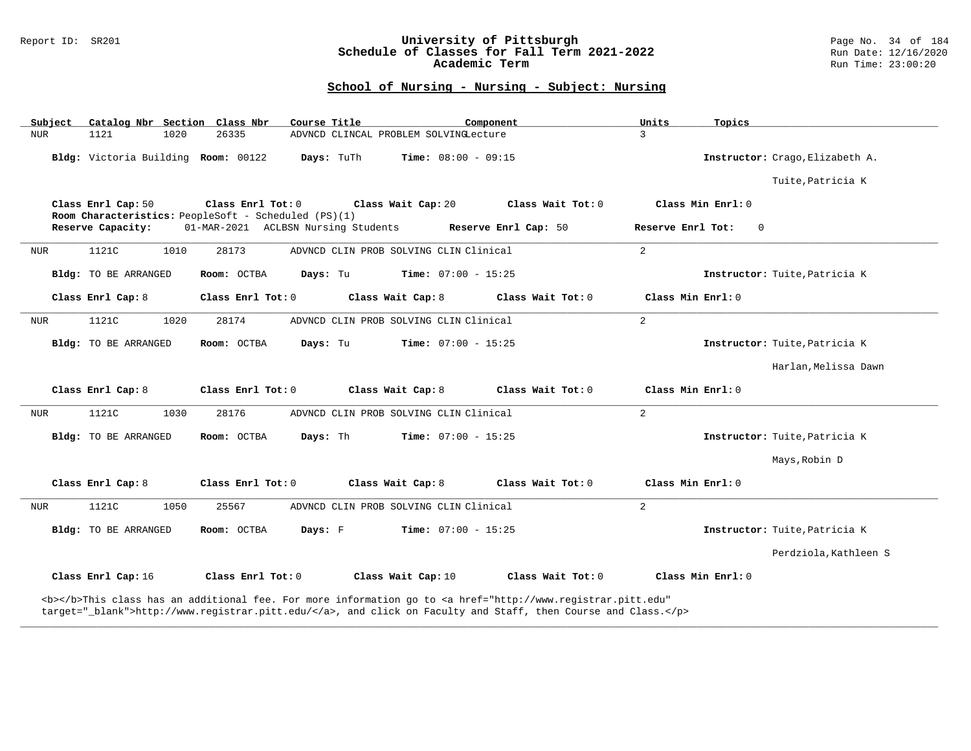### Report ID: SR201 **University of Pittsburgh** Page No. 34 of 184 **Schedule of Classes for Fall Term 2021-2022** Run Date: 12/16/2020 **Academic Term** Run Time: 23:00:20

# **School of Nursing - Nursing - Subject: Nursing**

| Subject    |                                     |      | Catalog Nbr Section Class Nbr                                             | Course Title |                                        | Component                                                                                                                                                                                                                          | Units             | Topics                          |
|------------|-------------------------------------|------|---------------------------------------------------------------------------|--------------|----------------------------------------|------------------------------------------------------------------------------------------------------------------------------------------------------------------------------------------------------------------------------------|-------------------|---------------------------------|
| <b>NUR</b> | 1121                                | 1020 | 26335                                                                     |              | ADVNCD CLINCAL PROBLEM SOLVINGLecture  |                                                                                                                                                                                                                                    | $\mathcal{E}$     |                                 |
|            | Bldg: Victoria Building Room: 00122 |      |                                                                           | Days: TuTh   | <b>Time:</b> $08:00 - 09:15$           |                                                                                                                                                                                                                                    |                   | Instructor: Crago, Elizabeth A. |
|            |                                     |      |                                                                           |              |                                        |                                                                                                                                                                                                                                    |                   | Tuite, Patricia K               |
|            | Class Enrl Cap: 50                  |      | Class Enrl Tot: 0<br>Room Characteristics: PeopleSoft - Scheduled (PS)(1) |              | Class Wait Cap: 20                     | Class Wait Tot: 0                                                                                                                                                                                                                  |                   | Class Min Enrl: 0               |
|            | Reserve Capacity:                   |      | 01-MAR-2021 ACLBSN Nursing Students                                       |              |                                        | Reserve Enrl Cap: 50                                                                                                                                                                                                               | Reserve Enrl Tot: | $\Omega$                        |
| <b>NUR</b> | 1121C                               | 1010 | 28173                                                                     |              | ADVNCD CLIN PROB SOLVING CLIN Clinical |                                                                                                                                                                                                                                    | 2                 |                                 |
|            | Bldg: TO BE ARRANGED                |      | Room: OCTBA                                                               | Days: Tu     | <b>Time:</b> $07:00 - 15:25$           |                                                                                                                                                                                                                                    |                   | Instructor: Tuite, Patricia K   |
|            | Class Enrl Cap: 8                   |      | Class Enrl Tot: 0                                                         |              | Class Wait Cap: 8                      | Class Wait Tot: 0                                                                                                                                                                                                                  | Class Min Enrl: 0 |                                 |
| NUR        | 1121C                               | 1020 | 28174                                                                     |              | ADVNCD CLIN PROB SOLVING CLIN Clinical |                                                                                                                                                                                                                                    | $\overline{a}$    |                                 |
|            | Bldg: TO BE ARRANGED                |      | Room: OCTBA                                                               | Days: Tu     | Time: $07:00 - 15:25$                  |                                                                                                                                                                                                                                    |                   | Instructor: Tuite, Patricia K   |
|            |                                     |      |                                                                           |              |                                        |                                                                                                                                                                                                                                    |                   | Harlan, Melissa Dawn            |
|            | Class Enrl Cap: 8                   |      | Class Enrl Tot: 0                                                         |              | Class Wait Cap: 8                      | Class Wait Tot: 0                                                                                                                                                                                                                  | Class Min Enrl: 0 |                                 |
| <b>NUR</b> | 1121C                               | 1030 | 28176                                                                     |              | ADVNCD CLIN PROB SOLVING CLIN Clinical |                                                                                                                                                                                                                                    | $\overline{a}$    |                                 |
|            | Bldg: TO BE ARRANGED                |      | Room: OCTBA                                                               | Days: Th     | <b>Time:</b> $07:00 - 15:25$           |                                                                                                                                                                                                                                    |                   | Instructor: Tuite, Patricia K   |
|            |                                     |      |                                                                           |              |                                        |                                                                                                                                                                                                                                    |                   | Mays, Robin D                   |
|            | Class Enrl Cap: 8                   |      | Class Enrl Tot: 0                                                         |              | Class Wait Cap: 8                      | Class Wait Tot: 0                                                                                                                                                                                                                  | Class Min Enrl: 0 |                                 |
| <b>NUR</b> | 1121C                               | 1050 | 25567                                                                     |              | ADVNCD CLIN PROB SOLVING CLIN Clinical |                                                                                                                                                                                                                                    | 2                 |                                 |
|            | Bldg: TO BE ARRANGED                |      | Room: OCTBA                                                               | Days: F      | $Time: 07:00 - 15:25$                  |                                                                                                                                                                                                                                    |                   | Instructor: Tuite, Patricia K   |
|            |                                     |      |                                                                           |              |                                        |                                                                                                                                                                                                                                    |                   | Perdziola, Kathleen S           |
|            | Class Enrl Cap: 16                  |      | Class Enrl Tot: 0                                                         |              | Class Wait Cap: 10                     | Class Wait Tot: 0                                                                                                                                                                                                                  |                   | Class Min Enrl: 0               |
|            |                                     |      |                                                                           |              |                                        | <b></b> This class has an additional fee. For more information go to <a <br="" href="http://www.registrar.pitt.edu">target="_blank"&gt;http://www.registrar.pitt.edu/</a> , and click on Faculty and Staff, then Course and Class. |                   |                                 |

**\_\_\_\_\_\_\_\_\_\_\_\_\_\_\_\_\_\_\_\_\_\_\_\_\_\_\_\_\_\_\_\_\_\_\_\_\_\_\_\_\_\_\_\_\_\_\_\_\_\_\_\_\_\_\_\_\_\_\_\_\_\_\_\_\_\_\_\_\_\_\_\_\_\_\_\_\_\_\_\_\_\_\_\_\_\_\_\_\_\_\_\_\_\_\_\_\_\_\_\_\_\_\_\_\_\_\_\_\_\_\_\_\_\_\_\_\_\_\_\_\_\_\_\_\_\_\_\_\_\_\_\_\_\_\_\_\_\_\_\_\_\_\_\_\_\_\_\_\_\_\_\_\_\_\_\_**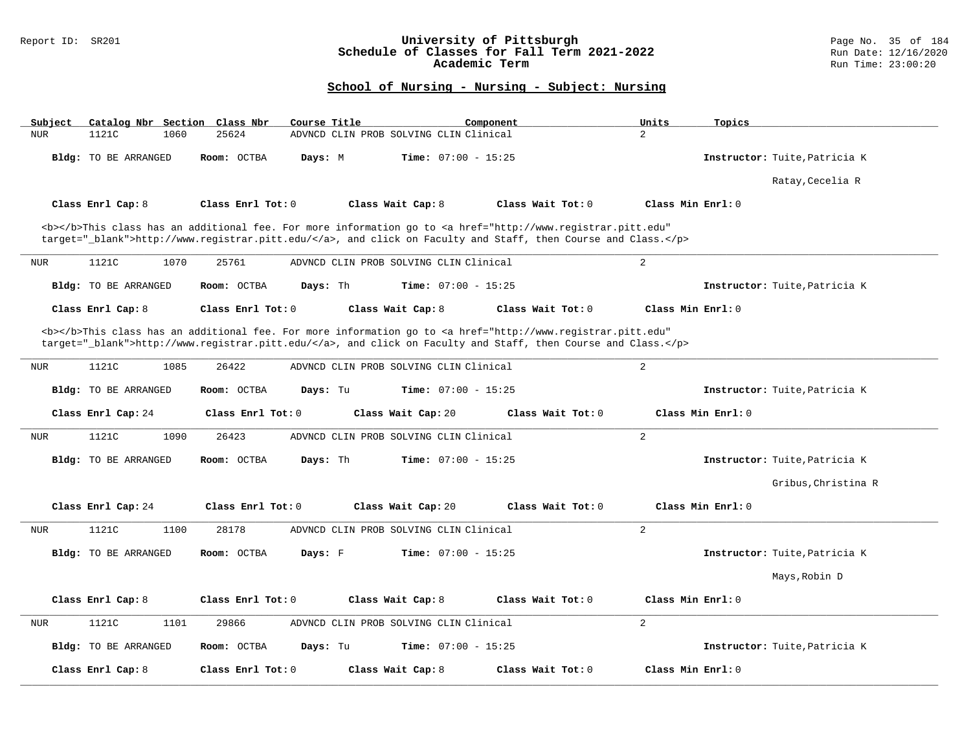### Report ID: SR201 **University of Pittsburgh** Page No. 35 of 184 **Schedule of Classes for Fall Term 2021-2022** Run Date: 12/16/2020 **Academic Term** Run Time: 23:00:20

| Catalog Nbr Section Class Nbr<br>Subject | Course Title            | Component                                                                                                                                                                                                                          | Units<br>Topics                        |
|------------------------------------------|-------------------------|------------------------------------------------------------------------------------------------------------------------------------------------------------------------------------------------------------------------------------|----------------------------------------|
| 1121C<br><b>NUR</b><br>1060              | 25624                   | ADVNCD CLIN PROB SOLVING CLIN Clinical                                                                                                                                                                                             | $\overline{a}$                         |
| Bldg: TO BE ARRANGED                     | Room: OCTBA<br>Days: M  | Time: $07:00 - 15:25$                                                                                                                                                                                                              | Instructor: Tuite, Patricia K          |
|                                          |                         |                                                                                                                                                                                                                                    | Ratay, Cecelia R                       |
| Class Enrl Cap: 8                        | Class Enrl Tot: 0       | Class Wait Cap: 8<br>Class Wait Tot: 0                                                                                                                                                                                             | Class Min Enrl: 0                      |
|                                          |                         | <b></b> This class has an additional fee. For more information go to <a <="" href="http://www.registrar.pitt.edu" td=""><td></td></a>                                                                                              |                                        |
|                                          |                         | target="_blank">http://www.registrar.pitt.edu/, and click on Faculty and Staff, then Course and Class.                                                                                                                             |                                        |
| 1121C<br>1070<br><b>NUR</b>              | 25761                   | ADVNCD CLIN PROB SOLVING CLIN Clinical                                                                                                                                                                                             | 2                                      |
| Bldg: TO BE ARRANGED                     | Room: OCTBA<br>Days: Th | Time: $07:00 - 15:25$                                                                                                                                                                                                              | Instructor: Tuite, Patricia K          |
| Class Enrl Cap: 8                        | Class Enrl Tot: 0       | Class Wait Cap: 8<br>Class Wait Tot: 0                                                                                                                                                                                             | Class Min Enrl: 0                      |
|                                          |                         | <b></b> This class has an additional fee. For more information go to <a <br="" href="http://www.registrar.pitt.edu">target="_blank"&gt;http://www.registrar.pitt.edu/</a> , and click on Faculty and Staff, then Course and Class. |                                        |
| 1121C<br>1085<br><b>NUR</b>              | 26422                   | ADVNCD CLIN PROB SOLVING CLIN Clinical                                                                                                                                                                                             | 2                                      |
| Bldg: TO BE ARRANGED                     | Room: OCTBA<br>Days: Tu | <b>Time:</b> $07:00 - 15:25$                                                                                                                                                                                                       | Instructor: Tuite, Patricia K          |
| Class Enrl Cap: 24                       | Class Enrl Tot: 0       | Class Wait Cap: 20                                                                                                                                                                                                                 | Class Wait Tot: 0<br>Class Min Enrl: 0 |
| 1121C<br>1090<br>NUR                     | 26423                   | ADVNCD CLIN PROB SOLVING CLIN Clinical                                                                                                                                                                                             | 2                                      |
| Bldg: TO BE ARRANGED                     | Room: OCTBA<br>Days: Th | Time: $07:00 - 15:25$                                                                                                                                                                                                              | Instructor: Tuite, Patricia K          |
|                                          |                         |                                                                                                                                                                                                                                    | Gribus, Christina R                    |
| Class Enrl Cap: 24                       | Class Enrl Tot: 0       | Class Wait Cap: 20                                                                                                                                                                                                                 | Class Wait Tot: 0<br>Class Min Enrl: 0 |
| 1121C<br>1100<br><b>NUR</b>              | 28178                   | ADVNCD CLIN PROB SOLVING CLIN Clinical                                                                                                                                                                                             | 2                                      |
| <b>Bldg:</b> TO BE ARRANGED              | Room: OCTBA<br>Days: F  | <b>Time:</b> $07:00 - 15:25$                                                                                                                                                                                                       | Instructor: Tuite, Patricia K          |
|                                          |                         |                                                                                                                                                                                                                                    | Mays, Robin D                          |
| Class Enrl Cap: 8                        | Class Enrl Tot: 0       | Class Wait Cap: 8<br>Class Wait Tot: 0                                                                                                                                                                                             | Class Min Enrl: 0                      |
| 1121C<br>1101<br><b>NUR</b>              | 29866                   | ADVNCD CLIN PROB SOLVING CLIN Clinical                                                                                                                                                                                             | 2                                      |
| Bldg: TO BE ARRANGED                     | Room: OCTBA<br>Days: Tu | Time: $07:00 - 15:25$                                                                                                                                                                                                              | Instructor: Tuite, Patricia K          |
| Class Enrl Cap: 8                        | Class Enrl Tot: 0       | Class Wait Cap: 8<br>Class Wait Tot: 0                                                                                                                                                                                             | Class Min Enrl: 0                      |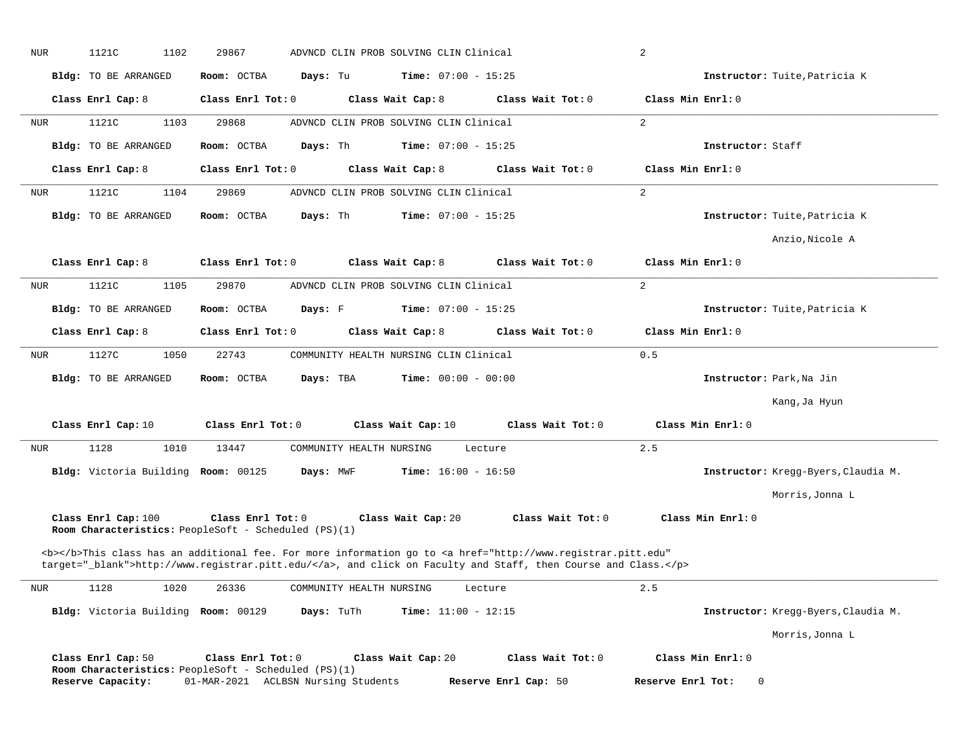| NUR | 1121C<br>1102                                                               | 29867             |                                     | ADVNCD CLIN PROB SOLVING CLIN Clinical |                    |                              |                      |                                                                                                                                                                                                                                    | 2                 |                   |                                     |
|-----|-----------------------------------------------------------------------------|-------------------|-------------------------------------|----------------------------------------|--------------------|------------------------------|----------------------|------------------------------------------------------------------------------------------------------------------------------------------------------------------------------------------------------------------------------------|-------------------|-------------------|-------------------------------------|
|     | Bldg: TO BE ARRANGED                                                        | Room: OCTBA       | Days: Tu                            |                                        |                    | <b>Time:</b> $07:00 - 15:25$ |                      |                                                                                                                                                                                                                                    |                   |                   | Instructor: Tuite, Patricia K       |
|     | Class Enrl Cap: 8                                                           | Class Enrl Tot: 0 |                                     |                                        | Class Wait Cap: 8  |                              |                      | Class Wait Tot: 0                                                                                                                                                                                                                  | Class Min Enrl: 0 |                   |                                     |
| NUR | 1121C<br>1103                                                               | 29868             |                                     | ADVNCD CLIN PROB SOLVING CLIN Clinical |                    |                              |                      |                                                                                                                                                                                                                                    | 2                 |                   |                                     |
|     | Bldg: TO BE ARRANGED                                                        | Room: OCTBA       | Days: Th                            |                                        |                    | <b>Time:</b> $07:00 - 15:25$ |                      |                                                                                                                                                                                                                                    |                   | Instructor: Staff |                                     |
|     | Class Enrl Cap: 8                                                           | Class Enrl Tot: 0 |                                     |                                        | Class Wait Cap: 8  |                              |                      | Class Wait Tot: 0                                                                                                                                                                                                                  | Class Min Enrl: 0 |                   |                                     |
| NUR | 1121C<br>1104                                                               | 29869             |                                     | ADVNCD CLIN PROB SOLVING CLIN Clinical |                    |                              |                      |                                                                                                                                                                                                                                    | 2                 |                   |                                     |
|     | Bldg: TO BE ARRANGED                                                        | Room: OCTBA       | Days: Th                            |                                        |                    | <b>Time:</b> $07:00 - 15:25$ |                      |                                                                                                                                                                                                                                    |                   |                   | Instructor: Tuite, Patricia K       |
|     |                                                                             |                   |                                     |                                        |                    |                              |                      |                                                                                                                                                                                                                                    |                   |                   | Anzio, Nicole A                     |
|     | Class Enrl Cap: 8                                                           | Class Enrl Tot: 0 |                                     |                                        | Class Wait Cap: 8  |                              |                      | Class Wait Tot: 0                                                                                                                                                                                                                  | Class Min Enrl: 0 |                   |                                     |
| NUR | 1121C<br>1105                                                               | 29870             |                                     | ADVNCD CLIN PROB SOLVING CLIN Clinical |                    |                              |                      |                                                                                                                                                                                                                                    | 2                 |                   |                                     |
|     | <b>Bldg:</b> TO BE ARRANGED                                                 | Room: OCTBA       | Days: F                             |                                        |                    | <b>Time:</b> $07:00 - 15:25$ |                      |                                                                                                                                                                                                                                    |                   |                   | Instructor: Tuite, Patricia K       |
|     | Class Enrl Cap: 8                                                           | Class Enrl Tot: 0 |                                     |                                        | Class Wait Cap: 8  |                              |                      | Class Wait Tot: 0                                                                                                                                                                                                                  | Class Min Enrl: 0 |                   |                                     |
| NUR | 1127C<br>1050                                                               | 22743             |                                     | COMMUNITY HEALTH NURSING CLIN Clinical |                    |                              |                      |                                                                                                                                                                                                                                    | 0.5               |                   |                                     |
|     | Bldg: TO BE ARRANGED                                                        | Room: OCTBA       | Days: TBA                           |                                        |                    | <b>Time:</b> $00:00 - 00:00$ |                      |                                                                                                                                                                                                                                    |                   |                   | Instructor: Park, Na Jin            |
|     |                                                                             |                   |                                     |                                        |                    |                              |                      |                                                                                                                                                                                                                                    |                   |                   | Kang, Ja Hyun                       |
|     | Class Enrl Cap: 10                                                          | Class Enrl Tot: 0 |                                     |                                        | Class Wait Cap: 10 |                              |                      | Class Wait Tot: 0                                                                                                                                                                                                                  |                   | Class Min Enrl: 0 |                                     |
| NUR | 1128<br>1010                                                                | 13447             |                                     | COMMUNITY HEALTH NURSING               |                    |                              | Lecture              |                                                                                                                                                                                                                                    | 2.5               |                   |                                     |
|     | Bldg: Victoria Building Room: 00125                                         |                   | Days: MWF                           |                                        |                    | <b>Time:</b> $16:00 - 16:50$ |                      |                                                                                                                                                                                                                                    |                   |                   | Instructor: Kregg-Byers, Claudia M. |
|     |                                                                             |                   |                                     |                                        |                    |                              |                      |                                                                                                                                                                                                                                    |                   |                   | Morris, Jonna L                     |
|     | Class Enrl Cap: 100<br>Room Characteristics: PeopleSoft - Scheduled (PS)(1) | Class Enrl Tot: 0 |                                     |                                        | Class Wait Cap: 20 |                              |                      | Class Wait Tot: 0                                                                                                                                                                                                                  |                   | Class Min Enrl: 0 |                                     |
|     |                                                                             |                   |                                     |                                        |                    |                              |                      | <b></b> This class has an additional fee. For more information go to <a <br="" href="http://www.registrar.pitt.edu">target="_blank"&gt;http://www.registrar.pitt.edu/</a> , and click on Faculty and Staff, then Course and Class. |                   |                   |                                     |
| NUR | 1128<br>1020                                                                | 26336             |                                     | COMMUNITY HEALTH NURSING               |                    |                              | Lecture              |                                                                                                                                                                                                                                    | 2.5               |                   |                                     |
|     | Bldg: Victoria Building Room: 00129                                         |                   | Days: TuTh                          |                                        |                    | Time: $11:00 - 12:15$        |                      |                                                                                                                                                                                                                                    |                   |                   | Instructor: Kregg-Byers, Claudia M. |
|     |                                                                             |                   |                                     |                                        |                    |                              |                      |                                                                                                                                                                                                                                    |                   |                   | Morris, Jonna L                     |
|     | Class Enrl Cap: 50                                                          | Class Enrl Tot: 0 |                                     |                                        | Class Wait Cap: 20 |                              |                      | Class Wait Tot: 0                                                                                                                                                                                                                  |                   | Class Min Enrl: 0 |                                     |
|     | Room Characteristics: PeopleSoft - Scheduled (PS)(1)<br>Reserve Capacity:   |                   | 01-MAR-2021 ACLBSN Nursing Students |                                        |                    |                              | Reserve Enrl Cap: 50 |                                                                                                                                                                                                                                    | Reserve Enrl Tot: | 0                 |                                     |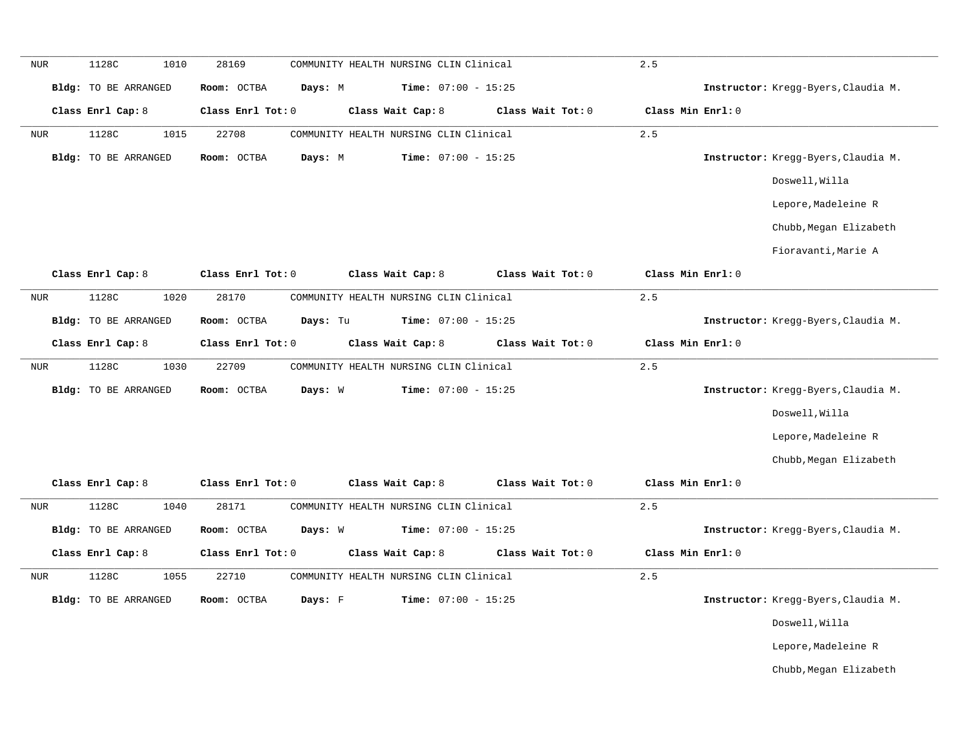| <b>NUR</b> | 1128C<br>1010        | 28169                   | COMMUNITY HEALTH NURSING CLIN Clinical |                   | 2.5               |                                     |
|------------|----------------------|-------------------------|----------------------------------------|-------------------|-------------------|-------------------------------------|
|            | Bldg: TO BE ARRANGED | Room: OCTBA<br>Days: M  | Time: $07:00 - 15:25$                  |                   |                   | Instructor: Kregg-Byers, Claudia M. |
|            | Class Enrl Cap: 8    | Class Enrl Tot: 0       | Class Wait Cap: 8                      | Class Wait Tot: 0 | Class Min Enrl: 0 |                                     |
| NUR        | 1015<br>1128C        | 22708                   | COMMUNITY HEALTH NURSING CLIN Clinical |                   | 2.5               |                                     |
|            | Bldg: TO BE ARRANGED | Room: OCTBA<br>Days: M  | Time: $07:00 - 15:25$                  |                   |                   | Instructor: Kregg-Byers, Claudia M. |
|            |                      |                         |                                        |                   |                   | Doswell, Willa                      |
|            |                      |                         |                                        |                   |                   | Lepore, Madeleine R                 |
|            |                      |                         |                                        |                   |                   | Chubb, Megan Elizabeth              |
|            |                      |                         |                                        |                   |                   | Fioravanti, Marie A                 |
|            | Class Enrl Cap: 8    | Class Enrl Tot: 0       | Class Wait Cap: 8                      | Class Wait Tot: 0 | Class Min Enrl: 0 |                                     |
| <b>NUR</b> | 1128C<br>1020        | 28170                   | COMMUNITY HEALTH NURSING CLIN Clinical |                   | 2.5               |                                     |
|            | Bldg: TO BE ARRANGED | Room: OCTBA<br>Days: Tu | Time: $07:00 - 15:25$                  |                   |                   | Instructor: Kregg-Byers, Claudia M. |
|            | Class Enrl Cap: 8    | Class Enrl Tot: 0       | Class Wait Cap: 8                      | Class Wait Tot: 0 | Class Min Enrl: 0 |                                     |
| NUR        | 1128C<br>1030        | 22709                   | COMMUNITY HEALTH NURSING CLIN Clinical |                   | 2.5               |                                     |
|            | Bldg: TO BE ARRANGED | Days: W<br>Room: OCTBA  | Time: $07:00 - 15:25$                  |                   |                   | Instructor: Kregg-Byers, Claudia M. |
|            |                      |                         |                                        |                   |                   | Doswell, Willa                      |
|            |                      |                         |                                        |                   |                   | Lepore, Madeleine R                 |
|            |                      |                         |                                        |                   |                   | Chubb, Megan Elizabeth              |
|            | Class Enrl Cap: 8    | Class Enrl Tot: 0       | Class Wait Cap: 8                      | Class Wait Tot: 0 | Class Min Enrl: 0 |                                     |
| <b>NUR</b> | 1128C<br>1040        | 28171                   | COMMUNITY HEALTH NURSING CLIN Clinical |                   | 2.5               |                                     |
|            | Bldg: TO BE ARRANGED | Room: OCTBA<br>Days: W  | Time: $07:00 - 15:25$                  |                   |                   | Instructor: Kregg-Byers, Claudia M. |
|            | Class Enrl Cap: 8    | Class Enrl Tot: 0       | Class Wait Cap: 8                      | Class Wait Tot: 0 | Class Min Enrl: 0 |                                     |
| <b>NUR</b> | 1128C<br>1055        | 22710                   | COMMUNITY HEALTH NURSING CLIN Clinical |                   | 2.5               |                                     |
|            | Bldg: TO BE ARRANGED | Days: F<br>Room: OCTBA  | Time: $07:00 - 15:25$                  |                   |                   | Instructor: Kregg-Byers, Claudia M. |
|            |                      |                         |                                        |                   |                   | Doswell, Willa                      |
|            |                      |                         |                                        |                   |                   | Lepore, Madeleine R                 |
|            |                      |                         |                                        |                   |                   | Chubb, Megan Elizabeth              |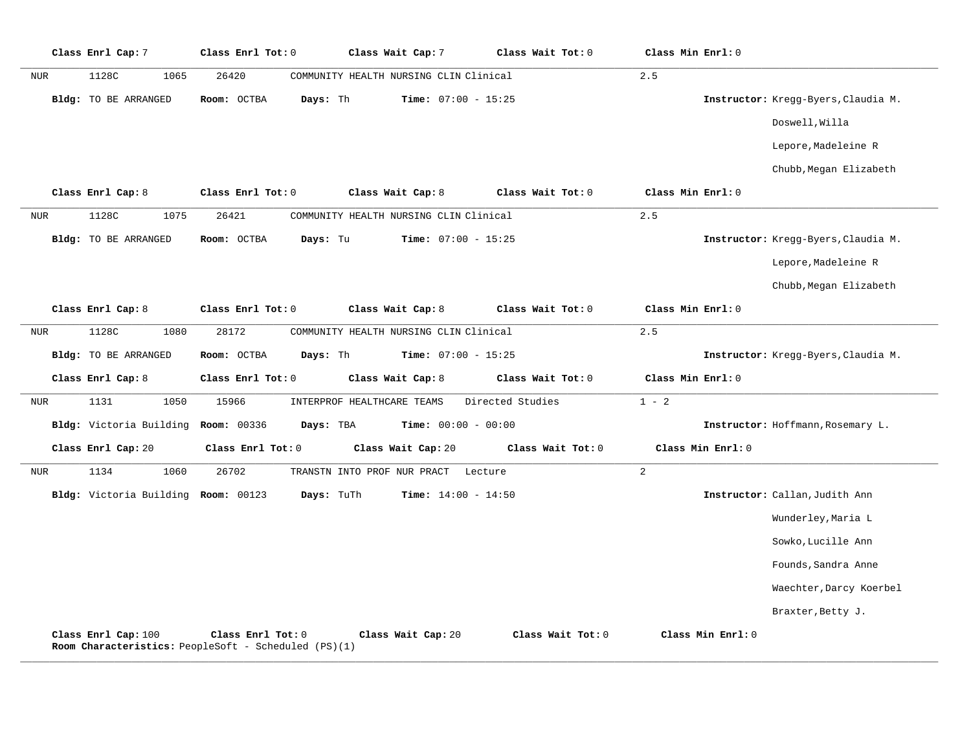|            | Class Enrl Cap: 7                   | Class Enrl Tot: 0                                                         | Class Wait Cap: 7                      | Class Wait Tot: 0 | Class Min Enrl: 0 |                                     |
|------------|-------------------------------------|---------------------------------------------------------------------------|----------------------------------------|-------------------|-------------------|-------------------------------------|
| NUR        | 1128C<br>1065                       | 26420                                                                     | COMMUNITY HEALTH NURSING CLIN Clinical |                   | 2.5               |                                     |
|            | <b>Bldg:</b> TO BE ARRANGED         | Days: Th<br>Room: OCTBA                                                   | Time: $07:00 - 15:25$                  |                   |                   | Instructor: Kregg-Byers, Claudia M. |
|            |                                     |                                                                           |                                        |                   |                   | Doswell, Willa                      |
|            |                                     |                                                                           |                                        |                   |                   | Lepore, Madeleine R                 |
|            |                                     |                                                                           |                                        |                   |                   | Chubb, Megan Elizabeth              |
|            | Class Enrl Cap: 8                   | Class Enrl Tot: 0                                                         | Class Wait Cap: 8                      | Class Wait Tot: 0 | Class Min Enrl: 0 |                                     |
| NUR        | 1128C<br>1075                       | 26421                                                                     | COMMUNITY HEALTH NURSING CLIN Clinical |                   | 2.5               |                                     |
|            | <b>Bldg:</b> TO BE ARRANGED         | Days: Tu<br>Room: OCTBA                                                   | Time: $07:00 - 15:25$                  |                   |                   | Instructor: Kregg-Byers, Claudia M. |
|            |                                     |                                                                           |                                        |                   |                   | Lepore, Madeleine R                 |
|            |                                     |                                                                           |                                        |                   |                   | Chubb, Megan Elizabeth              |
|            | Class Enrl Cap: 8                   | Class Enrl Tot: 0                                                         | Class Wait Cap: 8                      | Class Wait Tot: 0 | Class Min Enrl: 0 |                                     |
| NUR        | 1128C<br>1080                       | 28172                                                                     | COMMUNITY HEALTH NURSING CLIN Clinical |                   | 2.5               |                                     |
|            | <b>Bldg:</b> TO BE ARRANGED         | Room: OCTBA<br>Days: Th                                                   | Time: $07:00 - 15:25$                  |                   |                   | Instructor: Kregg-Byers, Claudia M. |
|            | Class Enrl Cap: 8                   | Class Enrl Tot: 0                                                         | Class Wait Cap: 8                      | Class Wait Tot: 0 | Class Min Enrl: 0 |                                     |
| NUR        | 1050<br>1131                        | 15966                                                                     | INTERPROF HEALTHCARE TEAMS             | Directed Studies  | $1 - 2$           |                                     |
|            | Bldg: Victoria Building Room: 00336 | Days: TBA                                                                 | Time: $00:00 - 00:00$                  |                   |                   | Instructor: Hoffmann, Rosemary L.   |
|            | Class Enrl Cap: 20                  | Class Enrl Tot: 0                                                         | Class Wait Cap: 20                     | Class Wait Tot: 0 | Class Min Enrl: 0 |                                     |
| <b>NUR</b> | 1134<br>1060                        | 26702                                                                     | TRANSTN INTO PROF NUR PRACT<br>Lecture |                   | $\overline{2}$    |                                     |
|            | Bldg: Victoria Building Room: 00123 | Days: TuTh                                                                | <b>Time:</b> $14:00 - 14:50$           |                   |                   | Instructor: Callan, Judith Ann      |
|            |                                     |                                                                           |                                        |                   |                   | Wunderley, Maria L                  |
|            |                                     |                                                                           |                                        |                   |                   | Sowko, Lucille Ann                  |
|            |                                     |                                                                           |                                        |                   |                   | Founds, Sandra Anne                 |
|            |                                     |                                                                           |                                        |                   |                   | Waechter, Darcy Koerbel             |
|            |                                     |                                                                           |                                        |                   |                   | Braxter, Betty J.                   |
|            | Class Enrl Cap: 100                 | Class Enrl Tot: 0<br>Room Characteristics: PeopleSoft - Scheduled (PS)(1) | Class Wait Cap: 20                     | Class Wait Tot: 0 | Class Min Enrl: 0 |                                     |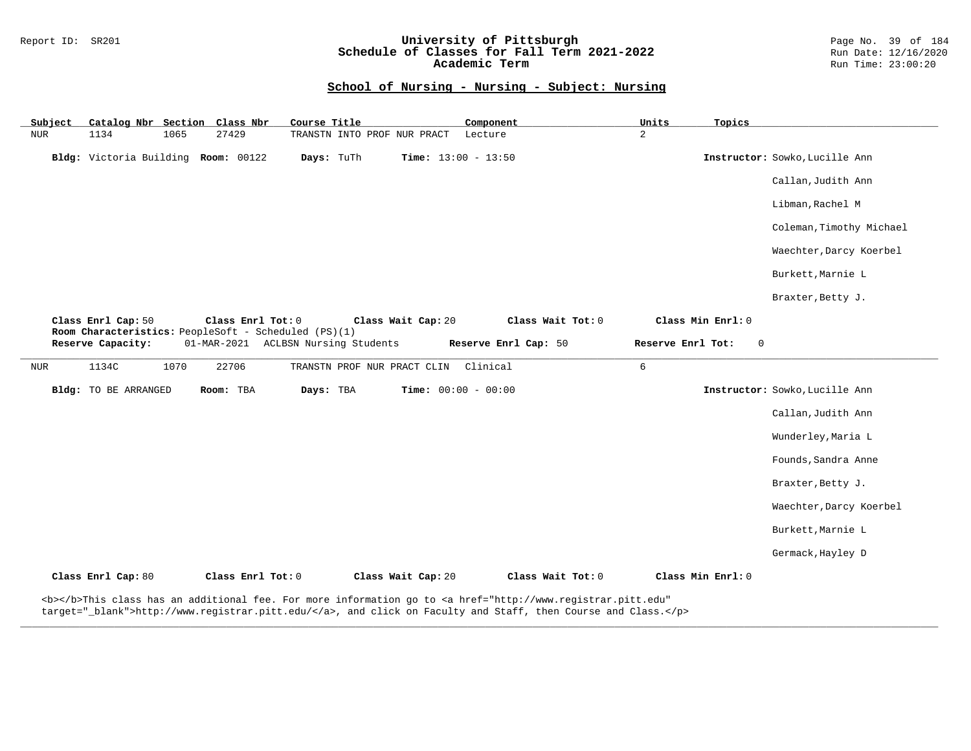### Report ID: SR201 **University of Pittsburgh** Page No. 39 of 184 **Schedule of Classes for Fall Term 2021-2022** Run Date: 12/16/2020 **Academic Term** Run Time: 23:00:20

| Catalog Nbr Section Class Nbr<br>Subject | Course Title                                                                                | Component                                                                                                                                                                                                                          | Units<br>Topics                  |                                |
|------------------------------------------|---------------------------------------------------------------------------------------------|------------------------------------------------------------------------------------------------------------------------------------------------------------------------------------------------------------------------------------|----------------------------------|--------------------------------|
| <b>NUR</b><br>1134<br>1065               | 27429<br>TRANSTN INTO PROF NUR PRACT                                                        | Lecture                                                                                                                                                                                                                            | $\overline{a}$                   |                                |
| Bldg: Victoria Building Room: 00122      | Days: TuTh                                                                                  | <b>Time:</b> $13:00 - 13:50$                                                                                                                                                                                                       |                                  | Instructor: Sowko, Lucille Ann |
|                                          |                                                                                             |                                                                                                                                                                                                                                    |                                  | Callan, Judith Ann             |
|                                          |                                                                                             |                                                                                                                                                                                                                                    |                                  | Libman, Rachel M               |
|                                          |                                                                                             |                                                                                                                                                                                                                                    |                                  | Coleman, Timothy Michael       |
|                                          |                                                                                             |                                                                                                                                                                                                                                    |                                  | Waechter, Darcy Koerbel        |
|                                          |                                                                                             |                                                                                                                                                                                                                                    |                                  | Burkett, Marnie L              |
|                                          |                                                                                             |                                                                                                                                                                                                                                    |                                  | Braxter, Betty J.              |
| Class Enrl Cap: 50                       | Class Enrl Tot: 0                                                                           | Class Wait Tot: 0<br>Class Wait Cap: 20                                                                                                                                                                                            | Class Min Enrl: 0                |                                |
| Reserve Capacity:                        | Room Characteristics: PeopleSoft - Scheduled (PS)(1)<br>01-MAR-2021 ACLBSN Nursing Students | Reserve Enrl Cap: 50                                                                                                                                                                                                               | Reserve Enrl Tot:<br>$\mathbf 0$ |                                |
|                                          |                                                                                             |                                                                                                                                                                                                                                    |                                  |                                |
| 1070<br>NUR<br>1134C                     | 22706<br>TRANSTN PROF NUR PRACT CLIN                                                        | Clinical                                                                                                                                                                                                                           | 6                                |                                |
| Bldg: TO BE ARRANGED                     | Room: TBA<br>Days: TBA                                                                      | <b>Time:</b> $00:00 - 00:00$                                                                                                                                                                                                       |                                  | Instructor: Sowko, Lucille Ann |
|                                          |                                                                                             |                                                                                                                                                                                                                                    |                                  | Callan, Judith Ann             |
|                                          |                                                                                             |                                                                                                                                                                                                                                    |                                  | Wunderley, Maria L             |
|                                          |                                                                                             |                                                                                                                                                                                                                                    |                                  | Founds, Sandra Anne            |
|                                          |                                                                                             |                                                                                                                                                                                                                                    |                                  | Braxter, Betty J.              |
|                                          |                                                                                             |                                                                                                                                                                                                                                    |                                  | Waechter, Darcy Koerbel        |
|                                          |                                                                                             |                                                                                                                                                                                                                                    |                                  | Burkett, Marnie L              |
|                                          |                                                                                             |                                                                                                                                                                                                                                    |                                  | Germack, Hayley D              |
| Class Enrl Cap: 80                       | Class Enrl Tot: 0                                                                           | Class Wait Cap: 20<br>Class Wait Tot: 0                                                                                                                                                                                            | Class Min Enrl: 0                |                                |
|                                          |                                                                                             | <b></b> This class has an additional fee. For more information go to <a <br="" href="http://www.registrar.pitt.edu">target="_blank"&gt;http://www.registrar.pitt.edu/</a> , and click on Faculty and Staff, then Course and Class. |                                  |                                |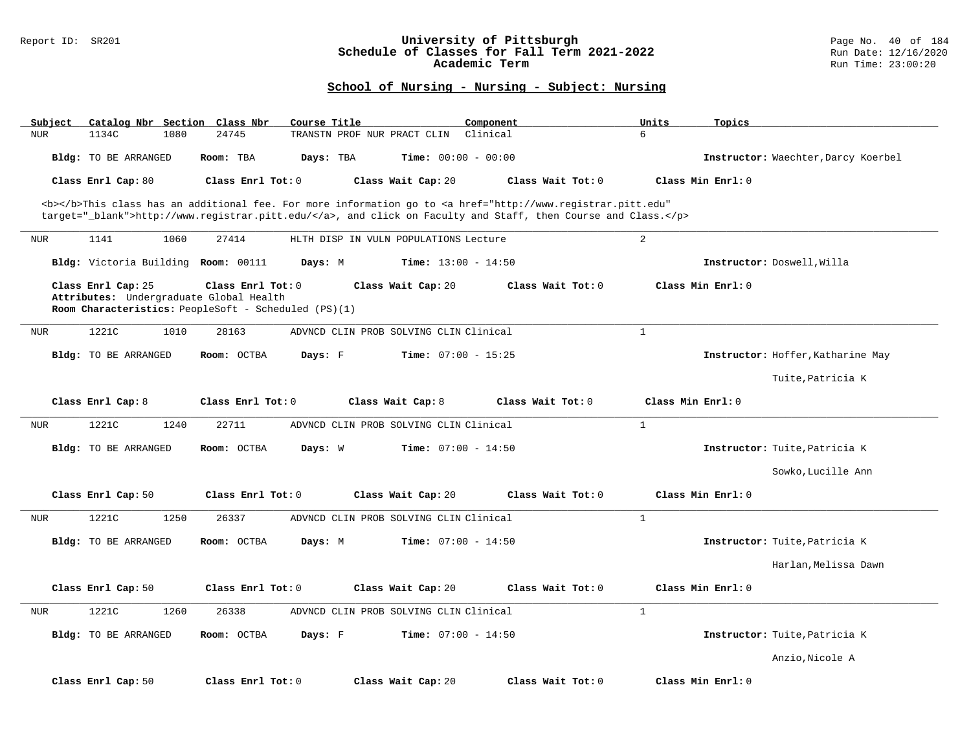### Report ID: SR201 **University of Pittsburgh** Page No. 40 of 184 **Schedule of Classes for Fall Term 2021-2022** Run Date: 12/16/2020 **Academic Term** Run Time: 23:00:20

| Catalog Nbr Section Class Nbr<br>Subject                      | Course Title                                                                                                                                                     |                                        | Component           | Units<br>Topics   |                                     |
|---------------------------------------------------------------|------------------------------------------------------------------------------------------------------------------------------------------------------------------|----------------------------------------|---------------------|-------------------|-------------------------------------|
| 1134C<br>1080<br><b>NUR</b>                                   | 24745                                                                                                                                                            | TRANSTN PROF NUR PRACT CLIN            | Clinical            | 6                 |                                     |
| <b>Bldg:</b> TO BE ARRANGED                                   | Room: TBA<br>Days: TBA                                                                                                                                           | Time: $00:00 - 00:00$                  |                     |                   | Instructor: Waechter, Darcy Koerbel |
| Class Enrl Cap: 80                                            | Class Enrl Tot: $0$                                                                                                                                              | Class Wait Cap: 20                     | Class Wait Tot: 0   | Class Min Enrl: 0 |                                     |
|                                                               | <b></b> This class has an additional fee. For more information go to <a <="" href="http://www.registrar.pitt.edu" td=""><td></td><td></td><td></td><td></td></a> |                                        |                     |                   |                                     |
|                                                               | target="_blank">http://www.registrar.pitt.edu/, and click on Faculty and Staff, then Course and Class.                                                           |                                        |                     |                   |                                     |
| <b>NUR</b><br>1141<br>1060                                    | 27414                                                                                                                                                            | HLTH DISP IN VULN POPULATIONS Lecture  |                     | $\overline{a}$    |                                     |
| Bldg: Victoria Building Room: 00111                           | Days: M                                                                                                                                                          | <b>Time:</b> $13:00 - 14:50$           |                     |                   | Instructor: Doswell, Willa          |
| Class Enrl Cap: 25<br>Attributes: Undergraduate Global Health | Class Enrl Tot: 0<br>Room Characteristics: PeopleSoft - Scheduled (PS)(1)                                                                                        | Class Wait Cap: 20                     | Class Wait Tot: 0   | Class Min Enrl: 0 |                                     |
| 1221C<br>1010<br><b>NUR</b>                                   | 28163                                                                                                                                                            | ADVNCD CLIN PROB SOLVING CLIN Clinical |                     | $\mathbf{1}$      |                                     |
| <b>Bldg:</b> TO BE ARRANGED                                   | Room: OCTBA<br>Days: F                                                                                                                                           | Time: $07:00 - 15:25$                  |                     |                   | Instructor: Hoffer, Katharine May   |
|                                                               |                                                                                                                                                                  |                                        |                     |                   |                                     |
|                                                               |                                                                                                                                                                  |                                        |                     |                   | Tuite, Patricia K                   |
| Class Enrl Cap: 8                                             | Class Enrl Tot: 0                                                                                                                                                | Class Wait Cap: 8                      | Class Wait Tot: 0   | Class Min Enrl: 0 |                                     |
| 1221C<br>1240<br><b>NUR</b>                                   | 22711                                                                                                                                                            | ADVNCD CLIN PROB SOLVING CLIN Clinical |                     | $\mathbf{1}$      |                                     |
| Bldg: TO BE ARRANGED                                          | Room: OCTBA<br>Days: W                                                                                                                                           | <b>Time:</b> $07:00 - 14:50$           |                     |                   | Instructor: Tuite, Patricia K       |
|                                                               |                                                                                                                                                                  |                                        |                     |                   | Sowko, Lucille Ann                  |
| Class Enrl Cap: 50                                            | Class Enrl Tot: 0                                                                                                                                                | Class Wait Cap: 20                     | Class Wait Tot: $0$ | Class Min Enrl: 0 |                                     |
| 1221C<br>1250<br><b>NUR</b>                                   | 26337                                                                                                                                                            | ADVNCD CLIN PROB SOLVING CLIN Clinical |                     | $\mathbf{1}$      |                                     |
| <b>Bldg:</b> TO BE ARRANGED                                   | Room: OCTBA<br>Days: M                                                                                                                                           | <b>Time:</b> $07:00 - 14:50$           |                     |                   | Instructor: Tuite, Patricia K       |
|                                                               |                                                                                                                                                                  |                                        |                     |                   | Harlan, Melissa Dawn                |
| Class Enrl Cap: 50                                            | Class Enrl Tot: 0                                                                                                                                                | Class Wait Cap: 20                     | Class Wait Tot: 0   | Class Min Enrl: 0 |                                     |
| 1221C<br>1260<br><b>NUR</b>                                   | 26338                                                                                                                                                            | ADVNCD CLIN PROB SOLVING CLIN Clinical |                     | $\mathbf{1}$      |                                     |
| Bldg: TO BE ARRANGED                                          | Room: OCTBA<br>Days: F                                                                                                                                           | <b>Time:</b> $07:00 - 14:50$           |                     |                   | Instructor: Tuite, Patricia K       |
|                                                               |                                                                                                                                                                  |                                        |                     |                   | Anzio, Nicole A                     |
| Class Enrl Cap: 50                                            | Class Enrl Tot: 0                                                                                                                                                | Class Wait Cap: 20                     | Class Wait Tot: 0   | Class Min Enrl: 0 |                                     |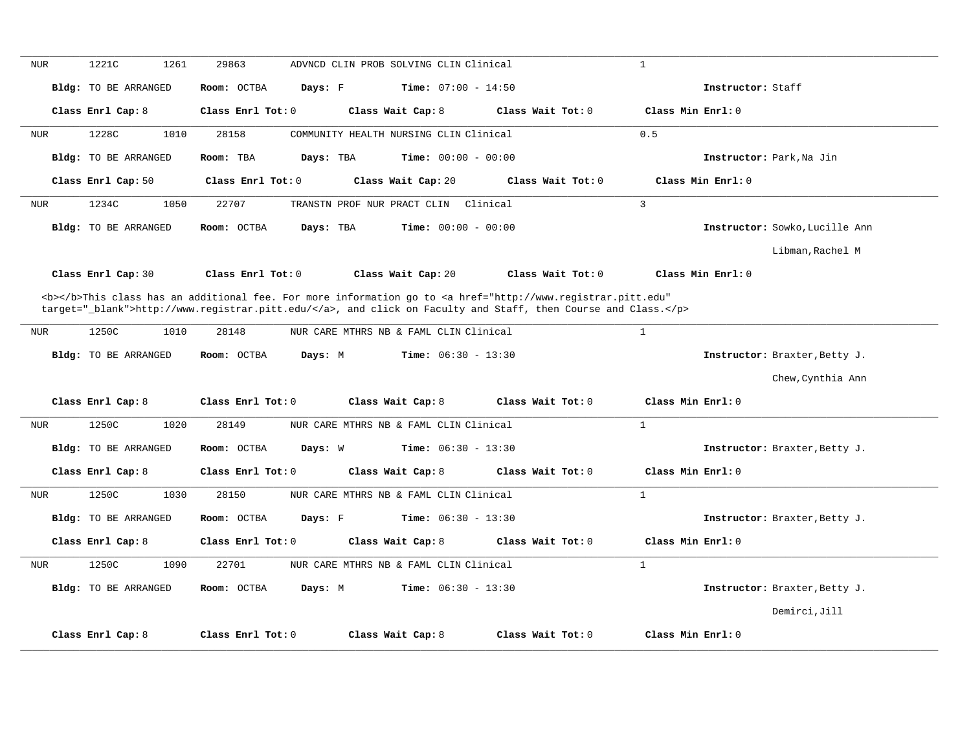| <b>NUR</b> | 1221C<br>1261               | 29863<br>ADVNCD CLIN PROB SOLVING CLIN Clinical                                                                                                | $\mathbf{1}$                           |                                |
|------------|-----------------------------|------------------------------------------------------------------------------------------------------------------------------------------------|----------------------------------------|--------------------------------|
|            | <b>Bldg:</b> TO BE ARRANGED | <b>Time:</b> $07:00 - 14:50$<br>Room: OCTBA<br>Days: F                                                                                         |                                        | Instructor: Staff              |
|            | Class Enrl Cap: 8           | Class Enrl Tot: 0<br>Class Wait Cap: 8                                                                                                         | Class Wait Tot: 0<br>Class Min Enrl: 0 |                                |
| <b>NUR</b> | 1228C<br>1010               | 28158<br>COMMUNITY HEALTH NURSING CLIN Clinical                                                                                                | 0.5                                    |                                |
|            | Bldg: TO BE ARRANGED        | Room: TBA<br>Days: TBA<br><b>Time:</b> $00:00 - 00:00$                                                                                         |                                        | Instructor: Park, Na Jin       |
|            | Class Enrl Cap: 50          | Class Enrl Tot: 0<br>Class Wait Cap: 20                                                                                                        | Class Wait Tot: 0                      | Class Min Enrl: 0              |
| <b>NUR</b> | 1050<br>1234C               | 22707<br>TRANSTN PROF NUR PRACT CLIN<br>Clinical                                                                                               | $\overline{3}$                         |                                |
|            | <b>Bldg:</b> TO BE ARRANGED | <b>Time:</b> $00:00 - 00:00$<br>Room: OCTBA<br>Days: TBA                                                                                       |                                        | Instructor: Sowko, Lucille Ann |
|            |                             |                                                                                                                                                |                                        | Libman, Rachel M               |
|            | Class Enrl Cap: 30          | Class Enrl Tot: 0<br>Class Wait Cap: 20                                                                                                        | Class Wait Tot: 0                      | Class Min Enrl: 0              |
|            |                             | <b></b> This class has an additional fee. For more information go to <a <="" href="http://www.registrar.pitt.edu" td=""><td></td><td></td></a> |                                        |                                |
|            |                             | target="_blank">http://www.registrar.pitt.edu/, and click on Faculty and Staff, then Course and Class.                                         |                                        |                                |
| NUR        | 1250C<br>1010               | 28148<br>NUR CARE MTHRS NB & FAML CLIN Clinical                                                                                                | $\mathbf{1}$                           |                                |
|            | Bldg: TO BE ARRANGED        | <b>Time:</b> $06:30 - 13:30$<br>Room: OCTBA<br>Days: M                                                                                         |                                        | Instructor: Braxter, Betty J.  |
|            |                             |                                                                                                                                                |                                        | Chew, Cynthia Ann              |
|            | Class Enrl Cap: 8           | Class Enrl Tot: 0<br>Class Wait Cap: 8                                                                                                         | Class Wait Tot: 0<br>Class Min Enrl: 0 |                                |
| <b>NUR</b> | 1250C<br>1020               | 28149<br>NUR CARE MTHRS NB & FAML CLIN Clinical                                                                                                | $\mathbf{1}$                           |                                |
|            | Bldg: TO BE ARRANGED        | <b>Time:</b> $06:30 - 13:30$<br>Room: OCTBA<br>Days: W                                                                                         |                                        | Instructor: Braxter, Betty J.  |
|            | Class Enrl Cap: 8           | Class Enrl Tot: 0<br>Class Wait Cap: 8                                                                                                         | Class Wait Tot: 0<br>Class Min Enrl: 0 |                                |
| NUR        | 1250C<br>1030               | 28150<br>NUR CARE MTHRS NB & FAML CLIN Clinical                                                                                                | $\mathbf{1}$                           |                                |
|            | Bldg: TO BE ARRANGED        | Room: OCTBA<br>Days: F<br><b>Time:</b> $06:30 - 13:30$                                                                                         |                                        | Instructor: Braxter, Betty J.  |
|            | Class Enrl Cap: 8           | Class Enrl Tot: 0<br>Class Wait Cap: 8                                                                                                         | Class Wait Tot: 0<br>Class Min Enrl: 0 |                                |
| NUR        | 1250C<br>1090               | NUR CARE MTHRS NB & FAML CLIN Clinical<br>22701                                                                                                | $\mathbf{1}$                           |                                |
|            | <b>Bldg:</b> TO BE ARRANGED | <b>Time:</b> $06:30 - 13:30$<br>Room: OCTBA<br>Days: M                                                                                         |                                        | Instructor: Braxter, Betty J.  |
|            |                             |                                                                                                                                                |                                        | Demirci, Jill                  |
|            | Class Enrl Cap: 8           | Class Enrl Tot: 0<br>Class Wait Cap: 8                                                                                                         | Class Wait Tot: 0<br>Class Min Enrl: 0 |                                |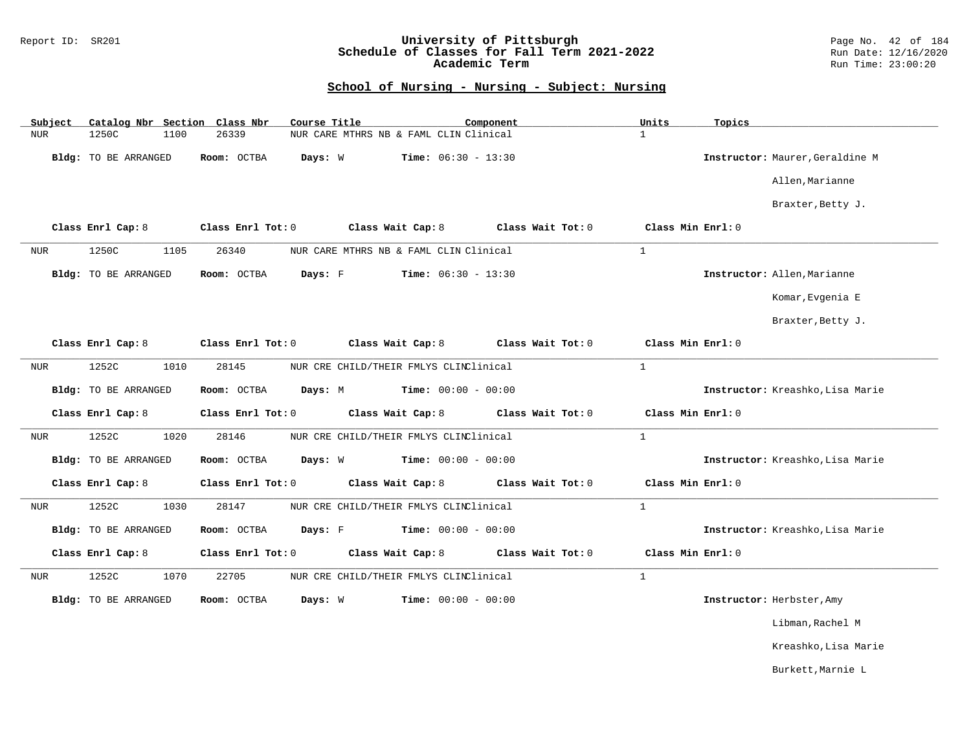### Report ID: SR201 **University of Pittsburgh** Page No. 42 of 184 **Schedule of Classes for Fall Term 2021-2022** Run Date: 12/16/2020 **Academic Term** Run Time: 23:00:20

| Subject    | Catalog Nbr Section Class Nbr |                   | Course Title                           | Component                    | Units<br>Topics                  |  |
|------------|-------------------------------|-------------------|----------------------------------------|------------------------------|----------------------------------|--|
| <b>NUR</b> | 1250C<br>1100                 | 26339             | NUR CARE MTHRS NB & FAML CLIN Clinical |                              | $\mathbf{1}$                     |  |
|            | Bldg: TO BE ARRANGED          | Room: OCTBA       | Days: W                                | <b>Time:</b> $06:30 - 13:30$ | Instructor: Maurer, Geraldine M  |  |
|            |                               |                   |                                        |                              | Allen, Marianne                  |  |
|            |                               |                   |                                        |                              | Braxter, Betty J.                |  |
|            | Class Enrl Cap: 8             | Class Enrl Tot: 0 | Class Wait Cap: 8                      | Class Wait Tot: 0            | Class Min Enrl: 0                |  |
| <b>NUR</b> | 1250C<br>1105                 | 26340             | NUR CARE MTHRS NB & FAML CLIN Clinical |                              | $\mathbf{1}$                     |  |
|            | Bldg: TO BE ARRANGED          | Room: OCTBA       | Days: F                                | <b>Time:</b> $06:30 - 13:30$ | Instructor: Allen, Marianne      |  |
|            |                               |                   |                                        |                              | Komar, Evgenia E                 |  |
|            |                               |                   |                                        |                              | Braxter, Betty J.                |  |
|            | Class Enrl Cap: 8             | Class Enrl Tot: 0 | Class Wait Cap: 8                      | Class Wait Tot: 0            | Class Min Enrl: 0                |  |
| NUR        | 1252C<br>1010                 | 28145             | NUR CRE CHILD/THEIR FMLYS CLINClinical |                              | $\mathbf{1}$                     |  |
|            | Bldg: TO BE ARRANGED          | Room: OCTBA       | Days: M                                | <b>Time:</b> $00:00 - 00:00$ | Instructor: Kreashko, Lisa Marie |  |
|            | Class Enrl Cap: 8             | Class Enrl Tot: 0 | Class Wait Cap: 8                      | Class Wait Tot: 0            | Class Min Enrl: 0                |  |
| <b>NUR</b> | 1252C<br>1020                 | 28146             | NUR CRE CHILD/THEIR FMLYS CLINClinical |                              | $\mathbf{1}$                     |  |
|            | Bldg: TO BE ARRANGED          | Room: OCTBA       | Days: W                                | <b>Time:</b> $00:00 - 00:00$ | Instructor: Kreashko, Lisa Marie |  |
|            | Class Enrl Cap: 8             | Class Enrl Tot: 0 | Class Wait Cap: 8                      | Class Wait Tot: $0$          | Class Min Enrl: 0                |  |
| NUR        | 1252C<br>1030                 | 28147             | NUR CRE CHILD/THEIR FMLYS CLINClinical |                              | $\mathbf{1}$                     |  |
|            | Bldg: TO BE ARRANGED          | Room: OCTBA       | Days: F                                | <b>Time:</b> $00:00 - 00:00$ | Instructor: Kreashko, Lisa Marie |  |
|            | Class Enrl Cap: 8             | Class Enrl Tot: 0 | Class Wait Cap: 8                      | Class Wait Tot: 0            | Class Min Enrl: 0                |  |
| NUR        | 1252C<br>1070                 | 22705             | NUR CRE CHILD/THEIR FMLYS CLINClinical |                              | $\mathbf{1}$                     |  |
|            | Bldg: TO BE ARRANGED          | Room: OCTBA       | Days: W                                | <b>Time:</b> $00:00 - 00:00$ | Instructor: Herbster, Amy        |  |
|            |                               |                   |                                        |                              | Libman, Rachel M                 |  |
|            |                               |                   |                                        |                              | Kreashko, Lisa Marie             |  |
|            |                               |                   |                                        |                              | Burkett, Marnie L                |  |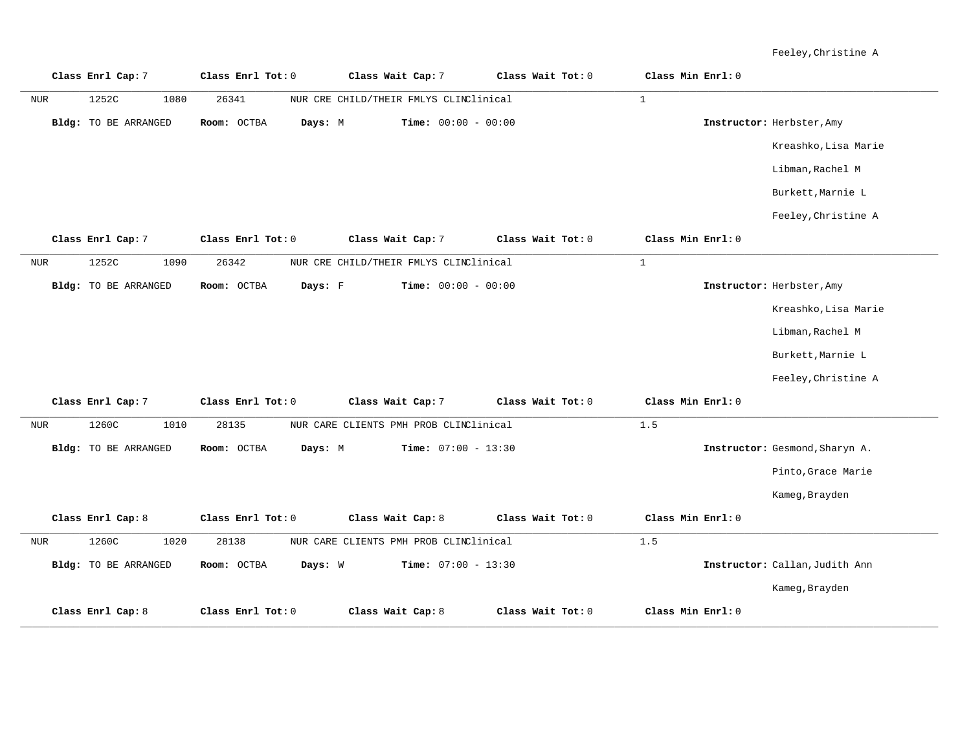Feeley,Christine A

|            | Class Enrl Cap: 7           | Class Enrl Tot: 0      | Class Wait Cap: 7                      | Class Wait Tot: 0 | Class Min Enrl: 0 |                                |
|------------|-----------------------------|------------------------|----------------------------------------|-------------------|-------------------|--------------------------------|
| <b>NUR</b> | 1252C<br>1080               | 26341                  | NUR CRE CHILD/THEIR FMLYS CLINClinical |                   | $\mathbf{1}$      |                                |
|            | <b>Bldg:</b> TO BE ARRANGED | Room: OCTBA<br>Days: M | Time: $00:00 - 00:00$                  |                   |                   | Instructor: Herbster, Amy      |
|            |                             |                        |                                        |                   |                   | Kreashko, Lisa Marie           |
|            |                             |                        |                                        |                   |                   | Libman, Rachel M               |
|            |                             |                        |                                        |                   |                   | Burkett, Marnie L              |
|            |                             |                        |                                        |                   |                   | Feeley, Christine A            |
|            | Class Enrl Cap: 7           | Class Enrl Tot: 0      | Class Wait Cap: 7                      | Class Wait Tot: 0 | Class Min Enrl: 0 |                                |
| <b>NUR</b> | 1252C<br>1090               | 26342                  | NUR CRE CHILD/THEIR FMLYS CLINClinical |                   | $\mathbf{1}$      |                                |
|            | Bldg: TO BE ARRANGED        | Days: F<br>Room: OCTBA | Time: $00:00 - 00:00$                  |                   |                   | Instructor: Herbster, Amy      |
|            |                             |                        |                                        |                   |                   | Kreashko, Lisa Marie           |
|            |                             |                        |                                        |                   |                   | Libman, Rachel M               |
|            |                             |                        |                                        |                   |                   | Burkett, Marnie L              |
|            |                             |                        |                                        |                   |                   | Feeley, Christine A            |
|            | Class Enrl Cap: 7           | Class Enrl Tot: 0      | Class Wait Cap: 7                      | Class Wait Tot: 0 | Class Min Enrl: 0 |                                |
| <b>NUR</b> | 1260C<br>1010               | 28135                  | NUR CARE CLIENTS PMH PROB CLINClinical |                   | 1.5               |                                |
|            | <b>Bldg:</b> TO BE ARRANGED | Room: OCTBA<br>Days: M | <b>Time:</b> $07:00 - 13:30$           |                   |                   | Instructor: Gesmond, Sharyn A. |
|            |                             |                        |                                        |                   |                   | Pinto, Grace Marie             |
|            |                             |                        |                                        |                   |                   | Kameg, Brayden                 |
|            | Class Enrl Cap: 8           | Class Enrl Tot: 0      | Class Wait Cap: 8                      | Class Wait Tot: 0 | Class Min Enrl: 0 |                                |
| NUR        | 1260C<br>1020               | 28138                  | NUR CARE CLIENTS PMH PROB CLINClinical |                   | 1.5               |                                |
|            | <b>Bldg:</b> TO BE ARRANGED | Room: OCTBA<br>Days: W | Time: $07:00 - 13:30$                  |                   |                   | Instructor: Callan, Judith Ann |
|            |                             |                        |                                        |                   |                   | Kameg, Brayden                 |
|            | Class Enrl Cap: 8           | Class Enrl Tot: 0      | Class Wait Cap: 8                      | Class Wait Tot: 0 | Class Min Enrl: 0 |                                |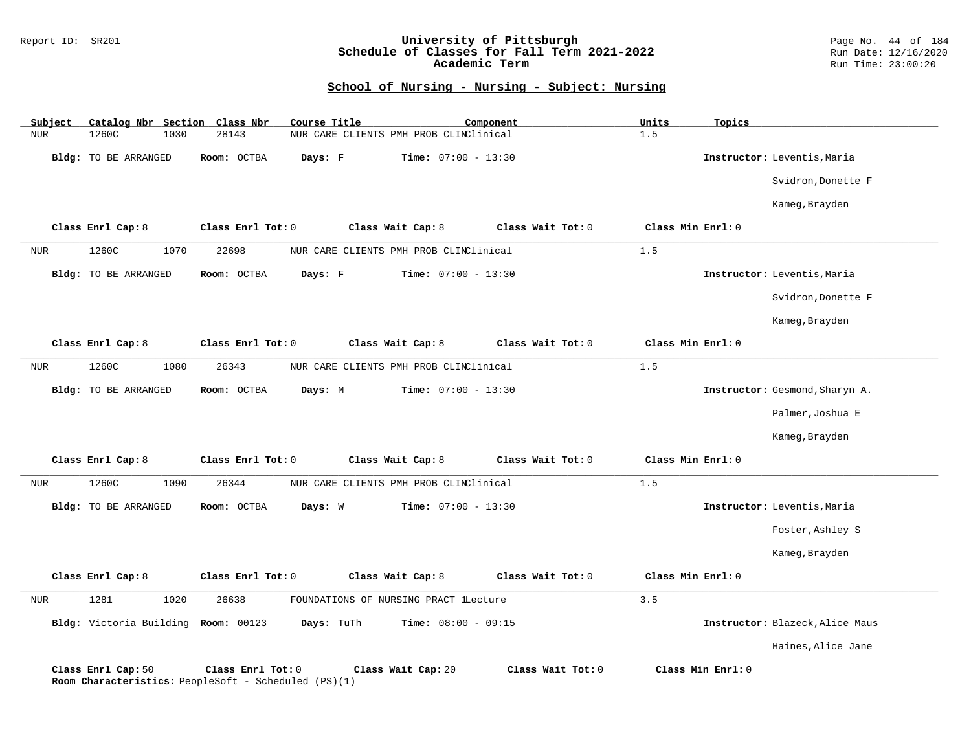#### Report ID: SR201 **University of Pittsburgh** Page No. 44 of 184 **Schedule of Classes for Fall Term 2021-2022** Run Date: 12/16/2020 **Academic Term** Run Time: 23:00:20

| Subject    | Catalog Nbr Section Class Nbr                                              |                   | Course Title |                                        | Component         | Units             | Topics            |                                 |
|------------|----------------------------------------------------------------------------|-------------------|--------------|----------------------------------------|-------------------|-------------------|-------------------|---------------------------------|
| <b>NUR</b> | 1260C<br>1030                                                              | 28143             |              | NUR CARE CLIENTS PMH PROB CLINClinical |                   | 1.5               |                   |                                 |
|            | Bldg: TO BE ARRANGED                                                       | Room: OCTBA       | Days: F      | <b>Time:</b> $07:00 - 13:30$           |                   |                   |                   | Instructor: Leventis, Maria     |
|            |                                                                            |                   |              |                                        |                   |                   |                   | Svidron, Donette F              |
|            |                                                                            |                   |              |                                        |                   |                   |                   | Kameg, Brayden                  |
|            | Class Enrl Cap: 8                                                          | Class Enrl Tot: 0 |              | Class Wait Cap: 8                      | Class Wait Tot: 0 | Class Min Enrl: 0 |                   |                                 |
| <b>NUR</b> | 1260C<br>1070                                                              | 22698             |              | NUR CARE CLIENTS PMH PROB CLINClinical |                   | 1.5               |                   |                                 |
|            | Bldg: TO BE ARRANGED                                                       | Room: OCTBA       | Days: F      | Time: $07:00 - 13:30$                  |                   |                   |                   | Instructor: Leventis, Maria     |
|            |                                                                            |                   |              |                                        |                   |                   |                   | Svidron, Donette F              |
|            |                                                                            |                   |              |                                        |                   |                   |                   | Kameg, Brayden                  |
|            | Class Enrl Cap: 8                                                          | Class Enrl Tot: 0 |              | Class Wait Cap: 8                      | Class Wait Tot: 0 | Class Min Enrl: 0 |                   |                                 |
| <b>NUR</b> | 1260C<br>1080                                                              | 26343             |              | NUR CARE CLIENTS PMH PROB CLINClinical |                   | 1.5               |                   |                                 |
|            | Bldg: TO BE ARRANGED                                                       | Room: OCTBA       | Days: M      | <b>Time:</b> $07:00 - 13:30$           |                   |                   |                   | Instructor: Gesmond, Sharyn A.  |
|            |                                                                            |                   |              |                                        |                   |                   |                   | Palmer, Joshua E                |
|            |                                                                            |                   |              |                                        |                   |                   |                   | Kameg, Brayden                  |
|            | Class Enrl Cap: 8                                                          | Class Enrl Tot: 0 |              | Class Wait Cap: 8                      | Class Wait Tot: 0 | Class Min Enrl: 0 |                   |                                 |
| NUR        | 1260C<br>1090                                                              | 26344             |              | NUR CARE CLIENTS PMH PROB CLINClinical |                   | 1.5               |                   |                                 |
|            | <b>Bldg:</b> TO BE ARRANGED                                                | Room: OCTBA       | Days: W      | <b>Time:</b> $07:00 - 13:30$           |                   |                   |                   | Instructor: Leventis, Maria     |
|            |                                                                            |                   |              |                                        |                   |                   |                   | Foster, Ashley S                |
|            |                                                                            |                   |              |                                        |                   |                   |                   | Kameg, Brayden                  |
|            | Class Enrl Cap: 8                                                          | Class Enrl Tot: 0 |              | Class Wait Cap: 8                      | Class Wait Tot: 0 | Class Min Enrl: 0 |                   |                                 |
| <b>NUR</b> | 1281<br>1020                                                               | 26638             |              | FOUNDATIONS OF NURSING PRACT lLecture  |                   | 3.5               |                   |                                 |
|            | Bldg: Victoria Building Room: 00123                                        |                   | Days: TuTh   | <b>Time:</b> $08:00 - 09:15$           |                   |                   |                   | Instructor: Blazeck, Alice Maus |
|            |                                                                            |                   |              |                                        |                   |                   |                   | Haines, Alice Jane              |
|            | Class Enrl Cap: 50<br>Room Characteristics: PeopleSoft - Scheduled (PS)(1) | Class Enrl Tot: 0 |              | Class Wait Cap: 20                     | Class Wait Tot: 0 |                   | Class Min Enrl: 0 |                                 |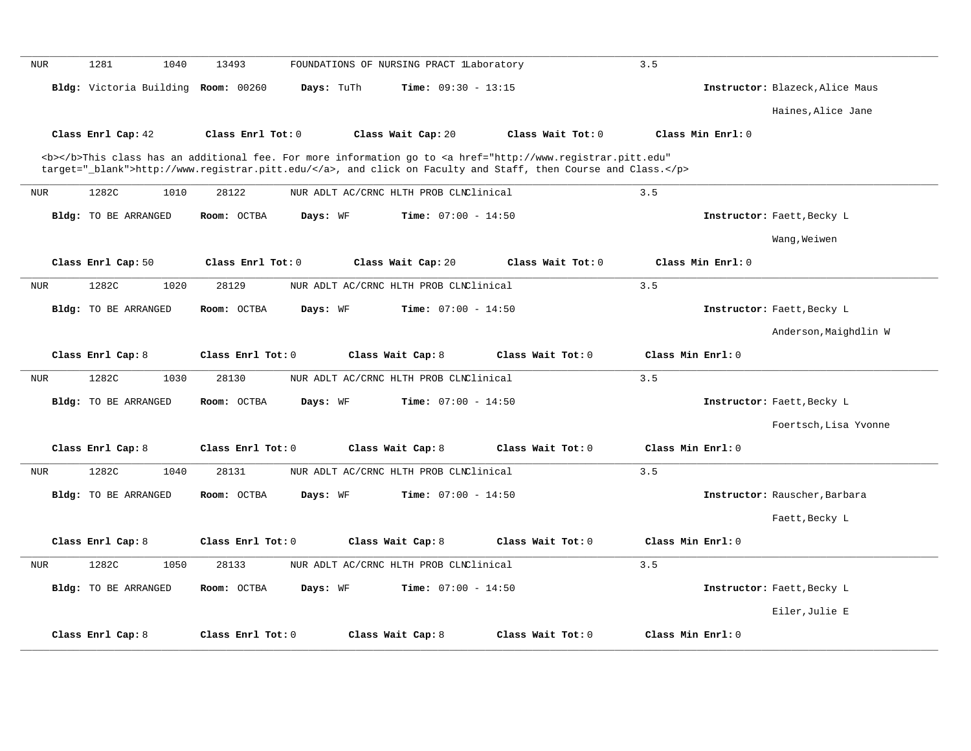| <b>NUR</b> | 1281<br>1040                        | 13493                   | FOUNDATIONS OF NURSING PRACT LLaboratory                                                                                                       | 3.5                                    |                                 |
|------------|-------------------------------------|-------------------------|------------------------------------------------------------------------------------------------------------------------------------------------|----------------------------------------|---------------------------------|
|            | Bldg: Victoria Building Room: 00260 | Days: TuTh              | Time: $09:30 - 13:15$                                                                                                                          |                                        | Instructor: Blazeck, Alice Maus |
|            |                                     |                         |                                                                                                                                                |                                        | Haines, Alice Jane              |
|            | Class Enrl Cap: 42                  | Class Enrl Tot: 0       | Class Wait Cap: 20                                                                                                                             | Class Wait Tot: 0<br>Class Min Enrl: 0 |                                 |
|            |                                     |                         | <b></b> This class has an additional fee. For more information go to <a <="" href="http://www.registrar.pitt.edu" th=""><th></th><th></th></a> |                                        |                                 |
|            |                                     |                         | target="_blank">http://www.registrar.pitt.edu/, and click on Faculty and Staff, then Course and Class.                                         |                                        |                                 |
| NUR        | 1282C<br>1010                       | 28122                   | NUR ADLT AC/CRNC HLTH PROB CLNClinical                                                                                                         | 3.5                                    |                                 |
|            | <b>Bldg:</b> TO BE ARRANGED         | Room: OCTBA<br>Days: WF | <b>Time:</b> $07:00 - 14:50$                                                                                                                   |                                        | Instructor: Faett, Becky L      |
|            |                                     |                         |                                                                                                                                                |                                        | Wang, Weiwen                    |
|            | Class Enrl Cap: 50                  | Class Enrl Tot: 0       | Class Wait Cap: 20                                                                                                                             | Class Wait Tot: 0<br>Class Min Enrl: 0 |                                 |
| <b>NUR</b> | 1282C<br>1020                       | 28129                   | NUR ADLT AC/CRNC HLTH PROB CLNClinical                                                                                                         | 3.5                                    |                                 |
|            | Bldg: TO BE ARRANGED                | Days: WF<br>Room: OCTBA | <b>Time:</b> $07:00 - 14:50$                                                                                                                   |                                        | Instructor: Faett, Becky L      |
|            |                                     |                         |                                                                                                                                                |                                        | Anderson, Maighdlin W           |
|            | Class Enrl Cap: 8                   | Class Enrl Tot: 0       | Class Wait Cap: 8                                                                                                                              | Class Wait Tot: 0<br>Class Min Enrl: 0 |                                 |
| NUR        | 1282C<br>1030                       | 28130                   | NUR ADLT AC/CRNC HLTH PROB CLNClinical                                                                                                         | 3.5                                    |                                 |
|            | <b>Bldg:</b> TO BE ARRANGED         | Room: OCTBA<br>Days: WF | <b>Time:</b> $07:00 - 14:50$                                                                                                                   |                                        | Instructor: Faett, Becky L      |
|            |                                     |                         |                                                                                                                                                |                                        | Foertsch, Lisa Yvonne           |
|            | Class Enrl Cap: 8                   | Class Enrl Tot: 0       | Class Wait Cap: 8                                                                                                                              | Class Min Enrl: 0<br>Class Wait Tot: 0 |                                 |
| <b>NUR</b> | 1282C<br>1040                       | 28131                   | NUR ADLT AC/CRNC HLTH PROB CLNClinical                                                                                                         | 3.5                                    |                                 |
|            | Bldg: TO BE ARRANGED                | Room: OCTBA<br>Days: WF | <b>Time:</b> $07:00 - 14:50$                                                                                                                   |                                        | Instructor: Rauscher, Barbara   |
|            |                                     |                         |                                                                                                                                                |                                        | Faett, Becky L                  |
|            | Class Enrl Cap: 8                   | Class Enrl Tot: 0       | Class Wait Cap: 8                                                                                                                              | Class Min Enrl: 0<br>Class Wait Tot: 0 |                                 |
| <b>NUR</b> | 1282C<br>1050                       | 28133                   | NUR ADLT AC/CRNC HLTH PROB CLNClinical                                                                                                         | 3.5                                    |                                 |
|            | <b>Bldg:</b> TO BE ARRANGED         | Room: OCTBA<br>Days: WF | Time: $07:00 - 14:50$                                                                                                                          |                                        | Instructor: Faett, Becky L      |
|            |                                     |                         |                                                                                                                                                |                                        | Eiler, Julie E                  |
|            | Class Enrl Cap: 8                   | $Class$ $Enr1$ $Tot: 0$ | Class Wait Cap: 8                                                                                                                              | Class Wait Tot: 0<br>Class Min Enrl: 0 |                                 |
|            |                                     |                         |                                                                                                                                                |                                        |                                 |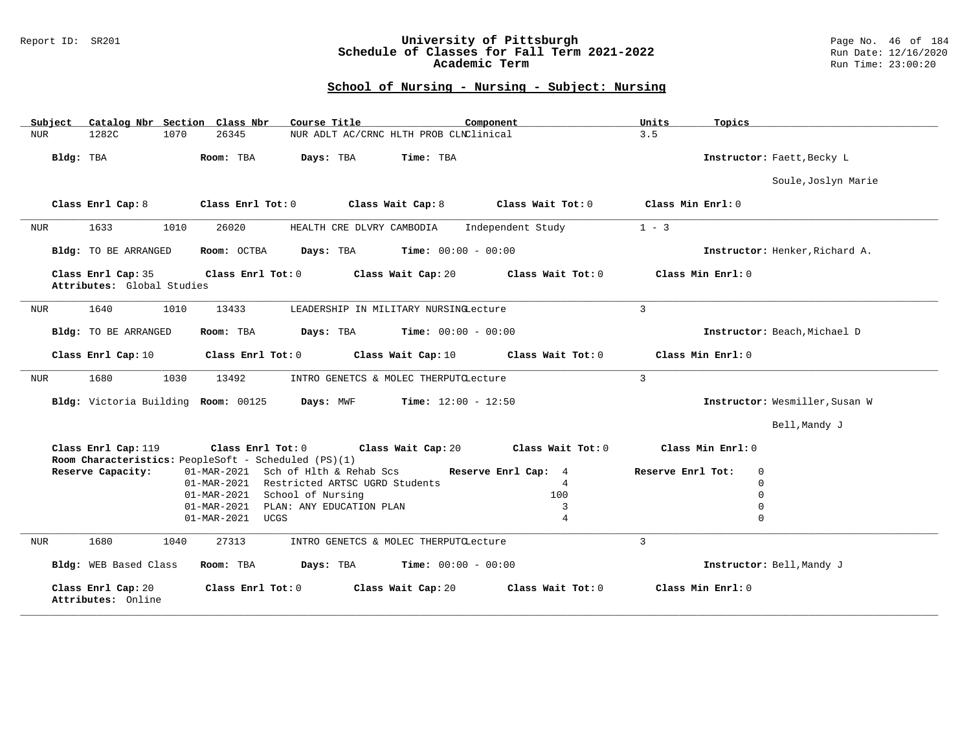### Report ID: SR201 **University of Pittsburgh** Page No. 46 of 184 **Schedule of Classes for Fall Term 2021-2022** Run Date: 12/16/2020 **Academic Term** Run Time: 23:00:20

| Subject                                          | Catalog Nbr Section Class Nbr                        | Course Title                               | Component                    | Units<br>Topics               |                                |
|--------------------------------------------------|------------------------------------------------------|--------------------------------------------|------------------------------|-------------------------------|--------------------------------|
| <b>NUR</b><br>1282C                              | 1070<br>26345                                        | NUR ADLT AC/CRNC HLTH PROB CLNClinical     |                              | 3.5                           |                                |
| Bldg: TBA                                        | Room: TBA                                            | Time: TBA<br>Days: TBA                     |                              | Instructor: Faett, Becky L    |                                |
|                                                  |                                                      |                                            |                              |                               | Soule, Joslyn Marie            |
| Class Enrl Cap: 8                                | Class Enrl Tot: 0                                    | Class Wait Cap: 8                          | Class Wait Tot: 0            | Class Min Enrl: 0             |                                |
| 1633<br><b>NUR</b>                               | 1010<br>26020                                        | HEALTH CRE DLVRY CAMBODIA                  | Independent Study            | $1 - 3$                       |                                |
| Bldg: TO BE ARRANGED                             | Room: OCTBA                                          | Days: TBA                                  | <b>Time:</b> $00:00 - 00:00$ |                               | Instructor: Henker, Richard A. |
| Class Enrl Cap: 35<br>Attributes: Global Studies |                                                      | Class Enrl Tot: 0 Class Wait Cap: 20       | Class Wait Tot: 0            | Class Min Enrl: 0             |                                |
| 1640<br>NUR                                      | 1010<br>13433                                        | LEADERSHIP IN MILITARY NURSINGLecture      |                              | 3                             |                                |
| Bldg: TO BE ARRANGED                             | Room: TBA                                            | Days: TBA                                  | <b>Time:</b> $00:00 - 00:00$ | Instructor: Beach, Michael D  |                                |
| Class Enrl Cap: 10                               | Class Enrl Tot: 0                                    | Class Wait Cap: 10                         | Class Wait Tot: 0            | Class Min Enrl: 0             |                                |
| 1680<br><b>NUR</b>                               | 1030<br>13492                                        | INTRO GENETCS & MOLEC THERPUTCLecture      |                              | $\overline{3}$                |                                |
|                                                  | Bldg: Victoria Building Room: 00125                  | Days: MWF                                  | <b>Time:</b> $12:00 - 12:50$ |                               | Instructor: Wesmiller, Susan W |
|                                                  |                                                      |                                            |                              |                               | Bell, Mandy J                  |
| Class Enrl Cap: 119                              | Room Characteristics: PeopleSoft - Scheduled (PS)(1) | Class Enrl Tot: 0 Class Wait Cap: 20       | Class Wait Tot: 0            | Class Min Enrl: 0             |                                |
| Reserve Capacity:                                |                                                      | 01-MAR-2021 Sch of Hlth & Rehab Scs        | Reserve Enrl Cap: 4          | $\Omega$<br>Reserve Enrl Tot: |                                |
|                                                  |                                                      | 01-MAR-2021 Restricted ARTSC UGRD Students | $\overline{4}$               | $\Omega$                      |                                |
|                                                  | 01-MAR-2021                                          | School of Nursing                          | 100                          | $\Omega$                      |                                |
|                                                  | 01-MAR-2021                                          | PLAN: ANY EDUCATION PLAN                   | 3                            | $\Omega$                      |                                |
|                                                  | 01-MAR-2021 UCGS                                     |                                            | $\overline{4}$               | $\Omega$                      |                                |
| 1680<br><b>NUR</b>                               | 27313<br>1040                                        | INTRO GENETCS & MOLEC THERPUTCLecture      |                              | $\overline{3}$                |                                |
| Bldg: WEB Based Class                            | Room: TBA                                            | Days: TBA                                  | <b>Time:</b> $00:00 - 00:00$ | Instructor: Bell, Mandy J     |                                |
| Class Enrl Cap: 20<br>Attributes: Online         | Class Enrl Tot: 0                                    | Class Wait Cap: 20                         | Class Wait Tot: 0            | Class Min Enrl: 0             |                                |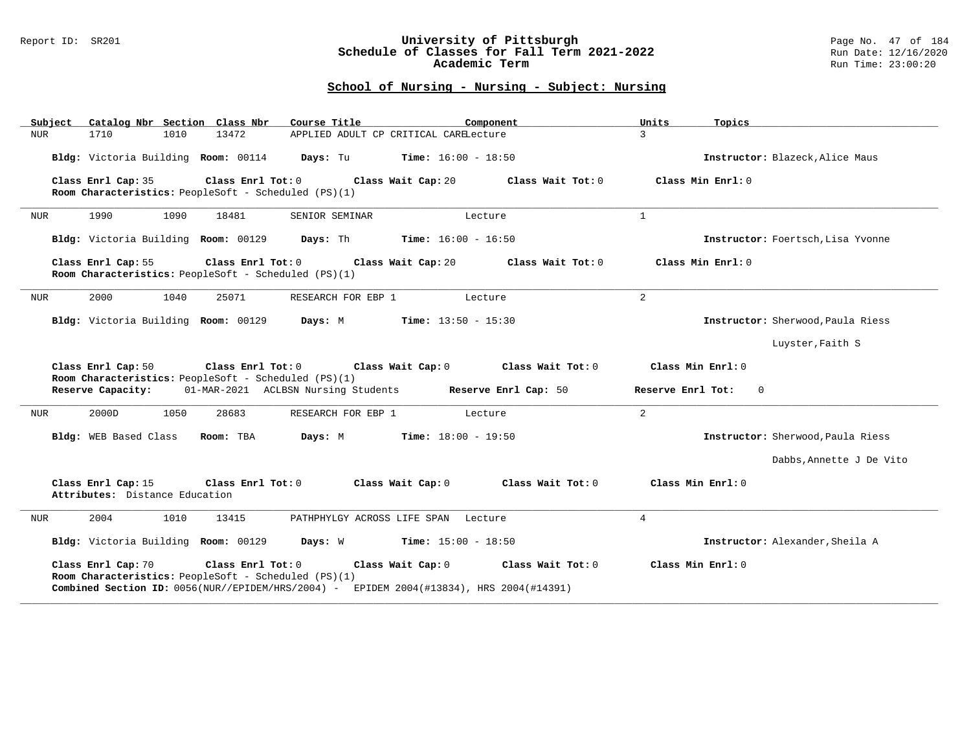#### Report ID: SR201 **University of Pittsburgh** Page No. 47 of 184 **Schedule of Classes for Fall Term 2021-2022** Run Date: 12/16/2020 **Academic Term** Run Time: 23:00:20

| Catalog Nbr Section Class Nbr<br>Subject                                   | Course Title                                                                                                                               | Component                    | Units<br>Topics                     |
|----------------------------------------------------------------------------|--------------------------------------------------------------------------------------------------------------------------------------------|------------------------------|-------------------------------------|
| <b>NUR</b><br>1710<br>1010                                                 | 13472<br>APPLIED ADULT CP CRITICAL CARELecture                                                                                             |                              | $\mathcal{L}$                       |
| Bldg: Victoria Building Room: 00114                                        | Days: Tu                                                                                                                                   | <b>Time:</b> $16:00 - 18:50$ | Instructor: Blazeck, Alice Maus     |
| Class Enrl Cap: 35<br>Room Characteristics: PeopleSoft - Scheduled (PS)(1) | Class Enrl Tot: $0$<br>Class Wait Cap: 20                                                                                                  | Class Wait Tot: 0            | Class Min Enrl: 0                   |
| 1990<br>1090<br><b>NUR</b>                                                 | 18481<br>SENIOR SEMINAR                                                                                                                    | Lecture                      | $\mathbf{1}$                        |
| Bldg: Victoria Building Room: 00129                                        | Days: Th                                                                                                                                   | <b>Time:</b> $16:00 - 16:50$ | Instructor: Foertsch. Lisa Yvonne   |
| Class Enrl Cap: 55<br>Room Characteristics: PeopleSoft - Scheduled (PS)(1) | Class Enrl Tot: 0<br>Class Wait Cap: 20                                                                                                    | Class Wait Tot: 0            | Class Min Enrl: 0                   |
| 2000<br>1040<br>NUR                                                        | 25071<br>RESEARCH FOR EBP 1                                                                                                                | Lecture                      | $\overline{2}$                      |
| Bldg: Victoria Building Room: 00129                                        | Days: M                                                                                                                                    | <b>Time:</b> $13:50 - 15:30$ | Instructor: Sherwood, Paula Riess   |
|                                                                            |                                                                                                                                            |                              | Luyster, Faith S                    |
| Class Enrl Cap: 50<br>Room Characteristics: PeopleSoft - Scheduled (PS)(1) | Class Enrl Tot: 0<br>Class Wait Cap: 0                                                                                                     | Class Wait Tot: 0            | Class Min Enrl: 0                   |
| Reserve Capacity:                                                          | 01-MAR-2021 ACLBSN Nursing Students                                                                                                        | Reserve Enrl Cap: 50         | Reserve Enrl Tot:<br>$\overline{0}$ |
| 2000D<br>1050<br><b>NUR</b>                                                | 28683<br>RESEARCH FOR EBP 1                                                                                                                | Lecture                      | $\overline{a}$                      |
| Bldg: WEB Based Class                                                      | Room: TBA<br>Days: M                                                                                                                       | <b>Time:</b> $18:00 - 19:50$ | Instructor: Sherwood, Paula Riess   |
|                                                                            |                                                                                                                                            |                              | Dabbs, Annette J De Vito            |
| Class Enrl Cap: 15<br>Attributes: Distance Education                       | Class Enrl Tot: 0<br>Class Wait Cap: 0                                                                                                     | Class Wait Tot: 0            | Class Min Enrl: 0                   |
| 2004<br>1010<br><b>NUR</b>                                                 | 13415<br>PATHPHYLGY ACROSS LIFE SPAN Lecture                                                                                               |                              | $\overline{4}$                      |
| Bldg: Victoria Building Room: 00129                                        | Days: W                                                                                                                                    | <b>Time:</b> $15:00 - 18:50$ | Instructor: Alexander, Sheila A     |
| Class Enrl Cap: 70<br>Room Characteristics: PeopleSoft - Scheduled (PS)(1) | Class Enrl Tot: 0<br>Class Wait Cap: 0<br><b>Combined Section ID:</b> $0056(NUR//EPIDEM/HRS/2004)$ - EPIDEM 2004(#13834), HRS 2004(#14391) | Class Wait Tot: 0            | Class Min Enrl: 0                   |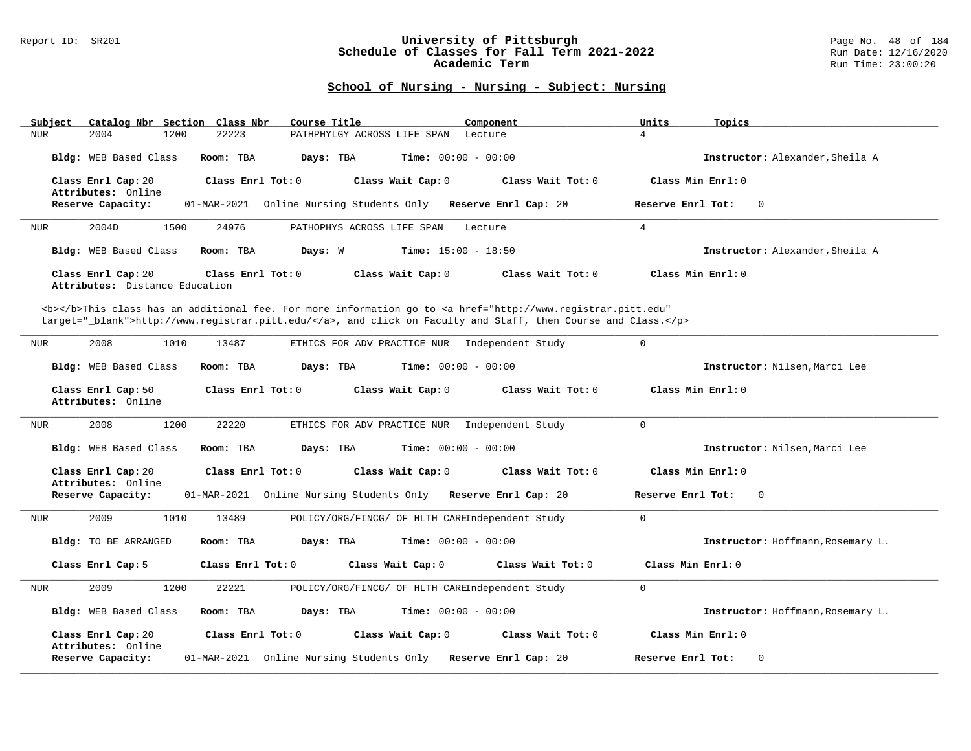#### Report ID: SR201 **University of Pittsburgh** Page No. 48 of 184 **Schedule of Classes for Fall Term 2021-2022** Run Date: 12/16/2020 **Academic Term** Run Time: 23:00:20

| Subject Catalog Nbr Section Class Nbr                | Course Title                                                                                                                                                                                                                       | Component         | Units<br>Topics                   |
|------------------------------------------------------|------------------------------------------------------------------------------------------------------------------------------------------------------------------------------------------------------------------------------------|-------------------|-----------------------------------|
| 2004<br><b>NUR</b><br>1200                           | 22223<br>PATHPHYLGY ACROSS LIFE SPAN                                                                                                                                                                                               | Lecture           | $\overline{4}$                    |
| Bldg: WEB Based Class                                | Room: TBA<br>Days: TBA<br><b>Time:</b> $00:00 - 00:00$                                                                                                                                                                             |                   | Instructor: Alexander, Sheila A   |
| Class Enrl Cap: 20<br>Attributes: Online             | Class Enrl Tot: $0$<br>Class Wait Cap: 0                                                                                                                                                                                           | Class Wait Tot: 0 | Class Min Enrl: 0                 |
| Reserve Capacity:                                    | 01-MAR-2021 Online Nursing Students Only Reserve Enrl Cap: 20                                                                                                                                                                      |                   | $\Omega$<br>Reserve Enrl Tot:     |
| 2004D<br>1500<br><b>NUR</b>                          | 24976<br>PATHOPHYS ACROSS LIFE SPAN                                                                                                                                                                                                | Lecture           | $\overline{4}$                    |
| Bldg: WEB Based Class                                | Room: TBA<br><b>Time:</b> $15:00 - 18:50$<br>Days: W                                                                                                                                                                               |                   | Instructor: Alexander, Sheila A   |
| Class Enrl Cap: 20<br>Attributes: Distance Education | Class Enrl Tot: 0<br>Class Wait Cap: 0                                                                                                                                                                                             | Class Wait Tot: 0 | Class Min $Enr1: 0$               |
|                                                      | <b></b> This class has an additional fee. For more information go to <a <br="" href="http://www.registrar.pitt.edu">target="_blank"&gt;http://www.registrar.pitt.edu/</a> , and click on Faculty and Staff, then Course and Class. |                   |                                   |
| 2008<br>1010<br><b>NUR</b>                           | 13487<br>ETHICS FOR ADV PRACTICE NUR Independent Study                                                                                                                                                                             |                   | $\mathbf 0$                       |
| Bldg: WEB Based Class                                | <b>Time:</b> $00:00 - 00:00$<br>Room: TBA<br>Days: TBA                                                                                                                                                                             |                   | Instructor: Nilsen, Marci Lee     |
| Class Enrl Cap: 50<br>Attributes: Online             | Class Enrl Tot: 0<br>Class Wait Cap: 0                                                                                                                                                                                             | Class Wait Tot: 0 | Class Min Enrl: 0                 |
| 2008<br>1200<br>NUR                                  | 22220<br>ETHICS FOR ADV PRACTICE NUR Independent Study                                                                                                                                                                             |                   | $\Omega$                          |
| Bldg: WEB Based Class                                | Room: TBA<br>Days: TBA<br><b>Time:</b> $00:00 - 00:00$                                                                                                                                                                             |                   | Instructor: Nilsen. Marci Lee     |
| Class Enrl Cap: 20<br>Attributes: Online             | Class Enrl Tot: 0<br>Class Wait Cap: 0                                                                                                                                                                                             | Class Wait Tot: 0 | Class Min Enrl: 0                 |
| Reserve Capacity:                                    | 01-MAR-2021 Online Nursing Students Only Reserve Enrl Cap: 20                                                                                                                                                                      |                   | Reserve Enrl Tot:<br>$\Omega$     |
| 2009<br>1010<br><b>NUR</b>                           | POLICY/ORG/FINCG/ OF HLTH CAREIndependent Study<br>13489                                                                                                                                                                           |                   | $\Omega$                          |
| Bldg: TO BE ARRANGED                                 | Days: TBA<br><b>Time:</b> $00:00 - 00:00$<br>Room: TBA                                                                                                                                                                             |                   | Instructor: Hoffmann, Rosemary L. |
| Class Enrl Cap: 5                                    | Class Enrl Tot: 0<br>Class Wait Cap: 0                                                                                                                                                                                             | Class Wait Tot: 0 | Class Min Enrl: 0                 |
| 2009<br>1200<br>NUR                                  | 22221<br>POLICY/ORG/FINCG/ OF HLTH CAREIndependent Study                                                                                                                                                                           |                   | $\Omega$                          |
| Bldg: WEB Based Class                                | <b>Time:</b> $00:00 - 00:00$<br>Room: TBA<br>Days: TBA                                                                                                                                                                             |                   | Instructor: Hoffmann, Rosemary L. |
| Class Enrl Cap: 20<br>Attributes: Online             | Class Enrl Tot: 0<br>Class Wait Cap: 0                                                                                                                                                                                             | Class Wait Tot: 0 | Class Min Enrl: 0                 |
| Reserve Capacity:                                    | 01-MAR-2021 Online Nursing Students Only Reserve Enrl Cap: 20                                                                                                                                                                      |                   | Reserve Enrl Tot:<br>0            |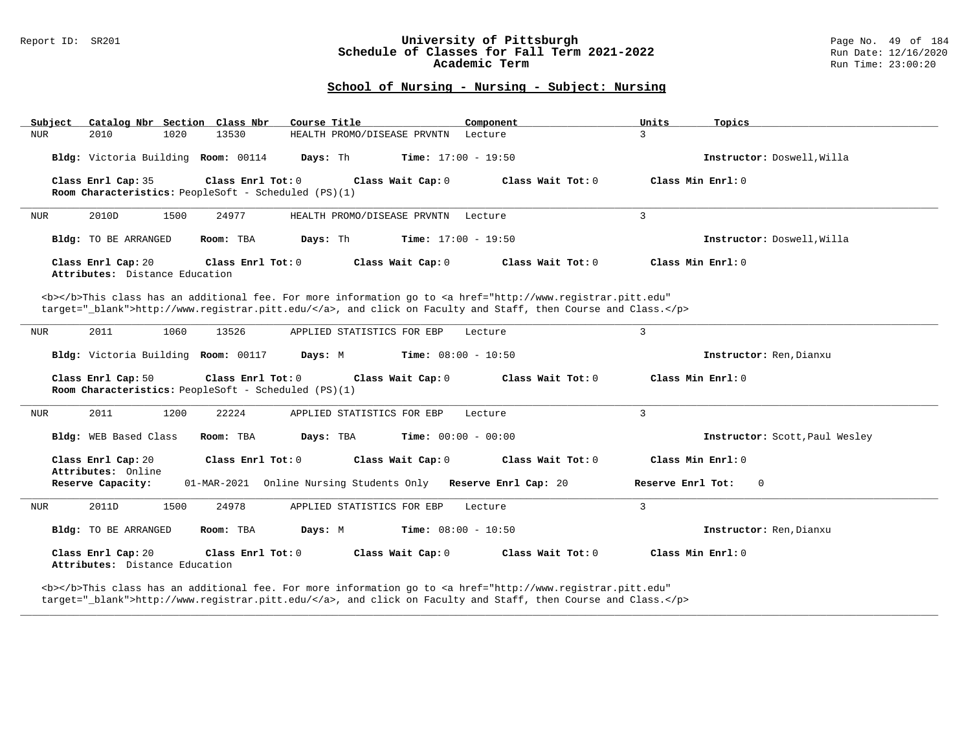### Report ID: SR201 **University of Pittsburgh** Page No. 49 of 184 **Schedule of Classes for Fall Term 2021-2022** Run Date: 12/16/2020 **Academic Term** Run Time: 23:00:20

## **School of Nursing - Nursing - Subject: Nursing**

| Catalog Nbr Section Class Nbr<br>Subject             | Course Title                                                                                                                                                                                                                       | Component                                                                                                                                                            | Units<br>Topics                |
|------------------------------------------------------|------------------------------------------------------------------------------------------------------------------------------------------------------------------------------------------------------------------------------------|----------------------------------------------------------------------------------------------------------------------------------------------------------------------|--------------------------------|
| <b>NUR</b><br>2010<br>1020                           | 13530<br>HEALTH PROMO/DISEASE PRVNTN                                                                                                                                                                                               | Lecture                                                                                                                                                              | $\mathcal{L}$                  |
| Bldg: Victoria Building Room: 00114                  | Days: Th<br><b>Time:</b> $17:00 - 19:50$                                                                                                                                                                                           |                                                                                                                                                                      | Instructor: Doswell, Willa     |
| Class Enrl Cap: 35                                   | Class Enrl Tot: 0<br>Class Wait Cap: 0<br>Room Characteristics: PeopleSoft - Scheduled (PS)(1)                                                                                                                                     | Class Wait Tot: 0                                                                                                                                                    | Class Min Enrl: 0              |
| 2010D<br>1500<br>NUR                                 | 24977<br>HEALTH PROMO/DISEASE PRVNTN                                                                                                                                                                                               | Lecture                                                                                                                                                              | $\mathbf{3}$                   |
| Bldg: TO BE ARRANGED                                 | Days: Th<br><b>Time:</b> $17:00 - 19:50$<br>Room: TBA                                                                                                                                                                              |                                                                                                                                                                      | Instructor: Doswell, Willa     |
| Class Enrl Cap: 20<br>Attributes: Distance Education | Class Enrl Tot: 0<br>Class Wait Cap: 0                                                                                                                                                                                             | Class Wait Tot: 0                                                                                                                                                    | Class Min Enrl: 0              |
|                                                      | <b></b> This class has an additional fee. For more information go to <a <br="" href="http://www.registrar.pitt.edu">target=" blank"&gt;http://www.registrar.pitt.edu/</a> , and click on Faculty and Staff, then Course and Class. |                                                                                                                                                                      |                                |
| 1060<br>2011<br>NUR                                  | 13526<br>APPLIED STATISTICS FOR EBP                                                                                                                                                                                                | Lecture                                                                                                                                                              | 3                              |
| Bldg: Victoria Building Room: 00117                  | Time: $08:00 - 10:50$<br>Days: M                                                                                                                                                                                                   |                                                                                                                                                                      | Instructor: Ren, Dianxu        |
| Class Enrl Cap: 50                                   | Class Enrl Tot: 0<br>Class Wait Cap: 0<br>Room Characteristics: PeopleSoft - Scheduled (PS)(1)                                                                                                                                     | Class Wait Tot: 0                                                                                                                                                    | Class Min $Enrl: 0$            |
| 2011<br>1200<br>NUR                                  | 22224<br>APPLIED STATISTICS FOR EBP                                                                                                                                                                                                | Lecture                                                                                                                                                              | $\mathbf{3}$                   |
| Bldg: WEB Based Class                                | Room: TBA<br>Days: TBA<br><b>Time:</b> $00:00 - 00:00$                                                                                                                                                                             |                                                                                                                                                                      | Instructor: Scott, Paul Wesley |
| Class Enrl Cap: 20<br>Attributes: Online             | Class Wait Cap: 0<br>Class Enrl Tot: 0                                                                                                                                                                                             | Class Wait Tot: 0                                                                                                                                                    | Class Min Enrl: 0              |
| Reserve Capacity:                                    | 01-MAR-2021 Online Nursing Students Only Reserve Enrl Cap: 20                                                                                                                                                                      |                                                                                                                                                                      | Reserve Enrl Tot:<br>$\circ$   |
| 2011D<br>1500<br>NUR                                 | 24978<br>APPLIED STATISTICS FOR EBP                                                                                                                                                                                                | Lecture                                                                                                                                                              | $\overline{3}$                 |
| Bldg: TO BE ARRANGED                                 | Time: $08:00 - 10:50$<br>Room: TBA<br>Days: M                                                                                                                                                                                      |                                                                                                                                                                      | Instructor: Ren, Dianxu        |
| Class Enrl Cap: 20<br>Attributes: Distance Education | Class Enrl Tot: 0<br>Class Wait Cap: 0<br>the contract of the contract of the contract of the contract of the contract of                                                                                                          | Class Wait Tot: 0<br>the contract of the contract of the contract of the contract of the contract of the contract of the contract of<br>the company's company's com- | Class Min $Enrl: 0$            |

**\_\_\_\_\_\_\_\_\_\_\_\_\_\_\_\_\_\_\_\_\_\_\_\_\_\_\_\_\_\_\_\_\_\_\_\_\_\_\_\_\_\_\_\_\_\_\_\_\_\_\_\_\_\_\_\_\_\_\_\_\_\_\_\_\_\_\_\_\_\_\_\_\_\_\_\_\_\_\_\_\_\_\_\_\_\_\_\_\_\_\_\_\_\_\_\_\_\_\_\_\_\_\_\_\_\_\_\_\_\_\_\_\_\_\_\_\_\_\_\_\_\_\_\_\_\_\_\_\_\_\_\_\_\_\_\_\_\_\_\_\_\_\_\_\_\_\_\_\_\_\_\_\_\_\_\_**

<b></b>This class has an additional fee. For more information go to <a href="http://www.registrar.pitt.edu" target="\_blank">http://www.registrar.pitt.edu/</a>, and click on Faculty and Staff, then Course and Class.</p>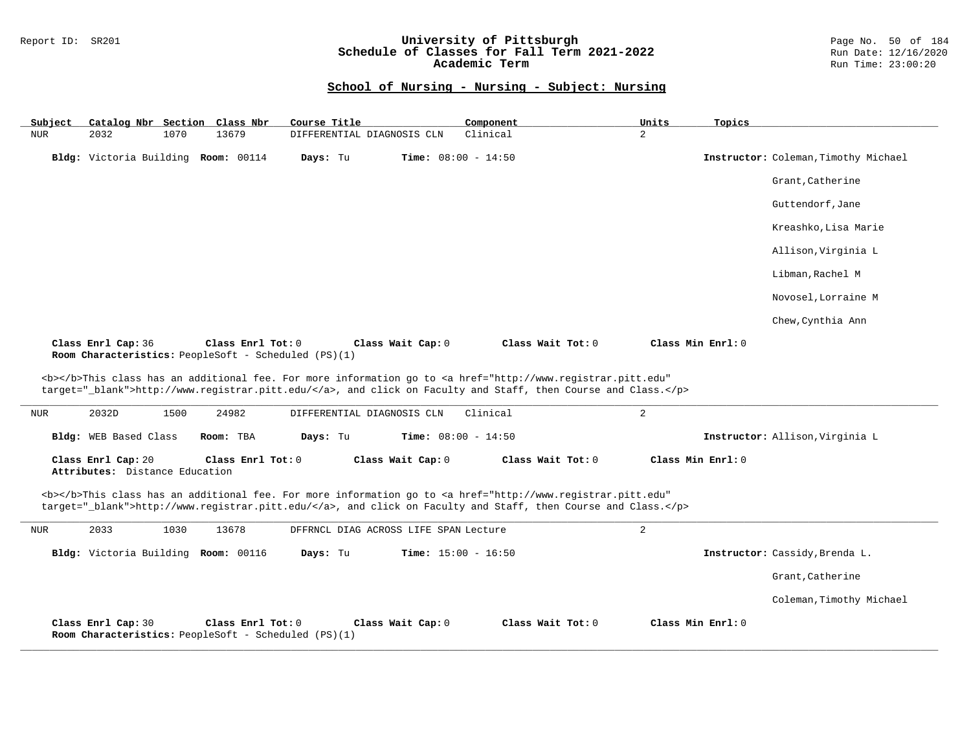### Report ID: SR201 **University of Pittsburgh** Page No. 50 of 184 **Schedule of Classes for Fall Term 2021-2022** Run Date: 12/16/2020 **Academic Term** Run Time: 23:00:20

| Subject    |                                                      |      | Catalog Nbr Section Class Nbr                                             | Course Title                          |                              | Component                                                                                                                                                                                                                          | Units          | Topics            |                                      |
|------------|------------------------------------------------------|------|---------------------------------------------------------------------------|---------------------------------------|------------------------------|------------------------------------------------------------------------------------------------------------------------------------------------------------------------------------------------------------------------------------|----------------|-------------------|--------------------------------------|
| NUR        | 2032                                                 | 1070 | 13679                                                                     | DIFFERENTIAL DIAGNOSIS CLN            |                              | Clinical                                                                                                                                                                                                                           | $\overline{a}$ |                   |                                      |
|            |                                                      |      | Bldg: Victoria Building Room: 00114                                       | Days: Tu                              | <b>Time:</b> $08:00 - 14:50$ |                                                                                                                                                                                                                                    |                |                   | Instructor: Coleman, Timothy Michael |
|            |                                                      |      |                                                                           |                                       |                              |                                                                                                                                                                                                                                    |                |                   | Grant, Catherine                     |
|            |                                                      |      |                                                                           |                                       |                              |                                                                                                                                                                                                                                    |                |                   | Guttendorf, Jane                     |
|            |                                                      |      |                                                                           |                                       |                              |                                                                                                                                                                                                                                    |                |                   | Kreashko, Lisa Marie                 |
|            |                                                      |      |                                                                           |                                       |                              |                                                                                                                                                                                                                                    |                |                   | Allison, Virginia L                  |
|            |                                                      |      |                                                                           |                                       |                              |                                                                                                                                                                                                                                    |                |                   | Libman, Rachel M                     |
|            |                                                      |      |                                                                           |                                       |                              |                                                                                                                                                                                                                                    |                |                   | Novosel, Lorraine M                  |
|            |                                                      |      |                                                                           |                                       |                              |                                                                                                                                                                                                                                    |                |                   | Chew, Cynthia Ann                    |
|            | Class Enrl Cap: 36                                   |      | Class Enrl Tot: 0<br>Room Characteristics: PeopleSoft - Scheduled (PS)(1) |                                       | Class Wait Cap: 0            | Class Wait Tot: 0                                                                                                                                                                                                                  |                | Class Min Enrl: 0 |                                      |
|            |                                                      |      |                                                                           |                                       |                              |                                                                                                                                                                                                                                    |                |                   |                                      |
|            |                                                      |      |                                                                           |                                       |                              | <b></b> This class has an additional fee. For more information go to <a <="" href="http://www.registrar.pitt.edu" th=""><th></th><th></th><th></th></a>                                                                            |                |                   |                                      |
|            |                                                      |      |                                                                           |                                       |                              | target="_blank">http://www.registrar.pitt.edu/, and click on Faculty and Staff, then Course and Class.                                                                                                                             |                |                   |                                      |
| NUR        | 2032D                                                | 1500 | 24982                                                                     | DIFFERENTIAL DIAGNOSIS CLN            |                              | Clinical                                                                                                                                                                                                                           | $\overline{2}$ |                   |                                      |
|            | Bldg: WEB Based Class                                |      | Room: TBA                                                                 | Days: Tu                              | <b>Time:</b> $08:00 - 14:50$ |                                                                                                                                                                                                                                    |                |                   | Instructor: Allison, Virginia L      |
|            | Class Enrl Cap: 20<br>Attributes: Distance Education |      | Class Enrl Tot: 0                                                         |                                       | Class Wait Cap: 0            | Class Wait Tot: 0                                                                                                                                                                                                                  |                | Class Min Enrl: 0 |                                      |
|            |                                                      |      |                                                                           |                                       |                              | <b></b> This class has an additional fee. For more information go to <a <br="" href="http://www.registrar.pitt.edu">target="_blank"&gt;http://www.registrar.pitt.edu/</a> , and click on Faculty and Staff, then Course and Class. |                |                   |                                      |
| <b>NUR</b> | 2033                                                 | 1030 | 13678                                                                     | DFFRNCL DIAG ACROSS LIFE SPAN Lecture |                              |                                                                                                                                                                                                                                    | $\overline{a}$ |                   |                                      |
|            |                                                      |      | Bldg: Victoria Building Room: 00116                                       | Days: Tu                              | <b>Time:</b> $15:00 - 16:50$ |                                                                                                                                                                                                                                    |                |                   | Instructor: Cassidy, Brenda L.       |
|            |                                                      |      |                                                                           |                                       |                              |                                                                                                                                                                                                                                    |                |                   | Grant, Catherine                     |
|            |                                                      |      |                                                                           |                                       |                              |                                                                                                                                                                                                                                    |                |                   | Coleman, Timothy Michael             |
|            | Class Enrl Cap: 30                                   |      | Class Enrl Tot: 0<br>Room Characteristics: PeopleSoft - Scheduled (PS)(1) |                                       | Class Wait Cap: 0            | Class Wait Tot: 0                                                                                                                                                                                                                  |                | Class Min Enrl: 0 |                                      |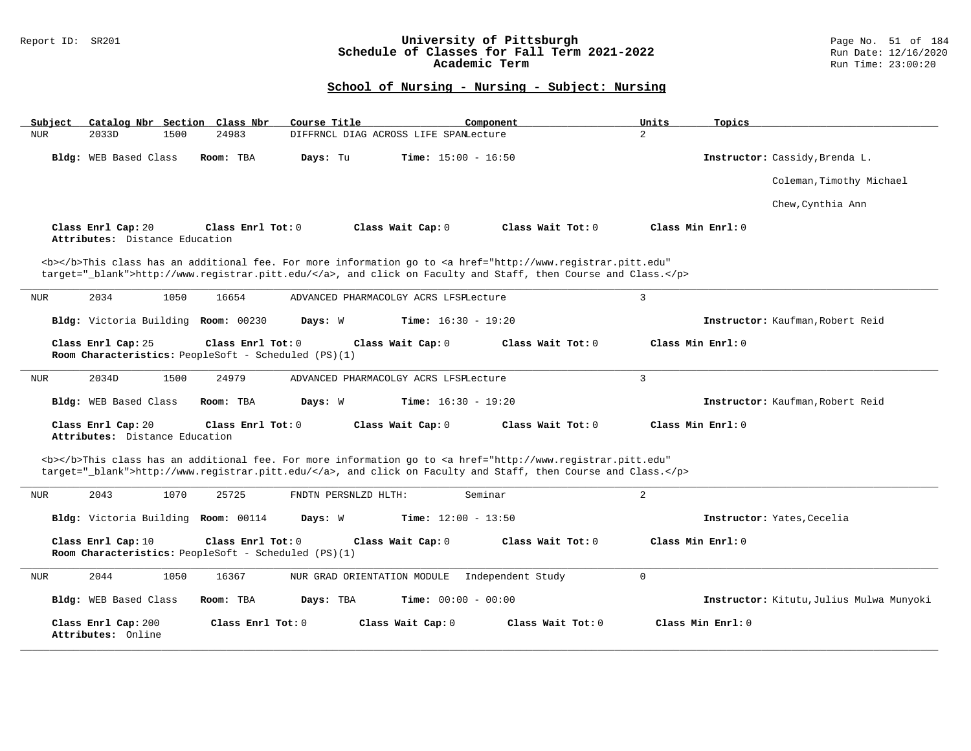### Report ID: SR201 **University of Pittsburgh** Page No. 51 of 184 **Schedule of Classes for Fall Term 2021-2022** Run Date: 12/16/2020 **Academic Term** Run Time: 23:00:20

| Subject<br>Catalog Nbr Section Class Nbr                                                          | Course Title<br>Component                                                                                                                                                                                                          | Units<br>Topics                          |
|---------------------------------------------------------------------------------------------------|------------------------------------------------------------------------------------------------------------------------------------------------------------------------------------------------------------------------------------|------------------------------------------|
| 24983<br><b>NUR</b><br>2033D<br>1500                                                              | DIFFRNCL DIAG ACROSS LIFE SPANLecture                                                                                                                                                                                              | $\overline{2}$                           |
| Bldg: WEB Based Class<br>Room: TBA                                                                | Days: Tu<br><b>Time:</b> $15:00 - 16:50$                                                                                                                                                                                           | Instructor: Cassidy, Brenda L.           |
|                                                                                                   |                                                                                                                                                                                                                                    | Coleman, Timothy Michael                 |
|                                                                                                   |                                                                                                                                                                                                                                    | Chew, Cynthia Ann                        |
| Class Enrl Cap: 20<br>Class Enrl Tot: 0<br>Attributes: Distance Education                         | Class Wait Tot: 0<br>Class Wait Cap: 0                                                                                                                                                                                             | Class Min Enrl: 0                        |
|                                                                                                   | <b></b> This class has an additional fee. For more information go to <a <br="" href="http://www.registrar.pitt.edu">target="_blank"&gt;http://www.registrar.pitt.edu/</a> , and click on Faculty and Staff, then Course and Class. |                                          |
| 2034<br>1050<br>16654<br>NUR                                                                      | ADVANCED PHARMACOLGY ACRS LFSPLecture                                                                                                                                                                                              | 3                                        |
| Bldg: Victoria Building Room: 00230                                                               | <b>Time:</b> $16:30 - 19:20$<br>Days: W                                                                                                                                                                                            | Instructor: Kaufman, Robert Reid         |
| Class Enrl Cap: 25<br>Class Enrl Tot: $0$<br>Room Characteristics: PeopleSoft - Scheduled (PS)(1) | Class Wait Cap: 0<br>Class Wait Tot: 0                                                                                                                                                                                             | Class Min Enrl: 0                        |
| 2034D<br>1500<br>24979<br>NUR                                                                     | ADVANCED PHARMACOLGY ACRS LFSPLecture                                                                                                                                                                                              | 3                                        |
| Bldg: WEB Based Class<br>Room: TBA                                                                | <b>Time:</b> $16:30 - 19:20$<br>Days: W                                                                                                                                                                                            | Instructor: Kaufman, Robert Reid         |
| Class Enrl Cap: 20<br>Class Enrl Tot: 0<br>Attributes: Distance Education                         | Class Wait Cap: 0<br>Class Wait Tot: 0                                                                                                                                                                                             | Class Min Enrl: 0                        |
|                                                                                                   | <b></b> This class has an additional fee. For more information go to <a <br="" href="http://www.registrar.pitt.edu">target="_blank"&gt;http://www.registrar.pitt.edu/</a> , and click on Faculty and Staff, then Course and Class. |                                          |
| 2043<br>1070<br>25725<br>NUR                                                                      | FNDTN PERSNLZD HLTH:<br>Seminar                                                                                                                                                                                                    | 2                                        |
| Bldg: Victoria Building Room: 00114                                                               | <b>Time:</b> $12:00 - 13:50$<br>Days: W                                                                                                                                                                                            | Instructor: Yates, Cecelia               |
| Class Enrl Cap: 10<br>Class Enrl Tot: 0<br>Room Characteristics: PeopleSoft - Scheduled (PS)(1)   | Class Wait Cap: 0<br>Class Wait Tot: 0                                                                                                                                                                                             | Class Min Enrl: 0                        |
| <b>NUR</b><br>2044<br>1050<br>16367                                                               | NUR GRAD ORIENTATION MODULE<br>Independent Study                                                                                                                                                                                   | 0                                        |
| Bldg: WEB Based Class<br>Room: TBA                                                                | Days: TBA<br><b>Time:</b> $00:00 - 00:00$                                                                                                                                                                                          | Instructor: Kitutu, Julius Mulwa Munyoki |
| Class Enrl Cap: 200<br>Attributes: Online                                                         | Class Enrl Tot: 0<br>Class Wait Cap: 0<br>Class Wait Tot: 0                                                                                                                                                                        | Class Min Enrl: 0                        |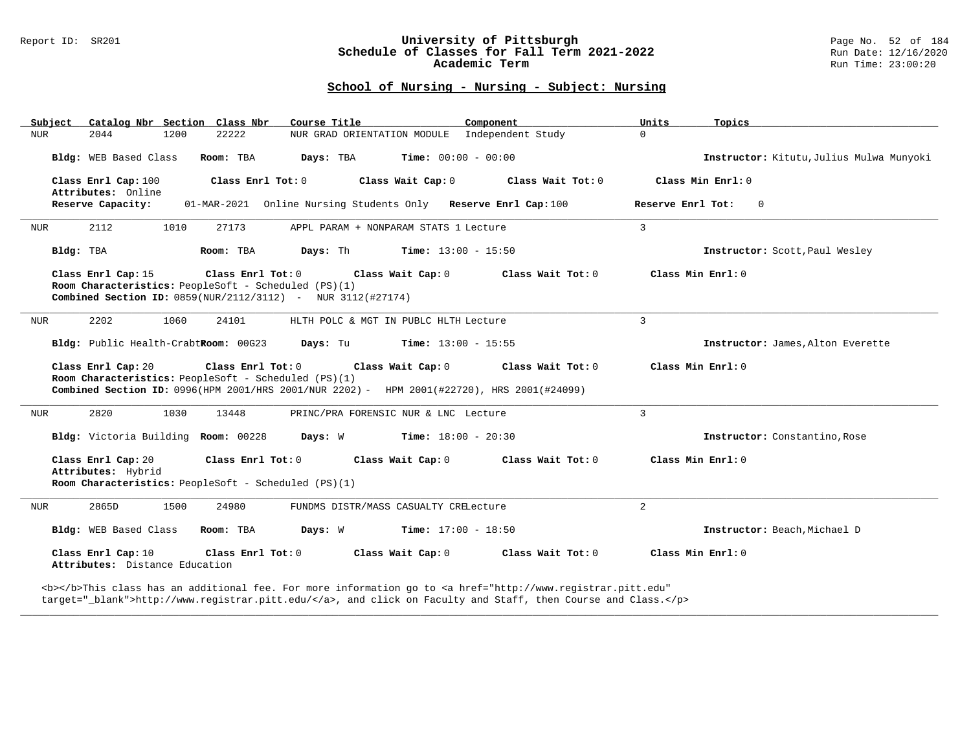## Report ID: SR201 **1989 Mage No. 52 of 1949**<br>**Schedule of Classes for Fall Term 2021-2022** 1989 Run Date: 12/16/2020 **Schedule of Classes for Fall Term 2021-2022** Run Date: 12/16/2020 **Academic Term** Run Time: 23:00:20

# **School of Nursing - Nursing - Subject: Nursing**

| Catalog Nbr Section Class Nbr<br>Subject                                                                                                                       | Course Title<br>Component                                                                  | Units<br>Topics                          |
|----------------------------------------------------------------------------------------------------------------------------------------------------------------|--------------------------------------------------------------------------------------------|------------------------------------------|
| 2044<br>1200<br>22222<br>NUR                                                                                                                                   | NUR GRAD ORIENTATION MODULE Independent Study                                              | $\Omega$                                 |
| Bldg: WEB Based Class<br>Room: TBA                                                                                                                             | Time: $00:00 - 00:00$<br>Days: TBA                                                         | Instructor: Kitutu, Julius Mulwa Munyoki |
| Class Enrl Cap: 100<br>Class Enrl Tot: 0<br>Attributes: Online                                                                                                 | Class Wait Cap: 0<br>Class Wait Tot: 0                                                     | Class Min Enrl: 0                        |
| Reserve Capacity:                                                                                                                                              | 01-MAR-2021 Online Nursing Students Only Reserve Enrl Cap:100                              | Reserve Enrl Tot:<br>$\overline{0}$      |
| 2112<br>1010<br>27173<br>NUR                                                                                                                                   | APPL PARAM + NONPARAM STATS 1 Lecture                                                      | 3                                        |
| Bldg: TBA<br>Room: TBA                                                                                                                                         | Days: Th<br><b>Time:</b> $13:00 - 15:50$                                                   | Instructor: Scott, Paul Wesley           |
| Class Enrl Cap: 15<br>Class Enrl Tot: 0<br>Room Characteristics: PeopleSoft - Scheduled (PS)(1)<br>Combined Section ID: 0859(NUR/2112/3112) - NUR 3112(#27174) | Class Wait Cap: 0<br>Class Wait Tot: 0                                                     | Class Min Enrl: 0                        |
| 2202<br>1060<br>24101<br>NUR                                                                                                                                   | HLTH POLC & MGT IN PUBLC HLTH Lecture                                                      | $\mathbf{3}$                             |
| Bldg: Public Health-CrabtRoom: 00G23                                                                                                                           | Days: Tu<br><b>Time:</b> $13:00 - 15:55$                                                   | Instructor: James, Alton Everette        |
| Class Enrl Cap: 20<br>Class Enrl Tot: 0<br>Room Characteristics: PeopleSoft - Scheduled (PS)(1)                                                                | Class Wait Cap: 0<br>Class Wait Tot: 0                                                     | Class Min Enrl: 0                        |
|                                                                                                                                                                | Combined Section ID: 0996(HPM 2001/HRS 2001/NUR 2202) - HPM 2001(#22720), HRS 2001(#24099) |                                          |
| 2820<br>1030<br>13448<br>NUR                                                                                                                                   | PRINC/PRA FORENSIC NUR & LNC Lecture                                                       | $\overline{3}$                           |
| Bldg: Victoria Building Room: 00228                                                                                                                            | Days: W<br>$Time: 18:00 - 20:30$                                                           | Instructor: Constantino, Rose            |
| Class Enrl Cap: 20<br>Class Enrl Tot: 0<br>Attributes: Hybrid<br>Room Characteristics: PeopleSoft - Scheduled (PS)(1)                                          | Class Wait Cap: 0<br>Class Wait Tot: 0                                                     | Class Min Enrl: 0                        |
| 2865D<br>1500<br>24980<br>NUR                                                                                                                                  | FUNDMS DISTR/MASS CASUALTY CRELecture                                                      | $\overline{a}$                           |
| Bldg: WEB Based Class<br>Room: TBA                                                                                                                             | <b>Days:</b> W <b>Time:</b> $17:00 - 18:50$                                                | Instructor: Beach, Michael D             |
| Class Enrl Cap: 10<br>Class Enrl Tot: 0<br>Attributes: Distance Education                                                                                      | Class Wait Cap: 0<br>Class Wait Tot: 0                                                     | Class Min Enrl: 0                        |

**\_\_\_\_\_\_\_\_\_\_\_\_\_\_\_\_\_\_\_\_\_\_\_\_\_\_\_\_\_\_\_\_\_\_\_\_\_\_\_\_\_\_\_\_\_\_\_\_\_\_\_\_\_\_\_\_\_\_\_\_\_\_\_\_\_\_\_\_\_\_\_\_\_\_\_\_\_\_\_\_\_\_\_\_\_\_\_\_\_\_\_\_\_\_\_\_\_\_\_\_\_\_\_\_\_\_\_\_\_\_\_\_\_\_\_\_\_\_\_\_\_\_\_\_\_\_\_\_\_\_\_\_\_\_\_\_\_\_\_\_\_\_\_\_\_\_\_\_\_\_\_\_\_\_\_\_**

target="\_blank">http://www.registrar.pitt.edu/</a>, and click on Faculty and Staff, then Course and Class.</p>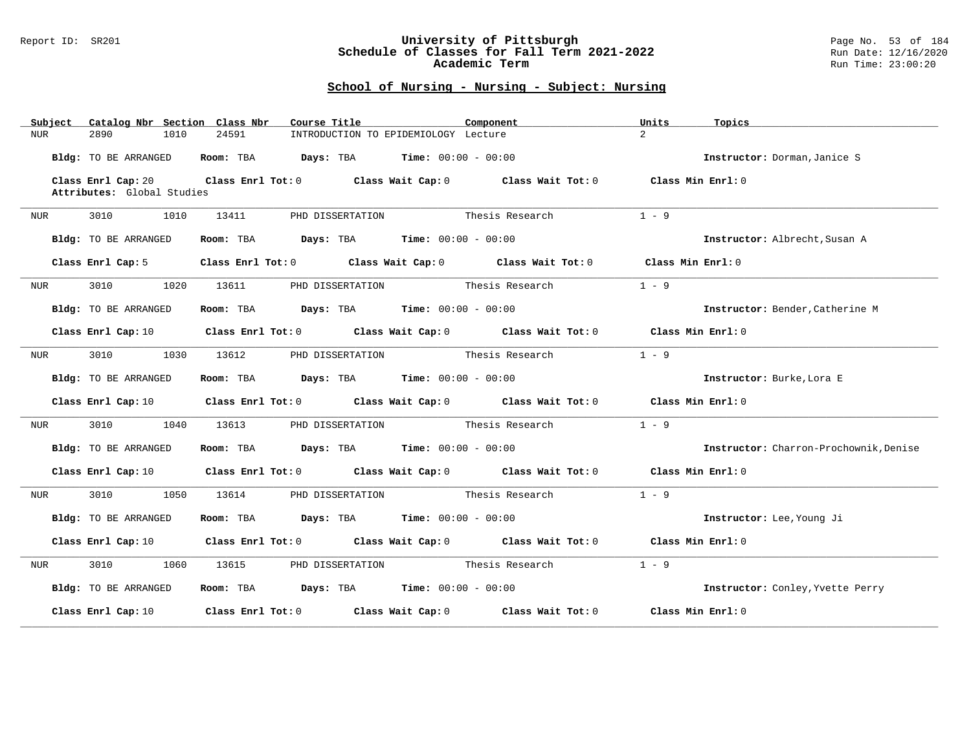### Report ID: SR201 **University of Pittsburgh** Page No. 53 of 184 **Schedule of Classes for Fall Term 2021-2022** Run Date: 12/16/2020 **Academic Term** Run Time: 23:00:20

| Catalog Nbr Section Class Nbr<br>Subject | Component<br>Course Title                                                                                                      | Units<br>Topics                        |
|------------------------------------------|--------------------------------------------------------------------------------------------------------------------------------|----------------------------------------|
| 2890<br>1010<br><b>NUR</b>               | 24591<br>INTRODUCTION TO EPIDEMIOLOGY Lecture                                                                                  | $\overline{2}$                         |
| Bldg: TO BE ARRANGED                     | <b>Room:</b> TBA $Days: TBA$ <b>Time:</b> $00:00 - 00:00$                                                                      | Instructor: Dorman, Janice S           |
| Class Enrl Cap: 20                       | Class Enrl Tot: 0 $\qquad$ Class Wait Cap: 0 $\qquad$ Class Wait Tot: 0 $\qquad$ Class Min Enrl: 0                             |                                        |
| Attributes: Global Studies               |                                                                                                                                |                                        |
| 3010<br>1010<br>NUR                      | 13411<br>PHD DISSERTATION                                                                                                      | $1 - 9$<br>Thesis Research             |
| Bldg: TO BE ARRANGED                     | Room: TBA $Days:$ TBA $Time: 00:00 - 00:00$                                                                                    | Instructor: Albrecht, Susan A          |
| Class Enrl Cap: 5                        | Class Enrl Tot: $0$ Class Wait Cap: $0$ Class Wait Tot: $0$ Class Min Enrl: $0$                                                |                                        |
| 3010<br>1020<br>NUR                      | PHD DISSERTATION<br>13611                                                                                                      | $1 - 9$<br>Thesis Research             |
| Bldg: TO BE ARRANGED                     | Room: TBA $\rule{1em}{0.15mm}$ Days: TBA Time: $00:00 - 00:00$                                                                 | Instructor: Bender, Catherine M        |
|                                          | Class Enrl Cap: 10 $\qquad$ Class Enrl Tot: 0 $\qquad$ Class Wait Cap: 0 $\qquad$ Class Wait Tot: 0 $\qquad$ Class Min Enrl: 0 |                                        |
| 3010<br>1030<br>NUR                      | PHD DISSERTATION Thesis Research<br>13612                                                                                      | $1 - 9$                                |
| Bldg: TO BE ARRANGED                     | Room: TBA $Days:$ TBA $Time: 00:00 - 00:00$                                                                                    | Instructor: Burke, Lora E              |
| Class Enrl Cap: 10                       | Class Enrl Tot: 0 Class Wait Cap: 0 Class Wait Tot: 0 Class Min Enrl: 0                                                        |                                        |
| 3010 1040<br>NUR                         | PHD DISSERTATION Thesis Research<br>13613                                                                                      | $1 - 9$                                |
| Bldg: TO BE ARRANGED                     | Room: TBA $Days:$ TBA $Time: 00:00 - 00:00$                                                                                    | Instructor: Charron-Prochownik, Denise |
|                                          | Class Enrl Cap: 10 $\qquad$ Class Enrl Tot: 0 $\qquad$ Class Wait Cap: 0 $\qquad$ Class Wait Tot: 0 $\qquad$ Class Min Enrl: 0 |                                        |
| 3010 1050<br>NUR                         | 13614<br>PHD DISSERTATION Thesis Research                                                                                      | $1 - 9$                                |
| Bldg: TO BE ARRANGED                     | <b>Days:</b> TBA <b>Time:</b> $00:00 - 00:00$<br>Room: TBA                                                                     | Instructor: Lee, Young Ji              |
|                                          | Class Enrl Cap: 10 $\qquad$ Class Enrl Tot: 0 $\qquad$ Class Wait Cap: 0 $\qquad$ Class Wait Tot: 0 $\qquad$ Class Min Enrl: 0 |                                        |
| 3010<br>1060<br>NUR                      | PHD DISSERTATION Thesis Research<br>13615                                                                                      | $1 - 9$                                |
| Bldg: TO BE ARRANGED                     | Room: TBA $Days: TBA$ Time: $00:00 - 00:00$                                                                                    | Instructor: Conley, Yvette Perry       |
| Class Enrl Cap: 10                       | Class Enrl Tot: $0$ Class Wait Cap: $0$ Class Wait Tot: $0$ Class Min Enrl: $0$                                                |                                        |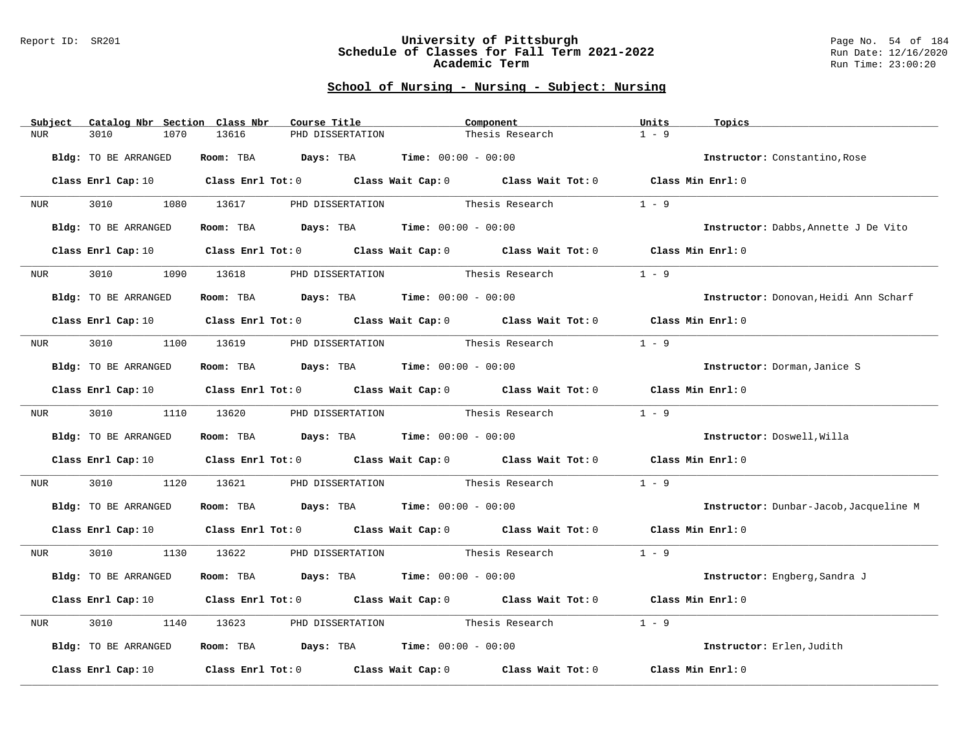#### Report ID: SR201 **University of Pittsburgh** Page No. 54 of 184 **Schedule of Classes for Fall Term 2021-2022** Run Date: 12/16/2020 **Academic Term** Run Time: 23:00:20

|            | Subject          | Catalog Nbr Section Class Nbr    |      |       | Course Title |                  |                                             | Component |                                                                                                                                | Units   | Topics                                 |
|------------|------------------|----------------------------------|------|-------|--------------|------------------|---------------------------------------------|-----------|--------------------------------------------------------------------------------------------------------------------------------|---------|----------------------------------------|
| <b>NUR</b> |                  | 3010                             | 1070 | 13616 |              | PHD DISSERTATION |                                             |           | Thesis Research                                                                                                                | $1 - 9$ |                                        |
|            |                  | Bldg: TO BE ARRANGED             |      |       |              |                  | Room: TBA $Days:$ TBA $Time: 00:00 - 00:00$ |           |                                                                                                                                |         | Instructor: Constantino, Rose          |
|            |                  |                                  |      |       |              |                  |                                             |           |                                                                                                                                |         |                                        |
|            |                  |                                  |      |       |              |                  |                                             |           | Class Enrl Cap: 10 $\qquad$ Class Enrl Tot: 0 $\qquad$ Class Wait Cap: 0 $\qquad$ Class Wait Tot: 0 $\qquad$ Class Min Enrl: 0 |         |                                        |
|            | NUR <sub>p</sub> | 3010 000                         |      |       |              |                  |                                             |           | 1080 13617 PHD DISSERTATION Thesis Research                                                                                    | $1 - 9$ |                                        |
|            |                  | Bldg: TO BE ARRANGED             |      |       |              |                  | Room: TBA $Days:$ TBA $Time: 00:00 - 00:00$ |           |                                                                                                                                |         | Instructor: Dabbs, Annette J De Vito   |
|            |                  | Class Enrl Cap: 10               |      |       |              |                  |                                             |           | Class Enrl Tot: 0 Class Wait Cap: 0 Class Wait Tot: 0 Class Min Enrl: 0                                                        |         |                                        |
|            | <b>NUR</b>       | 3010                             | 1090 | 13618 |              |                  | PHD DISSERTATION                            |           | Thesis Research                                                                                                                | $1 - 9$ |                                        |
|            |                  | Bldg: TO BE ARRANGED             |      |       |              |                  | Room: TBA $Days:$ TBA $Time: 00:00 - 00:00$ |           |                                                                                                                                |         | Instructor: Donovan, Heidi Ann Scharf  |
|            |                  |                                  |      |       |              |                  |                                             |           | Class Enrl Cap: 10 $\qquad$ Class Enrl Tot: 0 $\qquad$ Class Wait Cap: 0 $\qquad$ Class Wait Tot: 0 $\qquad$ Class Min Enrl: 0 |         |                                        |
|            |                  |                                  |      |       |              |                  |                                             |           |                                                                                                                                |         |                                        |
|            | NUR <b>NUR</b>   | 3010 1100 13619 PHD DISSERTATION |      |       |              |                  |                                             |           | Thesis Research                                                                                                                | $1 - 9$ |                                        |
|            |                  | Bldg: TO BE ARRANGED             |      |       |              |                  | Room: TBA $Days:$ TBA $Time: 00:00 - 00:00$ |           |                                                                                                                                |         | Instructor: Dorman, Janice S           |
|            |                  |                                  |      |       |              |                  |                                             |           | Class Enrl Cap: 10 $\qquad$ Class Enrl Tot: 0 $\qquad$ Class Wait Cap: 0 $\qquad$ Class Wait Tot: 0 $\qquad$ Class Min Enrl: 0 |         |                                        |
|            | NUR <sub>e</sub> | 3010 1110 13620 PHD DISSERTATION |      |       |              |                  |                                             |           | Thesis Research                                                                                                                | $1 - 9$ |                                        |
|            |                  | Bldg: TO BE ARRANGED             |      |       |              |                  | Room: TBA $Days:$ TBA $Time: 00:00 - 00:00$ |           |                                                                                                                                |         | Instructor: Doswell, Willa             |
|            |                  |                                  |      |       |              |                  |                                             |           | Class Enrl Cap: 10 Class Enrl Tot: 0 Class Wait Cap: 0 Class Wait Tot: 0 Class Min Enrl: 0                                     |         |                                        |
| NUR        |                  | 3010 2012                        | 1120 |       |              |                  |                                             |           | 13621 PHD DISSERTATION Thesis Research                                                                                         | $1 - 9$ |                                        |
|            |                  | Bldg: TO BE ARRANGED             |      |       |              |                  | Room: TBA $Days:$ TBA $Time: 00:00 - 00:00$ |           |                                                                                                                                |         | Instructor: Dunbar-Jacob, Jacqueline M |
|            |                  |                                  |      |       |              |                  |                                             |           | Class Enrl Cap: 10 $\qquad$ Class Enrl Tot: 0 $\qquad$ Class Wait Cap: 0 $\qquad$ Class Wait Tot: 0 $\qquad$ Class Min Enrl: 0 |         |                                        |
|            | NUR <sub>p</sub> |                                  |      |       |              |                  |                                             |           | 3010 1130 13622 PHD DISSERTATION Thesis Research                                                                               | $1 - 9$ |                                        |
|            |                  | Bldg: TO BE ARRANGED             |      |       |              |                  | Room: TBA $Days: TBA$ Time: $00:00 - 00:00$ |           |                                                                                                                                |         | Instructor: Engberg, Sandra J          |
|            |                  |                                  |      |       |              |                  |                                             |           | Class Enrl Cap: 10 $\qquad$ Class Enrl Tot: 0 $\qquad$ Class Wait Cap: 0 $\qquad$ Class Wait Tot: 0 $\qquad$ Class Min Enrl: 0 |         |                                        |
| NUR        |                  | 3010                             | 1140 | 13623 |              |                  | PHD DISSERTATION Thesis Research            |           |                                                                                                                                | $1 - 9$ |                                        |
|            |                  | Bldg: TO BE ARRANGED             |      |       |              |                  | Room: TBA $Days:$ TBA $Time: 00:00 - 00:00$ |           |                                                                                                                                |         | Instructor: Erlen, Judith              |
|            |                  | Class Enrl Cap: 10               |      |       |              |                  |                                             |           | Class Enrl Tot: $0$ Class Wait Cap: $0$ Class Wait Tot: $0$                                                                    |         | Class Min Enrl: 0                      |
|            |                  |                                  |      |       |              |                  |                                             |           |                                                                                                                                |         |                                        |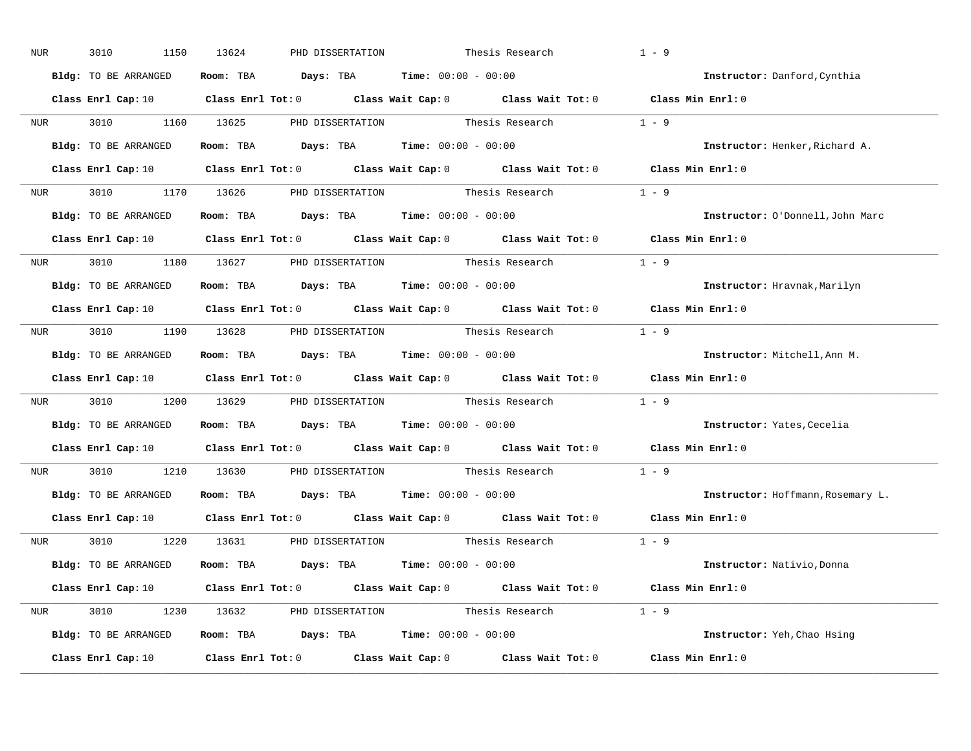| NUR              | 3010<br>1150         | 13624 | PHD DISSERTATION                                                                                    |                 | Thesis Research | $1 - 9$                                                                                                                        |
|------------------|----------------------|-------|-----------------------------------------------------------------------------------------------------|-----------------|-----------------|--------------------------------------------------------------------------------------------------------------------------------|
|                  | Bldg: TO BE ARRANGED |       | Room: TBA $Days:$ TBA $Time: 00:00 - 00:00$                                                         |                 |                 | Instructor: Danford, Cynthia                                                                                                   |
|                  |                      |       |                                                                                                     |                 |                 | Class Enrl Cap: 10 $\qquad$ Class Enrl Tot: 0 $\qquad$ Class Wait Cap: 0 $\qquad$ Class Wait Tot: 0 $\qquad$ Class Min Enrl: 0 |
|                  |                      |       | NUR 3010 1160 13625 PHD DISSERTATION Thesis Research 1 - 9                                          |                 |                 |                                                                                                                                |
|                  | Bldg: TO BE ARRANGED |       | Room: TBA $\rule{1em}{0.15mm}$ Days: TBA Time: $00:00 - 00:00$                                      |                 |                 | Instructor: Henker, Richard A.                                                                                                 |
|                  |                      |       |                                                                                                     |                 |                 | Class Enrl Cap: 10 $\qquad$ Class Enrl Tot: 0 $\qquad$ Class Wait Cap: 0 $\qquad$ Class Wait Tot: 0 $\qquad$ Class Min Enrl: 0 |
|                  |                      |       | NUR 3010 1170 13626 PHD DISSERTATION Thesis Research 1 - 9                                          |                 |                 |                                                                                                                                |
|                  |                      |       | <b>Bldg:</b> TO BE ARRANGED <b>Room:</b> TBA <b>Days:</b> TBA <b>Time:</b> $00:00 - 00:00$          |                 |                 | Instructor: O'Donnell, John Marc                                                                                               |
|                  |                      |       |                                                                                                     |                 |                 | Class Enrl Cap: 10 $\qquad$ Class Enrl Tot: 0 $\qquad$ Class Wait Cap: 0 $\qquad$ Class Wait Tot: 0 $\qquad$ Class Min Enrl: 0 |
|                  |                      |       | NUR 3010 1180 13627 PHD DISSERTATION Thesis Research 1 - 9                                          |                 |                 |                                                                                                                                |
|                  | Bldg: TO BE ARRANGED |       | Room: TBA $Days: TBA$ Time: $00:00 - 00:00$                                                         |                 |                 | Instructor: Hravnak, Marilyn                                                                                                   |
|                  |                      |       |                                                                                                     |                 |                 | Class Enrl Cap: 10 $\qquad$ Class Enrl Tot: 0 $\qquad$ Class Wait Cap: 0 $\qquad$ Class Wait Tot: 0 $\qquad$ Class Min Enrl: 0 |
|                  |                      |       | NUR 3010 1190 13628 PHD DISSERTATION Thesis Research 1 - 9                                          |                 |                 |                                                                                                                                |
|                  | Bldg: TO BE ARRANGED |       | Room: TBA $Days:$ TBA $Time: 00:00 - 00:00$                                                         |                 |                 | Instructor: Mitchell, Ann M.                                                                                                   |
|                  |                      |       |                                                                                                     |                 |                 | Class Enrl Cap: 10 $\qquad$ Class Enrl Tot: 0 $\qquad$ Class Wait Cap: 0 $\qquad$ Class Wait Tot: 0 $\qquad$ Class Min Enrl: 0 |
| NUR <sub>p</sub> |                      |       | 3010 1200 13629 PHD DISSERTATION Thesis Research 1 - 9                                              |                 |                 |                                                                                                                                |
|                  | Bldg: TO BE ARRANGED |       | Room: TBA $\rule{1em}{0.15mm}$ Days: TBA $\rule{1.5mm}{0.15mm}$ Time: $00:00 - 00:00$               |                 |                 | Instructor: Yates, Cecelia                                                                                                     |
|                  |                      |       | Class Enrl Cap: 10 $\qquad$ Class Enrl Tot: 0 $\qquad$ Class Wait Cap: 0 $\qquad$ Class Wait Tot: 0 |                 |                 | Class Min Enrl: 0                                                                                                              |
| <b>NUR</b>       |                      |       | 3010 1210 13630 PHD DISSERTATION                                                                    |                 | Thesis Research | $1 - 9$                                                                                                                        |
|                  |                      |       | Bldg: TO BE ARRANGED Room: TBA Days: TBA Time: 00:00 - 00:00                                        |                 |                 | Instructor: Hoffmann, Rosemary L.                                                                                              |
|                  | Class Enrl Cap: 10   |       | Class Enrl Tot: $0$ Class Wait Cap: $0$ Class Wait Tot: $0$                                         |                 |                 | Class Min Enrl: 0                                                                                                              |
|                  |                      |       | NUR 3010 1220 13631 PHD DISSERTATION                                                                | Thesis Research |                 | $1 - 9$                                                                                                                        |
|                  | Bldg: TO BE ARRANGED |       | Room: TBA $Days:$ TBA $Time: 00:00 - 00:00$                                                         |                 |                 | Instructor: Nativio, Donna                                                                                                     |
|                  |                      |       |                                                                                                     |                 |                 | Class Enrl Cap: 10 $\qquad$ Class Enrl Tot: 0 $\qquad$ Class Wait Cap: 0 $\qquad$ Class Wait Tot: 0 $\qquad$ Class Min Enrl: 0 |
|                  |                      |       | NUR 3010 1230 13632 PHD DISSERTATION Thesis Research 1 - 9                                          |                 |                 |                                                                                                                                |
|                  | Bldg: TO BE ARRANGED |       | Room: TBA $Days:$ TBA $Time: 00:00 - 00:00$                                                         |                 |                 | Instructor: Yeh, Chao Hsing                                                                                                    |
|                  |                      |       |                                                                                                     |                 |                 | Class Enrl Cap: 10 Class Enrl Tot: 0 Class Wait Cap: 0 Class Wait Tot: 0 Class Min Enrl: 0                                     |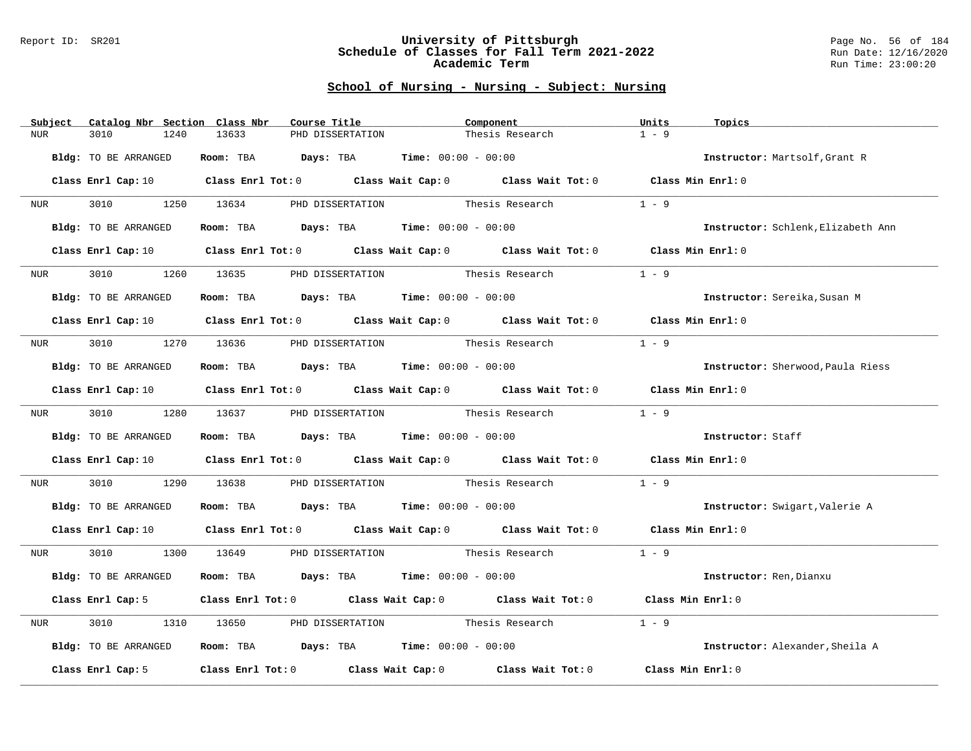#### Report ID: SR201 **University of Pittsburgh** Page No. 56 of 184 **Schedule of Classes for Fall Term 2021-2022** Run Date: 12/16/2020 **Academic Term** Run Time: 23:00:20

| Subject          | Catalog Nbr Section Class Nbr | Course Title                                                                                                                   | Component                                                               |                 | Units<br>Topics                    |  |
|------------------|-------------------------------|--------------------------------------------------------------------------------------------------------------------------------|-------------------------------------------------------------------------|-----------------|------------------------------------|--|
| <b>NUR</b>       | 3010<br>1240                  | 13633<br>PHD DISSERTATION                                                                                                      |                                                                         | Thesis Research | $1 - 9$                            |  |
|                  | Bldg: TO BE ARRANGED          |                                                                                                                                | Room: TBA $Days:$ TBA $Time: 00:00 - 00:00$                             |                 | Instructor: Martsolf, Grant R      |  |
|                  |                               | Class Enrl Cap: 10 $\qquad$ Class Enrl Tot: 0 $\qquad$ Class Wait Cap: 0 $\qquad$ Class Wait Tot: 0 $\qquad$ Class Min Enrl: 0 |                                                                         |                 |                                    |  |
| NUR <sub>p</sub> | 3010 000                      | 1250 13634 PHD DISSERTATION Thesis Research                                                                                    |                                                                         |                 | $1 - 9$                            |  |
|                  | Bldg: TO BE ARRANGED          |                                                                                                                                | Room: TBA $Days: TBA$ Time: $00:00 - 00:00$                             |                 | Instructor: Schlenk, Elizabeth Ann |  |
|                  | Class Enrl Cap: 10            |                                                                                                                                | Class Enrl Tot: 0 Class Wait Cap: 0 Class Wait Tot: 0 Class Min Enrl: 0 |                 |                                    |  |
| <b>NUR</b>       | 3010<br>1260                  |                                                                                                                                | 13635 PHD DISSERTATION Thesis Research                                  |                 | $1 - 9$                            |  |
|                  | Bldg: TO BE ARRANGED          |                                                                                                                                | Room: TBA $Days:$ TBA $Time: 00:00 - 00:00$                             |                 | Instructor: Sereika, Susan M       |  |
|                  |                               | Class Enrl Cap: 10 $\qquad$ Class Enrl Tot: 0 $\qquad$ Class Wait Cap: 0 $\qquad$ Class Wait Tot: 0 $\qquad$ Class Min Enrl: 0 |                                                                         |                 |                                    |  |
| NUR <b>NUR</b>   |                               | 3010 1270 13636 PHD DISSERTATION                                                                                               | Thesis Research                                                         |                 | $1 - 9$                            |  |
|                  | Bldg: TO BE ARRANGED          |                                                                                                                                | Room: TBA $Days:$ TBA $Time: 00:00 - 00:00$                             |                 | Instructor: Sherwood, Paula Riess  |  |
|                  |                               | Class Enrl Cap: 10 $\qquad$ Class Enrl Tot: 0 $\qquad$ Class Wait Cap: 0 $\qquad$ Class Wait Tot: 0 $\qquad$ Class Min Enrl: 0 |                                                                         |                 |                                    |  |
| NUR <sub>p</sub> |                               | 3010 1280 13637 PHD DISSERTATION                                                                                               | Thesis Research                                                         |                 | $1 - 9$                            |  |
|                  | Bldg: TO BE ARRANGED          |                                                                                                                                | Room: TBA $Days:$ TBA $Time: 00:00 - 00:00$                             |                 | Instructor: Staff                  |  |
|                  |                               | Class Enrl Cap: 10 Class Enrl Tot: 0 Class Wait Cap: 0 Class Wait Tot: 0 Class Min Enrl: 0                                     |                                                                         |                 |                                    |  |
| NUR              | 3010 000                      | 1290 13638 PHD DISSERTATION Thesis Research                                                                                    |                                                                         |                 | $1 - 9$                            |  |
|                  | Bldg: TO BE ARRANGED          |                                                                                                                                | Room: TBA $\rule{1em}{0.15mm}$ Days: TBA Time: $00:00 - 00:00$          |                 | Instructor: Swigart, Valerie A     |  |
|                  |                               | Class Enrl Cap: 10 $\qquad$ Class Enrl Tot: 0 $\qquad$ Class Wait Cap: 0 $\qquad$ Class Wait Tot: 0 $\qquad$ Class Min Enrl: 0 |                                                                         |                 |                                    |  |
| NUR <sub>p</sub> |                               | 3010 1300 13649 PHD DISSERTATION Thesis Research                                                                               |                                                                         |                 | $1 - 9$                            |  |
|                  | Bldg: TO BE ARRANGED          |                                                                                                                                | <b>Room:</b> TBA $Days: TBA$ <b>Time:</b> $00:00 - 00:00$               |                 | Instructor: Ren, Dianxu            |  |
|                  |                               | Class Enrl Cap: 5 Class Enrl Tot: 0 Class Wait Cap: 0 Class Wait Tot: 0                                                        |                                                                         |                 | Class Min Enrl: 0                  |  |
| NUR              | 3010<br>1310                  | 13650                                                                                                                          | PHD DISSERTATION Thesis Research                                        |                 | $1 - 9$                            |  |
|                  | Bldg: TO BE ARRANGED          |                                                                                                                                | Room: TBA $Days:$ TBA $Time: 00:00 - 00:00$                             |                 | Instructor: Alexander, Sheila A    |  |
|                  | Class Enrl Cap: 5             |                                                                                                                                | Class Enrl Tot: $0$ Class Wait Cap: $0$ Class Wait Tot: $0$             |                 | Class Min Enrl: 0                  |  |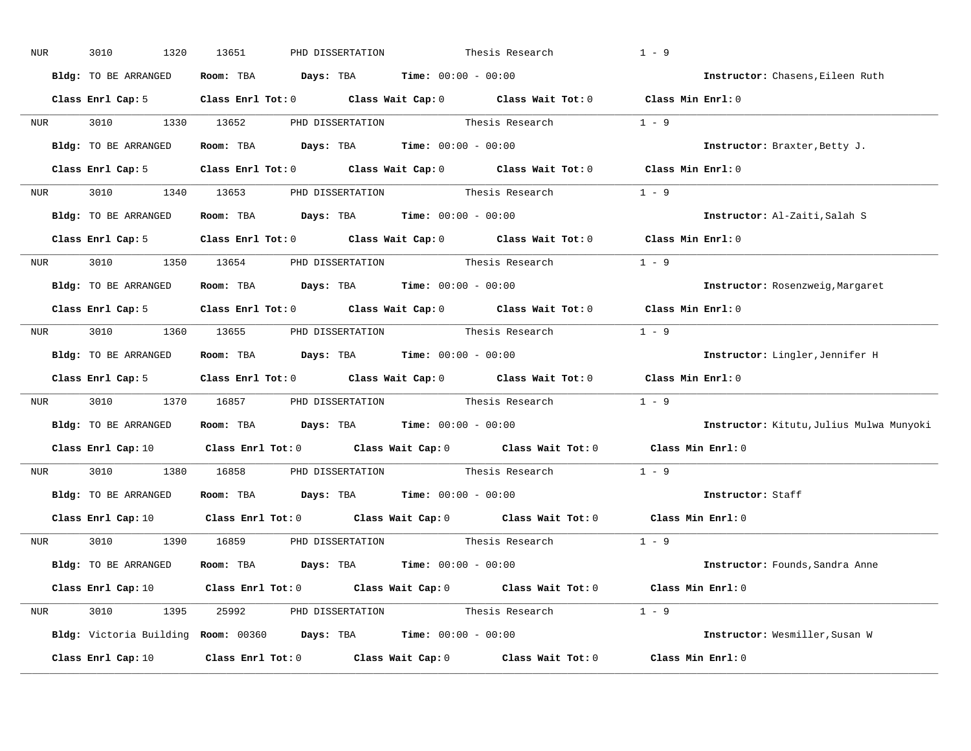| NUR              | 3010<br>1320         | 13651<br>PHD DISSERTATION                                         | Thesis Research                                                                                                                | $1 - 9$                                  |
|------------------|----------------------|-------------------------------------------------------------------|--------------------------------------------------------------------------------------------------------------------------------|------------------------------------------|
|                  | Bldg: TO BE ARRANGED | Room: TBA $Days:$ TBA $Time: 00:00 - 00:00$                       |                                                                                                                                | Instructor: Chasens, Eileen Ruth         |
|                  |                      |                                                                   | Class Enrl Cap: 5 Class Enrl Tot: 0 Class Wait Cap: 0 Class Wait Tot: 0 Class Min Enrl: 0                                      |                                          |
|                  | NUR 3010 1330 13652  |                                                                   | PHD DISSERTATION Thesis Research                                                                                               | $1 - 9$                                  |
|                  | Bldg: TO BE ARRANGED | Room: TBA $Days:$ TBA Time: $00:00 - 00:00$                       |                                                                                                                                | Instructor: Braxter, Betty J.            |
|                  | Class Enrl Cap: 5    |                                                                   | Class Enrl Tot: 0 Class Wait Cap: 0 Class Wait Tot: 0 Class Min Enrl: 0                                                        |                                          |
|                  |                      |                                                                   | NUR 3010 1340 13653 PHD DISSERTATION Thesis Research 1 - 9                                                                     |                                          |
|                  |                      | Bldg: TO BE ARRANGED Room: TBA Days: TBA Time: 00:00 - 00:00      |                                                                                                                                | Instructor: Al-Zaiti, Salah S            |
|                  |                      |                                                                   | Class Enrl Cap: 5 Class Enrl Tot: 0 Class Wait Cap: 0 Class Wait Tot: 0 Class Min Enrl: 0                                      |                                          |
|                  |                      | NUR 3010 1350 13654 PHD DISSERTATION Thesis Research              |                                                                                                                                | $1 - 9$                                  |
|                  | Bldg: TO BE ARRANGED | Room: TBA $Days:$ TBA $Time: 00:00 - 00:00$                       |                                                                                                                                | Instructor: Rosenzweig, Margaret         |
|                  |                      |                                                                   | Class Enrl Cap: 5 Class Enrl Tot: 0 Class Wait Cap: 0 Class Wait Tot: 0 Class Min Enrl: 0                                      |                                          |
|                  |                      |                                                                   | NUR 3010 1360 13655 PHD DISSERTATION Thesis Research 1 - 9                                                                     |                                          |
|                  | Bldg: TO BE ARRANGED | Room: TBA $Days:$ TBA $Time: 00:00 - 00:00$                       |                                                                                                                                | Instructor: Lingler, Jennifer H          |
|                  |                      |                                                                   | Class Enrl Cap: 5 Class Enrl Tot: 0 Class Wait Cap: 0 Class Wait Tot: 0 Class Min Enrl: 0                                      |                                          |
| NUR <sub>p</sub> |                      |                                                                   | 3010 1370 16857 PHD DISSERTATION Thesis Research                                                                               | $1 - 9$                                  |
|                  | Bldg: TO BE ARRANGED | Room: TBA $Days:$ TBA $Time: 00:00 - 00:00$                       |                                                                                                                                | Instructor: Kitutu, Julius Mulwa Munyoki |
|                  |                      |                                                                   | Class Enrl Cap: 10 $\qquad$ Class Enrl Tot: 0 $\qquad$ Class Wait Cap: 0 $\qquad$ Class Wait Tot: 0                            | Class Min Enrl: 0                        |
| <b>NUR</b>       |                      | 3010 1380 16858 PHD DISSERTATION                                  | Thesis Research                                                                                                                | $1 - 9$                                  |
|                  |                      | Bldg: TO BE ARRANGED ROOM: TBA Days: TBA Time: 00:00 - 00:00      |                                                                                                                                | Instructor: Staff                        |
|                  |                      |                                                                   | Class Enrl Cap: 10 $\qquad$ Class Enrl Tot: 0 $\qquad$ Class Wait Cap: 0 $\qquad$ Class Wait Tot: 0                            | Class Min Enrl: 0                        |
|                  |                      |                                                                   | NUR 3010 1390 16859 PHD DISSERTATION Thesis Research 1 - 9                                                                     |                                          |
|                  |                      |                                                                   |                                                                                                                                |                                          |
|                  | Bldg: TO BE ARRANGED | Room: TBA $\rule{1em}{0.15mm}$ Days: TBA Time: $00:00 - 00:00$    |                                                                                                                                | Instructor: Founds, Sandra Anne          |
|                  |                      |                                                                   | Class Enrl Cap: 10 $\qquad$ Class Enrl Tot: 0 $\qquad$ Class Wait Cap: 0 $\qquad$ Class Wait Tot: 0 $\qquad$ Class Min Enrl: 0 |                                          |
|                  |                      |                                                                   | NUR 3010 1395 25992 PHD DISSERTATION Thesis Research 1 - 9                                                                     |                                          |
|                  |                      | Bldg: Victoria Building Room: 00360 Days: TBA Time: 00:00 - 00:00 |                                                                                                                                | Instructor: Wesmiller, Susan W           |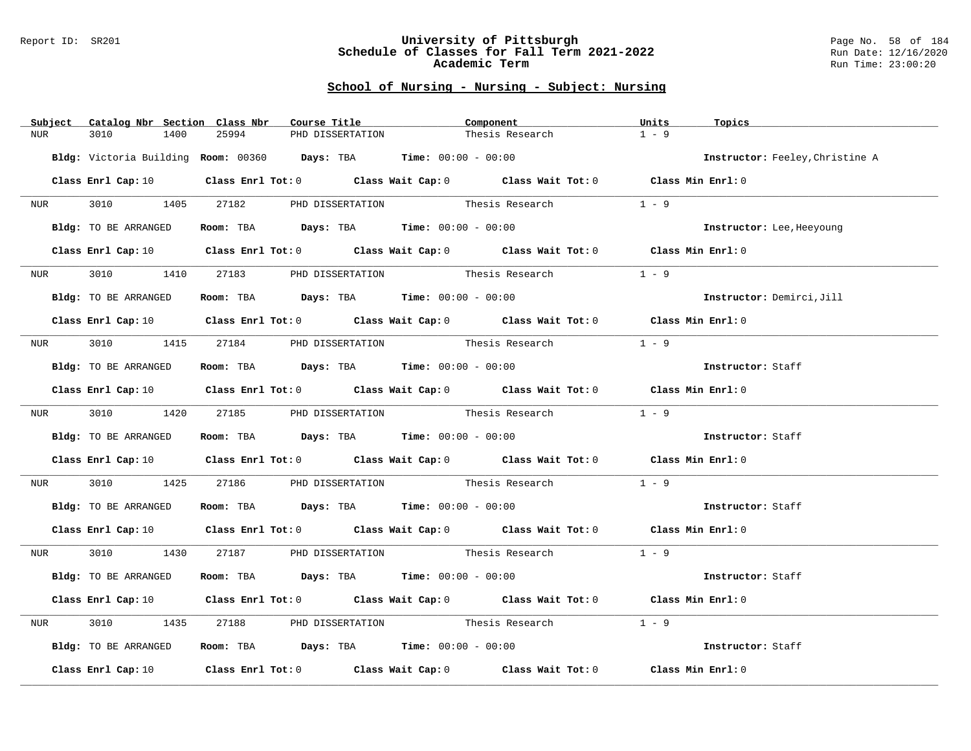#### Report ID: SR201 **University of Pittsburgh** Page No. 58 of 184 **Schedule of Classes for Fall Term 2021-2022** Run Date: 12/16/2020 **Academic Term** Run Time: 23:00:20

| Subject          | Catalog Nbr Section Class Nbr | Course Title                                                      |                  | Component                                                                                                                      | Units<br>Topics           |                                 |
|------------------|-------------------------------|-------------------------------------------------------------------|------------------|--------------------------------------------------------------------------------------------------------------------------------|---------------------------|---------------------------------|
| NUR              | 3010<br>1400                  | 25994                                                             | PHD DISSERTATION | Thesis Research                                                                                                                | $1 - 9$                   |                                 |
|                  |                               | Bldg: Victoria Building Room: 00360 Days: TBA Time: 00:00 - 00:00 |                  |                                                                                                                                |                           | Instructor: Feeley, Christine A |
|                  |                               |                                                                   |                  | Class Enrl Cap: 10 $\qquad$ Class Enrl Tot: 0 $\qquad$ Class Wait Cap: 0 $\qquad$ Class Wait Tot: 0 $\qquad$ Class Min Enrl: 0 |                           |                                 |
|                  |                               |                                                                   |                  | NUR 3010 1405 27182 PHD DISSERTATION Thesis Research 1 - 9                                                                     |                           |                                 |
|                  | Bldg: TO BE ARRANGED          | Room: TBA $Days:$ TBA $Time: 00:00 - 00:00$                       |                  |                                                                                                                                | Instructor: Lee, Heeyoung |                                 |
|                  |                               |                                                                   |                  | Class Enrl Cap: 10 $\qquad$ Class Enrl Tot: 0 $\qquad$ Class Wait Cap: 0 $\qquad$ Class Wait Tot: 0 $\qquad$ Class Min Enrl: 0 |                           |                                 |
| <b>NUR</b>       |                               |                                                                   |                  | 3010 1410 27183 PHD DISSERTATION Thesis Research                                                                               | $1 - 9$                   |                                 |
|                  | Bldg: TO BE ARRANGED          | Room: TBA $\rule{1em}{0.15mm}$ Days: TBA Time: $00:00 - 00:00$    |                  |                                                                                                                                | Instructor: Demirci, Jill |                                 |
|                  |                               |                                                                   |                  | Class Enrl Cap: 10 Class Enrl Tot: 0 Class Wait Cap: 0 Class Wait Tot: 0 Class Min Enrl: 0                                     |                           |                                 |
|                  |                               |                                                                   |                  | NUR 3010 1415 27184 PHD DISSERTATION Thesis Research                                                                           | $1 - 9$                   |                                 |
|                  | Bldg: TO BE ARRANGED          | Room: TBA $Days:$ TBA Time: $00:00 - 00:00$                       |                  |                                                                                                                                | Instructor: Staff         |                                 |
|                  |                               |                                                                   |                  | Class Enrl Cap: 10 Class Enrl Tot: 0 Class Wait Cap: 0 Class Wait Tot: 0 Class Min Enrl: 0                                     |                           |                                 |
|                  |                               | NUR 3010 1420 27185 PHD DISSERTATION                              |                  | Thesis Research                                                                                                                | $1 - 9$                   |                                 |
|                  | Bldg: TO BE ARRANGED          | Room: TBA $Days:$ TBA Time: $00:00 - 00:00$                       |                  |                                                                                                                                | Instructor: Staff         |                                 |
|                  |                               |                                                                   |                  | Class Enrl Cap: 10 Class Enrl Tot: 0 Class Wait Cap: 0 Class Wait Tot: 0 Class Min Enrl: 0                                     |                           |                                 |
|                  |                               |                                                                   |                  | NUR 3010 1425 27186 PHD DISSERTATION Thesis Research                                                                           | $1 - 9$                   |                                 |
|                  |                               | Bldg: TO BE ARRANGED Room: TBA Days: TBA Time: 00:00 - 00:00      |                  |                                                                                                                                | Instructor: Staff         |                                 |
|                  |                               |                                                                   |                  | Class Enrl Cap: 10 $\qquad$ Class Enrl Tot: 0 $\qquad$ Class Wait Cap: 0 $\qquad$ Class Wait Tot: 0 $\qquad$ Class Min Enrl: 0 |                           |                                 |
|                  |                               |                                                                   |                  | NUR 3010 1430 27187 PHD DISSERTATION Thesis Research 1 - 9                                                                     |                           |                                 |
|                  | Bldg: TO BE ARRANGED          | Room: TBA $Days:$ TBA $Time:$ $00:00 - 00:00$                     |                  |                                                                                                                                | Instructor: Staff         |                                 |
|                  |                               |                                                                   |                  | Class Enrl Cap: 10 $\qquad$ Class Enrl Tot: 0 $\qquad$ Class Wait Cap: 0 $\qquad$ Class Wait Tot: 0 $\qquad$ Class Min Enrl: 0 |                           |                                 |
| NUR <sub>i</sub> |                               |                                                                   |                  | 3010 1435 27188 PHD DISSERTATION Thesis Research                                                                               | $1 - 9$                   |                                 |
|                  | Bldg: TO BE ARRANGED          | Room: TBA $Days:$ TBA Time: $00:00 - 00:00$                       |                  |                                                                                                                                | Instructor: Staff         |                                 |
|                  |                               |                                                                   |                  | Class Enrl Cap: 10 $\qquad$ Class Enrl Tot: 0 $\qquad$ Class Wait Cap: 0 $\qquad$ Class Wait Tot: 0 $\qquad$ Class Min Enrl: 0 |                           |                                 |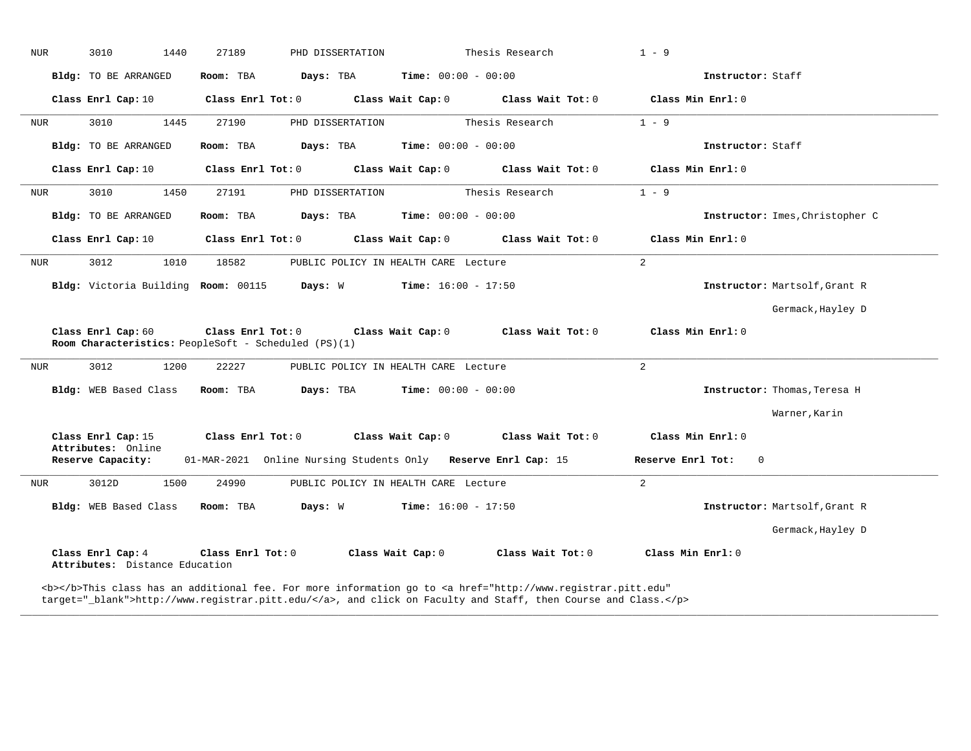| NUR | 3010<br>1440                                                               | 27189             | PHD DISSERTATION                                              |                              | Thesis Research       | $1 - 9$           |                                 |
|-----|----------------------------------------------------------------------------|-------------------|---------------------------------------------------------------|------------------------------|-----------------------|-------------------|---------------------------------|
|     | Bldg: TO BE ARRANGED                                                       | Room: TBA         | Days: TBA                                                     | <b>Time:</b> $00:00 - 00:00$ |                       |                   | Instructor: Staff               |
|     | Class Enrl Cap: 10                                                         | Class Enrl Tot: 0 |                                                               | Class Wait Cap: 0            | Class Wait Tot: 0     | Class Min Enrl: 0 |                                 |
| NUR | 3010<br>1445                                                               | 27190             | PHD DISSERTATION                                              |                              | Thesis Research       | $1 - 9$           |                                 |
|     | Bldg: TO BE ARRANGED                                                       | Room: TBA         | Days: TBA                                                     | Time: $00:00 - 00:00$        |                       |                   | Instructor: Staff               |
|     | Class Enrl Cap: 10                                                         | Class Enrl Tot: 0 |                                                               | Class Wait Cap: 0            | Class Wait Tot: 0     | Class Min Enrl: 0 |                                 |
| NUR | 3010<br>1450                                                               | 27191             | PHD DISSERTATION                                              |                              | Thesis Research       | $1 - 9$           |                                 |
|     | Bldg: TO BE ARRANGED                                                       | Room: TBA         | <b>Days:</b> TBA <b>Time:</b> $00:00 - 00:00$                 |                              |                       |                   | Instructor: Imes, Christopher C |
|     | Class Enrl Cap: 10                                                         | Class Enrl Tot: 0 |                                                               | Class Wait Cap: 0            | Class Wait Tot: 0     | Class Min Enrl: 0 |                                 |
| NUR | 3012<br>1010                                                               | 18582             | PUBLIC POLICY IN HEALTH CARE Lecture                          |                              |                       | $\overline{2}$    |                                 |
|     | Bldg: Victoria Building Room: 00115                                        |                   | Days: W                                                       | $Time: 16:00 - 17:50$        |                       |                   | Instructor: Martsolf, Grant R   |
|     |                                                                            |                   |                                                               |                              |                       |                   |                                 |
|     |                                                                            |                   |                                                               |                              |                       |                   | Germack, Hayley D               |
|     | Class Enrl Cap: 60<br>Room Characteristics: PeopleSoft - Scheduled (PS)(1) | Class Enrl Tot: 0 | Class Wait Cap: 0                                             |                              | Class Wait Tot: 0     | Class Min Enrl: 0 |                                 |
| NUR | 3012<br>1200                                                               | 22227             | PUBLIC POLICY IN HEALTH CARE Lecture                          |                              |                       | $\overline{2}$    |                                 |
|     | Bldg: WEB Based Class                                                      | Room: TBA         | Days: TBA                                                     | $Time: 00:00 - 00:00$        |                       |                   | Instructor: Thomas, Teresa H    |
|     |                                                                            |                   |                                                               |                              |                       |                   | Warner, Karin                   |
|     | Class Enrl Cap: 15                                                         | Class Enrl Tot: 0 | Class Wait Cap: 0                                             |                              | $Class$ Wait Tot: $0$ | Class Min Enrl: 0 |                                 |
|     | Attributes: Online<br>Reserve Capacity:                                    |                   | 01-MAR-2021 Online Nursing Students Only Reserve Enrl Cap: 15 |                              |                       | Reserve Enrl Tot: | $\overline{0}$                  |
| NUR | 3012D<br>1500                                                              | 24990             | PUBLIC POLICY IN HEALTH CARE Lecture                          |                              |                       | $\overline{2}$    |                                 |
|     | Bldg: WEB Based Class                                                      | Room: TBA         | Days: W                                                       | $Time: 16:00 - 17:50$        |                       |                   | Instructor: Martsolf, Grant R   |
|     |                                                                            |                   |                                                               |                              |                       |                   | Germack, Hayley D               |
|     | Class Enrl Cap: 4<br>Attributes: Distance Education                        | Class Enrl Tot: 0 | Class Wait Cap: 0                                             |                              | Class Wait Tot: 0     | Class Min Enrl: 0 |                                 |

**\_\_\_\_\_\_\_\_\_\_\_\_\_\_\_\_\_\_\_\_\_\_\_\_\_\_\_\_\_\_\_\_\_\_\_\_\_\_\_\_\_\_\_\_\_\_\_\_\_\_\_\_\_\_\_\_\_\_\_\_\_\_\_\_\_\_\_\_\_\_\_\_\_\_\_\_\_\_\_\_\_\_\_\_\_\_\_\_\_\_\_\_\_\_\_\_\_\_\_\_\_\_\_\_\_\_\_\_\_\_\_\_\_\_\_\_\_\_\_\_\_\_\_\_\_\_\_\_\_\_\_\_\_\_\_\_\_\_\_\_\_\_\_\_\_\_\_\_\_\_\_\_\_\_\_\_**

target="\_blank">http://www.registrar.pitt.edu/</a>, and click on Faculty and Staff, then Course and Class.</p>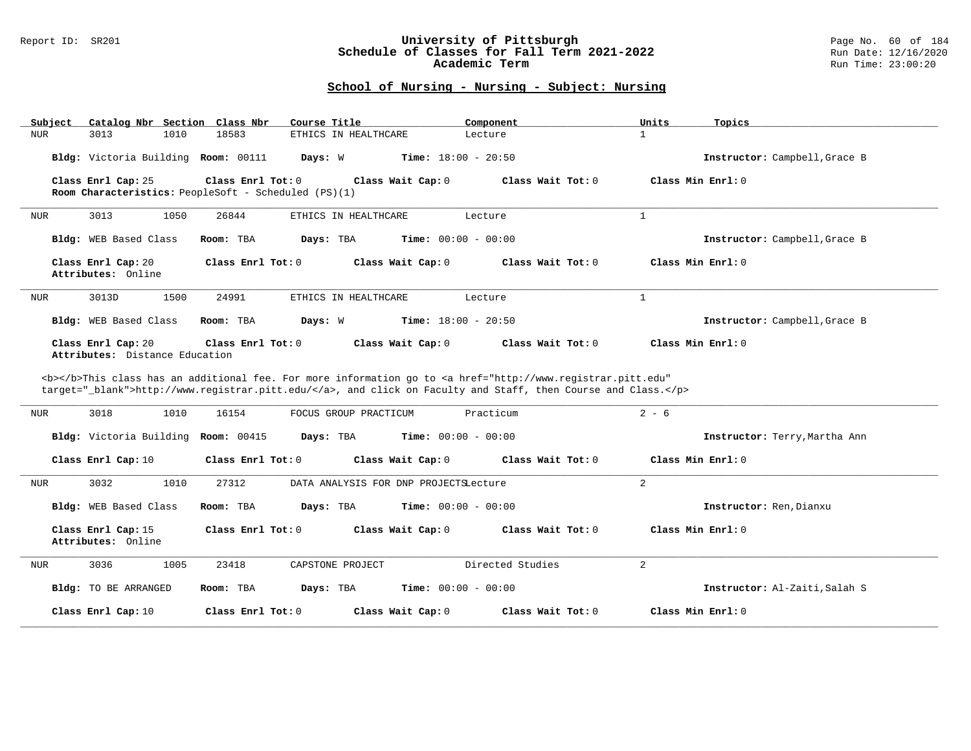#### Report ID: SR201 **University of Pittsburgh** Page No. 60 of 184 **Schedule of Classes for Fall Term 2021-2022** Run Date: 12/16/2020 **Academic Term** Run Time: 23:00:20

| Subject                                              | Catalog Nbr Section Class Nbr<br>Course Title                             | Component                                                                                                                                                                                                                          | Units<br>Topics               |
|------------------------------------------------------|---------------------------------------------------------------------------|------------------------------------------------------------------------------------------------------------------------------------------------------------------------------------------------------------------------------------|-------------------------------|
| 3013<br>1010<br><b>NUR</b>                           | 18583<br>ETHICS IN HEALTHCARE                                             | Lecture                                                                                                                                                                                                                            | $\mathbf{1}$                  |
| Bldg: Victoria Building Room: 00111                  | Days: W                                                                   | <b>Time:</b> $18:00 - 20:50$                                                                                                                                                                                                       | Instructor: Campbell, Grace B |
| Class Enrl Cap: 25                                   | Class Enrl Tot: 0<br>Room Characteristics: PeopleSoft - Scheduled (PS)(1) | Class Wait Cap: 0<br>Class Wait Tot: 0                                                                                                                                                                                             | Class Min Enrl: 0             |
| 3013<br>1050<br>NUR                                  | 26844<br>ETHICS IN HEALTHCARE                                             | Lecture                                                                                                                                                                                                                            | $\mathbf{1}$                  |
| Bldg: WEB Based Class                                | Room: TBA<br>Days: TBA                                                    | <b>Time:</b> $00:00 - 00:00$                                                                                                                                                                                                       | Instructor: Campbell, Grace B |
| Class Enrl Cap: 20<br>Attributes: Online             | Class Enrl Tot: 0                                                         | Class Wait Cap: 0<br>Class Wait Tot: 0                                                                                                                                                                                             | Class Min Enrl: 0             |
| 3013D<br>1500<br>NUR                                 | 24991<br>ETHICS IN HEALTHCARE                                             | Lecture                                                                                                                                                                                                                            | $\mathbf{1}$                  |
| Bldg: WEB Based Class                                | Room: TBA<br>Days: W                                                      | <b>Time:</b> $18:00 - 20:50$                                                                                                                                                                                                       | Instructor: Campbell, Grace B |
| Class Enrl Cap: 20<br>Attributes: Distance Education | Class Enrl Tot: 0                                                         | Class Wait Cap: 0<br>Class Wait Tot: 0                                                                                                                                                                                             | Class Min Enrl: 0             |
|                                                      |                                                                           |                                                                                                                                                                                                                                    |                               |
|                                                      |                                                                           |                                                                                                                                                                                                                                    |                               |
|                                                      |                                                                           | <b></b> This class has an additional fee. For more information go to <a <br="" href="http://www.registrar.pitt.edu">target="_blank"&gt;http://www.registrar.pitt.edu/</a> , and click on Faculty and Staff, then Course and Class. |                               |
| 3018<br>1010<br>NUR                                  | 16154<br>FOCUS GROUP PRACTICUM                                            | Practicum                                                                                                                                                                                                                          | $2 - 6$                       |
| Bldg: Victoria Building Room: 00415                  | Days: TBA                                                                 | <b>Time:</b> $00:00 - 00:00$                                                                                                                                                                                                       | Instructor: Terry, Martha Ann |
| Class Enrl Cap: 10                                   | Class Enrl Tot: 0                                                         | Class Wait Cap: 0<br>Class Wait Tot: 0                                                                                                                                                                                             | Class Min Enrl: 0             |
| 3032<br>1010<br>NUR                                  | 27312                                                                     | DATA ANALYSIS FOR DNP PROJECTSLecture                                                                                                                                                                                              | $\overline{a}$                |
| Bldg: WEB Based Class                                | Room: TBA<br>Days: TBA                                                    | <b>Time:</b> $00:00 - 00:00$                                                                                                                                                                                                       | Instructor: Ren, Dianxu       |
| Class Enrl Cap: 15<br>Attributes: Online             | Class Enrl Tot: 0                                                         | Class Wait Cap: 0<br>Class Wait Tot: 0                                                                                                                                                                                             | Class Min Enrl: 0             |
| 3036<br>1005<br>NUR                                  | 23418<br>CAPSTONE PROJECT                                                 | Directed Studies                                                                                                                                                                                                                   | $\overline{a}$                |
| Bldg: TO BE ARRANGED                                 | Room: TBA<br>Days: TBA                                                    | <b>Time:</b> $00:00 - 00:00$                                                                                                                                                                                                       | Instructor: Al-Zaiti, Salah S |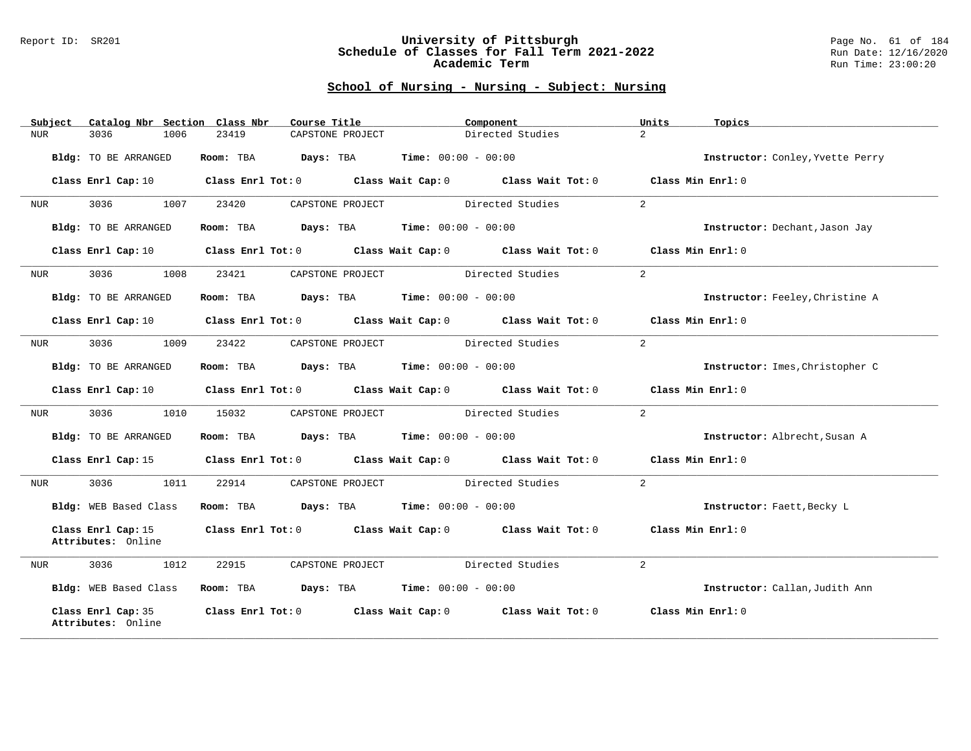#### Report ID: SR201 **University of Pittsburgh** Page No. 61 of 184 **Schedule of Classes for Fall Term 2021-2022** Run Date: 12/16/2020 **Academic Term** Run Time: 23:00:20

| Subject | Catalog Nbr Section Class Nbr            | Course Title      |                                                       | Component         | Units<br>Topics                  |  |
|---------|------------------------------------------|-------------------|-------------------------------------------------------|-------------------|----------------------------------|--|
| NUR     | 3036<br>1006                             | 23419             | CAPSTONE PROJECT                                      | Directed Studies  | $\overline{2}$                   |  |
|         | Bldg: TO BE ARRANGED                     | Room: TBA         | $\texttt{Days:}$ TBA $\texttt{Time:}$ 00:00 - 00:00   |                   | Instructor: Conley, Yvette Perry |  |
|         | Class Enrl Cap: 10                       |                   | Class Enrl Tot: 0 Class Wait Cap: 0 Class Wait Tot: 0 |                   | Class Min Enrl: 0                |  |
| NUR     | 3036<br>1007                             | 23420             | CAPSTONE PROJECT                                      | Directed Studies  | 2                                |  |
|         | Bldg: TO BE ARRANGED                     | Room: TBA         | $\texttt{Days:}$ TBA $\texttt{Time:}$ 00:00 - 00:00   |                   | Instructor: Dechant, Jason Jay   |  |
|         | Class Enrl Cap: 10                       |                   | Class Enrl Tot: 0 Class Wait Cap: 0 Class Wait Tot: 0 |                   | Class Min Enrl: 0                |  |
| NUR     | 3036<br>1008                             | 23421             | CAPSTONE PROJECT                                      | Directed Studies  | 2                                |  |
|         | Bldg: TO BE ARRANGED                     | Room: TBA         | <b>Days:</b> TBA <b>Time:</b> $00:00 - 00:00$         |                   | Instructor: Feeley, Christine A  |  |
|         | Class Enrl Cap: 10                       |                   | Class Enrl Tot: 0 Class Wait Cap: 0 Class Wait Tot: 0 |                   | Class Min Enrl: 0                |  |
| NUR     | 3036<br>1009                             | 23422             | CAPSTONE PROJECT                                      | Directed Studies  | 2                                |  |
|         | Bldg: TO BE ARRANGED                     | Room: TBA         | <b>Days:</b> TBA <b>Time:</b> $00:00 - 00:00$         |                   | Instructor: Imes, Christopher C  |  |
|         | Class Enrl Cap: 10                       |                   | Class Enrl Tot: 0 Class Wait Cap: 0 Class Wait Tot: 0 |                   | Class Min Enrl: 0                |  |
| NUR     | 3036<br>1010                             | 15032             | CAPSTONE PROJECT                                      | Directed Studies  | 2                                |  |
|         | Bldg: TO BE ARRANGED                     | Room: TBA         | $\texttt{Days:}$ TBA $\texttt{Time:}$ 00:00 - 00:00   |                   | Instructor: Albrecht, Susan A    |  |
|         | Class Enrl Cap: 15                       |                   | Class Enrl Tot: 0 Class Wait Cap: 0 Class Wait Tot: 0 |                   | Class Min Enrl: 0                |  |
| NUR     | 3036<br>1011                             | 22914             | CAPSTONE PROJECT                                      | Directed Studies  | 2                                |  |
|         | Bldg: WEB Based Class                    | Room: TBA         | $\texttt{Days:}$ TBA $\texttt{Time:}$ 00:00 - 00:00   |                   | Instructor: Faett, Becky L       |  |
|         | Class Enrl Cap: 15<br>Attributes: Online |                   | Class Enrl Tot: 0 Class Wait Cap: 0 Class Wait Tot: 0 |                   | Class Min Enrl: $0$              |  |
| NUR     | 1012<br>3036                             | 22915             | CAPSTONE PROJECT                                      | Directed Studies  | $\overline{a}$                   |  |
|         | Bldg: WEB Based Class                    |                   | Room: TBA $Days:$ TBA $Time: 00:00 - 00:00$           |                   | Instructor: Callan, Judith Ann   |  |
|         | Class Enrl Cap: 35<br>Attributes: Online | Class Enrl Tot: 0 | Class Wait Cap: 0                                     | Class Wait Tot: 0 | Class Min Enrl: 0                |  |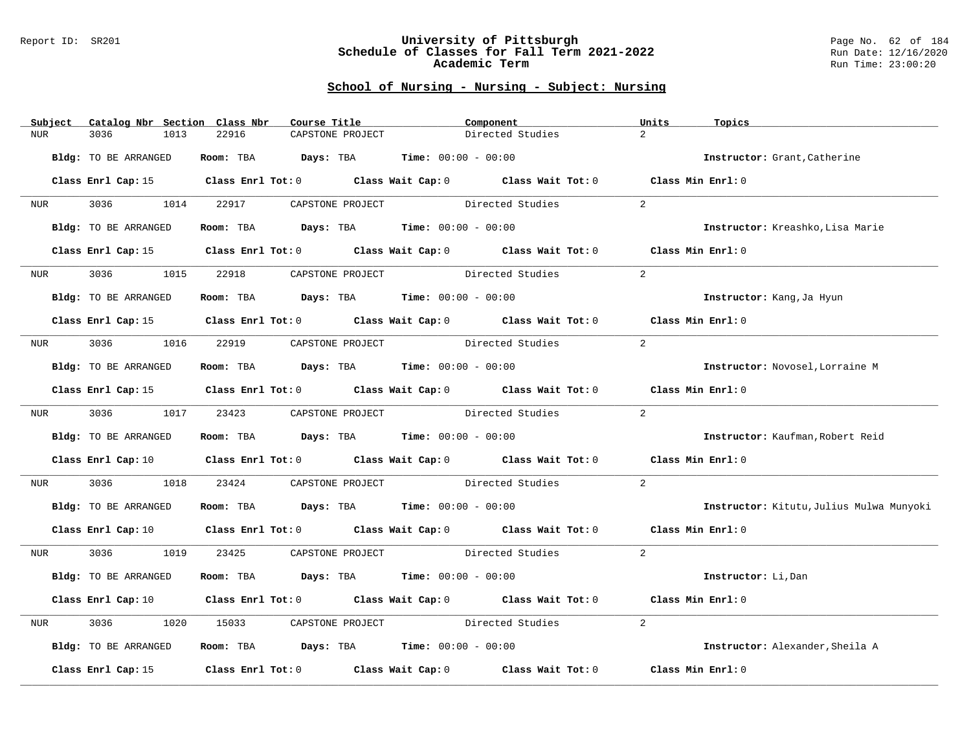#### Report ID: SR201 **University of Pittsburgh** Page No. 62 of 184 **Schedule of Classes for Fall Term 2021-2022** Run Date: 12/16/2020 **Academic Term** Run Time: 23:00:20

| Subject          | Catalog Nbr Section Class Nbr | Course Title                                                                                        | Component                                                               |                  | Units<br>Topics                          |
|------------------|-------------------------------|-----------------------------------------------------------------------------------------------------|-------------------------------------------------------------------------|------------------|------------------------------------------|
| NUR.             | 3036<br>1013                  | 22916<br>CAPSTONE PROJECT                                                                           |                                                                         | Directed Studies | $\overline{2}$                           |
|                  | Bldg: TO BE ARRANGED          | Room: TBA $Days:$ TBA $Time: 00:00 - 00:00$                                                         |                                                                         |                  | Instructor: Grant, Catherine             |
|                  |                               | Class Enrl Cap: 15 Class Enrl Tot: 0 Class Wait Cap: 0 Class Wait Tot: 0 Class Min Enrl: 0          |                                                                         |                  |                                          |
| <b>NUR</b>       |                               | 3036 1014 22917 CAPSTONE PROJECT Directed Studies                                                   |                                                                         |                  | 2                                        |
|                  | Bldg: TO BE ARRANGED          | Room: TBA $Days:$ TBA $Time: 00:00 - 00:00$                                                         |                                                                         |                  | Instructor: Kreashko, Lisa Marie         |
|                  | Class Enrl Cap: 15            |                                                                                                     | Class Enrl Tot: 0 Class Wait Cap: 0 Class Wait Tot: 0 Class Min Enrl: 0 |                  |                                          |
| NUR <sub>p</sub> | 3036<br>1015                  | 22918                                                                                               | CAPSTONE PROJECT Directed Studies                                       |                  | $\overline{2}$                           |
|                  | Bldg: TO BE ARRANGED          | Room: TBA $Days:$ TBA $Time: 00:00 - 00:00$                                                         |                                                                         |                  | Instructor: Kang, Ja Hyun                |
|                  |                               | Class Enrl Cap: 15 Class Enrl Tot: 0 Class Wait Cap: 0 Class Wait Tot: 0 Class Min Enrl: 0          |                                                                         |                  |                                          |
| NUR <b>NUR</b>   |                               | 3036 1016 22919 CAPSTONE PROJECT Directed Studies                                                   |                                                                         |                  | 2                                        |
|                  | Bldg: TO BE ARRANGED          | Room: TBA $Days:$ TBA $Time: 00:00 - 00:00$                                                         |                                                                         |                  | Instructor: Novosel, Lorraine M          |
|                  |                               | Class Enrl Cap: 15 Class Enrl Tot: 0 Class Wait Cap: 0 Class Wait Tot: 0 Class Min Enrl: 0          |                                                                         |                  |                                          |
|                  |                               | NUR 3036 1017 23423 CAPSTONE PROJECT Directed Studies                                               |                                                                         |                  | 2                                        |
|                  | Bldg: TO BE ARRANGED          | Room: TBA $\rule{1em}{0.15mm}$ Days: TBA $\rule{1.5mm}{0.15mm}$ Time: $00:00 - 00:00$               |                                                                         |                  | Instructor: Kaufman, Robert Reid         |
|                  |                               | Class Enrl Cap: 10 Class Enrl Tot: 0 Class Wait Cap: 0 Class Wait Tot: 0                            |                                                                         |                  | Class Min $Enr1:0$                       |
| NUR              | 3036 300<br>1018              | 23424 CAPSTONE PROJECT Directed Studies                                                             |                                                                         |                  | 2                                        |
|                  | Bldg: TO BE ARRANGED          | Room: TBA $Days:$ TBA $Time: 00:00 - 00:00$                                                         |                                                                         |                  | Instructor: Kitutu, Julius Mulwa Munyoki |
|                  |                               | Class Enrl Cap: 10 Class Enrl Tot: 0 Class Wait Cap: 0 Class Wait Tot: 0 Class Min Enrl: 0          |                                                                         |                  |                                          |
| NUR <b>NUR</b>   | 3036 1019                     |                                                                                                     | 23425 CAPSTONE PROJECT Directed Studies                                 |                  | 2                                        |
|                  | Bldg: TO BE ARRANGED          | Room: TBA $Days:$ TBA $Time: 00:00 - 00:00$                                                         |                                                                         |                  | Instructor: Li, Dan                      |
|                  |                               | Class Enrl Cap: 10 $\qquad$ Class Enrl Tot: 0 $\qquad$ Class Wait Cap: 0 $\qquad$ Class Wait Tot: 0 |                                                                         |                  | Class Min Enrl: 0                        |
| NUR              | 3036<br>1020                  | 15033                                                                                               | CAPSTONE PROJECT Directed Studies                                       |                  | $\overline{a}$                           |
|                  | Bldg: TO BE ARRANGED          | Room: TBA $Days:$ TBA $Time: 00:00 - 00:00$                                                         |                                                                         |                  | Instructor: Alexander, Sheila A          |
|                  | Class Enrl Cap: 15            |                                                                                                     | Class Enrl Tot: $0$ Class Wait Cap: $0$ Class Wait Tot: $0$             |                  | Class Min Enrl: 0                        |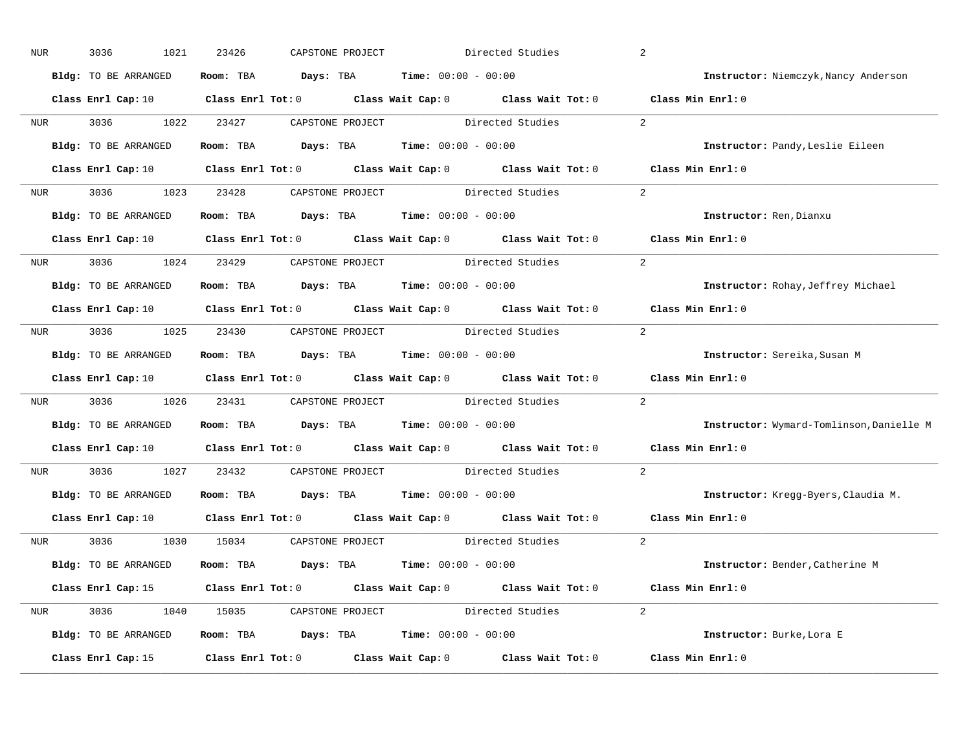| NUR              | 3036<br>1021         | 23426      | CAPSTONE PROJECT                                      | Directed Studies                                                                                                               | 2                                        |
|------------------|----------------------|------------|-------------------------------------------------------|--------------------------------------------------------------------------------------------------------------------------------|------------------------------------------|
|                  | Bldg: TO BE ARRANGED |            | Room: TBA $Days: TBA$ Time: $00:00 - 00:00$           |                                                                                                                                | Instructor: Niemczyk, Nancy Anderson     |
|                  |                      |            |                                                       | Class Enrl Cap: 10 $\qquad$ Class Enrl Tot: 0 $\qquad$ Class Wait Cap: 0 $\qquad$ Class Wait Tot: 0 $\qquad$ Class Min Enrl: 0 |                                          |
| <b>NUR</b>       | 3036 1022 23427      |            |                                                       | CAPSTONE PROJECT Directed Studies                                                                                              | 2                                        |
|                  | Bldg: TO BE ARRANGED |            | Room: TBA $Days:$ TBA Time: $00:00 - 00:00$           |                                                                                                                                | Instructor: Pandy, Leslie Eileen         |
|                  |                      |            |                                                       | Class Enrl Cap: 10 $\qquad$ Class Enrl Tot: 0 $\qquad$ Class Wait Cap: 0 $\qquad$ Class Wait Tot: 0 $\qquad$ Class Min Enrl: 0 |                                          |
|                  |                      |            |                                                       | NUR 3036 1023 23428 CAPSTONE PROJECT Directed Studies 2                                                                        |                                          |
|                  | Bldg: TO BE ARRANGED |            | Room: TBA $Days:$ TBA Time: $00:00 - 00:00$           |                                                                                                                                | Instructor: Ren, Dianxu                  |
|                  |                      |            |                                                       | Class Enrl Cap: 10 $\qquad$ Class Enrl Tot: 0 $\qquad$ Class Wait Cap: 0 $\qquad$ Class Wait Tot: 0 $\qquad$ Class Min Enrl: 0 |                                          |
|                  |                      |            | NUR 3036 1024 23429 CAPSTONE PROJECT Directed Studies |                                                                                                                                | 2                                        |
|                  | Bldg: TO BE ARRANGED |            | Room: TBA $Days: TBA$ Time: $00:00 - 00:00$           |                                                                                                                                | Instructor: Rohay, Jeffrey Michael       |
|                  |                      |            |                                                       | Class Enrl Cap: 10 $\qquad$ Class Enrl Tot: 0 $\qquad$ Class Wait Cap: 0 $\qquad$ Class Wait Tot: 0                            | Class Min Enrl: 0                        |
|                  |                      |            |                                                       | NUR 3036 1025 23430 CAPSTONE PROJECT Directed Studies                                                                          | 2                                        |
|                  | Bldg: TO BE ARRANGED |            | Room: TBA $Days:$ TBA $Time: 00:00 - 00:00$           |                                                                                                                                | Instructor: Sereika, Susan M             |
|                  |                      |            |                                                       | Class Enrl Cap: 10 $\qquad$ Class Enrl Tot: 0 $\qquad$ Class Wait Cap: 0 $\qquad$ Class Wait Tot: 0                            | Class Min Enrl: 0                        |
| NUR <sub>p</sub> |                      |            | 3036 1026 23431 CAPSTONE PROJECT Directed Studies     |                                                                                                                                | 2                                        |
|                  | Bldg: TO BE ARRANGED |            | Room: TBA $Days:$ TBA $Time: 00:00 - 00:00$           |                                                                                                                                | Instructor: Wymard-Tomlinson, Danielle M |
|                  |                      |            |                                                       | Class Enrl Cap: 10 $\qquad$ Class Enrl Tot: 0 $\qquad$ Class Wait Cap: 0 $\qquad$ Class Wait Tot: 0                            | Class Min Enrl: 0                        |
| <b>NUR</b>       | 3036 700             | 1027 23432 |                                                       | CAPSTONE PROJECT Directed Studies                                                                                              | 2                                        |
|                  | Bldg: TO BE ARRANGED |            | Room: TBA $Days:$ TBA Time: $00:00 - 00:00$           |                                                                                                                                | Instructor: Kregg-Byers, Claudia M.      |
|                  |                      |            |                                                       | Class Enrl Cap: 10 $\qquad$ Class Enrl Tot: 0 $\qquad$ Class Wait Cap: 0 $\qquad$ Class Wait Tot: 0                            | Class Min Enrl: 0                        |
|                  |                      |            | NUR 3036 1030 15034 CAPSTONE PROJECT Directed Studies |                                                                                                                                | 2                                        |
|                  | Bldg: TO BE ARRANGED |            | Room: TBA $Days:$ TBA $Time: 00:00 - 00:00$           |                                                                                                                                | Instructor: Bender, Catherine M          |
|                  |                      |            |                                                       | Class Enrl Cap: 15 Class Enrl Tot: 0 Class Wait Cap: 0 Class Wait Tot: 0 Class Min Enrl: 0                                     |                                          |
|                  |                      |            |                                                       | NUR 3036 1040 15035 CAPSTONE PROJECT Directed Studies                                                                          | 2                                        |
|                  | Bldg: TO BE ARRANGED |            | Room: TBA $Days: TBA$ Time: $00:00 - 00:00$           |                                                                                                                                | Instructor: Burke, Lora E                |
|                  | Class Enrl Cap: 15   |            |                                                       | Class Enrl Tot: 0 Class Wait Cap: 0 Class Wait Tot: 0 Class Min Enrl: 0                                                        |                                          |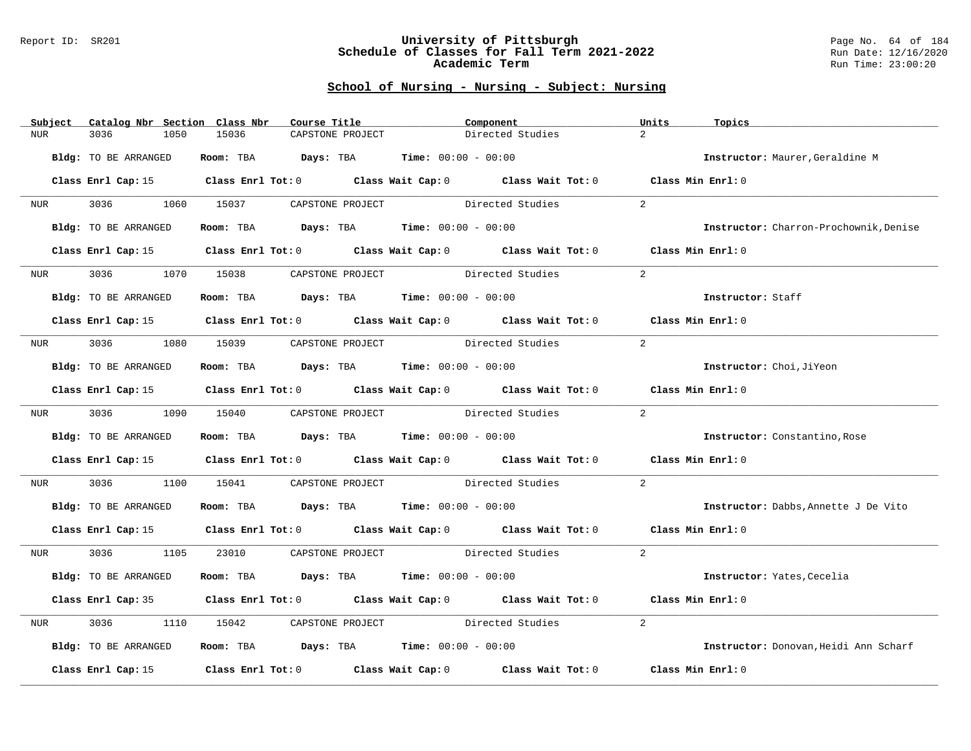#### Report ID: SR201 **University of Pittsburgh** Page No. 64 of 184 **Schedule of Classes for Fall Term 2021-2022** Run Date: 12/16/2020 **Academic Term** Run Time: 23:00:20

|                  | Subject Catalog Nbr Section Class Nbr | Course Title                                                                          | Component                                                                                           | Units<br>Topics                        |
|------------------|---------------------------------------|---------------------------------------------------------------------------------------|-----------------------------------------------------------------------------------------------------|----------------------------------------|
| NUR              | 3036<br>1050                          | 15036<br>CAPSTONE PROJECT                                                             | Directed Studies                                                                                    | $\overline{2}$                         |
|                  | Bldg: TO BE ARRANGED                  | Room: TBA $Days:$ TBA Time: $00:00 - 00:00$                                           |                                                                                                     | Instructor: Maurer, Geraldine M        |
|                  |                                       |                                                                                       | Class Enrl Cap: 15 Class Enrl Tot: 0 Class Wait Cap: 0 Class Wait Tot: 0 Class Min Enrl: 0          |                                        |
| NUR <sub>i</sub> |                                       | 3036 1060 15037 CAPSTONE PROJECT Directed Studies                                     |                                                                                                     | 2                                      |
|                  | Bldg: TO BE ARRANGED                  | Room: TBA $Days:$ TBA $Time: 00:00 - 00:00$                                           |                                                                                                     | Instructor: Charron-Prochownik, Denise |
|                  | Class Enrl Cap: 15                    |                                                                                       | Class Enrl Tot: 0 Class Wait Cap: 0 Class Wait Tot: 0 Class Min Enrl: 0                             |                                        |
| <b>NUR</b>       | 3036<br>1070                          | 15038                                                                                 | CAPSTONE PROJECT Directed Studies                                                                   | 2                                      |
|                  | Bldg: TO BE ARRANGED                  | Room: TBA $Days:$ TBA $Time: 00:00 - 00:00$                                           |                                                                                                     | Instructor: Staff                      |
|                  |                                       |                                                                                       | Class Enrl Cap: 15 Class Enrl Tot: 0 Class Wait Cap: 0 Class Wait Tot: 0 Class Min Enrl: 0          |                                        |
|                  |                                       | NUR 3036 1080 15039 CAPSTONE PROJECT Directed Studies                                 |                                                                                                     | $\overline{2}$                         |
|                  | Bldg: TO BE ARRANGED                  | Room: TBA $\rule{1em}{0.15mm}$ Days: TBA $\rule{1.5mm}{0.15mm}$ Time: $00:00 - 00:00$ |                                                                                                     | Instructor: Choi, JiYeon               |
|                  |                                       |                                                                                       | Class Enrl Cap: 15 Class Enrl Tot: 0 Class Wait Cap: 0 Class Wait Tot: 0 Class Min Enrl: 0          |                                        |
| NUR <sub>e</sub> |                                       | 3036 1090 15040 CAPSTONE PROJECT                                                      | Directed Studies                                                                                    | 2                                      |
|                  | Bldg: TO BE ARRANGED                  | Room: TBA $\rule{1em}{0.15mm}$ Days: TBA Time: $00:00 - 00:00$                        |                                                                                                     | Instructor: Constantino, Rose          |
|                  |                                       |                                                                                       | Class Enrl Cap: 15 (class Enrl Tot: 0 (class Wait Cap: 0 (class Wait Tot: 0 (class Min Enrl: 0)     |                                        |
| <b>NUR</b>       | 3036 70                               |                                                                                       | 1100 15041 CAPSTONE PROJECT Directed Studies                                                        | 2                                      |
|                  | Bldg: TO BE ARRANGED                  | Room: TBA $\rule{1em}{0.15mm}$ Days: TBA Time: $00:00 - 00:00$                        |                                                                                                     | Instructor: Dabbs, Annette J De Vito   |
|                  |                                       |                                                                                       | Class Enrl Cap: 15 Class Enrl Tot: 0 Class Wait Cap: 0 Class Wait Tot: 0 Class Min Enrl: 0          |                                        |
|                  | NUR 3036 1105                         |                                                                                       | 23010 CAPSTONE PROJECT Directed Studies                                                             | 2                                      |
|                  | Bldg: TO BE ARRANGED                  | Room: TBA $Days: TBA$ Time: $00:00 - 00:00$                                           |                                                                                                     | Instructor: Yates, Cecelia             |
|                  |                                       |                                                                                       | Class Enrl Cap: 35 Class Enrl Tot: 0 Class Wait Cap: 0 Class Wait Tot: 0 Class Min Enrl: 0          |                                        |
| NUR              | 3036<br>1110                          | 15042                                                                                 | CAPSTONE PROJECT Directed Studies                                                                   | 2                                      |
|                  | Bldg: TO BE ARRANGED                  | Room: TBA $Days:$ TBA $Time: 00:00 - 00:00$                                           |                                                                                                     | Instructor: Donovan, Heidi Ann Scharf  |
|                  |                                       |                                                                                       | Class Enrl Cap: 15 $\qquad$ Class Enrl Tot: 0 $\qquad$ Class Wait Cap: 0 $\qquad$ Class Wait Tot: 0 | Class Min Enrl: 0                      |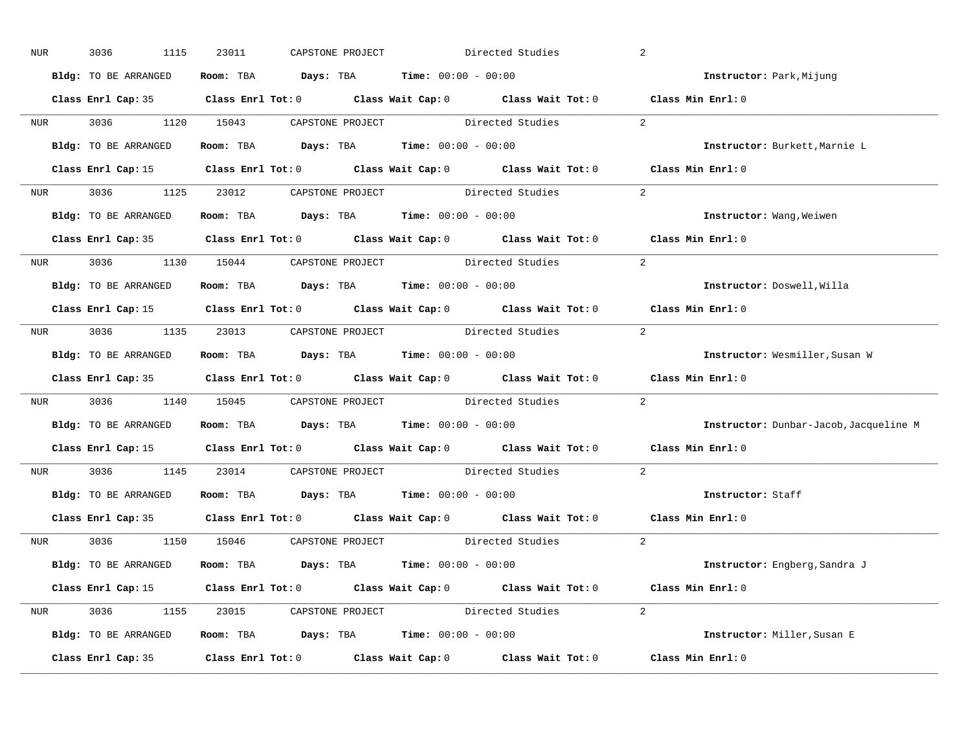| NUR        | 3036<br>1115         | 23011 | CAPSTONE PROJECT |                                                                                            | Directed Studies                                                                                    | 2                                      |
|------------|----------------------|-------|------------------|--------------------------------------------------------------------------------------------|-----------------------------------------------------------------------------------------------------|----------------------------------------|
|            | Bldg: TO BE ARRANGED |       |                  | Room: TBA $Days: TBA$ Time: $00:00 - 00:00$                                                |                                                                                                     | Instructor: Park, Mijung               |
|            |                      |       |                  |                                                                                            | Class Enrl Cap: 35 Class Enrl Tot: 0 Class Wait Cap: 0 Class Wait Tot: 0 Class Min Enrl: 0          |                                        |
|            |                      |       |                  | NUR 3036 1120 15043 CAPSTONE PROJECT Directed Studies                                      |                                                                                                     | 2                                      |
|            | Bldg: TO BE ARRANGED |       |                  | Room: TBA $Days:$ TBA Time: $00:00 - 00:00$                                                |                                                                                                     | Instructor: Burkett, Marnie L          |
|            |                      |       |                  |                                                                                            | Class Enrl Cap: 15 (Class Enrl Tot: 0 (Class Wait Cap: 0 (Class Wait Tot: 0 (Class Min Enrl: 0)     |                                        |
|            |                      |       |                  |                                                                                            | NUR 3036 1125 23012 CAPSTONE PROJECT Directed Studies 2                                             |                                        |
|            |                      |       |                  | Bldg: TO BE ARRANGED Room: TBA Days: TBA Time: 00:00 - 00:00                               |                                                                                                     | Instructor: Wang, Weiwen               |
|            |                      |       |                  |                                                                                            | Class Enrl Cap: 35 Class Enrl Tot: 0 Class Wait Cap: 0 Class Wait Tot: 0 Class Min Enrl: 0          |                                        |
|            |                      |       |                  | NUR 3036 1130 15044 CAPSTONE PROJECT Directed Studies                                      |                                                                                                     | 2                                      |
|            | Bldg: TO BE ARRANGED |       |                  | Room: TBA $Days:$ TBA $Time: 00:00 - 00:00$                                                |                                                                                                     | Instructor: Doswell, Willa             |
|            |                      |       |                  |                                                                                            | Class Enrl Cap: 15 Class Enrl Tot: 0 Class Wait Cap: 0 Class Wait Tot: 0 Class Min Enrl: 0          |                                        |
|            |                      |       |                  |                                                                                            | NUR 3036 1135 23013 CAPSTONE PROJECT Directed Studies                                               | 2                                      |
|            | Bldg: TO BE ARRANGED |       |                  | Room: TBA $Days:$ TBA $Time: 00:00 - 00:00$                                                |                                                                                                     | Instructor: Wesmiller, Susan W         |
|            |                      |       |                  |                                                                                            | Class Enrl Cap: 35 Class Enrl Tot: 0 Class Wait Cap: 0 Class Wait Tot: 0 Class Min Enrl: 0          |                                        |
|            |                      |       |                  |                                                                                            | NUR 3036 1140 15045 CAPSTONE PROJECT Directed Studies                                               | 2                                      |
|            | Bldg: TO BE ARRANGED |       |                  | Room: TBA $\rule{1em}{0.15mm}$ Days: TBA $\rule{1.5mm}{0.15mm}$ Time: $00:00 - 00:00$      |                                                                                                     | Instructor: Dunbar-Jacob, Jacqueline M |
|            |                      |       |                  |                                                                                            | Class Enrl Cap: 15 $\qquad$ Class Enrl Tot: 0 $\qquad$ Class Wait Cap: 0 $\qquad$ Class Wait Tot: 0 | Class Min Enrl: 0                      |
| <b>NUR</b> |                      |       |                  | 3036 1145 23014 CAPSTONE PROJECT Directed Studies                                          |                                                                                                     | $\overline{2}$                         |
|            |                      |       |                  | <b>Bldg:</b> TO BE ARRANGED <b>ROOM:</b> TBA <b>Days:</b> TBA <b>Time:</b> $00:00 - 00:00$ |                                                                                                     | Instructor: Staff                      |
|            |                      |       |                  |                                                                                            | Class Enrl Cap: 35 Class Enrl Tot: 0 Class Wait Cap: 0 Class Wait Tot: 0                            | Class Min Enrl: 0                      |
|            |                      |       |                  | NUR 3036 1150 15046 CAPSTONE PROJECT Directed Studies                                      |                                                                                                     | 2                                      |
|            | Bldg: TO BE ARRANGED |       |                  | Room: TBA $\rule{1em}{0.15mm}$ Days: TBA $\rule{1.5mm}{0.15mm}$ Time: $00:00 - 00:00$      |                                                                                                     | <b>Instructor:</b> Engberg, Sandra J   |
|            |                      |       |                  |                                                                                            | Class Enrl Cap: 15 Class Enrl Tot: 0 Class Wait Cap: 0 Class Wait Tot: 0 Class Min Enrl: 0          |                                        |
|            |                      |       |                  |                                                                                            | NUR 3036 1155 23015 CAPSTONE PROJECT Directed Studies 2                                             |                                        |
|            | Bldg: TO BE ARRANGED |       |                  | Room: TBA $Days:$ TBA $Time:$ $00:00 - 00:00$                                              |                                                                                                     | Instructor: Miller, Susan E            |
|            |                      |       |                  |                                                                                            | Class Enrl Cap: 35 Class Enrl Tot: 0 Class Wait Cap: 0 Class Wait Tot: 0 Class Min Enrl: 0          |                                        |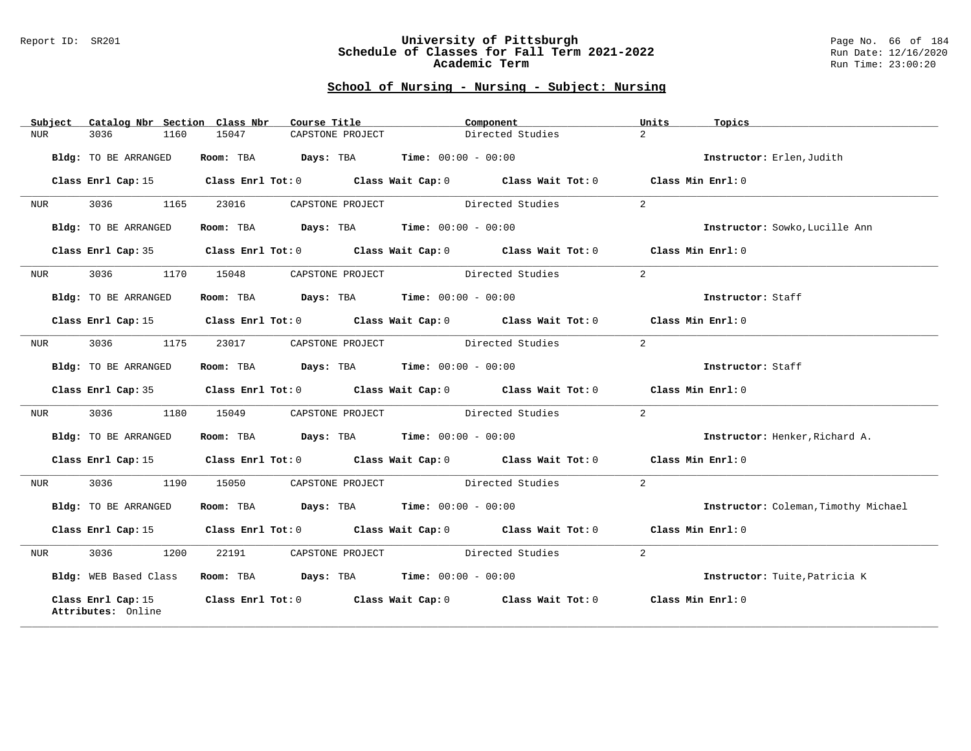#### Report ID: SR201 **University of Pittsburgh** Page No. 66 of 184 **Schedule of Classes for Fall Term 2021-2022** Run Date: 12/16/2020 **Academic Term** Run Time: 23:00:20

| Subject          | Catalog Nbr Section Class Nbr            | Course Title                                                   |                                         | Component                                                                                  | Units<br>Topics                      |
|------------------|------------------------------------------|----------------------------------------------------------------|-----------------------------------------|--------------------------------------------------------------------------------------------|--------------------------------------|
| <b>NUR</b>       | 3036<br>1160                             | 15047                                                          | CAPSTONE PROJECT                        | Directed Studies                                                                           | $\overline{a}$                       |
|                  | Bldg: TO BE ARRANGED                     | Room: TBA $Days:$ TBA $Time: 00:00 - 00:00$                    |                                         |                                                                                            | Instructor: Erlen, Judith            |
|                  | Class Enrl Cap: 15                       |                                                                |                                         | Class Enrl Tot: $0$ Class Wait Cap: $0$ Class Wait Tot: $0$ Class Min Enrl: $0$            |                                      |
| NUR              | 3036<br>1165                             | 23016                                                          | CAPSTONE PROJECT Directed Studies       |                                                                                            | 2                                    |
|                  | Bldg: TO BE ARRANGED                     | Room: TBA $\rule{1em}{0.15mm}$ Days: TBA Time: $00:00 - 00:00$ |                                         |                                                                                            | Instructor: Sowko, Lucille Ann       |
|                  | Class Enrl Cap: 35                       |                                                                |                                         | Class Enrl Tot: $0$ Class Wait Cap: $0$ Class Wait Tot: $0$ Class Min Enrl: $0$            |                                      |
| NUR              | 3036<br>1170                             | 15048                                                          | CAPSTONE PROJECT                        | Directed Studies                                                                           | 2                                    |
|                  | Bldg: TO BE ARRANGED                     | Room: TBA $\rule{1em}{0.15mm}$ Days: TBA Time: $00:00 - 00:00$ |                                         |                                                                                            | Instructor: Staff                    |
|                  | Class Enrl Cap: 15                       |                                                                |                                         | Class Enrl Tot: 0 Class Wait Cap: 0 Class Wait Tot: 0 Class Min Enrl: 0                    |                                      |
| NUR <sub>p</sub> | 3036 1175                                | 23017                                                          | CAPSTONE PROJECT Directed Studies       |                                                                                            | 2                                    |
|                  | Bldg: TO BE ARRANGED                     | Room: TBA $Days:$ TBA $Time: 00:00 - 00:00$                    |                                         |                                                                                            | Instructor: Staff                    |
|                  |                                          |                                                                |                                         | Class Enrl Cap: 35 Class Enrl Tot: 0 Class Wait Cap: 0 Class Wait Tot: 0 Class Min Enrl: 0 |                                      |
| NUR              | 3036 700<br>1180                         | 15049                                                          | CAPSTONE PROJECT Directed Studies       |                                                                                            | 2                                    |
|                  | Bldg: TO BE ARRANGED                     | Room: TBA $Days:$ TBA $Time: 00:00 - 00:00$                    |                                         |                                                                                            | Instructor: Henker, Richard A.       |
|                  |                                          |                                                                |                                         | Class Enrl Cap: 15 Class Enrl Tot: 0 Class Wait Cap: 0 Class Wait Tot: 0 Class Min Enrl: 0 |                                      |
| NUR              | 3036 700<br>1190                         |                                                                | 15050 CAPSTONE PROJECT Directed Studies |                                                                                            | 2                                    |
|                  | Bldg: TO BE ARRANGED                     | Room: TBA $Days:$ TBA $Time: 00:00 - 00:00$                    |                                         |                                                                                            | Instructor: Coleman, Timothy Michael |
|                  | Class Enrl Cap: 15                       |                                                                |                                         | Class Enrl Tot: 0 Class Wait Cap: 0 Class Wait Tot: 0 Class Min Enrl: 0                    |                                      |
| NUR              | 3036 700<br>1200                         |                                                                | 22191 CAPSTONE PROJECT Directed Studies |                                                                                            | 2                                    |
|                  | Bldg: WEB Based Class                    | Room: TBA $Days:$ TBA $Time: 00:00 - 00:00$                    |                                         |                                                                                            | Instructor: Tuite, Patricia K        |
|                  | Class Enrl Cap: 15<br>Attributes: Online |                                                                |                                         | Class Enrl Tot: 0 Class Wait Cap: 0 Class Wait Tot: 0 Class Min Enrl: 0                    |                                      |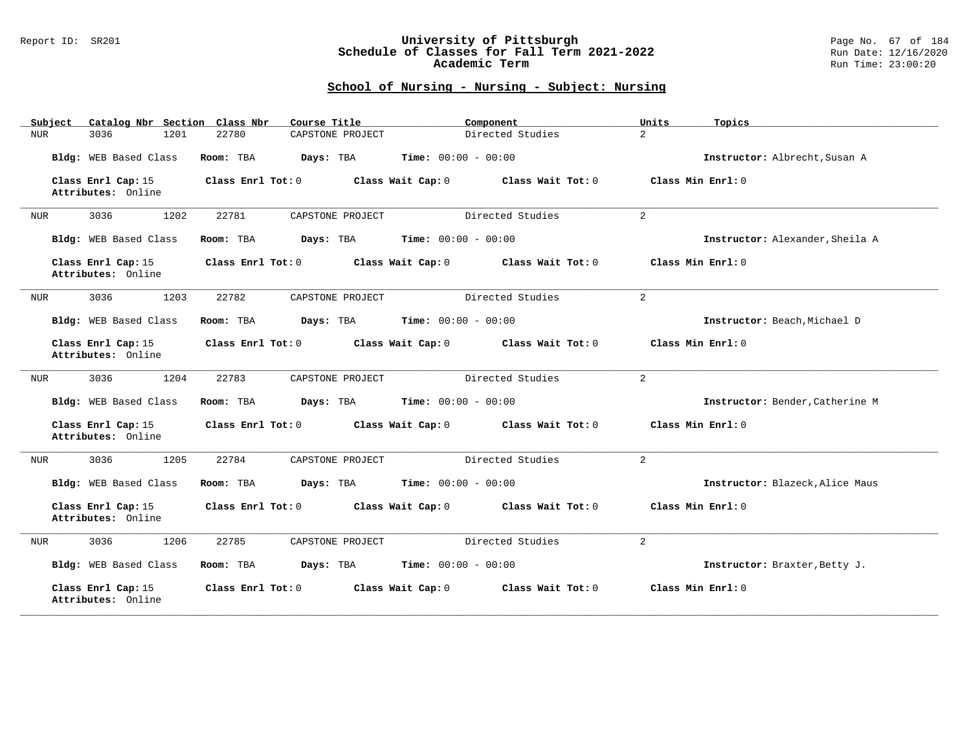### Report ID: SR201 **University of Pittsburgh** Page No. 67 of 184 **Schedule of Classes for Fall Term 2021-2022** Run Date: 12/16/2020 **Academic Term** Run Time: 23:00:20

| Catalog Nbr Section Class Nbr<br>Subject | Course Title                                           | Component         | Units<br>Topics                 |
|------------------------------------------|--------------------------------------------------------|-------------------|---------------------------------|
| 3036<br>1201<br>NUR                      | 22780<br>CAPSTONE PROJECT                              | Directed Studies  | $\overline{a}$                  |
| Bldg: WEB Based Class                    | <b>Time:</b> $00:00 - 00:00$<br>Room: TBA<br>Days: TBA |                   | Instructor: Albrecht, Susan A   |
| Class Enrl Cap: 15<br>Attributes: Online | Class Enrl Tot: 0<br>Class Wait Cap: 0                 | Class Wait Tot: 0 | Class Min Enrl: 0               |
| 3036<br>1202<br><b>NUR</b>               | 22781<br>CAPSTONE PROJECT                              | Directed Studies  | 2                               |
| Bldg: WEB Based Class                    | Time: $00:00 - 00:00$<br>Room: TBA<br>Days: TBA        |                   | Instructor: Alexander, Sheila A |
| Class Enrl Cap: 15<br>Attributes: Online | Class Enrl Tot: 0<br>Class Wait Cap: 0                 | Class Wait Tot: 0 | Class Min Enrl: 0               |
| 1203<br>3036<br><b>NUR</b>               | 22782<br>CAPSTONE PROJECT                              | Directed Studies  | $\overline{2}$                  |
| Bldg: WEB Based Class                    | <b>Time:</b> $00:00 - 00:00$<br>Room: TBA<br>Days: TBA |                   | Instructor: Beach, Michael D    |
| Class Enrl Cap: 15<br>Attributes: Online | Class Enrl Tot: 0<br>Class Wait Cap: 0                 | Class Wait Tot: 0 | Class Min Enrl: 0               |
| 3036<br>1204<br>NUR                      | 22783<br>CAPSTONE PROJECT                              | Directed Studies  | 2                               |
| Bldg: WEB Based Class                    | Room: TBA<br>Days: TBA<br><b>Time:</b> $00:00 - 00:00$ |                   | Instructor: Bender, Catherine M |
| Class Enrl Cap: 15<br>Attributes: Online | Class Enrl Tot: 0<br>Class Wait Cap: 0                 | Class Wait Tot: 0 | Class Min Enrl: 0               |
| 1205<br>3036<br><b>NUR</b>               | 22784<br>CAPSTONE PROJECT                              | Directed Studies  | 2                               |
| Bldg: WEB Based Class                    | <b>Time:</b> $00:00 - 00:00$<br>Room: TBA<br>Days: TBA |                   | Instructor: Blazeck, Alice Maus |
| Class Enrl Cap: 15<br>Attributes: Online | Class Enrl Tot: 0<br>Class Wait Cap: 0                 | Class Wait Tot: 0 | Class Min Enrl: 0               |
| 1206<br>3036<br><b>NUR</b>               | 22785<br>CAPSTONE PROJECT                              | Directed Studies  | $\overline{a}$                  |
| Bldg: WEB Based Class                    | <b>Time:</b> $00:00 - 00:00$<br>Room: TBA<br>Days: TBA |                   | Instructor: Braxter, Betty J.   |
| Class Enrl Cap: 15<br>Attributes: Online | Class Enrl Tot: 0<br>Class Wait Cap: 0                 | Class Wait Tot: 0 | Class Min Enrl: 0               |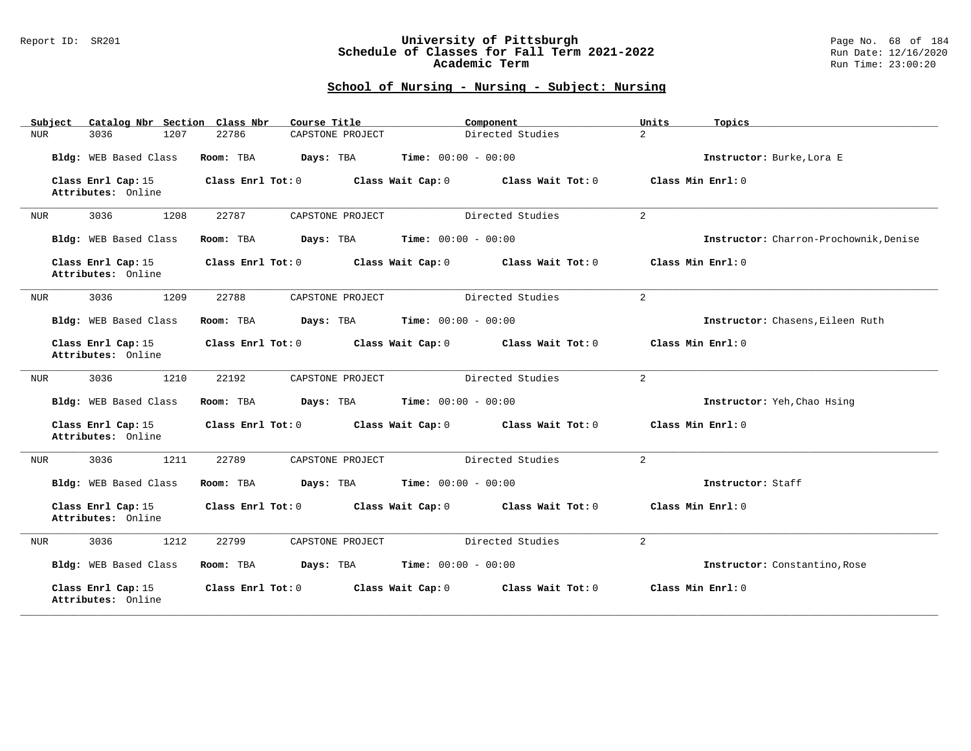### Report ID: SR201 **University of Pittsburgh** Page No. 68 of 184 **Schedule of Classes for Fall Term 2021-2022** Run Date: 12/16/2020 **Academic Term** Run Time: 23:00:20

| Catalog Nbr Section Class Nbr<br>Subject | Course Title                           | Component                    | Units<br>Topics                        |
|------------------------------------------|----------------------------------------|------------------------------|----------------------------------------|
| 3036<br>1207<br>NUR                      | 22786<br>CAPSTONE PROJECT              | Directed Studies             | $\overline{a}$                         |
| Bldg: WEB Based Class                    | Room: TBA<br>Days: TBA                 | <b>Time:</b> $00:00 - 00:00$ | Instructor: Burke, Lora E              |
| Class Enrl Cap: 15<br>Attributes: Online | Class Enrl Tot: 0<br>Class Wait Cap: 0 | Class Wait Tot: 0            | Class Min Enrl: 0                      |
| 3036<br>1208<br>NUR                      | 22787<br>CAPSTONE PROJECT              | Directed Studies             | 2                                      |
| Bldg: WEB Based Class                    | Room: TBA<br>Days: TBA                 | <b>Time:</b> $00:00 - 00:00$ | Instructor: Charron-Prochownik, Denise |
| Class Enrl Cap: 15<br>Attributes: Online | Class Enrl Tot: 0<br>Class Wait Cap: 0 | Class Wait Tot: 0            | Class Min Enrl: 0                      |
| 1209<br>3036<br>NUR                      | 22788<br>CAPSTONE PROJECT              | Directed Studies             | $\overline{a}$                         |
| Bldg: WEB Based Class                    | Room: TBA<br>Days: TBA                 | <b>Time:</b> $00:00 - 00:00$ | Instructor: Chasens, Eileen Ruth       |
| Class Enrl Cap: 15<br>Attributes: Online | Class Enrl Tot: 0<br>Class Wait Cap: 0 | Class Wait Tot: 0            | Class Min Enrl: 0                      |
| 3036<br>1210<br>NUR                      | 22192<br>CAPSTONE PROJECT              | Directed Studies             | $\overline{a}$                         |
| Bldg: WEB Based Class                    | Room: TBA<br>Days: TBA                 | <b>Time:</b> $00:00 - 00:00$ | Instructor: Yeh, Chao Hsing            |
| Class Enrl Cap: 15<br>Attributes: Online | Class Enrl Tot: 0<br>Class Wait Cap: 0 | Class Wait Tot: 0            | Class Min Enrl: 0                      |
| 3036<br>1211<br>NUR                      | 22789<br>CAPSTONE PROJECT              | Directed Studies             | 2                                      |
| Bldg: WEB Based Class                    | Room: TBA<br>Days: TBA                 | <b>Time:</b> $00:00 - 00:00$ | Instructor: Staff                      |
| Class Enrl Cap: 15<br>Attributes: Online | Class Enrl Tot: 0<br>Class Wait Cap: 0 | Class Wait Tot: 0            | Class Min Enrl: 0                      |
| 3036<br>1212<br>NUR                      | 22799<br>CAPSTONE PROJECT              | Directed Studies             | $\overline{a}$                         |
| Bldg: WEB Based Class                    | Days: TBA<br>Room: TBA                 | <b>Time:</b> $00:00 - 00:00$ | Instructor: Constantino, Rose          |
| Class Enrl Cap: 15<br>Attributes: Online | Class Enrl Tot: 0<br>Class Wait Cap: 0 | Class Wait Tot: 0            | Class Min Enrl: 0                      |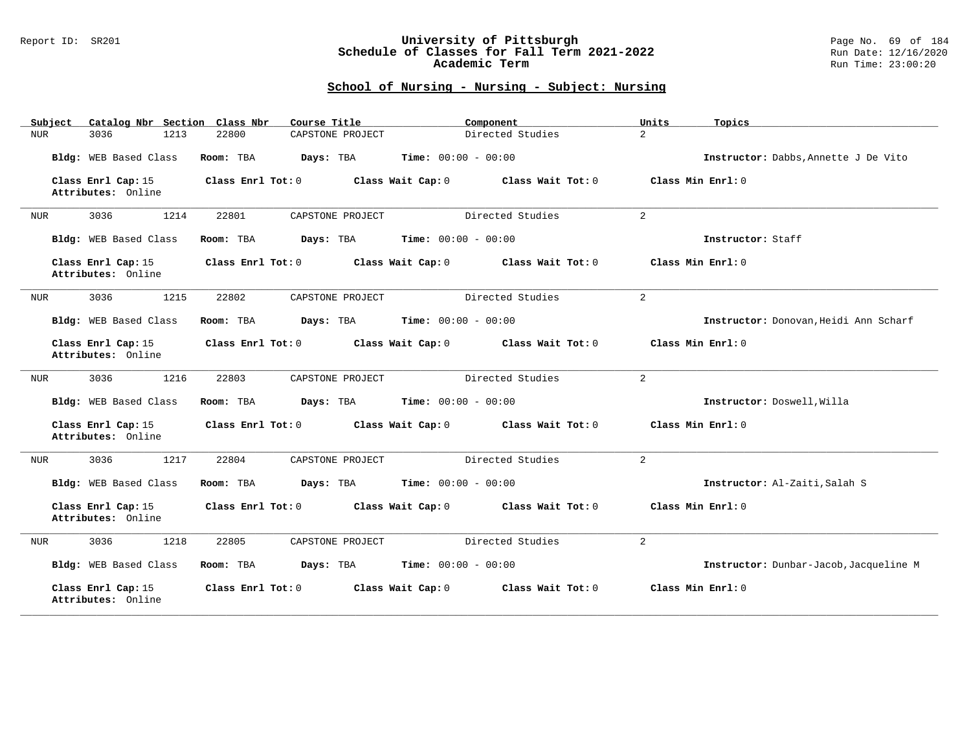### Report ID: SR201 **University of Pittsburgh** Page No. 69 of 184 **Schedule of Classes for Fall Term 2021-2022** Run Date: 12/16/2020 **Academic Term** Run Time: 23:00:20

| Catalog Nbr Section Class Nbr<br>Subject | Course Title                           | Component<br>Units                 | Topics                                 |
|------------------------------------------|----------------------------------------|------------------------------------|----------------------------------------|
| 3036<br>1213<br>NUR                      | 22800<br>CAPSTONE PROJECT              | $\overline{a}$<br>Directed Studies |                                        |
| Bldg: WEB Based Class                    | Room: TBA<br>Days: TBA                 | <b>Time:</b> $00:00 - 00:00$       | Instructor: Dabbs, Annette J De Vito   |
| Class Enrl Cap: 15<br>Attributes: Online | Class Enrl Tot: 0<br>Class Wait Cap: 0 | Class Wait Tot: 0                  | Class Min Enrl: 0                      |
| 3036<br>1214<br><b>NUR</b>               | 22801<br>CAPSTONE PROJECT              | Directed Studies<br>2              |                                        |
| Bldg: WEB Based Class                    | Room: TBA<br>Days: TBA                 | Time: $00:00 - 00:00$              | Instructor: Staff                      |
| Class Enrl Cap: 15<br>Attributes: Online | Class Enrl Tot: 0<br>Class Wait Cap: 0 | Class Wait Tot: 0                  | Class Min Enrl: 0                      |
| 1215<br>3036<br><b>NUR</b>               | 22802<br>CAPSTONE PROJECT              | Directed Studies<br>$\overline{2}$ |                                        |
| Bldg: WEB Based Class                    | Room: TBA<br>Days: TBA                 | <b>Time:</b> $00:00 - 00:00$       | Instructor: Donovan, Heidi Ann Scharf  |
| Class Enrl Cap: 15<br>Attributes: Online | Class Enrl Tot: 0<br>Class Wait Cap: 0 | Class Wait Tot: 0                  | Class Min Enrl: 0                      |
| 3036<br>1216<br>NUR                      | 22803<br>CAPSTONE PROJECT              | Directed Studies<br>2              |                                        |
| Bldg: WEB Based Class                    | Room: TBA<br>Days: TBA                 | <b>Time:</b> $00:00 - 00:00$       | Instructor: Doswell, Willa             |
| Class Enrl Cap: 15<br>Attributes: Online | Class Enrl Tot: 0<br>Class Wait Cap: 0 | Class Wait Tot: 0                  | Class Min Enrl: 0                      |
| 1217<br>3036<br>NUR                      | 22804<br>CAPSTONE PROJECT              | Directed Studies<br>2              |                                        |
| Bldg: WEB Based Class                    | Room: TBA<br>Days: TBA                 | <b>Time:</b> $00:00 - 00:00$       | Instructor: Al-Zaiti, Salah S          |
| Class Enrl Cap: 15<br>Attributes: Online | Class Enrl Tot: 0<br>Class Wait Cap: 0 | Class Wait Tot: 0                  | Class Min Enrl: 0                      |
| 3036<br>1218<br><b>NUR</b>               | 22805<br>CAPSTONE PROJECT              | $\overline{a}$<br>Directed Studies |                                        |
| Bldg: WEB Based Class                    | Room: TBA<br>Days: TBA                 | <b>Time:</b> $00:00 - 00:00$       | Instructor: Dunbar-Jacob, Jacqueline M |
| Class Enrl Cap: 15<br>Attributes: Online | Class Enrl Tot: 0<br>Class Wait Cap: 0 | Class Wait Tot: 0                  | Class Min Enrl: 0                      |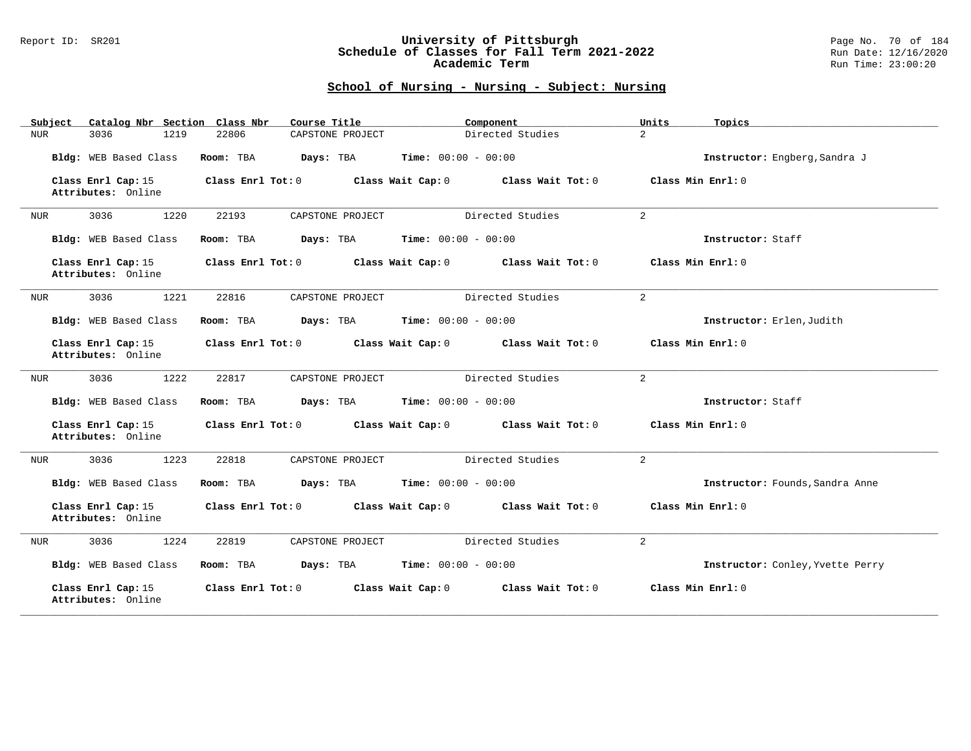### Report ID: SR201 **University of Pittsburgh** Page No. 70 of 184 **Schedule of Classes for Fall Term 2021-2022** Run Date: 12/16/2020 **Academic Term** Run Time: 23:00:20

| Catalog Nbr Section Class Nbr<br>Subject | Course Title                           | Component                              | Units<br>Topics                  |
|------------------------------------------|----------------------------------------|----------------------------------------|----------------------------------|
| 3036<br>1219<br>NUR                      | 22806<br>CAPSTONE PROJECT              | Directed Studies                       | $\overline{2}$                   |
| Bldg: WEB Based Class                    | Room: TBA<br>Days: TBA                 | <b>Time:</b> $00:00 - 00:00$           | Instructor: Engberg, Sandra J    |
| Class Enrl Cap: 15<br>Attributes: Online | Class Enrl Tot: 0                      | Class Wait Cap: 0<br>Class Wait Tot: 0 | Class Min Enrl: 0                |
| 3036<br>1220<br>NUR                      | 22193<br>CAPSTONE PROJECT              | Directed Studies                       | $\overline{a}$                   |
| Bldg: WEB Based Class                    | Room: TBA<br>Days: TBA                 | <b>Time:</b> $00:00 - 00:00$           | Instructor: Staff                |
| Class Enrl Cap: 15<br>Attributes: Online | Class Enrl Tot: 0<br>Class Wait Cap: 0 | Class Wait Tot: 0                      | Class Min Enrl: 0                |
| 1221<br>3036<br>NUR                      | 22816<br>CAPSTONE PROJECT              | Directed Studies                       | $\overline{2}$                   |
| Bldg: WEB Based Class                    | Room: TBA<br>Days: TBA                 | <b>Time:</b> $00:00 - 00:00$           | Instructor: Erlen, Judith        |
| Class Enrl Cap: 15<br>Attributes: Online | Class Enrl Tot: 0                      | Class Wait Cap: 0<br>Class Wait Tot: 0 | Class Min Enrl: 0                |
| 3036<br>1222<br>NUR                      | 22817<br>CAPSTONE PROJECT              | Directed Studies                       | 2                                |
| Bldg: WEB Based Class                    | Days: TBA<br>Room: TBA                 | <b>Time:</b> $00:00 - 00:00$           | Instructor: Staff                |
| Class Enrl Cap: 15<br>Attributes: Online | Class Enrl Tot: 0                      | Class Wait Cap: 0<br>Class Wait Tot: 0 | Class Min Enrl: 0                |
| 3036<br>1223<br>NUR                      | 22818<br>CAPSTONE PROJECT              | Directed Studies                       | 2                                |
| Bldg: WEB Based Class                    | Room: TBA<br>Days: TBA                 | <b>Time:</b> $00:00 - 00:00$           | Instructor: Founds, Sandra Anne  |
| Class Enrl Cap: 15<br>Attributes: Online | Class Enrl Tot: 0                      | Class Wait Cap: 0<br>Class Wait Tot: 0 | Class Min Enrl: 0                |
| 3036<br>1224<br>NUR                      | 22819<br>CAPSTONE PROJECT              | Directed Studies                       | $\overline{a}$                   |
| Bldg: WEB Based Class                    | Days: TBA<br>Room: TBA                 | <b>Time:</b> $00:00 - 00:00$           | Instructor: Conley, Yvette Perry |
| Class Enrl Cap: 15<br>Attributes: Online | Class Enrl Tot: 0                      | Class Wait Cap: 0<br>Class Wait Tot: 0 | Class Min Enrl: 0                |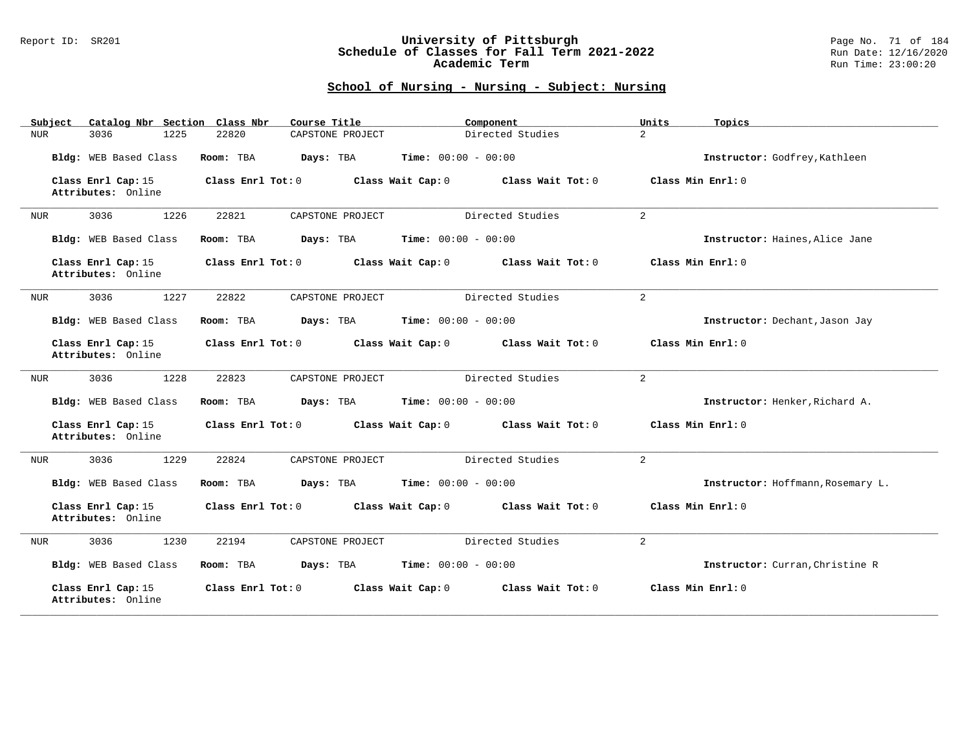### Report ID: SR201 **University of Pittsburgh** Page No. 71 of 184 **Schedule of Classes for Fall Term 2021-2022** Run Date: 12/16/2020 **Academic Term** Run Time: 23:00:20

| Catalog Nbr Section Class Nbr<br>Subject | Course Title              | Component                              | Units<br>Topics                   |
|------------------------------------------|---------------------------|----------------------------------------|-----------------------------------|
| 1225<br>3036<br>NUR                      | 22820<br>CAPSTONE PROJECT | Directed Studies                       | $\overline{a}$                    |
| Bldg: WEB Based Class                    | Room: TBA<br>Days: TBA    | <b>Time:</b> $00:00 - 00:00$           | Instructor: Godfrey, Kathleen     |
| Class Enrl Cap: 15<br>Attributes: Online | Class Enrl Tot: 0         | Class Wait Cap: 0<br>Class Wait Tot: 0 | Class Min Enrl: 0                 |
| 3036<br>1226<br>NUR                      | 22821<br>CAPSTONE PROJECT | Directed Studies                       | $\overline{a}$                    |
| Bldg: WEB Based Class                    | Room: TBA<br>Days: TBA    | <b>Time:</b> $00:00 - 00:00$           | Instructor: Haines, Alice Jane    |
| Class Enrl Cap: 15<br>Attributes: Online | Class Enrl Tot: 0         | Class Wait Cap: 0<br>Class Wait Tot: 0 | Class Min Enrl: 0                 |
| 1227<br>3036<br>NUR                      | 22822<br>CAPSTONE PROJECT | Directed Studies                       | $\overline{2}$                    |
| Bldg: WEB Based Class                    | Room: TBA<br>Days: TBA    | <b>Time:</b> $00:00 - 00:00$           | Instructor: Dechant, Jason Jay    |
| Class Enrl Cap: 15<br>Attributes: Online | Class Enrl Tot: 0         | Class Wait Cap: 0<br>Class Wait Tot: 0 | Class Min Enrl: 0                 |
| 3036<br>1228<br>NUR                      | 22823<br>CAPSTONE PROJECT | Directed Studies                       | 2                                 |
| Bldg: WEB Based Class                    | Days: TBA<br>Room: TBA    | <b>Time:</b> $00:00 - 00:00$           | Instructor: Henker, Richard A.    |
| Class Enrl Cap: 15<br>Attributes: Online | Class Enrl Tot: 0         | Class Wait Cap: 0<br>Class Wait Tot: 0 | Class Min Enrl: 0                 |
| 3036<br>1229<br><b>NUR</b>               | 22824<br>CAPSTONE PROJECT | Directed Studies                       | 2                                 |
| Bldg: WEB Based Class                    | Room: TBA<br>Days: TBA    | <b>Time:</b> $00:00 - 00:00$           | Instructor: Hoffmann, Rosemary L. |
| Class Enrl Cap: 15<br>Attributes: Online | Class Enrl Tot: 0         | Class Wait Cap: 0<br>Class Wait Tot: 0 | Class Min Enrl: 0                 |
| 3036<br>1230<br><b>NUR</b>               | 22194<br>CAPSTONE PROJECT | Directed Studies                       | $\overline{2}$                    |
| Bldg: WEB Based Class                    | Room: TBA<br>Days: TBA    | <b>Time:</b> $00:00 - 00:00$           | Instructor: Curran, Christine R   |
| Class Enrl Cap: 15<br>Attributes: Online | Class Enrl Tot: 0         | Class Wait Cap: 0<br>Class Wait Tot: 0 | Class Min Enrl: 0                 |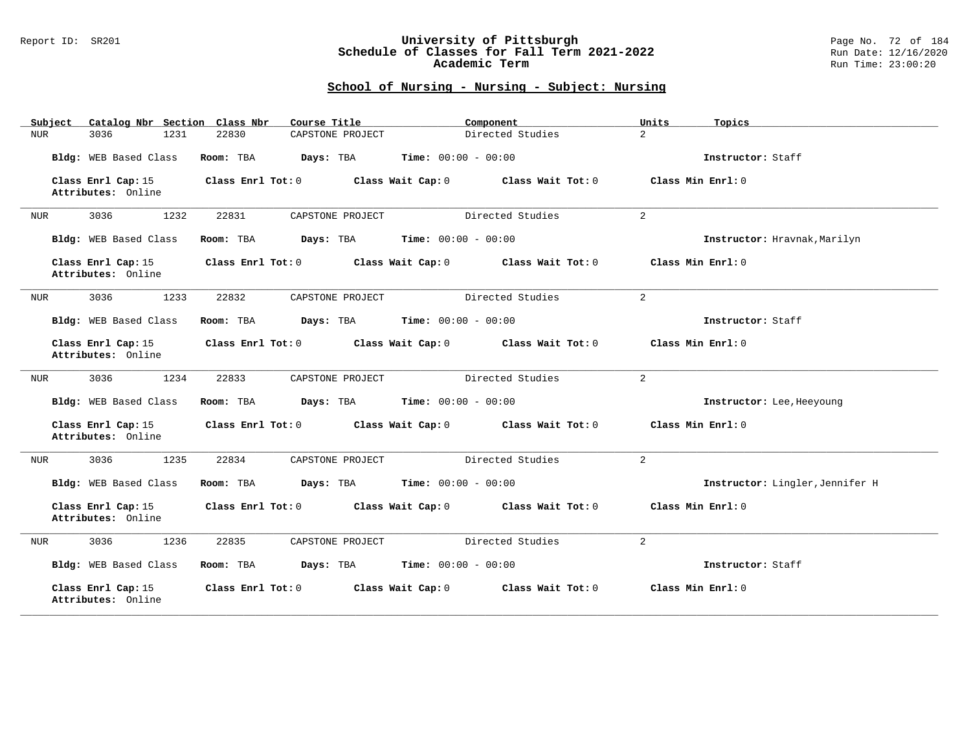### Report ID: SR201 **University of Pittsburgh** Page No. 72 of 184 **Schedule of Classes for Fall Term 2021-2022** Run Date: 12/16/2020 **Academic Term** Run Time: 23:00:20

| Catalog Nbr Section Class Nbr<br>Subject | Course Title              | Component                              | Units<br>Topics                 |
|------------------------------------------|---------------------------|----------------------------------------|---------------------------------|
| 3036<br>1231<br>NUR                      | 22830<br>CAPSTONE PROJECT | Directed Studies                       | $\overline{a}$                  |
| Bldg: WEB Based Class                    | Room: TBA<br>Days: TBA    | <b>Time:</b> $00:00 - 00:00$           | Instructor: Staff               |
| Class Enrl Cap: 15<br>Attributes: Online | Class Enrl Tot: 0         | Class Wait Cap: 0<br>Class Wait Tot: 0 | Class Min Enrl: 0               |
| 3036<br>1232<br>NUR                      | 22831<br>CAPSTONE PROJECT | Directed Studies                       | $\overline{a}$                  |
| Bldg: WEB Based Class                    | Room: TBA<br>Days: TBA    | <b>Time:</b> $00:00 - 00:00$           | Instructor: Hravnak, Marilyn    |
| Class Enrl Cap: 15<br>Attributes: Online | Class Enrl Tot: 0         | Class Wait Cap: 0<br>Class Wait Tot: 0 | Class Min Enrl: 0               |
| 3036<br>1233<br>NUR                      | 22832<br>CAPSTONE PROJECT | Directed Studies                       | $\overline{a}$                  |
| Bldg: WEB Based Class                    | Room: TBA<br>Days: TBA    | <b>Time:</b> $00:00 - 00:00$           | Instructor: Staff               |
| Class Enrl Cap: 15<br>Attributes: Online | Class Enrl Tot: 0         | Class Wait Cap: 0<br>Class Wait Tot: 0 | Class Min Enrl: 0               |
| 3036<br>1234<br>NUR                      | 22833<br>CAPSTONE PROJECT | Directed Studies                       | 2                               |
| Bldg: WEB Based Class                    | Days: TBA<br>Room: TBA    | <b>Time:</b> $00:00 - 00:00$           | Instructor: Lee, Heeyoung       |
| Class Enrl Cap: 15<br>Attributes: Online | Class Enrl Tot: 0         | Class Wait Cap: 0<br>Class Wait Tot: 0 | Class Min Enrl: 0               |
| 3036<br>1235<br>NUR                      | 22834<br>CAPSTONE PROJECT | Directed Studies                       | 2                               |
| Bldg: WEB Based Class                    | Room: TBA<br>Days: TBA    | <b>Time:</b> $00:00 - 00:00$           | Instructor: Lingler, Jennifer H |
| Class Enrl Cap: 15<br>Attributes: Online | Class Enrl Tot: 0         | Class Wait Cap: 0<br>Class Wait Tot: 0 | Class Min Enrl: 0               |
| 3036<br>1236<br>NUR                      | 22835<br>CAPSTONE PROJECT | Directed Studies                       | $\overline{2}$                  |
| Bldg: WEB Based Class                    | Room: TBA<br>Days: TBA    | <b>Time:</b> $00:00 - 00:00$           | Instructor: Staff               |
| Class Enrl Cap: 15<br>Attributes: Online | Class Enrl Tot: 0         | Class Wait Cap: 0<br>Class Wait Tot: 0 | Class Min Enrl: 0               |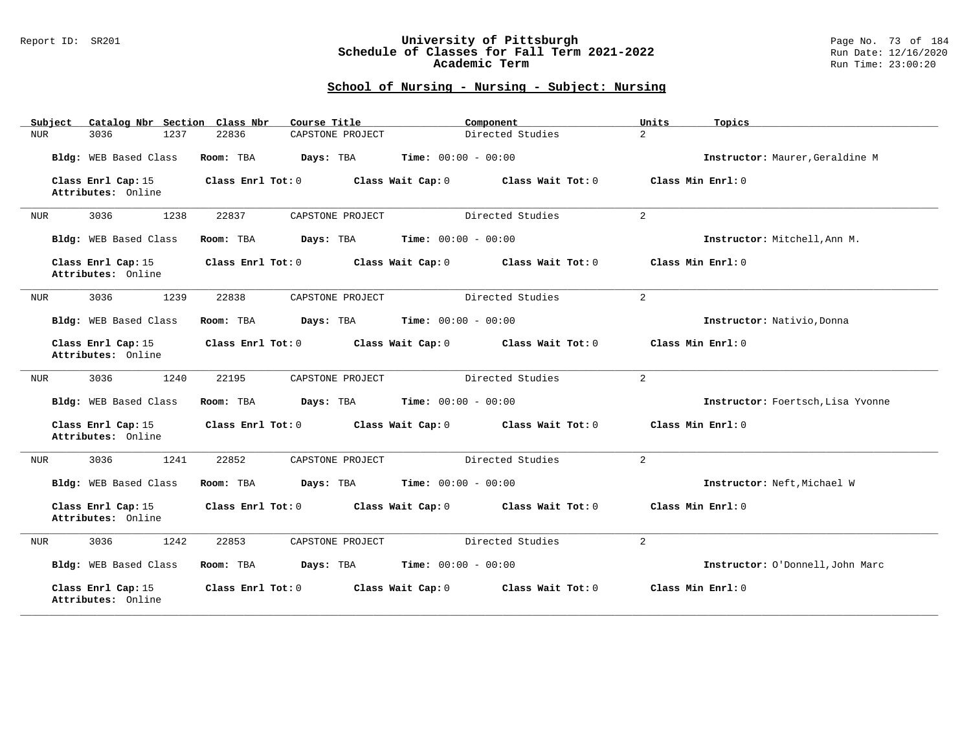### Report ID: SR201 **University of Pittsburgh** Page No. 73 of 184 **Schedule of Classes for Fall Term 2021-2022** Run Date: 12/16/2020 **Academic Term** Run Time: 23:00:20

| Catalog Nbr Section Class Nbr<br>Subject | Course Title              | Component                              | Units<br>Topics                   |
|------------------------------------------|---------------------------|----------------------------------------|-----------------------------------|
| 3036<br>1237<br>NUR                      | 22836<br>CAPSTONE PROJECT | Directed Studies                       | $\overline{a}$                    |
| Bldg: WEB Based Class                    | Room: TBA<br>Days: TBA    | <b>Time:</b> $00:00 - 00:00$           | Instructor: Maurer, Geraldine M   |
| Class Enrl Cap: 15<br>Attributes: Online | Class Enrl Tot: 0         | Class Wait Cap: 0<br>Class Wait Tot: 0 | Class Min Enrl: 0                 |
| 3036<br>1238<br>NUR                      | 22837<br>CAPSTONE PROJECT | Directed Studies                       | $\overline{a}$                    |
| Bldg: WEB Based Class                    | Room: TBA<br>Days: TBA    | <b>Time:</b> $00:00 - 00:00$           | Instructor: Mitchell, Ann M.      |
| Class Enrl Cap: 15<br>Attributes: Online | Class Enrl Tot: 0         | Class Wait Cap: 0<br>Class Wait Tot: 0 | Class Min Enrl: 0                 |
| 3036<br>1239<br>NUR                      | 22838<br>CAPSTONE PROJECT | Directed Studies                       | $\overline{2}$                    |
| Bldg: WEB Based Class                    | Room: TBA<br>Days: TBA    | <b>Time:</b> $00:00 - 00:00$           | Instructor: Nativio, Donna        |
| Class Enrl Cap: 15<br>Attributes: Online | Class Enrl Tot: 0         | Class Wait Cap: 0<br>Class Wait Tot: 0 | Class Min Enrl: 0                 |
| 3036<br>1240<br>NUR                      | CAPSTONE PROJECT<br>22195 | Directed Studies                       | 2                                 |
| Bldg: WEB Based Class                    | Days: TBA<br>Room: TBA    | <b>Time:</b> $00:00 - 00:00$           | Instructor: Foertsch, Lisa Yvonne |
| Class Enrl Cap: 15<br>Attributes: Online | Class Enrl Tot: 0         | Class Wait Cap: 0<br>Class Wait Tot: 0 | Class Min Enrl: 0                 |
| 3036<br>1241<br>NUR                      | 22852<br>CAPSTONE PROJECT | Directed Studies                       | 2                                 |
| Bldg: WEB Based Class                    | Room: TBA<br>Days: TBA    | <b>Time:</b> $00:00 - 00:00$           | Instructor: Neft, Michael W       |
| Class Enrl Cap: 15<br>Attributes: Online | Class Enrl Tot: 0         | Class Wait Cap: 0<br>Class Wait Tot: 0 | Class Min Enrl: 0                 |
| 3036<br>1242<br><b>NUR</b>               | 22853<br>CAPSTONE PROJECT | Directed Studies                       | $\overline{2}$                    |
| Bldg: WEB Based Class                    | Days: TBA<br>Room: TBA    | <b>Time:</b> $00:00 - 00:00$           | Instructor: O'Donnell, John Marc  |
| Class Enrl Cap: 15<br>Attributes: Online | Class Enrl Tot: 0         | Class Wait Cap: 0<br>Class Wait Tot: 0 | Class Min Enrl: 0                 |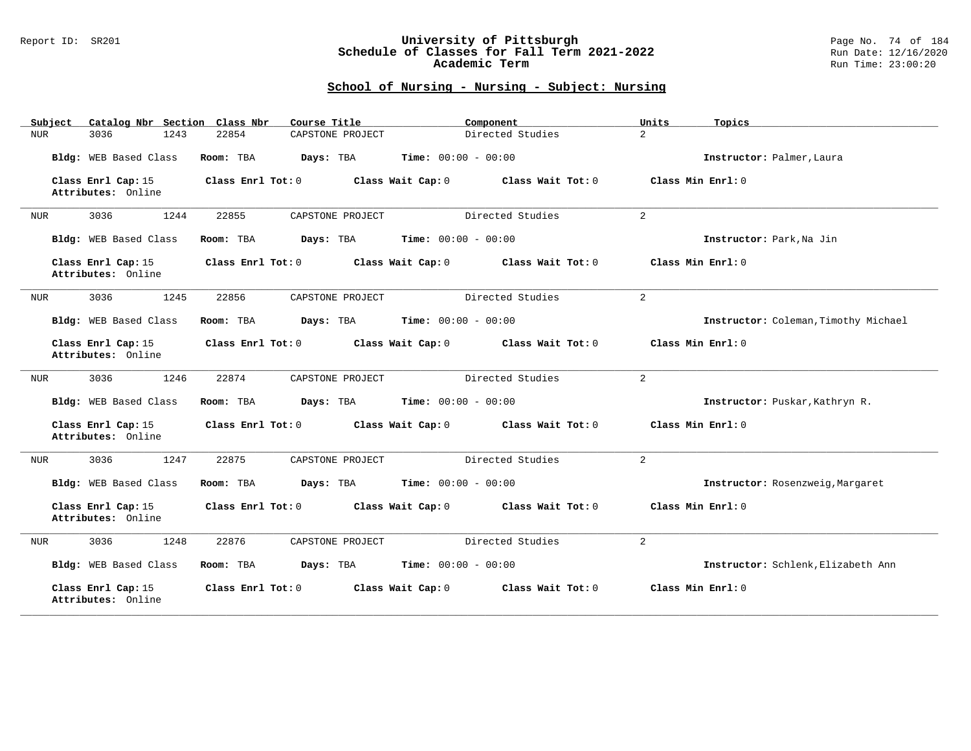### Report ID: SR201 **University of Pittsburgh** Page No. 74 of 184 **Schedule of Classes for Fall Term 2021-2022** Run Date: 12/16/2020 **Academic Term** Run Time: 23:00:20

| Catalog Nbr Section Class Nbr<br>Subject | Course Title              | Component                              | Units<br>Topics                      |
|------------------------------------------|---------------------------|----------------------------------------|--------------------------------------|
| 3036<br>1243<br>NUR                      | 22854<br>CAPSTONE PROJECT | Directed Studies                       | $\overline{a}$                       |
| Bldg: WEB Based Class                    | Room: TBA<br>Days: TBA    | <b>Time:</b> $00:00 - 00:00$           | Instructor: Palmer, Laura            |
| Class Enrl Cap: 15<br>Attributes: Online | Class Enrl Tot: 0         | Class Wait Cap: 0<br>Class Wait Tot: 0 | Class Min Enrl: 0                    |
| 3036<br>1244<br>NUR                      | 22855<br>CAPSTONE PROJECT | Directed Studies                       | 2                                    |
| Bldg: WEB Based Class                    | Room: TBA<br>Days: TBA    | <b>Time:</b> $00:00 - 00:00$           | Instructor: Park, Na Jin             |
| Class Enrl Cap: 15<br>Attributes: Online | Class Enrl Tot: 0         | Class Wait Cap: 0<br>Class Wait Tot: 0 | Class Min Enrl: 0                    |
| 1245<br>3036<br>NUR                      | 22856<br>CAPSTONE PROJECT | Directed Studies                       | $\overline{a}$                       |
| Bldg: WEB Based Class                    | Room: TBA<br>Days: TBA    | <b>Time:</b> $00:00 - 00:00$           | Instructor: Coleman, Timothy Michael |
| Class Enrl Cap: 15<br>Attributes: Online | Class Enrl Tot: 0         | Class Wait Cap: 0<br>Class Wait Tot: 0 | Class Min Enrl: 0                    |
| 3036<br>1246<br>NUR                      | 22874<br>CAPSTONE PROJECT | Directed Studies                       | 2                                    |
| Bldg: WEB Based Class                    | Room: TBA<br>Days: TBA    | <b>Time:</b> $00:00 - 00:00$           | Instructor: Puskar, Kathryn R.       |
| Class Enrl Cap: 15<br>Attributes: Online | Class Enrl Tot: 0         | Class Wait Cap: 0<br>Class Wait Tot: 0 | Class Min Enrl: 0                    |
| 3036<br>1247<br><b>NUR</b>               | 22875<br>CAPSTONE PROJECT | Directed Studies                       | 2                                    |
| Bldg: WEB Based Class                    | Room: TBA<br>Days: TBA    | <b>Time:</b> $00:00 - 00:00$           | Instructor: Rosenzweig, Margaret     |
| Class Enrl Cap: 15<br>Attributes: Online | Class Enrl Tot: 0         | Class Wait Cap: 0<br>Class Wait Tot: 0 | Class Min Enrl: 0                    |
| 3036<br>1248<br><b>NUR</b>               | 22876<br>CAPSTONE PROJECT | Directed Studies                       | $\overline{2}$                       |
| Bldg: WEB Based Class                    | Room: TBA<br>Days: TBA    | <b>Time:</b> $00:00 - 00:00$           | Instructor: Schlenk, Elizabeth Ann   |
| Class Enrl Cap: 15<br>Attributes: Online | Class Enrl Tot: 0         | Class Wait Cap: 0<br>Class Wait Tot: 0 | Class Min Enrl: 0                    |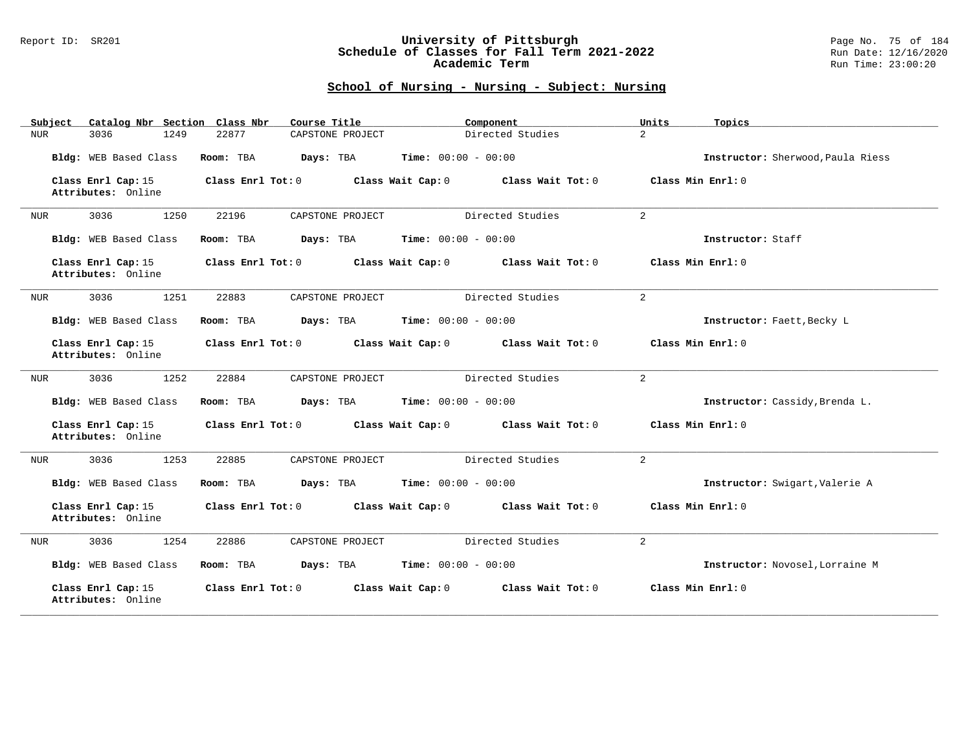### Report ID: SR201 **University of Pittsburgh** Page No. 75 of 184 **Schedule of Classes for Fall Term 2021-2022** Run Date: 12/16/2020 **Academic Term** Run Time: 23:00:20

| Catalog Nbr Section Class Nbr<br>Subject | Course Title              | Component                              | Units<br>Topics                   |
|------------------------------------------|---------------------------|----------------------------------------|-----------------------------------|
| 3036<br>1249<br><b>NUR</b>               | 22877<br>CAPSTONE PROJECT | Directed Studies                       | $\overline{a}$                    |
| Bldg: WEB Based Class                    | Room: TBA<br>Days: TBA    | Time: $00:00 - 00:00$                  | Instructor: Sherwood, Paula Riess |
| Class Enrl Cap: 15<br>Attributes: Online | Class Enrl Tot: 0         | Class Wait Cap: 0<br>Class Wait Tot: 0 | Class Min Enrl: 0                 |
| 3036<br>1250<br>NUR                      | 22196<br>CAPSTONE PROJECT | Directed Studies                       | $\overline{a}$                    |
| Bldg: WEB Based Class                    | Room: TBA<br>Days: TBA    | Time: $00:00 - 00:00$                  | Instructor: Staff                 |
| Class Enrl Cap: 15<br>Attributes: Online | Class Enrl Tot: 0         | Class Wait Tot: 0<br>Class Wait Cap: 0 | Class Min Enrl: 0                 |
| 1251<br>3036<br>NUR                      | 22883<br>CAPSTONE PROJECT | Directed Studies                       | 2                                 |
| Bldg: WEB Based Class                    | Room: TBA<br>Days: TBA    | <b>Time:</b> $00:00 - 00:00$           | Instructor: Faett, Becky L        |
| Class Enrl Cap: 15<br>Attributes: Online | Class Enrl Tot: 0         | Class Wait Cap: 0<br>Class Wait Tot: 0 | Class Min Enrl: 0                 |
| 3036<br>1252<br>NUR                      | 22884<br>CAPSTONE PROJECT | Directed Studies                       | $\overline{2}$                    |
| Bldg: WEB Based Class                    | Days: TBA<br>Room: TBA    | <b>Time:</b> $00:00 - 00:00$           | Instructor: Cassidy, Brenda L.    |
| Class Enrl Cap: 15<br>Attributes: Online | Class Enrl Tot: 0         | Class Wait Cap: 0<br>Class Wait Tot: 0 | Class Min Enrl: 0                 |
| 3036<br>1253<br>NUR                      | 22885<br>CAPSTONE PROJECT | Directed Studies                       | 2                                 |
| Bldg: WEB Based Class                    | Room: TBA<br>Days: TBA    | <b>Time:</b> $00:00 - 00:00$           | Instructor: Swigart, Valerie A    |
| Class Enrl Cap: 15<br>Attributes: Online | Class Enrl Tot: 0         | Class Wait Cap: 0<br>Class Wait Tot: 0 | Class Min Enrl: 0                 |
| 1254<br>3036<br><b>NUR</b>               | 22886<br>CAPSTONE PROJECT | Directed Studies                       | $\overline{2}$                    |
| Bldg: WEB Based Class                    | Days: TBA<br>Room: TBA    | <b>Time:</b> $00:00 - 00:00$           | Instructor: Novosel, Lorraine M   |
| Class Enrl Cap: 15<br>Attributes: Online | Class Enrl Tot: 0         | Class Wait Cap: 0<br>Class Wait Tot: 0 | Class Min Enrl: 0                 |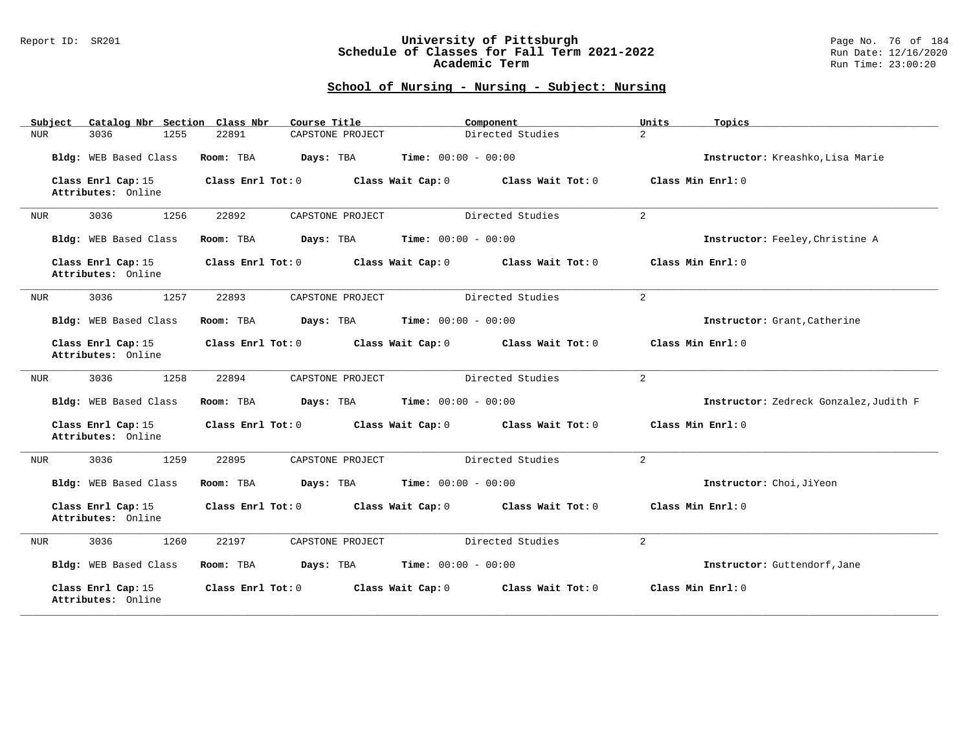### Report ID: SR201 **University of Pittsburgh** Page No. 76 of 184 **Schedule of Classes for Fall Term 2021-2022** Run Date: 12/16/2020 **Academic Term** Run Time: 23:00:20

| Catalog Nbr Section Class Nbr<br>Subject | Course Title              | Component                              | Units<br>Topics                        |
|------------------------------------------|---------------------------|----------------------------------------|----------------------------------------|
| 3036<br>1255<br>NUR                      | 22891<br>CAPSTONE PROJECT | Directed Studies                       | $\overline{a}$                         |
| Bldg: WEB Based Class                    | Room: TBA<br>Days: TBA    | <b>Time:</b> $00:00 - 00:00$           | Instructor: Kreashko, Lisa Marie       |
| Class Enrl Cap: 15<br>Attributes: Online | Class Enrl Tot: 0         | Class Wait Cap: 0<br>Class Wait Tot: 0 | Class Min Enrl: 0                      |
| 3036<br>1256<br>NUR                      | 22892<br>CAPSTONE PROJECT | Directed Studies                       | 2                                      |
| Bldg: WEB Based Class                    | Room: TBA<br>Days: TBA    | <b>Time:</b> $00:00 - 00:00$           | Instructor: Feeley, Christine A        |
| Class Enrl Cap: 15<br>Attributes: Online | Class Enrl Tot: 0         | Class Wait Cap: 0<br>Class Wait Tot: 0 | Class Min Enrl: 0                      |
| 1257<br>3036<br>NUR                      | 22893<br>CAPSTONE PROJECT | Directed Studies                       | $\overline{a}$                         |
| Bldg: WEB Based Class                    | Room: TBA<br>Days: TBA    | <b>Time:</b> $00:00 - 00:00$           | Instructor: Grant, Catherine           |
| Class Enrl Cap: 15<br>Attributes: Online | Class Enrl Tot: 0         | Class Wait Cap: 0<br>Class Wait Tot: 0 | Class Min Enrl: 0                      |
| 3036<br>1258<br>NUR                      | 22894<br>CAPSTONE PROJECT | Directed Studies                       | 2                                      |
| Bldg: WEB Based Class                    | Room: TBA<br>Days: TBA    | <b>Time:</b> $00:00 - 00:00$           | Instructor: Zedreck Gonzalez, Judith F |
| Class Enrl Cap: 15<br>Attributes: Online | Class Enrl Tot: 0         | Class Wait Cap: 0<br>Class Wait Tot: 0 | Class Min Enrl: 0                      |
| 3036<br>1259<br>NUR                      | 22895<br>CAPSTONE PROJECT | Directed Studies                       | 2                                      |
| Bldg: WEB Based Class                    | Room: TBA<br>Days: TBA    | <b>Time:</b> $00:00 - 00:00$           | Instructor: Choi, JiYeon               |
| Class Enrl Cap: 15<br>Attributes: Online | Class Enrl Tot: 0         | Class Wait Cap: 0<br>Class Wait Tot: 0 | Class Min Enrl: 0                      |
| 3036<br>1260<br><b>NUR</b>               | 22197<br>CAPSTONE PROJECT | Directed Studies                       | $\overline{2}$                         |
| Bldg: WEB Based Class                    | Room: TBA<br>Days: TBA    | <b>Time:</b> $00:00 - 00:00$           | Instructor: Guttendorf, Jane           |
| Class Enrl Cap: 15<br>Attributes: Online | Class Enrl Tot: 0         | Class Wait Cap: 0<br>Class Wait Tot: 0 | Class Min Enrl: 0                      |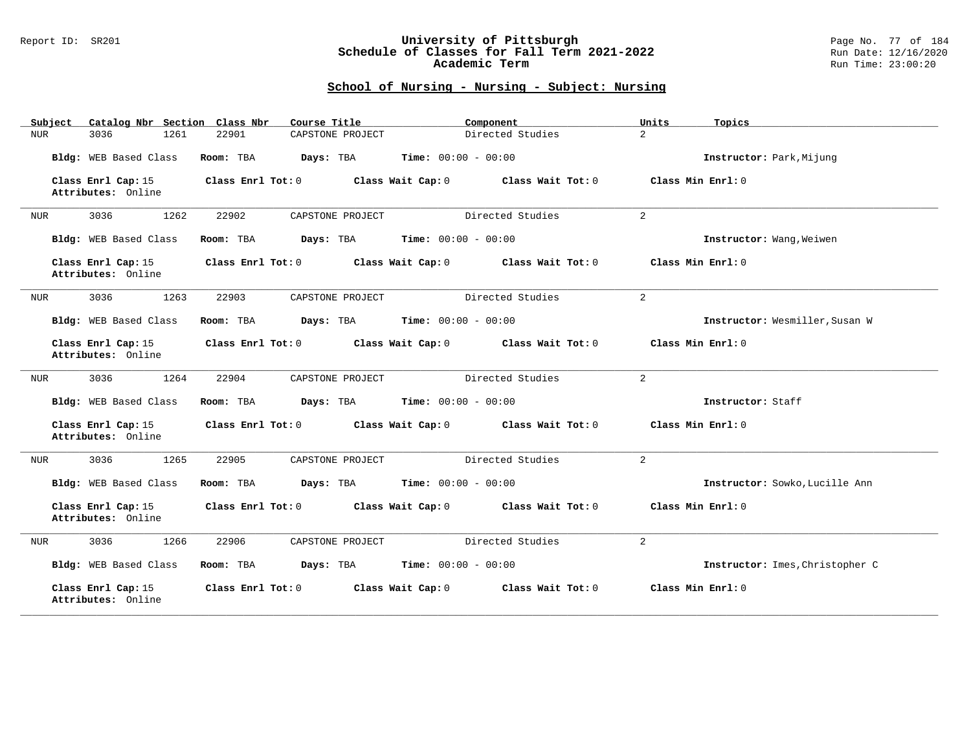### Report ID: SR201 **University of Pittsburgh** Page No. 77 of 184 **Schedule of Classes for Fall Term 2021-2022** Run Date: 12/16/2020 **Academic Term** Run Time: 23:00:20

| Catalog Nbr Section Class Nbr<br>Subject | Course Title              | Component                              | Units<br>Topics                 |
|------------------------------------------|---------------------------|----------------------------------------|---------------------------------|
| 3036<br>1261<br>NUR                      | 22901<br>CAPSTONE PROJECT | Directed Studies                       | $\overline{a}$                  |
| Bldg: WEB Based Class                    | Room: TBA<br>Days: TBA    | <b>Time:</b> $00:00 - 00:00$           | Instructor: Park, Mijung        |
| Class Enrl Cap: 15<br>Attributes: Online | Class Enrl Tot: 0         | Class Wait Cap: 0<br>Class Wait Tot: 0 | Class Min Enrl: 0               |
| 3036<br>1262<br>NUR                      | 22902<br>CAPSTONE PROJECT | Directed Studies                       | 2                               |
| Bldg: WEB Based Class                    | Room: TBA<br>Days: TBA    | <b>Time:</b> $00:00 - 00:00$           | Instructor: Wang, Weiwen        |
| Class Enrl Cap: 15<br>Attributes: Online | Class Enrl Tot: 0         | Class Wait Cap: 0<br>Class Wait Tot: 0 | Class Min Enrl: 0               |
| 1263<br>3036<br>NUR                      | 22903<br>CAPSTONE PROJECT | Directed Studies                       | $\overline{a}$                  |
| Bldg: WEB Based Class                    | Room: TBA<br>Days: TBA    | <b>Time:</b> $00:00 - 00:00$           | Instructor: Wesmiller, Susan W  |
| Class Enrl Cap: 15<br>Attributes: Online | Class Enrl Tot: 0         | Class Wait Cap: 0<br>Class Wait Tot: 0 | Class Min Enrl: 0               |
| 3036<br>1264<br>NUR                      | 22904<br>CAPSTONE PROJECT | Directed Studies                       | 2                               |
| Bldg: WEB Based Class                    | Room: TBA<br>Days: TBA    | <b>Time:</b> $00:00 - 00:00$           | Instructor: Staff               |
| Class Enrl Cap: 15<br>Attributes: Online | Class Enrl Tot: 0         | Class Wait Cap: 0<br>Class Wait Tot: 0 | Class Min Enrl: 0               |
| 3036<br>1265<br>NUR                      | 22905<br>CAPSTONE PROJECT | Directed Studies                       | 2                               |
| Bldg: WEB Based Class                    | Room: TBA<br>Days: TBA    | <b>Time:</b> $00:00 - 00:00$           | Instructor: Sowko, Lucille Ann  |
| Class Enrl Cap: 15<br>Attributes: Online | Class Enrl Tot: 0         | Class Wait Cap: 0<br>Class Wait Tot: 0 | Class Min Enrl: 0               |
| 3036<br>1266<br>NUR                      | 22906<br>CAPSTONE PROJECT | Directed Studies                       | $\overline{2}$                  |
| Bldg: WEB Based Class                    | Days: TBA<br>Room: TBA    | <b>Time:</b> $00:00 - 00:00$           | Instructor: Imes, Christopher C |
| Class Enrl Cap: 15<br>Attributes: Online | Class Enrl Tot: 0         | Class Wait Cap: 0<br>Class Wait Tot: 0 | Class Min Enrl: 0               |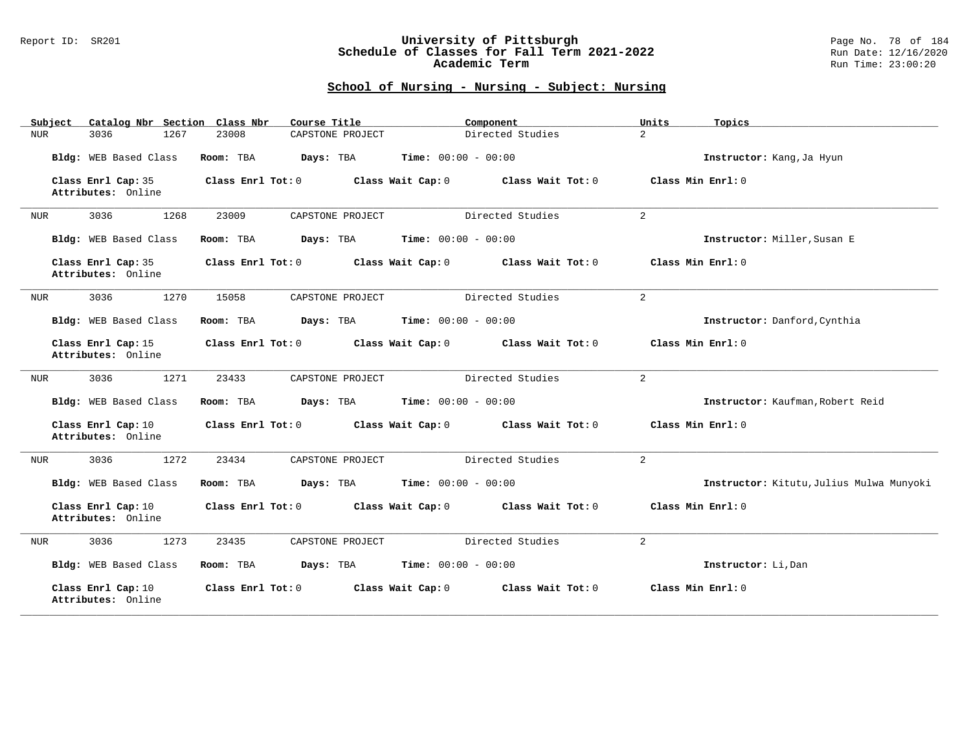### Report ID: SR201 **University of Pittsburgh** Page No. 78 of 184 **Schedule of Classes for Fall Term 2021-2022** Run Date: 12/16/2020 **Academic Term** Run Time: 23:00:20

| Catalog Nbr Section Class Nbr<br>Subject | Course Title              | Component                              | Units<br>Topics                          |
|------------------------------------------|---------------------------|----------------------------------------|------------------------------------------|
| 3036<br>1267<br>NUR                      | 23008<br>CAPSTONE PROJECT | Directed Studies                       | $\overline{a}$                           |
| Bldg: WEB Based Class                    | Room: TBA<br>Days: TBA    | Time: $00:00 - 00:00$                  | Instructor: Kang, Ja Hyun                |
| Class Enrl Cap: 35<br>Attributes: Online | Class Enrl Tot: 0         | Class Wait Cap: 0<br>Class Wait Tot: 0 | Class Min Enrl: 0                        |
| 3036<br>1268<br>NUR                      | 23009<br>CAPSTONE PROJECT | Directed Studies                       | 2                                        |
| Bldg: WEB Based Class                    | Room: TBA<br>Days: TBA    | <b>Time:</b> $00:00 - 00:00$           | Instructor: Miller, Susan E              |
| Class Enrl Cap: 35<br>Attributes: Online | Class Enrl Tot: 0         | Class Wait Cap: 0<br>Class Wait Tot: 0 | Class Min Enrl: 0                        |
| 1270<br>3036<br>NUR                      | 15058<br>CAPSTONE PROJECT | Directed Studies                       | $\overline{2}$                           |
| Bldg: WEB Based Class                    | Room: TBA<br>Days: TBA    | <b>Time:</b> $00:00 - 00:00$           | Instructor: Danford, Cynthia             |
| Class Enrl Cap: 15<br>Attributes: Online | Class Enrl Tot: 0         | Class Wait Cap: 0<br>Class Wait Tot: 0 | Class Min Enrl: 0                        |
| 3036<br>1271<br>NUR                      | 23433<br>CAPSTONE PROJECT | Directed Studies                       | $\overline{a}$                           |
| Bldg: WEB Based Class                    | Room: TBA<br>Days: TBA    | <b>Time:</b> $00:00 - 00:00$           | Instructor: Kaufman, Robert Reid         |
| Class Enrl Cap: 10<br>Attributes: Online | Class Enrl Tot: 0         | Class Wait Cap: 0<br>Class Wait Tot: 0 | Class Min Enrl: 0                        |
| 3036<br>1272<br><b>NUR</b>               | 23434<br>CAPSTONE PROJECT | Directed Studies                       | 2                                        |
| Bldg: WEB Based Class                    | Room: TBA<br>Days: TBA    | <b>Time:</b> $00:00 - 00:00$           | Instructor: Kitutu, Julius Mulwa Munyoki |
| Class Enrl Cap: 10<br>Attributes: Online | Class Enrl Tot: 0         | Class Wait Tot: 0<br>Class Wait Cap: 0 | Class Min Enrl: 0                        |
| 3036<br>1273<br><b>NUR</b>               | 23435<br>CAPSTONE PROJECT | Directed Studies                       | $\overline{a}$                           |
| Bldg: WEB Based Class                    | Room: TBA<br>Days: TBA    | <b>Time:</b> $00:00 - 00:00$           | Instructor: Li, Dan                      |
| Class Enrl Cap: 10<br>Attributes: Online | Class Enrl Tot: 0         | Class Wait Cap: 0<br>Class Wait Tot: 0 | Class Min Enrl: 0                        |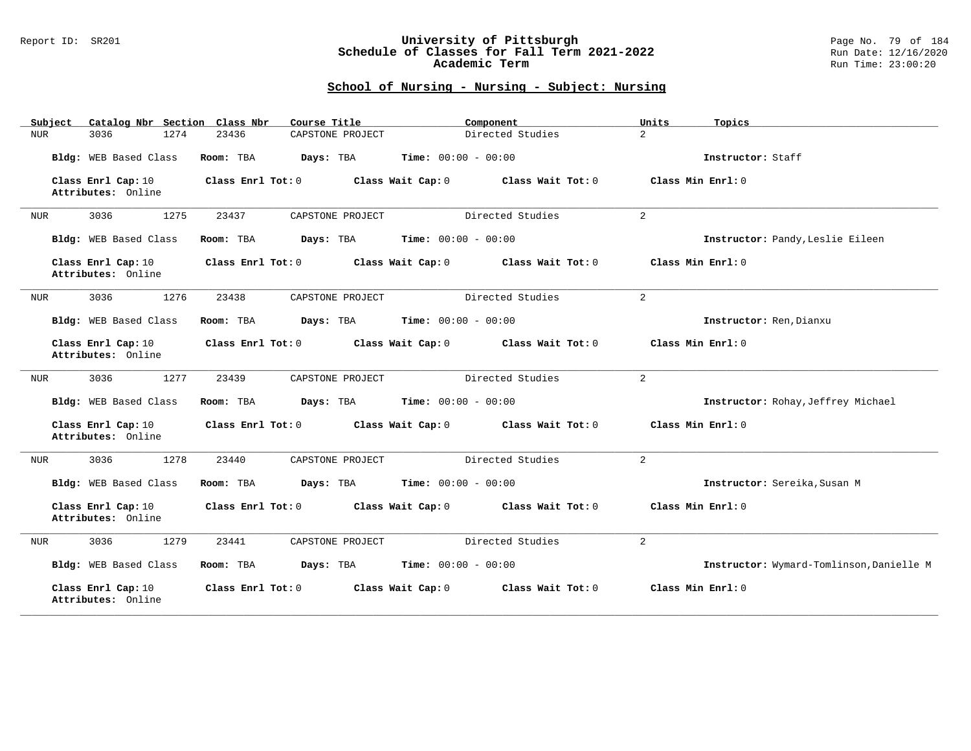### Report ID: SR201 **University of Pittsburgh** Page No. 79 of 184 **Schedule of Classes for Fall Term 2021-2022** Run Date: 12/16/2020 **Academic Term** Run Time: 23:00:20

| Catalog Nbr Section Class Nbr<br>Subject | Course Title              | Component                              | Units<br>Topics                          |
|------------------------------------------|---------------------------|----------------------------------------|------------------------------------------|
| 3036<br>1274<br>NUR                      | 23436<br>CAPSTONE PROJECT | Directed Studies                       | $\overline{a}$                           |
| Bldg: WEB Based Class                    | Room: TBA<br>Days: TBA    | Time: $00:00 - 00:00$                  | Instructor: Staff                        |
| Class Enrl Cap: 10<br>Attributes: Online | Class Enrl Tot: 0         | Class Wait Cap: 0<br>Class Wait Tot: 0 | Class Min Enrl: 0                        |
| 3036<br>1275<br>NUR                      | 23437<br>CAPSTONE PROJECT | Directed Studies                       | 2                                        |
| Bldg: WEB Based Class                    | Room: TBA<br>Days: TBA    | <b>Time:</b> $00:00 - 00:00$           | Instructor: Pandy, Leslie Eileen         |
| Class Enrl Cap: 10<br>Attributes: Online | Class Enrl Tot: 0         | Class Wait Cap: 0<br>Class Wait Tot: 0 | Class Min Enrl: 0                        |
| 1276<br>3036<br>NUR                      | 23438<br>CAPSTONE PROJECT | Directed Studies                       | $\overline{a}$                           |
| Bldg: WEB Based Class                    | Room: TBA<br>Days: TBA    | <b>Time:</b> $00:00 - 00:00$           | Instructor: Ren, Dianxu                  |
| Class Enrl Cap: 10<br>Attributes: Online | Class Enrl Tot: 0         | Class Wait Cap: 0<br>Class Wait Tot: 0 | Class Min Enrl: 0                        |
| 3036<br>1277<br>NUR                      | CAPSTONE PROJECT<br>23439 | Directed Studies                       | $\overline{a}$                           |
| Bldg: WEB Based Class                    | Room: TBA<br>Days: TBA    | <b>Time:</b> $00:00 - 00:00$           | Instructor: Rohay, Jeffrey Michael       |
| Class Enrl Cap: 10<br>Attributes: Online | Class Enrl Tot: 0         | Class Wait Cap: 0<br>Class Wait Tot: 0 | Class Min Enrl: 0                        |
| 3036<br>1278<br><b>NUR</b>               | CAPSTONE PROJECT<br>23440 | Directed Studies                       | 2                                        |
| Bldg: WEB Based Class                    | Room: TBA<br>Days: TBA    | <b>Time:</b> $00:00 - 00:00$           | Instructor: Sereika, Susan M             |
| Class Enrl Cap: 10<br>Attributes: Online | Class Enrl Tot: 0         | Class Wait Tot: 0<br>Class Wait Cap: 0 | Class Min Enrl: 0                        |
| 3036<br>1279<br><b>NUR</b>               | 23441<br>CAPSTONE PROJECT | Directed Studies                       | $\overline{a}$                           |
| Bldg: WEB Based Class                    | Room: TBA<br>Days: TBA    | <b>Time:</b> $00:00 - 00:00$           | Instructor: Wymard-Tomlinson, Danielle M |
| Class Enrl Cap: 10<br>Attributes: Online | Class Enrl Tot: 0         | Class Wait Cap: 0<br>Class Wait Tot: 0 | Class Min Enrl: 0                        |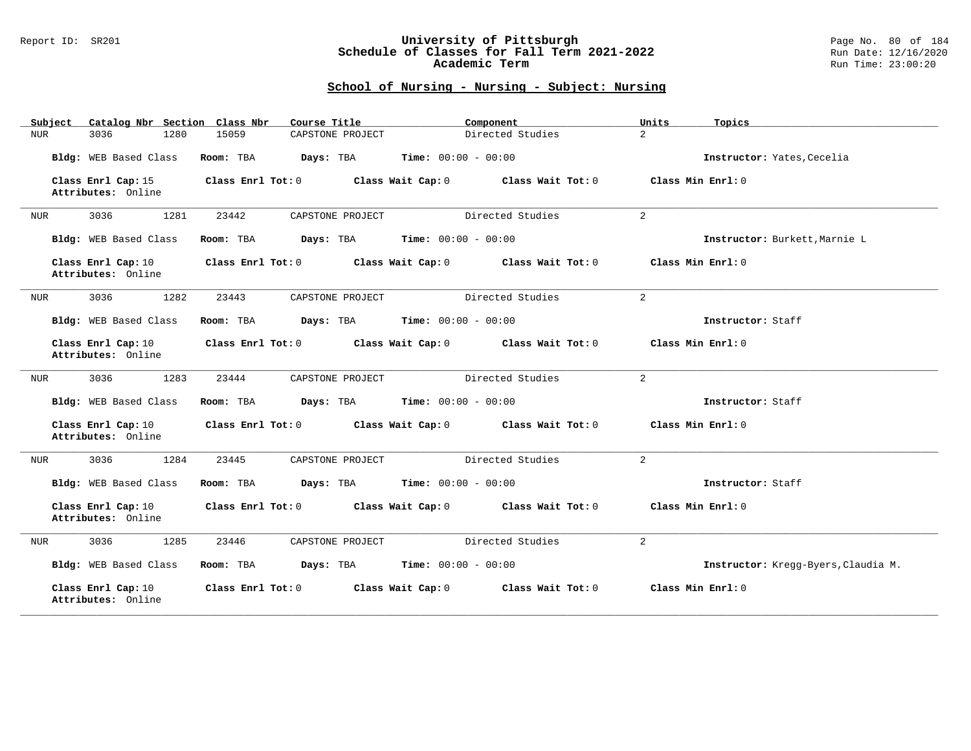### Report ID: SR201 **University of Pittsburgh** Page No. 80 of 184 **Schedule of Classes for Fall Term 2021-2022** Run Date: 12/16/2020 **Academic Term** Run Time: 23:00:20

| Catalog Nbr Section Class Nbr<br>Subject | Course Title                           | Component                              | Units<br>Topics                     |
|------------------------------------------|----------------------------------------|----------------------------------------|-------------------------------------|
| 3036<br>1280<br>NUR                      | CAPSTONE PROJECT<br>15059              | Directed Studies                       | $\overline{a}$                      |
| Bldg: WEB Based Class                    | Room: TBA<br>Days: TBA                 | <b>Time:</b> $00:00 - 00:00$           | Instructor: Yates, Cecelia          |
| Class Enrl Cap: 15<br>Attributes: Online | Class Enrl Tot: 0                      | Class Wait Cap: 0<br>Class Wait Tot: 0 | Class Min Enrl: 0                   |
| 3036<br>1281<br>NUR                      | 23442<br>CAPSTONE PROJECT              | Directed Studies                       | $\overline{a}$                      |
| Bldg: WEB Based Class                    | Room: TBA<br>Days: TBA                 | <b>Time:</b> $00:00 - 00:00$           | Instructor: Burkett, Marnie L       |
| Class Enrl Cap: 10<br>Attributes: Online | Class Enrl Tot: 0                      | Class Wait Cap: 0<br>Class Wait Tot: 0 | Class Min Enrl: 0                   |
| 1282<br>3036<br>NUR                      | 23443<br>CAPSTONE PROJECT              | Directed Studies                       | $\overline{a}$                      |
| Bldg: WEB Based Class                    | Room: TBA<br>Days: TBA                 | <b>Time:</b> $00:00 - 00:00$           | Instructor: Staff                   |
| Class Enrl Cap: 10<br>Attributes: Online | Class Enrl Tot: 0                      | Class Wait Cap: 0<br>Class Wait Tot: 0 | Class Min Enrl: 0                   |
| 3036<br>1283<br>NUR                      | 23444<br>CAPSTONE PROJECT              | Directed Studies                       | 2                                   |
| Bldg: WEB Based Class                    | Room: TBA<br>Days: TBA                 | <b>Time:</b> $00:00 - 00:00$           | Instructor: Staff                   |
| Class Enrl Cap: 10<br>Attributes: Online | Class Enrl Tot: 0<br>Class Wait Cap: 0 | Class Wait Tot: 0                      | Class Min Enrl: 0                   |
| 3036<br>1284<br>NUR                      | 23445<br>CAPSTONE PROJECT              | Directed Studies                       | 2                                   |
| Bldg: WEB Based Class                    | Room: TBA<br>Days: TBA                 | <b>Time:</b> $00:00 - 00:00$           | Instructor: Staff                   |
| Class Enrl Cap: 10<br>Attributes: Online | Class Enrl Tot: 0                      | Class Wait Cap: 0<br>Class Wait Tot: 0 | Class Min Enrl: 0                   |
| 3036<br>1285<br>NUR                      | 23446<br>CAPSTONE PROJECT              | Directed Studies                       | $\overline{2}$                      |
| Bldg: WEB Based Class                    | Room: TBA<br>Days: TBA                 | <b>Time:</b> $00:00 - 00:00$           | Instructor: Kregg-Byers, Claudia M. |
| Class Enrl Cap: 10<br>Attributes: Online | Class Enrl Tot: 0                      | Class Wait Cap: 0<br>Class Wait Tot: 0 | Class Min Enrl: 0                   |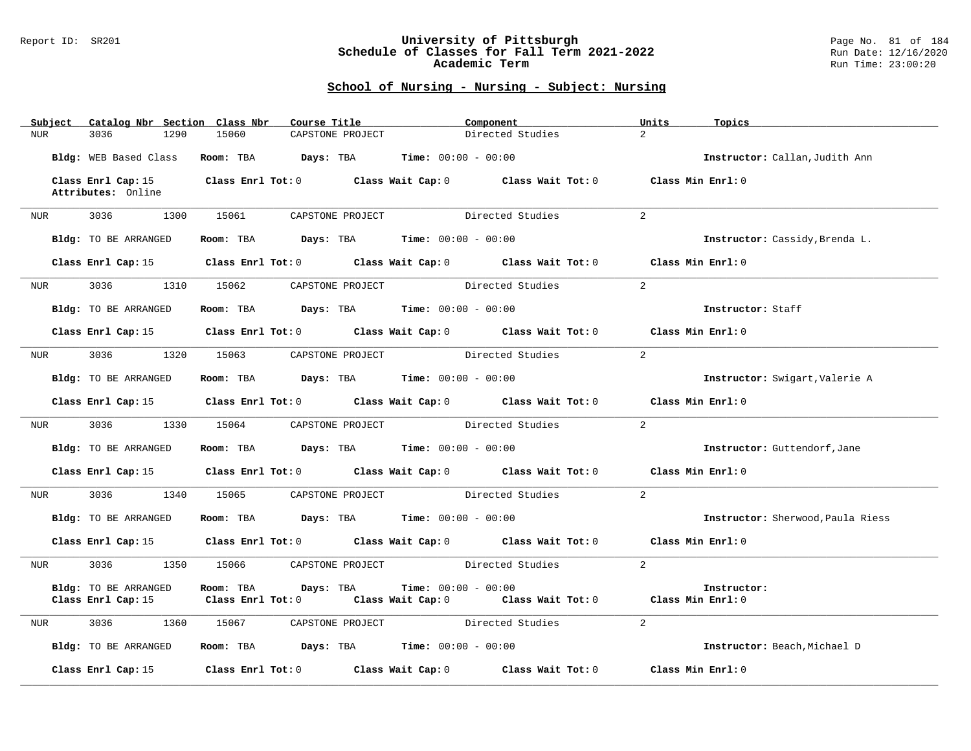### Report ID: SR201 **University of Pittsburgh** Page No. 81 of 184 **Schedule of Classes for Fall Term 2021-2022** Run Date: 12/16/2020 **Academic Term** Run Time: 23:00:20

|     | Subject             | Catalog Nbr Section Class Nbr            |                                                                                                                          | Course Title     | Component                         |                                                       | Units               | Topics                            |
|-----|---------------------|------------------------------------------|--------------------------------------------------------------------------------------------------------------------------|------------------|-----------------------------------|-------------------------------------------------------|---------------------|-----------------------------------|
| NUR |                     | 1290<br>3036                             | 15060                                                                                                                    | CAPSTONE PROJECT |                                   | Directed Studies                                      | $\overline{2}$      |                                   |
|     |                     | Bldg: WEB Based Class                    | Room: TBA $Days:$ TBA $Time: 00:00 - 00:00$                                                                              |                  |                                   |                                                       |                     | Instructor: Callan, Judith Ann    |
|     |                     | Class Enrl Cap: 15<br>Attributes: Online |                                                                                                                          |                  |                                   | Class Enrl Tot: 0 Class Wait Cap: 0 Class Wait Tot: 0 | Class Min Enrl: 0   |                                   |
|     |                     |                                          |                                                                                                                          |                  |                                   |                                                       |                     |                                   |
|     |                     | NUR 3036 1300                            | 15061                                                                                                                    |                  | CAPSTONE PROJECT Directed Studies |                                                       | $\overline{2}$      |                                   |
|     |                     | Bldg: TO BE ARRANGED                     | Room: TBA $Days:$ TBA $Time: 00:00 - 00:00$                                                                              |                  |                                   |                                                       |                     | Instructor: Cassidy, Brenda L.    |
|     |                     |                                          | Class Enrl Cap: 15 Class Enrl Tot: 0 Class Wait Cap: 0 Class Wait Tot: 0                                                 |                  |                                   |                                                       | Class Min Enrl: 0   |                                   |
| NUR |                     | 3036                                     | 1310 15062                                                                                                               |                  | CAPSTONE PROJECT Directed Studies |                                                       | 2                   |                                   |
|     |                     | Bldg: TO BE ARRANGED                     | Room: TBA $Days:$ TBA Time: $00:00 - 00:00$                                                                              |                  |                                   |                                                       |                     | Instructor: Staff                 |
|     |                     |                                          | Class Enrl Cap: 15 Class Enrl Tot: 0 Class Wait Cap: 0 Class Wait Tot: 0 Class Min Enrl: 0                               |                  |                                   |                                                       |                     |                                   |
|     | NUR <sub>i</sub>    | 3036 1320 15063                          |                                                                                                                          |                  | CAPSTONE PROJECT Directed Studies |                                                       | 2                   |                                   |
|     |                     | Bldg: TO BE ARRANGED                     | Room: TBA $Days: TBA$ Time: $00:00 - 00:00$                                                                              |                  |                                   |                                                       |                     | Instructor: Swigart, Valerie A    |
|     |                     |                                          | Class Enrl Cap: 15 Class Enrl Tot: 0 Class Wait Cap: 0 Class Wait Tot: 0                                                 |                  |                                   |                                                       | Class Min $Enrl: 0$ |                                   |
| NUR |                     | 3036<br>1330                             | 15064                                                                                                                    | CAPSTONE PROJECT |                                   | Directed Studies                                      | $\overline{2}$      |                                   |
|     |                     | Bldg: TO BE ARRANGED                     | Room: TBA $Days:$ TBA $Time: 00:00 - 00:00$                                                                              |                  |                                   |                                                       |                     | Instructor: Guttendorf, Jane      |
|     |                     |                                          | Class Enrl Cap: 15 Class Enrl Tot: 0 Class Wait Cap: 0 Class Wait Tot: 0 Class Min Enrl: 0                               |                  |                                   |                                                       |                     |                                   |
| NUR |                     | 3036 70<br>1340                          | 15065 CAPSTONE PROJECT Directed Studies                                                                                  |                  |                                   |                                                       | 2                   |                                   |
|     |                     | Bldg: TO BE ARRANGED                     | Room: TBA $Days:$ TBA $Time: 00:00 - 00:00$                                                                              |                  |                                   |                                                       |                     | Instructor: Sherwood, Paula Riess |
|     |                     |                                          | Class Enrl Cap: 15 Class Enrl Tot: 0 Class Wait Cap: 0 Class Wait Tot: 0 Class Min Enrl: 0                               |                  |                                   |                                                       |                     |                                   |
|     | NUR <sub>tion</sub> | 3036<br>1350                             | 15066 CAPSTONE PROJECT                                                                                                   |                  |                                   | Directed Studies                                      | 2                   |                                   |
|     |                     | Bldg: TO BE ARRANGED                     | Room: TBA<br>Days: TBA<br>Class Enrl Cap: 15 (Class Enrl Tot: 0 (Class Wait Cap: 0 (Class Wait Tot: 0 (Class Min Enrl: 0 |                  | Time: $00:00 - 00:00$             |                                                       |                     | Instructor:                       |
|     |                     |                                          |                                                                                                                          |                  |                                   |                                                       |                     |                                   |
| NUR |                     | 3036<br>1360                             | 15067                                                                                                                    | CAPSTONE PROJECT | Directed Studies                  |                                                       | $\overline{2}$      |                                   |
|     |                     | Bldg: TO BE ARRANGED                     | Room: TBA $Days:$ TBA $Time: 00:00 - 00:00$                                                                              |                  |                                   |                                                       |                     | Instructor: Beach, Michael D      |
|     |                     | Class Enrl Cap: 15                       | Class Enrl Tot: $0$ Class Wait Cap: $0$ Class Wait Tot: $0$                                                              |                  |                                   |                                                       | Class Min Enrl: 0   |                                   |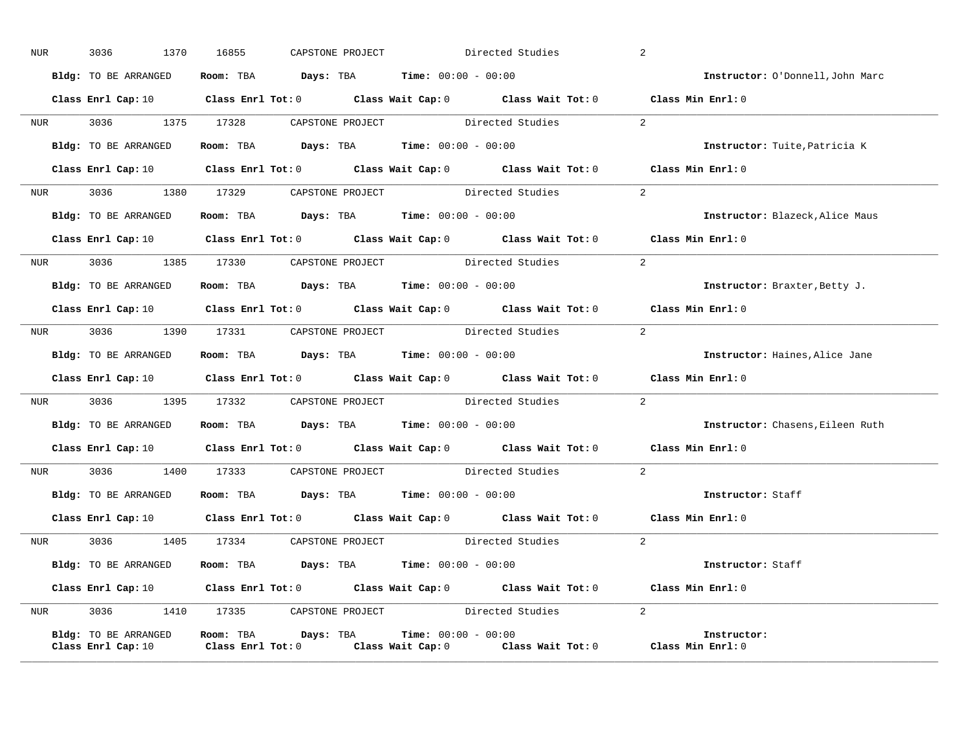| NUR <sub>e</sub> | 3036               | 1370                 | 16855 |  | CAPSTONE PROJECT | Directed Studies                                                                           |                                                         | 2              |                                                                                                                                |
|------------------|--------------------|----------------------|-------|--|------------------|--------------------------------------------------------------------------------------------|---------------------------------------------------------|----------------|--------------------------------------------------------------------------------------------------------------------------------|
|                  |                    | Bldg: TO BE ARRANGED |       |  |                  | Room: TBA Days: TBA Time: $00:00 - 00:00$                                                  |                                                         |                | Instructor: O'Donnell, John Marc                                                                                               |
|                  |                    |                      |       |  |                  |                                                                                            |                                                         |                | Class Enrl Cap: 10 $\qquad$ Class Enrl Tot: 0 $\qquad$ Class Wait Cap: 0 $\qquad$ Class Wait Tot: 0 $\qquad$ Class Min Enrl: 0 |
|                  |                    |                      |       |  |                  |                                                                                            | NUR 3036 1375 17328 CAPSTONE PROJECT Directed Studies 2 |                |                                                                                                                                |
|                  |                    |                      |       |  |                  | Bldg: TO BE ARRANGED Room: TBA Days: TBA Time: 00:00 - 00:00                               |                                                         |                | Instructor: Tuite, Patricia K                                                                                                  |
|                  |                    |                      |       |  |                  |                                                                                            |                                                         |                | Class Enrl Cap: 10 $\qquad$ Class Enrl Tot: 0 $\qquad$ Class Wait Cap: 0 $\qquad$ Class Wait Tot: 0 $\qquad$ Class Min Enrl: 0 |
|                  |                    |                      |       |  |                  |                                                                                            | NUR 3036 1380 17329 CAPSTONE PROJECT Directed Studies   | 2              |                                                                                                                                |
|                  |                    | Bldg: TO BE ARRANGED |       |  |                  | Room: TBA Days: TBA Time: $00:00 - 00:00$                                                  |                                                         |                | Instructor: Blazeck, Alice Maus                                                                                                |
|                  |                    |                      |       |  |                  |                                                                                            |                                                         |                | Class Enrl Cap: 10 $\qquad$ Class Enrl Tot: 0 $\qquad$ Class Wait Cap: 0 $\qquad$ Class Wait Tot: 0 $\qquad$ Class Min Enrl: 0 |
|                  |                    |                      |       |  |                  |                                                                                            | NUR 3036 1385 17330 CAPSTONE PROJECT Directed Studies 2 |                |                                                                                                                                |
|                  |                    | Bldg: TO BE ARRANGED |       |  |                  | Room: TBA $Days:$ TBA $Time: 00:00 - 00:00$                                                |                                                         |                | Instructor: Braxter, Betty J.                                                                                                  |
|                  |                    |                      |       |  |                  |                                                                                            |                                                         |                | Class Enrl Cap: 10 $\qquad$ Class Enrl Tot: 0 $\qquad$ Class Wait Cap: 0 $\qquad$ Class Wait Tot: 0 $\qquad$ Class Min Enrl: 0 |
| <b>NUR</b>       |                    |                      |       |  |                  | 3036 1390 17331 CAPSTONE PROJECT Directed Studies                                          |                                                         | 2              |                                                                                                                                |
|                  |                    |                      |       |  |                  | <b>Bldg:</b> TO BE ARRANGED <b>Room:</b> TBA <b>Days:</b> TBA <b>Time:</b> $00:00 - 00:00$ |                                                         |                | Instructor: Haines, Alice Jane                                                                                                 |
|                  |                    |                      |       |  |                  |                                                                                            |                                                         |                | Class Enrl Cap: 10 $\qquad$ Class Enrl Tot: 0 $\qquad$ Class Wait Cap: 0 $\qquad$ Class Wait Tot: 0 $\qquad$ Class Min Enrl: 0 |
|                  |                    |                      |       |  |                  |                                                                                            | NUR 3036 1395 17332 CAPSTONE PROJECT Directed Studies 2 |                |                                                                                                                                |
|                  |                    |                      |       |  |                  | Bldg: TO BE ARRANGED Room: TBA Days: TBA Time: 00:00 - 00:00                               |                                                         |                | Instructor: Chasens, Eileen Ruth                                                                                               |
|                  |                    |                      |       |  |                  |                                                                                            |                                                         |                | Class Enrl Cap: 10 $\qquad$ Class Enrl Tot: 0 $\qquad$ Class Wait Cap: 0 $\qquad$ Class Wait Tot: 0 $\qquad$ Class Min Enrl: 0 |
|                  |                    |                      |       |  |                  |                                                                                            | NUR 3036 1400 17333 CAPSTONE PROJECT Directed Studies 2 |                |                                                                                                                                |
|                  |                    |                      |       |  |                  | Bldg: TO BE ARRANGED Room: TBA Days: TBA Time: 00:00 - 00:00                               |                                                         |                | Instructor: Staff                                                                                                              |
|                  |                    |                      |       |  |                  |                                                                                            |                                                         |                | Class Enrl Cap: 10 $\qquad$ Class Enrl Tot: 0 $\qquad$ Class Wait Cap: 0 $\qquad$ Class Wait Tot: 0 $\qquad$ Class Min Enrl: 0 |
|                  |                    |                      |       |  |                  |                                                                                            | NUR 3036 1405 17334 CAPSTONE PROJECT Directed Studies   | $\overline{2}$ |                                                                                                                                |
|                  |                    |                      |       |  |                  | Bldg: TO BE ARRANGED Room: TBA Days: TBA Time: 00:00 - 00:00                               |                                                         |                | Instructor: Staff                                                                                                              |
|                  |                    |                      |       |  |                  |                                                                                            |                                                         |                | Class Enrl Cap: 10 $\qquad$ Class Enrl Tot: 0 $\qquad$ Class Wait Cap: 0 $\qquad$ Class Wait Tot: 0 $\qquad$ Class Min Enrl: 0 |
| <b>NUR</b>       |                    |                      |       |  |                  |                                                                                            | 3036 1410 17335 CAPSTONE PROJECT Directed Studies 2     |                |                                                                                                                                |
|                  | Class Enrl Cap: 10 | Bldg: TO BE ARRANGED |       |  |                  | Room: TBA $Days:$ TBA $Time: 00:00 - 00:00$                                                |                                                         |                | Instructor:<br>Class Enrl Tot: 0 $\qquad$ Class Wait Cap: 0 $\qquad$ Class Wait Tot: 0 $\qquad$ Class Min Enrl: 0              |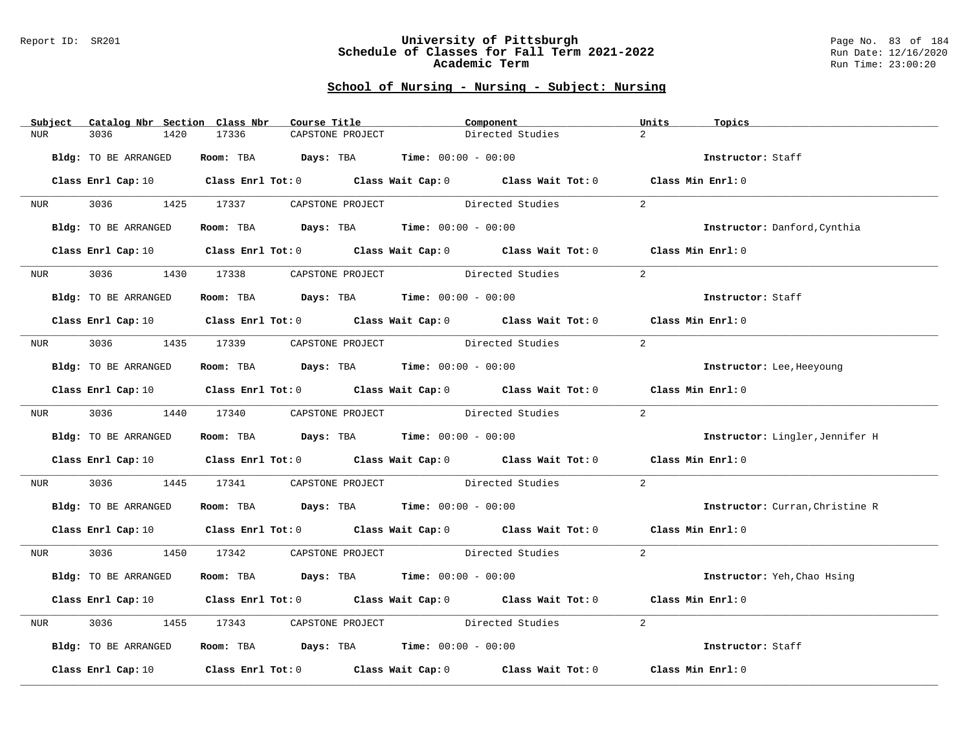#### Report ID: SR201 **University of Pittsburgh** Page No. 83 of 184 **Schedule of Classes for Fall Term 2021-2022** Run Date: 12/16/2020 **Academic Term** Run Time: 23:00:20

| Subject        | Catalog Nbr Section Class Nbr | Course Title                                                                                                                   | Component                                                      |                  | Units<br>Topics                 |
|----------------|-------------------------------|--------------------------------------------------------------------------------------------------------------------------------|----------------------------------------------------------------|------------------|---------------------------------|
| NUR.           | 3036<br>1420                  | 17336<br>CAPSTONE PROJECT                                                                                                      |                                                                | Directed Studies | $\overline{2}$                  |
|                |                               |                                                                                                                                |                                                                |                  |                                 |
|                | Bldg: TO BE ARRANGED          |                                                                                                                                | Room: TBA $Days:$ TBA $Time: 00:00 - 00:00$                    |                  | Instructor: Staff               |
|                |                               |                                                                                                                                |                                                                |                  |                                 |
|                |                               | Class Enrl Cap: 10 Class Enrl Tot: 0 Class Wait Cap: 0 Class Wait Tot: 0 Class Min Enrl: 0                                     |                                                                |                  |                                 |
|                |                               |                                                                                                                                |                                                                |                  |                                 |
|                |                               | NUR 3036 1425 17337 CAPSTONE PROJECT Directed Studies                                                                          |                                                                |                  | 2                               |
|                |                               |                                                                                                                                |                                                                |                  |                                 |
|                | Bldg: TO BE ARRANGED          |                                                                                                                                | Room: TBA $Days:$ TBA $Time: 00:00 - 00:00$                    |                  | Instructor: Danford, Cynthia    |
|                |                               |                                                                                                                                |                                                                |                  |                                 |
|                |                               | Class Enrl Cap: 10 $\qquad$ Class Enrl Tot: 0 $\qquad$ Class Wait Cap: 0 $\qquad$ Class Wait Tot: 0 $\qquad$ Class Min Enrl: 0 |                                                                |                  |                                 |
| <b>NUR</b>     | 3036 700                      | 1430 17338 CAPSTONE PROJECT Directed Studies                                                                                   |                                                                |                  | 2                               |
|                |                               |                                                                                                                                |                                                                |                  |                                 |
|                | Bldg: TO BE ARRANGED          |                                                                                                                                | Room: TBA $Days:$ TBA $Time: 00:00 - 00:00$                    |                  | Instructor: Staff               |
|                |                               |                                                                                                                                |                                                                |                  |                                 |
|                |                               | Class Enrl Cap: 10 $\qquad$ Class Enrl Tot: 0 $\qquad$ Class Wait Cap: 0 $\qquad$ Class Wait Tot: 0 $\qquad$ Class Min Enrl: 0 |                                                                |                  |                                 |
|                |                               |                                                                                                                                |                                                                |                  |                                 |
|                |                               | NUR 3036 1435 17339 CAPSTONE PROJECT Directed Studies                                                                          |                                                                |                  | 2                               |
|                |                               |                                                                                                                                |                                                                |                  |                                 |
|                | Bldg: TO BE ARRANGED          |                                                                                                                                | Room: TBA $Days:$ TBA $Time: 00:00 - 00:00$                    |                  | Instructor: Lee, Heeyoung       |
|                |                               |                                                                                                                                |                                                                |                  |                                 |
|                |                               | Class Enrl Cap: 10 Class Enrl Tot: 0 Class Wait Cap: 0 Class Wait Tot: 0 Class Min Enrl: 0                                     |                                                                |                  |                                 |
|                |                               |                                                                                                                                |                                                                |                  |                                 |
|                |                               | NUR 3036 1440 17340 CAPSTONE PROJECT Directed Studies                                                                          |                                                                |                  | 2                               |
|                | Bldg: TO BE ARRANGED          |                                                                                                                                | Room: TBA $Days:$ TBA Time: $00:00 - 00:00$                    |                  | Instructor: Lingler, Jennifer H |
|                |                               |                                                                                                                                |                                                                |                  |                                 |
|                |                               | Class Enrl Cap: 10 $\qquad$ Class Enrl Tot: 0 $\qquad$ Class Wait Cap: 0 $\qquad$ Class Wait Tot: 0 $\qquad$ Class Min Enrl: 0 |                                                                |                  |                                 |
|                |                               |                                                                                                                                |                                                                |                  |                                 |
| NUR <b>NUR</b> |                               | 3036 1445 17341 CAPSTONE PROJECT Directed Studies                                                                              |                                                                |                  | 2                               |
|                |                               |                                                                                                                                |                                                                |                  |                                 |
|                | Bldg: TO BE ARRANGED          | Room: TBA $Days:$ TBA $Time:$ 00:00 - 00:00                                                                                    |                                                                |                  | Instructor: Curran, Christine R |
|                |                               |                                                                                                                                |                                                                |                  |                                 |
|                |                               | Class Enrl Cap: 10 Class Enrl Tot: 0 Class Wait Cap: 0 Class Wait Tot: 0 Class Min Enrl: 0                                     |                                                                |                  |                                 |
|                |                               |                                                                                                                                |                                                                |                  |                                 |
|                |                               | NUR 3036 1450 17342 CAPSTONE PROJECT Directed Studies                                                                          |                                                                |                  | 2                               |
|                |                               |                                                                                                                                |                                                                |                  |                                 |
|                | Bldg: TO BE ARRANGED          |                                                                                                                                | Room: TBA $Days:$ TBA $Time: 00:00 - 00:00$                    |                  | Instructor: Yeh, Chao Hsing     |
|                |                               |                                                                                                                                |                                                                |                  |                                 |
|                |                               | Class Enrl Cap: 10 $\qquad$ Class Enrl Tot: 0 $\qquad$ Class Wait Cap: 0 $\qquad$ Class Wait Tot: 0 $\qquad$ Class Min Enrl: 0 |                                                                |                  |                                 |
| NUR            | 3036                          | 1455 17343 CAPSTONE PROJECT Directed Studies                                                                                   |                                                                |                  | 2                               |
|                |                               |                                                                                                                                |                                                                |                  |                                 |
|                | Bldg: TO BE ARRANGED          |                                                                                                                                | Room: TBA $\rule{1em}{0.15mm}$ Days: TBA Time: $00:00 - 00:00$ |                  | Instructor: Staff               |
|                |                               |                                                                                                                                |                                                                |                  |                                 |
|                |                               | Class Enrl Cap: 10 $\qquad$ Class Enrl Tot: 0 $\qquad$ Class Wait Cap: 0 $\qquad$ Class Wait Tot: 0                            |                                                                |                  | Class Min Enrl: 0               |
|                |                               |                                                                                                                                |                                                                |                  |                                 |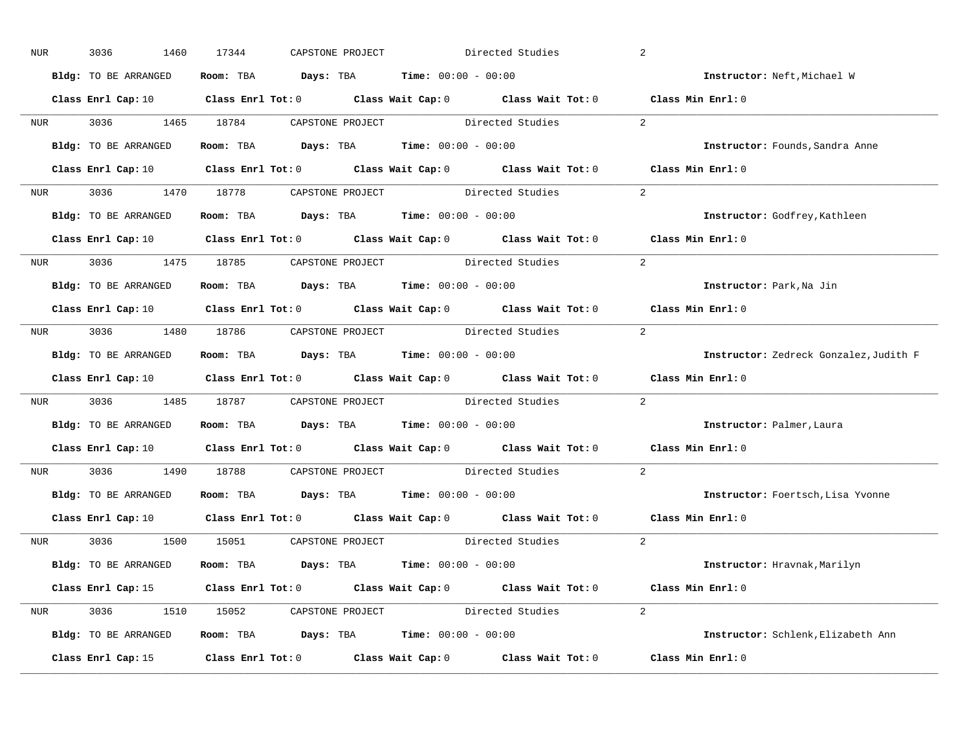| NUR        | 3036<br>1460         | 17344 | CAPSTONE PROJECT |                                                                | Directed Studies                                                                                                               | 2                                                                                                                              |
|------------|----------------------|-------|------------------|----------------------------------------------------------------|--------------------------------------------------------------------------------------------------------------------------------|--------------------------------------------------------------------------------------------------------------------------------|
|            | Bldg: TO BE ARRANGED |       |                  | Room: TBA $Days:$ TBA $Time: 00:00 - 00:00$                    |                                                                                                                                | Instructor: Neft, Michael W                                                                                                    |
|            |                      |       |                  |                                                                | Class Enrl Cap: 10 $\qquad$ Class Enrl Tot: 0 $\qquad$ Class Wait Cap: 0 $\qquad$ Class Wait Tot: 0 $\qquad$ Class Min Enrl: 0 |                                                                                                                                |
|            |                      |       |                  | NUR 3036 1465 18784 CAPSTONE PROJECT Directed Studies          |                                                                                                                                | 2                                                                                                                              |
|            | Bldg: TO BE ARRANGED |       |                  | Room: TBA $Days:$ TBA Time: $00:00 - 00:00$                    |                                                                                                                                | Instructor: Founds, Sandra Anne                                                                                                |
|            |                      |       |                  |                                                                |                                                                                                                                | Class Enrl Cap: 10 $\qquad$ Class Enrl Tot: 0 $\qquad$ Class Wait Cap: 0 $\qquad$ Class Wait Tot: 0 $\qquad$ Class Min Enrl: 0 |
|            |                      |       |                  |                                                                | NUR 3036 1470 18778 CAPSTONE PROJECT Directed Studies 2                                                                        |                                                                                                                                |
|            |                      |       |                  | Bldg: TO BE ARRANGED ROOM: TBA Days: TBA Time: 00:00 - 00:00   |                                                                                                                                | Instructor: Godfrey, Kathleen                                                                                                  |
|            |                      |       |                  |                                                                |                                                                                                                                | Class Enrl Cap: 10 $\qquad$ Class Enrl Tot: 0 $\qquad$ Class Wait Cap: 0 $\qquad$ Class Wait Tot: 0 $\qquad$ Class Min Enrl: 0 |
|            |                      |       |                  | NUR 3036 1475 18785 CAPSTONE PROJECT Directed Studies          |                                                                                                                                | 2                                                                                                                              |
|            | Bldg: TO BE ARRANGED |       |                  | Room: TBA $Days:$ TBA $Time: 00:00 - 00:00$                    |                                                                                                                                | Instructor: Park, Na Jin                                                                                                       |
|            |                      |       |                  |                                                                |                                                                                                                                | Class Enrl Cap: 10 $\qquad$ Class Enrl Tot: 0 $\qquad$ Class Wait Cap: 0 $\qquad$ Class Wait Tot: 0 $\qquad$ Class Min Enrl: 0 |
|            |                      |       |                  |                                                                | NUR 3036 1480 18786 CAPSTONE PROJECT Directed Studies                                                                          | 2                                                                                                                              |
|            | Bldg: TO BE ARRANGED |       |                  | Room: TBA $Days:$ TBA $Time: 00:00 - 00:00$                    |                                                                                                                                | Instructor: Zedreck Gonzalez, Judith F                                                                                         |
|            |                      |       |                  |                                                                |                                                                                                                                | Class Enrl Cap: 10 $\qquad$ Class Enrl Tot: 0 $\qquad$ Class Wait Cap: 0 $\qquad$ Class Wait Tot: 0 $\qquad$ Class Min Enrl: 0 |
|            |                      |       |                  | NUR 3036 1485 18787 CAPSTONE PROJECT Directed Studies          |                                                                                                                                | 2                                                                                                                              |
|            | Bldg: TO BE ARRANGED |       |                  | Room: TBA $Days:$ TBA $Time: 00:00 - 00:00$                    |                                                                                                                                | Instructor: Palmer, Laura                                                                                                      |
|            |                      |       |                  |                                                                | Class Enrl Cap: 10 $\qquad$ Class Enrl Tot: 0 $\qquad$ Class Wait Cap: 0 $\qquad$ Class Wait Tot: 0                            | Class Min Enrl: 0                                                                                                              |
| <b>NUR</b> |                      |       |                  | 3036 1490 18788 CAPSTONE PROJECT Directed Studies              |                                                                                                                                | 2                                                                                                                              |
|            |                      |       |                  | Bldg: TO BE ARRANGED ROOM: TBA Days: TBA Time: 00:00 - 00:00   |                                                                                                                                | Instructor: Foertsch, Lisa Yvonne                                                                                              |
|            |                      |       |                  |                                                                | Class Enrl Cap: 10 $\qquad$ Class Enrl Tot: 0 $\qquad$ Class Wait Cap: 0 $\qquad$ Class Wait Tot: 0                            | Class Min Enrl: 0                                                                                                              |
|            |                      |       |                  | NUR 3036 1500 15051 CAPSTONE PROJECT Directed Studies          |                                                                                                                                | 2                                                                                                                              |
|            | Bldg: TO BE ARRANGED |       |                  | Room: TBA $\rule{1em}{0.15mm}$ Days: TBA Time: $00:00 - 00:00$ |                                                                                                                                | Instructor: Hravnak, Marilyn                                                                                                   |
|            |                      |       |                  |                                                                | Class Enrl Cap: 15 Class Enrl Tot: 0 Class Wait Cap: 0 Class Wait Tot: 0 Class Min Enrl: 0                                     |                                                                                                                                |
|            |                      |       |                  |                                                                | NUR 3036 1510 15052 CAPSTONE PROJECT Directed Studies 2                                                                        |                                                                                                                                |
|            | Bldg: TO BE ARRANGED |       |                  | Room: TBA $Days:$ TBA $Time: 00:00 - 00:00$                    |                                                                                                                                | Instructor: Schlenk, Elizabeth Ann                                                                                             |
|            | Class Enrl Cap: 15   |       |                  |                                                                |                                                                                                                                | Class Enrl Tot: $0$ Class Wait Cap: $0$ Class Wait Tot: $0$ Class Min Enrl: $0$                                                |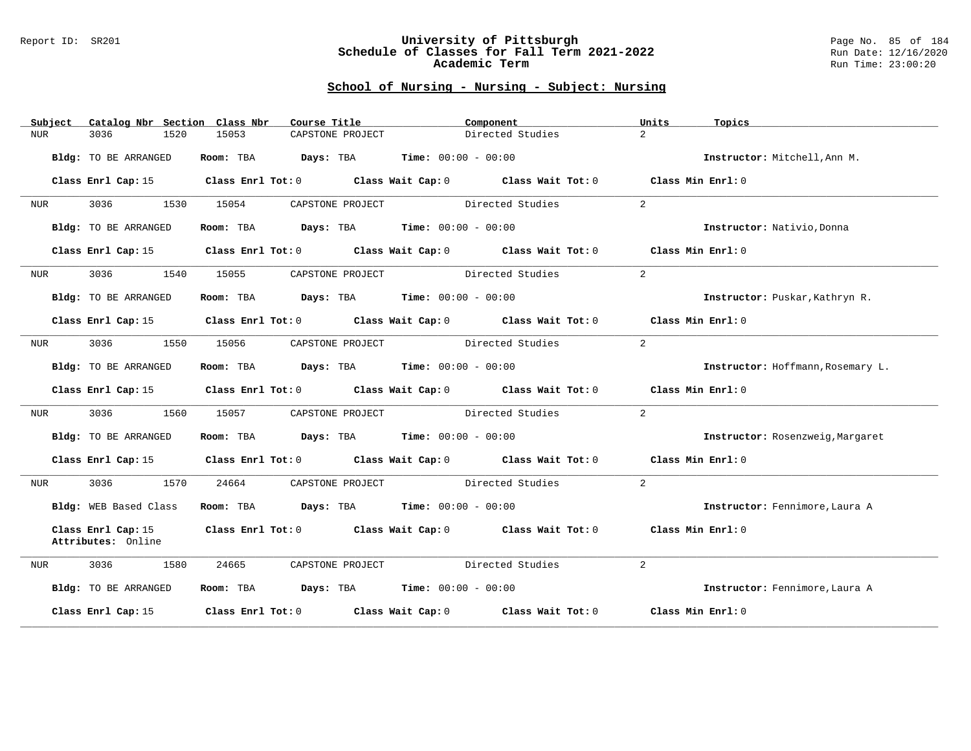#### Report ID: SR201 **University of Pittsburgh** Page No. 85 of 184 **Schedule of Classes for Fall Term 2021-2022** Run Date: 12/16/2020 **Academic Term** Run Time: 23:00:20

| Subject    | Catalog Nbr Section Class Nbr            | Course Title                                                                          |                                                      | Component                                                                       | Units<br>Topics                   |
|------------|------------------------------------------|---------------------------------------------------------------------------------------|------------------------------------------------------|---------------------------------------------------------------------------------|-----------------------------------|
| <b>NUR</b> | 3036<br>1520                             | 15053                                                                                 | CAPSTONE PROJECT                                     | Directed Studies                                                                | $\overline{2}$                    |
|            | Bldg: TO BE ARRANGED                     | Room: TBA                                                                             | <b>Days:</b> TBA <b>Time:</b> $00:00 - 00:00$        |                                                                                 | Instructor: Mitchell, Ann M.      |
|            | Class Enrl Cap: 15                       |                                                                                       |                                                      | Class Enrl Tot: 0 Class Wait Cap: 0 Class Wait Tot: 0                           | Class Min Enrl: 0                 |
| NUR        | 3036<br>1530                             | 15054                                                                                 | CAPSTONE PROJECT                                     | Directed Studies                                                                | $\overline{2}$                    |
|            | Bldg: TO BE ARRANGED                     | Room: TBA $\rule{1em}{0.15mm}$ Days: TBA $\rule{1.5mm}{0.15mm}$ Time: $00:00 - 00:00$ |                                                      |                                                                                 | Instructor: Nativio, Donna        |
|            | Class Enrl Cap: 15                       |                                                                                       |                                                      | Class Enrl Tot: 0 Class Wait Cap: 0 Class Wait Tot: 0 Class Min Enrl: 0         |                                   |
| NUR        | 3036<br>1540                             | 15055                                                                                 | CAPSTONE PROJECT                                     | Directed Studies                                                                | 2                                 |
|            | Bldg: TO BE ARRANGED                     | Room: TBA $Days:$ TBA $Time: 00:00 - 00:00$                                           |                                                      |                                                                                 | Instructor: Puskar, Kathryn R.    |
|            | Class Enrl Cap: 15                       |                                                                                       |                                                      | Class Enrl Tot: 0 Class Wait Cap: 0 Class Wait Tot: 0 Class Min Enrl: 0         |                                   |
| NUR        | 1550<br>3036 700                         | 15056                                                                                 | CAPSTONE PROJECT                                     | Directed Studies                                                                | 2                                 |
|            | Bldg: TO BE ARRANGED                     | Room: TBA                                                                             | $\texttt{Davis:}$ TBA $\texttt{Time:}$ 00:00 - 00:00 |                                                                                 | Instructor: Hoffmann, Rosemary L. |
|            | Class Enrl Cap: 15                       |                                                                                       |                                                      | Class Enrl Tot: 0 Class Wait Cap: 0 Class Wait Tot: 0 Class Min Enrl: 0         |                                   |
| NUR        | 3036<br>1560                             | 15057                                                                                 | CAPSTONE PROJECT Directed Studies                    |                                                                                 | 2                                 |
|            | Bldg: TO BE ARRANGED                     | Room: TBA                                                                             | <b>Days:</b> TBA <b>Time:</b> $00:00 - 00:00$        |                                                                                 | Instructor: Rosenzweig, Margaret  |
|            | Class Enrl Cap: 15                       |                                                                                       |                                                      | Class Enrl Tot: $0$ Class Wait Cap: $0$ Class Wait Tot: $0$ Class Min Enrl: $0$ |                                   |
| NUR        | 3036<br>1570                             | 24664                                                                                 | CAPSTONE PROJECT Directed Studies                    |                                                                                 | $\overline{2}$                    |
|            | Bldg: WEB Based Class                    | Room: TBA $Days:$ TBA $Time: 00:00 - 00:00$                                           |                                                      |                                                                                 | Instructor: Fennimore, Laura A    |
|            | Class Enrl Cap: 15<br>Attributes: Online |                                                                                       |                                                      | Class Enrl Tot: 0 Class Wait Cap: 0 Class Wait Tot: 0                           | Class Min Enrl: 0                 |
| NUR        | 3036<br>1580                             | 24665                                                                                 | CAPSTONE PROJECT                                     | Directed Studies                                                                | 2                                 |
|            | Bldg: TO BE ARRANGED                     | Room: TBA $Days:$ TBA $Time: 00:00 - 00:00$                                           |                                                      |                                                                                 | Instructor: Fennimore, Laura A    |
|            | Class Enrl Cap: 15                       |                                                                                       |                                                      | Class Enrl Tot: 0 Class Wait Cap: 0 Class Wait Tot: 0                           | Class Min Enrl: 0                 |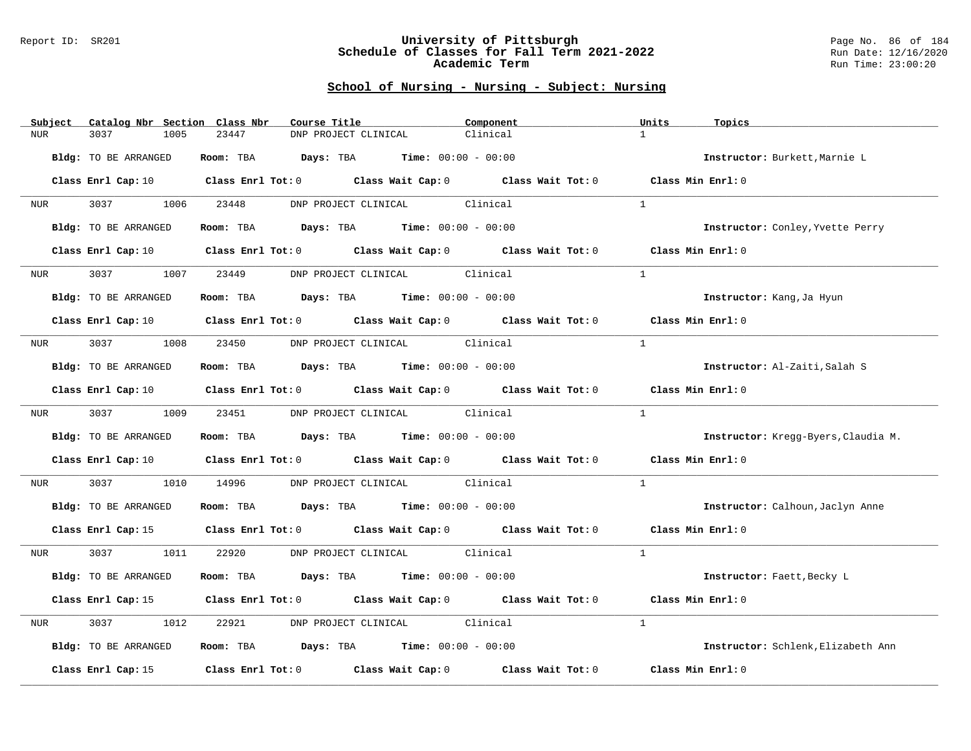#### Report ID: SR201 **University of Pittsburgh** Page No. 86 of 184 **Schedule of Classes for Fall Term 2021-2022** Run Date: 12/16/2020 **Academic Term** Run Time: 23:00:20

| Subject<br>Catalog Nbr Section Class Nbr | Course Title                                                                                                                   | Component | Units<br>Topics                     |
|------------------------------------------|--------------------------------------------------------------------------------------------------------------------------------|-----------|-------------------------------------|
| 3037<br>1005<br><b>NUR</b>               | 23447<br>DNP PROJECT CLINICAL                                                                                                  | Clinical  | $\mathbf{1}$                        |
| Bldg: TO BE ARRANGED                     | Room: TBA Days: TBA Time: $00:00 - 00:00$                                                                                      |           | Instructor: Burkett, Marnie L       |
|                                          | Class Enrl Cap: 10 $\qquad$ Class Enrl Tot: 0 $\qquad$ Class Wait Cap: 0 $\qquad$ Class Wait Tot: 0 $\qquad$ Class Min Enrl: 0 |           |                                     |
| 3037 1006<br><b>NUR</b>                  | DNP PROJECT CLINICAL Clinical<br>23448                                                                                         |           | <sup>1</sup>                        |
| Bldg: TO BE ARRANGED                     | Room: TBA $Days:$ TBA $Time: 00:00 - 00:00$                                                                                    |           | Instructor: Conley, Yvette Perry    |
| Class Enrl Cap: 10                       | Class Enrl Tot: 0 Class Wait Cap: 0 Class Wait Tot: 0                                                                          |           | Class Min Enrl: 0                   |
| 3037<br>1007<br>NUR <sub>i</sub>         | DNP PROJECT CLINICAL Clinical<br>23449                                                                                         |           | $\mathbf{1}$                        |
| Bldg: TO BE ARRANGED                     | Room: TBA $Days:$ TBA $Time: 00:00 - 00:00$                                                                                    |           | Instructor: Kang, Ja Hyun           |
|                                          | Class Enrl Cap: 10 $\qquad$ Class Enrl Tot: 0 $\qquad$ Class Wait Cap: 0 $\qquad$ Class Wait Tot: 0 $\qquad$ Class Min Enrl: 0 |           |                                     |
| 3037 1008 23450<br>NUR <b>NUR</b>        | DNP PROJECT CLINICAL Clinical                                                                                                  |           | $\mathbf{1}$                        |
| Bldg: TO BE ARRANGED                     | Room: TBA $\rule{1em}{0.15mm}$ Days: TBA $\rule{1.5mm}{0.15mm}$ Time: $00:00 - 00:00$                                          |           | Instructor: Al-Zaiti, Salah S       |
|                                          | Class Enrl Cap: 10 Class Enrl Tot: 0 Class Wait Cap: 0 Class Wait Tot: 0                                                       |           | Class Min Enrl: 0                   |
|                                          | NUR 3037 1009 23451 DNP PROJECT CLINICAL Clinical                                                                              |           | $\mathbf{1}$                        |
| Bldg: TO BE ARRANGED                     | Room: TBA $Days: TBA$ Time: $00:00 - 00:00$                                                                                    |           | Instructor: Kregg-Byers, Claudia M. |
|                                          | Class Enrl Cap: 10 Class Enrl Tot: 0 Class Wait Cap: 0 Class Wait Tot: 0                                                       |           | Class Min Enrl: 0                   |
| 3037 30<br>1010<br>NUR                   | 14996<br>DNP PROJECT CLINICAL Clinical                                                                                         |           | <sup>1</sup>                        |
| Bldg: TO BE ARRANGED                     | Room: TBA $Days:$ TBA Time: $00:00 - 00:00$                                                                                    |           | Instructor: Calhoun, Jaclyn Anne    |
|                                          | Class Enrl Cap: 15 Class Enrl Tot: 0 Class Wait Cap: 0 Class Wait Tot: 0 Class Min Enrl: 0                                     |           |                                     |
| 3037 1011<br><b>NUR</b>                  | 22920<br>DNP PROJECT CLINICAL Clinical                                                                                         |           | $\overline{1}$                      |
| Bldg: TO BE ARRANGED                     | Room: TBA $Days:$ TBA $Time: 00:00 - 00:00$                                                                                    |           | Instructor: Faett, Becky L          |
|                                          | Class Enrl Cap: 15 Class Enrl Tot: 0 Class Wait Cap: 0 Class Wait Tot: 0                                                       |           | Class Min Enrl: 0                   |
| 3037<br>1012<br>NUR                      | DNP PROJECT CLINICAL Clinical<br>22921                                                                                         |           | $\mathbf{1}$                        |
| Bldg: TO BE ARRANGED                     | <b>Room:</b> TBA $Days:$ TBA $Time: 00:00 - 00:00$                                                                             |           | Instructor: Schlenk, Elizabeth Ann  |
| Class Enrl Cap: 15                       | Class Enrl Tot: 0 Class Wait Cap: 0 Class Wait Tot: 0                                                                          |           | Class Min Enrl: 0                   |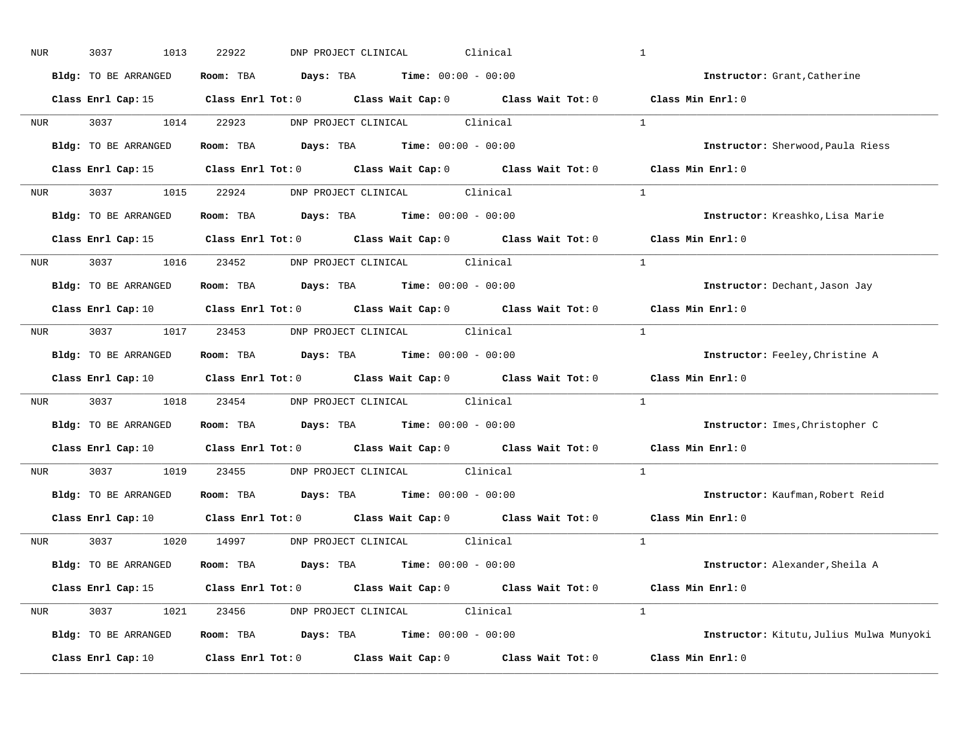| NUR              | 3037<br>1013         | 22922<br>Clinical<br>DNP PROJECT CLINICAL                                                           | $\mathbf{1}$                             |
|------------------|----------------------|-----------------------------------------------------------------------------------------------------|------------------------------------------|
|                  | Bldg: TO BE ARRANGED | Room: TBA $\rule{1em}{0.15mm}$ Days: TBA Time: $00:00 - 00:00$                                      | Instructor: Grant, Catherine             |
|                  |                      | Class Enrl Cap: 15 Class Enrl Tot: 0 Class Wait Cap: 0 Class Wait Tot: 0 Class Min Enrl: 0          |                                          |
|                  | NUR 3037 1014 22923  | DNP PROJECT CLINICAL Clinical                                                                       | $\overline{1}$                           |
|                  | Bldg: TO BE ARRANGED | Room: TBA $Days:$ TBA $Time:$ $00:00 - 00:00$                                                       | Instructor: Sherwood, Paula Riess        |
|                  |                      | Class Enrl Cap: 15 (Class Enrl Tot: 0 (Class Wait Cap: 0 (Class Wait Tot: 0 (Class Min Enrl: 0)     |                                          |
|                  |                      | NUR 3037 1015 22924 DNP PROJECT CLINICAL Clinical                                                   | $\overline{1}$                           |
|                  |                      | Bldg: TO BE ARRANGED Room: TBA Days: TBA Time: 00:00 - 00:00                                        | Instructor: Kreashko, Lisa Marie         |
|                  |                      | Class Enrl Cap: 15 Class Enrl Tot: 0 Class Wait Cap: 0 Class Wait Tot: 0 Class Min Enrl: 0          |                                          |
|                  |                      | NUR 3037 1016 23452 DNP PROJECT CLINICAL Clinical                                                   | $\mathbf{1}$                             |
|                  | Bldg: TO BE ARRANGED | Room: TBA $Days:$ TBA $Time: 00:00 - 00:00$                                                         | Instructor: Dechant, Jason Jay           |
|                  |                      | Class Enrl Cap: 10 $\qquad$ Class Enrl Tot: 0 $\qquad$ Class Wait Cap: 0 $\qquad$ Class Wait Tot: 0 | Class Min Enrl: 0                        |
|                  |                      | NUR 3037 1017 23453 DNP PROJECT CLINICAL Clinical                                                   | $\overline{1}$                           |
|                  | Bldg: TO BE ARRANGED | Room: TBA $Days: TBA$ Time: $00:00 - 00:00$                                                         | Instructor: Feeley, Christine A          |
|                  |                      | Class Enrl Cap: 10 $\qquad$ Class Enrl Tot: 0 $\qquad$ Class Wait Cap: 0 $\qquad$ Class Wait Tot: 0 | Class Min Enrl: 0                        |
| NUR <sub>p</sub> |                      | 3037 1018 23454 DNP PROJECT CLINICAL Clinical                                                       | $\mathbf{1}$                             |
|                  | Bldg: TO BE ARRANGED | Room: TBA $Days:$ TBA $Time: 00:00 - 00:00$                                                         | Instructor: Imes, Christopher C          |
|                  |                      | Class Enrl Cap: 10 Class Enrl Tot: 0 Class Wait Cap: 0 Class Wait Tot: 0                            | Class Min Enrl: 0                        |
| <b>NUR</b>       | 3037 1019            | 23455 DNP PROJECT CLINICAL Clinical                                                                 | $\mathbf{1}$                             |
|                  | Bldg: TO BE ARRANGED | Room: TBA $Days:$ TBA $Time: 00:00 - 00:00$                                                         | Instructor: Kaufman, Robert Reid         |
|                  | Class Enrl Cap: 10   | Class Enrl Tot: 0 $\qquad$ Class Wait Cap: 0 $\qquad$ Class Wait Tot: 0                             | Class Min Enrl: 0                        |
|                  |                      | NUR 3037 1020 14997 DNP PROJECT CLINICAL Clinical                                                   | $\overline{1}$                           |
|                  | Bldg: TO BE ARRANGED | Room: TBA $Days:$ TBA $Time: 00:00 - 00:00$                                                         | Instructor: Alexander, Sheila A          |
|                  |                      | Class Enrl Cap: 15 Class Enrl Tot: 0 Class Wait Cap: 0 Class Wait Tot: 0 Class Min Enrl: 0          |                                          |
|                  |                      | NUR 3037 1021 23456 DNP PROJECT CLINICAL Clinical                                                   | $\overline{1}$                           |
|                  | Bldg: TO BE ARRANGED | <b>Room:</b> TBA $Days: TBA$ <b>Time:</b> $00:00 - 00:00$                                           | Instructor: Kitutu, Julius Mulwa Munyoki |
|                  | Class Enrl Cap: 10   | Class Enrl Tot: $0$ Class Wait Cap: $0$ Class Wait Tot: $0$ Class Min Enrl: $0$                     |                                          |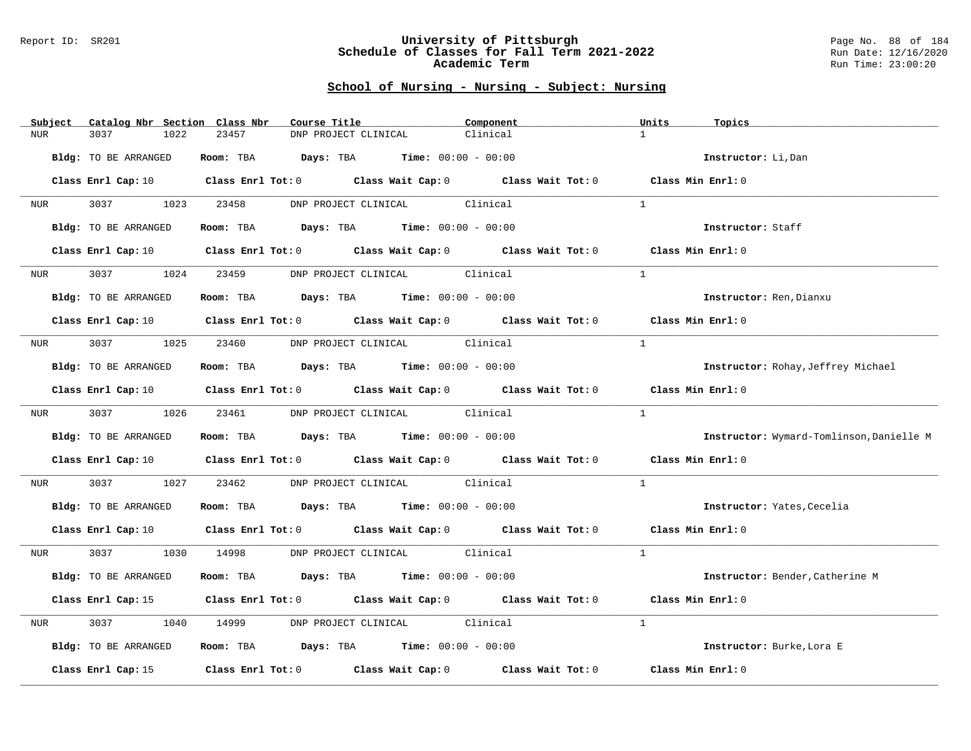#### Report ID: SR201 **University of Pittsburgh** Page No. 88 of 184 **Schedule of Classes for Fall Term 2021-2022** Run Date: 12/16/2020 **Academic Term** Run Time: 23:00:20

| Subject          | Catalog Nbr Section Class Nbr | Course Title                                      | Component                                                                                                                      | Units<br>Topics                          |
|------------------|-------------------------------|---------------------------------------------------|--------------------------------------------------------------------------------------------------------------------------------|------------------------------------------|
| <b>NUR</b>       | 3037<br>1022                  | 23457<br>DNP PROJECT CLINICAL                     | Clinical                                                                                                                       | $\mathbf{1}$                             |
|                  | Bldg: TO BE ARRANGED          | Room: TBA $Days: TBA$ Time: $00:00 - 00:00$       |                                                                                                                                | Instructor: Li, Dan                      |
|                  |                               |                                                   | Class Enrl Cap: 10 $\qquad$ Class Enrl Tot: 0 $\qquad$ Class Wait Cap: 0 $\qquad$ Class Wait Tot: 0 $\qquad$ Class Min Enrl: 0 |                                          |
|                  | NUR 3037 1023                 | 23458<br>DNP PROJECT CLINICAL Clinical            |                                                                                                                                | $\mathbf{1}$                             |
|                  | Bldg: TO BE ARRANGED          | Room: TBA $Days:$ TBA $Time: 00:00 - 00:00$       |                                                                                                                                | Instructor: Staff                        |
|                  |                               |                                                   | Class Enrl Cap: 10 $\qquad$ Class Enrl Tot: 0 $\qquad$ Class Wait Cap: 0 $\qquad$ Class Wait Tot: 0 $\qquad$ Class Min Enrl: 0 |                                          |
| NUR <sub>p</sub> | 3037<br>1024                  | DNP PROJECT CLINICAL Clinical<br>23459            |                                                                                                                                | $\mathbf{1}$                             |
|                  | Bldg: TO BE ARRANGED          | Room: TBA $Days:$ TBA $Time: 00:00 - 00:00$       |                                                                                                                                | Instructor: Ren, Dianxu                  |
|                  |                               |                                                   | Class Enrl Cap: 10 $\qquad$ Class Enrl Tot: 0 $\qquad$ Class Wait Cap: 0 $\qquad$ Class Wait Tot: 0 $\qquad$ Class Min Enrl: 0 |                                          |
| NUR <b>NUR</b>   | 3037 1025 23460               | DNP PROJECT CLINICAL Clinical                     |                                                                                                                                | $\overline{1}$                           |
|                  | Bldg: TO BE ARRANGED          | Room: TBA $Days:$ TBA $Time: 00:00 - 00:00$       |                                                                                                                                | Instructor: Rohay, Jeffrey Michael       |
|                  |                               |                                                   | Class Enrl Cap: 10 Class Enrl Tot: 0 Class Wait Cap: 0 Class Wait Tot: 0 Class Min Enrl: 0                                     |                                          |
|                  |                               | NUR 3037 1026 23461 DNP PROJECT CLINICAL Clinical |                                                                                                                                | $\overline{1}$                           |
|                  | Bldg: TO BE ARRANGED          | Room: TBA $Days:$ TBA $Time: 00:00 - 00:00$       |                                                                                                                                | Instructor: Wymard-Tomlinson, Danielle M |
|                  |                               |                                                   | Class Enrl Cap: 10 Class Enrl Tot: 0 Class Wait Cap: 0 Class Wait Tot: 0 Class Min Enrl: 0                                     |                                          |
| NUR              | 3037<br>1027                  | DNP PROJECT CLINICAL Clinical<br>23462            |                                                                                                                                | $\mathbf{1}$                             |
|                  | Bldg: TO BE ARRANGED          | Room: TBA $Days:$ TBA $Time: 00:00 - 00:00$       |                                                                                                                                | Instructor: Yates, Cecelia               |
|                  |                               |                                                   | Class Enrl Cap: 10 $\qquad$ Class Enrl Tot: 0 $\qquad$ Class Wait Cap: 0 $\qquad$ Class Wait Tot: 0 $\qquad$ Class Min Enrl: 0 |                                          |
| <b>NUR</b>       |                               | 3037 1030 14998 DNP PROJECT CLINICAL Clinical     |                                                                                                                                | $\mathbf{1}$                             |
|                  | Bldg: TO BE ARRANGED          | Room: TBA $Days:$ TBA $Time: 00:00 - 00:00$       |                                                                                                                                | Instructor: Bender, Catherine M          |
|                  |                               |                                                   | Class Enrl Cap: 15 (Class Enrl Tot: 0 (Class Wait Cap: 0 (Class Wait Tot: 0 (Class Min Enrl: 0)                                |                                          |
| NUR              | 3037<br>1040                  | DNP PROJECT CLINICAL Clinical<br>14999            |                                                                                                                                | 1                                        |
|                  | Bldg: TO BE ARRANGED          | Room: TBA $Days:$ TBA $Time: 00:00 - 00:00$       |                                                                                                                                | Instructor: Burke, Lora E                |
|                  |                               |                                                   | Class Enrl Cap: 15 $\qquad$ Class Enrl Tot: 0 $\qquad$ Class Wait Cap: 0 $\qquad$ Class Wait Tot: 0                            | Class Min Enrl: 0                        |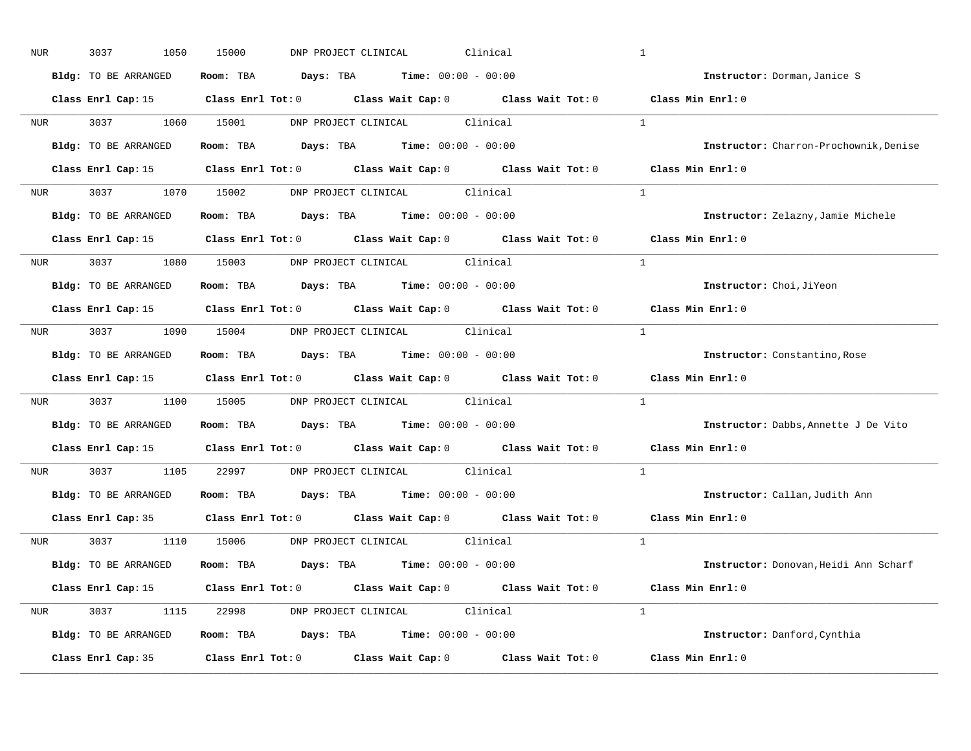| NUR              | 3037<br>1050         | 15000<br>DNP PROJECT CLINICAL<br>Clinical                                                       | $\mathbf{1}$                           |
|------------------|----------------------|-------------------------------------------------------------------------------------------------|----------------------------------------|
|                  | Bldg: TO BE ARRANGED | Room: TBA $Days:$ TBA $Time: 00:00 - 00:00$                                                     | Instructor: Dorman, Janice S           |
|                  |                      | Class Enrl Cap: 15 Class Enrl Tot: 0 Class Wait Cap: 0 Class Wait Tot: 0 Class Min Enrl: 0      |                                        |
|                  | NUR 3037 1060 15001  | DNP PROJECT CLINICAL Clinical                                                                   | $\overline{1}$                         |
|                  | Bldg: TO BE ARRANGED | Room: TBA $Days:$ TBA $Time: 00:00 - 00:00$                                                     | Instructor: Charron-Prochownik, Denise |
|                  |                      | Class Enrl Cap: 15 (Class Enrl Tot: 0 (Class Wait Cap: 0 (Class Wait Tot: 0 (Class Min Enrl: 0) |                                        |
|                  |                      | NUR 3037 1070 15002 DNP PROJECT CLINICAL Clinical                                               | $\overline{1}$                         |
|                  | Bldg: TO BE ARRANGED | Room: TBA $Days:$ TBA Time: $00:00 - 00:00$                                                     | Instructor: Zelazny, Jamie Michele     |
|                  |                      | Class Enrl Cap: 15 Class Enrl Tot: 0 Class Wait Cap: 0 Class Wait Tot: 0 Class Min Enrl: 0      |                                        |
|                  |                      | NUR 3037 1080 15003 DNP PROJECT CLINICAL Clinical                                               | $\overline{1}$                         |
|                  | Bldg: TO BE ARRANGED | Room: TBA $Days:$ TBA $Time: 00:00 - 00:00$                                                     | Instructor: Choi, JiYeon               |
|                  |                      | Class Enrl Cap: 15 Class Enrl Tot: 0 Class Wait Cap: 0 Class Wait Tot: 0                        | Class Min Enrl: 0                      |
|                  |                      | NUR 3037 1090 15004 DNP PROJECT CLINICAL Clinical                                               | $\frac{1}{2}$                          |
|                  | Bldg: TO BE ARRANGED | Room: TBA $Days: TBA$ Time: $00:00 - 00:00$                                                     | Instructor: Constantino, Rose          |
|                  |                      | Class Enrl Cap: 15 Class Enrl Tot: 0 Class Wait Cap: 0 Class Wait Tot: 0                        | Class Min Enrl: 0                      |
| NUR <sub>p</sub> |                      | 3037 1100 15005 DNP PROJECT CLINICAL Clinical                                                   | $\mathbf{1}$                           |
|                  | Bldg: TO BE ARRANGED | Room: TBA $Days:$ TBA $Time: 00:00 - 00:00$                                                     | Instructor: Dabbs, Annette J De Vito   |
|                  |                      | Class Enrl Cap: 15 (Class Enrl Tot: 0 (Class Wait Cap: 0 (Class Wait Tot: 0)                    | Class Min Enrl: 0                      |
| <b>NUR</b>       |                      | 3037 1105 22997 DNP PROJECT CLINICAL Clinical                                                   | $\mathbf{1}$                           |
|                  | Bldg: TO BE ARRANGED | Room: TBA $Days:$ TBA Time: $00:00 - 00:00$                                                     | Instructor: Callan, Judith Ann         |
|                  |                      | Class Enrl Cap: 35 Class Enrl Tot: 0 Class Wait Cap: 0 Class Wait Tot: 0                        | Class Min Enrl: 0                      |
|                  |                      | NUR 3037 1110 15006 DNP PROJECT CLINICAL Clinical                                               | $\overline{1}$                         |
|                  | Bldg: TO BE ARRANGED | Room: TBA $Days:$ TBA $Time: 00:00 - 00:00$                                                     | Instructor: Donovan, Heidi Ann Scharf  |
|                  |                      | Class Enrl Cap: 15 Class Enrl Tot: 0 Class Wait Cap: 0 Class Wait Tot: 0 Class Min Enrl: 0      |                                        |
|                  |                      | NUR 3037 1115 22998 DNP PROJECT CLINICAL Clinical                                               | $\overline{1}$                         |
|                  | Bldg: TO BE ARRANGED | Room: TBA $Days: TBA$ Time: $00:00 - 00:00$                                                     | Instructor: Danford, Cynthia           |
|                  | Class Enrl Cap: 35   | Class Enrl Tot: $0$ Class Wait Cap: $0$ Class Wait Tot: $0$ Class Min Enrl: $0$                 |                                        |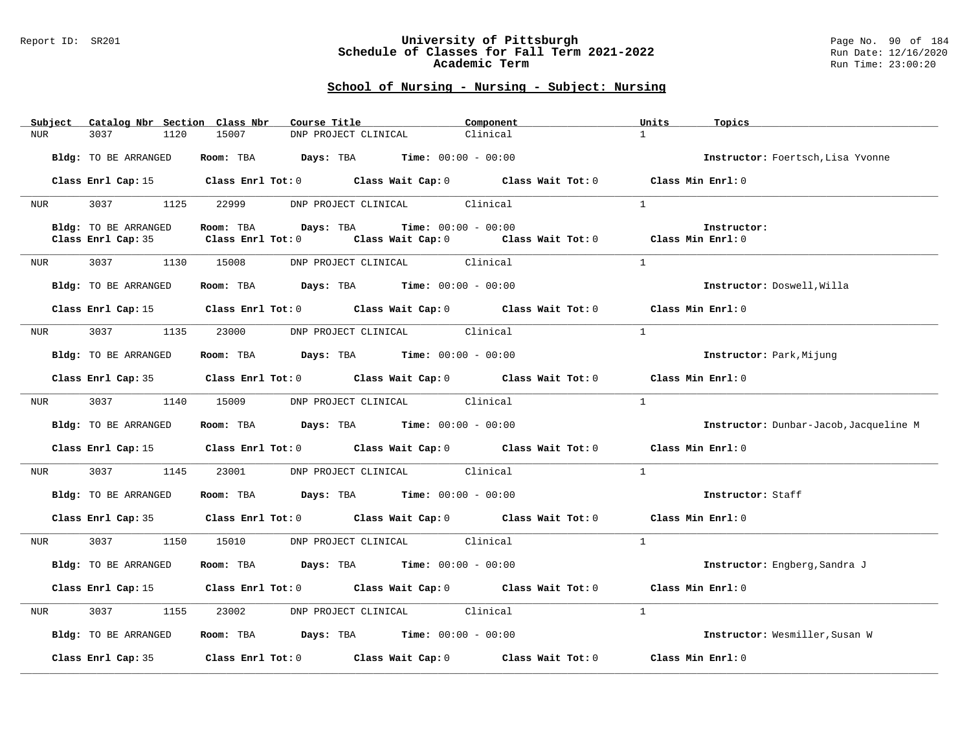#### Report ID: SR201 **University of Pittsburgh** Page No. 90 of 184 **Schedule of Classes for Fall Term 2021-2022** Run Date: 12/16/2020 **Academic Term** Run Time: 23:00:20

| Subject             | Catalog Nbr Section Class Nbr | Course Title                                                                               | Component                                                   | Units<br>Topics                        |
|---------------------|-------------------------------|--------------------------------------------------------------------------------------------|-------------------------------------------------------------|----------------------------------------|
| NUR                 | 3037<br>1120                  | 15007<br>DNP PROJECT CLINICAL                                                              | Clinical                                                    | $\mathbf{1}$                           |
|                     |                               |                                                                                            |                                                             |                                        |
|                     | Bldg: TO BE ARRANGED          | Room: TBA $Days:$ TBA $Time: 00:00 - 00:00$                                                |                                                             | Instructor: Foertsch, Lisa Yvonne      |
|                     |                               |                                                                                            |                                                             |                                        |
|                     |                               | Class Enrl Cap: 15 Class Enrl Tot: 0 Class Wait Cap: 0 Class Wait Tot: 0 Class Min Enrl: 0 |                                                             |                                        |
| NUR <b>NUR</b>      | 3037 1125                     | 22999 DNP PROJECT CLINICAL Clinical                                                        |                                                             | $\mathbf{1}$                           |
|                     |                               |                                                                                            |                                                             |                                        |
|                     | Bldg: TO BE ARRANGED          | Room: TBA $Days:$ TBA $Time: 00:00 - 00:00$                                                |                                                             | Instructor:                            |
|                     | Class Enrl Cap: 35            | Class Enrl Tot: 0                                                                          | Class Wait Cap: $0$ Class Wait Tot: $0$ Class Min Enrl: $0$ |                                        |
|                     |                               |                                                                                            |                                                             |                                        |
| NUR <sub>p</sub>    | 3037 1130 15008               | DNP PROJECT CLINICAL Clinical                                                              |                                                             | $\mathbf{1}$                           |
|                     |                               |                                                                                            |                                                             |                                        |
|                     | Bldg: TO BE ARRANGED          | Room: TBA $Days:$ TBA $Time: 00:00 - 00:00$                                                |                                                             | Instructor: Doswell, Willa             |
|                     |                               |                                                                                            |                                                             |                                        |
|                     |                               | Class Enrl Cap: 15 Class Enrl Tot: 0 Class Wait Cap: 0 Class Wait Tot: 0 Class Min Enrl: 0 |                                                             |                                        |
| NUR <sub>i</sub>    | 3037 1135                     | 23000<br>DNP PROJECT CLINICAL Clinical                                                     |                                                             | $\mathbf{1}$                           |
|                     |                               |                                                                                            |                                                             |                                        |
|                     | Bldg: TO BE ARRANGED          | Room: TBA $\rule{1em}{0.15mm}$ Days: TBA Time: $00:00 - 00:00$                             |                                                             | Instructor: Park, Mijung               |
|                     |                               |                                                                                            |                                                             |                                        |
|                     |                               | Class Enrl Cap: 35 Class Enrl Tot: 0 Class Wait Cap: 0 Class Wait Tot: 0 Class Min Enrl: 0 |                                                             |                                        |
|                     |                               |                                                                                            |                                                             |                                        |
| NUR                 | 1140<br>3037                  | 15009 DNP PROJECT CLINICAL Clinical                                                        |                                                             | $\mathbf{1}$                           |
|                     |                               |                                                                                            |                                                             |                                        |
|                     | Bldg: TO BE ARRANGED          | Room: TBA $Days:$ TBA Time: $00:00 - 00:00$                                                |                                                             | Instructor: Dunbar-Jacob, Jacqueline M |
|                     |                               |                                                                                            |                                                             |                                        |
|                     |                               | Class Enrl Cap: 15 Class Enrl Tot: 0 Class Wait Cap: 0 Class Wait Tot: 0 Class Min Enrl: 0 |                                                             |                                        |
| NUR                 | 3037 1145                     | 23001 DNP PROJECT CLINICAL Clinical                                                        |                                                             | $\overline{1}$                         |
|                     |                               |                                                                                            |                                                             |                                        |
|                     | Bldg: TO BE ARRANGED          | Room: TBA $Days:$ TBA $Time: 00:00 - 00:00$                                                |                                                             | Instructor: Staff                      |
|                     |                               |                                                                                            |                                                             |                                        |
|                     |                               | Class Enrl Cap: 35 Class Enrl Tot: 0 Class Wait Cap: 0 Class Wait Tot: 0 Class Min Enrl: 0 |                                                             |                                        |
|                     |                               |                                                                                            |                                                             |                                        |
| NUR <sub>tion</sub> | 3037 1150                     | DNP PROJECT CLINICAL Clinical<br>15010                                                     |                                                             | $\mathbf{1}$                           |
|                     |                               |                                                                                            |                                                             |                                        |
|                     | Bldg: TO BE ARRANGED          | Room: TBA $Days:$ TBA $Time: 00:00 - 00:00$                                                |                                                             | Instructor: Engberg, Sandra J          |
|                     |                               |                                                                                            |                                                             |                                        |
|                     |                               | Class Enrl Cap: 15 Class Enrl Tot: 0 Class Wait Cap: 0 Class Wait Tot: 0 Class Min Enrl: 0 |                                                             |                                        |
| NUR                 | 3037 30<br>1155               | 23002 DNP PROJECT CLINICAL Clinical                                                        |                                                             | $\mathbf{1}$                           |
|                     |                               |                                                                                            |                                                             |                                        |
|                     | Bldg: TO BE ARRANGED          | Room: TBA $Days:$ TBA Time: $00:00 - 00:00$                                                |                                                             | Instructor: Wesmiller, Susan W         |
|                     |                               |                                                                                            |                                                             |                                        |
|                     |                               | Class Enrl Cap: 35 Class Enrl Tot: 0 Class Wait Cap: 0 Class Wait Tot: 0 Class Min Enrl: 0 |                                                             |                                        |
|                     |                               |                                                                                            |                                                             |                                        |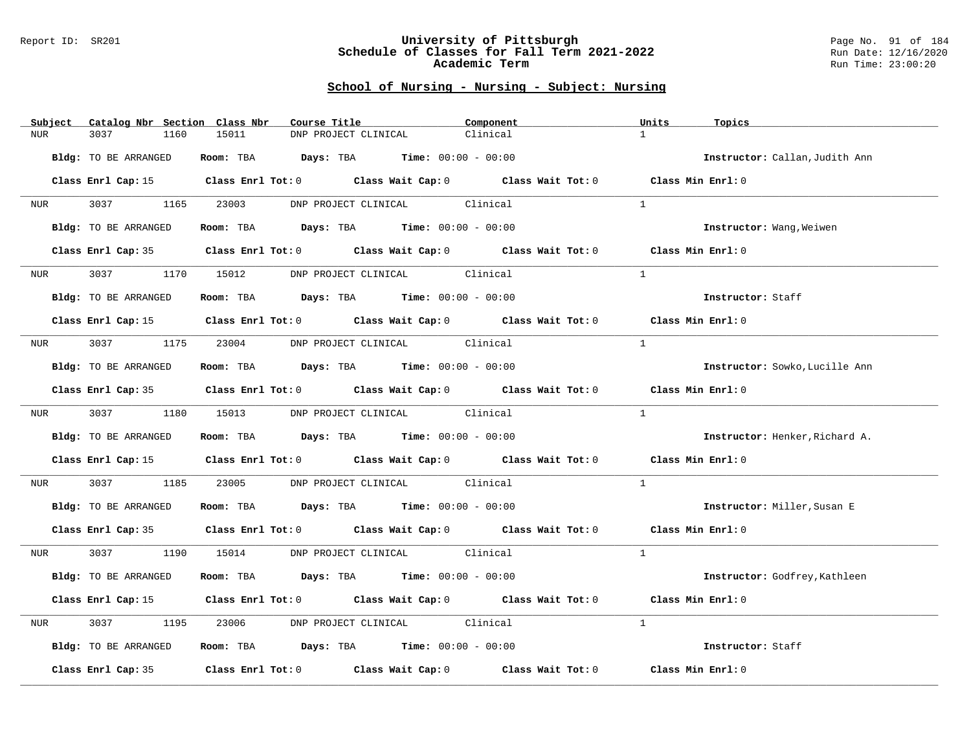#### Report ID: SR201 **University of Pittsburgh** Page No. 91 of 184 **Schedule of Classes for Fall Term 2021-2022** Run Date: 12/16/2020 **Academic Term** Run Time: 23:00:20

| Subject          | Catalog Nbr Section Class Nbr | Course Title                                                                             | Component                                                                                                           | Units<br>Topics                |
|------------------|-------------------------------|------------------------------------------------------------------------------------------|---------------------------------------------------------------------------------------------------------------------|--------------------------------|
| <b>NUR</b>       | 3037<br>1160                  | 15011<br>DNP PROJECT CLINICAL                                                            | Clinical                                                                                                            | $\mathbf{1}$                   |
|                  | Bldg: TO BE ARRANGED          | Room: TBA $Days:$ TBA $Time: 00:00 - 00:00$                                              |                                                                                                                     | Instructor: Callan, Judith Ann |
|                  |                               |                                                                                          | Class Enrl Cap: 15 Class Enrl Tot: 0 Class Wait Cap: 0 Class Wait Tot: 0 Class Min Enrl: 0                          |                                |
| <b>NUR</b>       | 3037 1165                     | 23003 DNP PROJECT CLINICAL Clinical                                                      |                                                                                                                     | $\mathbf{1}$                   |
|                  | Bldg: TO BE ARRANGED          | Room: TBA $Days:$ TBA $Time: 00:00 - 00:00$                                              |                                                                                                                     | Instructor: Wang, Weiwen       |
|                  |                               |                                                                                          | Class Enrl Cap: 35 Class Enrl Tot: 0 Class Wait Cap: 0 Class Wait Tot: 0 Class Min Enrl: 0                          |                                |
| NUR <sub>p</sub> | 3037 300                      | 1170 15012 DNP PROJECT CLINICAL Clinical                                                 |                                                                                                                     | $\mathbf{1}$                   |
|                  | Bldg: TO BE ARRANGED          | Room: TBA $Days:$ TBA $Time: 00:00 - 00:00$                                              |                                                                                                                     | Instructor: Staff              |
|                  |                               |                                                                                          | Class Enrl Cap: 15 Class Enrl Tot: 0 Class Wait Cap: 0 Class Wait Tot: 0 Class Min Enrl: 0                          |                                |
| NUR              |                               | 3037 1175 23004 DNP PROJECT CLINICAL Clinical                                            |                                                                                                                     | $\overline{1}$                 |
|                  | Bldg: TO BE ARRANGED          | Room: TBA $Days:$ TBA $Time: 00:00 - 00:00$                                              |                                                                                                                     | Instructor: Sowko, Lucille Ann |
|                  |                               |                                                                                          | Class Enrl Cap: 35 Class Enrl Tot: 0 Class Wait Cap: 0 Class Wait Tot: 0 Class Min Enrl: 0                          |                                |
| <b>NUR</b>       |                               | 3037 1180 15013 DNP PROJECT CLINICAL Clinical                                            |                                                                                                                     | $\overline{1}$                 |
|                  | Bldg: TO BE ARRANGED          | Room: TBA $\rule{1em}{0.15mm}$ Days: TBA $\rule{1.15mm}]{0.15mm}$ Time: $0.000 - 0.0000$ |                                                                                                                     | Instructor: Henker, Richard A. |
|                  |                               |                                                                                          | Class Enrl Cap: 15 Class Enrl Tot: 0 Class Wait Cap: 0 Class Wait Tot: 0                                            | Class Min Enrl: 0              |
| NUR              | 3037<br>1185                  | 23005 DNP PROJECT CLINICAL Clinical                                                      |                                                                                                                     | $\mathbf{1}$                   |
|                  | Bldg: TO BE ARRANGED          | Room: TBA $Days:$ TBA $Time: 00:00 - 00:00$                                              |                                                                                                                     | Instructor: Miller, Susan E    |
|                  |                               |                                                                                          | Class Enrl Cap: 35 Class Enrl Tot: 0 Class Wait Cap: 0 Class Wait Tot: 0 Class Min Enrl: 0                          |                                |
| <b>NUR</b>       |                               | 3037 1190 15014 DNP PROJECT CLINICAL Clinical                                            |                                                                                                                     | $\mathbf{1}$                   |
|                  | Bldg: TO BE ARRANGED          | Room: TBA $Days:$ TBA $Time: 00:00 - 00:00$                                              |                                                                                                                     | Instructor: Godfrey, Kathleen  |
|                  |                               |                                                                                          | Class Enrl Cap: 15 (Class Enrl Tot: 0 (Class Wait Cap: 0 (Class Wait Tot: 0 (Class Min Enrl: 0)                     |                                |
| NUR              | 3037<br>1195                  | 23006                                                                                    | DNP PROJECT CLINICAL Clinical                                                                                       | $\mathbf{1}$                   |
|                  | Bldg: TO BE ARRANGED          | Room: TBA $Days:$ TBA Time: $00:00 - 00:00$                                              |                                                                                                                     | Instructor: Staff              |
|                  |                               |                                                                                          | Class Enrl Cap: 35 $\,$ Class Enrl Tot: 0 $\,$ Class Wait Cap: 0 $\,$ Class Wait Tot: 0 $\,$ Class Wait Tot: 0 $\,$ | Class Min Enrl: 0              |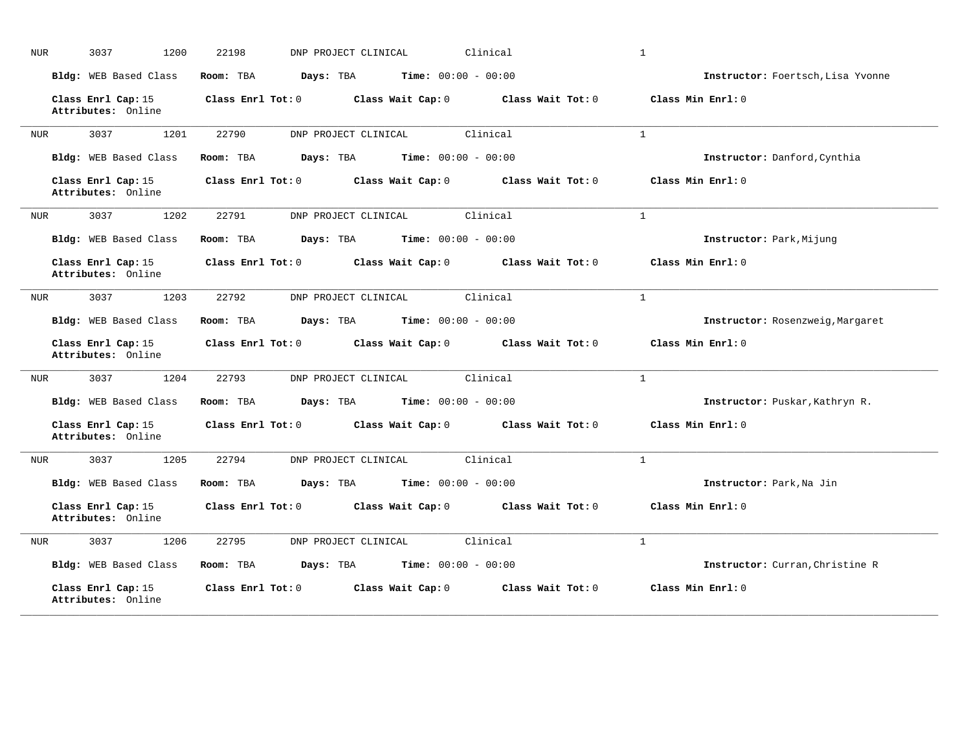| <b>NUR</b> | 3037<br>1200                             | 22198                  | DNP PROJECT CLINICAL         | Clinical          | $\mathbf{1}$                      |
|------------|------------------------------------------|------------------------|------------------------------|-------------------|-----------------------------------|
|            | Bldg: WEB Based Class                    | Room: TBA<br>Days: TBA | <b>Time:</b> $00:00 - 00:00$ |                   | Instructor: Foertsch, Lisa Yvonne |
|            | Class Enrl Cap: 15<br>Attributes: Online | Class Enrl Tot: 0      | Class Wait Cap: 0            | Class Wait Tot: 0 | Class Min Enrl: 0                 |
| <b>NUR</b> | 3037<br>1201                             | 22790                  | DNP PROJECT CLINICAL         | Clinical          | $\mathbf{1}$                      |
|            | Bldg: WEB Based Class                    | Room: TBA<br>Days: TBA | <b>Time:</b> $00:00 - 00:00$ |                   | Instructor: Danford, Cynthia      |
|            | Class Enrl Cap: 15<br>Attributes: Online | Class Enrl Tot: 0      | Class Wait Cap: 0            | Class Wait Tot: 0 | Class Min Enrl: 0                 |
| NUR        | 3037<br>1202                             | 22791                  | DNP PROJECT CLINICAL         | Clinical          | $\mathbf{1}$                      |
|            | Bldg: WEB Based Class                    | Room: TBA<br>Days: TBA | <b>Time:</b> $00:00 - 00:00$ |                   | Instructor: Park, Mijung          |
|            | Class Enrl Cap: 15<br>Attributes: Online | Class Enrl Tot: 0      | Class Wait Cap: 0            | Class Wait Tot: 0 | Class Min Enrl: 0                 |
| <b>NUR</b> | 3037<br>1203                             | 22792                  | DNP PROJECT CLINICAL         | Clinical          | $\mathbf{1}$                      |
|            | Bldg: WEB Based Class                    | Room: TBA<br>Days: TBA | <b>Time:</b> $00:00 - 00:00$ |                   | Instructor: Rosenzweig, Margaret  |
|            | Class Enrl Cap: 15<br>Attributes: Online | Class Enrl Tot: 0      | Class Wait Cap: 0            | Class Wait Tot: 0 | Class Min Enrl: 0                 |
| <b>NUR</b> | 3037<br>1204                             | 22793                  | DNP PROJECT CLINICAL         | Clinical          | $\mathbf{1}$                      |
|            | Bldg: WEB Based Class                    | Room: TBA<br>Days: TBA | <b>Time:</b> $00:00 - 00:00$ |                   | Instructor: Puskar, Kathryn R.    |
|            | Class Enrl Cap: 15<br>Attributes: Online | Class Enrl Tot: 0      | Class Wait Cap: 0            | Class Wait Tot: 0 | Class Min Enrl: 0                 |
| <b>NUR</b> | 3037<br>1205                             | 22794                  | DNP PROJECT CLINICAL         | Clinical          | $\mathbf{1}$                      |
|            | Bldg: WEB Based Class                    | Room: TBA<br>Days: TBA | <b>Time:</b> $00:00 - 00:00$ |                   | Instructor: Park, Na Jin          |
|            | Class Enrl Cap: 15<br>Attributes: Online | Class Enrl Tot: 0      | Class Wait Cap: 0            | Class Wait Tot: 0 | Class Min Enrl: 0                 |
| <b>NUR</b> | 3037<br>1206                             | 22795                  | DNP PROJECT CLINICAL         | Clinical          | $\mathbf{1}$                      |
|            | Bldg: WEB Based Class                    | Room: TBA<br>Days: TBA | <b>Time:</b> $00:00 - 00:00$ |                   | Instructor: Curran, Christine R   |
|            | Class Enrl Cap: 15<br>Attributes: Online | Class Enrl Tot: 0      | Class Wait Cap: 0            | Class Wait Tot: 0 | Class Min Enrl: 0                 |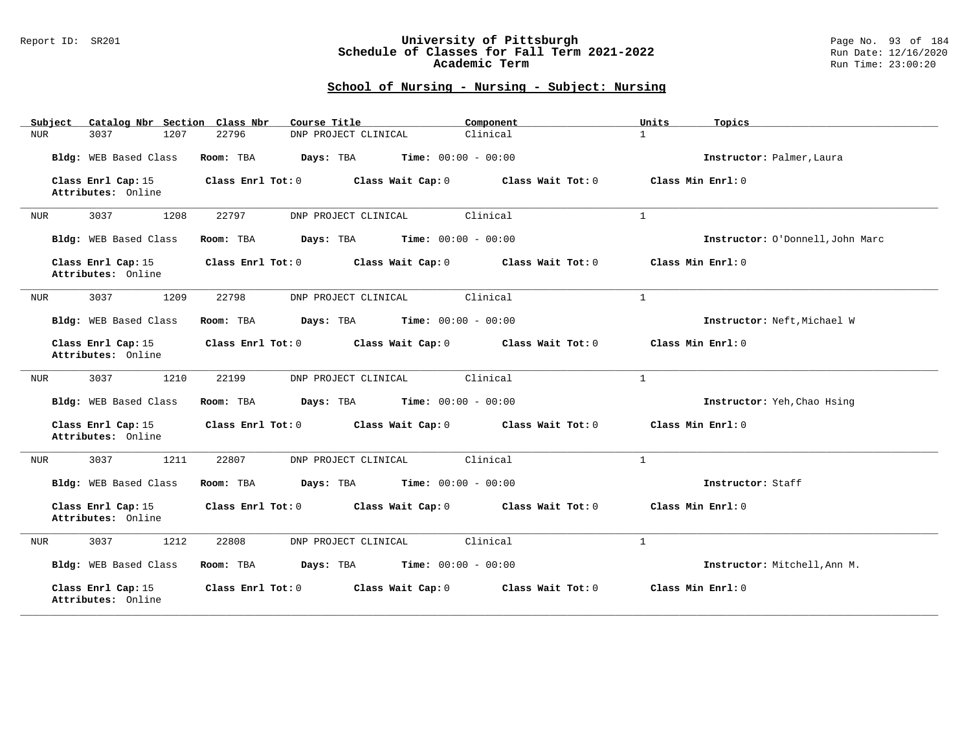### Report ID: SR201 **University of Pittsburgh** Page No. 93 of 184 **Schedule of Classes for Fall Term 2021-2022** Run Date: 12/16/2020 **Academic Term** Run Time: 23:00:20

| Catalog Nbr Section Class Nbr<br>Subject | Course Title                                           | Component         | Units<br>Topics                  |
|------------------------------------------|--------------------------------------------------------|-------------------|----------------------------------|
| 3037<br>1207<br>NUR                      | DNP PROJECT CLINICAL<br>22796                          | Clinical          | $\mathbf{1}$                     |
| Bldg: WEB Based Class                    | Room: TBA<br>Days: TBA<br><b>Time:</b> $00:00 - 00:00$ |                   | Instructor: Palmer, Laura        |
| Class Enrl Cap: 15<br>Attributes: Online | Class Enrl Tot: 0<br>Class Wait Cap: 0                 | Class Wait Tot: 0 | Class Min Enrl: 0                |
| 3037<br>1208<br>NUR                      | DNP PROJECT CLINICAL<br>22797                          | Clinical          | $\mathbf{1}$                     |
| Bldg: WEB Based Class                    | Time: $00:00 - 00:00$<br>Room: TBA<br>Days: TBA        |                   | Instructor: O'Donnell, John Marc |
| Class Enrl Cap: 15<br>Attributes: Online | Class Enrl Tot: 0<br>Class Wait Cap: 0                 | Class Wait Tot: 0 | Class Min Enrl: 0                |
| 3037<br>1209<br>NUR                      | 22798<br>DNP PROJECT CLINICAL                          | Clinical          | $\mathbf{1}$                     |
| Bldg: WEB Based Class                    | <b>Time:</b> $00:00 - 00:00$<br>Room: TBA<br>Days: TBA |                   | Instructor: Neft, Michael W      |
| Class Enrl Cap: 15<br>Attributes: Online | Class Enrl Tot: 0<br>Class Wait Cap: 0                 | Class Wait Tot: 0 | Class Min Enrl: 0                |
| 1210<br>3037<br>NUR                      | 22199<br>DNP PROJECT CLINICAL                          | Clinical          | $\mathbf{1}$                     |
| Bldg: WEB Based Class                    | Room: TBA<br>Days: TBA<br><b>Time:</b> $00:00 - 00:00$ |                   | Instructor: Yeh, Chao Hsing      |
| Class Enrl Cap: 15<br>Attributes: Online | Class Wait Cap: 0<br>Class Enrl Tot: 0                 | Class Wait Tot: 0 | Class Min Enrl: 0                |
| 3037<br>1211<br>NUR                      | 22807<br>DNP PROJECT CLINICAL                          | Clinical          | $\mathbf{1}$                     |
| Bldg: WEB Based Class                    | Room: TBA<br>Days: TBA<br><b>Time:</b> $00:00 - 00:00$ |                   | Instructor: Staff                |
| Class Enrl Cap: 15<br>Attributes: Online | Class Enrl Tot: 0<br>Class Wait Cap: 0                 | Class Wait Tot: 0 | Class Min Enrl: 0                |
| 3037<br>1212<br>NUR                      | 22808<br>DNP PROJECT CLINICAL                          | Clinical          | $\mathbf{1}$                     |
| Bldg: WEB Based Class                    | <b>Time:</b> $00:00 - 00:00$<br>Room: TBA<br>Days: TBA |                   | Instructor: Mitchell, Ann M.     |
| Class Enrl Cap: 15<br>Attributes: Online | Class Enrl Tot: 0<br>Class Wait Cap: 0                 | Class Wait Tot: 0 | Class Min Enrl: 0                |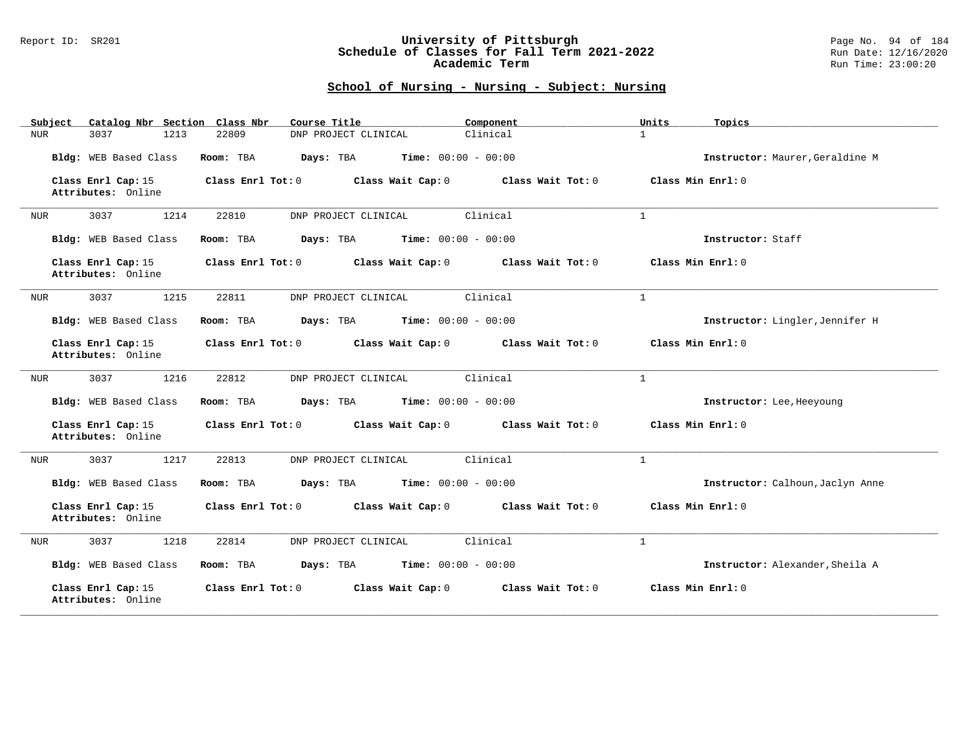### Report ID: SR201 **University of Pittsburgh** Page No. 94 of 184 **Schedule of Classes for Fall Term 2021-2022** Run Date: 12/16/2020 **Academic Term** Run Time: 23:00:20

| Catalog Nbr Section Class Nbr<br>Subject | Course Title                                           | Component         | Units<br>Topics                  |
|------------------------------------------|--------------------------------------------------------|-------------------|----------------------------------|
| 3037<br>1213<br>NUR                      | 22809<br>DNP PROJECT CLINICAL                          | Clinical          | $\mathbf{1}$                     |
| Bldg: WEB Based Class                    | <b>Time:</b> $00:00 - 00:00$<br>Room: TBA<br>Days: TBA |                   | Instructor: Maurer, Geraldine M  |
| Class Enrl Cap: 15<br>Attributes: Online | Class Enrl Tot: 0<br>Class Wait Cap: 0                 | Class Wait Tot: 0 | Class Min Enrl: 0                |
| 3037<br>1214<br><b>NUR</b>               | 22810<br>DNP PROJECT CLINICAL                          | Clinical          | $\mathbf{1}$                     |
| Bldg: WEB Based Class                    | Time: $00:00 - 00:00$<br>Room: TBA<br>Days: TBA        |                   | Instructor: Staff                |
| Class Enrl Cap: 15<br>Attributes: Online | Class Enrl Tot: 0<br>Class Wait Cap: 0                 | Class Wait Tot: 0 | Class Min Enrl: 0                |
| 1215<br>3037<br><b>NUR</b>               | 22811<br>DNP PROJECT CLINICAL                          | Clinical          | $\mathbf{1}$                     |
| Bldg: WEB Based Class                    | Days: TBA<br><b>Time:</b> $00:00 - 00:00$<br>Room: TBA |                   | Instructor: Lingler, Jennifer H  |
| Class Enrl Cap: 15<br>Attributes: Online | Class Enrl Tot: 0<br>Class Wait Cap: 0                 | Class Wait Tot: 0 | Class Min Enrl: 0                |
| 3037<br>1216<br>NUR                      | 22812<br>DNP PROJECT CLINICAL                          | Clinical          | $\mathbf{1}$                     |
| Bldg: WEB Based Class                    | Time: $00:00 - 00:00$<br>Room: TBA<br>Days: TBA        |                   | Instructor: Lee, Heeyoung        |
| Class Enrl Cap: 15<br>Attributes: Online | Class Enrl Tot: 0<br>Class Wait Cap: 0                 | Class Wait Tot: 0 | Class Min Enrl: 0                |
| 1217<br>3037<br><b>NUR</b>               | 22813<br>DNP PROJECT CLINICAL                          | Clinical          | $\mathbf{1}$                     |
| Bldg: WEB Based Class                    | Days: TBA<br><b>Time:</b> $00:00 - 00:00$<br>Room: TBA |                   | Instructor: Calhoun, Jaclyn Anne |
| Class Enrl Cap: 15<br>Attributes: Online | Class Enrl Tot: 0<br>Class Wait Cap: 0                 | Class Wait Tot: 0 | Class Min Enrl: 0                |
| 3037<br>1218<br><b>NUR</b>               | 22814<br>DNP PROJECT CLINICAL                          | Clinical          | $\mathbf{1}$                     |
| Bldg: WEB Based Class                    | <b>Time:</b> $00:00 - 00:00$<br>Room: TBA<br>Days: TBA |                   | Instructor: Alexander, Sheila A  |
| Class Enrl Cap: 15<br>Attributes: Online | Class Enrl Tot: 0<br>Class Wait Cap: 0                 | Class Wait Tot: 0 | Class Min Enrl: 0                |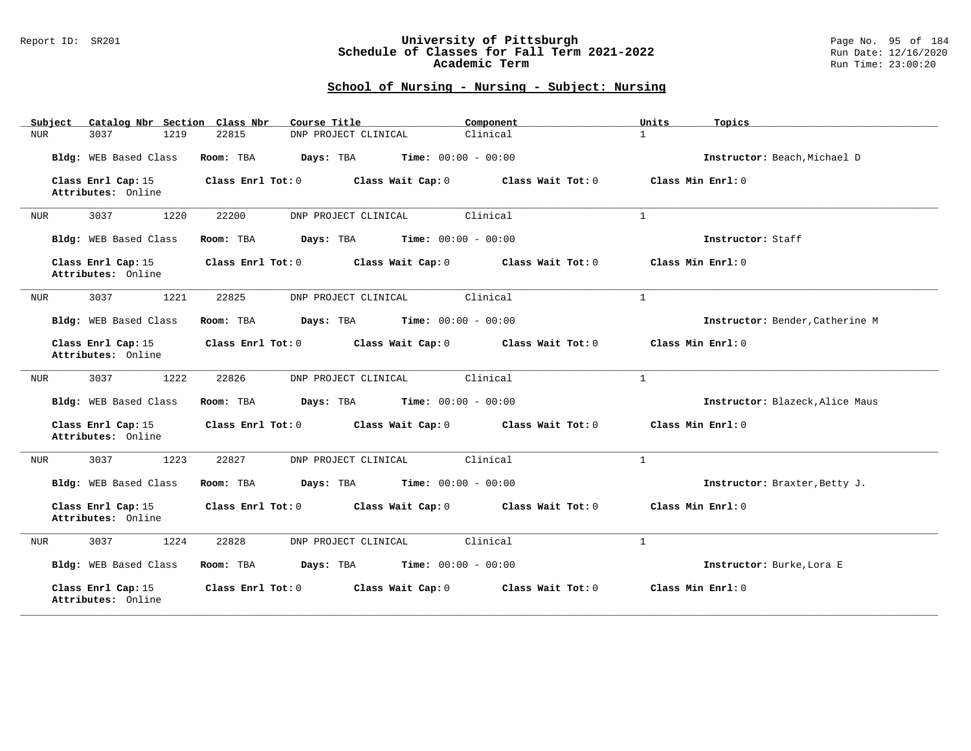### Report ID: SR201 **University of Pittsburgh** Page No. 95 of 184 **Schedule of Classes for Fall Term 2021-2022** Run Date: 12/16/2020 **Academic Term** Run Time: 23:00:20

| Catalog Nbr Section Class Nbr<br>Subject | Course Title                                           | Component         | Units<br>Topics                 |
|------------------------------------------|--------------------------------------------------------|-------------------|---------------------------------|
| 3037<br>1219<br>NUR                      | 22815<br>DNP PROJECT CLINICAL                          | Clinical          | $\mathbf{1}$                    |
| Bldg: WEB Based Class                    | Room: TBA<br>Days: TBA<br><b>Time:</b> $00:00 - 00:00$ |                   | Instructor: Beach, Michael D    |
| Class Enrl Cap: 15<br>Attributes: Online | Class Enrl Tot: 0<br>Class Wait Cap: 0                 | Class Wait Tot: 0 | Class Min Enrl: 0               |
| 3037<br>1220<br>NUR                      | 22200<br>DNP PROJECT CLINICAL                          | Clinical          | $\mathbf{1}$                    |
| Bldg: WEB Based Class                    | Days: TBA<br><b>Time:</b> $00:00 - 00:00$<br>Room: TBA |                   | Instructor: Staff               |
| Class Enrl Cap: 15<br>Attributes: Online | Class Enrl Tot: 0<br>Class Wait Cap: 0                 | Class Wait Tot: 0 | Class Min $Err1:0$              |
| 3037<br>1221<br>NUR                      | 22825<br>DNP PROJECT CLINICAL                          | Clinical          | $\mathbf{1}$                    |
| Bldg: WEB Based Class                    | <b>Time:</b> $00:00 - 00:00$<br>Room: TBA<br>Days: TBA |                   | Instructor: Bender, Catherine M |
| Class Enrl Cap: 15<br>Attributes: Online | Class Enrl Tot: 0<br>Class Wait Cap: 0                 | Class Wait Tot: 0 | Class Min Enrl: 0               |
| 1222<br>3037<br>NUR                      | DNP PROJECT CLINICAL<br>22826                          | Clinical          | $\mathbf{1}$                    |
| Bldg: WEB Based Class                    | <b>Time:</b> $00:00 - 00:00$<br>Room: TBA<br>Days: TBA |                   | Instructor: Blazeck, Alice Maus |
| Class Enrl Cap: 15<br>Attributes: Online | Class Enrl Tot: 0<br>Class Wait Cap: 0                 | Class Wait Tot: 0 | Class Min Enrl: 0               |
| 3037<br>1223<br>NUR                      | 22827<br>DNP PROJECT CLINICAL                          | Clinical          | $\mathbf{1}$                    |
| Bldg: WEB Based Class                    | <b>Time:</b> $00:00 - 00:00$<br>Room: TBA<br>Days: TBA |                   | Instructor: Braxter, Betty J.   |
| Class Enrl Cap: 15<br>Attributes: Online | Class Enrl Tot: 0<br>Class Wait Cap: 0                 | Class Wait Tot: 0 | Class Min Enrl: 0               |
| 3037<br>1224<br>NUR                      | 22828<br>DNP PROJECT CLINICAL                          | Clinical          | $\mathbf{1}$                    |
| Bldg: WEB Based Class                    | <b>Time:</b> $00:00 - 00:00$<br>Room: TBA<br>Days: TBA |                   | Instructor: Burke, Lora E       |
| Class Enrl Cap: 15<br>Attributes: Online | Class Enrl Tot: 0<br>Class Wait Cap: 0                 | Class Wait Tot: 0 | Class Min Enrl: 0               |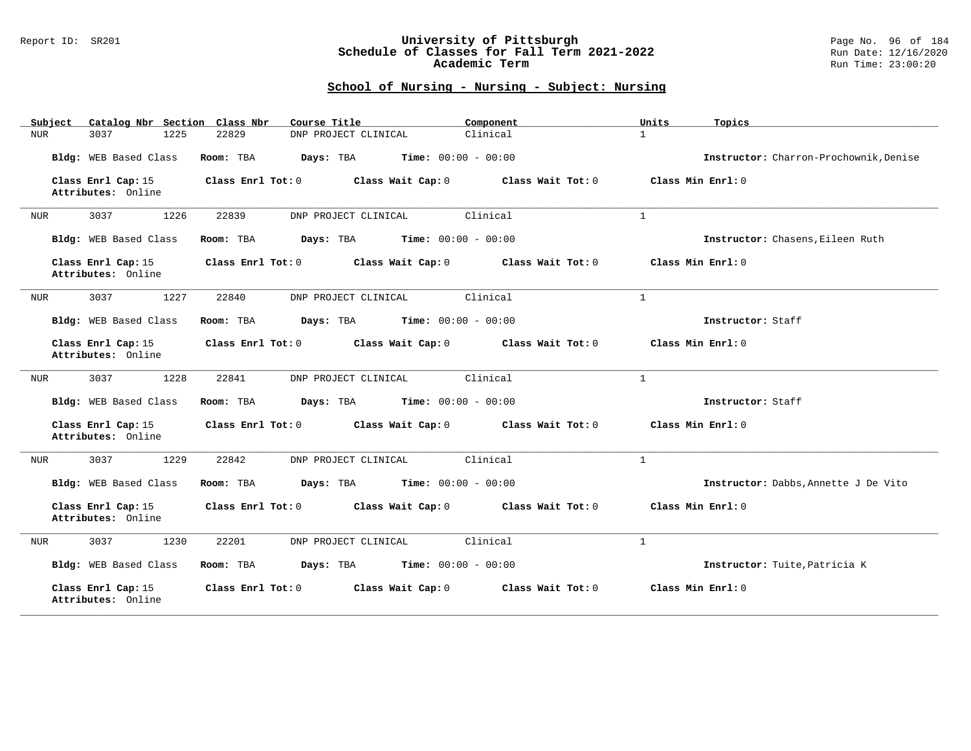### Report ID: SR201 **University of Pittsburgh** Page No. 96 of 184 **Schedule of Classes for Fall Term 2021-2022** Run Date: 12/16/2020 **Academic Term** Run Time: 23:00:20

| Catalog Nbr Section Class Nbr<br>Subject | Course Title                                           | Component         | Units<br>Topics                        |
|------------------------------------------|--------------------------------------------------------|-------------------|----------------------------------------|
| 1225<br>3037<br>NUR                      | 22829<br>DNP PROJECT CLINICAL                          | Clinical          | $\mathbf{1}$                           |
| Bldg: WEB Based Class                    | <b>Time:</b> $00:00 - 00:00$<br>Room: TBA<br>Days: TBA |                   | Instructor: Charron-Prochownik, Denise |
| Class Enrl Cap: 15<br>Attributes: Online | Class Enrl Tot: 0<br>Class Wait Cap: 0                 | Class Wait Tot: 0 | Class Min Enrl: 0                      |
| 3037<br>1226<br>NUR                      | 22839<br>DNP PROJECT CLINICAL                          | Clinical          | $\mathbf{1}$                           |
| Bldg: WEB Based Class                    | Time: $00:00 - 00:00$<br>Room: TBA<br>Days: TBA        |                   | Instructor: Chasens, Eileen Ruth       |
| Class Enrl Cap: 15<br>Attributes: Online | Class Enrl Tot: 0<br>Class Wait Cap: 0                 | Class Wait Tot: 0 | Class Min Enrl: 0                      |
| 1227<br>3037<br>NUR                      | 22840<br>DNP PROJECT CLINICAL                          | Clinical          | $\mathbf{1}$                           |
| Bldg: WEB Based Class                    | Days: TBA<br><b>Time:</b> $00:00 - 00:00$<br>Room: TBA |                   | Instructor: Staff                      |
| Class Enrl Cap: 15<br>Attributes: Online | Class Enrl Tot: 0<br>Class Wait Cap: 0                 | Class Wait Tot: 0 | Class Min Enrl: 0                      |
| 3037<br>1228<br>NUR                      | 22841<br>DNP PROJECT CLINICAL                          | Clinical          | $\mathbf{1}$                           |
| Bldg: WEB Based Class                    | Room: TBA<br>Days: TBA<br><b>Time:</b> $00:00 - 00:00$ |                   | Instructor: Staff                      |
| Class Enrl Cap: 15<br>Attributes: Online | Class Enrl Tot: 0<br>Class Wait Cap: 0                 | Class Wait Tot: 0 | Class Min Enrl: 0                      |
| 1229<br>3037<br>NUR                      | 22842<br>DNP PROJECT CLINICAL                          | Clinical          | $\mathbf{1}$                           |
| Bldg: WEB Based Class                    | Days: TBA<br><b>Time:</b> $00:00 - 00:00$<br>Room: TBA |                   | Instructor: Dabbs, Annette J De Vito   |
| Class Enrl Cap: 15<br>Attributes: Online | Class Enrl Tot: 0<br>Class Wait Cap: 0                 | Class Wait Tot: 0 | Class Min Enrl: 0                      |
| 3037<br>1230<br><b>NUR</b>               | 22201<br>DNP PROJECT CLINICAL                          | Clinical          | $\mathbf{1}$                           |
| Bldg: WEB Based Class                    | <b>Time:</b> $00:00 - 00:00$<br>Room: TBA<br>Days: TBA |                   | Instructor: Tuite, Patricia K          |
| Class Enrl Cap: 15<br>Attributes: Online | Class Enrl Tot: 0<br>Class Wait Cap: 0                 | Class Wait Tot: 0 | Class Min Enrl: 0                      |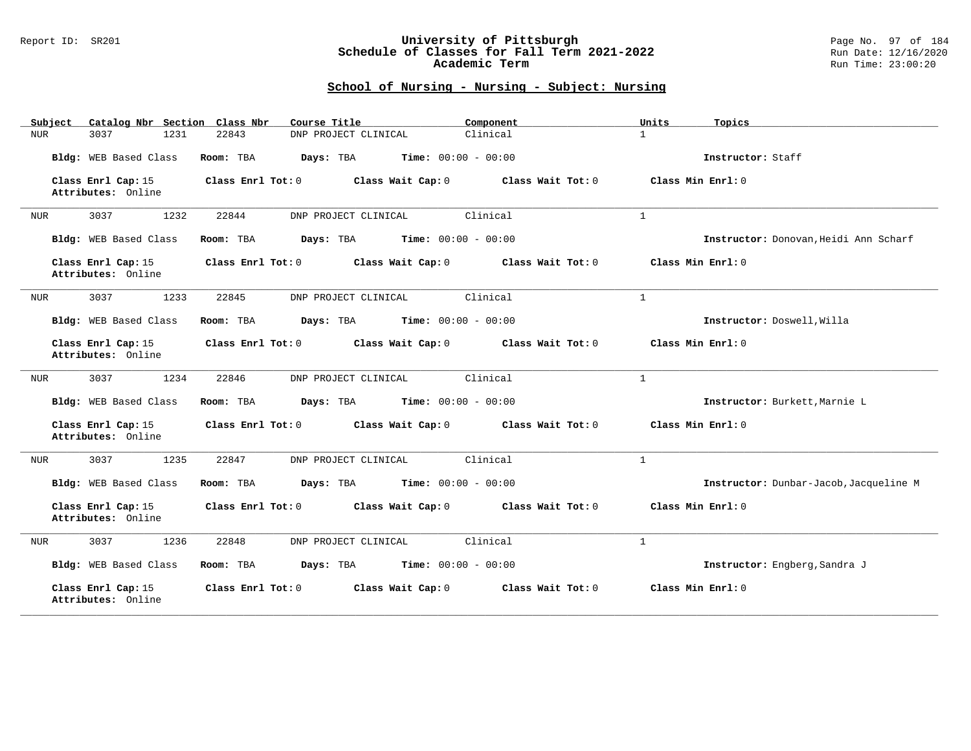### Report ID: SR201 **University of Pittsburgh** Page No. 97 of 184 **Schedule of Classes for Fall Term 2021-2022** Run Date: 12/16/2020 **Academic Term** Run Time: 23:00:20

| Catalog Nbr Section Class Nbr<br>Subject | Course Title                                           | Component           | Units<br>Topics                        |
|------------------------------------------|--------------------------------------------------------|---------------------|----------------------------------------|
| 3037<br>1231<br>NUR                      | DNP PROJECT CLINICAL<br>22843                          | Clinical            | $\mathbf{1}$                           |
| Bldg: WEB Based Class                    | Room: TBA<br>Days: TBA<br><b>Time:</b> $00:00 - 00:00$ |                     | Instructor: Staff                      |
| Class Enrl Cap: 15<br>Attributes: Online | Class Enrl Tot: 0<br>Class Wait Cap: 0                 | Class Wait Tot: 0   | Class Min Enrl: 0                      |
| 3037<br>1232<br>NUR                      | 22844<br>DNP PROJECT CLINICAL                          | Clinical            | $\mathbf{1}$                           |
| Bldg: WEB Based Class                    | Time: $00:00 - 00:00$<br>Days: TBA<br>Room: TBA        |                     | Instructor: Donovan, Heidi Ann Scharf  |
| Class Enrl Cap: 15<br>Attributes: Online | Class Enrl Tot: 0<br>Class Wait Cap: 0                 | Class Wait Tot: 0   | Class Min $Enrl: 0$                    |
| 3037<br>1233<br>NUR                      | 22845<br>DNP PROJECT CLINICAL                          | Clinical            | $\mathbf{1}$                           |
| Bldg: WEB Based Class                    | <b>Time:</b> $00:00 - 00:00$<br>Room: TBA<br>Days: TBA |                     | Instructor: Doswell, Willa             |
| Class Enrl Cap: 15<br>Attributes: Online | Class Enrl Tot: 0<br>Class Wait Cap: 0                 | Class Wait Tot: $0$ | Class Min Enrl: 0                      |
| 1234<br>3037<br>NUR                      | DNP PROJECT CLINICAL<br>22846                          | Clinical            | $\mathbf{1}$                           |
| Bldg: WEB Based Class                    | Days: TBA<br><b>Time:</b> $00:00 - 00:00$<br>Room: TBA |                     | Instructor: Burkett, Marnie L          |
| Class Enrl Cap: 15<br>Attributes: Online | Class Enrl Tot: 0<br>Class Wait Cap: 0                 | Class Wait Tot: 0   | Class Min Enrl: 0                      |
| 3037<br>1235<br>NUR                      | 22847<br>DNP PROJECT CLINICAL                          | Clinical            | $\mathbf{1}$                           |
| Bldg: WEB Based Class                    | <b>Time:</b> $00:00 - 00:00$<br>Room: TBA<br>Days: TBA |                     | Instructor: Dunbar-Jacob, Jacqueline M |
| Class Enrl Cap: 15<br>Attributes: Online | Class Enrl Tot: 0<br>Class Wait Cap: 0                 | Class Wait Tot: 0   | Class Min Enrl: 0                      |
| 3037<br>1236<br>NUR                      | 22848<br>DNP PROJECT CLINICAL                          | Clinical            | $\mathbf{1}$                           |
| Bldg: WEB Based Class                    | <b>Time:</b> $00:00 - 00:00$<br>Room: TBA<br>Days: TBA |                     | Instructor: Engberg, Sandra J          |
| Class Enrl Cap: 15<br>Attributes: Online | Class Enrl Tot: 0<br>Class Wait Cap: 0                 | Class Wait Tot: 0   | Class Min Enrl: 0                      |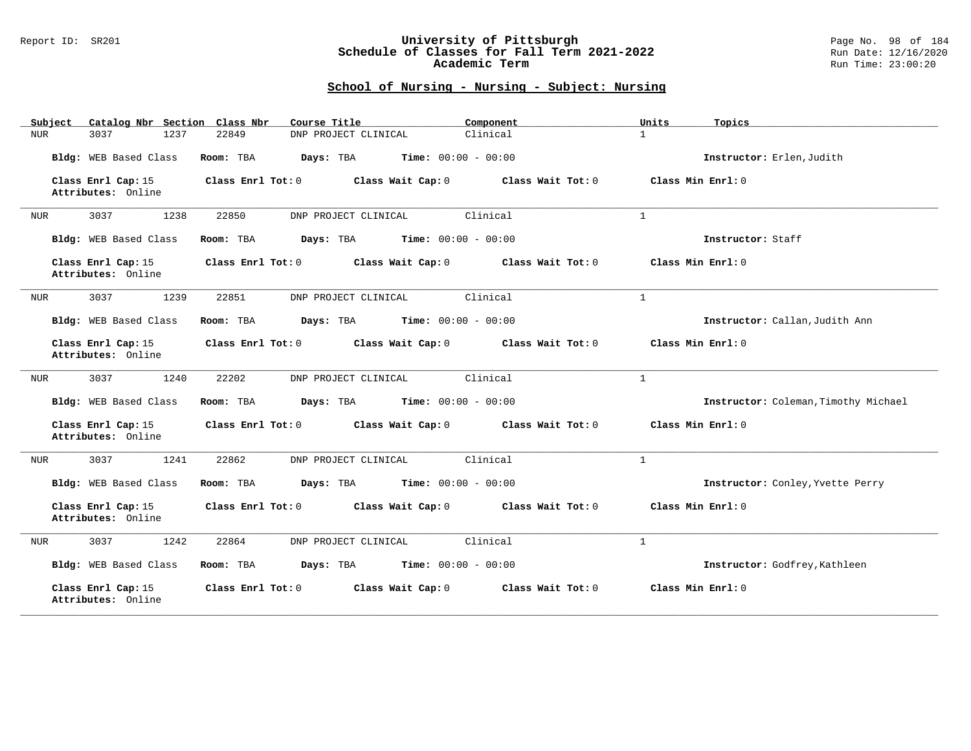### Report ID: SR201 **University of Pittsburgh** Page No. 98 of 184 **Schedule of Classes for Fall Term 2021-2022** Run Date: 12/16/2020 **Academic Term** Run Time: 23:00:20

| Catalog Nbr Section Class Nbr<br>Subject | Course Title                                           | Component           | Units<br>Topics                      |
|------------------------------------------|--------------------------------------------------------|---------------------|--------------------------------------|
| 3037<br>1237<br>NUR                      | DNP PROJECT CLINICAL<br>22849                          | Clinical            | $\mathbf{1}$                         |
| Bldg: WEB Based Class                    | Room: TBA<br>Days: TBA<br><b>Time:</b> $00:00 - 00:00$ |                     | Instructor: Erlen, Judith            |
| Class Enrl Cap: 15<br>Attributes: Online | Class Enrl Tot: 0<br>Class Wait Cap: 0                 | Class Wait Tot: 0   | Class Min Enrl: 0                    |
| 3037<br>1238<br>NUR                      | 22850<br>DNP PROJECT CLINICAL                          | Clinical            | $\mathbf{1}$                         |
| Bldg: WEB Based Class                    | Time: $00:00 - 00:00$<br>Room: TBA<br>Days: TBA        |                     | Instructor: Staff                    |
| Class Enrl Cap: 15<br>Attributes: Online | Class Enrl Tot: 0<br>Class Wait Cap: 0                 | Class Wait Tot: 0   | Class Min $Enrl: 0$                  |
| 3037<br>1239<br>NUR                      | 22851<br>DNP PROJECT CLINICAL                          | Clinical            | $\mathbf{1}$                         |
| Bldg: WEB Based Class                    | <b>Time:</b> $00:00 - 00:00$<br>Room: TBA<br>Days: TBA |                     | Instructor: Callan, Judith Ann       |
| Class Enrl Cap: 15<br>Attributes: Online | Class Enrl Tot: 0<br>Class Wait Cap: 0                 | Class Wait Tot: $0$ | Class Min Enrl: 0                    |
| 1240<br>3037<br>NUR                      | DNP PROJECT CLINICAL<br>22202                          | Clinical            | $\mathbf{1}$                         |
| Bldg: WEB Based Class                    | <b>Time:</b> $00:00 - 00:00$<br>Room: TBA<br>Days: TBA |                     | Instructor: Coleman, Timothy Michael |
| Class Enrl Cap: 15<br>Attributes: Online | Class Enrl Tot: 0<br>Class Wait Cap: 0                 | Class Wait Tot: 0   | Class Min Enrl: 0                    |
| 3037<br>1241<br>NUR                      | 22862<br>DNP PROJECT CLINICAL                          | Clinical            | $\mathbf{1}$                         |
| Bldg: WEB Based Class                    | <b>Time:</b> $00:00 - 00:00$<br>Room: TBA<br>Days: TBA |                     | Instructor: Conley, Yvette Perry     |
| Class Enrl Cap: 15<br>Attributes: Online | Class Enrl Tot: 0<br>Class Wait Cap: 0                 | Class Wait Tot: 0   | Class Min Enrl: 0                    |
| 3037<br>1242<br>NUR                      | 22864<br>DNP PROJECT CLINICAL                          | Clinical            | $\mathbf{1}$                         |
| Bldg: WEB Based Class                    | <b>Time:</b> $00:00 - 00:00$<br>Room: TBA<br>Days: TBA |                     | Instructor: Godfrey, Kathleen        |
| Class Enrl Cap: 15<br>Attributes: Online | Class Enrl Tot: 0<br>Class Wait Cap: 0                 | Class Wait Tot: 0   | Class Min Enrl: 0                    |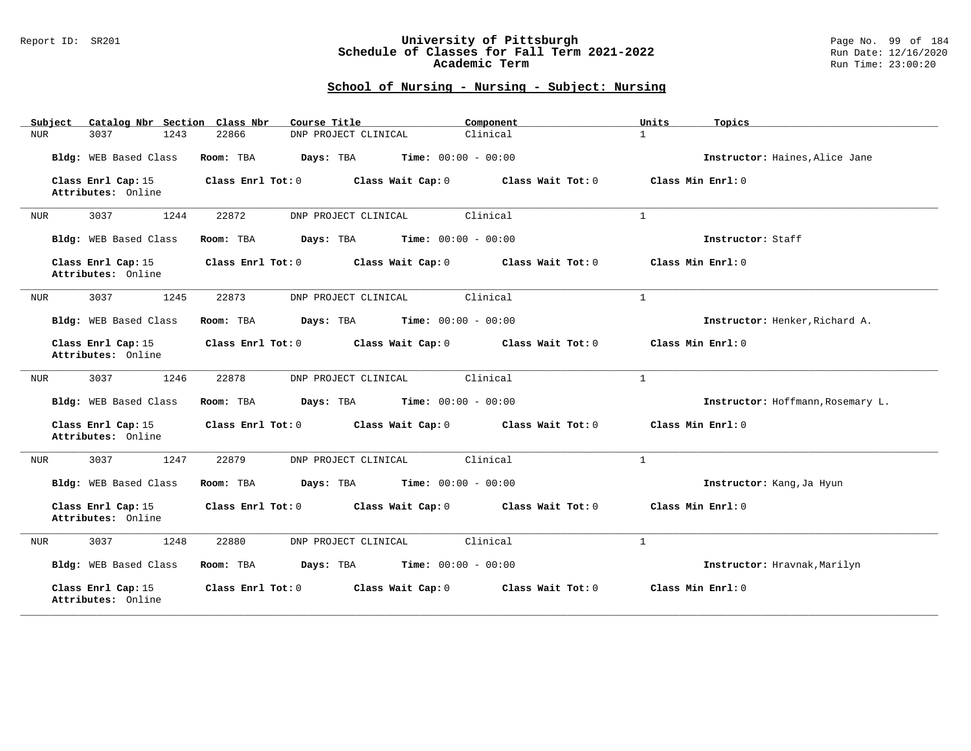### Report ID: SR201 **University of Pittsburgh** Page No. 99 of 184 **Schedule of Classes for Fall Term 2021-2022** Run Date: 12/16/2020 **Academic Term** Run Time: 23:00:20

| Catalog Nbr Section Class Nbr<br>Subject | Course Title                                           | Component         | Units<br>Topics                   |
|------------------------------------------|--------------------------------------------------------|-------------------|-----------------------------------|
| 3037<br>1243<br>NUR                      | DNP PROJECT CLINICAL<br>22866                          | Clinical          | $\mathbf{1}$                      |
| Bldg: WEB Based Class                    | Room: TBA<br>Days: TBA<br><b>Time:</b> $00:00 - 00:00$ |                   | Instructor: Haines, Alice Jane    |
| Class Enrl Cap: 15<br>Attributes: Online | Class Enrl Tot: 0<br>Class Wait Cap: 0                 | Class Wait Tot: 0 | Class Min Enrl: 0                 |
| 3037<br>1244<br>NUR                      | 22872<br>DNP PROJECT CLINICAL                          | Clinical          | $\mathbf{1}$                      |
| Bldg: WEB Based Class                    | <b>Time:</b> $00:00 - 00:00$<br>Room: TBA<br>Days: TBA |                   | Instructor: Staff                 |
| Class Enrl Cap: 15<br>Attributes: Online | Class Enrl Tot: 0<br>Class Wait Cap: 0                 | Class Wait Tot: 0 | Class Min $Enrl: 0$               |
| 3037<br>1245<br>NUR                      | 22873<br>DNP PROJECT CLINICAL                          | Clinical          | $\mathbf{1}$                      |
| Bldg: WEB Based Class                    | <b>Time:</b> $00:00 - 00:00$<br>Room: TBA<br>Days: TBA |                   | Instructor: Henker, Richard A.    |
| Class Enrl Cap: 15<br>Attributes: Online | Class Enrl Tot: 0<br>Class Wait Cap: 0                 | Class Wait Tot: 0 | Class Min Enrl: 0                 |
| 1246<br>3037<br>NUR                      | DNP PROJECT CLINICAL<br>22878                          | Clinical          | $\mathbf{1}$                      |
| Bldg: WEB Based Class                    | Days: TBA<br><b>Time:</b> $00:00 - 00:00$<br>Room: TBA |                   | Instructor: Hoffmann, Rosemary L. |
| Class Enrl Cap: 15<br>Attributes: Online | Class Enrl Tot: 0<br>Class Wait Cap: 0                 | Class Wait Tot: 0 | Class Min Enrl: 0                 |
| 3037<br>1247<br>NUR                      | 22879<br>DNP PROJECT CLINICAL                          | Clinical          | $\mathbf{1}$                      |
| Bldg: WEB Based Class                    | <b>Time:</b> $00:00 - 00:00$<br>Room: TBA<br>Days: TBA |                   | Instructor: Kang, Ja Hyun         |
| Class Enrl Cap: 15<br>Attributes: Online | Class Enrl Tot: 0<br>Class Wait Cap: 0                 | Class Wait Tot: 0 | Class Min Enrl: 0                 |
| 3037<br>1248<br>NUR                      | 22880<br>DNP PROJECT CLINICAL                          | Clinical          | $\mathbf{1}$                      |
| Bldg: WEB Based Class                    | <b>Time:</b> $00:00 - 00:00$<br>Room: TBA<br>Days: TBA |                   | Instructor: Hravnak, Marilyn      |
| Class Enrl Cap: 15<br>Attributes: Online | Class Enrl Tot: 0<br>Class Wait Cap: 0                 | Class Wait Tot: 0 | Class Min Enrl: 0                 |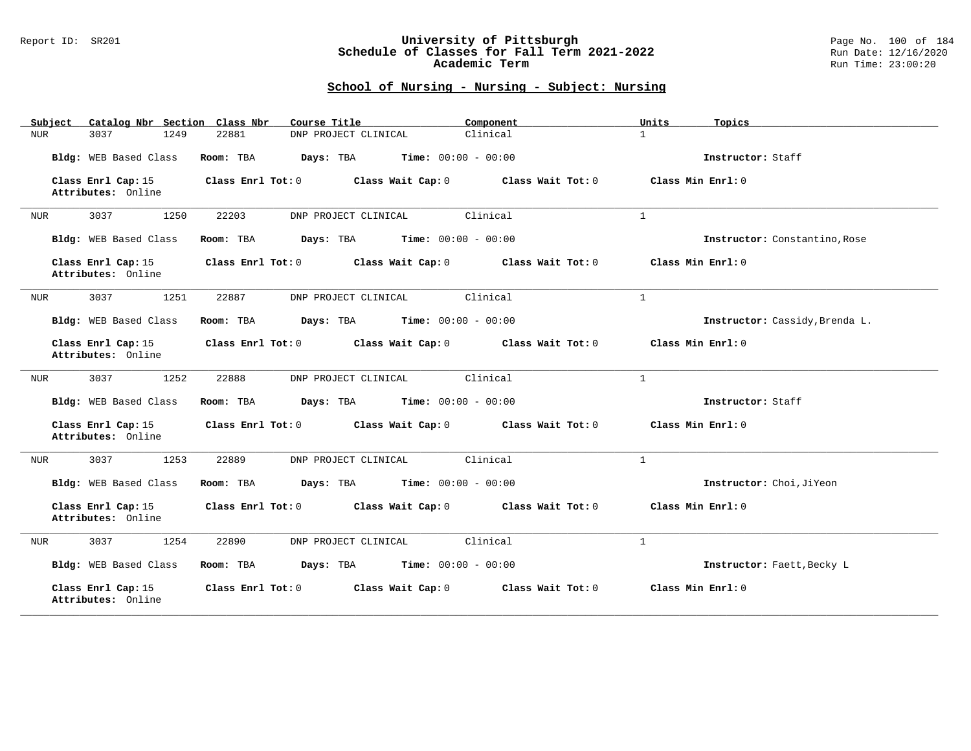#### Report ID: SR201 **University of Pittsburgh** Page No. 100 of 184 **Schedule of Classes for Fall Term 2021-2022** Run Date: 12/16/2020 **Academic Term** Run Time: 23:00:20

| Catalog Nbr Section Class Nbr<br>Subject | Course Title                                           | Component         | Units<br>Topics                |
|------------------------------------------|--------------------------------------------------------|-------------------|--------------------------------|
| 1249<br>3037<br>NUR                      | 22881<br>DNP PROJECT CLINICAL                          | Clinical          | $\mathbf{1}$                   |
| Bldg: WEB Based Class                    | <b>Time:</b> $00:00 - 00:00$<br>Room: TBA<br>Days: TBA |                   | Instructor: Staff              |
| Class Enrl Cap: 15<br>Attributes: Online | Class Enrl Tot: 0<br>Class Wait Cap: 0                 | Class Wait Tot: 0 | Class Min Enrl: 0              |
| 3037<br>1250<br>NUR                      | 22203<br>DNP PROJECT CLINICAL                          | Clinical          | $\mathbf{1}$                   |
| Bldg: WEB Based Class                    | Time: $00:00 - 00:00$<br>Room: TBA<br>Days: TBA        |                   | Instructor: Constantino, Rose  |
| Class Enrl Cap: 15<br>Attributes: Online | Class Enrl Tot: 0<br>Class Wait Cap: 0                 | Class Wait Tot: 0 | Class Min Enrl: 0              |
| 1251<br>3037<br>NUR                      | 22887<br>DNP PROJECT CLINICAL                          | Clinical          | $\mathbf{1}$                   |
| Bldg: WEB Based Class                    | Days: TBA<br><b>Time:</b> $00:00 - 00:00$<br>Room: TBA |                   | Instructor: Cassidy, Brenda L. |
| Class Enrl Cap: 15<br>Attributes: Online | Class Enrl Tot: 0<br>Class Wait Cap: 0                 | Class Wait Tot: 0 | Class Min Enrl: 0              |
| 3037<br>1252<br>NUR                      | 22888<br>DNP PROJECT CLINICAL                          | Clinical          | $\mathbf{1}$                   |
| Bldg: WEB Based Class                    | Room: TBA<br>Days: TBA<br><b>Time:</b> $00:00 - 00:00$ |                   | Instructor: Staff              |
| Class Enrl Cap: 15<br>Attributes: Online | Class Enrl Tot: 0 Class Wait Cap: 0 Class Wait Tot: 0  |                   | Class Min Enrl: 0              |
| 1253<br>3037<br>NUR                      | 22889<br>DNP PROJECT CLINICAL                          | Clinical          | $\mathbf{1}$                   |
| Bldg: WEB Based Class                    | Days: TBA<br><b>Time:</b> $00:00 - 00:00$<br>Room: TBA |                   | Instructor: Choi, JiYeon       |
| Class Enrl Cap: 15<br>Attributes: Online | Class Enrl Tot: 0<br>Class Wait Cap: 0                 | Class Wait Tot: 0 | Class Min Enrl: 0              |
| 3037<br>1254<br>NUR                      | 22890<br>DNP PROJECT CLINICAL                          | Clinical          | $\mathbf{1}$                   |
| Bldg: WEB Based Class                    | <b>Time:</b> $00:00 - 00:00$<br>Room: TBA<br>Days: TBA |                   | Instructor: Faett, Becky L     |
| Class Enrl Cap: 15<br>Attributes: Online | Class Enrl Tot: 0<br>Class Wait Cap: 0                 | Class Wait Tot: 0 | Class Min Enrl: 0              |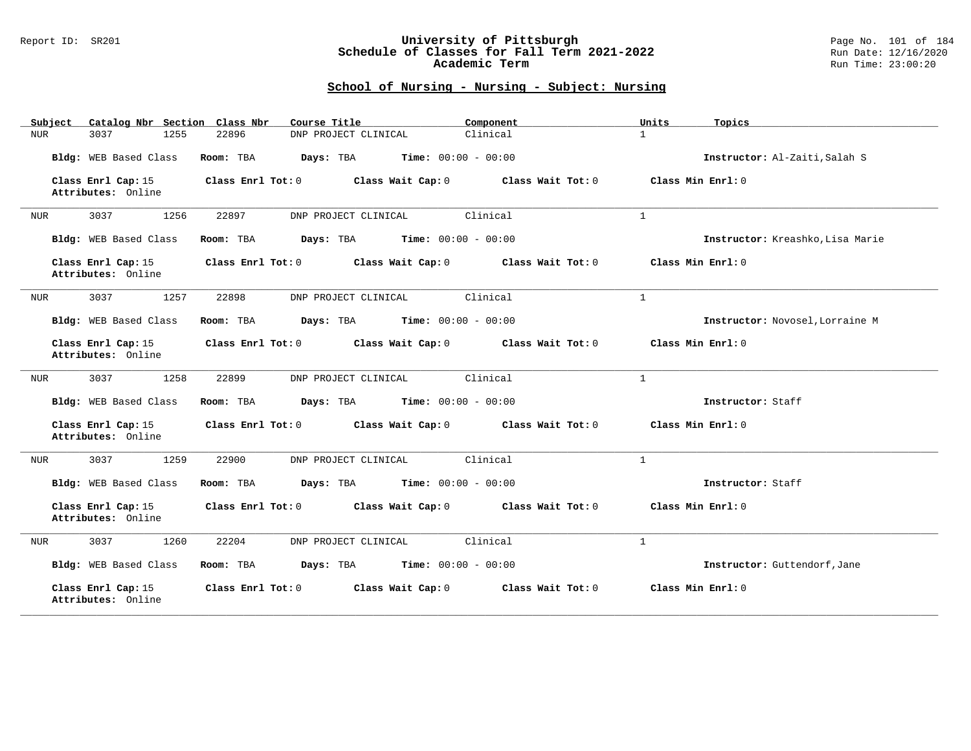### Report ID: SR201 **University of Pittsburgh** Page No. 101 of 184 **Schedule of Classes for Fall Term 2021-2022** Run Date: 12/16/2020 **Academic Term** Run Time: 23:00:20

| Catalog Nbr Section Class Nbr<br>Subject | Course Title                                           | Component         | Units<br>Topics                  |
|------------------------------------------|--------------------------------------------------------|-------------------|----------------------------------|
| 3037<br>1255<br>NUR                      | 22896<br>DNP PROJECT CLINICAL                          | Clinical          | $\mathbf{1}$                     |
| Bldg: WEB Based Class                    | <b>Time:</b> $00:00 - 00:00$<br>Room: TBA<br>Days: TBA |                   | Instructor: Al-Zaiti, Salah S    |
| Class Enrl Cap: 15<br>Attributes: Online | Class Enrl Tot: 0<br>Class Wait Cap: 0                 | Class Wait Tot: 0 | Class Min Enrl: 0                |
| 3037<br>1256<br>NUR                      | 22897<br>DNP PROJECT CLINICAL                          | Clinical          | $\mathbf{1}$                     |
| Bldg: WEB Based Class                    | Time: $00:00 - 00:00$<br>Room: TBA<br>Days: TBA        |                   | Instructor: Kreashko, Lisa Marie |
| Class Enrl Cap: 15<br>Attributes: Online | Class Enrl Tot: 0<br>Class Wait Cap: 0                 | Class Wait Tot: 0 | Class Min Enrl: 0                |
| 1257<br>3037<br>NUR                      | 22898<br>DNP PROJECT CLINICAL                          | Clinical          | $\mathbf{1}$                     |
| Bldg: WEB Based Class                    | Days: TBA<br><b>Time:</b> $00:00 - 00:00$<br>Room: TBA |                   | Instructor: Novosel, Lorraine M  |
| Class Enrl Cap: 15<br>Attributes: Online | Class Enrl Tot: 0<br>Class Wait Cap: 0                 | Class Wait Tot: 0 | Class Min Enrl: 0                |
| 3037<br>1258<br>NUR                      | 22899<br>DNP PROJECT CLINICAL                          | Clinical          | $\mathbf{1}$                     |
| Bldg: WEB Based Class                    | Room: TBA<br>Days: TBA<br><b>Time:</b> $00:00 - 00:00$ |                   | Instructor: Staff                |
| Class Enrl Cap: 15<br>Attributes: Online | Class Enrl Tot: 0<br>Class Wait Cap: 0                 | Class Wait Tot: 0 | Class Min Enrl: 0                |
| 3037<br>1259<br>NUR                      | 22900<br>DNP PROJECT CLINICAL                          | Clinical          | $\mathbf{1}$                     |
| Bldg: WEB Based Class                    | Days: TBA<br><b>Time:</b> $00:00 - 00:00$<br>Room: TBA |                   | Instructor: Staff                |
| Class Enrl Cap: 15<br>Attributes: Online | Class Enrl Tot: 0<br>Class Wait Cap: 0                 | Class Wait Tot: 0 | Class Min Enrl: 0                |
| 3037<br>1260<br>NUR                      | 22204<br>DNP PROJECT CLINICAL                          | Clinical          | $\mathbf{1}$                     |
| Bldg: WEB Based Class                    | <b>Time:</b> $00:00 - 00:00$<br>Room: TBA<br>Days: TBA |                   | Instructor: Guttendorf, Jane     |
| Class Enrl Cap: 15<br>Attributes: Online | Class Enrl Tot: 0<br>Class Wait Cap: 0                 | Class Wait Tot: 0 | Class Min Enrl: 0                |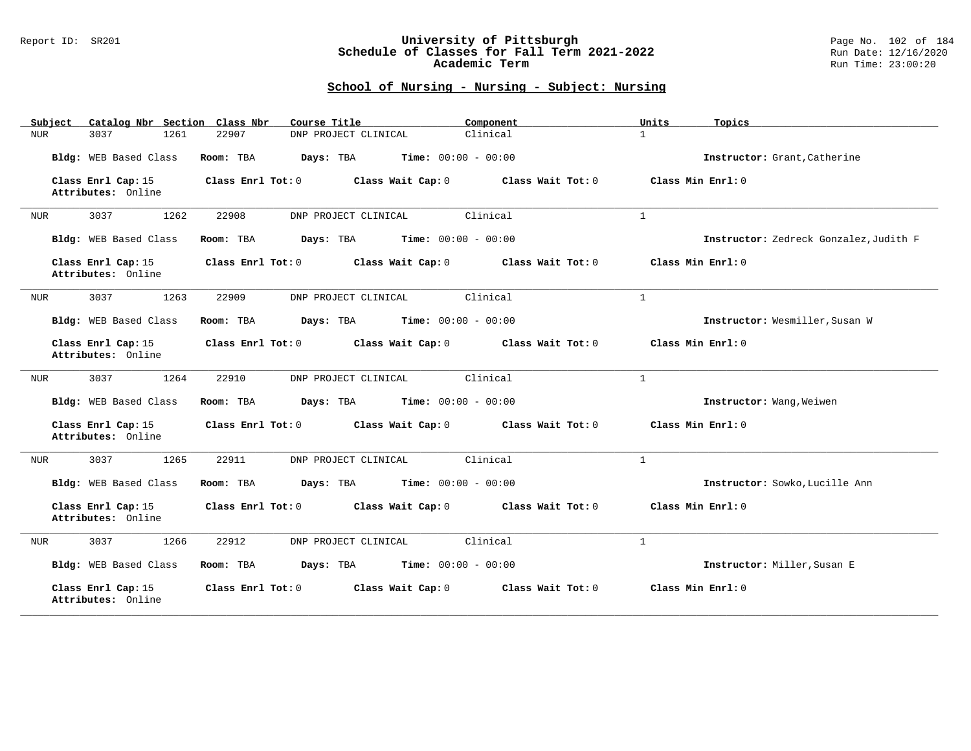### Report ID: SR201 **University of Pittsburgh** Page No. 102 of 184 **Schedule of Classes for Fall Term 2021-2022** Run Date: 12/16/2020 **Academic Term** Run Time: 23:00:20

| Catalog Nbr Section Class Nbr<br>Subject | Course Title                                           | Component         | Units<br>Topics                        |
|------------------------------------------|--------------------------------------------------------|-------------------|----------------------------------------|
| 3037<br>1261<br>NUR                      | 22907<br>DNP PROJECT CLINICAL                          | Clinical          | $\mathbf{1}$                           |
| Bldg: WEB Based Class                    | Time: $00:00 - 00:00$<br>Room: TBA<br>Days: TBA        |                   | Instructor: Grant, Catherine           |
| Class Enrl Cap: 15<br>Attributes: Online | Class Enrl Tot: 0<br>Class Wait Cap: 0                 | Class Wait Tot: 0 | Class Min Enrl: 0                      |
| 3037<br>1262<br>NUR                      | 22908<br>DNP PROJECT CLINICAL                          | Clinical          | $\mathbf{1}$                           |
| Bldg: WEB Based Class                    | <b>Time:</b> $00:00 - 00:00$<br>Room: TBA<br>Days: TBA |                   | Instructor: Zedreck Gonzalez, Judith F |
| Class Enrl Cap: 15<br>Attributes: Online | Class Enrl Tot: 0<br>Class Wait Cap: 0                 | Class Wait Tot:0  | Class Min Enrl: 0                      |
| 1263<br>3037<br>NUR                      | DNP PROJECT CLINICAL<br>22909                          | Clinical          | $\mathbf{1}$                           |
| Bldg: WEB Based Class                    | Days: TBA<br><b>Time:</b> $00:00 - 00:00$<br>Room: TBA |                   | Instructor: Wesmiller, Susan W         |
| Class Enrl Cap: 15<br>Attributes: Online | Class Enrl Tot: 0<br>Class Wait Cap: 0                 | Class Wait Tot: 0 | Class Min Enrl: 0                      |
| 3037<br>1264<br>NUR                      | DNP PROJECT CLINICAL<br>22910                          | Clinical          | $\mathbf{1}$                           |
| Bldg: WEB Based Class                    | <b>Time:</b> $00:00 - 00:00$<br>Room: TBA<br>Days: TBA |                   | Instructor: Wang, Weiwen               |
| Class Enrl Cap: 15<br>Attributes: Online | Class Enrl Tot: 0<br>Class Wait Cap: 0                 | Class Wait Tot: 0 | Class Min Enrl: 0                      |
| 3037<br>1265<br>NUR                      | 22911<br>DNP PROJECT CLINICAL                          | Clinical          | $\mathbf{1}$                           |
| Bldg: WEB Based Class                    | <b>Time:</b> $00:00 - 00:00$<br>Room: TBA<br>Days: TBA |                   | Instructor: Sowko, Lucille Ann         |
| Class Enrl Cap: 15<br>Attributes: Online | Class Enrl Tot: 0<br>Class Wait Cap: 0                 | Class Wait Tot: 0 | Class Min Enrl: 0                      |
| 3037<br>1266<br>NUR                      | 22912<br>DNP PROJECT CLINICAL                          | Clinical          | $\mathbf{1}$                           |
| Bldg: WEB Based Class                    | Room: TBA<br>Days: TBA<br><b>Time:</b> $00:00 - 00:00$ |                   | Instructor: Miller, Susan E            |
| Class Enrl Cap: 15<br>Attributes: Online | Class Wait Cap: 0<br>Class Enrl Tot: 0                 | Class Wait Tot: 0 | Class Min Enrl: 0                      |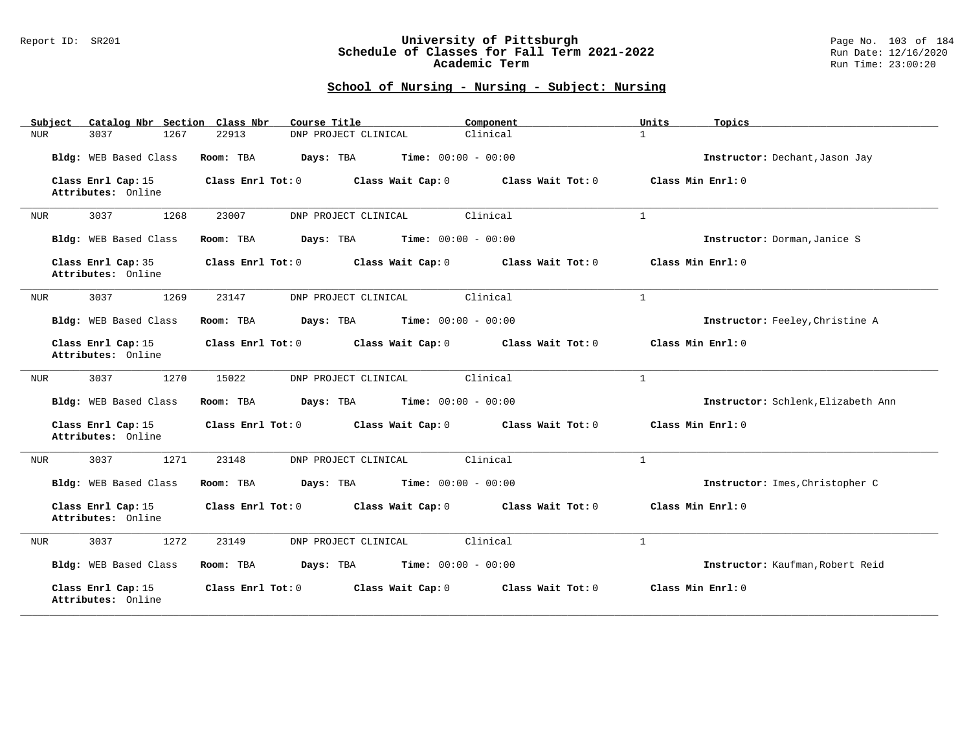### Report ID: SR201 **University of Pittsburgh** Page No. 103 of 184 **Schedule of Classes for Fall Term 2021-2022** Run Date: 12/16/2020 **Academic Term** Run Time: 23:00:20

| Catalog Nbr Section Class Nbr<br>Subject | Course Title                                           | Component           | Units<br>Topics                    |
|------------------------------------------|--------------------------------------------------------|---------------------|------------------------------------|
| 3037<br>1267<br>NUR                      | DNP PROJECT CLINICAL<br>22913                          | Clinical            | $\mathbf{1}$                       |
| Bldg: WEB Based Class                    | Room: TBA<br>Days: TBA<br><b>Time:</b> $00:00 - 00:00$ |                     | Instructor: Dechant, Jason Jay     |
| Class Enrl Cap: 15<br>Attributes: Online | Class Enrl Tot: 0<br>Class Wait Cap: 0                 | Class Wait Tot: 0   | Class Min Enrl: 0                  |
| 1268<br>3037<br>NUR                      | 23007<br>DNP PROJECT CLINICAL                          | Clinical            | $\mathbf{1}$                       |
| Bldg: WEB Based Class                    | Time: $00:00 - 00:00$<br>Room: TBA<br>Days: TBA        |                     | Instructor: Dorman, Janice S       |
| Class Enrl Cap: 35<br>Attributes: Online | Class Enrl Tot: 0<br>Class Wait Cap: 0                 | Class Wait $Tot: 0$ | Class Min Enrl: 0                  |
| 3037<br>1269<br>NUR                      | 23147<br>DNP PROJECT CLINICAL                          | Clinical            | $\mathbf{1}$                       |
| Bldg: WEB Based Class                    | <b>Time:</b> $00:00 - 00:00$<br>Room: TBA<br>Days: TBA |                     | Instructor: Feeley, Christine A    |
| Class Enrl Cap: 15<br>Attributes: Online | Class Enr1 Tot: 0<br>Class Wait Cap: 0                 | Class Wait $Tot: 0$ | Class Min Enrl: 0                  |
| 1270<br>3037<br>NUR                      | 15022<br>DNP PROJECT CLINICAL                          | Clinical            | $\mathbf{1}$                       |
| Bldg: WEB Based Class                    | <b>Time:</b> $00:00 - 00:00$<br>Room: TBA<br>Days: TBA |                     | Instructor: Schlenk, Elizabeth Ann |
| Class Enrl Cap: 15<br>Attributes: Online | Class Wait Cap: 0<br>Class Enrl Tot: 0                 | Class Wait Tot: 0   | Class Min Enrl: 0                  |
| 3037<br>1271<br>NUR                      | 23148<br>DNP PROJECT CLINICAL                          | Clinical            | $\mathbf{1}$                       |
| Bldg: WEB Based Class                    | <b>Time:</b> $00:00 - 00:00$<br>Room: TBA<br>Days: TBA |                     | Instructor: Imes, Christopher C    |
| Class Enrl Cap: 15<br>Attributes: Online | Class Enrl Tot: 0<br>Class Wait Cap: 0                 | Class Wait Tot: 0   | Class Min Enrl: 0                  |
| 1272<br>3037<br>NUR                      | 23149<br>DNP PROJECT CLINICAL                          | Clinical            | $\mathbf{1}$                       |
| Bldg: WEB Based Class                    | Room: TBA<br>Days: TBA<br><b>Time:</b> $00:00 - 00:00$ |                     | Instructor: Kaufman, Robert Reid   |
| Class Enrl Cap: 15<br>Attributes: Online | Class Enrl Tot: 0<br>Class Wait Cap: 0                 | Class Wait Tot: 0   | Class Min Enrl: 0                  |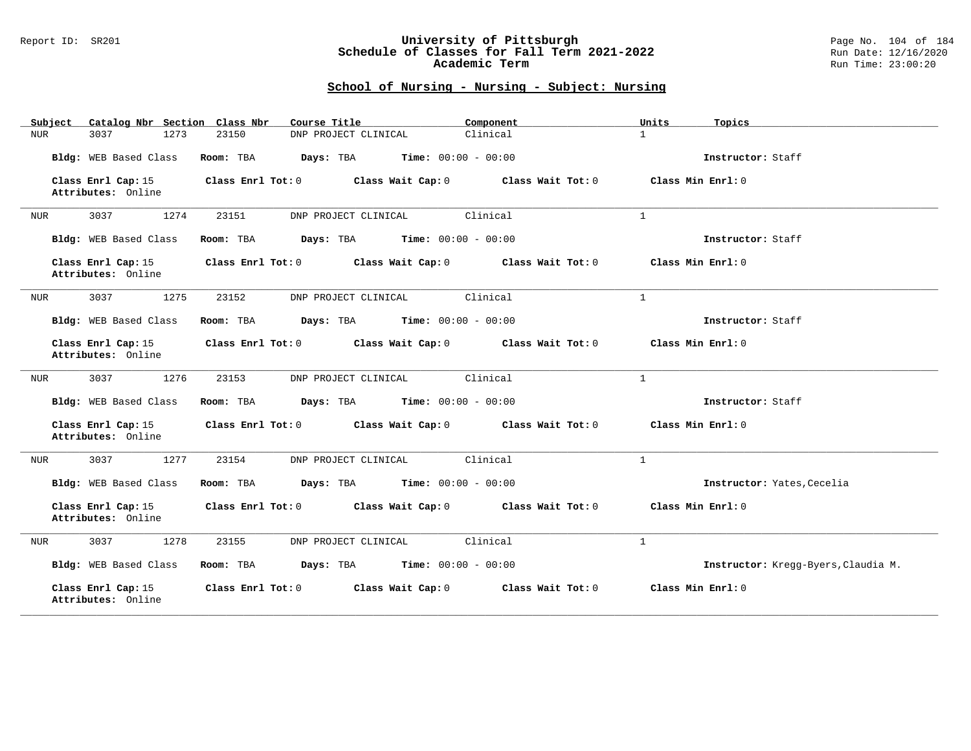### Report ID: SR201 **University of Pittsburgh** Page No. 104 of 184 **Schedule of Classes for Fall Term 2021-2022** Run Date: 12/16/2020 **Academic Term** Run Time: 23:00:20

| Catalog Nbr Section Class Nbr<br>Subject | Course Title                                           | Component         | Units<br>Topics                     |
|------------------------------------------|--------------------------------------------------------|-------------------|-------------------------------------|
| 3037<br>1273<br>NUR                      | 23150<br>DNP PROJECT CLINICAL                          | Clinical          | $\mathbf{1}$                        |
| Bldg: WEB Based Class                    | Room: TBA<br>Days: TBA<br><b>Time:</b> $00:00 - 00:00$ |                   | Instructor: Staff                   |
| Class Enrl Cap: 15<br>Attributes: Online | Class Enrl Tot: 0<br>Class Wait Cap: 0                 | Class Wait Tot: 0 | Class Min Enrl: 0                   |
| 3037<br>1274<br>NUR                      | 23151<br>DNP PROJECT CLINICAL                          | Clinical          | $\mathbf{1}$                        |
| Bldg: WEB Based Class                    | Days: TBA<br>$Time: 00:00 - 00:00$<br>Room: TBA        |                   | Instructor: Staff                   |
| Class Enrl Cap: 15<br>Attributes: Online | Class Enrl Tot: 0<br>Class Wait Cap: 0                 | Class Wait Tot: 0 | Class Min $Err1:0$                  |
| 3037<br>1275<br>NUR                      | 23152<br>DNP PROJECT CLINICAL                          | Clinical          | $\mathbf{1}$                        |
| Bldg: WEB Based Class                    | Days: TBA<br>$Time: 00:00 - 00:00$<br>Room: TBA        |                   | Instructor: Staff                   |
| Class Enrl Cap: 15<br>Attributes: Online | Class Enrl Tot: 0<br>Class Wait Cap: 0                 | Class Wait Tot: 0 | Class Min Enrl: 0                   |
| 3037<br>1276<br>NUR                      | DNP PROJECT CLINICAL<br>23153                          | Clinical          | $\mathbf{1}$                        |
| Bldg: WEB Based Class                    | <b>Time:</b> $00:00 - 00:00$<br>Room: TBA<br>Days: TBA |                   | Instructor: Staff                   |
| Class Enrl Cap: 15<br>Attributes: Online | Class Enrl Tot: 0 Class Wait Cap: 0                    | Class Wait Tot: 0 | Class Min Enrl: 0                   |
| 3037<br>1277<br>NUR                      | 23154<br>DNP PROJECT CLINICAL                          | Clinical          | $\mathbf{1}$                        |
| Bldg: WEB Based Class                    | <b>Time:</b> $00:00 - 00:00$<br>Room: TBA<br>Days: TBA |                   | Instructor: Yates, Cecelia          |
| Class Enrl Cap: 15<br>Attributes: Online | Class Enrl Tot: 0<br>Class Wait Cap: 0                 | Class Wait Tot: 0 | Class Min Enrl: 0                   |
| 3037<br>1278<br>NUR                      | 23155<br>DNP PROJECT CLINICAL                          | Clinical          | $\mathbf{1}$                        |
| Bldg: WEB Based Class                    | <b>Time:</b> $00:00 - 00:00$<br>Room: TBA<br>Days: TBA |                   | Instructor: Kregg-Byers, Claudia M. |
| Class Enrl Cap: 15<br>Attributes: Online | Class Enrl Tot: 0<br>Class Wait Cap: 0                 | Class Wait Tot: 0 | Class Min Enrl: 0                   |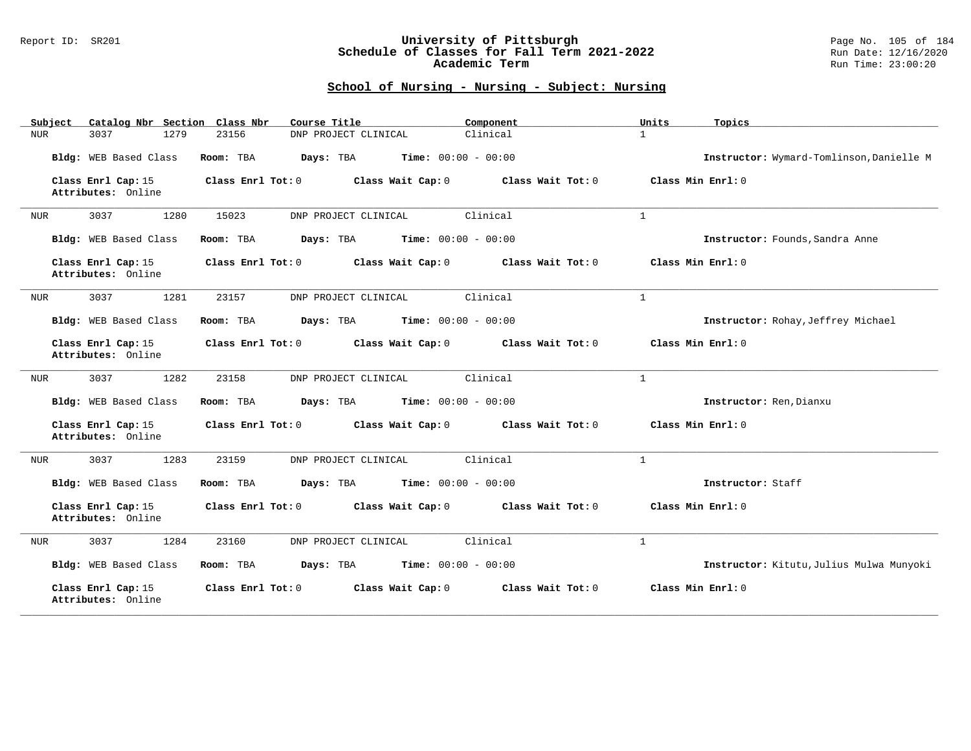### Report ID: SR201 **University of Pittsburgh** Page No. 105 of 184 **Schedule of Classes for Fall Term 2021-2022** Run Date: 12/16/2020 **Academic Term** Run Time: 23:00:20

| Catalog Nbr Section Class Nbr<br>Subject | Course Title                                           | Component         | Units<br>Topics                          |
|------------------------------------------|--------------------------------------------------------|-------------------|------------------------------------------|
| 3037<br>1279<br>NUR                      | DNP PROJECT CLINICAL<br>23156                          | Clinical          | $\mathbf{1}$                             |
| Bldg: WEB Based Class                    | Room: TBA<br>Days: TBA<br><b>Time:</b> $00:00 - 00:00$ |                   | Instructor: Wymard-Tomlinson, Danielle M |
| Class Enrl Cap: 15<br>Attributes: Online | Class Enrl Tot: 0<br>Class Wait Cap: 0                 | Class Wait Tot: 0 | Class Min Enrl: 0                        |
| 3037<br>1280<br><b>NUR</b>               | 15023<br>DNP PROJECT CLINICAL                          | Clinical          | $\mathbf{1}$                             |
| Bldg: WEB Based Class                    | <b>Time:</b> $00:00 - 00:00$<br>Room: TBA<br>Days: TBA |                   | Instructor: Founds, Sandra Anne          |
| Class Enrl Cap: 15<br>Attributes: Online | Class Enrl Tot: 0<br>Class Wait Cap: 0                 | Class Wait Tot: 0 | Class Min $Enrl: 0$                      |
| 3037<br>1281<br>NUR                      | 23157<br>DNP PROJECT CLINICAL                          | Clinical          | $\mathbf{1}$                             |
| Bldg: WEB Based Class                    | <b>Time:</b> $00:00 - 00:00$<br>Room: TBA<br>Days: TBA |                   | Instructor: Rohay, Jeffrey Michael       |
| Class Enrl Cap: 15<br>Attributes: Online | Class Enrl Tot: 0<br>Class Wait Cap: 0                 | Class Wait Tot: 0 | Class Min Enrl: 0                        |
| 1282<br>3037<br>NUR                      | DNP PROJECT CLINICAL<br>23158                          | Clinical          | $\mathbf{1}$                             |
| Bldg: WEB Based Class                    | Days: TBA<br><b>Time:</b> $00:00 - 00:00$<br>Room: TBA |                   | Instructor: Ren, Dianxu                  |
| Class Enrl Cap: 15<br>Attributes: Online | Class Enrl Tot: 0<br>Class Wait Cap: 0                 | Class Wait Tot: 0 | Class Min Enrl: 0                        |
| 3037<br>1283<br><b>NUR</b>               | DNP PROJECT CLINICAL<br>23159                          | Clinical          | $\mathbf{1}$                             |
| Bldg: WEB Based Class                    | <b>Time:</b> $00:00 - 00:00$<br>Room: TBA<br>Days: TBA |                   | Instructor: Staff                        |
| Class Enrl Cap: 15<br>Attributes: Online | Class Enrl Tot: 0<br>Class Wait Cap: 0                 | Class Wait Tot: 0 | Class Min Enrl: 0                        |
| 3037<br>1284<br>NUR                      | 23160<br>DNP PROJECT CLINICAL                          | Clinical          | $\mathbf{1}$                             |
| Bldg: WEB Based Class                    | <b>Time:</b> $00:00 - 00:00$<br>Room: TBA<br>Days: TBA |                   | Instructor: Kitutu, Julius Mulwa Munyoki |
| Class Enrl Cap: 15<br>Attributes: Online | Class Enrl Tot: 0<br>Class Wait Cap: 0                 | Class Wait Tot: 0 | Class Min Enrl: 0                        |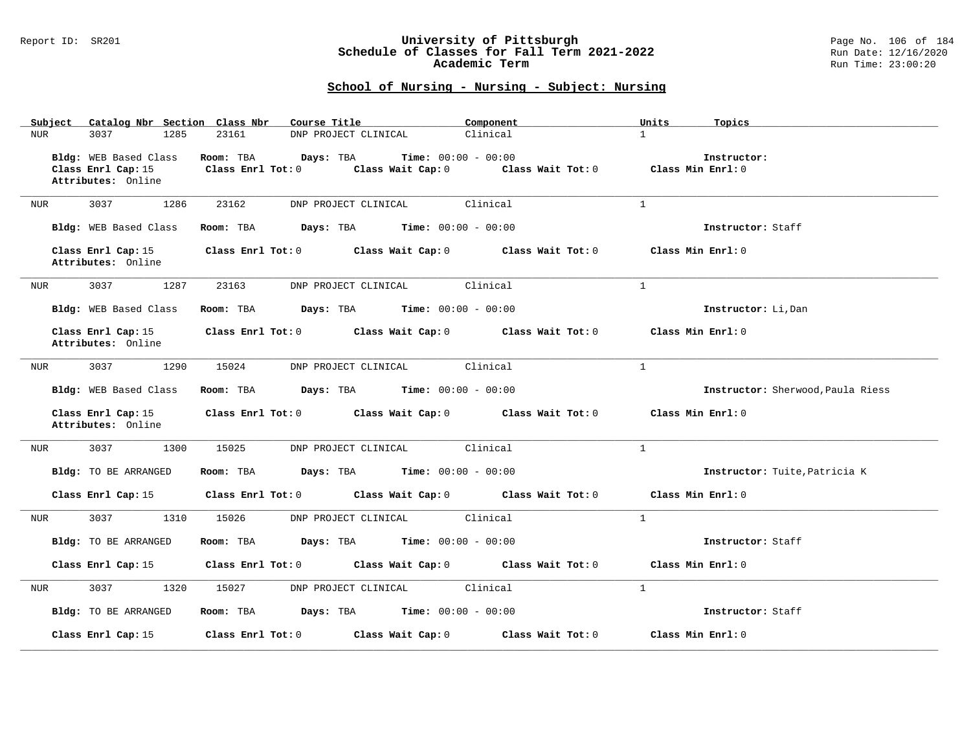#### Report ID: SR201 **University of Pittsburgh** Page No. 106 of 184 **Schedule of Classes for Fall Term 2021-2022** Run Date: 12/16/2020 **Academic Term** Run Time: 23:00:20

| Subject<br>Catalog Nbr Section Class Nbr                          | Course Title                                                                              | Component         | Units<br>Topics                   |
|-------------------------------------------------------------------|-------------------------------------------------------------------------------------------|-------------------|-----------------------------------|
| 3037<br>1285<br>NUR                                               | 23161<br>DNP PROJECT CLINICAL                                                             | Clinical          | $\mathbf{1}$                      |
| Bldg: WEB Based Class<br>Class Enrl Cap: 15<br>Attributes: Online | Time: $00:00 - 00:00$<br>Room: TBA<br>Days: TBA<br>Class Enrl Tot: 0<br>Class Wait Cap: 0 | Class Wait Tot: 0 | Instructor:<br>Class Min Enrl: 0  |
| 3037<br>1286<br>NUR                                               | 23162<br>DNP PROJECT CLINICAL                                                             | Clinical          | $\mathbf{1}$                      |
| Bldg: WEB Based Class                                             | <b>Days:</b> TBA <b>Time:</b> $00:00 - 00:00$<br>Room: TBA                                |                   | Instructor: Staff                 |
| Class Enrl Cap: 15<br>Attributes: Online                          | Class Enrl Tot: 0 Class Wait Cap: 0 Class Wait Tot: 0                                     |                   | Class Min Enrl: 0                 |
| 3037<br>1287<br>NUR                                               | 23163<br>DNP PROJECT CLINICAL                                                             | Clinical          | $\mathbf{1}$                      |
| Bldg: WEB Based Class                                             | <b>Days:</b> TBA <b>Time:</b> $00:00 - 00:00$<br>Room: TBA                                |                   | Instructor: Li, Dan               |
| Class Enrl Cap: 15<br>Attributes: Online                          | Class Enrl Tot: 0 Class Wait Cap: 0 Class Wait Tot: 0                                     |                   | Class Min Enrl: 0                 |
| 3037 30<br>1290<br>NUR                                            | 15024<br>DNP PROJECT CLINICAL                                                             | Clinical          | $\mathbf{1}$                      |
| Bldg: WEB Based Class                                             | $\texttt{Davis:}$ TBA $\texttt{Time:}$ 00:00 - 00:00<br>Room: TBA                         |                   | Instructor: Sherwood, Paula Riess |
| Class Enrl Cap: 15<br>Attributes: Online                          | Class Enrl Tot: 0 Class Wait Cap: 0 Class Wait Tot: 0                                     |                   | Class Min Enrl: 0                 |
| 3037<br>1300<br>NUR                                               | 15025<br>DNP PROJECT CLINICAL                                                             | Clinical          | $\mathbf{1}$                      |
| Bldg: TO BE ARRANGED                                              | $\texttt{Days:}$ TBA $\texttt{Time:}$ 00:00 - 00:00<br>Room: TBA                          |                   | Instructor: Tuite, Patricia K     |
| Class Enrl Cap: 15                                                | Class Enrl Tot: 0 Class Wait Cap: 0 Class Wait Tot: 0                                     |                   | Class Min Enrl: 0                 |
| 3037<br>1310<br>NUR                                               | 15026<br>DNP PROJECT CLINICAL                                                             | Clinical          | $\mathbf{1}$                      |
| Bldg: TO BE ARRANGED                                              | Room: TBA<br><b>Days:</b> TBA <b>Time:</b> $00:00 - 00:00$                                |                   | Instructor: Staff                 |
| Class Enrl Cap: 15                                                | Class Enrl Tot: 0 Class Wait Cap: 0 Class Wait Tot: 0                                     |                   | Class Min Enrl: 0                 |
| 3037<br>1320<br>NUR                                               | DNP PROJECT CLINICAL<br>15027                                                             | Clinical          | $\mathbf{1}$                      |
| Bldg: TO BE ARRANGED                                              | <b>Days:</b> TBA <b>Time:</b> $00:00 - 00:00$<br>Room: TBA                                |                   | Instructor: Staff                 |
| Class Enrl Cap: 15                                                | Class Enrl Tot: 0 Class Wait Cap: 0                                                       | Class Wait Tot: 0 | Class Min Enrl: 0                 |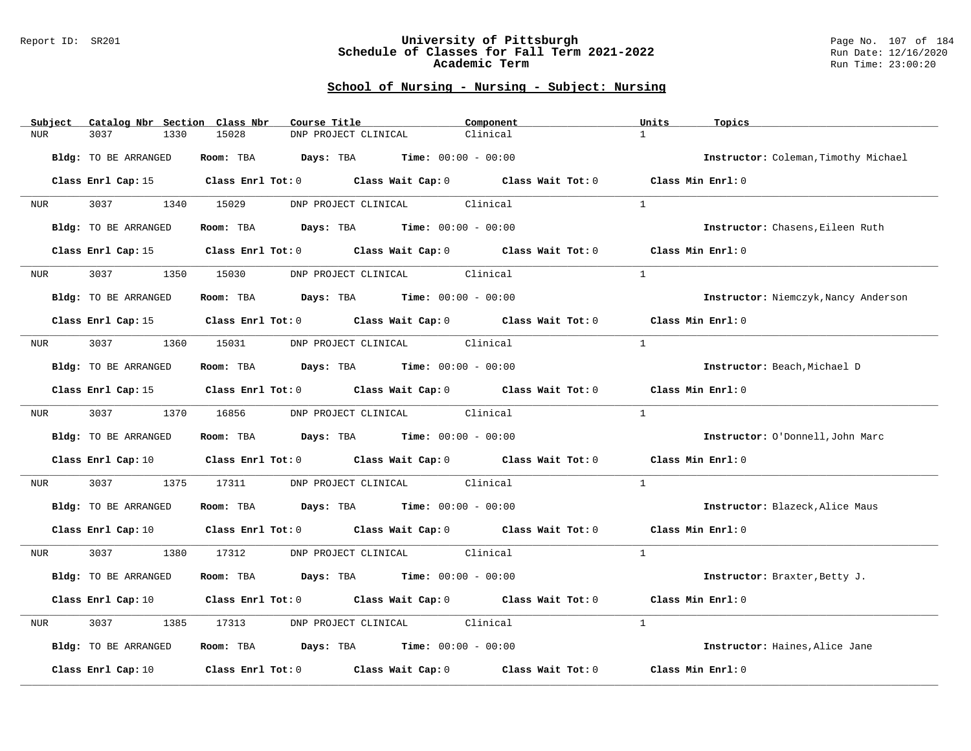#### Report ID: SR201 **University of Pittsburgh** Page No. 107 of 184 **Schedule of Classes for Fall Term 2021-2022** Run Date: 12/16/2020 **Academic Term** Run Time: 23:00:20

| Subject    | Catalog Nbr Section Class Nbr | Course Title                                                                                                                   | Component | Units<br>Topics                      |
|------------|-------------------------------|--------------------------------------------------------------------------------------------------------------------------------|-----------|--------------------------------------|
| <b>NUR</b> | 3037<br>1330                  | 15028<br>DNP PROJECT CLINICAL                                                                                                  | Clinical  | $\mathbf{1}$                         |
|            | Bldg: TO BE ARRANGED          | <b>Days:</b> TBA <b>Time:</b> $00:00 - 00:00$<br>Room: TBA                                                                     |           | Instructor: Coleman, Timothy Michael |
|            |                               | Class Enrl Cap: 15 Class Enrl Tot: 0 Class Wait Cap: 0 Class Wait Tot: 0 Class Min Enrl: 0                                     |           |                                      |
| NUR        | 3037 300                      | 1340 15029<br>DNP PROJECT CLINICAL Clinical                                                                                    |           | $\mathbf{1}$                         |
|            | Bldg: TO BE ARRANGED          | Room: TBA $Days: TBA$ Time: $00:00 - 00:00$                                                                                    |           | Instructor: Chasens, Eileen Ruth     |
|            | Class Enrl Cap: 15            | Class Enrl Tot: 0 Class Wait Cap: 0 Class Wait Tot: 0                                                                          |           | Class Min Enrl: 0                    |
| NUR        | 3037<br>1350                  | DNP PROJECT CLINICAL<br>15030                                                                                                  | Clinical  | $\mathbf{1}$                         |
|            | Bldg: TO BE ARRANGED          | Room: TBA $Days:$ TBA $Time: 00:00 - 00:00$                                                                                    |           | Instructor: Niemczyk, Nancy Anderson |
|            |                               | Class Enrl Cap: 15 Class Enrl Tot: 0 Class Wait Cap: 0 Class Wait Tot: 0 Class Min Enrl: 0                                     |           |                                      |
| NUR        |                               | 3037 1360 15031 DNP PROJECT CLINICAL Clinical                                                                                  |           | $\mathbf{1}$                         |
|            | <b>Bldg:</b> TO BE ARRANGED   | Room: TBA $\rule{1em}{0.15mm}$ Days: TBA Time: $00:00 - 00:00$                                                                 |           | Instructor: Beach, Michael D         |
|            |                               | Class Enrl Cap: 15 Class Enrl Tot: 0 Class Wait Cap: 0 Class Wait Tot: 0                                                       |           | Class Min Enrl: 0                    |
| NUR        | 3037                          | 1370 16856<br>DNP PROJECT CLINICAL Clinical                                                                                    |           | $\mathbf{1}$                         |
|            | Bldg: TO BE ARRANGED          | Room: TBA $Days:$ TBA $Time: 00:00 - 00:00$                                                                                    |           | Instructor: O'Donnell, John Marc     |
|            |                               | Class Enrl Cap: 10 $\qquad$ Class Enrl Tot: 0 $\qquad$ Class Wait Cap: 0 $\qquad$ Class Wait Tot: 0                            |           | Class Min Enrl: 0                    |
| NUR        | 3037<br>1375                  | 17311<br>DNP PROJECT CLINICAL Clinical                                                                                         |           | $\mathbf{1}$                         |
|            | Bldg: TO BE ARRANGED          | Room: TBA $Days:$ TBA $Time: 00:00 - 00:00$                                                                                    |           | Instructor: Blazeck, Alice Maus      |
|            |                               | Class Enrl Cap: 10 $\qquad$ Class Enrl Tot: 0 $\qquad$ Class Wait Cap: 0 $\qquad$ Class Wait Tot: 0 $\qquad$ Class Min Enrl: 0 |           |                                      |
| NUR        | 3037 30                       | 1380 17312<br>DNP PROJECT CLINICAL Clinical                                                                                    |           | $\overline{1}$                       |
|            | Bldg: TO BE ARRANGED          | Room: TBA $Days:$ TBA $Time: 00:00 - 00:00$                                                                                    |           | Instructor: Braxter, Betty J.        |
|            |                               | Class Enrl Cap: 10 Class Enrl Tot: 0 Class Wait Cap: 0 Class Wait Tot: 0                                                       |           | Class Min Enrl: 0                    |
| NUR        | 3037<br>1385                  | DNP PROJECT CLINICAL Clinical<br>17313                                                                                         |           | $\mathbf{1}$                         |
|            | Bldg: TO BE ARRANGED          | Room: TBA $Days: TBA$ Time: $00:00 - 00:00$                                                                                    |           | Instructor: Haines, Alice Jane       |
|            | Class Enrl Cap: 10            | Class Enrl Tot: 0 Class Wait Cap: 0 Class Wait Tot: 0                                                                          |           | Class Min Enrl: 0                    |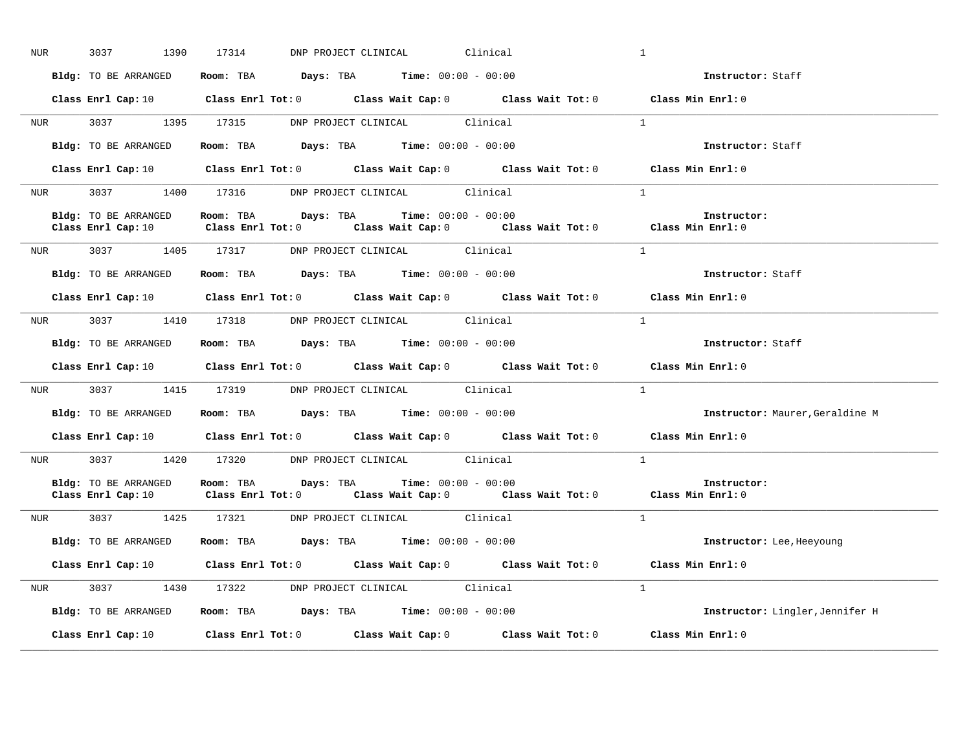| NUR <sub>p</sub> | 3037 1390            | 17314 DNP PROJECT CLINICAL                                                                                                                                                    | Clinical | $\mathbf{1}$                    |
|------------------|----------------------|-------------------------------------------------------------------------------------------------------------------------------------------------------------------------------|----------|---------------------------------|
|                  | Bldg: TO BE ARRANGED | Room: TBA $Days:$ TBA $Time: 00:00 - 00:00$                                                                                                                                   |          | Instructor: Staff               |
|                  |                      | Class Enrl Cap: 10 Class Enrl Tot: 0 Class Wait Cap: 0 Class Wait Tot: 0 Class Min Enrl: 0                                                                                    |          |                                 |
|                  |                      | NUR 3037 1395 17315 DNP PROJECT CLINICAL Clinical                                                                                                                             |          | $\overline{1}$                  |
|                  | Bldg: TO BE ARRANGED | Room: TBA $Days:$ TBA $Time: 00:00 - 00:00$                                                                                                                                   |          | Instructor: Staff               |
|                  |                      | Class Enrl Cap: 10 $\qquad$ Class Enrl Tot: 0 $\qquad$ Class Wait Cap: 0 $\qquad$ Class Wait Tot: 0 $\qquad$ Class Min Enrl: 0                                                |          |                                 |
|                  |                      | NUR 3037 1400 17316 DNP PROJECT CLINICAL Clinical                                                                                                                             |          | $\sim$ 1                        |
|                  | Bldg: TO BE ARRANGED | Room: TBA $Days:$ TBA $Time: 00:00 - 00:00$<br>Class Enrl Cap: 10 $\qquad$ Class Enrl Tot: 0 $\qquad$ Class Wait Cap: 0 $\qquad$ Class Wait Tot: 0 $\qquad$ Class Min Enrl: 0 |          | Instructor:                     |
|                  |                      | NUR 3037 1405 17317 DNP PROJECT CLINICAL Clinical                                                                                                                             |          | $\overline{1}$                  |
|                  |                      | Bldg: TO BE ARRANGED Room: TBA Days: TBA Time: 00:00 - 00:00                                                                                                                  |          | Instructor: Staff               |
|                  |                      | Class Enrl Cap: 10 $\qquad$ Class Enrl Tot: 0 $\qquad$ Class Wait Cap: 0 $\qquad$ Class Wait Tot: 0 $\qquad$ Class Min Enrl: 0                                                |          |                                 |
|                  |                      | NUR 3037 1410 17318 DNP PROJECT CLINICAL Clinical                                                                                                                             |          | $\overline{1}$                  |
|                  | Bldg: TO BE ARRANGED | Room: TBA $\rule{1em}{0.15mm}$ Days: TBA Time: $00:00 - 00:00$                                                                                                                |          | Instructor: Staff               |
|                  |                      | Class Enrl Cap: 10 $\qquad$ Class Enrl Tot: 0 $\qquad$ Class Wait Cap: 0 $\qquad$ Class Wait Tot: 0 $\qquad$ Class Min Enrl: 0                                                |          |                                 |
| <b>NUR</b>       |                      | 3037 1415 17319 DNP PROJECT CLINICAL Clinical                                                                                                                                 |          | $\mathbf{1}$                    |
|                  |                      | Bldg: TO BE ARRANGED Room: TBA Days: TBA Time: 00:00 - 00:00                                                                                                                  |          | Instructor: Maurer, Geraldine M |
|                  |                      | Class Enrl Cap: 10 $\qquad$ Class Enrl Tot: 0 $\qquad$ Class Wait Cap: 0 $\qquad$ Class Wait Tot: 0 $\qquad$ Class Min Enrl: 0                                                |          |                                 |
|                  |                      | NUR 3037 1420 17320 DNP PROJECT CLINICAL Clinical                                                                                                                             |          | $\overline{1}$                  |
|                  | Bldg: TO BE ARRANGED | Room: TBA $Days:$ TBA $Time: 00:00 - 00:00$<br>Class Enrl Cap: 10 $\qquad$ Class Enrl Tot: 0 $\qquad$ Class Wait Cap: 0 $\qquad$ Class Wait Tot: 0 $\qquad$ Class Min Enrl: 0 |          | Instructor:                     |
|                  |                      | NUR 3037 1425 17321 DNP PROJECT CLINICAL Clinical                                                                                                                             |          | $\frac{1}{2}$                   |
|                  |                      | Bldg: TO BE ARRANGED Room: TBA Days: TBA Time: 00:00 - 00:00                                                                                                                  |          | Instructor: Lee, Heeyoung       |
|                  |                      | Class Enrl Cap: 10 $\qquad$ Class Enrl Tot: 0 $\qquad$ Class Wait Cap: 0 $\qquad$ Class Wait Tot: 0 $\qquad$ Class Min Enrl: 0                                                |          |                                 |
|                  |                      | NUR 3037 1430 17322 DNP PROJECT CLINICAL Clinical                                                                                                                             |          | $\overline{1}$                  |
|                  | Bldg: TO BE ARRANGED | Room: TBA $Days:$ TBA $Time: 00:00 - 00:00$                                                                                                                                   |          | Instructor: Lingler, Jennifer H |
|                  | Class Enrl Cap: 10   | Class Enrl Tot: $0$ Class Wait Cap: $0$ Class Wait Tot: $0$ Class Min Enrl: $0$                                                                                               |          |                                 |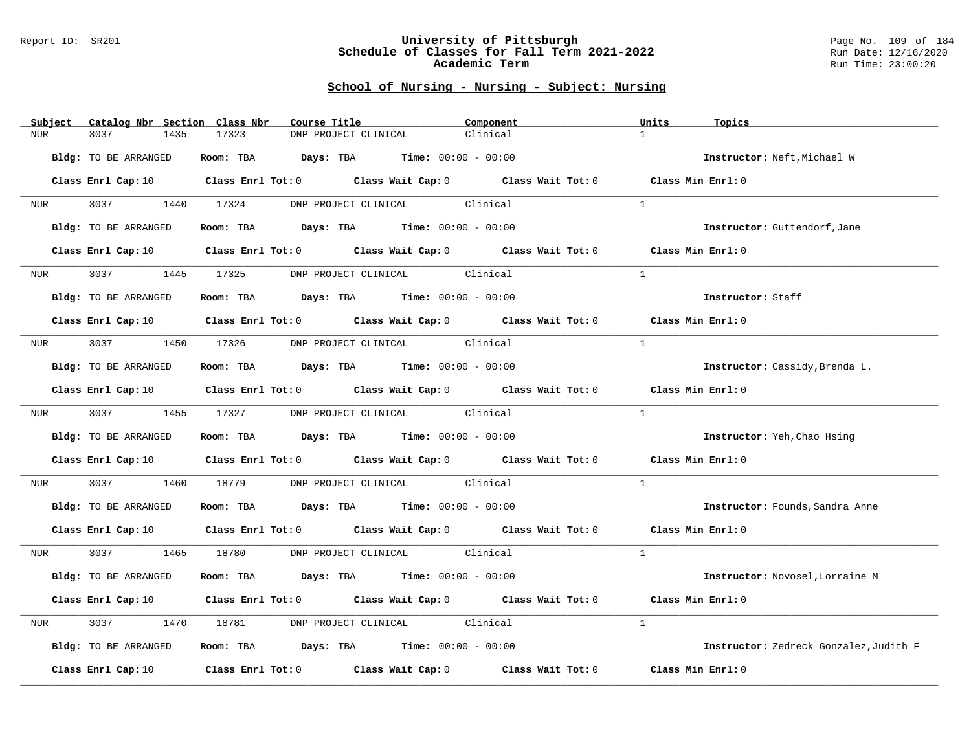#### Report ID: SR201 **University of Pittsburgh** Page No. 109 of 184 **Schedule of Classes for Fall Term 2021-2022** Run Date: 12/16/2020 **Academic Term** Run Time: 23:00:20

| Subject          | Catalog Nbr Section Class Nbr | Course Title                                                                                                                   | Component | Units<br>Topics                        |
|------------------|-------------------------------|--------------------------------------------------------------------------------------------------------------------------------|-----------|----------------------------------------|
| <b>NUR</b>       | 3037<br>1435                  | 17323<br>DNP PROJECT CLINICAL                                                                                                  | Clinical  | $\mathbf{1}$                           |
|                  | Bldg: TO BE ARRANGED          | Room: TBA $Days:$ TBA $Time: 00:00 - 00:00$                                                                                    |           | Instructor: Neft, Michael W            |
|                  |                               | Class Enrl Cap: 10 $\qquad$ Class Enrl Tot: 0 $\qquad$ Class Wait Cap: 0 $\qquad$ Class Wait Tot: 0 $\qquad$ Class Min Enrl: 0 |           |                                        |
| <b>NUR</b>       | 3037 1440 17324               | DNP PROJECT CLINICAL Clinical                                                                                                  |           | $\mathbf{1}$                           |
|                  | Bldg: TO BE ARRANGED          | Room: TBA $Days:$ TBA $Time: 00:00 - 00:00$                                                                                    |           | Instructor: Guttendorf, Jane           |
|                  |                               | Class Enrl Cap: 10 $\qquad$ Class Enrl Tot: 0 $\qquad$ Class Wait Cap: 0 $\qquad$ Class Wait Tot: 0 $\qquad$ Class Min Enrl: 0 |           |                                        |
| NUR <sub>p</sub> | 3037 300                      | 1445 17325 DNP PROJECT CLINICAL Clinical                                                                                       |           | $\mathbf{1}$                           |
|                  | Bldg: TO BE ARRANGED          | Room: TBA $Days:$ TBA $Time: 00:00 - 00:00$                                                                                    |           | Instructor: Staff                      |
|                  |                               | Class Enrl Cap: 10 $\qquad$ Class Enrl Tot: 0 $\qquad$ Class Wait Cap: 0 $\qquad$ Class Wait Tot: 0 $\qquad$ Class Min Enrl: 0 |           |                                        |
|                  |                               | NUR 3037 1450 17326 DNP PROJECT CLINICAL Clinical                                                                              |           | $\mathbf{1}$                           |
|                  | Bldg: TO BE ARRANGED          | Room: TBA $Days:$ TBA Time: $00:00 - 00:00$                                                                                    |           | Instructor: Cassidy, Brenda L.         |
|                  |                               | Class Enrl Cap: 10 Class Enrl Tot: 0 Class Wait Cap: 0 Class Wait Tot: 0 Class Min Enrl: 0                                     |           |                                        |
|                  |                               | NUR 3037 1455 17327 DNP PROJECT CLINICAL Clinical                                                                              |           | $\mathbf{1}$                           |
|                  | Bldg: TO BE ARRANGED          | Room: TBA $\rule{1em}{0.15mm}$ Days: TBA Time: $00:00 - 00:00$                                                                 |           | Instructor: Yeh, Chao Hsing            |
|                  |                               | Class Enrl Cap: 10 Class Enrl Tot: 0 Class Wait Cap: 0 Class Wait Tot: 0 Class Min Enrl: 0                                     |           |                                        |
| NUR              | 3037 30                       | 1460 18779 DNP PROJECT CLINICAL Clinical                                                                                       |           | $\mathbf{1}$                           |
|                  | Bldg: TO BE ARRANGED          | Room: TBA $Days: TBA$ Time: $00:00 - 00:00$                                                                                    |           | Instructor: Founds, Sandra Anne        |
|                  |                               | Class Enrl Cap: 10 Class Enrl Tot: 0 Class Wait Cap: 0 Class Wait Tot: 0 Class Min Enrl: 0                                     |           |                                        |
|                  |                               | NUR 3037 1465 18780 DNP PROJECT CLINICAL Clinical                                                                              |           | $\overline{1}$                         |
|                  | Bldg: TO BE ARRANGED          | Room: TBA $Days:$ TBA $Time: 00:00 - 00:00$                                                                                    |           | Instructor: Novosel, Lorraine M        |
|                  |                               | Class Enrl Cap: 10 $\qquad$ Class Enrl Tot: 0 $\qquad$ Class Wait Cap: 0 $\qquad$ Class Wait Tot: 0 $\qquad$ Class Min Enrl: 0 |           |                                        |
| NUR              | 3037<br>1470                  | 18781 DNP PROJECT CLINICAL Clinical                                                                                            |           | $\mathbf{1}$                           |
|                  | Bldg: TO BE ARRANGED          | Room: TBA $Days:$ TBA $Time: 00:00 - 00:00$                                                                                    |           | Instructor: Zedreck Gonzalez, Judith F |
|                  |                               | Class Enrl Cap: 10 $\qquad$ Class Enrl Tot: 0 $\qquad$ Class Wait Cap: 0 $\qquad$ Class Wait Tot: 0                            |           | Class Min Enrl: 0                      |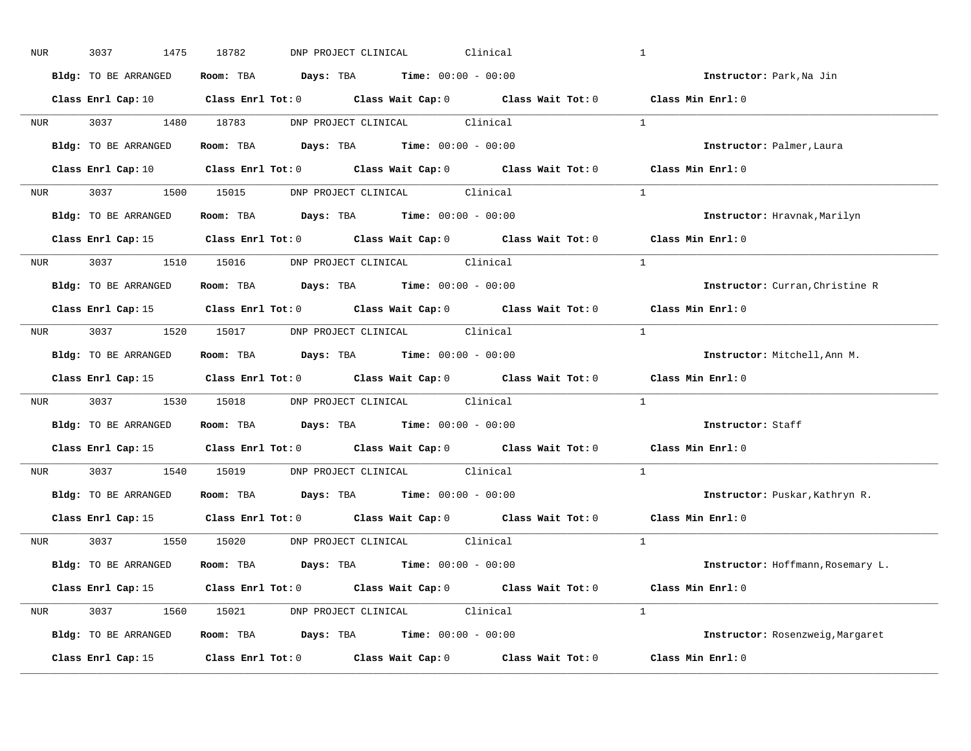| NUR |            | 3037<br>1475                | 18782<br>DNP PROJECT CLINICAL                                                                                                  | Clinical | $\mathbf{1}$                      |
|-----|------------|-----------------------------|--------------------------------------------------------------------------------------------------------------------------------|----------|-----------------------------------|
|     |            | Bldg: TO BE ARRANGED        | Room: TBA $\rule{1em}{0.15mm}$ Days: TBA $\rule{1.15mm}]{0.15mm}$ Time: $0.000 - 0.0000$                                       |          | Instructor: Park, Na Jin          |
|     |            |                             | Class Enrl Cap: 10 $\qquad$ Class Enrl Tot: 0 $\qquad$ Class Wait Cap: 0 $\qquad$ Class Wait Tot: 0 $\qquad$ Class Min Enrl: 0 |          |                                   |
|     |            |                             | NUR 3037 1480 18783 DNP PROJECT CLINICAL Clinical                                                                              |          | $\sim$ 1                          |
|     |            | Bldg: TO BE ARRANGED        | Room: TBA Days: TBA Time: $00:00 - 00:00$                                                                                      |          | Instructor: Palmer, Laura         |
|     |            |                             | Class Enrl Cap: 10 $\qquad$ Class Enrl Tot: 0 $\qquad$ Class Wait Cap: 0 $\qquad$ Class Wait Tot: 0 $\qquad$ Class Min Enrl: 0 |          |                                   |
|     |            |                             | NUR 3037 1500 15015 DNP PROJECT CLINICAL Clinical                                                                              |          | $\overline{1}$                    |
|     |            |                             | Bldg: TO BE ARRANGED Room: TBA Days: TBA Time: 00:00 - 00:00                                                                   |          | Instructor: Hravnak, Marilyn      |
|     |            |                             | Class Enrl Cap: 15 Class Enrl Tot: 0 Class Wait Cap: 0 Class Wait Tot: 0 Class Min Enrl: 0                                     |          |                                   |
|     |            |                             | NUR 3037 1510 15016 DNP PROJECT CLINICAL Clinical                                                                              |          | $\mathbf{1}$                      |
|     |            | <b>Bldg:</b> TO BE ARRANGED | Room: TBA $Days:$ TBA $Time: 00:00 - 00:00$                                                                                    |          | Instructor: Curran, Christine R   |
|     |            |                             | Class Enrl Cap: 15 Class Enrl Tot: 0 Class Wait Cap: 0 Class Wait Tot: 0                                                       |          | Class Min Enrl: 0                 |
|     |            |                             | NUR 3037 1520 15017 DNP PROJECT CLINICAL Clinical                                                                              |          | $\overline{1}$                    |
|     |            | Bldg: TO BE ARRANGED        | Room: TBA $Days:$ TBA $Time: 00:00 - 00:00$                                                                                    |          | Instructor: Mitchell, Ann M.      |
|     |            |                             | Class Enrl Cap: 15 (Class Enrl Tot: 0 (Class Wait Cap: 0 (Class Wait Tot: 0)                                                   |          | Class Min Enrl: 0                 |
|     |            |                             | NUR 3037 1530 15018 DNP PROJECT CLINICAL Clinical                                                                              |          | $\mathbf{1}$                      |
|     |            | Bldg: TO BE ARRANGED        | Room: TBA $\rule{1em}{0.15mm}$ Days: TBA Time: $00:00 - 00:00$                                                                 |          | Instructor: Staff                 |
|     |            |                             | Class Enrl Cap: 15 Class Enrl Tot: 0 Class Wait Cap: 0 Class Wait Tot: 0                                                       |          | Class Min Enrl: 0                 |
|     | <b>NUR</b> |                             | 3037 1540 15019 DNP PROJECT CLINICAL Clinical                                                                                  |          | $\mathbf{1}$                      |
|     |            |                             | Bldg: TO BE ARRANGED Room: TBA Days: TBA Time: 00:00 - 00:00                                                                   |          | Instructor: Puskar, Kathryn R.    |
|     |            | Class Enrl Cap: 15          | Class Enrl Tot: $0$ Class Wait Cap: $0$ Class Wait Tot: $0$                                                                    |          | Class Min Enrl: 0                 |
|     |            |                             | NUR 3037 1550 15020 DNP PROJECT CLINICAL Clinical                                                                              |          | $\frac{1}{2}$                     |
|     |            | Bldg: TO BE ARRANGED        | Room: TBA $Days:$ TBA $Time: 00:00 - 00:00$                                                                                    |          | Instructor: Hoffmann, Rosemary L. |
|     |            |                             | Class Enrl Cap: 15 Class Enrl Tot: 0 Class Wait Cap: 0 Class Wait Tot: 0 Class Min Enrl: 0                                     |          |                                   |
|     |            |                             | NUR 3037 1560 15021 DNP PROJECT CLINICAL Clinical                                                                              |          | $\mathbf{1}$                      |
|     |            | Bldg: TO BE ARRANGED        | <b>Room:</b> TBA $\qquad \qquad$ Days: TBA $\qquad \qquad$ Time: $00:00 - 00:00$                                               |          | Instructor: Rosenzweig, Margaret  |
|     |            |                             | Class Enrl Cap: 15 Class Enrl Tot: 0 Class Wait Cap: 0 Class Wait Tot: 0 Class Min Enrl: 0                                     |          |                                   |
|     |            |                             |                                                                                                                                |          |                                   |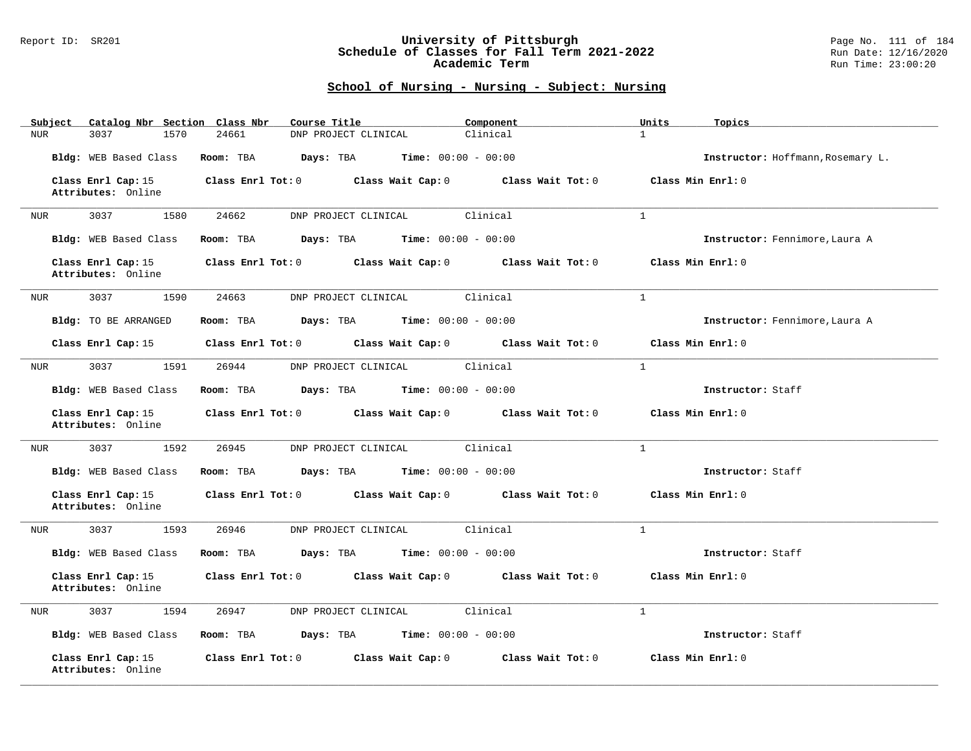### Report ID: SR201 **University of Pittsburgh** Page No. 111 of 184 **Schedule of Classes for Fall Term 2021-2022** Run Date: 12/16/2020 **Academic Term** Run Time: 23:00:20

| Subject                                  | Catalog Nbr Section Class Nbr<br>Course Title              | Component                           | Units<br>Topics                   |
|------------------------------------------|------------------------------------------------------------|-------------------------------------|-----------------------------------|
| 3037<br>NUR                              | 1570<br>24661<br>DNP PROJECT CLINICAL                      | Clinical                            | $\mathbf{1}$                      |
| Bldg: WEB Based Class                    | Days: TBA<br>Time: $00:00 - 00:00$<br>Room: TBA            |                                     | Instructor: Hoffmann, Rosemary L. |
| Class Enrl Cap: 15<br>Attributes: Online | Class Wait Cap: 0<br>Class Enrl Tot: 0                     | Class Wait Tot: 0                   | Class Min Enrl: 0                 |
| 3037<br>NUR                              | 1580<br>24662<br>DNP PROJECT CLINICAL                      | Clinical                            | $\mathbf{1}$                      |
| Bldg: WEB Based Class                    | Room: TBA<br>Days: TBA<br>$Time: 00:00 - 00:00$            |                                     | Instructor: Fennimore, Laura A    |
| Class Enrl Cap: 15<br>Attributes: Online | Class Enrl Tot: 0 Class Wait Cap: 0 Class Wait Tot: 0      |                                     | Class Min Enrl: 0                 |
| 3037<br>NUR                              | 24663<br>1590<br>DNP PROJECT CLINICAL                      | Clinical                            | $\mathbf{1}$                      |
| Bldg: TO BE ARRANGED                     | <b>Days:</b> TBA <b>Time:</b> $00:00 - 00:00$<br>Room: TBA |                                     | Instructor: Fennimore, Laura A    |
| Class Enrl Cap: 15                       | Class Enrl Tot: 0 Class Wait Cap: 0 Class Wait Tot: 0      |                                     | Class Min Enrl: 0                 |
| 3037<br>NUR                              | 1591<br>DNP PROJECT CLINICAL<br>26944                      | Clinical                            | <sup>1</sup>                      |
| Bldg: WEB Based Class                    | Room: TBA<br><b>Days:</b> TBA <b>Time:</b> $00:00 - 00:00$ |                                     | Instructor: Staff                 |
| Class Enrl Cap: 15<br>Attributes: Online | Class Enrl Tot: 0 Class Wait Cap: 0 Class Wait Tot: 0      |                                     | Class Min Enrl: 0                 |
| 3037<br>NUR                              | 1592<br>26945<br>DNP PROJECT CLINICAL                      | Clinical                            | $\mathbf{1}$                      |
| Bldg: WEB Based Class                    | <b>Days:</b> TBA <b>Time:</b> $00:00 - 00:00$<br>Room: TBA |                                     | Instructor: Staff                 |
| Class Enrl Cap: 15<br>Attributes: Online | Class Enrl Tot: 0 Class Wait Cap: 0 Class Wait Tot: 0      |                                     | Class Min Enrl: 0                 |
| 3037<br>NUR                              | 1593<br>26946<br>DNP PROJECT CLINICAL                      | Clinical                            | $\mathbf{1}$                      |
| Bldg: WEB Based Class                    | Room: TBA<br><b>Days:</b> TBA <b>Time:</b> $00:00 - 00:00$ |                                     | Instructor: Staff                 |
| Class Enrl Cap: 15<br>Attributes: Online | $Class$ $Enr1$ $Tot: 0$                                    | Class Wait Cap: 0 Class Wait Tot: 0 | Class Min Enrl: 0                 |
| 3037<br>NUR                              | 1594<br>26947<br>DNP PROJECT CLINICAL                      | Clinical                            | $\mathbf{1}$                      |
| Bldg: WEB Based Class                    | <b>Days:</b> TBA <b>Time:</b> $00:00 - 00:00$<br>Room: TBA |                                     | Instructor: Staff                 |
| Class Enrl Cap: 15<br>Attributes: Online | $Class$ $Enr1$ $Tot: 0$<br>Class Wait Cap: 0               | Class Wait Tot: 0                   | Class Min Enrl: 0                 |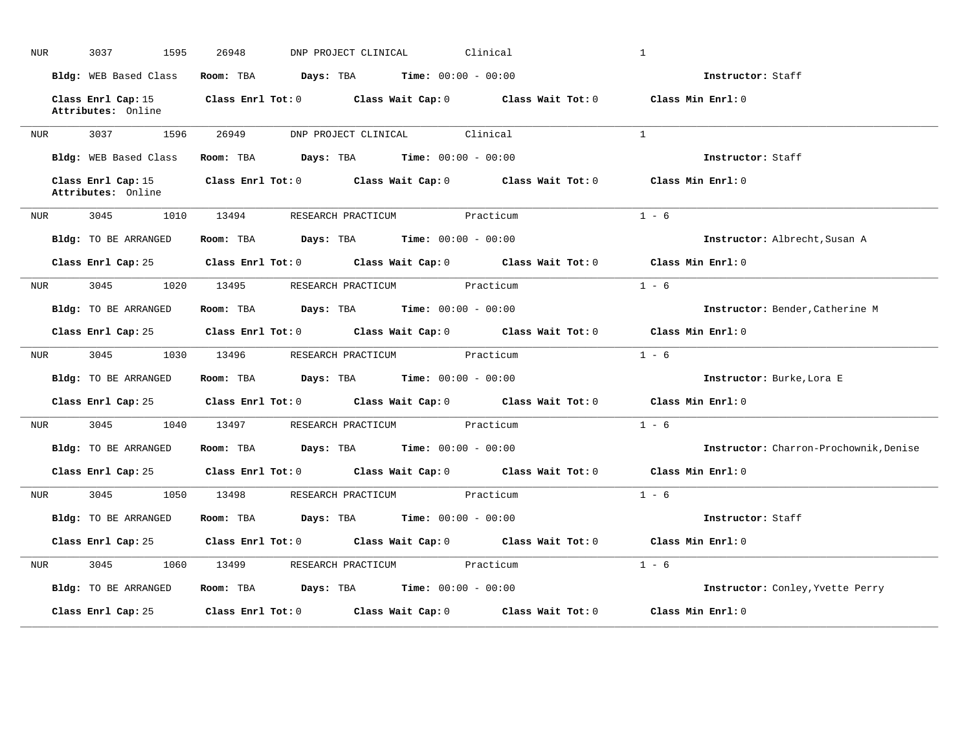| NUR.             | 3037<br>1595                             | 26948     | DNP PROJECT CLINICAL                          | Clinical                                                                                   | $\mathbf{1}$                           |
|------------------|------------------------------------------|-----------|-----------------------------------------------|--------------------------------------------------------------------------------------------|----------------------------------------|
|                  | Bldg: WEB Based Class                    | Room: TBA | <b>Days:</b> TBA <b>Time:</b> $00:00 - 00:00$ |                                                                                            | Instructor: Staff                      |
|                  | Class Enrl Cap: 15<br>Attributes: Online |           |                                               | Class Enrl Tot: $0$ Class Wait Cap: $0$ Class Wait Tot: $0$                                | Class Min Enrl: 0                      |
| NUR              | 3037 1596                                | 26949     | DNP PROJECT CLINICAL Clinical                 |                                                                                            | $\mathbf{1}$                           |
|                  | Bldg: WEB Based Class                    | Room: TBA | <b>Days:</b> TBA <b>Time:</b> $00:00 - 00:00$ |                                                                                            | Instructor: Staff                      |
|                  | Class Enrl Cap: 15<br>Attributes: Online |           |                                               | Class Enrl Tot: 0 Class Wait Cap: 0 Class Wait Tot: 0                                      | Class Min Enrl: 0                      |
| NUR              |                                          |           | 3045 1010 13494 RESEARCH PRACTICUM Practicum  |                                                                                            | $1 - 6$                                |
|                  | Bldg: TO BE ARRANGED                     |           | Room: TBA $Days:$ TBA $Time: 00:00 - 00:00$   |                                                                                            | Instructor: Albrecht, Susan A          |
|                  |                                          |           |                                               | Class Enrl Cap: 25 Class Enrl Tot: 0 Class Wait Cap: 0 Class Wait Tot: 0 Class Min Enrl: 0 |                                        |
| NUR              | 3045<br>1020                             | 13495     | RESEARCH PRACTICUM Practicum                  |                                                                                            | $1 - 6$                                |
|                  | Bldg: TO BE ARRANGED                     |           | Room: TBA $Days:$ TBA $Time: 00:00 - 00:00$   |                                                                                            | Instructor: Bender, Catherine M        |
|                  |                                          |           |                                               | Class Enrl Cap: 25 Class Enrl Tot: 0 Class Wait Cap: 0 Class Wait Tot: 0 Class Min Enrl: 0 |                                        |
| NUR <sub>p</sub> | 3045 1030 13496                          |           | RESEARCH PRACTICUM Practicum                  |                                                                                            | $1 - 6$                                |
|                  | Bldg: TO BE ARRANGED                     |           | Room: TBA $Days:$ TBA $Time: 00:00 - 00:00$   |                                                                                            | Instructor: Burke, Lora E              |
|                  |                                          |           |                                               | Class Enrl Cap: 25 Class Enrl Tot: 0 Class Wait Cap: 0 Class Wait Tot: 0                   | Class Min Enrl: 0                      |
| NUR              | 3045<br>1040                             | 13497     | RESEARCH PRACTICUM                            | Practicum                                                                                  | $1 - 6$                                |
|                  | Bldg: TO BE ARRANGED                     |           | Room: TBA $Days:$ TBA $Time: 00:00 - 00:00$   |                                                                                            | Instructor: Charron-Prochownik, Denise |
|                  |                                          |           |                                               | Class Enrl Cap: 25 Class Enrl Tot: 0 Class Wait Cap: 0 Class Wait Tot: 0 Class Min Enrl: 0 |                                        |
| NUR <sub>p</sub> | 3045 1050                                |           | 13498 RESEARCH PRACTICUM Practicum            |                                                                                            | $1 - 6$                                |
|                  | <b>Bldg:</b> TO BE ARRANGED              |           | Room: TBA $Days:$ TBA $Time: 00:00 - 00:00$   |                                                                                            | Instructor: Staff                      |
|                  | Class Enrl Cap: 25                       |           |                                               | Class Enrl Tot: 0 Class Wait Cap: 0 Class Wait Tot: 0                                      | Class Min Enrl: 0                      |
| NUR              | 3045<br>1060                             | 13499     | RESEARCH PRACTICUM                            | Practicum                                                                                  | $1 - 6$                                |
|                  | Bldg: TO BE ARRANGED                     | Room: TBA | <b>Days:</b> TBA <b>Time:</b> $00:00 - 00:00$ |                                                                                            | Instructor: Conley, Yvette Perry       |
|                  |                                          |           |                                               |                                                                                            |                                        |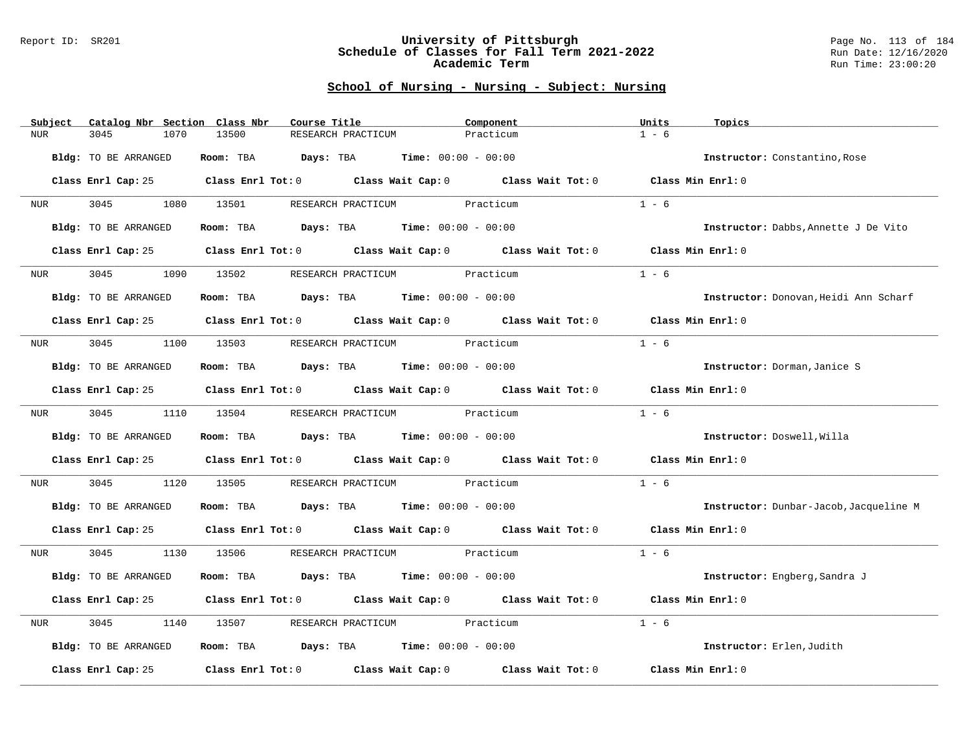#### Report ID: SR201 **University of Pittsburgh** Page No. 113 of 184 **Schedule of Classes for Fall Term 2021-2022** Run Date: 12/16/2020 **Academic Term** Run Time: 23:00:20

| $1 - 6$<br>3045<br>13500<br><b>NUR</b><br>1070<br>RESEARCH PRACTICUM<br>Practicum<br>Room: TBA $Days:$ TBA $Time: 00:00 - 00:00$<br>Bldg: TO BE ARRANGED<br>Instructor: Constantino, Rose<br>Class Enrl Cap: 25 Class Enrl Tot: 0 Class Wait Cap: 0 Class Wait Tot: 0 Class Min Enrl: 0<br>3045<br>$1 - 6$<br>1080 13501<br>RESEARCH PRACTICUM Practicum<br>NUR <sub>p</sub><br>Bldg: TO BE ARRANGED<br>Room: TBA $Days: TBA$ Time: $00:00 - 00:00$<br>Instructor: Dabbs, Annette J De Vito<br>Class Enrl Tot: $0$ Class Wait Cap: $0$ Class Wait Tot: $0$ Class Min Enrl: $0$<br>Class Enrl Cap: 25<br>RESEARCH PRACTICUM Practicum<br>$1 - 6$<br>3045<br>1090<br>13502<br><b>NUR</b><br>Room: TBA $\rule{1em}{0.15mm}$ Days: TBA $\rule{1.5mm}{0.15mm}$ Time: $00:00 - 00:00$<br><b>Bldg:</b> TO BE ARRANGED<br>Instructor: Donovan, Heidi Ann Scharf<br>Class Enrl Cap: 25 Class Enrl Tot: 0 Class Wait Cap: 0 Class Wait Tot: 0 Class Min Enrl: 0<br>NUR 3045 1100 13503 RESEARCH PRACTICUM Practicum<br>$1 - 6$<br>Room: TBA $Days:$ TBA $Time: 00:00 - 00:00$<br><b>Bldg:</b> TO BE ARRANGED<br>Instructor: Dorman, Janice S<br>Class Enrl Cap: 25 Class Enrl Tot: 0 Class Wait Cap: 0 Class Wait Tot: 0 Class Min Enrl: 0<br>$1 - 6$<br>3045<br>1110 13504 RESEARCH PRACTICUM Practicum<br>NUR <b>NUR</b><br>Room: TBA $\rule{1em}{0.15mm}$ Days: TBA Time: $00:00 - 00:00$<br>Bldg: TO BE ARRANGED<br>Instructor: Doswell, Willa<br>Class Enrl Cap: 25 (Class Enrl Tot: 0 ) (Class Wait Cap: 0 ) (Class Wait Tot: 0<br>Class Min Enrl: 0<br>$1 - 6$<br>3045<br>1120 13505 RESEARCH PRACTICUM Practicum<br>NUR<br>Room: TBA $Days: TBA$ Time: $00:00 - 00:00$<br>Bldg: TO BE ARRANGED<br>Instructor: Dunbar-Jacob, Jacqueline M<br>Class Enrl Cap: 25 Class Enrl Tot: 0 Class Wait Cap: 0 Class Wait Tot: 0 Class Min Enrl: 0<br>3045<br>$1 - 6$<br>1130 13506 RESEARCH PRACTICUM Practicum<br>NUR <sub>p</sub><br>Bldg: TO BE ARRANGED<br>Room: TBA $Days: TBA$ Time: $00:00 - 00:00$<br>Instructor: Engberg, Sandra J<br>Class Enrl Cap: 25 Class Enrl Tot: 0 Class Wait Cap: 0 Class Wait Tot: 0 Class Min Enrl: 0<br>$1 - 6$<br>3045<br>RESEARCH PRACTICUM Practicum<br>1140<br>13507<br>NUR<br>Room: TBA $Days:$ TBA $Time: 00:00 - 00:00$<br>Bldg: TO BE ARRANGED<br>Instructor: Erlen, Judith<br>Class Enrl Tot: $0$ Class Wait Cap: $0$ Class Wait Tot: $0$<br>Class Min Enrl: 0<br>Class Enrl Cap: 25 | Subject | Catalog Nbr Section Class Nbr | Course Title | Component | Units | Topics |
|-----------------------------------------------------------------------------------------------------------------------------------------------------------------------------------------------------------------------------------------------------------------------------------------------------------------------------------------------------------------------------------------------------------------------------------------------------------------------------------------------------------------------------------------------------------------------------------------------------------------------------------------------------------------------------------------------------------------------------------------------------------------------------------------------------------------------------------------------------------------------------------------------------------------------------------------------------------------------------------------------------------------------------------------------------------------------------------------------------------------------------------------------------------------------------------------------------------------------------------------------------------------------------------------------------------------------------------------------------------------------------------------------------------------------------------------------------------------------------------------------------------------------------------------------------------------------------------------------------------------------------------------------------------------------------------------------------------------------------------------------------------------------------------------------------------------------------------------------------------------------------------------------------------------------------------------------------------------------------------------------------------------------------------------------------------------------------------------------------------------------------------------------------------------------------------------------------------------------------------------------------------------------------------------------------------------------------------------------------------------------------------------------------------------------|---------|-------------------------------|--------------|-----------|-------|--------|
|                                                                                                                                                                                                                                                                                                                                                                                                                                                                                                                                                                                                                                                                                                                                                                                                                                                                                                                                                                                                                                                                                                                                                                                                                                                                                                                                                                                                                                                                                                                                                                                                                                                                                                                                                                                                                                                                                                                                                                                                                                                                                                                                                                                                                                                                                                                                                                                                                       |         |                               |              |           |       |        |
|                                                                                                                                                                                                                                                                                                                                                                                                                                                                                                                                                                                                                                                                                                                                                                                                                                                                                                                                                                                                                                                                                                                                                                                                                                                                                                                                                                                                                                                                                                                                                                                                                                                                                                                                                                                                                                                                                                                                                                                                                                                                                                                                                                                                                                                                                                                                                                                                                       |         |                               |              |           |       |        |
|                                                                                                                                                                                                                                                                                                                                                                                                                                                                                                                                                                                                                                                                                                                                                                                                                                                                                                                                                                                                                                                                                                                                                                                                                                                                                                                                                                                                                                                                                                                                                                                                                                                                                                                                                                                                                                                                                                                                                                                                                                                                                                                                                                                                                                                                                                                                                                                                                       |         |                               |              |           |       |        |
|                                                                                                                                                                                                                                                                                                                                                                                                                                                                                                                                                                                                                                                                                                                                                                                                                                                                                                                                                                                                                                                                                                                                                                                                                                                                                                                                                                                                                                                                                                                                                                                                                                                                                                                                                                                                                                                                                                                                                                                                                                                                                                                                                                                                                                                                                                                                                                                                                       |         |                               |              |           |       |        |
|                                                                                                                                                                                                                                                                                                                                                                                                                                                                                                                                                                                                                                                                                                                                                                                                                                                                                                                                                                                                                                                                                                                                                                                                                                                                                                                                                                                                                                                                                                                                                                                                                                                                                                                                                                                                                                                                                                                                                                                                                                                                                                                                                                                                                                                                                                                                                                                                                       |         |                               |              |           |       |        |
|                                                                                                                                                                                                                                                                                                                                                                                                                                                                                                                                                                                                                                                                                                                                                                                                                                                                                                                                                                                                                                                                                                                                                                                                                                                                                                                                                                                                                                                                                                                                                                                                                                                                                                                                                                                                                                                                                                                                                                                                                                                                                                                                                                                                                                                                                                                                                                                                                       |         |                               |              |           |       |        |
|                                                                                                                                                                                                                                                                                                                                                                                                                                                                                                                                                                                                                                                                                                                                                                                                                                                                                                                                                                                                                                                                                                                                                                                                                                                                                                                                                                                                                                                                                                                                                                                                                                                                                                                                                                                                                                                                                                                                                                                                                                                                                                                                                                                                                                                                                                                                                                                                                       |         |                               |              |           |       |        |
|                                                                                                                                                                                                                                                                                                                                                                                                                                                                                                                                                                                                                                                                                                                                                                                                                                                                                                                                                                                                                                                                                                                                                                                                                                                                                                                                                                                                                                                                                                                                                                                                                                                                                                                                                                                                                                                                                                                                                                                                                                                                                                                                                                                                                                                                                                                                                                                                                       |         |                               |              |           |       |        |
|                                                                                                                                                                                                                                                                                                                                                                                                                                                                                                                                                                                                                                                                                                                                                                                                                                                                                                                                                                                                                                                                                                                                                                                                                                                                                                                                                                                                                                                                                                                                                                                                                                                                                                                                                                                                                                                                                                                                                                                                                                                                                                                                                                                                                                                                                                                                                                                                                       |         |                               |              |           |       |        |
|                                                                                                                                                                                                                                                                                                                                                                                                                                                                                                                                                                                                                                                                                                                                                                                                                                                                                                                                                                                                                                                                                                                                                                                                                                                                                                                                                                                                                                                                                                                                                                                                                                                                                                                                                                                                                                                                                                                                                                                                                                                                                                                                                                                                                                                                                                                                                                                                                       |         |                               |              |           |       |        |
|                                                                                                                                                                                                                                                                                                                                                                                                                                                                                                                                                                                                                                                                                                                                                                                                                                                                                                                                                                                                                                                                                                                                                                                                                                                                                                                                                                                                                                                                                                                                                                                                                                                                                                                                                                                                                                                                                                                                                                                                                                                                                                                                                                                                                                                                                                                                                                                                                       |         |                               |              |           |       |        |
|                                                                                                                                                                                                                                                                                                                                                                                                                                                                                                                                                                                                                                                                                                                                                                                                                                                                                                                                                                                                                                                                                                                                                                                                                                                                                                                                                                                                                                                                                                                                                                                                                                                                                                                                                                                                                                                                                                                                                                                                                                                                                                                                                                                                                                                                                                                                                                                                                       |         |                               |              |           |       |        |
|                                                                                                                                                                                                                                                                                                                                                                                                                                                                                                                                                                                                                                                                                                                                                                                                                                                                                                                                                                                                                                                                                                                                                                                                                                                                                                                                                                                                                                                                                                                                                                                                                                                                                                                                                                                                                                                                                                                                                                                                                                                                                                                                                                                                                                                                                                                                                                                                                       |         |                               |              |           |       |        |
|                                                                                                                                                                                                                                                                                                                                                                                                                                                                                                                                                                                                                                                                                                                                                                                                                                                                                                                                                                                                                                                                                                                                                                                                                                                                                                                                                                                                                                                                                                                                                                                                                                                                                                                                                                                                                                                                                                                                                                                                                                                                                                                                                                                                                                                                                                                                                                                                                       |         |                               |              |           |       |        |
|                                                                                                                                                                                                                                                                                                                                                                                                                                                                                                                                                                                                                                                                                                                                                                                                                                                                                                                                                                                                                                                                                                                                                                                                                                                                                                                                                                                                                                                                                                                                                                                                                                                                                                                                                                                                                                                                                                                                                                                                                                                                                                                                                                                                                                                                                                                                                                                                                       |         |                               |              |           |       |        |
|                                                                                                                                                                                                                                                                                                                                                                                                                                                                                                                                                                                                                                                                                                                                                                                                                                                                                                                                                                                                                                                                                                                                                                                                                                                                                                                                                                                                                                                                                                                                                                                                                                                                                                                                                                                                                                                                                                                                                                                                                                                                                                                                                                                                                                                                                                                                                                                                                       |         |                               |              |           |       |        |
|                                                                                                                                                                                                                                                                                                                                                                                                                                                                                                                                                                                                                                                                                                                                                                                                                                                                                                                                                                                                                                                                                                                                                                                                                                                                                                                                                                                                                                                                                                                                                                                                                                                                                                                                                                                                                                                                                                                                                                                                                                                                                                                                                                                                                                                                                                                                                                                                                       |         |                               |              |           |       |        |
|                                                                                                                                                                                                                                                                                                                                                                                                                                                                                                                                                                                                                                                                                                                                                                                                                                                                                                                                                                                                                                                                                                                                                                                                                                                                                                                                                                                                                                                                                                                                                                                                                                                                                                                                                                                                                                                                                                                                                                                                                                                                                                                                                                                                                                                                                                                                                                                                                       |         |                               |              |           |       |        |
|                                                                                                                                                                                                                                                                                                                                                                                                                                                                                                                                                                                                                                                                                                                                                                                                                                                                                                                                                                                                                                                                                                                                                                                                                                                                                                                                                                                                                                                                                                                                                                                                                                                                                                                                                                                                                                                                                                                                                                                                                                                                                                                                                                                                                                                                                                                                                                                                                       |         |                               |              |           |       |        |
|                                                                                                                                                                                                                                                                                                                                                                                                                                                                                                                                                                                                                                                                                                                                                                                                                                                                                                                                                                                                                                                                                                                                                                                                                                                                                                                                                                                                                                                                                                                                                                                                                                                                                                                                                                                                                                                                                                                                                                                                                                                                                                                                                                                                                                                                                                                                                                                                                       |         |                               |              |           |       |        |
|                                                                                                                                                                                                                                                                                                                                                                                                                                                                                                                                                                                                                                                                                                                                                                                                                                                                                                                                                                                                                                                                                                                                                                                                                                                                                                                                                                                                                                                                                                                                                                                                                                                                                                                                                                                                                                                                                                                                                                                                                                                                                                                                                                                                                                                                                                                                                                                                                       |         |                               |              |           |       |        |
|                                                                                                                                                                                                                                                                                                                                                                                                                                                                                                                                                                                                                                                                                                                                                                                                                                                                                                                                                                                                                                                                                                                                                                                                                                                                                                                                                                                                                                                                                                                                                                                                                                                                                                                                                                                                                                                                                                                                                                                                                                                                                                                                                                                                                                                                                                                                                                                                                       |         |                               |              |           |       |        |
|                                                                                                                                                                                                                                                                                                                                                                                                                                                                                                                                                                                                                                                                                                                                                                                                                                                                                                                                                                                                                                                                                                                                                                                                                                                                                                                                                                                                                                                                                                                                                                                                                                                                                                                                                                                                                                                                                                                                                                                                                                                                                                                                                                                                                                                                                                                                                                                                                       |         |                               |              |           |       |        |
|                                                                                                                                                                                                                                                                                                                                                                                                                                                                                                                                                                                                                                                                                                                                                                                                                                                                                                                                                                                                                                                                                                                                                                                                                                                                                                                                                                                                                                                                                                                                                                                                                                                                                                                                                                                                                                                                                                                                                                                                                                                                                                                                                                                                                                                                                                                                                                                                                       |         |                               |              |           |       |        |
|                                                                                                                                                                                                                                                                                                                                                                                                                                                                                                                                                                                                                                                                                                                                                                                                                                                                                                                                                                                                                                                                                                                                                                                                                                                                                                                                                                                                                                                                                                                                                                                                                                                                                                                                                                                                                                                                                                                                                                                                                                                                                                                                                                                                                                                                                                                                                                                                                       |         |                               |              |           |       |        |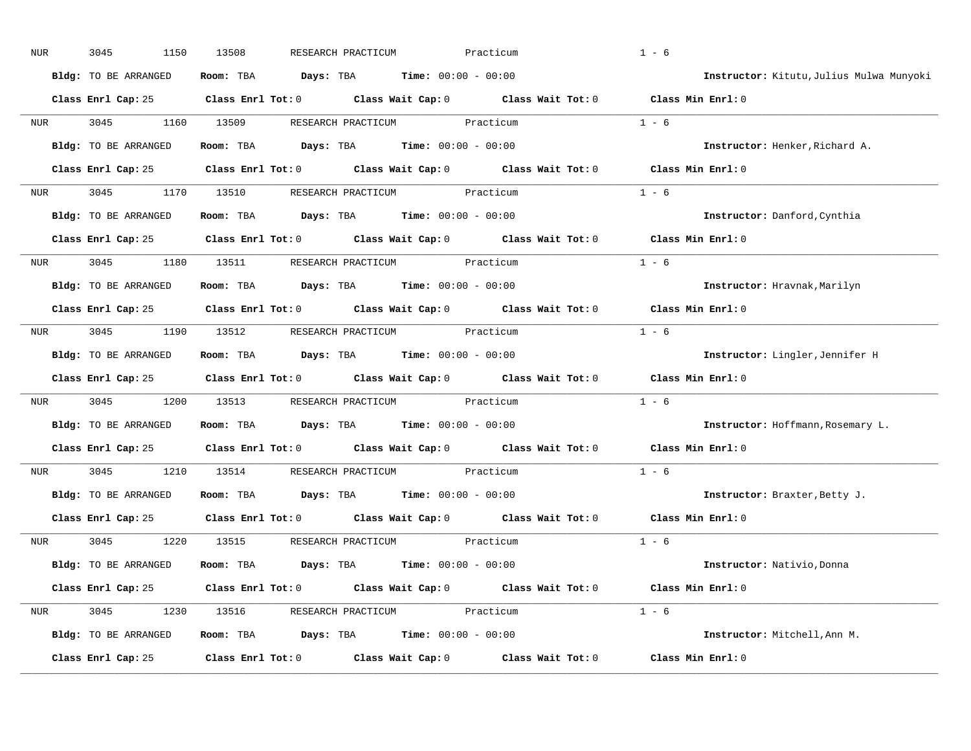| NUR              | 3045<br>1150         | 13508<br>RESEARCH PRACTICUM                                                                | Practicum         | $1 - 6$                                  |
|------------------|----------------------|--------------------------------------------------------------------------------------------|-------------------|------------------------------------------|
|                  | Bldg: TO BE ARRANGED | $\texttt{Days:}$ TBA Time: $00:00 - 00:00$<br>Room: TBA                                    |                   | Instructor: Kitutu, Julius Mulwa Munyoki |
|                  |                      | Class Enrl Cap: 25 Class Enrl Tot: 0 Class Wait Cap: 0 Class Wait Tot: 0 Class Min Enrl: 0 |                   |                                          |
| NUR              | 3045<br>1160         | 13509<br>RESEARCH PRACTICUM                                                                | Practicum         | $1 - 6$                                  |
|                  | Bldg: TO BE ARRANGED | Room: TBA $Days:$ TBA $Time: 00:00 - 00:00$                                                |                   | Instructor: Henker, Richard A.           |
|                  |                      | Class Enrl Cap: 25 Class Enrl Tot: 0 Class Wait Cap: 0 Class Wait Tot: 0 Class Min Enrl: 0 |                   |                                          |
| NUR              | 3045                 | 1170 13510 RESEARCH PRACTICUM Practicum                                                    |                   | $1 - 6$                                  |
|                  | Bldg: TO BE ARRANGED | Room: TBA $Days:$ TBA $Time: 00:00 - 00:00$                                                |                   | Instructor: Danford, Cynthia             |
|                  |                      | Class Enrl Cap: 25 Class Enrl Tot: 0 Class Wait Cap: 0 Class Wait Tot: 0                   |                   | Class Min Enrl: 0                        |
| NUR <sub>p</sub> | 3045 1180            | 13511<br>RESEARCH PRACTICUM Practicum                                                      |                   | $1 - 6$                                  |
|                  | Bldg: TO BE ARRANGED | Room: TBA $Days:$ TBA $Time: 00:00 - 00:00$                                                |                   | Instructor: Hravnak, Marilyn             |
|                  |                      | Class Enrl Cap: 25 Class Enrl Tot: 0 Class Wait Cap: 0 Class Wait Tot: 0                   |                   | Class Min Enrl: 0                        |
|                  |                      | NUR 3045 1190 13512 RESEARCH PRACTICUM Practicum                                           |                   | $1 - 6$                                  |
|                  | Bldg: TO BE ARRANGED | $\texttt{DayS:}$ TBA $\texttt{Time:}$ 00:00 - 00:00<br>Room: TBA                           |                   | Instructor: Lingler, Jennifer H          |
|                  |                      | Class Enrl Cap: 25 Class Enrl Tot: 0 Class Wait Cap: 0 Class Wait Tot: 0                   |                   | Class Min Enrl: 0                        |
| NUR              | 3045<br>1200         | 13513<br>RESEARCH PRACTICUM Practicum                                                      |                   | $1 - 6$                                  |
|                  | Bldg: TO BE ARRANGED | Room: TBA<br><b>Days:</b> TBA <b>Time:</b> $00:00 - 00:00$                                 |                   | Instructor: Hoffmann, Rosemary L.        |
|                  |                      | Class Enrl Cap: 25 Class Enrl Tot: 0 Class Wait Cap: 0 Class Wait Tot: 0                   |                   | Class Min Enrl: 0                        |
| NUR              | 3045<br>1210         | 13514<br>RESEARCH PRACTICUM                                                                | Practicum         | $1 - 6$                                  |
|                  | Bldg: TO BE ARRANGED | <b>Days:</b> TBA <b>Time:</b> $00:00 - 00:00$<br>Room: TBA                                 |                   | Instructor: Braxter, Betty J.            |
|                  |                      | Class Enrl Cap: 25 Class Enrl Tot: 0 Class Wait Cap: 0 Class Wait Tot: 0                   |                   | Class Min Enrl: 0                        |
| NUR              | 3045<br>1220         | 13515<br>RESEARCH PRACTICUM Practicum                                                      |                   | $1 - 6$                                  |
|                  | Bldg: TO BE ARRANGED | Room: TBA $\rule{1em}{0.15mm}$ Days: TBA $\rule{1.15mm}]{0.15mm}$ Time: $0.000 - 0.0000$   |                   | Instructor: Nativio, Donna               |
|                  |                      | Class Enrl Cap: 25 Class Enrl Tot: 0 Class Wait Cap: 0 Class Wait Tot: 0 Class Min Enrl: 0 |                   |                                          |
| NUR              | 3045<br>1230         | 13516<br>RESEARCH PRACTICUM Practicum                                                      |                   | $1 - 6$                                  |
|                  | Bldg: TO BE ARRANGED | Room: TBA $Days:$ TBA $Time: 00:00 - 00:00$                                                |                   | Instructor: Mitchell, Ann M.             |
|                  | Class Enrl Cap: 25   | Class Enrl Tot: 0<br>Class Wait Cap: 0                                                     | Class Wait Tot: 0 | Class Min Enrl: 0                        |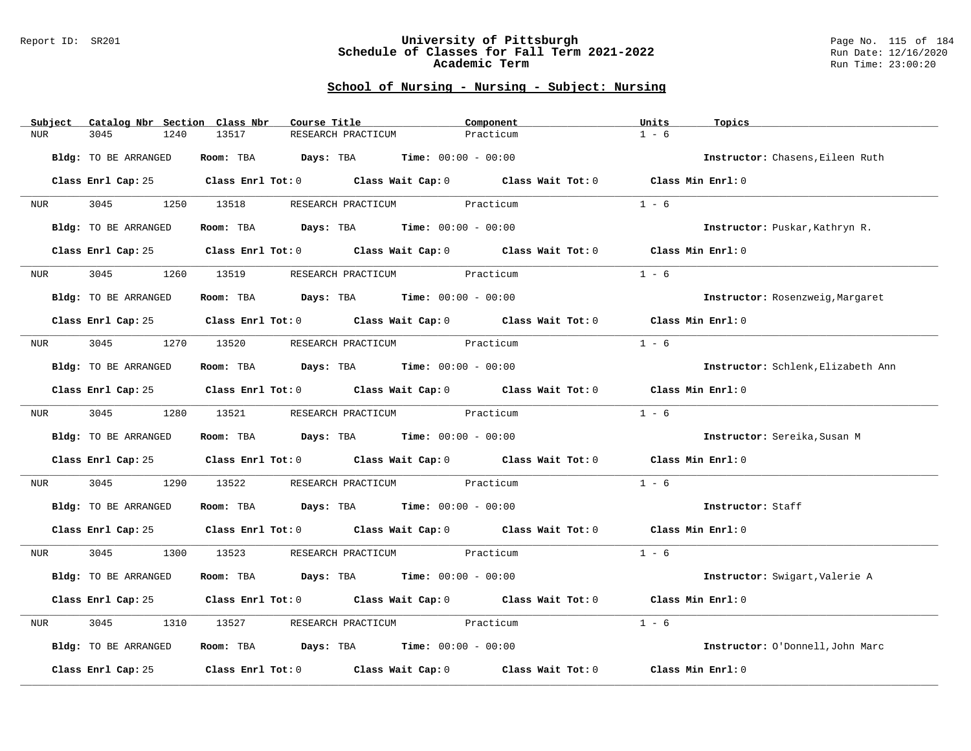#### Report ID: SR201 **University of Pittsburgh** Page No. 115 of 184 **Schedule of Classes for Fall Term 2021-2022** Run Date: 12/16/2020 **Academic Term** Run Time: 23:00:20

| Subject<br>Catalog Nbr Section Class Nbr | Course Title                                                                               | Component | Units<br>Topics                    |
|------------------------------------------|--------------------------------------------------------------------------------------------|-----------|------------------------------------|
| <b>NUR</b><br>3045<br>1240               | 13517<br>RESEARCH PRACTICUM                                                                | Practicum | $1 - 6$                            |
| Bldg: TO BE ARRANGED                     | Room: TBA $Days:$ TBA $Time: 00:00 - 00:00$                                                |           | Instructor: Chasens, Eileen Ruth   |
|                                          | Class Enrl Cap: 25 Class Enrl Tot: 0 Class Wait Cap: 0 Class Wait Tot: 0 Class Min Enrl: 0 |           |                                    |
| NUR                                      | 3045 1250 13518 RESEARCH PRACTICUM Practicum                                               |           | $1 - 6$                            |
| Bldg: TO BE ARRANGED                     | Room: TBA $Days:$ TBA $Time: 00:00 - 00:00$                                                |           | Instructor: Puskar, Kathryn R.     |
| Class Enrl Cap: 25                       | Class Enrl Tot: 0 Class Wait Cap: 0 Class Wait Tot: 0 Class Min Enrl: 0                    |           |                                    |
| 3045<br>1260<br>NUR <sub>tion</sub>      | RESEARCH PRACTICUM Practicum<br>13519                                                      |           | $1 - 6$                            |
| Bldg: TO BE ARRANGED                     | Room: TBA $Days:$ TBA $Time: 00:00 - 00:00$                                                |           | Instructor: Rosenzweig, Margaret   |
|                                          | Class Enrl Cap: 25 Class Enrl Tot: 0 Class Wait Cap: 0 Class Wait Tot: 0 Class Min Enrl: 0 |           |                                    |
| NUR <sub>e</sub>                         | 3045 1270 13520 RESEARCH PRACTICUM Practicum                                               |           | $1 - 6$                            |
| Bldg: TO BE ARRANGED                     | Room: TBA $Days:$ TBA $Time: 00:00 - 00:00$                                                |           | Instructor: Schlenk, Elizabeth Ann |
|                                          | Class Enrl Cap: 25 Class Enrl Tot: 0 Class Wait Cap: 0 Class Wait Tot: 0 Class Min Enrl: 0 |           |                                    |
| NUR <b>NUR</b>                           | 3045 1280 13521 RESEARCH PRACTICUM Practicum                                               |           | $1 - 6$                            |
| Bldg: TO BE ARRANGED                     | Room: TBA $Days:$ TBA $Time: 00:00 - 00:00$                                                |           | Instructor: Sereika, Susan M       |
|                                          | Class Enrl Cap: 25 Class Enrl Tot: 0 Class Wait Cap: 0 Class Wait Tot: 0                   |           | Class Min Enrl: 0                  |
| 3045<br>1290<br>NUR                      | 13522 RESEARCH PRACTICUM Practicum                                                         |           | $1 - 6$                            |
| Bldg: TO BE ARRANGED                     | Room: TBA $Days:$ TBA Time: $00:00 - 00:00$                                                |           | Instructor: Staff                  |
|                                          | Class Enrl Cap: 25 Class Enrl Tot: 0 Class Wait Cap: 0 Class Wait Tot: 0 Class Min Enrl: 0 |           |                                    |
| 3045<br>NUR <sub>e</sub>                 | 1300 13523 RESEARCH PRACTICUM Practicum                                                    |           | $1 - 6$                            |
| Bldg: TO BE ARRANGED                     | Room: TBA $Days:$ TBA $Time: 00:00 - 00:00$                                                |           | Instructor: Swigart, Valerie A     |
|                                          | Class Enrl Cap: 25 Class Enrl Tot: 0 Class Wait Cap: 0 Class Wait Tot: 0                   |           | Class Min Enrl: 0                  |
| 3045<br>1310<br>NUR                      | RESEARCH PRACTICUM Practicum<br>13527                                                      |           | $1 - 6$                            |
| Bldg: TO BE ARRANGED                     | Room: TBA $Days:$ TBA $Time: 00:00 - 00:00$                                                |           | Instructor: O'Donnell, John Marc   |
| Class Enrl Cap: 25                       | Class Enrl Tot: $0$ Class Wait Cap: $0$ Class Wait Tot: $0$                                |           | Class Min Enrl: 0                  |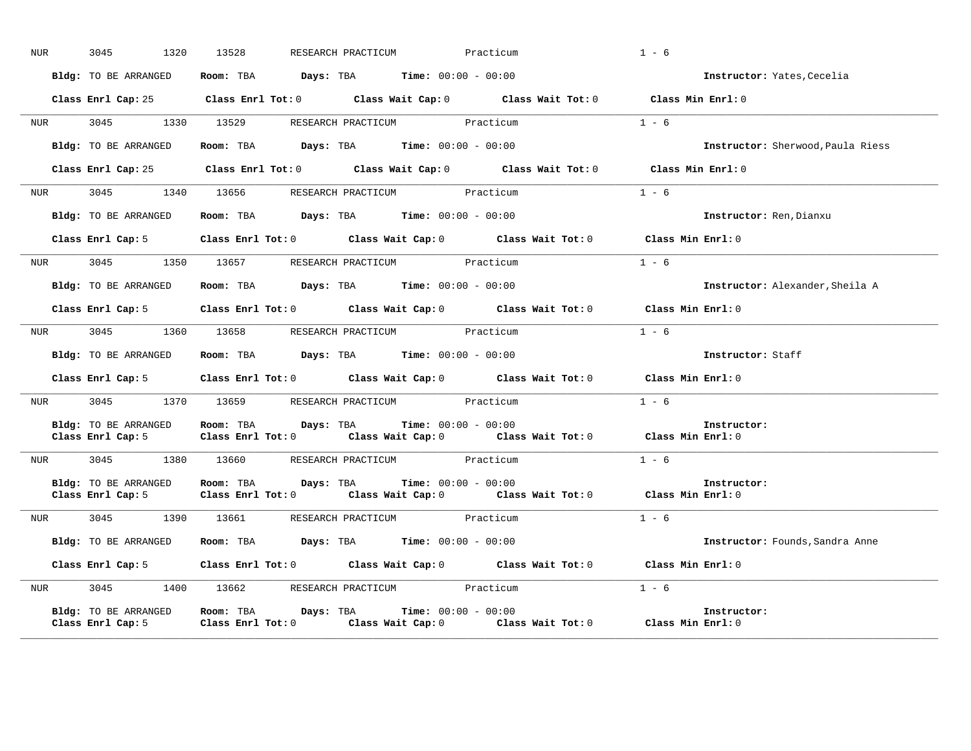| NUR              | 3045<br>1320                              | 13528                                                                                      | RESEARCH PRACTICUM Practicum                                                                       | $1 - 6$                           |
|------------------|-------------------------------------------|--------------------------------------------------------------------------------------------|----------------------------------------------------------------------------------------------------|-----------------------------------|
|                  | Bldg: TO BE ARRANGED                      | Room: TBA $Days: TBA$ Time: $00:00 - 00:00$                                                |                                                                                                    | Instructor: Yates, Cecelia        |
|                  |                                           |                                                                                            | Class Enrl Cap: 25 Class Enrl Tot: 0 Class Wait Cap: 0 Class Wait Tot: 0 Class Min Enrl: 0         |                                   |
|                  |                                           | NUR 3045 1330 13529 RESEARCH PRACTICUM Practicum                                           |                                                                                                    | $1 - 6$                           |
|                  | Bldg: TO BE ARRANGED                      | Room: TBA $Days:$ TBA $Time: 00:00 - 00:00$                                                |                                                                                                    | Instructor: Sherwood, Paula Riess |
|                  |                                           |                                                                                            | Class Enrl Cap: 25 Class Enrl Tot: 0 Class Wait Cap: 0 Class Wait Tot: 0 Class Min Enrl: 0         |                                   |
| NUR <b>NUR</b>   |                                           | 3045 1340 13656 RESEARCH PRACTICUM Practicum                                               |                                                                                                    | $1 - 6$                           |
|                  | Bldg: TO BE ARRANGED                      | Room: TBA $Days:$ TBA $Time: 00:00 - 00:00$                                                |                                                                                                    | Instructor: Ren, Dianxu           |
|                  |                                           |                                                                                            | Class Enrl Cap: 5 Class Enrl Tot: 0 Class Wait Cap: 0 Class Wait Tot: 0 Class Min Enrl: 0          |                                   |
|                  |                                           | NUR 3045 1350 13657 RESEARCH PRACTICUM Practicum                                           |                                                                                                    | $1 - 6$                           |
|                  |                                           | <b>Bldg:</b> TO BE ARRANGED <b>Room:</b> TBA <b>Days:</b> TBA <b>Time:</b> $00:00 - 00:00$ |                                                                                                    | Instructor: Alexander, Sheila A   |
|                  |                                           |                                                                                            | Class Enrl Cap: 5 Class Enrl Tot: 0 Class Wait Cap: 0 Class Wait Tot: 0 Class Min Enrl: 0          |                                   |
|                  |                                           | NUR 3045 1360 13658 RESEARCH PRACTICUM Practicum                                           |                                                                                                    | $1 - 6$                           |
|                  | Bldg: TO BE ARRANGED                      | Room: TBA $Days:$ TBA $Time: 00:00 - 00:00$                                                |                                                                                                    | Instructor: Staff                 |
|                  |                                           |                                                                                            | Class Enrl Cap: 5 $\qquad$ Class Enrl Tot: 0 $\qquad$ Class Wait Cap: 0 $\qquad$ Class Wait Tot: 0 | Class Min Enrl: 0                 |
| <b>NUR</b>       | 3045                                      | 1370 13659 RESEARCH PRACTICUM Practicum                                                    |                                                                                                    | $1 - 6$                           |
|                  | Bldg: TO BE ARRANGED                      | Room: TBA $Days:$ TBA $Time: 00:00 - 00:00$                                                | Class Enrl Cap: 5 Class Enrl Tot: 0 Class Wait Cap: 0 Class Wait Tot: 0 Class Min Enrl: 0          | Instructor:                       |
|                  |                                           | NUR 3045 1380 13660 RESEARCH PRACTICUM Practicum                                           |                                                                                                    | $1 - 6$                           |
|                  | <b>Bldg:</b> TO BE ARRANGED               | <b>Room:</b> TBA <b>Days:</b> TBA <b>Time:</b> 00:00 - 00:00                               | Class Enrl Cap: 5 Class Enrl Tot: 0 Class Wait Cap: 0 Class Wait Tot: 0 Class Min Enrl: 0          | Instructor:                       |
|                  |                                           | NUR 3045 1390 13661 RESEARCH PRACTICUM Practicum                                           |                                                                                                    | $1 - 6$                           |
|                  | Bldg: TO BE ARRANGED                      | Room: TBA $Days:$ TBA Time: $00:00 - 00:00$                                                |                                                                                                    | Instructor: Founds, Sandra Anne   |
|                  |                                           |                                                                                            | Class Enrl Cap: 5 Class Enrl Tot: 0 Class Wait Cap: 0 Class Wait Tot: 0 Class Min Enrl: 0          |                                   |
| NUR <sub>i</sub> |                                           | 3045 1400 13662 RESEARCH PRACTICUM Practicum                                               |                                                                                                    | $1 - 6$                           |
|                  | Bldg: TO BE ARRANGED<br>Class Enrl Cap: 5 | <b>Room:</b> TBA $Days: TBA$ <b>Time:</b> $00:00 - 00:00$                                  | Class Enrl Tot: $0$ Class Wait Cap: $0$ Class Wait Tot: $0$                                        | Instructor:<br>Class Min Enrl: 0  |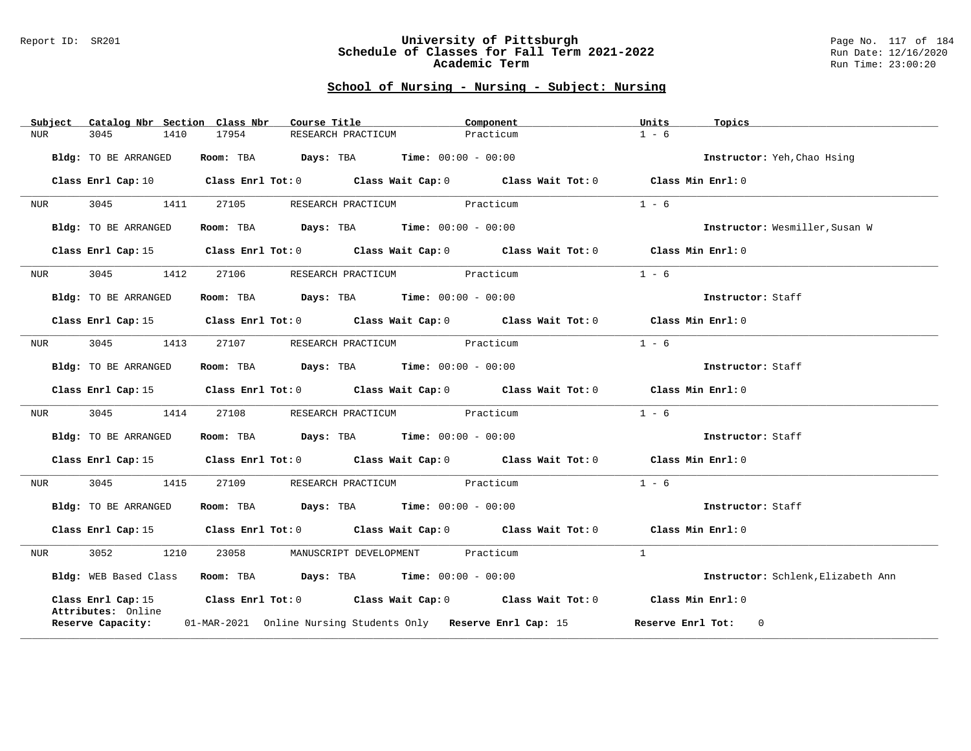#### Report ID: SR201 **University of Pittsburgh** Page No. 117 of 184 **Schedule of Classes for Fall Term 2021-2022** Run Date: 12/16/2020 **Academic Term** Run Time: 23:00:20

|            | Catalog Nbr Section Class Nbr<br>Subject | Course Title                                                   | Component                                                                                                                      | Units<br>Topics                    |
|------------|------------------------------------------|----------------------------------------------------------------|--------------------------------------------------------------------------------------------------------------------------------|------------------------------------|
| <b>NUR</b> | 3045<br>1410                             | 17954<br>RESEARCH PRACTICUM                                    | Practicum                                                                                                                      | $1 - 6$                            |
|            | Bldg: TO BE ARRANGED                     | Room: TBA $Days:$ TBA Time: $00:00 - 00:00$                    |                                                                                                                                | Instructor: Yeh, Chao Hsing        |
|            |                                          |                                                                | Class Enrl Cap: 10 $\qquad$ Class Enrl Tot: 0 $\qquad$ Class Wait Cap: 0 $\qquad$ Class Wait Tot: 0 $\qquad$ Class Min Enrl: 0 |                                    |
| NUR        | 3045<br>1411                             | 27105                                                          | RESEARCH PRACTICUM Practicum                                                                                                   | $1 - 6$                            |
|            | Bldg: TO BE ARRANGED                     | Room: TBA $Days:$ TBA Time: $00:00 - 00:00$                    |                                                                                                                                | Instructor: Wesmiller, Susan W     |
|            |                                          |                                                                | Class Enrl Cap: 15 Class Enrl Tot: 0 Class Wait Cap: 0 Class Wait Tot: 0 Class Min Enrl: 0                                     |                                    |
| NUR        | 3045<br>1412                             | 27106 RESEARCH PRACTICUM Practicum                             |                                                                                                                                | $1 - 6$                            |
|            | Bldg: TO BE ARRANGED                     | Room: TBA $\rule{1em}{0.15mm}$ Days: TBA Time: $00:00 - 00:00$ |                                                                                                                                | Instructor: Staff                  |
|            |                                          |                                                                | Class Enrl Cap: 15 (Class Enrl Tot: 0 (Class Wait Cap: 0 (Class Wait Tot: 0 (Class Min Enrl: 0)                                |                                    |
| NUR        | 3045<br>1413                             | 27107 RESEARCH PRACTICUM Practicum                             |                                                                                                                                | $1 - 6$                            |
|            | Bldg: TO BE ARRANGED                     | Room: TBA $Days:$ TBA $Time: 00:00 - 00:00$                    |                                                                                                                                | Instructor: Staff                  |
|            |                                          |                                                                | Class Enrl Cap: 15 Class Enrl Tot: 0 Class Wait Cap: 0 Class Wait Tot: 0 Class Min Enrl: 0                                     |                                    |
| NUR        | 3045<br>1414                             | 27108                                                          | RESEARCH PRACTICUM Practicum                                                                                                   | $1 - 6$                            |
|            |                                          |                                                                |                                                                                                                                |                                    |
|            | Bldg: TO BE ARRANGED                     | Room: TBA $Days:$ TBA $Time: 00:00 - 00:00$                    |                                                                                                                                | Instructor: Staff                  |
|            |                                          |                                                                | Class Enrl Cap: 15 (Class Enrl Tot: 0 (Class Wait Cap: 0 (Class Wait Tot: 0 (Class Min Enrl: 0)                                |                                    |
| NUR        | 3045<br>1415                             | 27109                                                          | RESEARCH PRACTICUM Practicum                                                                                                   | $1 - 6$                            |
|            | Bldg: TO BE ARRANGED                     | Room: TBA $Days:$ TBA $Time: 00:00 - 00:00$                    |                                                                                                                                | Instructor: Staff                  |
|            |                                          |                                                                | Class Enrl Cap: 15 (Class Enrl Tot: 0 (Class Wait Cap: 0 (Class Wait Tot: 0 (Class Min Enrl: 0)                                |                                    |
| NUR        | 3052<br>1210                             | 23058                                                          | MANUSCRIPT DEVELOPMENT Practicum                                                                                               | $\mathbf{1}$                       |
|            |                                          | Bldg: WEB Based Class Room: TBA Days: TBA Time: 00:00 - 00:00  |                                                                                                                                | Instructor: Schlenk, Elizabeth Ann |
|            | Attributes: Online                       |                                                                | Class Enrl Cap: 15 Class Enrl Tot: 0 Class Wait Cap: 0 Class Wait Tot: 0 Class Min Enrl: 0                                     |                                    |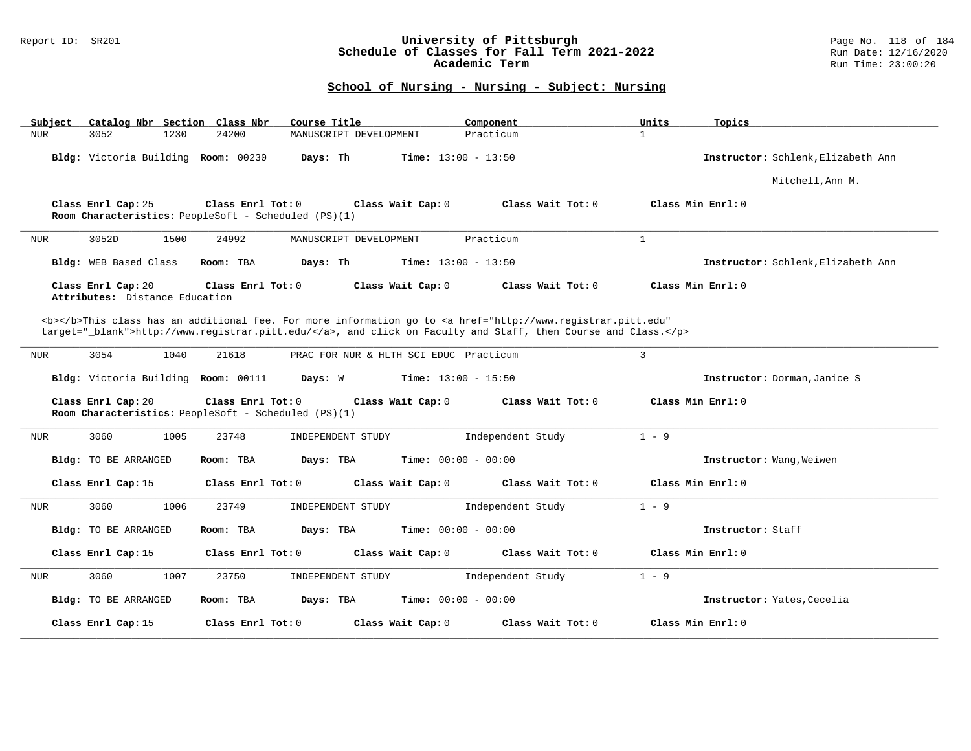### Report ID: SR201 **University of Pittsburgh** Page No. 118 of 184 **Schedule of Classes for Fall Term 2021-2022** Run Date: 12/16/2020 **Academic Term** Run Time: 23:00:20

| Catalog Nbr Section Class Nbr<br>Subject             | Course Title                                                                                                                                                                                                                       | Component                    | Units<br>Topics                    |  |  |
|------------------------------------------------------|------------------------------------------------------------------------------------------------------------------------------------------------------------------------------------------------------------------------------------|------------------------------|------------------------------------|--|--|
| 3052<br>1230<br><b>NUR</b>                           | 24200<br>MANUSCRIPT DEVELOPMENT                                                                                                                                                                                                    | Practicum                    | $\mathbf{1}$                       |  |  |
| Bldg: Victoria Building Room: 00230                  | Days: Th                                                                                                                                                                                                                           | <b>Time:</b> $13:00 - 13:50$ | Instructor: Schlenk, Elizabeth Ann |  |  |
|                                                      |                                                                                                                                                                                                                                    |                              | Mitchell, Ann M.                   |  |  |
| Class Enrl Cap: 25                                   | Class Enrl Tot: 0<br>Class Wait Cap: 0<br>Room Characteristics: PeopleSoft - Scheduled (PS)(1)                                                                                                                                     | Class Wait Tot: 0            | Class Min Enrl: 0                  |  |  |
| 3052D<br>1500<br><b>NUR</b>                          | 24992<br>MANUSCRIPT DEVELOPMENT                                                                                                                                                                                                    | Practicum                    | $\mathbf{1}$                       |  |  |
| Bldg: WEB Based Class                                | Room: TBA<br>Days: Th                                                                                                                                                                                                              | <b>Time:</b> $13:00 - 13:50$ | Instructor: Schlenk, Elizabeth Ann |  |  |
| Class Enrl Cap: 20<br>Attributes: Distance Education | Class Enrl Tot: 0<br>Class Wait Cap: 0                                                                                                                                                                                             | Class Wait Tot: 0            | Class Min Enrl: 0                  |  |  |
|                                                      | <b></b> This class has an additional fee. For more information go to <a <br="" href="http://www.registrar.pitt.edu">target="_blank"&gt;http://www.registrar.pitt.edu/</a> , and click on Faculty and Staff, then Course and Class. |                              |                                    |  |  |
| 3054<br>1040<br><b>NUR</b>                           | 21618<br>PRAC FOR NUR & HLTH SCI EDUC Practicum                                                                                                                                                                                    |                              | 3                                  |  |  |
| Bldg: Victoria Building Room: 00111                  | Days: W                                                                                                                                                                                                                            | <b>Time:</b> $13:00 - 15:50$ | Instructor: Dorman, Janice S       |  |  |
| Class Enrl Cap: 20                                   | Class Enrl Tot: 0<br>Class Wait Cap: 0<br>Room Characteristics: PeopleSoft - Scheduled (PS)(1)                                                                                                                                     | Class Wait $Tot: 0$          | Class Min Enrl: 0                  |  |  |
| 3060<br><b>NUR</b><br>1005                           | 23748<br>INDEPENDENT STUDY                                                                                                                                                                                                         | Independent Study            | $1 - 9$                            |  |  |
| Bldg: TO BE ARRANGED                                 | Room: TBA<br>Days: TBA                                                                                                                                                                                                             | <b>Time:</b> $00:00 - 00:00$ | Instructor: Wang, Weiwen           |  |  |
| Class Enrl Cap: 15                                   | Class Enrl Tot: 0<br>Class Wait Cap: 0                                                                                                                                                                                             | Class Wait Tot: 0            | Class Min Enrl: 0                  |  |  |
| <b>NUR</b><br>3060<br>1006                           | 23749<br>INDEPENDENT STUDY                                                                                                                                                                                                         | Independent Study            | $1 - 9$                            |  |  |
| <b>Bldg:</b> TO BE ARRANGED                          | Room: TBA<br>Days: TBA                                                                                                                                                                                                             | Time: $00:00 - 00:00$        | Instructor: Staff                  |  |  |
| Class Enrl Cap: 15                                   | Class Enrl Tot: 0<br>Class Wait Cap: 0                                                                                                                                                                                             | Class Wait Tot: 0            | Class Min Enrl: 0                  |  |  |
| 3060<br>1007<br><b>NUR</b>                           | 23750<br>INDEPENDENT STUDY                                                                                                                                                                                                         | Independent Study            | $1 - 9$                            |  |  |
| <b>Bldg:</b> TO BE ARRANGED                          | Room: TBA<br>Days: TBA                                                                                                                                                                                                             | <b>Time:</b> $00:00 - 00:00$ | Instructor: Yates, Cecelia         |  |  |
| Class Enrl Cap: 15                                   | Class Enrl Tot: 0<br>Class Wait Cap: 0                                                                                                                                                                                             | Class Wait Tot: 0            | Class Min Enrl: 0                  |  |  |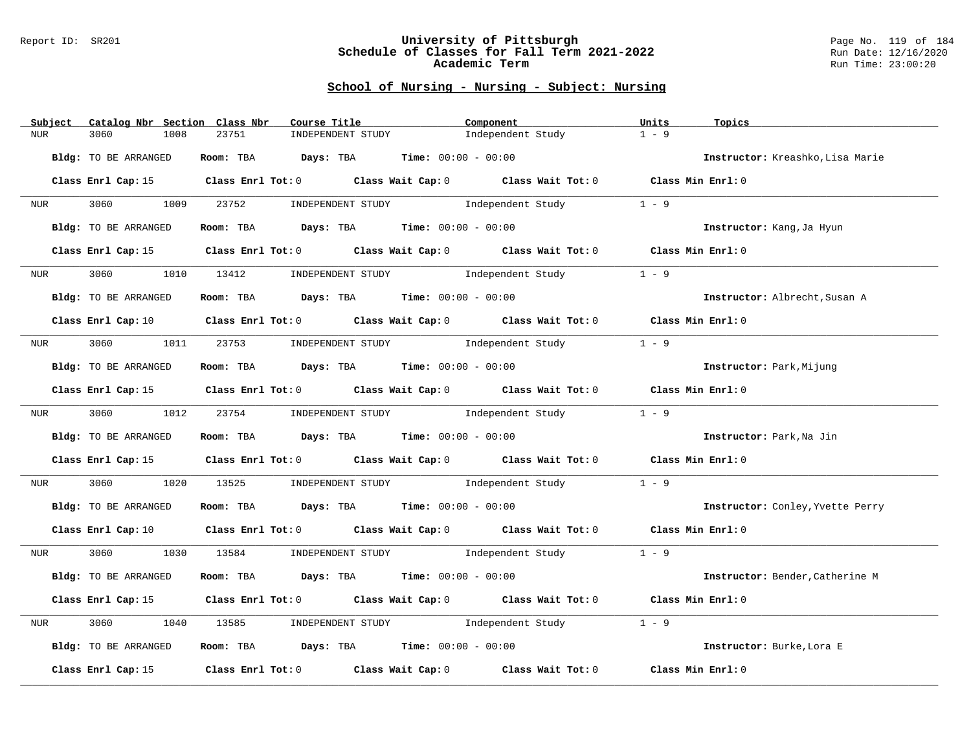#### Report ID: SR201 **University of Pittsburgh** Page No. 119 of 184 **Schedule of Classes for Fall Term 2021-2022** Run Date: 12/16/2020 **Academic Term** Run Time: 23:00:20

| Catalog Nbr Section Class Nbr<br>Subject | Course Title                                                                                                                   | Component         | Units<br>Topics                  |
|------------------------------------------|--------------------------------------------------------------------------------------------------------------------------------|-------------------|----------------------------------|
| 3060<br>1008<br>NUR                      | 23751<br>INDEPENDENT STUDY                                                                                                     | Independent Study | $1 - 9$                          |
| Bldg: TO BE ARRANGED                     | Room: TBA $Days:$ TBA $Time: 00:00 - 00:00$                                                                                    |                   | Instructor: Kreashko, Lisa Marie |
|                                          | Class Enrl Cap: 15 Class Enrl Tot: 0 Class Wait Cap: 0 Class Wait Tot: 0 Class Min Enrl: 0                                     |                   |                                  |
| 3060 1009<br>NUR <sub>p</sub>            | 23752 INDEPENDENT STUDY 1ndependent Study                                                                                      |                   | $1 - 9$                          |
| Bldg: TO BE ARRANGED                     | Room: TBA $Days:$ TBA $Time: 00:00 - 00:00$                                                                                    |                   | Instructor: Kang, Ja Hyun        |
| Class Enrl Cap: 15                       | Class Enrl Tot: 0 Class Wait Cap: 0 Class Wait Tot: 0 Class Min Enrl: 0                                                        |                   |                                  |
| 3060<br><b>NUR</b>                       | 1010 13412 INDEPENDENT STUDY Independent Study                                                                                 |                   | $1 - 9$                          |
| Bldg: TO BE ARRANGED                     | Room: TBA $Days:$ TBA $Time: 00:00 - 00:00$                                                                                    |                   | Instructor: Albrecht, Susan A    |
|                                          | Class Enrl Cap: 10 $\qquad$ Class Enrl Tot: 0 $\qquad$ Class Wait Cap: 0 $\qquad$ Class Wait Tot: 0 $\qquad$ Class Min Enrl: 0 |                   |                                  |
|                                          | NUR 3060 1011 23753 INDEPENDENT STUDY Independent Study                                                                        |                   | $1 - 9$                          |
| Bldg: TO BE ARRANGED                     | Room: TBA $Days:$ TBA $Time: 00:00 - 00:00$                                                                                    |                   | Instructor: Park, Mijung         |
|                                          | Class Enrl Cap: 15 Class Enrl Tot: 0 Class Wait Cap: 0 Class Wait Tot: 0 Class Min Enrl: 0                                     |                   |                                  |
| NUR <b>NUR</b>                           | 3060 1012 23754 INDEPENDENT STUDY Independent Study                                                                            |                   | $1 - 9$                          |
| Bldg: TO BE ARRANGED                     | Room: TBA $Days:$ TBA $Time: 00:00 - 00:00$                                                                                    |                   | Instructor: Park, Na Jin         |
|                                          | Class Enrl Cap: 15 (class Enrl Tot: 0 (class Wait Cap: 0 (class Wait Tot: 0 (class Min Enrl: 0)                                |                   |                                  |
| 3060 000<br>NUR <sub>tion</sub>          | 1020 13525 INDEPENDENT STUDY Independent Study                                                                                 |                   | $1 - 9$                          |
| Bldg: TO BE ARRANGED                     | Room: TBA $Days:$ TBA $Time: 00:00 - 00:00$                                                                                    |                   | Instructor: Conley, Yvette Perry |
|                                          | Class Enrl Cap: 10 $\qquad$ Class Enrl Tot: 0 $\qquad$ Class Wait Cap: 0 $\qquad$ Class Wait Tot: 0 $\qquad$ Class Min Enrl: 0 |                   |                                  |
| NUR <sub>tion</sub>                      | 3060 1030 13584 INDEPENDENT STUDY Independent Study 1 - 9                                                                      |                   |                                  |
| Bldg: TO BE ARRANGED                     | Room: TBA $Days:$ TBA $Time: 00:00 - 00:00$                                                                                    |                   | Instructor: Bender, Catherine M  |
|                                          | Class Enrl Cap: 15 (Class Enrl Tot: 0 (Class Wait Cap: 0 (Class Wait Tot: 0 (Class Min Enrl: 0)                                |                   |                                  |
| 3060<br>1040<br>NUR                      | INDEPENDENT STUDY 1ndependent Study<br>13585                                                                                   |                   | $1 - 9$                          |
| Bldg: TO BE ARRANGED                     | Room: TBA $Days:$ TBA $Time: 00:00 - 00:00$                                                                                    |                   | Instructor: Burke, Lora E        |
|                                          | Class Enrl Cap: 15 $\qquad$ Class Enrl Tot: 0 $\qquad$ Class Wait Cap: 0 $\qquad$ Class Wait Tot: 0                            |                   | Class Min Enrl: 0                |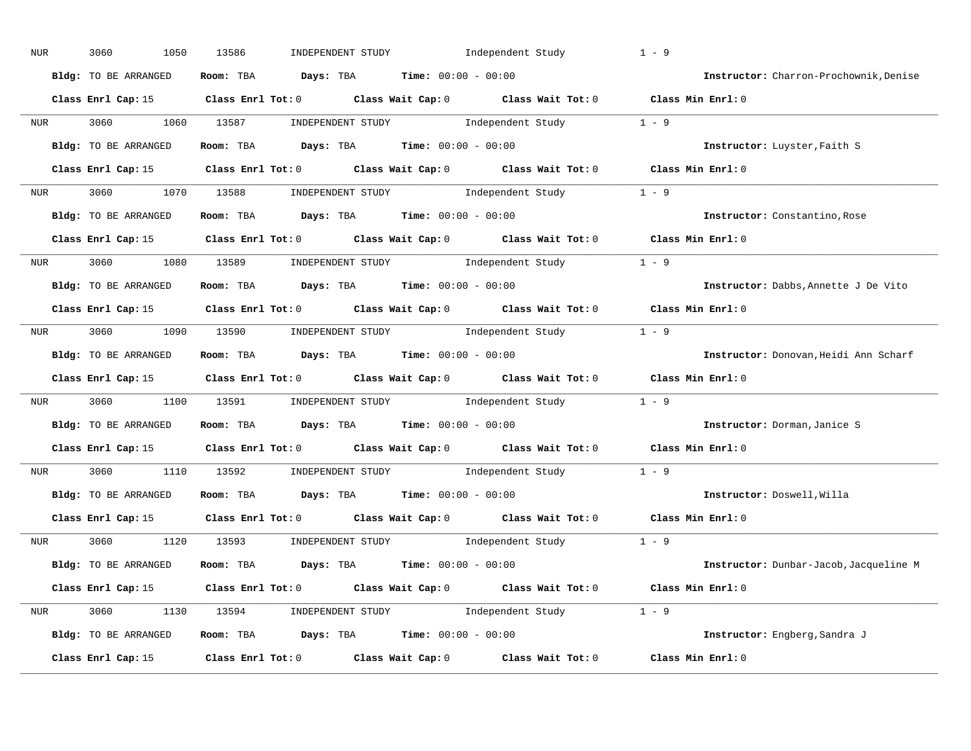| NUR              | 3060<br>1050         | Independent Study<br>13586<br>INDEPENDENT STUDY                                                 | $1 - 9$                                |
|------------------|----------------------|-------------------------------------------------------------------------------------------------|----------------------------------------|
|                  | Bldg: TO BE ARRANGED | Room: TBA $Days:$ TBA $Time: 00:00 - 00:00$                                                     | Instructor: Charron-Prochownik, Denise |
|                  |                      | Class Enrl Cap: 15 (Class Enrl Tot: 0 (Class Wait Cap: 0 (Class Wait Tot: 0 (Class Min Enrl: 0) |                                        |
|                  |                      | NUR 3060 1060 13587 INDEPENDENT STUDY Independent Study 1 - 9                                   |                                        |
|                  | Bldg: TO BE ARRANGED | Room: TBA $Days:$ TBA Time: $00:00 - 00:00$                                                     | Instructor: Luyster, Faith S           |
|                  |                      | Class Enrl Cap: 15 (Class Enrl Tot: 0 (Class Wait Cap: 0 (Class Wait Tot: 0 (Class Min Enrl: 0) |                                        |
|                  |                      | NUR 3060 1070 13588 INDEPENDENT STUDY Independent Study 1 - 9                                   |                                        |
|                  | Bldg: TO BE ARRANGED | Room: TBA $Days:$ TBA $Time: 00:00 - 00:00$                                                     | Instructor: Constantino, Rose          |
|                  |                      | Class Enrl Cap: 15 Class Enrl Tot: 0 Class Wait Cap: 0 Class Wait Tot: 0 Class Min Enrl: 0      |                                        |
|                  |                      | NUR 3060 1080 13589 INDEPENDENT STUDY Independent Study 1 - 9                                   |                                        |
|                  | Bldg: TO BE ARRANGED | Room: TBA $Days:$ TBA $Time: 00:00 - 00:00$                                                     | Instructor: Dabbs, Annette J De Vito   |
|                  |                      | Class Enrl Cap: 15 Class Enrl Tot: 0 Class Wait Cap: 0 Class Wait Tot: 0 Class Min Enrl: 0      |                                        |
|                  |                      | NUR 3060 1090 13590 INDEPENDENT STUDY Independent Study 1 - 9                                   |                                        |
|                  | Bldg: TO BE ARRANGED | Room: TBA $Days:$ TBA $Time: 00:00 - 00:00$                                                     | Instructor: Donovan, Heidi Ann Scharf  |
|                  |                      | Class Enrl Cap: 15 (Class Enrl Tot: 0 (Class Wait Cap: 0 (Class Wait Tot: 0 (Class Min Enrl: 0) |                                        |
| NUR <sub>p</sub> |                      | 3060 1100 13591 INDEPENDENT STUDY Independent Study 1 - 9                                       |                                        |
|                  | Bldg: TO BE ARRANGED | Room: TBA $Days:$ TBA $Time: 00:00 - 00:00$                                                     | Instructor: Dorman, Janice S           |
|                  |                      | Class Enrl Cap: 15 (Class Enrl Tot: 0 (Class Wait Cap: 0 (Class Wait Tot: 0 (Class Min Enrl: 0) |                                        |
| <b>NUR</b>       |                      | 3060 1110 13592 INDEPENDENT STUDY Independent Study 1 - 9                                       |                                        |
|                  | Bldg: TO BE ARRANGED | Room: TBA $Days:$ TBA $Time: 00:00 - 00:00$                                                     | Instructor: Doswell, Willa             |
|                  | Class Enrl Cap: 15   | Class Enrl Tot: $0$ Class Wait Cap: $0$ Class Wait Tot: $0$                                     | Class Min Enrl: 0                      |
|                  |                      | NUR 3060 1120 13593 INDEPENDENT STUDY Independent Study 1 - 9                                   |                                        |
|                  | Bldg: TO BE ARRANGED | Room: TBA $Days:$ TBA $Time: 00:00 - 00:00$                                                     | Instructor: Dunbar-Jacob, Jacqueline M |
|                  |                      | Class Enrl Cap: 15 Class Enrl Tot: 0 Class Wait Cap: 0 Class Wait Tot: 0 Class Min Enrl: 0      |                                        |
|                  |                      | NUR 3060 1130 13594 INDEPENDENT STUDY Independent Study 1 - 9                                   |                                        |
|                  | Bldg: TO BE ARRANGED | Room: TBA $Days: TBA$ Time: $00:00 - 00:00$                                                     | Instructor: Engberg, Sandra J          |
|                  |                      | Class Enrl Cap: 15 Class Enrl Tot: 0 Class Wait Cap: 0 Class Wait Tot: 0                        | Class Min Enrl: 0                      |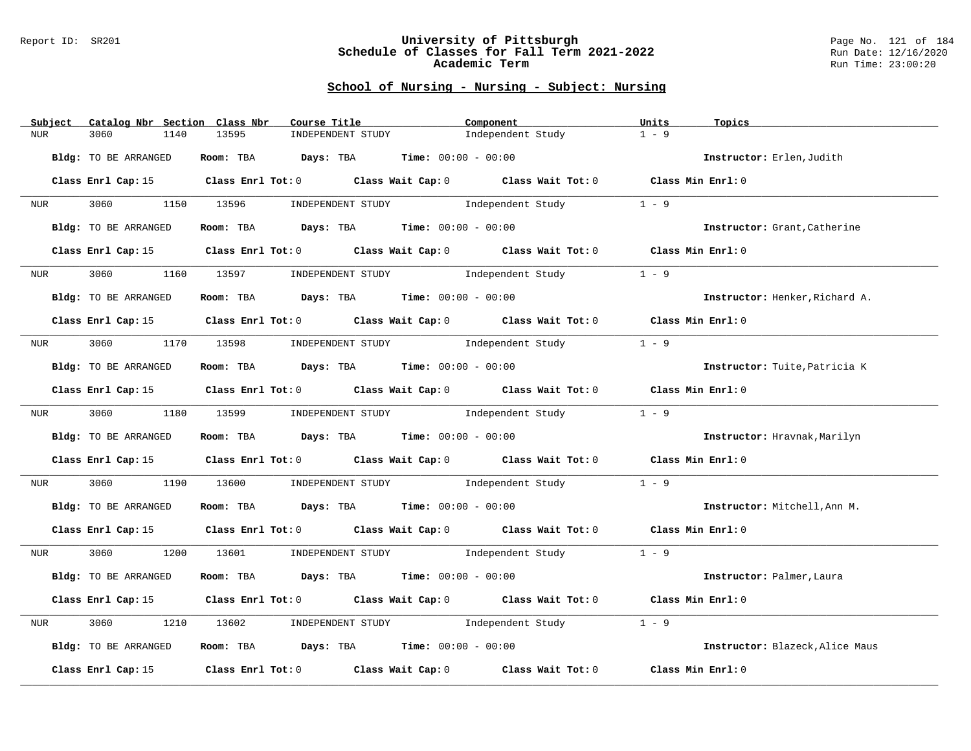#### Report ID: SR201 **University of Pittsburgh** Page No. 121 of 184 **Schedule of Classes for Fall Term 2021-2022** Run Date: 12/16/2020 **Academic Term** Run Time: 23:00:20

| Catalog Nbr Section Class Nbr<br>Subject | Course Title                                                                                        | Component                           | Units<br>Topics                 |
|------------------------------------------|-----------------------------------------------------------------------------------------------------|-------------------------------------|---------------------------------|
| 3060<br>NUR<br>1140                      | 13595<br>INDEPENDENT STUDY                                                                          | Independent Study                   | $1 - 9$                         |
| Bldg: TO BE ARRANGED                     | Room: TBA $Days:$ TBA $Time: 00:00 - 00:00$                                                         |                                     | Instructor: Erlen, Judith       |
|                                          | Class Enrl Cap: 15 Class Enrl Tot: 0 Class Wait Cap: 0 Class Wait Tot: 0 Class Min Enrl: 0          |                                     |                                 |
| 3060 1150 13596<br>NUR <sub>p</sub>      | INDEPENDENT STUDY 1ndependent Study                                                                 |                                     | $1 - 9$                         |
| Bldg: TO BE ARRANGED                     | Room: TBA $Days:$ TBA $Time: 00:00 - 00:00$                                                         |                                     | Instructor: Grant, Catherine    |
| Class Enrl Cap: 15                       | Class Enrl Tot: 0 Class Wait Cap: 0 Class Wait Tot: 0 Class Min Enrl: 0                             |                                     |                                 |
| 3060<br><b>NUR</b>                       | 1160 13597                                                                                          | INDEPENDENT STUDY 1ndependent Study | $1 - 9$                         |
| Bldg: TO BE ARRANGED                     | Room: TBA $Days:$ TBA $Time: 00:00 - 00:00$                                                         |                                     | Instructor: Henker, Richard A.  |
|                                          | Class Enrl Cap: 15 Class Enrl Tot: 0 Class Wait Cap: 0 Class Wait Tot: 0 Class Min Enrl: 0          |                                     |                                 |
|                                          | NUR 3060 1170 13598 INDEPENDENT STUDY Independent Study                                             |                                     | $1 - 9$                         |
| Bldg: TO BE ARRANGED                     | Room: TBA $Days:$ TBA $Time: 00:00 - 00:00$                                                         |                                     | Instructor: Tuite, Patricia K   |
|                                          | Class Enrl Cap: 15 Class Enrl Tot: 0 Class Wait Cap: 0 Class Wait Tot: 0 Class Min Enrl: 0          |                                     |                                 |
| NUR <b>NUR</b>                           | 3060 1180 13599 INDEPENDENT STUDY Independent Study                                                 |                                     | $1 - 9$                         |
| Bldg: TO BE ARRANGED                     | Room: TBA $Days:$ TBA $Time: 00:00 - 00:00$                                                         |                                     | Instructor: Hravnak, Marilyn    |
|                                          | Class Enrl Cap: 15 (class Enrl Tot: 0 (class Wait Cap: 0 (class Wait Tot: 0 (class Min Enrl: 0)     |                                     |                                 |
| 3060 000<br>NUR <sub>u</sub>             | 1190 13600 INDEPENDENT STUDY Independent Study                                                      |                                     | $1 - 9$                         |
| Bldg: TO BE ARRANGED                     | Room: TBA $Days:$ TBA $Time: 00:00 - 00:00$                                                         |                                     | Instructor: Mitchell, Ann M.    |
|                                          | Class Enrl Cap: 15 (Class Enrl Tot: 0 (Class Wait Cap: 0 (Class Wait Tot: 0 (Class Min Enrl: 0)     |                                     |                                 |
| NUR <sub>tion</sub>                      | 3060 1200 13601 INDEPENDENT STUDY Independent Study 1 - 9                                           |                                     |                                 |
| Bldg: TO BE ARRANGED                     | Room: TBA $Days:$ TBA $Time: 00:00 - 00:00$                                                         |                                     | Instructor: Palmer, Laura       |
|                                          | Class Enrl Cap: 15 (Class Enrl Tot: 0 (Class Wait Cap: 0 (Class Wait Tot: 0 (Class Min Enrl: 0)     |                                     |                                 |
| 3060<br>1210<br>NUR                      | INDEPENDENT STUDY 1ndependent Study<br>13602                                                        |                                     | $1 - 9$                         |
| Bldg: TO BE ARRANGED                     | Room: TBA $Days:$ TBA $Time: 00:00 - 00:00$                                                         |                                     | Instructor: Blazeck, Alice Maus |
|                                          | Class Enrl Cap: 15 $\qquad$ Class Enrl Tot: 0 $\qquad$ Class Wait Cap: 0 $\qquad$ Class Wait Tot: 0 |                                     | Class Min Enrl: 0               |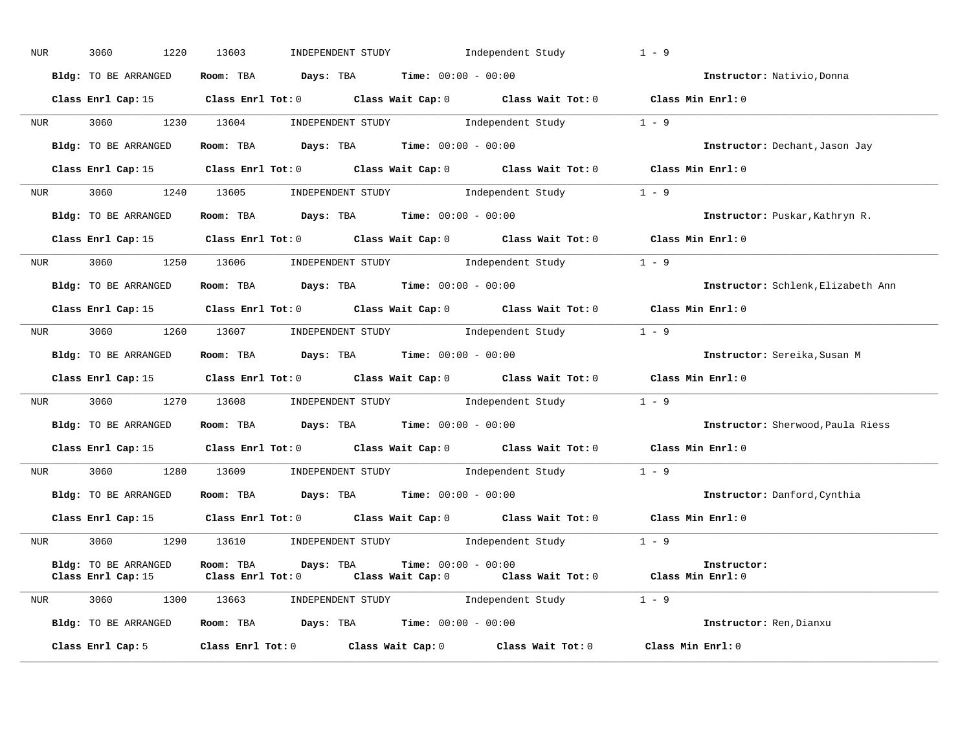| <b>NUR</b> | 3060<br>1220         | INDEPENDENT STUDY 1ndependent Study<br>13603                                                                                                  | $1 - 9$                            |
|------------|----------------------|-----------------------------------------------------------------------------------------------------------------------------------------------|------------------------------------|
|            | Bldg: TO BE ARRANGED | Room: TBA $Days:$ TBA $Time: 00:00 - 00:00$                                                                                                   | Instructor: Nativio, Donna         |
|            |                      | Class Enrl Cap: 15 Class Enrl Tot: 0 Class Wait Cap: 0 Class Wait Tot: 0 Class Min Enrl: 0                                                    |                                    |
|            |                      | NUR 3060 1230 13604 INDEPENDENT STUDY Independent Study 1 - 9                                                                                 |                                    |
|            | Bldg: TO BE ARRANGED | Room: TBA $Days:$ TBA Time: $00:00 - 00:00$                                                                                                   | Instructor: Dechant, Jason Jay     |
|            |                      | Class Enrl Cap: 15 Class Enrl Tot: 0 Class Wait Cap: 0 Class Wait Tot: 0 Class Min Enrl: 0                                                    |                                    |
|            |                      | NUR 3060 1240 13605 INDEPENDENT STUDY Independent Study 1 - 9                                                                                 |                                    |
|            | Bldg: TO BE ARRANGED | Room: TBA $Days:$ TBA $Time: 00:00 - 00:00$                                                                                                   | Instructor: Puskar, Kathryn R.     |
|            |                      | Class Enrl Cap: 15 Class Enrl Tot: 0 Class Wait Cap: 0 Class Wait Tot: 0 Class Min Enrl: 0                                                    |                                    |
|            |                      | NUR 3060 1250 13606 INDEPENDENT STUDY Independent Study 1 - 9                                                                                 |                                    |
|            | Bldg: TO BE ARRANGED | Room: TBA $Days: TBA$ Time: $00:00 - 00:00$                                                                                                   | Instructor: Schlenk, Elizabeth Ann |
|            |                      | Class Enrl Cap: 15 Class Enrl Tot: 0 Class Wait Cap: 0 Class Wait Tot: 0 Class Min Enrl: 0                                                    |                                    |
| <b>NUR</b> |                      | 3060 1260 13607 INDEPENDENT STUDY Independent Study 1 - 9                                                                                     |                                    |
|            | Bldg: TO BE ARRANGED | Room: TBA $Days:$ TBA Time: $00:00 - 00:00$                                                                                                   | Instructor: Sereika, Susan M       |
|            |                      | Class Enrl Cap: 15 Class Enrl Tot: 0 Class Wait Cap: 0 Class Wait Tot: 0 Class Min Enrl: 0                                                    |                                    |
|            |                      | NUR 3060 1270 13608 INDEPENDENT STUDY Independent Study 1 - 9                                                                                 |                                    |
|            | Bldg: TO BE ARRANGED | Room: TBA $Days:$ TBA $Time: 00:00 - 00:00$                                                                                                   | Instructor: Sherwood, Paula Riess  |
|            |                      | Class Enrl Cap: 15 Class Enrl Tot: 0 Class Wait Cap: 0 Class Wait Tot: 0 Class Min Enrl: 0                                                    |                                    |
|            |                      | NUR 3060 1280 13609 INDEPENDENT STUDY Independent Study 1 - 9                                                                                 |                                    |
|            | Bldg: TO BE ARRANGED | Room: TBA $Days: TBA$ Time: $00:00 - 00:00$                                                                                                   | Instructor: Danford, Cynthia       |
|            |                      | Class Enrl Cap: 15 Class Enrl Tot: 0 Class Wait Cap: 0 Class Wait Tot: 0 Class Min Enrl: 0                                                    |                                    |
|            |                      | NUR 3060 1290 13610 INDEPENDENT STUDY Independent Study 1 - 9                                                                                 |                                    |
|            | Bldg: TO BE ARRANGED | Room: TBA $Days:$ TBA $Time: 00:00 - 00:00$<br>Class Enrl Cap: 15 (Class Enrl Tot: 0 (Class Wait Cap: 0 (Class Wait Tot: 0 (Class Min Enrl: 0 | Instructor:                        |
|            |                      | NUR 3060 1300 13663 INDEPENDENT STUDY Independent Study                                                                                       | $1 - 9$                            |
|            | Bldg: TO BE ARRANGED | <b>Room:</b> TBA <b>Days:</b> TBA <b>Time:</b> 00:00 - 00:00                                                                                  | Instructor: Ren, Dianxu            |
|            | Class Enrl Cap: 5    | Class Enrl Tot: $0$ Class Wait Cap: $0$ Class Wait Tot: $0$                                                                                   | Class Min Enrl: 0                  |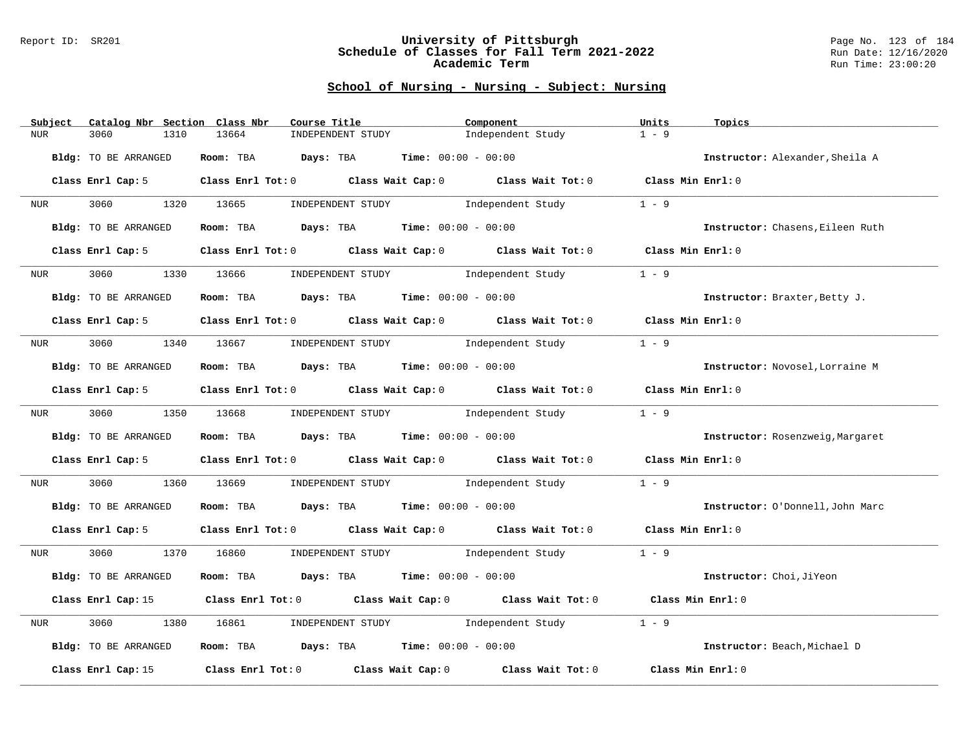#### Report ID: SR201 **University of Pittsburgh** Page No. 123 of 184 **Schedule of Classes for Fall Term 2021-2022** Run Date: 12/16/2020 **Academic Term** Run Time: 23:00:20

| Subject                      | Catalog Nbr Section Class Nbr | Course Title                                                   | Component                                                                                       | Units<br>Topics                 |                                  |
|------------------------------|-------------------------------|----------------------------------------------------------------|-------------------------------------------------------------------------------------------------|---------------------------------|----------------------------------|
| 3060<br><b>NUR</b>           | 1310<br>13664                 | INDEPENDENT STUDY                                              | Independent Study                                                                               | $1 - 9$                         |                                  |
| Bldg: TO BE ARRANGED         | Room: TBA                     | <b>Days:</b> TBA <b>Time:</b> $00:00 - 00:00$                  |                                                                                                 | Instructor: Alexander, Sheila A |                                  |
| Class Enrl Cap: 5            |                               |                                                                | Class Enrl Tot: 0 Class Wait Cap: 0 Class Wait Tot: 0 Class Min Enrl: 0                         |                                 |                                  |
| 3060 000<br>NUR <sub>p</sub> | 1320 13665                    | INDEPENDENT STUDY 1ndependent Study                            |                                                                                                 | $1 - 9$                         |                                  |
| Bldg: TO BE ARRANGED         |                               | Room: TBA $Days: TBA$ Time: $00:00 - 00:00$                    |                                                                                                 |                                 | Instructor: Chasens, Eileen Ruth |
| Class Enrl Cap: 5            |                               | Class Enrl Tot: 0 Class Wait Cap: 0 Class Wait Tot: 0          |                                                                                                 | Class Min Enrl: 0               |                                  |
| 3060<br>NUR <sub>p</sub>     | 1330<br>13666                 | INDEPENDENT STUDY 1ndependent Study                            |                                                                                                 | $1 - 9$                         |                                  |
| Bldg: TO BE ARRANGED         |                               | Room: TBA $Days:$ TBA $Time: 00:00 - 00:00$                    |                                                                                                 | Instructor: Braxter, Betty J.   |                                  |
| Class Enrl Cap: 5            |                               |                                                                | Class Enrl Tot: 0 Class Wait Cap: 0 Class Wait Tot: 0 Class Min Enrl: 0                         |                                 |                                  |
| NUR <sub>e</sub>             |                               | 3060 1340 13667 INDEPENDENT STUDY Independent Study            |                                                                                                 | $1 - 9$                         |                                  |
| Bldg: TO BE ARRANGED         |                               | Room: TBA $\rule{1em}{0.15mm}$ Days: TBA Time: $00:00 - 00:00$ |                                                                                                 | Instructor: Novosel, Lorraine M |                                  |
| Class Enrl Cap: 5            |                               | Class Enrl Tot: $0$ Class Wait Cap: $0$ Class Wait Tot: $0$    |                                                                                                 | Class Min Enrl: 0               |                                  |
| 3060<br>NUR <sub>e</sub>     | 1350 13668                    | INDEPENDENT STUDY 1ndependent Study                            |                                                                                                 | $1 - 9$                         |                                  |
| Bldg: TO BE ARRANGED         |                               | <b>Room:</b> TBA $Days: TBA$ <b>Time:</b> $00:00 - 00:00$      |                                                                                                 |                                 | Instructor: Rosenzweig, Margaret |
| Class Enrl Cap: 5            |                               | Class Enrl Tot: $0$ Class Wait Cap: $0$ Class Wait Tot: $0$    |                                                                                                 | Class Min Enrl: 0               |                                  |
| 3060<br>NUR                  | 1360<br>13669                 |                                                                | INDEPENDENT STUDY 1ndependent Study                                                             | $1 - 9$                         |                                  |
| Bldg: TO BE ARRANGED         |                               | Room: TBA $Days: TBA$ Time: $00:00 - 00:00$                    |                                                                                                 |                                 | Instructor: O'Donnell, John Marc |
| Class Enrl Cap: 5            |                               |                                                                | Class Enrl Tot: 0 Class Wait Cap: 0 Class Wait Tot: 0 Class Min Enrl: 0                         |                                 |                                  |
| 3060<br>NUR                  | 1370 16860                    |                                                                | INDEPENDENT STUDY 1ndependent Study                                                             | $1 - 9$                         |                                  |
| Bldg: TO BE ARRANGED         |                               | Room: TBA $Days: TBA$ Time: $00:00 - 00:00$                    |                                                                                                 | Instructor: Choi, JiYeon        |                                  |
|                              |                               |                                                                | Class Enrl Cap: 15 (Class Enrl Tot: 0 (Class Wait Cap: 0 (Class Wait Tot: 0 (Class Min Enrl: 0) |                                 |                                  |
| 3060<br>NUR                  | 1380<br>16861                 | INDEPENDENT STUDY 1ndependent Study                            |                                                                                                 | $1 - 9$                         |                                  |
| Bldg: TO BE ARRANGED         |                               | Room: TBA $Days:$ TBA $Time: 00:00 - 00:00$                    |                                                                                                 | Instructor: Beach, Michael D    |                                  |
| Class Enrl Cap: 15           |                               |                                                                | Class Enrl Tot: 0 Class Wait Cap: 0 Class Wait Tot: 0                                           | Class Min Enrl: 0               |                                  |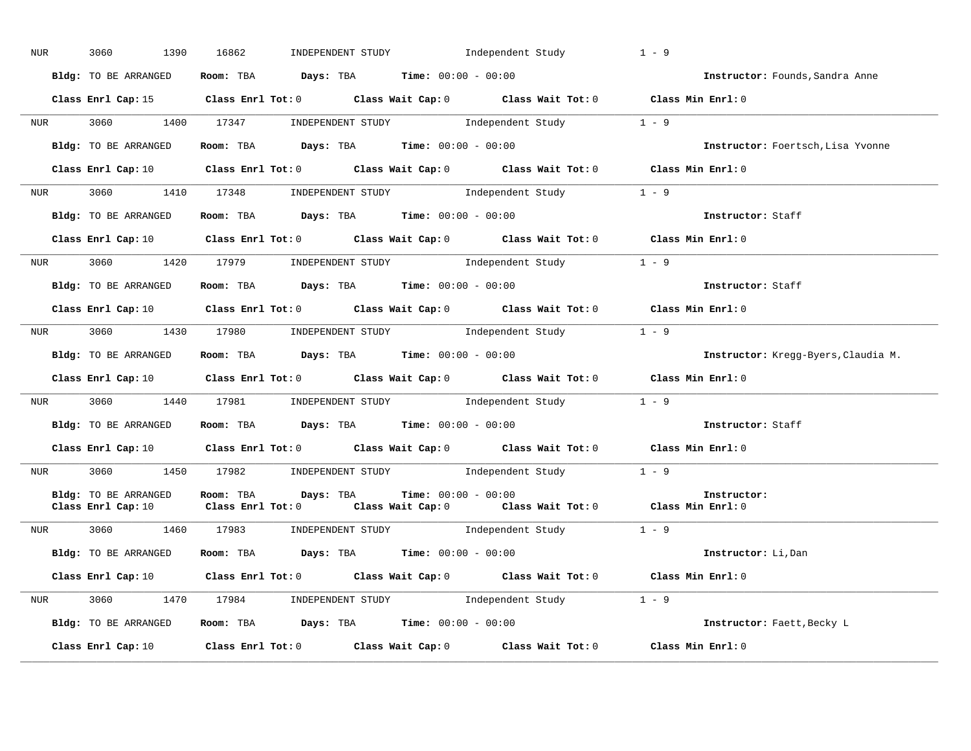| NUR <sub>e</sub> | 3060<br>1390                               | 16862<br>INDEPENDENT STUDY                Independent Study                                                                                                                                                                                         | $1 - 9$                             |
|------------------|--------------------------------------------|-----------------------------------------------------------------------------------------------------------------------------------------------------------------------------------------------------------------------------------------------------|-------------------------------------|
|                  | Bldg: TO BE ARRANGED                       | Room: TBA $Days:$ TBA $Time: 00:00 - 00:00$                                                                                                                                                                                                         | Instructor: Founds, Sandra Anne     |
|                  |                                            | Class Enrl Cap: 15 Class Enrl Tot: 0 Class Wait Cap: 0 Class Wait Tot: 0 Class Min Enrl: 0                                                                                                                                                          |                                     |
|                  |                                            | NUR 3060 1400 17347 INDEPENDENT STUDY Independent Study 1 - 9                                                                                                                                                                                       |                                     |
|                  |                                            | Bldg: TO BE ARRANGED Room: TBA Days: TBA Time: 00:00 - 00:00                                                                                                                                                                                        | Instructor: Foertsch, Lisa Yvonne   |
|                  |                                            | Class Enrl Cap: 10 $\qquad$ Class Enrl Tot: 0 $\qquad$ Class Wait Cap: 0 $\qquad$ Class Wait Tot: 0 $\qquad$ Class Min Enrl: 0                                                                                                                      |                                     |
|                  |                                            | NUR 3060 1410 17348 INDEPENDENT STUDY Independent Study 1 - 9                                                                                                                                                                                       |                                     |
|                  | Bldg: TO BE ARRANGED                       | Room: TBA $Days:$ TBA $Time: 00:00 - 00:00$                                                                                                                                                                                                         | Instructor: Staff                   |
|                  |                                            | Class Enrl Cap: 10 $\qquad$ Class Enrl Tot: 0 $\qquad$ Class Wait Cap: 0 $\qquad$ Class Wait Tot: 0 $\qquad$ Class Min Enrl: 0                                                                                                                      |                                     |
|                  |                                            | NUR 3060 1420 17979 INDEPENDENT STUDY Independent Study 1 - 9                                                                                                                                                                                       |                                     |
|                  | Bldg: TO BE ARRANGED                       | Room: TBA $\rule{1em}{0.15mm}$ Days: TBA Time: $00:00 - 00:00$                                                                                                                                                                                      | Instructor: Staff                   |
|                  |                                            | Class Enrl Cap: 10 $\qquad$ Class Enrl Tot: 0 $\qquad$ Class Wait Cap: 0 $\qquad$ Class Wait Tot: 0 $\qquad$ Class Min Enrl: 0                                                                                                                      |                                     |
|                  |                                            | NUR 3060 1430 17980 INDEPENDENT STUDY Independent Study 1 - 9                                                                                                                                                                                       |                                     |
|                  | Bldg: TO BE ARRANGED                       | Room: TBA $\rule{1em}{0.15mm}$ Days: TBA Time: $00:00 - 00:00$                                                                                                                                                                                      | Instructor: Kregg-Byers, Claudia M. |
|                  |                                            | Class Enrl Cap: 10 $\qquad$ Class Enrl Tot: 0 $\qquad$ Class Wait Cap: 0 $\qquad$ Class Wait Tot: 0 $\qquad$ Class Min Enrl: 0                                                                                                                      |                                     |
|                  |                                            | NUR 3060 1440 17981 INDEPENDENT STUDY Independent Study 1 - 9                                                                                                                                                                                       |                                     |
|                  | Bldg: TO BE ARRANGED                       | Room: TBA $Days:$ TBA $Time: 00:00 - 00:00$                                                                                                                                                                                                         | Instructor: Staff                   |
|                  |                                            | Class Enrl Cap: 10 $\qquad$ Class Enrl Tot: 0 $\qquad$ Class Wait Cap: 0 $\qquad$ Class Wait Tot: 0 $\qquad$ Class Min Enrl: 0                                                                                                                      |                                     |
|                  |                                            | NUR 3060 1450 17982 INDEPENDENT STUDY Independent Study 1 - 9                                                                                                                                                                                       |                                     |
|                  | Bldg: TO BE ARRANGED<br>Class Enrl Cap: 10 | <b>Time:</b> $00:00 - 00:00$<br>Room: TBA<br>Days: TBA<br>This class with the control of the control of the control of the control of the class with the class with Enri<br>Class Enrl Tot: 0 Class Wait Cap: 0 Class Wait Tot: 0 Class Min Enrl: 0 | Instructor:                         |
|                  |                                            | NUR 3060 1460 17983 INDEPENDENT STUDY Independent Study 1 - 9                                                                                                                                                                                       |                                     |
|                  | Bldg: TO BE ARRANGED                       | Room: TBA $\rule{1em}{0.15mm}$ Days: TBA Time: $00:00 - 00:00$                                                                                                                                                                                      | Instructor: Li, Dan                 |
|                  |                                            | Class Enrl Cap: 10 $\qquad$ Class Enrl Tot: 0 $\qquad$ Class Wait Cap: 0 $\qquad$ Class Wait Tot: 0 $\qquad$ Class Min Enrl: 0                                                                                                                      |                                     |
|                  |                                            | NUR 3060 1470 17984 INDEPENDENT STUDY Independent Study 1 - 9                                                                                                                                                                                       |                                     |
|                  | Bldg: TO BE ARRANGED                       | <b>Room:</b> TBA <b>Days:</b> TBA <b>Time:</b> 00:00 - 00:00                                                                                                                                                                                        | Instructor: Faett, Becky L          |
|                  | Class Enrl Cap: 10                         | Class Enrl Tot: 0 Class Wait Cap: 0 Class Wait Tot: 0 Class Min Enrl: 0                                                                                                                                                                             |                                     |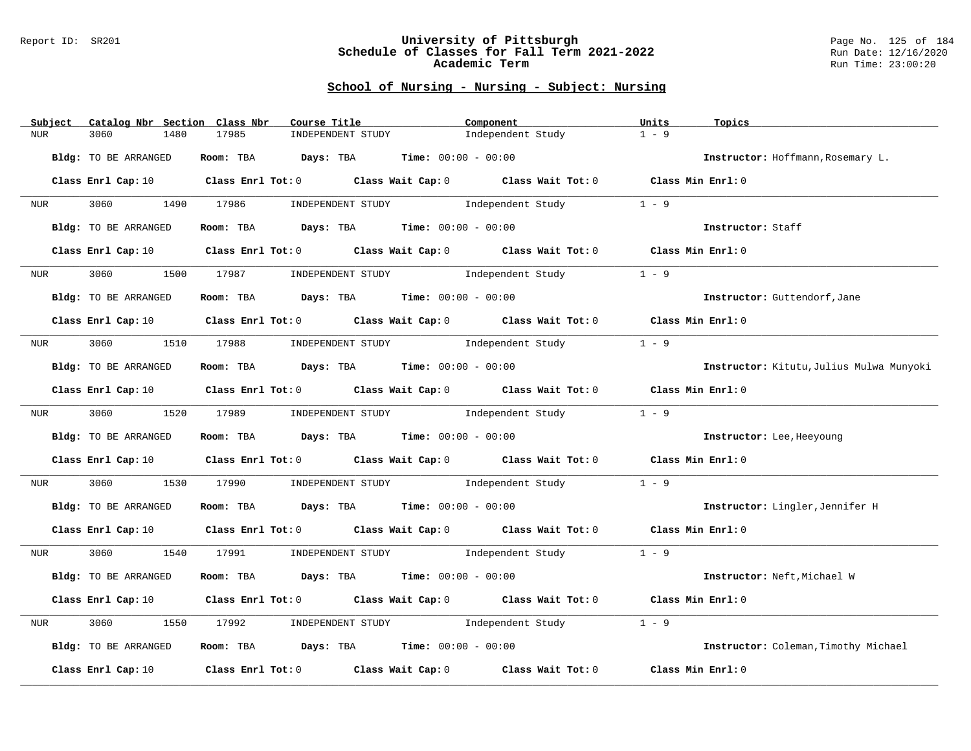#### Report ID: SR201 **University of Pittsburgh** Page No. 125 of 184 **Schedule of Classes for Fall Term 2021-2022** Run Date: 12/16/2020 **Academic Term** Run Time: 23:00:20

| Catalog Nbr Section Class Nbr<br>Subject | Course Title                                                                                                                   | Component                           | Units<br>Topics                          |
|------------------------------------------|--------------------------------------------------------------------------------------------------------------------------------|-------------------------------------|------------------------------------------|
| 3060<br>1480<br><b>NUR</b>               | 17985<br>INDEPENDENT STUDY                                                                                                     | Independent Study                   | $1 - 9$                                  |
| Bldg: TO BE ARRANGED                     | Room: TBA $Days:$ TBA $Time: 00:00 - 00:00$                                                                                    |                                     | Instructor: Hoffmann, Rosemary L.        |
|                                          | Class Enrl Cap: 10 $\qquad$ Class Enrl Tot: 0 $\qquad$ Class Wait Cap: 0 $\qquad$ Class Wait Tot: 0 $\qquad$ Class Min Enrl: 0 |                                     |                                          |
| 3060 1490 17986<br>NUR <sub>i</sub>      |                                                                                                                                | INDEPENDENT STUDY 1ndependent Study | $1 - 9$                                  |
| Bldg: TO BE ARRANGED                     | Room: TBA $Days:$ TBA $Time: 00:00 - 00:00$                                                                                    |                                     | Instructor: Staff                        |
| Class Enrl Cap: 10                       | Class Enrl Tot: 0 Class Wait Cap: 0 Class Wait Tot: 0 Class Min Enrl: 0                                                        |                                     |                                          |
| 3060<br>1500<br>NUR <sub>u</sub>         | 17987                                                                                                                          | INDEPENDENT STUDY 1ndependent Study | $1 - 9$                                  |
| Bldg: TO BE ARRANGED                     | Room: TBA $\rule{1em}{0.15mm}$ Days: TBA $\rule{1.5mm}{0.15mm}$ Time: $00:00 - 00:00$                                          |                                     | Instructor: Guttendorf, Jane             |
|                                          | Class Enrl Cap: 10 $\qquad$ Class Enrl Tot: 0 $\qquad$ Class Wait Cap: 0 $\qquad$ Class Wait Tot: 0 $\qquad$ Class Min Enrl: 0 |                                     |                                          |
| NUR <sub>e</sub>                         | 3060 1510 17988 INDEPENDENT STUDY Independent Study                                                                            |                                     | $1 - 9$                                  |
| <b>Bldg:</b> TO BE ARRANGED              | Room: TBA $Days:$ TBA $Time: 00:00 - 00:00$                                                                                    |                                     | Instructor: Kitutu, Julius Mulwa Munyoki |
|                                          | Class Enrl Cap: 10 $\qquad$ Class Enrl Tot: 0 $\qquad$ Class Wait Cap: 0 $\qquad$ Class Wait Tot: 0 $\qquad$ Class Min Enrl: 0 |                                     |                                          |
| NUR <sub>e</sub>                         | 3060 1520 17989 INDEPENDENT STUDY Independent Study                                                                            |                                     | $1 - 9$                                  |
| Bldg: TO BE ARRANGED                     | Room: TBA $Days:$ TBA $Time: 00:00 - 00:00$                                                                                    |                                     | Instructor: Lee, Heeyoung                |
|                                          | Class Enrl Cap: 10 Class Enrl Tot: 0 Class Wait Cap: 0 Class Wait Tot: 0 Class Min Enrl: 0                                     |                                     |                                          |
| 3060<br>NUR                              | 1530 17990                                                                                                                     | INDEPENDENT STUDY 1ndependent Study | $1 - 9$                                  |
| Bldg: TO BE ARRANGED                     | Room: TBA $Days:$ TBA $Time: 00:00 - 00:00$                                                                                    |                                     | Instructor: Lingler, Jennifer H          |
|                                          | Class Enrl Cap: 10 $\qquad$ Class Enrl Tot: 0 $\qquad$ Class Wait Cap: 0 $\qquad$ Class Wait Tot: 0 $\qquad$ Class Min Enrl: 0 |                                     |                                          |
| NUR <sub>tion</sub>                      | 3060 1540 17991 INDEPENDENT STUDY Independent Study 1 - 9                                                                      |                                     |                                          |
| Bldg: TO BE ARRANGED                     | Room: TBA $Days: TBA$ Time: $00:00 - 00:00$                                                                                    |                                     | Instructor: Neft, Michael W              |
|                                          | Class Enrl Cap: 10 $\qquad$ Class Enrl Tot: 0 $\qquad$ Class Wait Cap: 0 $\qquad$ Class Wait Tot: 0 $\qquad$ Class Min Enrl: 0 |                                     |                                          |
| 3060<br>1550<br>NUR                      | 17992                                                                                                                          | INDEPENDENT STUDY 1ndependent Study | $1 - 9$                                  |
| Bldg: TO BE ARRANGED                     | Room: TBA $Days:$ TBA $Time: 00:00 - 00:00$                                                                                    |                                     | Instructor: Coleman, Timothy Michael     |
| Class Enrl Cap: 10                       | Class Enrl Tot: $0$ Class Wait Cap: $0$ Class Wait Tot: $0$                                                                    |                                     | Class Min Enrl: 0                        |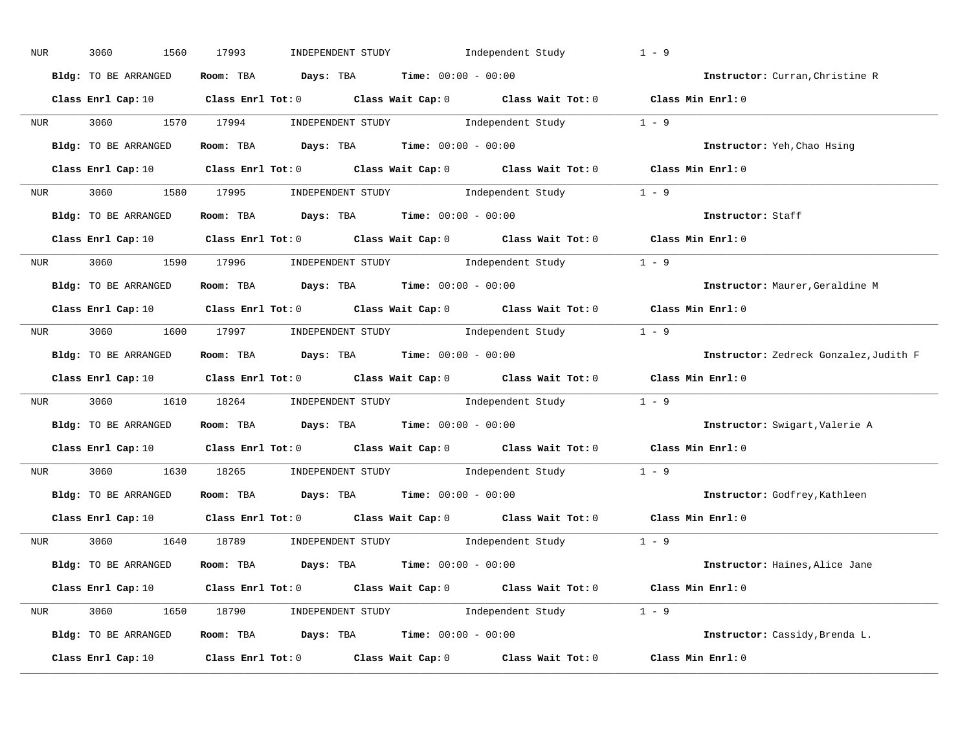| NUR              | 3060<br>1560         | Independent Study<br>17993<br>INDEPENDENT STUDY                                                                                | $1 - 9$                                |
|------------------|----------------------|--------------------------------------------------------------------------------------------------------------------------------|----------------------------------------|
|                  | Bldg: TO BE ARRANGED | Room: TBA $Days:$ TBA $Time: 00:00 - 00:00$                                                                                    | Instructor: Curran, Christine R        |
|                  |                      | Class Enrl Cap: 10 $\qquad$ Class Enrl Tot: 0 $\qquad$ Class Wait Cap: 0 $\qquad$ Class Wait Tot: 0 $\qquad$ Class Min Enrl: 0 |                                        |
|                  |                      | NUR 3060 1570 17994 INDEPENDENT STUDY Independent Study 1 - 9                                                                  |                                        |
|                  | Bldg: TO BE ARRANGED | Room: TBA $Days:$ TBA Time: $00:00 - 00:00$                                                                                    | Instructor: Yeh, Chao Hsing            |
|                  |                      | Class Enrl Cap: 10 $\qquad$ Class Enrl Tot: 0 $\qquad$ Class Wait Cap: 0 $\qquad$ Class Wait Tot: 0 $\qquad$ Class Min Enrl: 0 |                                        |
|                  |                      | NUR 3060 1580 17995 INDEPENDENT STUDY Independent Study 1 - 9                                                                  |                                        |
|                  |                      | <b>Bldg:</b> TO BE ARRANGED <b>Room:</b> TBA <b>Days:</b> TBA <b>Time:</b> $00:00 - 00:00$                                     | Instructor: Staff                      |
|                  |                      | Class Enrl Cap: 10 $\qquad$ Class Enrl Tot: 0 $\qquad$ Class Wait Cap: 0 $\qquad$ Class Wait Tot: 0 $\qquad$ Class Min Enrl: 0 |                                        |
|                  |                      | NUR 3060 1590 17996 INDEPENDENT STUDY Independent Study 1 - 9                                                                  |                                        |
|                  | Bldg: TO BE ARRANGED | Room: TBA $Days:$ TBA $Time: 00:00 - 00:00$                                                                                    | Instructor: Maurer, Geraldine M        |
|                  |                      | Class Enrl Cap: 10 $\qquad$ Class Enrl Tot: 0 $\qquad$ Class Wait Cap: 0 $\qquad$ Class Wait Tot: 0 $\qquad$ Class Min Enrl: 0 |                                        |
|                  |                      | NUR 3060 1600 17997 INDEPENDENT STUDY Independent Study 1 - 9                                                                  |                                        |
|                  | Bldg: TO BE ARRANGED | Room: TBA $Days:$ TBA $Time: 00:00 - 00:00$                                                                                    | Instructor: Zedreck Gonzalez, Judith F |
|                  |                      | Class Enrl Cap: 10 $\qquad$ Class Enrl Tot: 0 $\qquad$ Class Wait Cap: 0 $\qquad$ Class Wait Tot: 0 $\qquad$ Class Min Enrl: 0 |                                        |
| NUR <sub>p</sub> |                      | 3060 1610 18264 INDEPENDENT STUDY Independent Study 1 - 9                                                                      |                                        |
|                  | Bldg: TO BE ARRANGED | Room: TBA $Days:$ TBA $Time: 00:00 - 00:00$                                                                                    | Instructor: Swigart, Valerie A         |
|                  |                      | Class Enrl Cap: 10 $\qquad$ Class Enrl Tot: 0 $\qquad$ Class Wait Cap: 0 $\qquad$ Class Wait Tot: 0 $\qquad$ Class Min Enrl: 0 |                                        |
| <b>NUR</b>       |                      | 3060 1630 18265 INDEPENDENT STUDY Independent Study 1 - 9                                                                      |                                        |
|                  | Bldg: TO BE ARRANGED | Room: TBA $Days:$ TBA Time: $00:00 - 00:00$                                                                                    | Instructor: Godfrey, Kathleen          |
|                  | Class Enrl Cap: 10   | Class Enrl Tot: $0$ Class Wait Cap: $0$ Class Wait Tot: $0$                                                                    | Class Min Enrl: 0                      |
|                  |                      | NUR 3060 1640 18789 INDEPENDENT STUDY Independent Study 1 - 9                                                                  |                                        |
|                  | Bldg: TO BE ARRANGED | Room: TBA $\rule{1em}{0.15mm}$ Days: TBA Time: $00:00 - 00:00$                                                                 | Instructor: Haines, Alice Jane         |
|                  |                      | Class Enrl Cap: 10 $\qquad$ Class Enrl Tot: 0 $\qquad$ Class Wait Cap: 0 $\qquad$ Class Wait Tot: 0 $\qquad$ Class Min Enrl: 0 |                                        |
|                  |                      | NUR 3060 1650 18790 INDEPENDENT STUDY Independent Study 1 - 9                                                                  |                                        |
|                  | Bldg: TO BE ARRANGED | Room: TBA $Days:$ TBA $Time:$ $00:00 - 00:00$                                                                                  | Instructor: Cassidy, Brenda L.         |
|                  | Class Enrl Cap: 10   | Class Enrl Tot: $0$ Class Wait Cap: $0$ Class Wait Tot: $0$                                                                    | Class Min Enrl: 0                      |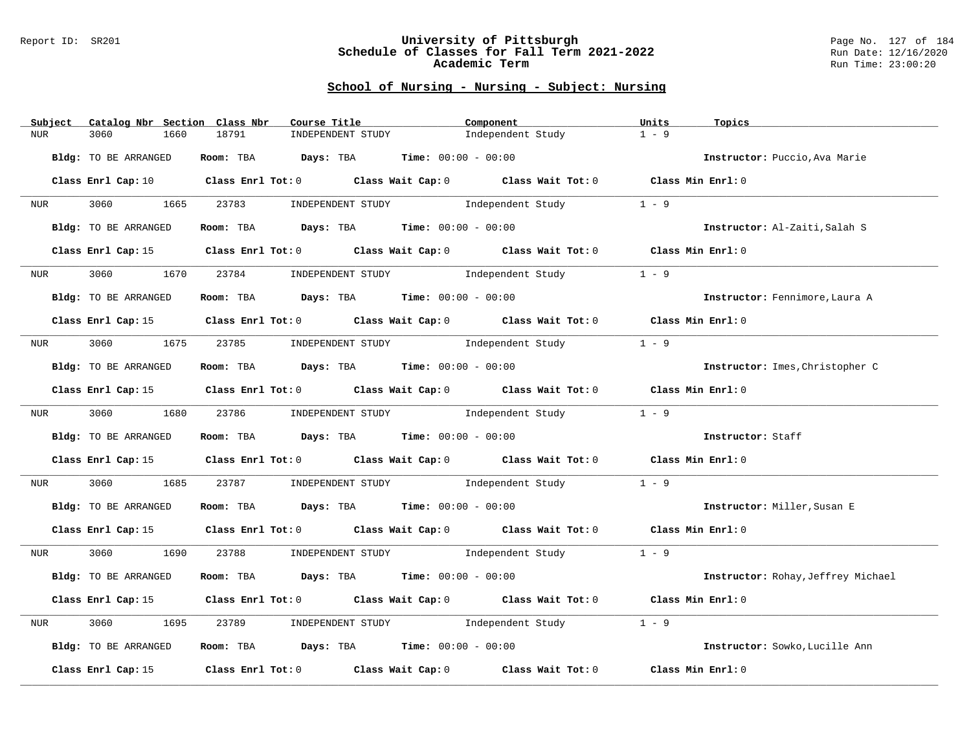#### Report ID: SR201 **University of Pittsburgh** Page No. 127 of 184 **Schedule of Classes for Fall Term 2021-2022** Run Date: 12/16/2020 **Academic Term** Run Time: 23:00:20

| Catalog Nbr Section Class Nbr<br>Subject | Course Title                                        | Component                                                                                                                      | Units<br>Topics                    |
|------------------------------------------|-----------------------------------------------------|--------------------------------------------------------------------------------------------------------------------------------|------------------------------------|
| <b>NUR</b><br>3060<br>1660               | 18791<br>INDEPENDENT STUDY                          | Independent Study                                                                                                              | $1 - 9$                            |
| Bldg: TO BE ARRANGED                     | Room: TBA $Days:$ TBA $Time: 00:00 - 00:00$         |                                                                                                                                | Instructor: Puccio, Ava Marie      |
|                                          |                                                     | Class Enrl Cap: 10 $\qquad$ Class Enrl Tot: 0 $\qquad$ Class Wait Cap: 0 $\qquad$ Class Wait Tot: 0 $\qquad$ Class Min Enrl: 0 |                                    |
| <b>NUR</b>                               |                                                     | 3060 1665 23783 INDEPENDENT STUDY Independent Study                                                                            | $1 - 9$                            |
| Bldg: TO BE ARRANGED                     | Room: TBA $Days:$ TBA $Time: 00:00 - 00:00$         |                                                                                                                                | Instructor: Al-Zaiti, Salah S      |
| Class Enrl Cap: 15                       |                                                     | Class Enrl Tot: 0 Class Wait Cap: 0 Class Wait Tot: 0 Class Min Enrl: 0                                                        |                                    |
| 3060<br>1670<br>NUR <sub>tion</sub>      |                                                     | 23784 INDEPENDENT STUDY 1ndependent Study                                                                                      | $1 - 9$                            |
| Bldg: TO BE ARRANGED                     | Room: TBA $Days:$ TBA $Time: 00:00 - 00:00$         |                                                                                                                                | Instructor: Fennimore, Laura A     |
|                                          |                                                     | Class Enrl Cap: 15 Class Enrl Tot: 0 Class Wait Cap: 0 Class Wait Tot: 0 Class Min Enrl: 0                                     |                                    |
| NUR <sub>e</sub>                         | 3060 1675 23785 INDEPENDENT STUDY Independent Study |                                                                                                                                | $1 - 9$                            |
| Bldg: TO BE ARRANGED                     | Room: TBA $Days:$ TBA $Time: 00:00 - 00:00$         |                                                                                                                                | Instructor: Imes, Christopher C    |
|                                          |                                                     | Class Enrl Cap: 15 Class Enrl Tot: 0 Class Wait Cap: 0 Class Wait Tot: 0 Class Min Enrl: 0                                     |                                    |
|                                          |                                                     |                                                                                                                                | $1 - 9$                            |
| Bldg: TO BE ARRANGED                     | Room: TBA $Days:$ TBA $Time: 00:00 - 00:00$         |                                                                                                                                | Instructor: Staff                  |
|                                          |                                                     | Class Enrl Cap: 15 Class Enrl Tot: 0 Class Wait Cap: 0 Class Wait Tot: 0 Class Min Enrl: 0                                     |                                    |
| 3060 000<br>NUR <sub>u</sub>             |                                                     | 1685 23787 INDEPENDENT STUDY Independent Study                                                                                 | $1 - 9$                            |
| Bldg: TO BE ARRANGED                     | Room: TBA $Days:$ TBA $Time:$ 00:00 - 00:00         |                                                                                                                                | Instructor: Miller, Susan E        |
|                                          |                                                     | Class Enrl Cap: 15 Class Enrl Tot: 0 Class Wait Cap: 0 Class Wait Tot: 0 Class Min Enrl: 0                                     |                                    |
| NUR <sub>e</sub>                         |                                                     | 3060 1690 23788 INDEPENDENT STUDY Independent Study 1 - 9                                                                      |                                    |
| Bldg: TO BE ARRANGED                     | Room: TBA $Days:$ TBA $Time: 00:00 - 00:00$         |                                                                                                                                | Instructor: Rohay, Jeffrey Michael |
|                                          |                                                     | Class Enrl Cap: 15 (Class Enrl Tot: 0 (Class Wait Cap: 0 (Class Wait Tot: 0 (Class Min Enrl: 0)                                |                                    |
| 3060<br>1695<br>NUR                      | 23789                                               | INDEPENDENT STUDY 1ndependent Study                                                                                            | $1 - 9$                            |
| Bldg: TO BE ARRANGED                     | Room: TBA $Days:$ TBA $Time: 00:00 - 00:00$         |                                                                                                                                | Instructor: Sowko, Lucille Ann     |
| Class Enrl Cap: 15                       |                                                     | Class Enrl Tot: $0$ Class Wait Cap: $0$ Class Wait Tot: $0$                                                                    | Class Min Enrl: 0                  |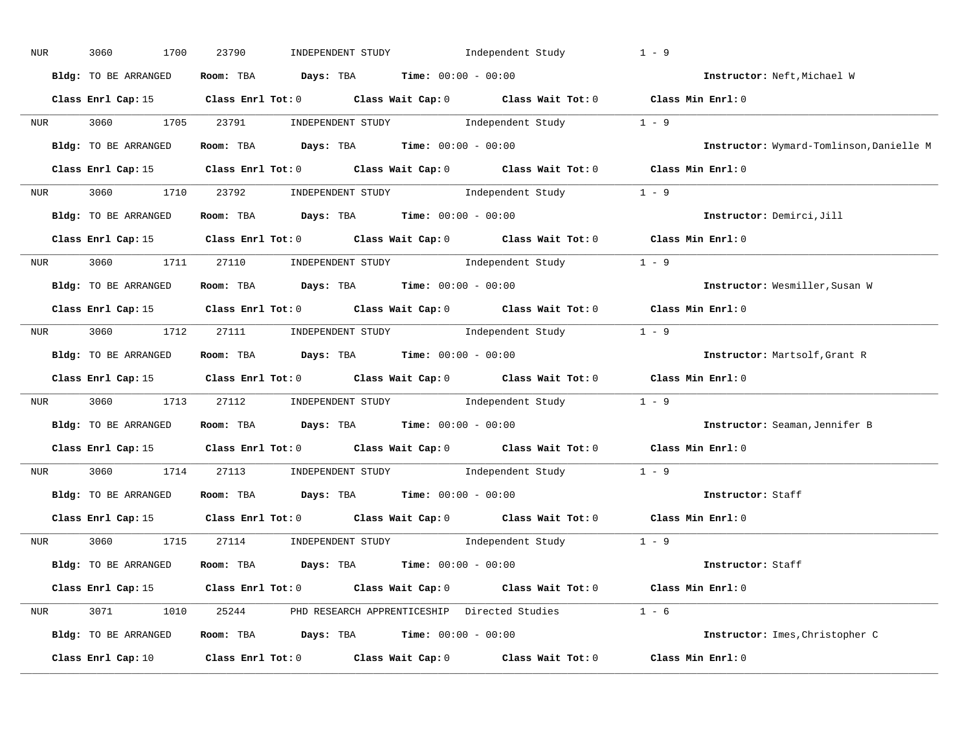| NUR              | 3060<br>1700         | INDEPENDENT STUDY 1ndependent Study<br>23790                                                                                   | $1 - 9$                                  |
|------------------|----------------------|--------------------------------------------------------------------------------------------------------------------------------|------------------------------------------|
|                  | Bldg: TO BE ARRANGED | Room: TBA $Days:$ TBA $Time: 00:00 - 00:00$                                                                                    | Instructor: Neft, Michael W              |
|                  |                      | Class Enrl Cap: 15 Class Enrl Tot: 0 Class Wait Cap: 0 Class Wait Tot: 0 Class Min Enrl: 0                                     |                                          |
|                  |                      | NUR 3060 1705 23791 INDEPENDENT STUDY Independent Study 1 - 9                                                                  |                                          |
|                  |                      | Bldg: TO BE ARRANGED Room: TBA Days: TBA Time: 00:00 - 00:00                                                                   | Instructor: Wymard-Tomlinson, Danielle M |
|                  |                      | Class Enrl Cap: 15 Class Enrl Tot: 0 Class Wait Cap: 0 Class Wait Tot: 0 Class Min Enrl: 0                                     |                                          |
|                  |                      | NUR 3060 1710 23792 INDEPENDENT STUDY Independent Study 1 - 9                                                                  |                                          |
|                  |                      | Bldg: TO BE ARRANGED Room: TBA Days: TBA Time: 00:00 - 00:00                                                                   | Instructor: Demirci, Jill                |
|                  |                      | Class Enrl Cap: 15 Class Enrl Tot: 0 Class Wait Cap: 0 Class Wait Tot: 0 Class Min Enrl: 0                                     |                                          |
|                  |                      | NUR 3060 1711 27110 INDEPENDENT STUDY Independent Study 1 - 9                                                                  |                                          |
|                  | Bldg: TO BE ARRANGED | Room: TBA $Days:$ TBA $Time:$ $00:00 - 00:00$                                                                                  | Instructor: Wesmiller, Susan W           |
|                  |                      | Class Enrl Cap: 15 Class Enrl Tot: 0 Class Wait Cap: 0 Class Wait Tot: 0 Class Min Enrl: 0                                     |                                          |
|                  |                      | NUR 3060 1712 27111 INDEPENDENT STUDY Independent Study 1 - 9                                                                  |                                          |
|                  | Bldg: TO BE ARRANGED | Room: TBA $Days: TBA$ Time: $00:00 - 00:00$                                                                                    | Instructor: Martsolf, Grant R            |
|                  |                      | Class Enrl Cap: 15 Class Enrl Tot: 0 Class Wait Cap: 0 Class Wait Tot: 0 Class Min Enrl: 0                                     |                                          |
| NUR <sub>p</sub> |                      | 3060 1713 27112 INDEPENDENT STUDY Independent Study 1 - 9                                                                      |                                          |
|                  |                      | Bldg: TO BE ARRANGED ROOM: TBA Days: TBA Time: 00:00 - 00:00                                                                   | Instructor: Seaman, Jennifer B           |
|                  |                      | Class Enrl Cap: 15 Class Enrl Tot: 0 Class Wait Cap: 0 Class Wait Tot: 0 Class Min Enrl: 0                                     |                                          |
|                  |                      | NUR 3060 1714 27113 INDEPENDENT STUDY Independent Study 1 - 9                                                                  |                                          |
|                  | Bldg: TO BE ARRANGED | Room: TBA $Days:$ TBA $Time: 00:00 - 00:00$                                                                                    | Instructor: Staff                        |
|                  | Class Enrl Cap: 15   | Class Enrl Tot: 0 $\qquad$ Class Wait Cap: 0 $\qquad$ Class Wait Tot: 0 $\qquad$ Class Min Enrl: 0                             |                                          |
|                  |                      | NUR 3060 1715 27114 INDEPENDENT STUDY Independent Study 1 - 9                                                                  |                                          |
|                  |                      | $Bldg: TO BE ARRANGED$ Room: TBA $Days: TBA$ Time: $00:00 - 00:00$                                                             | Instructor: Staff                        |
|                  |                      | Class Enrl Cap: 15 Class Enrl Tot: 0 Class Wait Cap: 0 Class Wait Tot: 0 Class Min Enrl: 0                                     |                                          |
|                  |                      | NUR 3071 1010 25244 PHD RESEARCH APPRENTICESHIP Directed Studies 1 - 6                                                         |                                          |
|                  |                      | Bldg: TO BE ARRANGED Room: TBA Days: TBA Time: 00:00 - 00:00                                                                   | Instructor: Imes, Christopher C          |
|                  |                      | Class Enrl Cap: 10 $\qquad$ Class Enrl Tot: 0 $\qquad$ Class Wait Cap: 0 $\qquad$ Class Wait Tot: 0 $\qquad$ Class Min Enrl: 0 |                                          |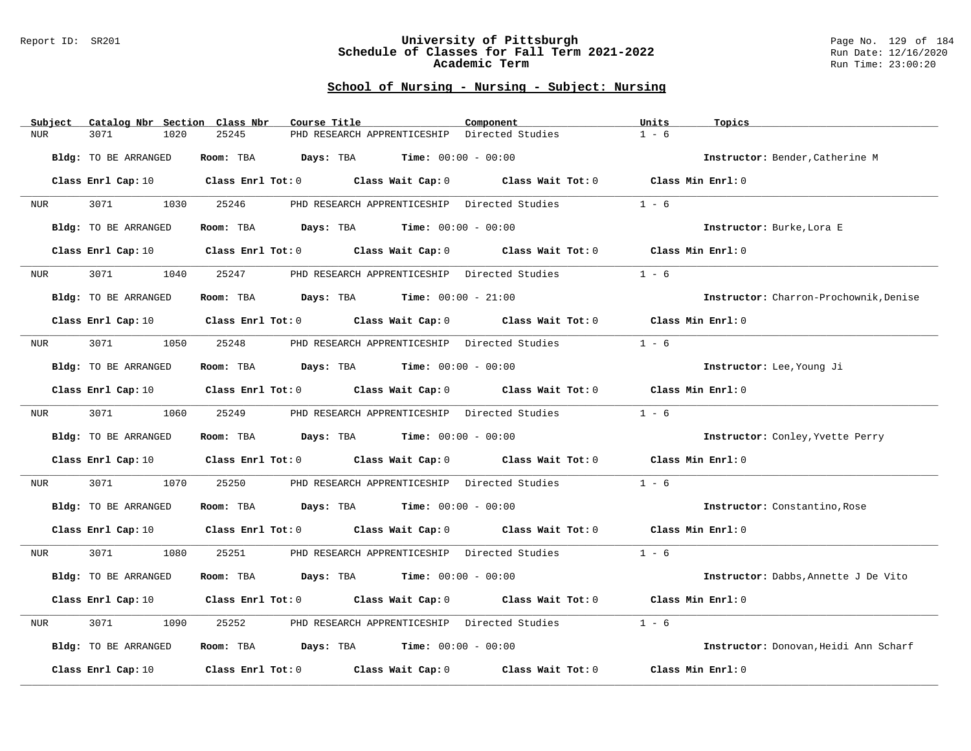#### Report ID: SR201 **University of Pittsburgh** Page No. 129 of 184 **Schedule of Classes for Fall Term 2021-2022** Run Date: 12/16/2020 **Academic Term** Run Time: 23:00:20

| Subject | Catalog Nbr Section  | Class Nbr<br>Course Title                                                                                                      | Component                                    | Units<br>Topics                        |
|---------|----------------------|--------------------------------------------------------------------------------------------------------------------------------|----------------------------------------------|----------------------------------------|
| NUR     | 3071<br>1020         | PHD RESEARCH APPRENTICESHIP<br>25245                                                                                           | Directed Studies                             | $1 - 6$                                |
|         | Bldg: TO BE ARRANGED | <b>Days:</b> TBA <b>Time:</b> $00:00 - 00:00$<br>Room: TBA                                                                     |                                              | Instructor: Bender, Catherine M        |
|         |                      | Class Enrl Cap: 10 $\qquad$ Class Enrl Tot: 0 $\qquad$ Class Wait Cap: 0 $\qquad$ Class Wait Tot: 0 $\qquad$ Class Min Enrl: 0 |                                              |                                        |
| NUR     | 3071 200<br>1030     | 25246                                                                                                                          | PHD RESEARCH APPRENTICESHIP Directed Studies | $1 - 6$                                |
|         | Bldg: TO BE ARRANGED | Room: TBA $Days:$ TBA $Time: 00:00 - 00:00$                                                                                    |                                              | Instructor: Burke, Lora E              |
|         | Class Enrl Cap: 10   | Class Enrl Tot: 0 Class Wait Cap: 0 Class Wait Tot: 0                                                                          |                                              | Class Min Enrl: 0                      |
| NUR     | 3071<br>1040         | 25247<br>PHD RESEARCH APPRENTICESHIP Directed Studies                                                                          |                                              | $1 - 6$                                |
|         | Bldg: TO BE ARRANGED | Room: TBA<br><b>Days:</b> TBA <b>Time:</b> $00:00 - 21:00$                                                                     |                                              | Instructor: Charron-Prochownik, Denise |
|         |                      | Class Enrl Cap: 10 $\qquad$ Class Enrl Tot: 0 $\qquad$ Class Wait Cap: 0 $\qquad$ Class Wait Tot: 0 $\qquad$ Class Min Enrl: 0 |                                              |                                        |
| NUR     | 3071 300<br>1050     | 25248<br>PHD RESEARCH APPRENTICESHIP Directed Studies                                                                          |                                              | $1 - 6$                                |
|         | Bldg: TO BE ARRANGED | Room: TBA $Days:$ TBA $Time: 00:00 - 00:00$                                                                                    |                                              | Instructor: Lee, Young Ji              |
|         |                      | Class Enrl Cap: 10 $\qquad$ Class Enrl Tot: 0 $\qquad$ Class Wait Cap: 0 $\qquad$ Class Wait Tot: 0                            |                                              | Class Min Enrl: 0                      |
| NUR     | 3071<br>1060         | 25249<br>PHD RESEARCH APPRENTICESHIP Directed Studies                                                                          |                                              | $1 - 6$                                |
|         | Bldg: TO BE ARRANGED | Room: TBA $Days:$ TBA $Time: 00:00 - 00:00$                                                                                    |                                              | Instructor: Conley, Yvette Perry       |
|         |                      | Class Enrl Cap: 10 $\qquad$ Class Enrl Tot: 0 $\qquad$ Class Wait Cap: 0 $\qquad$ Class Wait Tot: 0                            |                                              | Class Min $Enr1:0$                     |
| NUR     | 3071<br>1070         | 25250<br>PHD RESEARCH APPRENTICESHIP Directed Studies                                                                          |                                              | $1 - 6$                                |
|         | Bldg: TO BE ARRANGED | Room: TBA $Days:$ TBA $Time: 00:00 - 00:00$                                                                                    |                                              | Instructor: Constantino, Rose          |
|         | Class Enrl Cap: 10   | Class Enrl Tot: 0 Class Wait Cap: 0 Class Wait Tot: 0 Class Min Enrl: 0                                                        |                                              |                                        |
| NUR     | 3071 \<br>1080       | 25251                                                                                                                          | PHD RESEARCH APPRENTICESHIP Directed Studies | $1 - 6$                                |
|         | Bldg: TO BE ARRANGED | <b>Days:</b> TBA <b>Time:</b> $00:00 - 00:00$<br>Room: TBA                                                                     |                                              | Instructor: Dabbs, Annette J De Vito   |
|         | Class Enrl Cap: 10   | Class Enrl Tot: 0 Class Wait Cap: 0 Class Wait Tot: 0                                                                          |                                              | Class Min Enrl: 0                      |
| NUR     | 3071<br>1090         | 25252<br>PHD RESEARCH APPRENTICESHIP Directed Studies                                                                          |                                              | $1 - 6$                                |
|         | Bldg: TO BE ARRANGED | Room: TBA $Days:$ TBA $Time: 00:00 - 00:00$                                                                                    |                                              | Instructor: Donovan, Heidi Ann Scharf  |
|         | Class Enrl Cap: 10   | Class Enrl Tot: 0 Class Wait Cap: 0                                                                                            | Class Wait Tot: 0                            | Class Min Enrl: 0                      |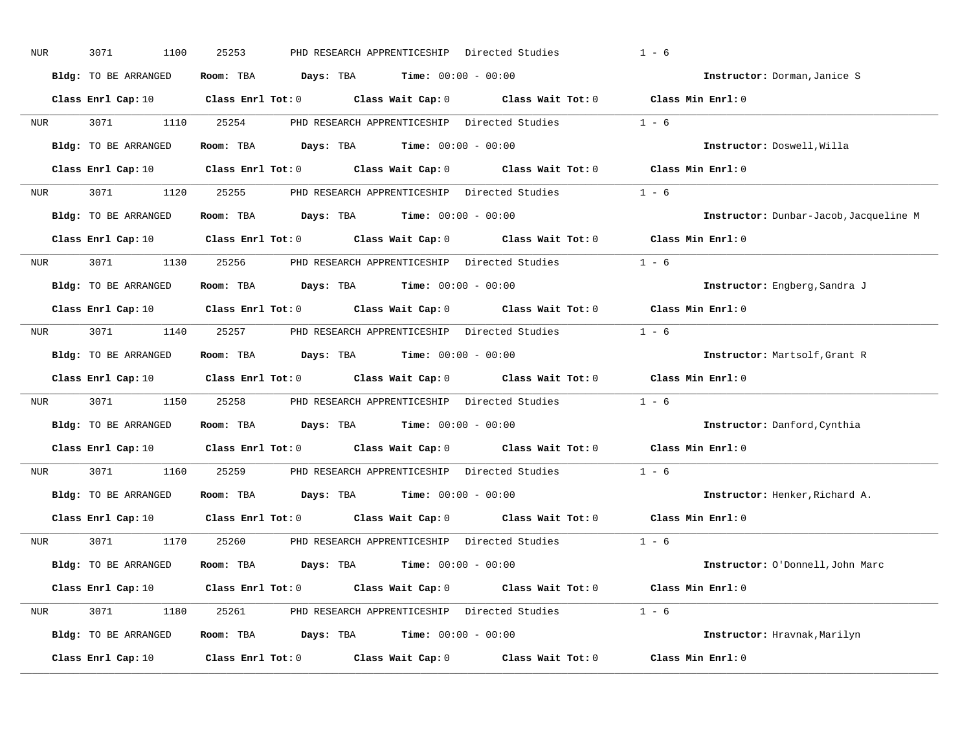| NUR              | 3071<br>1100         | 25253<br>PHD RESEARCH APPRENTICESHIP Directed Studies                                                                          | $1 - 6$                                |
|------------------|----------------------|--------------------------------------------------------------------------------------------------------------------------------|----------------------------------------|
|                  | Bldg: TO BE ARRANGED | Room: TBA $\rule{1em}{0.15mm}$ Days: TBA $\rule{1.15mm}]{0.15mm}$ Time: $0.000 - 0.0000$                                       | Instructor: Dorman, Janice S           |
|                  |                      | Class Enrl Cap: 10 $\qquad$ Class Enrl Tot: 0 $\qquad$ Class Wait Cap: 0 $\qquad$ Class Wait Tot: 0 $\qquad$ Class Min Enrl: 0 |                                        |
| NUR <sub>i</sub> | 3071 300             | 1110 25254<br>PHD RESEARCH APPRENTICESHIP Directed Studies                                                                     | $1 - 6$                                |
|                  | Bldg: TO BE ARRANGED | Room: TBA $Days: TBA$ Time: $00:00 - 00:00$                                                                                    | Instructor: Doswell, Willa             |
|                  |                      | Class Enrl Cap: 10 $\qquad$ Class Enrl Tot: 0 $\qquad$ Class Wait Cap: 0 $\qquad$ Class Wait Tot: 0 $\qquad$ Class Min Enrl: 0 |                                        |
|                  |                      | NUR 3071 1120 25255 PHD RESEARCH APPRENTICESHIP Directed Studies 1 - 6                                                         |                                        |
|                  | Bldg: TO BE ARRANGED | Room: TBA $Days:$ TBA $Time: 00:00 - 00:00$                                                                                    | Instructor: Dunbar-Jacob, Jacqueline M |
|                  |                      | Class Enrl Cap: 10 $\qquad$ Class Enrl Tot: 0 $\qquad$ Class Wait Cap: 0 $\qquad$ Class Wait Tot: 0                            | Class Min Enrl: 0                      |
|                  |                      | NUR 3071 1130 25256 PHD RESEARCH APPRENTICESHIP Directed Studies                                                               | $1 - 6$                                |
|                  | Bldg: TO BE ARRANGED | Room: TBA $Days: TBA$ Time: $00:00 - 00:00$                                                                                    | Instructor: Engberg, Sandra J          |
|                  |                      | Class Enrl Cap: 10 $\qquad$ Class Enrl Tot: 0 $\qquad$ Class Wait Cap: 0 $\qquad$ Class Wait Tot: 0 $\qquad$ Class Min Enrl: 0 |                                        |
|                  |                      | NUR 3071 1140 25257 PHD RESEARCH APPRENTICESHIP Directed Studies 1 - 6                                                         |                                        |
|                  | Bldg: TO BE ARRANGED | Room: TBA $Days: TBA$ Time: $00:00 - 00:00$                                                                                    | Instructor: Martsolf, Grant R          |
|                  |                      | Class Enrl Cap: 10 $\qquad$ Class Enrl Tot: 0 $\qquad$ Class Wait Cap: 0 $\qquad$ Class Wait Tot: 0 $\qquad$ Class Min Enrl: 0 |                                        |
| NUR <sub>i</sub> |                      | 3071 1150 25258 PHD RESEARCH APPRENTICESHIP Directed Studies                                                                   | $1 - 6$                                |
|                  | Bldg: TO BE ARRANGED | Room: TBA $Days:$ TBA $Time: 00:00 - 00:00$                                                                                    | Instructor: Danford, Cynthia           |
|                  |                      | Class Enrl Cap: 10 $\qquad$ Class Enrl Tot: 0 $\qquad$ Class Wait Cap: 0 $\qquad$ Class Wait Tot: 0                            | Class Min Enrl: 0                      |
| NUR <sub>p</sub> | 3071 200<br>1160     | 25259<br>PHD RESEARCH APPRENTICESHIP Directed Studies                                                                          | $1 - 6$                                |
|                  | Bldg: TO BE ARRANGED | Room: TBA $Days:$ TBA $Time: 00:00 - 00:00$                                                                                    | Instructor: Henker, Richard A.         |
|                  |                      | Class Enrl Cap: 10 Class Enrl Tot: 0 Class Wait Cap: 0 Class Wait Tot: 0                                                       | Class Min Enrl: 0                      |
|                  |                      | NUR 3071 1170 25260 PHD RESEARCH APPRENTICESHIP Directed Studies 1 - 6                                                         |                                        |
|                  | Bldg: TO BE ARRANGED | Room: TBA $Days:$ TBA $Time: 00:00 - 00:00$                                                                                    | Instructor: O'Donnell, John Marc       |
|                  |                      | Class Enrl Cap: 10 $\qquad$ Class Enrl Tot: 0 $\qquad$ Class Wait Cap: 0 $\qquad$ Class Wait Tot: 0 $\qquad$ Class Min Enrl: 0 |                                        |
|                  |                      | NUR 3071 1180 25261 PHD RESEARCH APPRENTICESHIP Directed Studies 1 - 6                                                         |                                        |
|                  | Bldg: TO BE ARRANGED | Room: TBA $Days: TBA$ Time: $00:00 - 00:00$                                                                                    | Instructor: Hravnak, Marilyn           |
|                  | Class Enrl Cap: 10   | Class Enrl Tot: $0$ Class Wait Cap: $0$ Class Wait Tot: $0$                                                                    | Class Min Enrl: 0                      |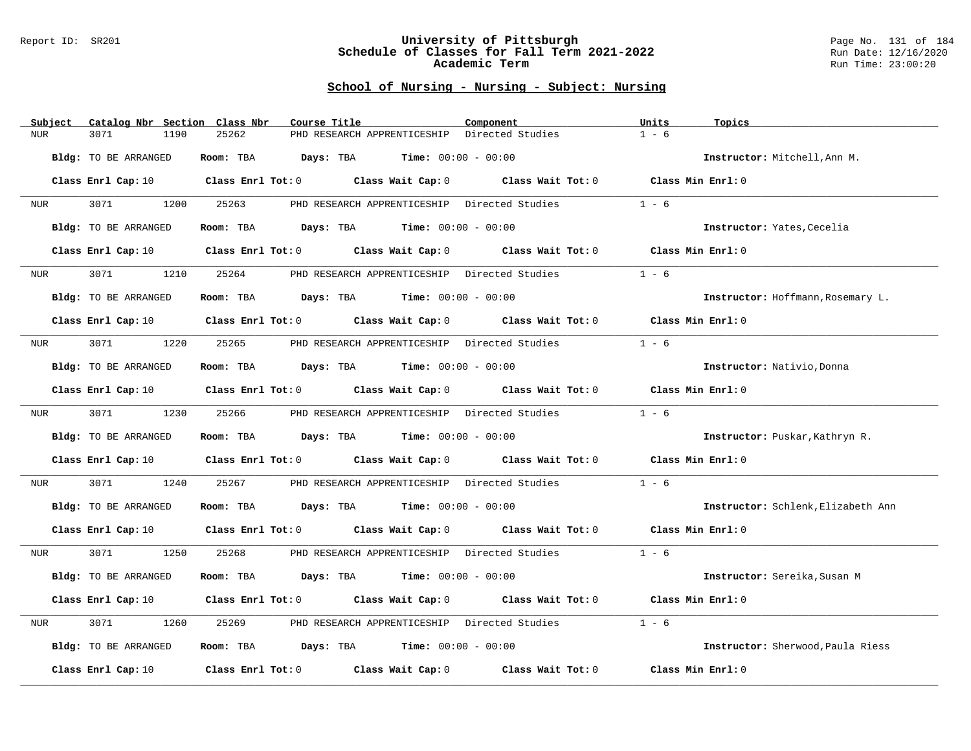#### Report ID: SR201 **University of Pittsburgh** Page No. 131 of 184 **Schedule of Classes for Fall Term 2021-2022** Run Date: 12/16/2020 **Academic Term** Run Time: 23:00:20

| Subject            | Catalog Nbr Section  | Class Nbr               | Course Title                                          | Component                                                               | Units<br>Topics                    |
|--------------------|----------------------|-------------------------|-------------------------------------------------------|-------------------------------------------------------------------------|------------------------------------|
| NUR<br>3071        | 1190                 | 25262                   | PHD RESEARCH APPRENTICESHIP                           | Directed Studies                                                        | $1 - 6$                            |
|                    | Bldg: TO BE ARRANGED | Room: TBA               | <b>Days:</b> TBA <b>Time:</b> $00:00 - 00:00$         |                                                                         | Instructor: Mitchell, Ann M.       |
|                    | Class Enrl Cap: 10   |                         | Class Enrl Tot: 0 Class Wait Cap: 0                   | Class Wait Tot: 0 Class Min Enrl: 0                                     |                                    |
| 3071<br>NUR        | 1200                 | 25263                   | PHD RESEARCH APPRENTICESHIP Directed Studies          |                                                                         | $1 - 6$                            |
|                    | Bldg: TO BE ARRANGED | Room: TBA               | $\texttt{DayS:}$ TBA $\texttt{Time:}$ 00:00 - 00:00   |                                                                         | Instructor: Yates, Cecelia         |
|                    | Class Enrl Cap: 10   |                         | Class Enrl Tot: 0 Class Wait Cap: 0                   | Class Wait Tot: 0                                                       | Class Min Enrl: 0                  |
| 3071<br>NUR        | 1210                 | 25264                   | PHD RESEARCH APPRENTICESHIP Directed Studies          |                                                                         | $1 - 6$                            |
|                    | Bldg: TO BE ARRANGED | Room: TBA               | <b>Days:</b> TBA <b>Time:</b> $00:00 - 00:00$         |                                                                         | Instructor: Hoffmann, Rosemary L.  |
|                    | Class Enrl Cap: 10   |                         |                                                       | Class Enrl Tot: 0 Class Wait Cap: 0 Class Wait Tot: 0 Class Min Enrl: 0 |                                    |
| 3071<br>NUR        | 1220                 | 25265                   | PHD RESEARCH APPRENTICESHIP Directed Studies          |                                                                         | $1 - 6$                            |
|                    | Bldg: TO BE ARRANGED | Room: TBA               | $\texttt{DayS:}$ TBA $\texttt{Time:}$ 00:00 - 00:00   |                                                                         | Instructor: Nativio, Donna         |
|                    | Class Enrl Cap: 10   |                         | Class Enrl Tot: 0 Class Wait Cap: 0                   | Class Wait Tot: 0                                                       | Class Min Enrl: 0                  |
| 3071<br>NUR        | 1230                 | 25266                   | PHD RESEARCH APPRENTICESHIP Directed Studies          |                                                                         | $1 - 6$                            |
|                    | Bldg: TO BE ARRANGED | Room: TBA               | $\texttt{DayS:}$ TBA $\texttt{Time:}$ 00:00 - 00:00   |                                                                         | Instructor: Puskar, Kathryn R.     |
| Class Enrl Cap: 10 |                      |                         | Class Enrl Tot: 0 Class Wait Cap: 0                   | Class Wait Tot: 0                                                       | Class Min Enrl: 0                  |
| 3071<br>NUR        | 1240                 | 25267                   | PHD RESEARCH APPRENTICESHIP Directed Studies          |                                                                         | $1 - 6$                            |
|                    | Bldg: TO BE ARRANGED | Room: TBA               | $\texttt{Days:}$ TBA $\texttt{Time:}$ 00:00 - 00:00   |                                                                         | Instructor: Schlenk, Elizabeth Ann |
|                    | Class Enrl Cap: 10   |                         | Class Enrl Tot: 0 Class Wait Cap: 0 Class Wait Tot: 0 |                                                                         | Class Min Enrl: 0                  |
| 3071<br>NUR        | 1250                 | 25268                   | PHD RESEARCH APPRENTICESHIP Directed Studies          |                                                                         | $1 - 6$                            |
|                    | Bldg: TO BE ARRANGED | Room: TBA               | $Days: TBA$ Time: $00:00 - 00:00$                     |                                                                         | Instructor: Sereika, Susan M       |
|                    | Class Enrl Cap: 10   |                         | Class Enrl Tot: 0 Class Wait Cap: 0 Class Wait Tot: 0 |                                                                         | Class Min Enrl: 0                  |
| 3071<br><b>NUR</b> | 1260                 | 25269                   | PHD RESEARCH APPRENTICESHIP Directed Studies          |                                                                         | $1 - 6$                            |
|                    | Bldg: TO BE ARRANGED | Room: TBA               | <b>Days:</b> TBA <b>Time:</b> $00:00 - 00:00$         |                                                                         | Instructor: Sherwood, Paula Riess  |
| Class Enrl Cap: 10 |                      | $Class$ $Enr1$ $Tot: 0$ | Class Wait Cap: 0                                     | Class Wait Tot: 0                                                       | Class Min Enrl: 0                  |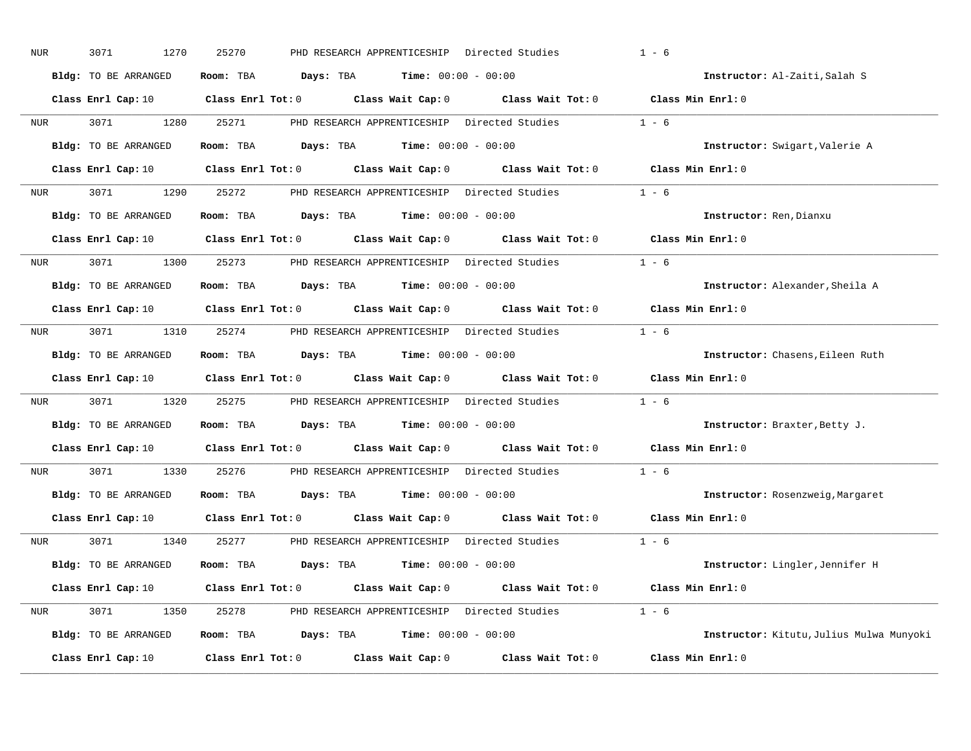| NUR              | 3071<br>1270         | 25270<br>PHD RESEARCH APPRENTICESHIP Directed Studies                                                                          | $1 - 6$                                  |
|------------------|----------------------|--------------------------------------------------------------------------------------------------------------------------------|------------------------------------------|
|                  | Bldg: TO BE ARRANGED | Room: TBA $\rule{1em}{0.15mm}$ Days: TBA $\rule{1.15mm}]{0.15mm}$ Time: $0.000 - 0.0000$                                       | Instructor: Al-Zaiti, Salah S            |
|                  |                      | Class Enrl Cap: 10 $\qquad$ Class Enrl Tot: 0 $\qquad$ Class Wait Cap: 0 $\qquad$ Class Wait Tot: 0 $\qquad$ Class Min Enrl: 0 |                                          |
| NUR <sub>p</sub> | 3071 \               | 1280 25271<br>PHD RESEARCH APPRENTICESHIP Directed Studies                                                                     | $1 - 6$                                  |
|                  | Bldg: TO BE ARRANGED | Room: TBA $Days: TBA$ Time: $00:00 - 00:00$                                                                                    | Instructor: Swigart, Valerie A           |
|                  |                      | Class Enrl Cap: 10 $\qquad$ Class Enrl Tot: 0 $\qquad$ Class Wait Cap: 0 $\qquad$ Class Wait Tot: 0 $\qquad$ Class Min Enrl: 0 |                                          |
|                  |                      | NUR 3071 1290 25272 PHD RESEARCH APPRENTICESHIP Directed Studies 1 - 6                                                         |                                          |
|                  | Bldg: TO BE ARRANGED | Room: TBA $Days:$ TBA $Time:$ $00:00 - 00:00$                                                                                  | Instructor: Ren, Dianxu                  |
|                  |                      | Class Enrl Cap: 10 $\qquad$ Class Enrl Tot: 0 $\qquad$ Class Wait Cap: 0 $\qquad$ Class Wait Tot: 0                            | Class Min Enrl: 0                        |
| <b>NUR</b>       |                      | 3071 1300 25273 PHD RESEARCH APPRENTICESHIP Directed Studies                                                                   | $1 - 6$                                  |
|                  | Bldg: TO BE ARRANGED | Room: TBA $Days: TBA$ Time: $00:00 - 00:00$                                                                                    | Instructor: Alexander, Sheila A          |
|                  |                      | Class Enrl Cap: 10 Class Enrl Tot: 0 Class Wait Cap: 0 Class Wait Tot: 0                                                       | Class Min Enrl: 0                        |
| NUR <b>NUR</b>   |                      | 3071 1310 25274 PHD RESEARCH APPRENTICESHIP Directed Studies                                                                   | $1 - 6$                                  |
|                  | Bldg: TO BE ARRANGED | Room: TBA $Days: TBA$ Time: $00:00 - 00:00$                                                                                    | Instructor: Chasens, Eileen Ruth         |
|                  |                      | Class Enrl Cap: 10 Class Enrl Tot: 0 Class Wait Cap: 0 Class Wait Tot: 0                                                       | Class Min Enrl: 0                        |
| NUR              | 3071                 | 1320 25275 PHD RESEARCH APPRENTICESHIP Directed Studies                                                                        | $1 - 6$                                  |
|                  | Bldg: TO BE ARRANGED | Room: TBA $Days: TBA$ Time: $00:00 - 00:00$                                                                                    | Instructor: Braxter, Betty J.            |
|                  |                      | Class Enrl Cap: 10 $\qquad$ Class Enrl Tot: 0 $\qquad$ Class Wait Cap: 0 $\qquad$ Class Wait Tot: 0                            | Class Min Enrl: 0                        |
| NUR <sub>p</sub> | 3071 300<br>1330     | 25276<br>PHD RESEARCH APPRENTICESHIP Directed Studies                                                                          | $1 - 6$                                  |
|                  | Bldg: TO BE ARRANGED | Room: TBA $Days:$ TBA $Time: 00:00 - 00:00$                                                                                    | Instructor: Rosenzweig, Margaret         |
|                  |                      | Class Enrl Cap: 10 Class Enrl Tot: 0 Class Wait Cap: 0 Class Wait Tot: 0                                                       | Class Min Enrl: 0                        |
|                  | NUR 3071             | 1340 25277 PHD RESEARCH APPRENTICESHIP Directed Studies 1 - 6                                                                  |                                          |
|                  | Bldg: TO BE ARRANGED | Room: TBA $Days: TBA$ Time: $00:00 - 00:00$                                                                                    | Instructor: Lingler, Jennifer H          |
|                  |                      | Class Enrl Cap: 10 $\qquad$ Class Enrl Tot: 0 $\qquad$ Class Wait Cap: 0 $\qquad$ Class Wait Tot: 0 $\qquad$ Class Min Enrl: 0 |                                          |
| NUR <sub>e</sub> |                      | 3071 1350 25278 PHD RESEARCH APPRENTICESHIP Directed Studies 1 - 6                                                             |                                          |
|                  | Bldg: TO BE ARRANGED | Room: TBA $Days: TBA$ Time: $00:00 - 00:00$                                                                                    | Instructor: Kitutu, Julius Mulwa Munyoki |
|                  | Class Enrl Cap: 10   | Class Enrl Tot: $0$ Class Wait Cap: $0$ Class Wait Tot: $0$                                                                    | Class Min Enrl: 0                        |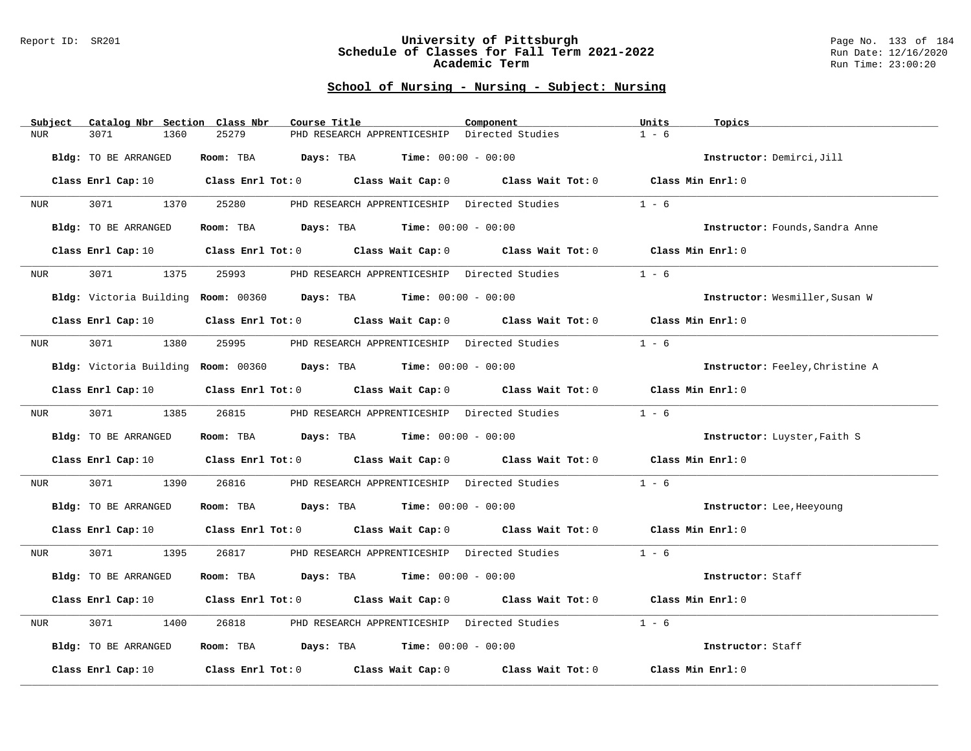#### Report ID: SR201 **University of Pittsburgh** Page No. 133 of 184 **Schedule of Classes for Fall Term 2021-2022** Run Date: 12/16/2020 **Academic Term** Run Time: 23:00:20

| Subject<br>Catalog Nbr Section | Class Nbr                                                                                                                      | Course Title                                  | Component                                                               | Units<br>Topics                 |
|--------------------------------|--------------------------------------------------------------------------------------------------------------------------------|-----------------------------------------------|-------------------------------------------------------------------------|---------------------------------|
| 3071<br>NUR.                   | 25279<br>1360                                                                                                                  | PHD RESEARCH APPRENTICESHIP                   | Directed Studies                                                        | $1 - 6$                         |
| Bldg: TO BE ARRANGED           | Room: TBA                                                                                                                      | <b>Days:</b> TBA <b>Time:</b> $00:00 - 00:00$ |                                                                         | Instructor: Demirci, Jill       |
|                                | Class Enrl Cap: 10 $\qquad$ Class Enrl Tot: 0 $\qquad$ Class Wait Cap: 0 $\qquad$ Class Wait Tot: 0 $\qquad$ Class Min Enrl: 0 |                                               |                                                                         |                                 |
| 3071<br>NUR                    | 1370<br>25280                                                                                                                  |                                               | PHD RESEARCH APPRENTICESHIP Directed Studies                            | $1 - 6$                         |
| Bldg: TO BE ARRANGED           |                                                                                                                                | Room: TBA $Days:$ TBA $Time: 00:00 - 00:00$   |                                                                         | Instructor: Founds, Sandra Anne |
| Class Enrl Cap: 10             |                                                                                                                                |                                               | Class Enrl Tot: 0 Class Wait Cap: 0 Class Wait Tot: 0                   | Class Min Enrl: 0               |
| 3071<br>NUR                    | 1375<br>25993                                                                                                                  | PHD RESEARCH APPRENTICESHIP Directed Studies  |                                                                         | $1 - 6$                         |
|                                | Bldg: Victoria Building Room: 00360 Days: TBA Time: 00:00 - 00:00                                                              |                                               |                                                                         | Instructor: Wesmiller, Susan W  |
| Class Enrl Cap: 10             |                                                                                                                                |                                               | Class Enrl Tot: 0 Class Wait Cap: 0 Class Wait Tot: 0 Class Min Enrl: 0 |                                 |
| 3071 1380<br>NUR               | 25995                                                                                                                          | PHD RESEARCH APPRENTICESHIP Directed Studies  |                                                                         | $1 - 6$                         |
|                                | Bldg: Victoria Building Room: 00360 Days: TBA Time: 00:00 - 00:00                                                              |                                               |                                                                         | Instructor: Feeley, Christine A |
| Class Enrl Cap: 10             |                                                                                                                                |                                               | Class Enrl Tot: 0 Class Wait Cap: 0 Class Wait Tot: 0                   | Class Min Enrl: 0               |
| 3071<br>NUR                    | 1385<br>26815                                                                                                                  | PHD RESEARCH APPRENTICESHIP Directed Studies  |                                                                         | $1 - 6$                         |
| Bldg: TO BE ARRANGED           |                                                                                                                                | Room: TBA $Days:$ TBA $Time: 00:00 - 00:00$   |                                                                         | Instructor: Luyster, Faith S    |
|                                | Class Enrl Cap: 10 Class Enrl Tot: 0 Class Wait Cap: 0 Class Wait Tot: 0                                                       |                                               |                                                                         | Class Min Enrl: 0               |
| 3071<br>NUR                    | 1390<br>26816                                                                                                                  |                                               | PHD RESEARCH APPRENTICESHIP Directed Studies                            | $1 - 6$                         |
| Bldg: TO BE ARRANGED           |                                                                                                                                | Room: TBA $Days:$ TBA $Time: 00:00 - 00:00$   |                                                                         | Instructor: Lee, Heeyoung       |
|                                | Class Enrl Cap: 10 $\qquad$ Class Enrl Tot: 0 $\qquad$ Class Wait Cap: 0 $\qquad$ Class Wait Tot: 0 $\qquad$ Class Min Enrl: 0 |                                               |                                                                         |                                 |
| 3071<br>NUR                    | 1395<br>26817                                                                                                                  |                                               | PHD RESEARCH APPRENTICESHIP Directed Studies                            | $1 - 6$                         |
| Bldg: TO BE ARRANGED           |                                                                                                                                | Room: TBA $Days:$ TBA $Time: 00:00 - 00:00$   |                                                                         | Instructor: Staff               |
| Class Enrl Cap: 10             |                                                                                                                                |                                               | Class Enrl Tot: 0 Class Wait Cap: 0 Class Wait Tot: 0                   | Class Min Enrl: 0               |
| 3071<br>NUR                    | 1400<br>26818                                                                                                                  | PHD RESEARCH APPRENTICESHIP Directed Studies  |                                                                         | $1 - 6$                         |
| Bldg: TO BE ARRANGED           |                                                                                                                                | Room: TBA $Days:$ TBA $Time: 00:00 - 00:00$   |                                                                         | Instructor: Staff               |
| Class Enrl Cap: 10             |                                                                                                                                |                                               | Class Enrl Tot: 0 Class Wait Cap: 0 Class Wait Tot: 0                   | Class Min Enrl: 0               |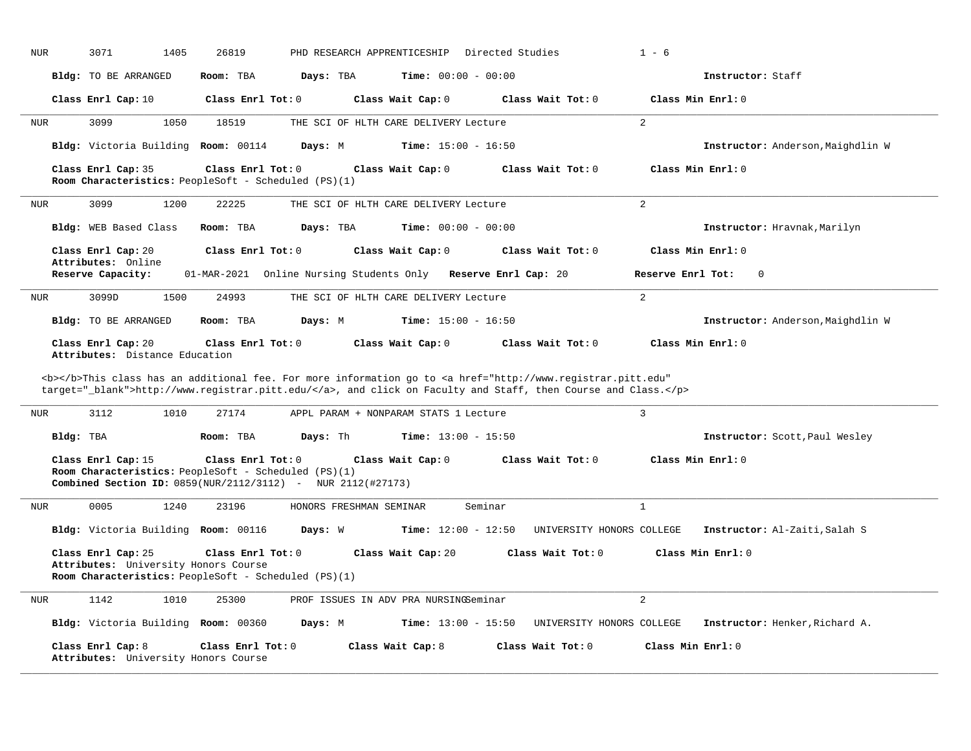| NUR<br>3071<br>1405                                        | PHD RESEARCH APPRENTICESHIP<br>26819<br>Directed Studies                                                                                                                                                                           | $1 - 6$                                                     |
|------------------------------------------------------------|------------------------------------------------------------------------------------------------------------------------------------------------------------------------------------------------------------------------------------|-------------------------------------------------------------|
| <b>Bldg:</b> TO BE ARRANGED                                | Days: TBA<br><b>Time:</b> $00:00 - 00:00$<br>Room: TBA                                                                                                                                                                             | Instructor: Staff                                           |
| Class Enrl Cap: 10                                         | Class Enrl Tot: 0<br>Class Wait Cap: 0                                                                                                                                                                                             | Class Wait Tot: 0<br>Class Min Enrl: 0                      |
| 3099<br>1050<br><b>NUR</b>                                 | 18519<br>THE SCI OF HLTH CARE DELIVERY Lecture                                                                                                                                                                                     | $\overline{2}$                                              |
| Bldg: Victoria Building Room: 00114                        | Time: $15:00 - 16:50$<br>Days: M                                                                                                                                                                                                   | Instructor: Anderson, Maighdlin W                           |
| Class Enrl Cap: 35                                         | Class Enrl Tot: 0<br>Class Wait Cap: 0<br>Room Characteristics: PeopleSoft - Scheduled (PS)(1)                                                                                                                                     | Class Min Enrl: 0<br>Class Wait Tot: 0                      |
| <b>NUR</b><br>3099<br>1200                                 | 22225<br>THE SCI OF HLTH CARE DELIVERY Lecture                                                                                                                                                                                     | 2                                                           |
| Bldg: WEB Based Class                                      | Room: TBA<br>Days: TBA<br><b>Time:</b> $00:00 - 00:00$                                                                                                                                                                             | Instructor: Hravnak, Marilyn                                |
| Class Enrl Cap: 20<br>Attributes: Online                   | Class Enrl Tot: 0<br>Class Wait Cap: 0                                                                                                                                                                                             | Class Min Enrl: 0<br>Class Wait Tot: 0                      |
| Reserve Capacity:                                          | 01-MAR-2021 Online Nursing Students Only Reserve Enrl Cap: 20                                                                                                                                                                      | Reserve Enrl Tot:<br>$\Omega$                               |
| <b>NUR</b><br>3099D<br>1500                                | 24993<br>THE SCI OF HLTH CARE DELIVERY Lecture                                                                                                                                                                                     | $\overline{2}$                                              |
| Bldg: TO BE ARRANGED                                       | Room: TBA<br>Days: M<br><b>Time:</b> $15:00 - 16:50$                                                                                                                                                                               | Instructor: Anderson, Maighdlin W                           |
| Class Enrl Cap: 20<br>Attributes: Distance Education       | Class Enrl Tot: 0<br>Class Wait Cap: 0                                                                                                                                                                                             | Class Wait Tot: 0<br>Class Min Enrl: 0                      |
|                                                            | <b></b> This class has an additional fee. For more information go to <a <br="" href="http://www.registrar.pitt.edu">target="_blank"&gt;http://www.registrar.pitt.edu/</a> , and click on Faculty and Staff, then Course and Class. |                                                             |
| 3112<br>1010<br><b>NUR</b>                                 | 27174<br>APPL PARAM + NONPARAM STATS 1 Lecture                                                                                                                                                                                     | 3                                                           |
| Bldg: TBA                                                  | Room: TBA<br>Days: Th<br><b>Time:</b> $13:00 - 15:50$                                                                                                                                                                              | Instructor: Scott, Paul Wesley                              |
| Class Enrl Cap: 15                                         | Class Enrl Tot: 0<br>Class Wait Cap: 0<br>Room Characteristics: PeopleSoft - Scheduled (PS)(1)<br><b>Combined Section ID:</b> 0859(NUR/2112/3112) - NUR 2112(#27173)                                                               | Class Min Enrl: 0<br>Class Wait Tot: 0                      |
| 0005<br>1240<br>NUR                                        | 23196<br>HONORS FRESHMAN SEMINAR<br>Seminar                                                                                                                                                                                        | $\mathbf{1}$                                                |
| Bldg: Victoria Building Room: 00116                        | Days: W<br><b>Time:</b> $12:00 - 12:50$                                                                                                                                                                                            | UNIVERSITY HONORS COLLEGE<br>Instructor: Al-Zaiti, Salah S  |
| Class Enrl Cap: 25<br>Attributes: University Honors Course | Class Enrl Tot: 0<br>Class Wait Cap: 20<br>Room Characteristics: PeopleSoft - Scheduled (PS)(1)                                                                                                                                    | Class Wait Tot: 0<br>Class Min Enrl: 0                      |
| 1142<br>1010<br><b>NUR</b>                                 | 25300<br>PROF ISSUES IN ADV PRA NURSINGSeminar                                                                                                                                                                                     | 2                                                           |
| Bldg: Victoria Building Room: 00360                        | <b>Time:</b> $13:00 - 15:50$<br>Days: M                                                                                                                                                                                            | UNIVERSITY HONORS COLLEGE<br>Instructor: Henker, Richard A. |
| Class Enrl Cap: 8<br>Attributes: University Honors Course  | Class Enrl Tot: $0$<br>Class Wait Cap: 8                                                                                                                                                                                           | Class Min Enrl: 0<br>Class Wait Tot: 0                      |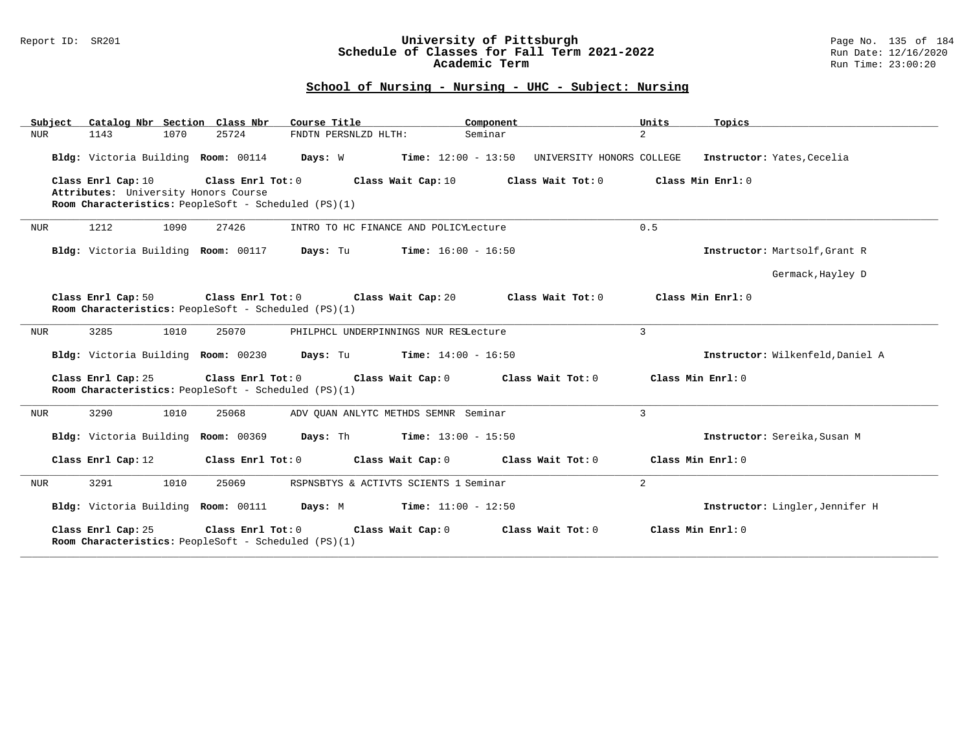#### Report ID: SR201 **University of Pittsburgh** Page No. 135 of 184 **Schedule of Classes for Fall Term 2021-2022** Run Date: 12/16/2020 **Academic Term** Run Time: 23:00:20

| Subject    | Catalog Nbr Section Class Nbr                                                                |                   | Course Title                                 | Component                    |                           | Units             | Topics                           |
|------------|----------------------------------------------------------------------------------------------|-------------------|----------------------------------------------|------------------------------|---------------------------|-------------------|----------------------------------|
| NUR        | 1070<br>1143                                                                                 | 25724             | FNDTN PERSNLZD HLTH:                         | Seminar                      |                           | $\overline{2}$    |                                  |
|            | Bldg: Victoria Building Room: 00114                                                          |                   | Days: W                                      | $Time: 12:00 - 13:50$        | UNIVERSITY HONORS COLLEGE |                   | Instructor: Yates, Cecelia       |
|            | Class Enrl Cap: 10                                                                           | Class Enrl Tot: 0 | Class Wait Cap: 10                           |                              | Class Wait Tot: 0         |                   | Class Min Enrl: 0                |
|            | Attributes: University Honors Course<br>Room Characteristics: PeopleSoft - Scheduled (PS)(1) |                   |                                              |                              |                           |                   |                                  |
|            |                                                                                              |                   |                                              |                              |                           |                   |                                  |
| <b>NUR</b> | 1212<br>1090                                                                                 | 27426             | INTRO TO HC FINANCE AND POLICYLecture        |                              |                           | 0.5               |                                  |
|            | Bldg: Victoria Building Room: 00117                                                          |                   | Days: Tu                                     | $Time: 16:00 - 16:50$        |                           |                   | Instructor: Martsolf, Grant R    |
|            |                                                                                              |                   |                                              |                              |                           |                   | Germack, Hayley D                |
|            | Class Enrl Cap: 50                                                                           | Class Enrl Tot: 0 | Class Wait Cap: 20                           |                              | Class Wait Tot: 0         |                   | Class Min Enrl: 0                |
|            | Room Characteristics: PeopleSoft - Scheduled (PS)(1)                                         |                   |                                              |                              |                           |                   |                                  |
| NUR        | 3285<br>1010                                                                                 | 25070             | PHILPHCL UNDERPINNINGS NUR RESLecture        |                              |                           | $\overline{3}$    |                                  |
|            | Bldg: Victoria Building Room: 00230                                                          |                   | <b>Days:</b> Tu <b>Time:</b> $14:00 - 16:50$ |                              |                           |                   | Instructor: Wilkenfeld, Daniel A |
|            | Class Enrl Cap: 25<br>Room Characteristics: PeopleSoft - Scheduled (PS)(1)                   | Class Enrl Tot: 0 | Class Wait Cap: 0                            |                              | Class Wait Tot: 0         | Class Min Enrl: 0 |                                  |
| NUR        | 3290<br>1010                                                                                 | 25068             | ADV OUAN ANLYTC METHDS SEMNR Seminar         |                              |                           | $\overline{3}$    |                                  |
|            | Bldg: Victoria Building Room: 00369                                                          |                   | Days: Th                                     | <b>Time:</b> $13:00 - 15:50$ |                           |                   | Instructor: Sereika, Susan M     |
|            | Class Enrl Cap: 12                                                                           | Class Enrl Tot: 0 | Class Wait Cap: 0                            |                              | Class Wait Tot: 0         | Class Min Enrl: 0 |                                  |
| NUR        | 3291<br>1010                                                                                 | 25069             | RSPNSBTYS & ACTIVTS SCIENTS 1 Seminar        |                              |                           | $\overline{2}$    |                                  |
|            | Bldg: Victoria Building Room: 00111                                                          |                   | <b>Days:</b> M <b>Time:</b> $11:00 - 12:50$  |                              |                           |                   | Instructor: Lingler, Jennifer H  |
|            | Class Enrl Cap: 25<br>Room Characteristics: PeopleSoft - Scheduled (PS)(1)                   | Class Enrl Tot: 0 | Class Wait Cap: 0                            |                              | Class Wait $Tot: 0$       |                   | Class Min $Enrl: 0$              |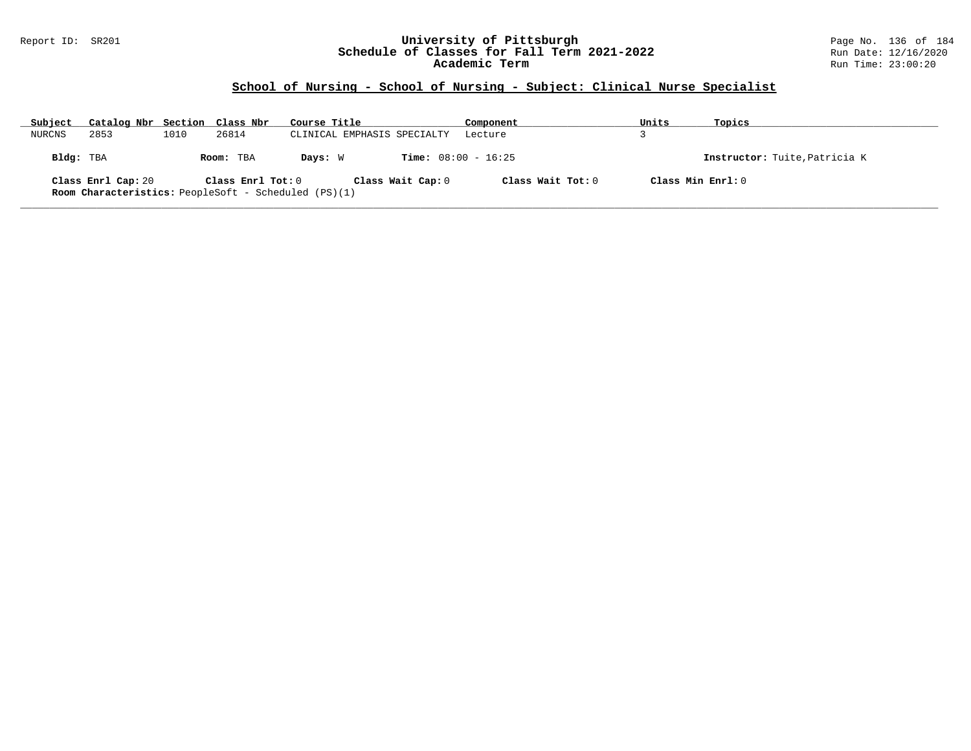### Report ID: SR201 **University of Pittsburgh** Page No. 136 of 184 **Schedule of Classes for Fall Term 2021-2022** Run Date: 12/16/2020 **Academic Term** Run Time: 23:00:20

# **School of Nursing - School of Nursing - Subject: Clinical Nurse Specialist**

| Subject   | Catalog Nbr Section Class Nbr |      |                                                                                  | Course Title                |                              | Component         | Units             | Topics                        |
|-----------|-------------------------------|------|----------------------------------------------------------------------------------|-----------------------------|------------------------------|-------------------|-------------------|-------------------------------|
| NURCNS    | 2853                          | 1010 | 26814                                                                            | CLINICAL EMPHASIS SPECIALTY |                              | Lecture           |                   |                               |
| Bldg: TBA |                               |      | Room: TBA                                                                        | Days: W                     | <b>Time:</b> $08:00 - 16:25$ |                   |                   | Instructor: Tuite, Patricia K |
|           | Class Enrl Cap: 20            |      | Class Enrl Tot: 0<br><b>Room Characteristics:</b> PeopleSoft - Scheduled (PS)(1) |                             | Class Wait Cap: 0            | Class Wait Tot: 0 | Class Min Enrl: 0 |                               |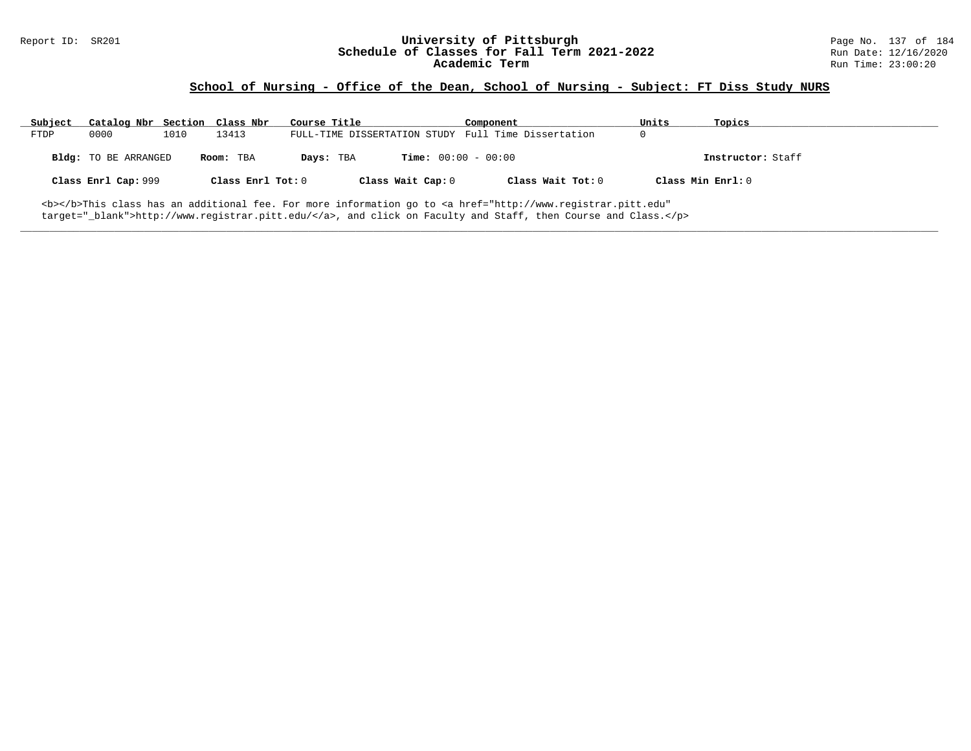# Report ID: SR201 **1988 Manual Constant Constant Constant Constant Constant Page No. 137 of 184**<br>**Schedule of Classes for Fall Term 2021-2022** 201 Run Date: 12/16/2020 Schedule of Classes for Fall Term 2021-2022<br>Academic Term

### **School of Nursing - Office of the Dean, School of Nursing - Subject: FT Diss Study NURS**

| Subject | Catalog Nbr Section Class Nbr |      |                   | Course Title |                              | Component                                                                                                                                      | Units       | Topics            |
|---------|-------------------------------|------|-------------------|--------------|------------------------------|------------------------------------------------------------------------------------------------------------------------------------------------|-------------|-------------------|
| FTDP    | 0000                          | 1010 | 13413             |              |                              | FULL-TIME DISSERTATION STUDY Full Time Dissertation                                                                                            | $\mathbf 0$ |                   |
|         | Bldg: TO BE ARRANGED          |      | Room: TBA         | Days: TBA    | <b>Time:</b> $00:00 - 00:00$ |                                                                                                                                                |             | Instructor: Staff |
|         | Class Enrl Cap: 999           |      | Class Enrl Tot: 0 |              | Class Wait Cap: 0            | Class Wait Tot: 0                                                                                                                              |             | Class Min Enrl: 0 |
|         |                               |      |                   |              |                              | <b></b> This class has an additional fee. For more information go to <a <="" href="http://www.registrar.pitt.edu" td=""><td></td><td></td></a> |             |                   |

**\_\_\_\_\_\_\_\_\_\_\_\_\_\_\_\_\_\_\_\_\_\_\_\_\_\_\_\_\_\_\_\_\_\_\_\_\_\_\_\_\_\_\_\_\_\_\_\_\_\_\_\_\_\_\_\_\_\_\_\_\_\_\_\_\_\_\_\_\_\_\_\_\_\_\_\_\_\_\_\_\_\_\_\_\_\_\_\_\_\_\_\_\_\_\_\_\_\_\_\_\_\_\_\_\_\_\_\_\_\_\_\_\_\_\_\_\_\_\_\_\_\_\_\_\_\_\_\_\_\_\_\_\_\_\_\_\_\_\_\_\_\_\_\_\_\_\_\_\_\_\_\_\_\_\_\_**

target="\_blank">http://www.registrar.pitt.edu/</a>, and click on Faculty and Staff, then Course and Class.</p>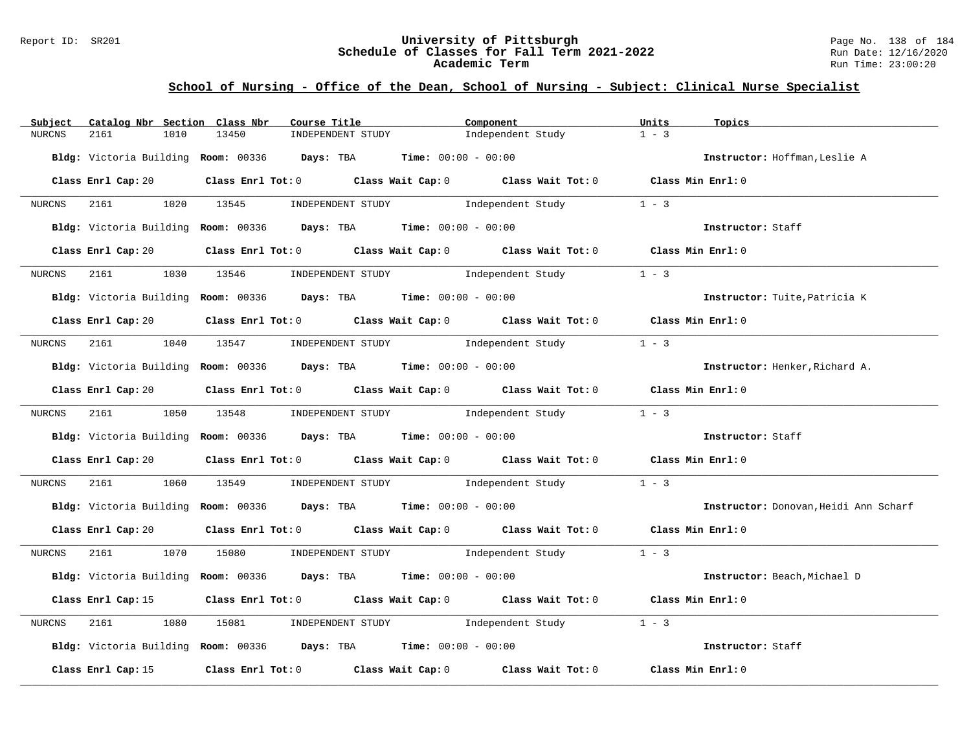### Report ID: SR201 **University of Pittsburgh** Page No. 138 of 184 **Schedule of Classes for Fall Term 2021-2022** Run Date: 12/16/2020 **Academic Term** Run Time: 23:00:20

| Subject | Catalog Nbr Section Class Nbr | Course Title                                                      | Component                                                                                                                      | Units<br>Topics                       |
|---------|-------------------------------|-------------------------------------------------------------------|--------------------------------------------------------------------------------------------------------------------------------|---------------------------------------|
| NURCNS  | 2161<br>1010                  | 13450<br>INDEPENDENT STUDY                                        | Independent Study                                                                                                              | $1 - 3$                               |
|         |                               | Bldg: Victoria Building Room: 00336 Days: TBA Time: 00:00 - 00:00 |                                                                                                                                | Instructor: Hoffman, Leslie A         |
|         |                               |                                                                   | Class Enrl Cap: 20 		 Class Enrl Tot: 0 		 Class Wait Cap: 0 		 Class Wait Tot: 0 		 Class Min Enrl: 0                         |                                       |
| NURCNS  | 2161                          | 1020 13545                                                        | INDEPENDENT STUDY The Independent Study                                                                                        | $1 - 3$                               |
|         |                               | Bldg: Victoria Building Room: 00336 Days: TBA Time: 00:00 - 00:00 |                                                                                                                                | Instructor: Staff                     |
|         |                               |                                                                   | Class Enrl Cap: 20 		 Class Enrl Tot: 0 		 Class Wait Cap: 0 		 Class Wait Tot: 0 		 Class Min Enrl: 0                         |                                       |
| NURCNS  | 2161                          |                                                                   | 1030 13546 INDEPENDENT STUDY 1ndependent Study                                                                                 | $1 - 3$                               |
|         |                               | Bldg: Victoria Building Room: 00336 Days: TBA Time: 00:00 - 00:00 |                                                                                                                                | Instructor: Tuite, Patricia K         |
|         |                               |                                                                   | Class Enrl Cap: 20 Class Enrl Tot: 0 Class Wait Cap: 0 Class Wait Tot: 0 Class Min Enrl: 0                                     |                                       |
| NURCNS  | 2161                          |                                                                   | 1040 13547 INDEPENDENT STUDY Independent Study                                                                                 | $1 - 3$                               |
|         |                               | Bldg: Victoria Building Room: 00336 Days: TBA Time: 00:00 - 00:00 |                                                                                                                                | Instructor: Henker, Richard A.        |
|         |                               |                                                                   | Class Enrl Cap: 20 Class Enrl Tot: 0 Class Wait Cap: 0 Class Wait Tot: 0 Class Min Enrl: 0                                     |                                       |
|         |                               |                                                                   | NURCNS 2161 1050 13548 INDEPENDENT STUDY Independent Study 1 - 3                                                               |                                       |
|         |                               | Bldg: Victoria Building Room: 00336 Days: TBA Time: 00:00 - 00:00 |                                                                                                                                | Instructor: Staff                     |
|         |                               |                                                                   | Class Enrl Cap: 20 $\qquad$ Class Enrl Tot: 0 $\qquad$ Class Wait Cap: 0 $\qquad$ Class Wait Tot: 0 $\qquad$ Class Min Enrl: 0 |                                       |
| NURCNS  | 2161                          | 1060 13549                                                        | INDEPENDENT STUDY 1ndependent Study                                                                                            | $1 - 3$                               |
|         |                               | Bldg: Victoria Building Room: 00336 Days: TBA Time: 00:00 - 00:00 |                                                                                                                                | Instructor: Donovan, Heidi Ann Scharf |
|         |                               |                                                                   | Class Enrl Cap: 20 $\qquad$ Class Enrl Tot: 0 $\qquad$ Class Wait Cap: 0 $\qquad$ Class Wait Tot: 0 $\qquad$ Class Min Enrl: 0 |                                       |
| NURCNS  |                               |                                                                   | 2161 1070 15080 INDEPENDENT STUDY Independent Study 1 - 3                                                                      |                                       |
|         |                               | Bldg: Victoria Building Room: 00336 Days: TBA Time: 00:00 - 00:00 |                                                                                                                                | Instructor: Beach, Michael D          |
|         | Class Enrl Cap: 15            |                                                                   | Class Enrl Tot: 0 Class Wait Cap: 0 Class Wait Tot: 0 Class Min Enrl: 0                                                        |                                       |
| NURCNS  | 2161<br>1080                  |                                                                   | 15081 INDEPENDENT STUDY 1ndependent Study                                                                                      | $1 - 3$                               |
|         |                               | Bldg: Victoria Building Room: 00336 Days: TBA Time: 00:00 - 00:00 |                                                                                                                                | Instructor: Staff                     |
|         | Class Enrl Cap: 15            |                                                                   | Class Enrl Tot: 0 Class Wait Cap: 0 Class Wait Tot: 0                                                                          | Class Min Enrl: 0                     |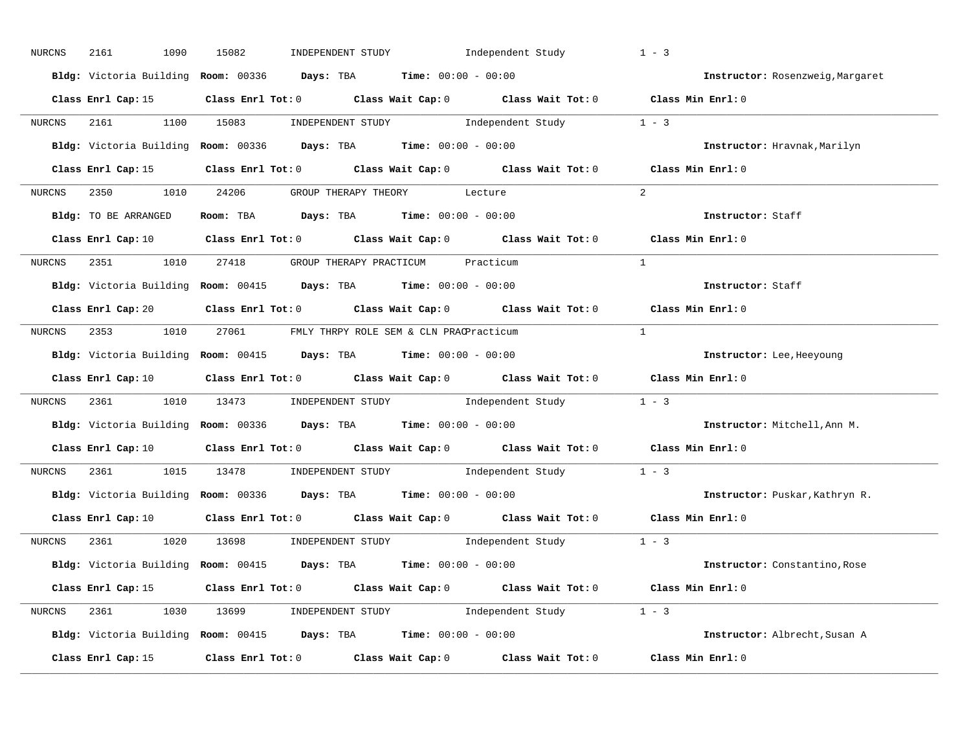| 2161<br>NURCNS     | 1090<br>15082 | INDEPENDENT STUDY Independent Study                                                                                            |                         | $1 - 3$                          |
|--------------------|---------------|--------------------------------------------------------------------------------------------------------------------------------|-------------------------|----------------------------------|
|                    |               | Bldg: Victoria Building Room: 00336 Days: TBA Time: 00:00 - 00:00                                                              |                         | Instructor: Rosenzweig, Margaret |
| Class Enrl Cap: 15 |               | Class Enrl Tot: 0 Class Wait Cap: 0 Class Wait Tot: 0 Class Min Enrl: 0                                                        |                         |                                  |
|                    |               | NURCNS 2161 1100 15083 INDEPENDENT STUDY Independent Study 1 - 3                                                               |                         |                                  |
|                    |               | Bldg: Victoria Building Room: 00336 Days: TBA Time: 00:00 - 00:00                                                              |                         | Instructor: Hravnak, Marilyn     |
|                    |               | Class Enrl Cap: 15 Class Enrl Tot: 0 Class Wait Cap: 0 Class Wait Tot: 0 Class Min Enrl: 0                                     |                         |                                  |
|                    |               | NURCNS 2350 1010 24206 GROUP THERAPY THEORY Lecture                                                                            |                         | $\overline{2}$                   |
|                    |               | Bldg: TO BE ARRANGED Room: TBA Days: TBA Time: 00:00 - 00:00                                                                   |                         | Instructor: Staff                |
|                    |               | Class Enrl Cap: 10 Class Enrl Tot: 0 Class Wait Cap: 0 Class Wait Tot: 0 Class Min Enrl: 0                                     |                         |                                  |
|                    |               | NURCNS 2351 1010 27418 GROUP THERAPY PRACTICUM Practicum                                                                       |                         | $\mathbf{1}$                     |
|                    |               | Bldg: Victoria Building Room: 00415 Days: TBA Time: 00:00 - 00:00                                                              |                         | Instructor: Staff                |
|                    |               | Class Enrl Cap: 20 Class Enrl Tot: 0 Class Wait Cap: 0 Class Wait Tot: 0 Class Min Enrl: 0                                     |                         |                                  |
| NURCNS             |               | 2353 1010 27061 FMLY THRPY ROLE SEM & CLN PRACPracticum                                                                        |                         | $\mathbf{1}$                     |
|                    |               | Bldg: Victoria Building Room: 00415 Days: TBA Time: 00:00 - 00:00                                                              |                         | Instructor: Lee, Heeyoung        |
| Class Enrl Cap: 10 |               | Class Enrl Tot: 0 $\qquad$ Class Wait Cap: 0 $\qquad$ Class Wait Tot: 0 $\qquad$ Class Min Enrl: 0                             |                         |                                  |
| NURCNS             |               | 2361 1010 13473 INDEPENDENT STUDY Independent Study 1 - 3                                                                      |                         |                                  |
|                    |               | Bldg: Victoria Building Room: 00336 Days: TBA Time: 00:00 - 00:00                                                              |                         | Instructor: Mitchell, Ann M.     |
|                    |               | Class Enrl Cap: 10 $\qquad$ Class Enrl Tot: 0 $\qquad$ Class Wait Cap: 0 $\qquad$ Class Wait Tot: 0 $\qquad$ Class Min Enrl: 0 |                         |                                  |
| NURCNS             |               | 1015 13478 INDEPENDENT STUDY                                                                                                   | Independent Study 1 - 3 |                                  |
|                    |               | Bldg: Victoria Building Room: 00336 Days: TBA Time: 00:00 - 00:00                                                              |                         | Instructor: Puskar, Kathryn R.   |
| Class Enrl Cap: 10 |               | Class Enrl Tot: 0 Class Wait Cap: 0 Class Wait Tot: 0 Class Min Enrl: 0                                                        |                         |                                  |
| 2361 236<br>NURCNS |               | 1020 13698 INDEPENDENT STUDY 1ndependent Study 1 - 3                                                                           |                         |                                  |
|                    |               | Bldg: Victoria Building Room: 00415 Days: TBA Time: 00:00 - 00:00                                                              |                         | Instructor: Constantino, Rose    |
|                    |               | Class Enrl Cap: 15 Class Enrl Tot: 0 Class Wait Cap: 0 Class Wait Tot: 0 Class Min Enrl: 0                                     |                         |                                  |
|                    |               | NURCNS 2361 1030 13699 INDEPENDENT STUDY Independent Study 1 - 3                                                               |                         |                                  |
|                    |               | Bldg: Victoria Building Room: 00415 Days: TBA Time: 00:00 - 00:00                                                              |                         | Instructor: Albrecht, Susan A    |
| Class Enrl Cap: 15 |               | Class Enrl Tot: 0 Class Wait Cap: 0 Class Wait Tot: 0 Class Min Enrl: 0                                                        |                         |                                  |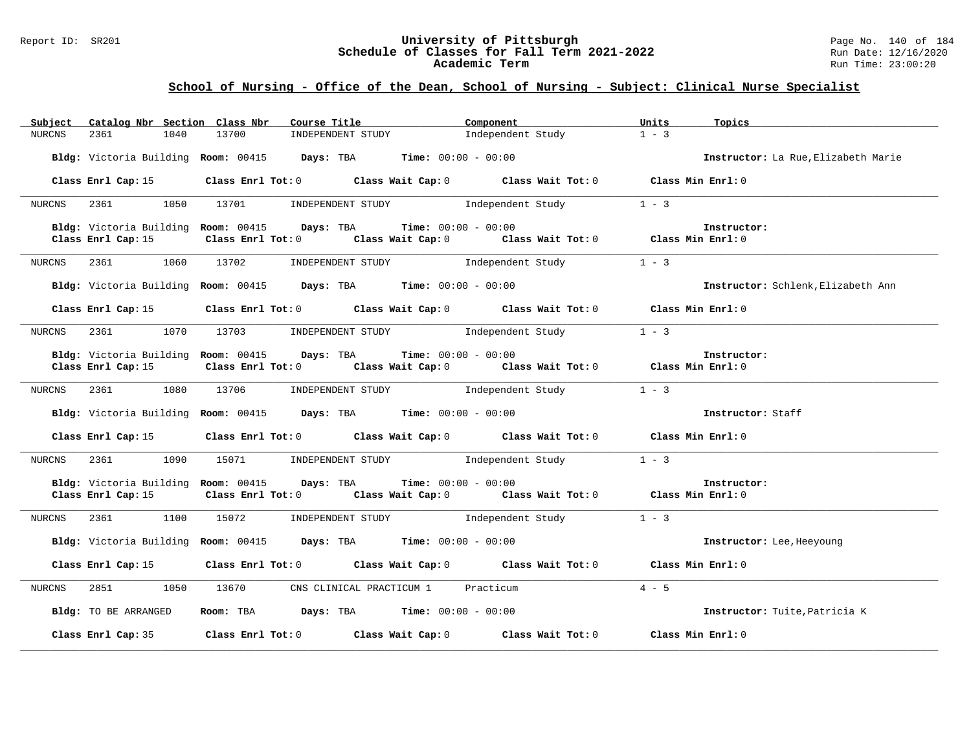### Report ID: SR201 **University of Pittsburgh** Page No. 140 of 184 **Schedule of Classes for Fall Term 2021-2022** Run Date: 12/16/2020 **Academic Term** Run Time: 23:00:20

| Subject       | Catalog Nbr Section Class Nbr | Course Title                                                                                                                                 | Component         | Units<br>Topics                     |
|---------------|-------------------------------|----------------------------------------------------------------------------------------------------------------------------------------------|-------------------|-------------------------------------|
| <b>NURCNS</b> | 2361<br>1040                  | INDEPENDENT STUDY<br>13700                                                                                                                   | Independent Study | $1 - 3$                             |
|               |                               | Bldg: Victoria Building Room: 00415 Days: TBA Time: 00:00 - 00:00                                                                            |                   | Instructor: La Rue, Elizabeth Marie |
|               | Class Enrl Cap: 15            | Class Enrl Tot: 0 Class Wait Cap: 0 Class Wait Tot: 0 Class Min Enrl: 0                                                                      |                   |                                     |
| NURCNS        | 1050<br>2361                  | INDEPENDENT STUDY 1ndependent Study<br>13701                                                                                                 |                   | $1 - 3$                             |
|               |                               | Bldg: Victoria Building Room: 00415 Days: TBA<br>$Time: 00:00 - 00:00$                                                                       |                   | Instructor:                         |
|               | Class Enrl Cap: 15            | Class Enrl Tot: 0 $\qquad$ Class Wait Cap: 0 $\qquad$ Class Wait Tot: 0 $\qquad$ Class Min Enrl: 0                                           |                   |                                     |
| NURCNS        | 1060<br>2361                  | 13702<br>INDEPENDENT STUDY 1ndependent Study                                                                                                 |                   | $1 - 3$                             |
|               |                               | Bldg: Victoria Building Room: 00415 Days: TBA Time: 00:00 - 00:00                                                                            |                   | Instructor: Schlenk, Elizabeth Ann  |
|               | Class Enrl Cap: 15            | Class Enrl Tot: $0$ Class Wait Cap: $0$ Class Wait Tot: $0$ Class Min Enrl: $0$                                                              |                   |                                     |
| NURCNS        | 1070<br>2361                  | 13703 INDEPENDENT STUDY Independent Study                                                                                                    |                   | $1 - 3$                             |
|               |                               | Bldg: Victoria Building Room: 00415 Days: TBA Time: 00:00 - 00:00                                                                            |                   | Instructor:                         |
|               | Class Enrl Cap: 15            | Class Enrl Tot: 0 $\qquad$ Class Wait Cap: 0 $\qquad$ Class Wait Tot: 0 $\qquad$ Class Min Enrl: 0                                           |                   |                                     |
| NURCNS        | 1080<br>2361                  | INDEPENDENT STUDY 1 - 3<br>13706                                                                                                             |                   |                                     |
|               |                               | Bldg: Victoria Building Room: 00415 Days: TBA Time: 00:00 - 00:00                                                                            |                   | Instructor: Staff                   |
|               |                               | Class Enrl Cap: 15 Class Enrl Tot: 0 Class Wait Cap: 0 Class Wait Tot: 0 Class Min Enrl: 0                                                   |                   |                                     |
| NURCNS        | 2361<br>1090                  | 15071 INDEPENDENT STUDY Independent Study                                                                                                    |                   | $1 - 3$                             |
|               | Class Enrl Cap: 15            | Bldg: Victoria Building Room: 00415 Days: TBA Time: 00:00 - 00:00<br>Class Enrl Tot: 0 Class Wait Cap: 0 Class Wait Tot: 0 Class Min Enrl: 0 |                   | Instructor:                         |
|               |                               |                                                                                                                                              |                   |                                     |
| NURCNS        | 2361<br>1100                  | 15072<br>INDEPENDENT STUDY 1ndependent Study                                                                                                 |                   | $1 - 3$                             |
|               |                               | Bldg: Victoria Building Room: 00415 Days: TBA Time: 00:00 - 00:00                                                                            |                   | Instructor: Lee, Heeyoung           |
|               |                               | Class Enrl Cap: 15 Class Enrl Tot: 0 Class Wait Cap: 0 Class Wait Tot: 0 Class Min Enrl: 0                                                   |                   |                                     |
| NURCNS        | 2851                          | 1050 13670 CNS CLINICAL PRACTICUM 1 Practicum                                                                                                |                   | $4 - 5$                             |
|               | Bldg: TO BE ARRANGED          | Room: TBA $\rule{1em}{0.15mm}$ Days: TBA $\rule{1.5mm}{0.15mm}$ Time: $00:00 - 00:00$                                                        |                   | Instructor: Tuite, Patricia K       |
|               | Class Enrl Cap: 35            | Class Enrl Tot: $0$ Class Wait Cap: $0$ Class Wait Tot: $0$ Class Min Enrl: $0$                                                              |                   |                                     |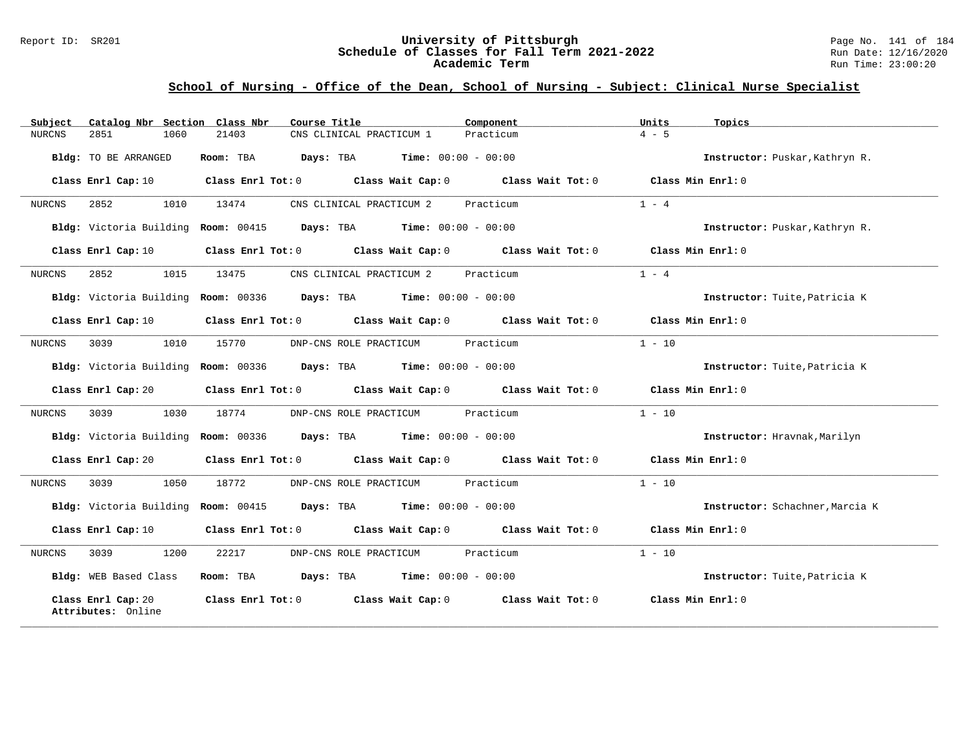### Report ID: SR201 **University of Pittsburgh** Page No. 141 of 184 **Schedule of Classes for Fall Term 2021-2022** Run Date: 12/16/2020 **Academic Term** Run Time: 23:00:20

| Subject | Catalog Nbr Section Class Nbr            | Course Title | Component                                                                                          | Units<br>Topics                 |
|---------|------------------------------------------|--------------|----------------------------------------------------------------------------------------------------|---------------------------------|
| NURCNS  | 2851<br>1060                             | 21403        | Practicum<br>CNS CLINICAL PRACTICUM 1                                                              | $4 - 5$                         |
|         | Bldg: TO BE ARRANGED                     |              | <b>Room:</b> TBA <b>Days:</b> TBA <b>Time:</b> 00:00 - 00:00                                       | Instructor: Puskar, Kathryn R.  |
|         | Class Enrl Cap: 10                       |              | Class Enrl Tot: $0$ Class Wait Cap: $0$ Class Wait Tot: $0$ Class Min Enrl: $0$                    |                                 |
| NURCNS  | 2852<br>1010                             | 13474        | CNS CLINICAL PRACTICUM 2 Practicum                                                                 | $1 - 4$                         |
|         |                                          |              | Bldg: Victoria Building Room: 00415 Days: TBA Time: 00:00 - 00:00                                  | Instructor: Puskar, Kathryn R.  |
|         | Class Enrl Cap: 10                       |              | Class Enrl Tot: 0 Class Wait Cap: 0 Class Wait Tot: 0 Class Min Enrl: 0                            |                                 |
| NURCNS  | 2852<br>1015                             | 13475        | CNS CLINICAL PRACTICUM 2 Practicum                                                                 | $1 - 4$                         |
|         |                                          |              | Bldg: Victoria Building Room: 00336 Days: TBA Time: 00:00 - 00:00                                  | Instructor: Tuite, Patricia K   |
|         | Class Enrl Cap: 10                       |              | Class Enrl Tot: $0$ Class Wait Cap: $0$ Class Wait Tot: $0$ Class Min Enrl: $0$                    |                                 |
| NURCNS  | 3039<br>1010                             | 15770        | DNP-CNS ROLE PRACTICUM Practicum                                                                   | $1 - 10$                        |
|         |                                          |              | Bldg: Victoria Building Room: 00336 Days: TBA Time: 00:00 - 00:00                                  | Instructor: Tuite, Patricia K   |
|         | Class Enrl Cap: 20                       |              | Class Enrl Tot: 0 Class Wait Cap: 0 Class Wait Tot: 0 Class Min Enrl: 0                            |                                 |
| NURCNS  | 3039 30<br>1030                          | 18774        | DNP-CNS ROLE PRACTICUM Practicum                                                                   | $1 - 10$                        |
|         |                                          |              | Bldg: Victoria Building Room: 00336 Days: TBA Time: 00:00 - 00:00                                  | Instructor: Hravnak, Marilyn    |
|         | Class Enrl Cap: 20                       |              | Class Enrl Tot: 0 Class Wait Cap: 0 Class Wait Tot: 0 Class Min Enrl: 0                            |                                 |
| NURCNS  | 3039<br>1050                             | 18772        | DNP-CNS ROLE PRACTICUM Practicum                                                                   | $1 - 10$                        |
|         |                                          |              | Bldg: Victoria Building Room: 00415 Days: TBA Time: 00:00 - 00:00                                  | Instructor: Schachner, Marcia K |
|         | Class Enrl Cap: 10                       |              | Class Enrl Tot: 0 $\qquad$ Class Wait Cap: 0 $\qquad$ Class Wait Tot: 0 $\qquad$ Class Min Enrl: 0 |                                 |
| NURCNS  | 3039<br>1200                             | 22217        | DNP-CNS ROLE PRACTICUM Practicum                                                                   | $1 - 10$                        |
|         | Bldg: WEB Based Class                    |              | Room: TBA $\rule{1em}{0.15mm}$ Days: TBA $\rule{1.15mm}]{0.15mm}$ Time: $0.000 - 0.0000$           | Instructor: Tuite, Patricia K   |
|         | Class Enrl Cap: 20<br>Attributes: Online |              | Class Enrl Tot: 0 Class Wait Cap: 0 Class Wait Tot: 0                                              | Class Min Enrl: 0               |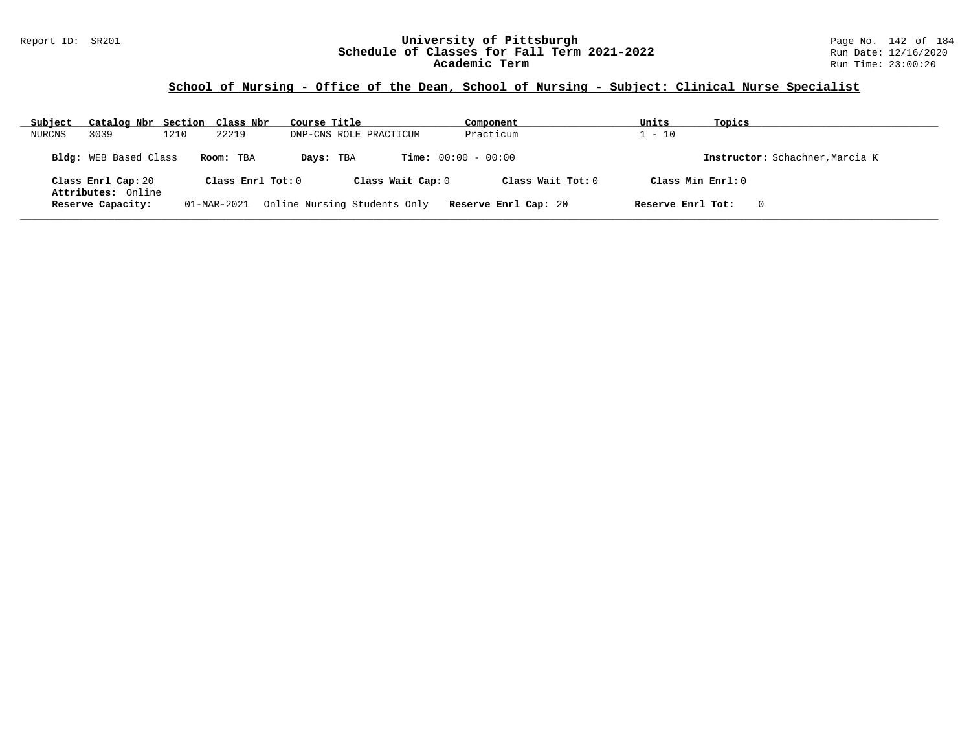### Report ID: SR201 **University of Pittsburgh** Page No. 142 of 184 **Schedule of Classes for Fall Term 2021-2022** Run Date: 12/16/2020 **Academic Term** Run Time: 23:00:20

| Subject | Catalog Nbr Section Class Nbr |      |                     | Course Title |                              | Component                    | Units             | Topics                          |
|---------|-------------------------------|------|---------------------|--------------|------------------------------|------------------------------|-------------------|---------------------------------|
| NURCNS  | 3039                          | 1210 | 22219               |              | DNP-CNS ROLE PRACTICUM       | Practicum                    | $1 - 10$          |                                 |
|         | <b>Bldg:</b> WEB Based Class  |      | Room: TBA           | Days: TBA    |                              | <b>Time:</b> $00:00 - 00:00$ |                   | Instructor: Schachner, Marcia K |
|         | Class Enrl Cap: 20            |      | Class Enrl Tot: $0$ |              | Class Wait Cap: 0            | Class Wait $Tot: 0$          |                   | Class Min $Enrl: 0$             |
|         | Attributes: Online            |      |                     |              |                              |                              |                   |                                 |
|         | Reserve Capacity:             |      | 01-MAR-2021         |              | Online Nursing Students Only | Reserve Enrl Cap: 20         | Reserve Enrl Tot: | 0                               |
|         |                               |      |                     |              |                              |                              |                   |                                 |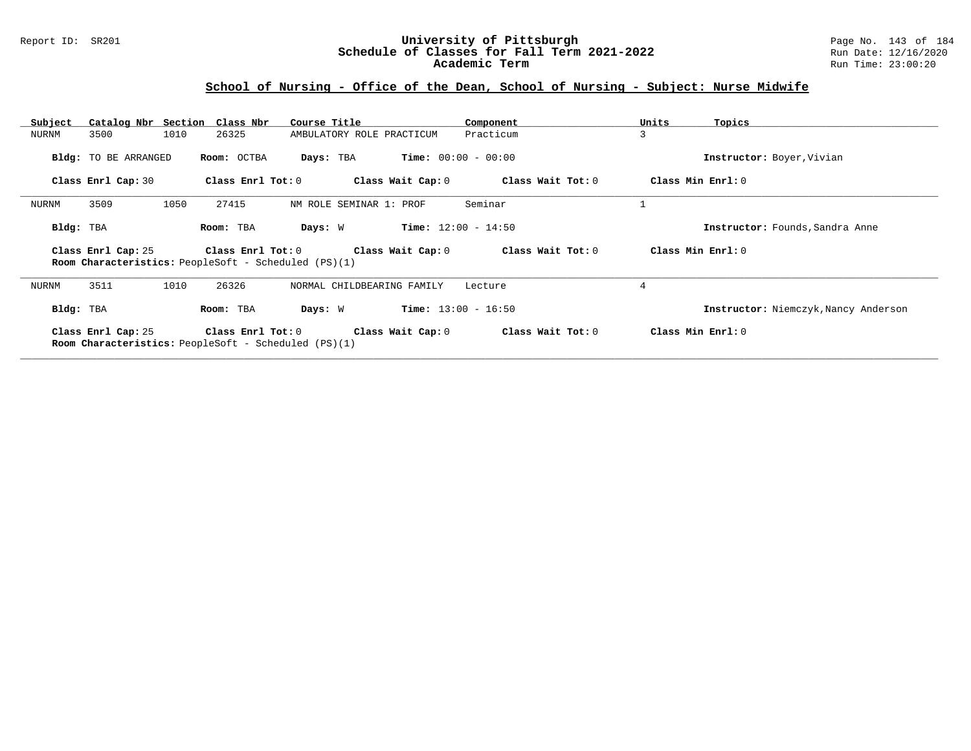### Report ID: SR201 **University of Pittsburgh** Page No. 143 of 184 **Schedule of Classes for Fall Term 2021-2022** Run Date: 12/16/2020 **Academic Term** Run Time: 23:00:20

# **School of Nursing - Office of the Dean, School of Nursing - Subject: Nurse Midwife**

| Subject |                      | Catalog Nbr Section Class Nbr                                                    | Course Title                     | Component             | Units<br>Topics                      |
|---------|----------------------|----------------------------------------------------------------------------------|----------------------------------|-----------------------|--------------------------------------|
| NURNM   | 3500                 | 1010<br>26325                                                                    | AMBULATORY ROLE PRACTICUM        | Practicum             | 3                                    |
|         | Bldg: TO BE ARRANGED | Room: OCTBA                                                                      | Days: TBA                        | $Time: 00:00 - 00:00$ | Instructor: Boyer, Vivian            |
|         | Class Enrl Cap: 30   | Class Enrl Tot: 0                                                                | Class Wait Cap: 0                | Class Wait Tot: 0     | Class Min Enrl: 0                    |
| NURNM   | 3509                 | 1050<br>27415                                                                    | NM ROLE SEMINAR 1: PROF          | Seminar               |                                      |
|         | Bldg: TBA            | Room: TBA                                                                        | Days: W<br>$Time: 12:00 - 14:50$ |                       | Instructor: Founds, Sandra Anne      |
|         |                      |                                                                                  |                                  |                       |                                      |
|         | Class Enrl Cap: 25   | Class Enrl Tot: 0<br><b>Room Characteristics:</b> PeopleSoft - Scheduled (PS)(1) | Class Wait Cap: 0                | Class Wait Tot: 0     | Class Min Enrl: 0                    |
| NURNM   | 3511                 | 26326<br>1010                                                                    | NORMAL CHILDBEARING FAMILY       | Lecture               | 4                                    |
|         | Bldg: TBA            | Room: TBA                                                                        | Days: W                          | $Time: 13:00 - 16:50$ | Instructor: Niemczyk, Nancy Anderson |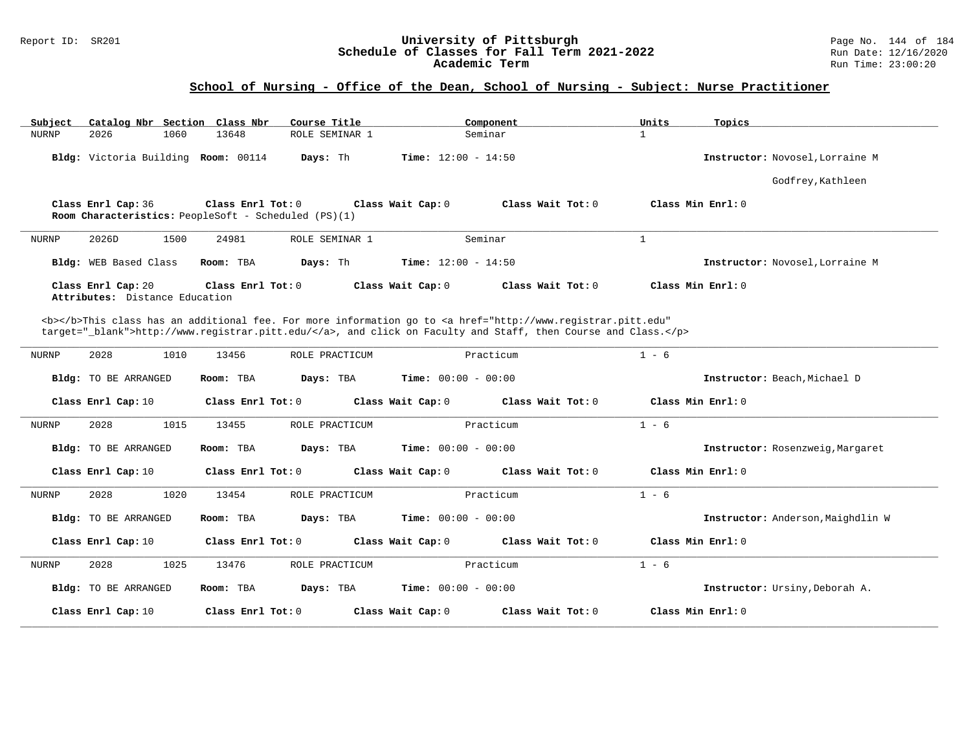### Report ID: SR201 **University of Pittsburgh** Page No. 144 of 184 **Schedule of Classes for Fall Term 2021-2022** Run Date: 12/16/2020 **Academic Term** Run Time: 23:00:20

# **School of Nursing - Office of the Dean, School of Nursing - Subject: Nurse Practitioner**

| Catalog Nbr Section Class Nbr<br>Subject             | Course Title                                                              | Component                                                                                                                                                                                                                          | Units<br>Topics                   |
|------------------------------------------------------|---------------------------------------------------------------------------|------------------------------------------------------------------------------------------------------------------------------------------------------------------------------------------------------------------------------------|-----------------------------------|
| <b>NURNP</b><br>2026<br>1060                         | 13648<br>ROLE SEMINAR 1                                                   | Seminar                                                                                                                                                                                                                            | $\mathbf{1}$                      |
| Bldg: Victoria Building Room: 00114                  | Days: Th                                                                  | <b>Time:</b> $12:00 - 14:50$                                                                                                                                                                                                       | Instructor: Novosel, Lorraine M   |
|                                                      |                                                                           |                                                                                                                                                                                                                                    | Godfrey, Kathleen                 |
| Class Enrl Cap: 36                                   | Class Enrl Tot: 0<br>Room Characteristics: PeopleSoft - Scheduled (PS)(1) | Class Wait Cap: 0<br>Class Wait Tot: 0                                                                                                                                                                                             | Class Min Enrl: 0                 |
| 2026D<br>1500<br>NURNP                               | 24981<br>ROLE SEMINAR 1                                                   | Seminar                                                                                                                                                                                                                            | $\mathbf{1}$                      |
| Bldg: WEB Based Class                                | Room: TBA<br>Days: Th                                                     | <b>Time:</b> $12:00 - 14:50$                                                                                                                                                                                                       | Instructor: Novosel, Lorraine M   |
| Class Enrl Cap: 20<br>Attributes: Distance Education | Class Enrl Tot: $0$                                                       | Class Wait Cap: 0<br>Class Wait Tot: 0                                                                                                                                                                                             | Class Min Enrl: 0                 |
|                                                      |                                                                           |                                                                                                                                                                                                                                    |                                   |
|                                                      |                                                                           | <b></b> This class has an additional fee. For more information go to <a <br="" href="http://www.registrar.pitt.edu">target="_blank"&gt;http://www.registrar.pitt.edu/</a> , and click on Faculty and Staff, then Course and Class. |                                   |
| 2028<br>1010<br>NURNP                                | 13456<br>ROLE PRACTICUM                                                   | Practicum                                                                                                                                                                                                                          | $1 - 6$                           |
| Bldg: TO BE ARRANGED                                 | Room: TBA<br>Days: TBA                                                    | <b>Time:</b> $00:00 - 00:00$                                                                                                                                                                                                       | Instructor: Beach, Michael D      |
| Class Enrl Cap: 10                                   | Class Enrl Tot: 0                                                         | Class Wait Cap: 0<br>Class Wait Tot: 0                                                                                                                                                                                             | Class Min Enrl: 0                 |
| 2028<br>1015<br>NURNP                                | 13455<br>ROLE PRACTICUM                                                   | Practicum                                                                                                                                                                                                                          | $1 - 6$                           |
| <b>Bldg:</b> TO BE ARRANGED                          | Room: TBA<br>Days: TBA                                                    | <b>Time:</b> $00:00 - 00:00$                                                                                                                                                                                                       | Instructor: Rosenzweig, Margaret  |
| Class Enrl Cap: 10                                   | Class Enrl Tot: 0                                                         | Class Wait Cap: 0<br>Class Wait Tot: 0                                                                                                                                                                                             | Class Min Enrl: 0                 |
| <b>NURNP</b><br>2028<br>1020                         | 13454<br>ROLE PRACTICUM                                                   | Practicum                                                                                                                                                                                                                          | $1 - 6$                           |
| <b>Bldg:</b> TO BE ARRANGED                          | Days: TBA<br>Room: TBA                                                    | <b>Time:</b> $00:00 - 00:00$                                                                                                                                                                                                       | Instructor: Anderson, Maighdlin W |
| Class Enrl Cap: 10                                   | Class Enrl Tot: 0                                                         | Class Wait Cap: 0<br>Class Wait Tot: 0                                                                                                                                                                                             | Class Min Enrl: 0                 |
| 2028<br>1025<br>NURNP                                | 13476<br>ROLE PRACTICUM                                                   | Practicum                                                                                                                                                                                                                          | $1 - 6$                           |
| <b>Bldg:</b> TO BE ARRANGED                          | Days: TBA<br>Room: TBA                                                    | <b>Time:</b> $00:00 - 00:00$                                                                                                                                                                                                       | Instructor: Ursiny, Deborah A.    |
| Class Enrl Cap: 10                                   | Class Enrl Tot: 0                                                         | Class Wait Cap: 0<br>Class Wait Tot: 0                                                                                                                                                                                             | Class Min Enrl: 0                 |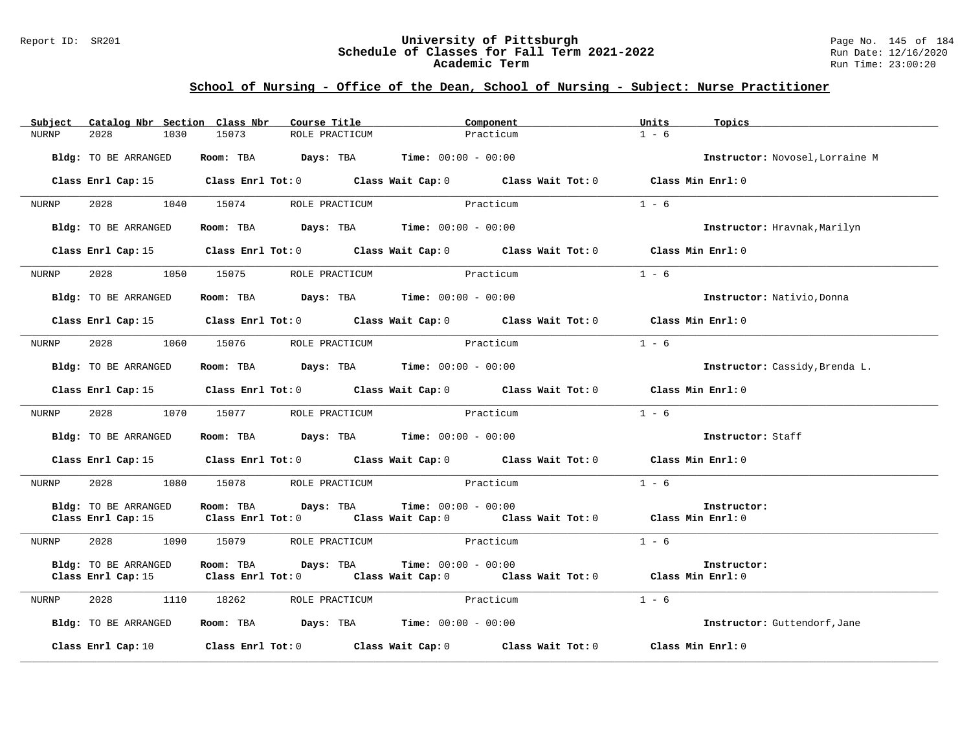#### Report ID: SR201 **University of Pittsburgh** Page No. 145 of 184 **Schedule of Classes for Fall Term 2021-2022** Run Date: 12/16/2020 **Academic Term** Run Time: 23:00:20

|              | Subject Catalog Nbr Section Class Nbr | Course Title                                | Component                                                                                                                                   | Units<br>Topics                 |
|--------------|---------------------------------------|---------------------------------------------|---------------------------------------------------------------------------------------------------------------------------------------------|---------------------------------|
| <b>NURNP</b> | 2028<br>1030                          | 15073<br>ROLE PRACTICUM                     | Practicum                                                                                                                                   | $1 - 6$                         |
|              | Bldg: TO BE ARRANGED                  | Room: TBA $Days:$ TBA $Time: 00:00 - 00:00$ |                                                                                                                                             | Instructor: Novosel, Lorraine M |
|              |                                       |                                             | Class Enrl Cap: 15 (class Enrl Tot: 0 (class Wait Cap: 0 (class Wait Tot: 0 $\sim$                                                          | Class Min Enrl: 0               |
| NURNP        | 2028                                  | 1040 15074                                  | ROLE PRACTICUM Practicum                                                                                                                    | $1 - 6$                         |
|              | Bldg: TO BE ARRANGED                  | Room: TBA $Days:$ TBA $Time: 00:00 - 00:00$ |                                                                                                                                             | Instructor: Hravnak, Marilyn    |
|              |                                       |                                             | Class Enrl Cap: 15 Class Enrl Tot: 0 Class Wait Cap: 0 Class Wait Tot: 0 Class Min Enrl: 0                                                  |                                 |
| NURNP        |                                       | 2028 1050 15075 ROLE PRACTICUM              | Practicum                                                                                                                                   | $1 - 6$                         |
|              | Bldg: TO BE ARRANGED                  | Room: TBA $Days:$ TBA $Time: 00:00 - 00:00$ |                                                                                                                                             | Instructor: Nativio, Donna      |
|              |                                       |                                             | Class Enrl Cap: 15 Class Enrl Tot: 0 Class Wait Cap: 0 Class Wait Tot: 0 Class Min Enrl: 0                                                  |                                 |
| NURNP        | 2028 1060 15076                       | ROLE PRACTICUM                              | Practicum                                                                                                                                   | $1 - 6$                         |
|              | Bldg: TO BE ARRANGED                  | Room: TBA $Days:$ TBA $Time: 00:00 - 00:00$ |                                                                                                                                             | Instructor: Cassidy, Brenda L.  |
|              |                                       |                                             | Class Enrl Cap: 15 (class Enrl Tot: 0 (class Wait Cap: 0 (class Wait Tot: 0 (class Min Enrl: 0)                                             |                                 |
| NURNP        | 2028                                  | 1070 15077 ROLE PRACTICUM                   | Practicum                                                                                                                                   | $1 - 6$                         |
|              | Bldg: TO BE ARRANGED                  | Room: TBA $Days:$ TBA $Time: 00:00 - 00:00$ |                                                                                                                                             | Instructor: Staff               |
|              |                                       |                                             | Class Enrl Cap: 15 (Class Enrl Tot: 0 (Class Wait Cap: 0 (Class Wait Tot: 0                                                                 | Class Min Enrl: 0               |
| NURNP        | 2028                                  | 1080 15078 ROLE PRACTICUM Practicum         |                                                                                                                                             | $1 - 6$                         |
|              | Bldg: TO BE ARRANGED                  | Room: TBA                                   | <b>Days:</b> TBA <b>Time:</b> $00:00 - 00:00$<br>Class Enrl Cap: 15 Class Enrl Tot: 0 Class Wait Cap: 0 Class Wait Tot: 0 Class Min Enrl: 0 | Instructor:                     |
| NURNP        | 2028                                  | 1090 15079 ROLE PRACTICUM Practicum         |                                                                                                                                             | $1 - 6$                         |
|              | Bldg: TO BE ARRANGED                  | Room: TBA<br>Days: TBA                      | $Time: 00:00 - 00:00$<br>Class Enrl Cap: 15 (Class Enrl Tot: 0 (Class Wait Cap: 0 (Class Wait Tot: 0 (Class Min Enrl: 0)                    | Instructor:                     |
| NURNP        | 2028                                  | 1110 18262                                  | ROLE PRACTICUM Practicum                                                                                                                    | $1 - 6$                         |
|              | Bldg: TO BE ARRANGED                  | Room: TBA $Days:$ TBA $Time: 00:00 - 00:00$ |                                                                                                                                             | Instructor: Guttendorf, Jane    |
|              | Class Enrl Cap: 10                    |                                             | Class Enrl Tot: $0$ Class Wait Cap: $0$ Class Wait Tot: $0$ Class Min Enrl: $0$                                                             |                                 |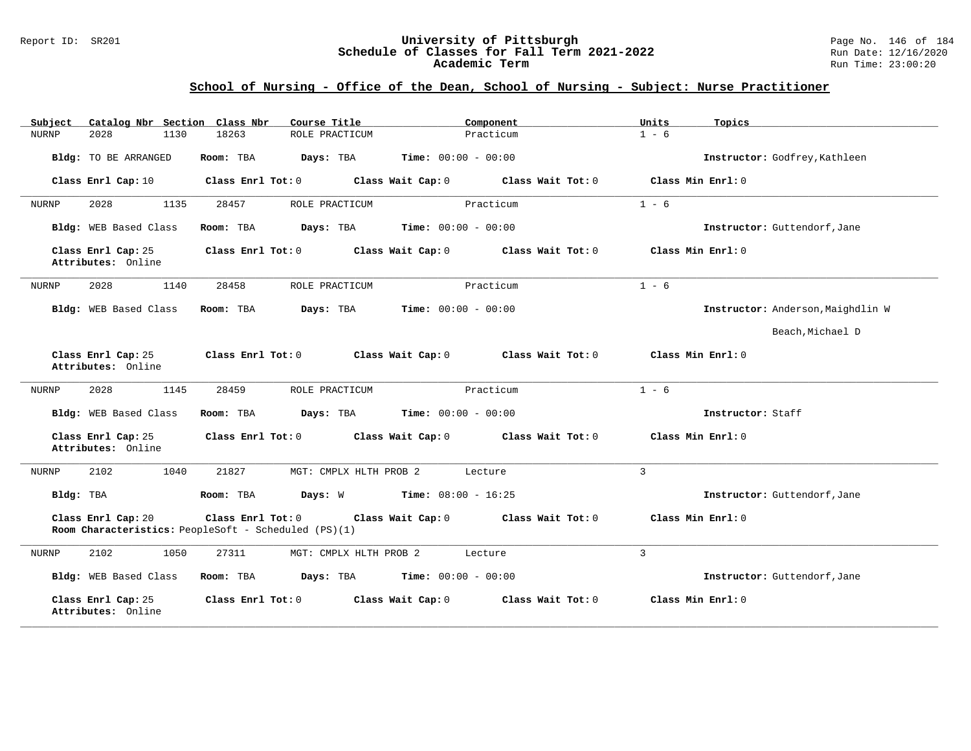#### Report ID: SR201 **University of Pittsburgh** Page No. 146 of 184 **Schedule of Classes for Fall Term 2021-2022** Run Date: 12/16/2020 **Academic Term** Run Time: 23:00:20

| Catalog Nbr Section Class Nbr<br>Subject | Course Title                                                              | Component                              | Units<br>Topics                   |
|------------------------------------------|---------------------------------------------------------------------------|----------------------------------------|-----------------------------------|
| 2028<br>1130<br><b>NURNP</b>             | 18263<br>ROLE PRACTICUM                                                   | Practicum                              | $1 - 6$                           |
| Bldg: TO BE ARRANGED                     | Room: TBA<br>Days: TBA                                                    | <b>Time:</b> $00:00 - 00:00$           | Instructor: Godfrey, Kathleen     |
| Class Enrl Cap: 10                       | Class Enrl Tot: 0                                                         | Class Wait Tot: 0<br>Class Wait Cap: 0 | Class Min Enrl: 0                 |
| 2028<br>1135<br>NURNP                    | ROLE PRACTICUM<br>28457                                                   | Practicum                              | $1 - 6$                           |
| Bldg: WEB Based Class                    | Room: TBA<br>Days: TBA                                                    | <b>Time:</b> $00:00 - 00:00$           | Instructor: Guttendorf, Jane      |
| Class Enrl Cap: 25<br>Attributes: Online | Class Enrl Tot: 0                                                         | Class Wait Cap: 0<br>Class Wait Tot: 0 | Class Min Enrl: 0                 |
| 2028<br>1140<br>NURNP                    | 28458<br>ROLE PRACTICUM                                                   | Practicum                              | $1 - 6$                           |
| Bldg: WEB Based Class                    | Room: TBA<br>Days: TBA                                                    | <b>Time:</b> $00:00 - 00:00$           | Instructor: Anderson, Maighdlin W |
|                                          |                                                                           |                                        | Beach, Michael D                  |
| Class Enrl Cap: 25<br>Attributes: Online | Class Enrl Tot: 0                                                         | Class Wait Cap: 0<br>Class Wait Tot: 0 | Class Min Enrl: 0                 |
| 2028<br>1145<br>NURNP                    | 28459<br>ROLE PRACTICUM                                                   | Practicum                              | $1 - 6$                           |
| Bldg: WEB Based Class                    | Room: TBA<br>Days: TBA                                                    | <b>Time:</b> $00:00 - 00:00$           | Instructor: Staff                 |
| Class Enrl Cap: 25<br>Attributes: Online | Class Enrl Tot: 0                                                         | Class Wait Cap: 0<br>Class Wait Tot: 0 | Class Min Enrl: 0                 |
| 2102<br>1040<br>NURNP                    | 21827<br>MGT: CMPLX HLTH PROB 2                                           | Lecture                                | $\overline{3}$                    |
| Bldg: TBA                                | Room: TBA<br>Days: W                                                      | $Time: 08:00 - 16:25$                  | Instructor: Guttendorf, Jane      |
| Class Enrl Cap: 20                       | Class Enrl Tot: 0<br>Room Characteristics: PeopleSoft - Scheduled (PS)(1) | Class Wait Tot: 0<br>Class Wait Cap: 0 | Class Min Enrl: 0                 |
| 2102<br>1050<br>NURNP                    | 27311<br>MGT: CMPLX HLTH PROB 2                                           | Lecture                                | $\overline{3}$                    |
| Bldg: WEB Based Class                    | Room: TBA<br>Days: TBA                                                    | <b>Time:</b> $00:00 - 00:00$           | Instructor: Guttendorf, Jane      |
| Class Enrl Cap: 25<br>Attributes: Online | Class Enrl Tot: 0                                                         | Class Wait Cap: 0<br>Class Wait Tot: 0 | Class Min Enrl: 0                 |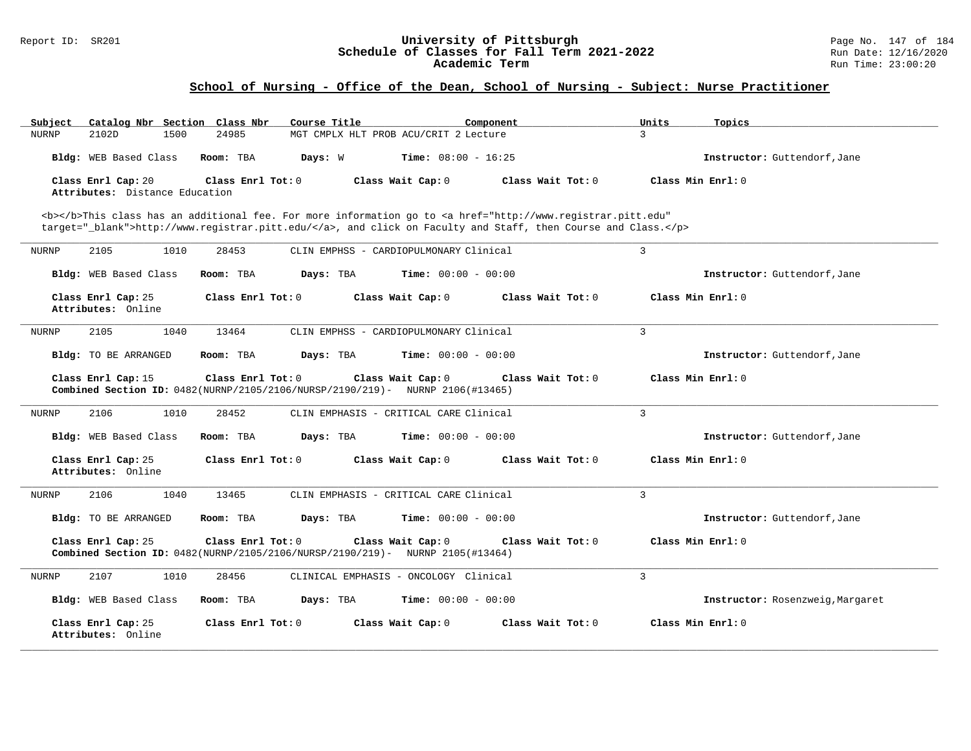#### Report ID: SR201 **University of Pittsburgh** Page No. 147 of 184 **Schedule of Classes for Fall Term 2021-2022** Run Date: 12/16/2020 **Academic Term** Run Time: 23:00:20

| Subject<br>Catalog Nbr Section Class Nbr             | Course Title                                                                                                                                                                                                                       | Component                                | Units<br>Topics                  |  |  |  |
|------------------------------------------------------|------------------------------------------------------------------------------------------------------------------------------------------------------------------------------------------------------------------------------------|------------------------------------------|----------------------------------|--|--|--|
| 2102D<br>1500<br><b>NURNP</b>                        | 24985                                                                                                                                                                                                                              | MGT CMPLX HLT PROB ACU/CRIT 2 Lecture    | $\mathbf{R}$                     |  |  |  |
| Bldg: WEB Based Class                                | Room: TBA<br>Days: W                                                                                                                                                                                                               | <b>Time:</b> $08:00 - 16:25$             | Instructor: Guttendorf, Jane     |  |  |  |
| Class Enrl Cap: 20<br>Attributes: Distance Education | Class Enrl Tot: 0                                                                                                                                                                                                                  | Class Wait Cap: 0<br>Class Wait $Tot: 0$ | Class Min Enrl: 0                |  |  |  |
|                                                      | <b></b> This class has an additional fee. For more information go to <a <br="" href="http://www.registrar.pitt.edu">target="_blank"&gt;http://www.registrar.pitt.edu/</a> , and click on Faculty and Staff, then Course and Class. |                                          |                                  |  |  |  |
| 2105<br>1010<br>NURNP                                | 28453                                                                                                                                                                                                                              | CLIN EMPHSS - CARDIOPULMONARY Clinical   | 3                                |  |  |  |
| Bldg: WEB Based Class                                | Room: TBA<br>Days: TBA                                                                                                                                                                                                             | <b>Time:</b> $00:00 - 00:00$             | Instructor: Guttendorf, Jane     |  |  |  |
| Class Enrl Cap: 25<br>Attributes: Online             | Class Enrl Tot: 0                                                                                                                                                                                                                  | Class Wait Cap: 0<br>Class Wait Tot: 0   | Class Min Enrl: 0                |  |  |  |
| 2105<br>1040<br><b>NURNP</b>                         | 13464                                                                                                                                                                                                                              | CLIN EMPHSS - CARDIOPULMONARY Clinical   | 3                                |  |  |  |
| Bldg: TO BE ARRANGED                                 | Room: TBA<br>Days: TBA                                                                                                                                                                                                             | <b>Time:</b> $00:00 - 00:00$             | Instructor: Guttendorf, Jane     |  |  |  |
| Class Enrl Cap: 15                                   | Class Enrl Tot: 0<br>Combined Section ID: 0482(NURNP/2105/2106/NURSP/2190/219)- NURNP 2106(#13465)                                                                                                                                 | Class Wait Cap: 0<br>Class Wait Tot: 0   | Class Min Enrl: 0                |  |  |  |
| 2106<br>1010<br>NURNP                                | 28452                                                                                                                                                                                                                              | CLIN EMPHASIS - CRITICAL CARE Clinical   | 3                                |  |  |  |
| Bldg: WEB Based Class                                | Room: TBA<br>Days: TBA                                                                                                                                                                                                             | <b>Time:</b> $00:00 - 00:00$             | Instructor: Guttendorf, Jane     |  |  |  |
| Class Enrl Cap: 25<br>Attributes: Online             | Class Enrl Tot: 0                                                                                                                                                                                                                  | Class Wait Cap: 0<br>Class Wait Tot: 0   | Class Min Enrl: 0                |  |  |  |
| 1040<br>2106<br>NURNP                                | 13465                                                                                                                                                                                                                              | CLIN EMPHASIS - CRITICAL CARE Clinical   | 3                                |  |  |  |
| <b>Bldg:</b> TO BE ARRANGED                          | Room: TBA<br>Days: TBA                                                                                                                                                                                                             | <b>Time:</b> $00:00 - 00:00$             | Instructor: Guttendorf, Jane     |  |  |  |
| Class Enrl Cap: 25                                   | Class Enrl Tot: 0<br>Combined Section ID: 0482(NURNP/2105/2106/NURSP/2190/219)- NURNP 2105(#13464)                                                                                                                                 | Class Wait Cap: 0<br>Class Wait $Tot: 0$ | Class Min Enrl: 0                |  |  |  |
| 2107<br>1010<br>NURNP                                | 28456                                                                                                                                                                                                                              | CLINICAL EMPHASIS - ONCOLOGY Clinical    | 3                                |  |  |  |
| Bldg: WEB Based Class                                | Room: TBA<br>Days: TBA                                                                                                                                                                                                             | Time: $00:00 - 00:00$                    | Instructor: Rosenzweig, Margaret |  |  |  |
| Class Enrl Cap: 25<br>Attributes: Online             | Class Enrl Tot: 0                                                                                                                                                                                                                  | Class Wait Cap: 0<br>Class Wait Tot: 0   | Class Min Enrl: 0                |  |  |  |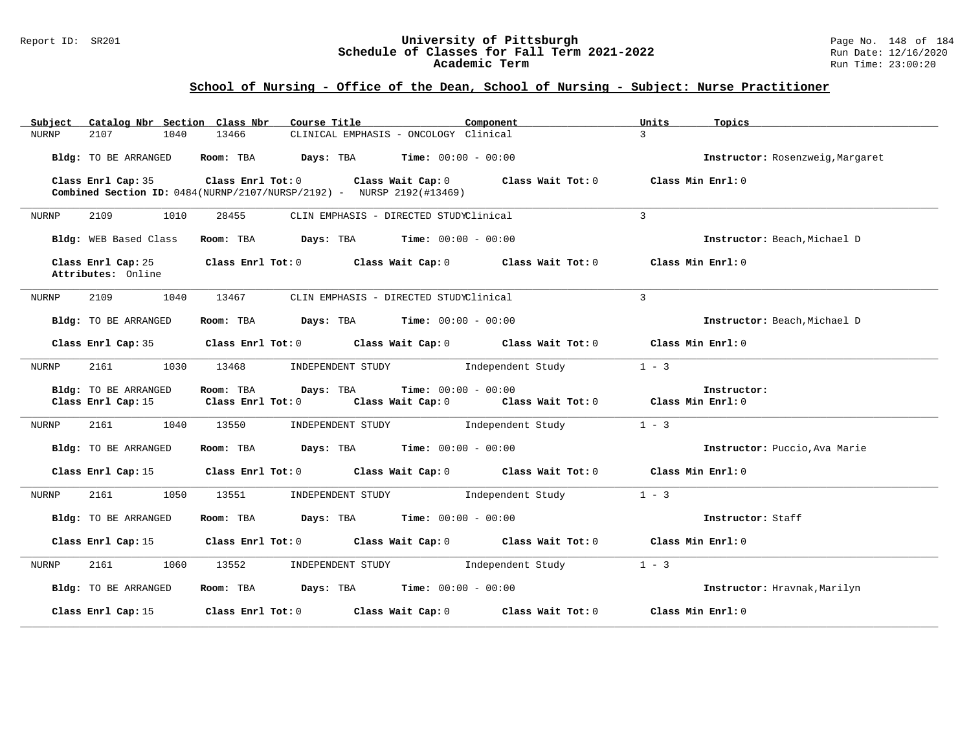#### Report ID: SR201 **University of Pittsburgh** Page No. 148 of 184 **Schedule of Classes for Fall Term 2021-2022** Run Date: 12/16/2020 **Academic Term** Run Time: 23:00:20

| Catalog Nbr Section Class Nbr<br>Subject | Course Title<br>Component                                                                                                                                                                    | Units<br>Topics                  |
|------------------------------------------|----------------------------------------------------------------------------------------------------------------------------------------------------------------------------------------------|----------------------------------|
| <b>NURNP</b><br>2107<br>1040             | CLINICAL EMPHASIS - ONCOLOGY Clinical<br>13466                                                                                                                                               | $\mathcal{L}$                    |
| Bldg: TO BE ARRANGED                     | Room: TBA $\rule{1em}{0.15mm}$ Days: TBA Time: $00:00 - 00:00$                                                                                                                               | Instructor: Rosenzweig, Margaret |
| Class Enrl Cap: 35                       | Class Enrl Tot: 0 $\qquad$ Class Wait Cap: 0 $\qquad$ Class Wait Tot: 0 $\qquad$ Class Min Enrl: 0<br><b>Combined Section ID:</b> $0484(NURNP/2107/NURSP/2192) - NURSP 2192(\text{\#13469})$ |                                  |
| 1010<br><b>NURNP</b><br>2109             | 28455<br>CLIN EMPHASIS - DIRECTED STUDYClinical                                                                                                                                              | 3                                |
| Bldg: WEB Based Class                    | Room: TBA $Days:$ TBA $Time: 00:00 - 00:00$                                                                                                                                                  | Instructor: Beach, Michael D     |
| Class Enrl Cap: 25<br>Attributes: Online | Class Enrl Tot: $0$ Class Wait Cap: $0$ Class Wait Tot: $0$ Class Min Enrl: $0$                                                                                                              |                                  |
| 2109<br>1040<br>NURNP                    | 13467<br>CLIN EMPHASIS - DIRECTED STUDYClinical                                                                                                                                              | 3                                |
| Bldg: TO BE ARRANGED                     | Room: TBA $Days:$ TBA $Time: 00:00 - 00:00$                                                                                                                                                  | Instructor: Beach, Michael D     |
| Class Enrl Cap: 35                       | Class Enrl Tot: $0$ Class Wait Cap: $0$ Class Wait Tot: $0$ Class Min Enrl: $0$                                                                                                              |                                  |
| NURNP<br>2161<br>1030                    | 13468<br>INDEPENDENT STUDY<br>Independent Study                                                                                                                                              | $1 - 3$                          |
| Bldg: TO BE ARRANGED                     | <b>Time:</b> $00:00 - 00:00$<br>Room: TBA Days: TBA                                                                                                                                          | Instructor:                      |
|                                          | Class Enrl Cap: 15 Class Enrl Tot: 0 Class Wait Cap: 0 Class Wait Tot: 0 Class Min Enrl: 0                                                                                                   |                                  |
| 2161 1040 13550<br>NURNP                 | INDEPENDENT STUDY 1ndependent Study                                                                                                                                                          | $1 - 3$                          |
| Bldg: TO BE ARRANGED                     | Room: TBA $Days: TBA$ Time: $00:00 - 00:00$                                                                                                                                                  | Instructor: Puccio, Ava Marie    |
|                                          | Class Enrl Cap: 15 Class Enrl Tot: 0 Class Wait Cap: 0 Class Wait Tot: 0 Class Min Enrl: 0                                                                                                   |                                  |
| 2161<br>1050<br>NURNP                    | 13551<br>INDEPENDENT STUDY 1ndependent Study                                                                                                                                                 | $1 - 3$                          |
| Bldg: TO BE ARRANGED                     | Room: TBA $Days:$ TBA $Time: 00:00 - 00:00$                                                                                                                                                  | Instructor: Staff                |
|                                          | Class Enrl Cap: 15 Class Enrl Tot: 0 Class Wait Cap: 0 Class Wait Tot: 0 Class Min Enrl: 0                                                                                                   |                                  |
| 2161<br>1060<br>NURNP                    | 13552<br>INDEPENDENT STUDY 1ndependent Study                                                                                                                                                 | $1 - 3$                          |
| Bldg: TO BE ARRANGED                     | Room: TBA $Days: TBA$ Time: $00:00 - 00:00$                                                                                                                                                  | Instructor: Hravnak, Marilyn     |
| Class Enrl Cap: 15                       | Class Enrl Tot: $0$ Class Wait Cap: $0$ Class Wait Tot: $0$                                                                                                                                  | Class Min Enrl: 0                |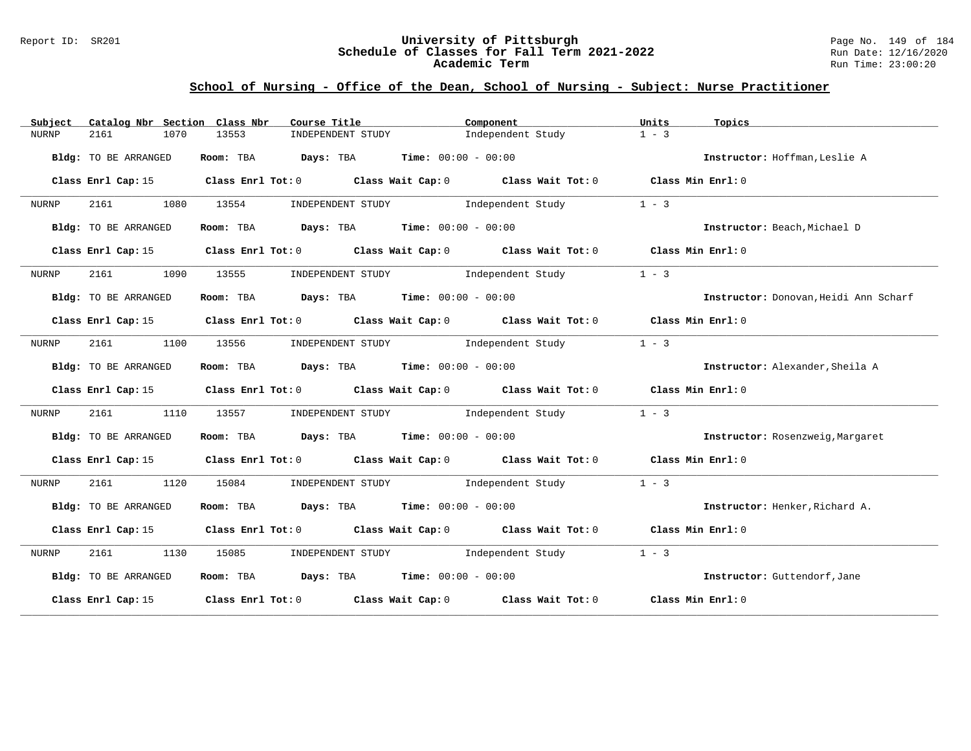#### Report ID: SR201 **University of Pittsburgh** Page No. 149 of 184 **Schedule of Classes for Fall Term 2021-2022** Run Date: 12/16/2020 **Academic Term** Run Time: 23:00:20

| Subject      | Catalog Nbr Section Class Nbr | Course Title                                | Component                                                                                       | Units<br>Topics                       |
|--------------|-------------------------------|---------------------------------------------|-------------------------------------------------------------------------------------------------|---------------------------------------|
| <b>NURNP</b> | 2161<br>1070                  | 13553<br>INDEPENDENT STUDY                  | Independent Study                                                                               | $1 - 3$                               |
|              | Bldg: TO BE ARRANGED          | Room: TBA $Days:$ TBA $Time: 00:00 - 00:00$ |                                                                                                 | Instructor: Hoffman, Leslie A         |
|              | Class Enrl Cap: 15            |                                             | Class Enrl Tot: 0 Class Wait Cap: 0 Class Wait Tot: 0 Class Min Enrl: 0                         |                                       |
| NURNP        | 2161<br>1080                  | 13554                                       | INDEPENDENT STUDY Dindependent Study                                                            | $1 - 3$                               |
|              | Bldg: TO BE ARRANGED          | Room: TBA $Days:$ TBA $Time: 00:00 - 00:00$ |                                                                                                 | Instructor: Beach, Michael D          |
|              |                               |                                             | Class Enrl Cap: 15 Class Enrl Tot: 0 Class Wait Cap: 0 Class Wait Tot: 0 Class Min Enrl: 0      |                                       |
| NURNP        | 1090<br>2161                  | 13555                                       | INDEPENDENT STUDY 1ndependent Study                                                             | $1 - 3$                               |
|              | Bldg: TO BE ARRANGED          | Room: TBA $Days:$ TBA $Time: 00:00 - 00:00$ |                                                                                                 | Instructor: Donovan, Heidi Ann Scharf |
|              |                               |                                             | Class Enrl Cap: 15 Class Enrl Tot: 0 Class Wait Cap: 0 Class Wait Tot: 0 Class Min Enrl: 0      |                                       |
| NURNP        | 2161<br>1100                  | 13556                                       | INDEPENDENT STUDY 1ndependent Study                                                             | $1 - 3$                               |
|              | Bldg: TO BE ARRANGED          | Room: TBA $Days:$ TBA $Time: 00:00 - 00:00$ |                                                                                                 | Instructor: Alexander, Sheila A       |
|              |                               |                                             | Class Enrl Cap: 15 Class Enrl Tot: 0 Class Wait Cap: 0 Class Wait Tot: 0 Class Min Enrl: 0      |                                       |
| NURNP        | 2161<br>1110                  | 13557                                       | INDEPENDENT STUDY 1ndependent Study                                                             | $1 - 3$                               |
|              | Bldg: TO BE ARRANGED          | Room: TBA $Days:$ TBA $Time: 00:00 - 00:00$ |                                                                                                 | Instructor: Rosenzweig, Margaret      |
|              | Class Enrl Cap: 15            |                                             | Class Enrl Tot: 0 Class Wait Cap: 0 Class Wait Tot: 0 Class Min Enrl: 0                         |                                       |
| NURNP        | 2161<br>1120                  | 15084<br>INDEPENDENT STUDY                  | Independent Study                                                                               | $1 - 3$                               |
|              | Bldg: TO BE ARRANGED          | Room: TBA $Days:$ TBA $Time: 00:00 - 00:00$ |                                                                                                 | Instructor: Henker, Richard A.        |
|              |                               |                                             | Class Enrl Cap: 15 (Class Enrl Tot: 0 (Class Wait Cap: 0 (Class Wait Tot: 0 (Class Min Enrl: 0) |                                       |
| NURNP        | 2161 1130                     | 15085                                       | INDEPENDENT STUDY 1ndependent Study                                                             | $1 - 3$                               |
|              | Bldg: TO BE ARRANGED          | Room: TBA $Days:$ TBA $Time: 00:00 - 00:00$ |                                                                                                 | Instructor: Guttendorf, Jane          |
|              | Class Enrl Cap: 15            |                                             | Class Enrl Tot: $0$ Class Wait Cap: $0$ Class Wait Tot: $0$ Class Min Enrl: $0$                 |                                       |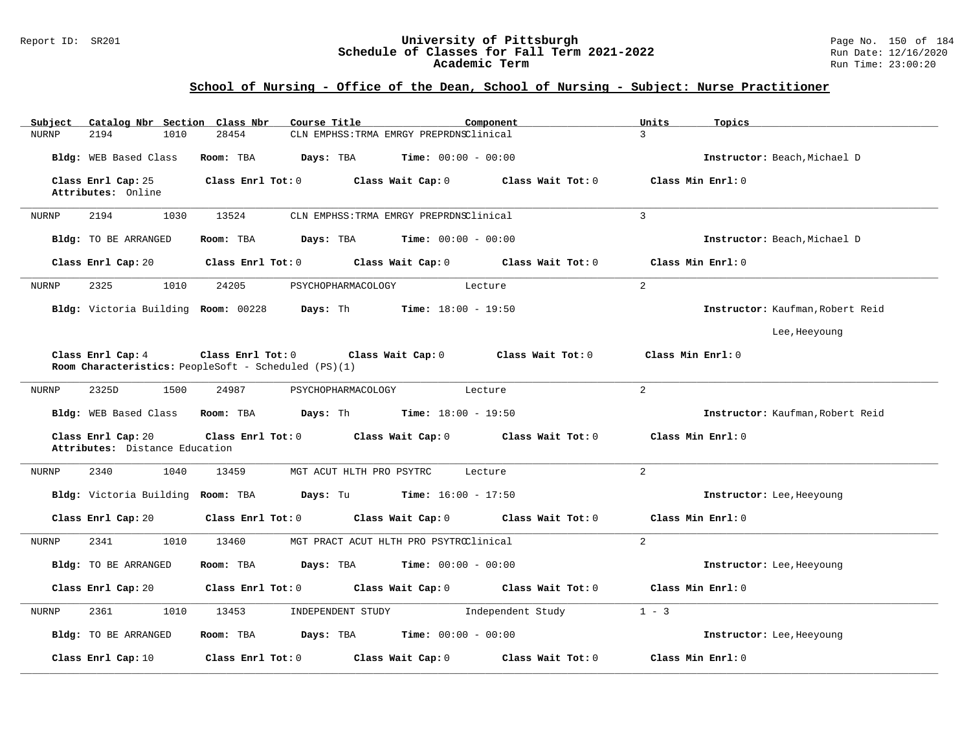#### Report ID: SR201 **University of Pittsburgh** Page No. 150 of 184 **Schedule of Classes for Fall Term 2021-2022** Run Date: 12/16/2020 **Academic Term** Run Time: 23:00:20

| Catalog Nbr Section Class Nbr<br>Subject             | Course Title<br>Component                                                                                        | Units<br>Topics                  |
|------------------------------------------------------|------------------------------------------------------------------------------------------------------------------|----------------------------------|
| <b>NURNP</b><br>2194<br>1010                         | CLN EMPHSS: TRMA EMRGY PREPRDNSClinical<br>28454                                                                 | $\overline{3}$                   |
| Bldg: WEB Based Class                                | Room: TBA<br>Days: TBA<br><b>Time:</b> $00:00 - 00:00$                                                           | Instructor: Beach, Michael D     |
| Class Enrl Cap: 25<br>Attributes: Online             | Class Enrl Tot: 0<br>Class Wait Cap: 0<br>Class Wait Tot: 0                                                      | Class Min Enrl: 0                |
| 2194<br>1030<br>NURNP                                | 13524<br>CLN EMPHSS: TRMA EMRGY PREPRDNSClinical                                                                 | $\overline{3}$                   |
| Bldg: TO BE ARRANGED                                 | <b>Days:</b> TBA <b>Time:</b> $00:00 - 00:00$<br>Room: TBA                                                       | Instructor: Beach, Michael D     |
| Class Enrl Cap: 20                                   | Class Enrl Tot: 0 Class Wait Cap: 0<br>Class Wait Tot: 0                                                         | Class Min Enrl: 0                |
|                                                      |                                                                                                                  |                                  |
| 2325<br>1010<br>NURNP                                | 24205<br>PSYCHOPHARMACOLOGY<br>Lecture                                                                           | $\overline{2}$                   |
|                                                      | Bldg: Victoria Building Room: 00228 Days: Th<br>$Time: 18:00 - 19:50$                                            | Instructor: Kaufman, Robert Reid |
|                                                      |                                                                                                                  | Lee, Heeyoung                    |
| Class Enrl Cap: 4                                    | Class Enrl Tot: 0 Class Wait Cap: 0<br>Class Wait Tot: 0<br>Room Characteristics: PeopleSoft - Scheduled (PS)(1) | Class Min Enrl: 0                |
|                                                      |                                                                                                                  |                                  |
| 2325D<br><b>NURNP</b><br>1500                        | 24987<br>PSYCHOPHARMACOLOGY<br>Lecture                                                                           | $\overline{2}$                   |
|                                                      | Bldg: WEB Based Class Room: TBA Days: Th Time: 18:00 - 19:50                                                     | Instructor: Kaufman, Robert Reid |
| Class Enrl Cap: 20<br>Attributes: Distance Education | Class Enrl Tot: 0 Class Wait Cap: 0<br>Class Wait Tot: 0                                                         | Class Min Enrl: 0                |
| 2340<br>1040<br>NURNP                                | 13459<br>MGT ACUT HLTH PRO PSYTRC<br>Lecture                                                                     | $\overline{a}$                   |
| Bldg: Victoria Building Room: TBA                    | <b>Days:</b> Tu <b>Time:</b> $16:00 - 17:50$                                                                     | Instructor: Lee, Heeyoung        |
| Class Enrl Cap: 20                                   | Class Enrl Tot: 0<br>Class Wait Cap: 0<br>Class Wait Tot: 0                                                      | Class Min Enrl: 0                |
| 2341<br>1010<br>NURNP                                | 13460<br>MGT PRACT ACUT HLTH PRO PSYTRCClinical                                                                  | $\overline{2}$                   |
| Bldg: TO BE ARRANGED                                 | <b>Days:</b> TBA <b>Time:</b> $00:00 - 00:00$<br>Room: TBA                                                       | Instructor: Lee, Heeyoung        |
| Class Enrl Cap: 20                                   | Class Wait Cap: 0<br>Class Wait Tot: 0<br>Class Enrl Tot: 0                                                      | Class Min Enrl: 0                |
| <b>NURNP</b><br>2361<br>1010                         | 13453<br>INDEPENDENT STUDY<br>Independent Study                                                                  | $1 - 3$                          |
| Bldg: TO BE ARRANGED                                 | Days: TBA<br><b>Time:</b> $00:00 - 00:00$<br>Room: TBA                                                           | Instructor: Lee, Heeyoung        |
| Class Enrl Cap: 10                                   | Class Enrl Tot: 0<br>Class Wait Cap: 0<br>Class Wait Tot: 0                                                      | Class Min Enrl: 0                |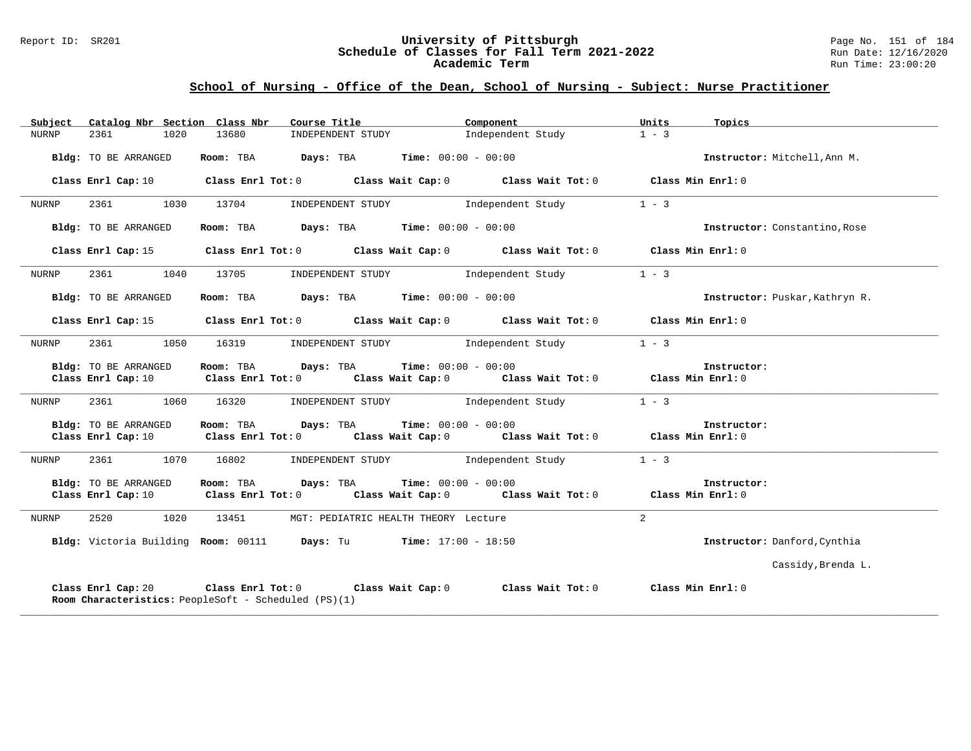#### Report ID: SR201 **University of Pittsburgh** Page No. 151 of 184 **Schedule of Classes for Fall Term 2021-2022** Run Date: 12/16/2020 **Academic Term** Run Time: 23:00:20

| Subject |                                            | Catalog Nbr Section Class Nbr                        | Course Title <b>Course Title</b>                                                                                                                                              | Component                    |                   | Units          | Topics                         |
|---------|--------------------------------------------|------------------------------------------------------|-------------------------------------------------------------------------------------------------------------------------------------------------------------------------------|------------------------------|-------------------|----------------|--------------------------------|
| NURNP   | 2361                                       | 1020<br>13680                                        | INDEPENDENT STUDY 1ndependent Study                                                                                                                                           |                              |                   | $1 - 3$        |                                |
|         | Bldg: TO BE ARRANGED                       |                                                      | Room: TBA $Days:$ TBA $Time: 00:00 - 00:00$                                                                                                                                   |                              |                   |                | Instructor: Mitchell, Ann M.   |
|         |                                            |                                                      | Class Enrl Cap: 10 $\qquad$ Class Enrl Tot: 0 $\qquad$ Class Wait Cap: 0 $\qquad$ Class Wait Tot: 0 $\qquad$ Class Min Enrl: 0                                                |                              |                   |                |                                |
| NURNP   | 2361 236                                   | 1030<br>13704                                        | INDEPENDENT STUDY                                                                                                                                                             |                              | Independent Study | $1 - 3$        |                                |
|         | Bldg: TO BE ARRANGED                       |                                                      | Room: TBA $Days:$ TBA $Time: 00:00 - 00:00$                                                                                                                                   |                              |                   |                | Instructor: Constantino, Rose  |
|         | Class Enrl Cap: 15                         |                                                      | Class Enrl Tot: 0 Class Wait Cap: 0 Class Wait Tot: 0 Class Min Enrl: 0                                                                                                       |                              |                   |                |                                |
| NURNP   | 2361 230                                   | 13705<br>1040                                        | INDEPENDENT STUDY 1ndependent Study                                                                                                                                           |                              |                   | $1 - 3$        |                                |
|         | Bldg: TO BE ARRANGED                       |                                                      | Room: TBA $Days:$ TBA $Time: 00:00 - 00:00$                                                                                                                                   |                              |                   |                | Instructor: Puskar, Kathryn R. |
|         |                                            |                                                      | Class Enrl Cap: 15 Class Enrl Tot: 0 Class Wait Cap: 0 Class Wait Tot: 0 Class Min Enrl: 0                                                                                    |                              |                   |                |                                |
| NURNP   | 2361                                       | 1050                                                 | 16319 INDEPENDENT STUDY 1ndependent Study                                                                                                                                     |                              |                   | $1 - 3$        |                                |
|         | Bldg: TO BE ARRANGED<br>Class Enrl Cap: 10 |                                                      | <b>Room:</b> TBA <b>Days:</b> TBA <b>Time:</b> 00:00 - 00:00<br>Class Enrl Tot: $0$ Class Wait Cap: $0$ Class Wait Tot: $0$ Class Min Enrl: $0$                               |                              |                   |                | Instructor:                    |
| NURNP   | 2361 1060                                  | 16320                                                | INDEPENDENT STUDY Thdependent Study                                                                                                                                           |                              |                   | $1 - 3$        |                                |
|         | Bldg: TO BE ARRANGED                       |                                                      | Room: TBA Days: TBA<br>Class Enrl Cap: 10 $\qquad$ Class Enrl Tot: 0 $\qquad$ Class Wait Cap: 0 $\qquad$ Class Wait Tot: 0 $\qquad$ Class Min Enrl: 0                         | <b>Time:</b> $00:00 - 00:00$ |                   |                | Instructor:                    |
| NURNP   |                                            | 2361 1070 16802                                      | INDEPENDENT STUDY 1ndependent Study                                                                                                                                           |                              |                   | $1 - 3$        |                                |
|         | Bldg: TO BE ARRANGED                       |                                                      | Room: TBA $Days:$ TBA $Time: 00:00 - 00:00$<br>Class Enrl Cap: 10 $\qquad$ Class Enrl Tot: 0 $\qquad$ Class Wait Cap: 0 $\qquad$ Class Wait Tot: 0 $\qquad$ Class Min Enrl: 0 |                              |                   |                | Instructor:                    |
| NURNP   | 2520 and 2520                              | 1020<br>13451                                        | MGT: PEDIATRIC HEALTH THEORY Lecture                                                                                                                                          |                              |                   | $\overline{2}$ |                                |
|         |                                            |                                                      | Bldg: Victoria Building Room: 00111 Days: Tu Time: 17:00 - 18:50                                                                                                              |                              |                   |                | Instructor: Danford, Cynthia   |
|         |                                            |                                                      |                                                                                                                                                                               |                              |                   |                | Cassidy, Brenda L.             |
|         | Class Enrl Cap: 20                         | Room Characteristics: PeopleSoft - Scheduled (PS)(1) | Class Enrl Tot: $0$ Class Wait Cap: $0$ Class Wait Tot: $0$ Class Min Enrl: $0$                                                                                               |                              |                   |                |                                |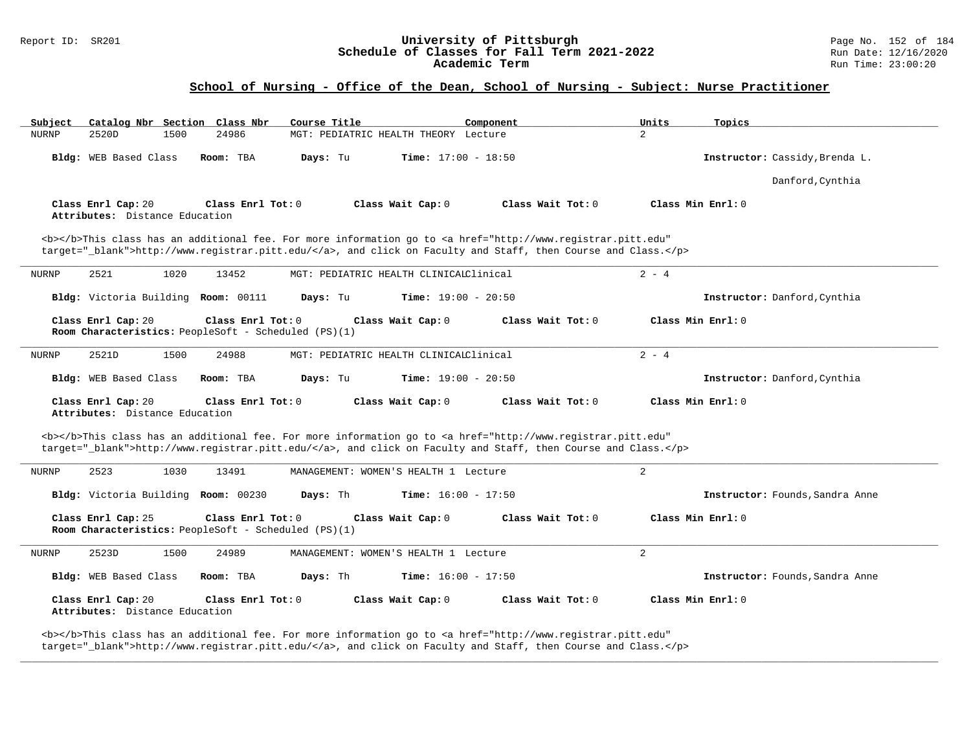### Report ID: SR201 **University of Pittsburgh** Page No. 152 of 184 **Schedule of Classes for Fall Term 2021-2022** Run Date: 12/16/2020 **Academic Term** Run Time: 23:00:20

### **School of Nursing - Office of the Dean, School of Nursing - Subject: Nurse Practitioner**

| Subject      |                                                      |      | Catalog Nbr Section Class Nbr                                             | Course Title |                                        | Component                                                                                                                                                                                                                          | Units          | Topics                          |
|--------------|------------------------------------------------------|------|---------------------------------------------------------------------------|--------------|----------------------------------------|------------------------------------------------------------------------------------------------------------------------------------------------------------------------------------------------------------------------------------|----------------|---------------------------------|
| <b>NURNP</b> | 2520D                                                | 1500 | 24986                                                                     |              | MGT: PEDIATRIC HEALTH THEORY Lecture   |                                                                                                                                                                                                                                    | $\overline{2}$ |                                 |
|              | Bldg: WEB Based Class                                |      | Room: TBA                                                                 | Days: Tu     | <b>Time:</b> $17:00 - 18:50$           |                                                                                                                                                                                                                                    |                | Instructor: Cassidy, Brenda L.  |
|              |                                                      |      |                                                                           |              |                                        |                                                                                                                                                                                                                                    |                | Danford, Cynthia                |
|              | Class Enrl Cap: 20<br>Attributes: Distance Education |      | Class Enrl Tot: 0                                                         |              | Class Wait Cap: 0                      | Class Wait Tot: 0                                                                                                                                                                                                                  |                | Class Min Enrl: 0               |
|              |                                                      |      |                                                                           |              |                                        | <b></b> This class has an additional fee. For more information go to <a <br="" href="http://www.registrar.pitt.edu">target="_blank"&gt;http://www.registrar.pitt.edu/</a> , and click on Faculty and Staff, then Course and Class. |                |                                 |
| NURNP        | 2521                                                 | 1020 | 13452                                                                     |              | MGT: PEDIATRIC HEALTH CLINICALClinical |                                                                                                                                                                                                                                    | $2 - 4$        |                                 |
|              |                                                      |      | Bldg: Victoria Building Room: 00111                                       | Days: Tu     | <b>Time:</b> $19:00 - 20:50$           |                                                                                                                                                                                                                                    |                | Instructor: Danford, Cynthia    |
|              | Class Enrl Cap: 20                                   |      | Class Enrl Tot: 0<br>Room Characteristics: PeopleSoft - Scheduled (PS)(1) |              | Class Wait Cap: 0                      | Class Wait $Tot: 0$                                                                                                                                                                                                                |                | Class Min $Enrl: 0$             |
| NURNP        | 2521D                                                | 1500 | 24988                                                                     |              | MGT: PEDIATRIC HEALTH CLINICALClinical |                                                                                                                                                                                                                                    | $2 - 4$        |                                 |
|              | <b>Bldg:</b> WEB Based Class                         |      | Room: TBA                                                                 | Days: Tu     | <b>Time:</b> $19:00 - 20:50$           |                                                                                                                                                                                                                                    |                | Instructor: Danford, Cynthia    |
|              | Class Enrl Cap: 20<br>Attributes: Distance Education |      | Class Enrl Tot: 0                                                         |              | Class Wait Cap: 0                      | Class Wait Tot: 0                                                                                                                                                                                                                  |                | Class Min Enrl: 0               |
|              |                                                      |      |                                                                           |              |                                        | <b></b> This class has an additional fee. For more information go to <a <br="" href="http://www.registrar.pitt.edu">target="_blank"&gt;http://www.registrar.pitt.edu/</a> , and click on Faculty and Staff, then Course and Class. |                |                                 |
| <b>NURNP</b> | 2523                                                 | 1030 | 13491                                                                     |              | MANAGEMENT: WOMEN'S HEALTH 1 Lecture   |                                                                                                                                                                                                                                    | 2              |                                 |
|              |                                                      |      | Bldg: Victoria Building Room: 00230                                       | Days: Th     | <b>Time:</b> $16:00 - 17:50$           |                                                                                                                                                                                                                                    |                | Instructor: Founds, Sandra Anne |
|              | Class Enrl Cap: 25                                   |      | Class Enrl Tot: 0<br>Room Characteristics: PeopleSoft - Scheduled (PS)(1) |              | Class Wait Cap: 0                      | Class Wait Tot: 0                                                                                                                                                                                                                  |                | Class Min Enrl: 0               |
| <b>NURNP</b> | 2523D                                                | 1500 | 24989                                                                     |              | MANAGEMENT: WOMEN'S HEALTH 1 Lecture   |                                                                                                                                                                                                                                    | 2              |                                 |
|              | Bldg: WEB Based Class                                |      | Room: TBA                                                                 | Days: Th     | <b>Time:</b> $16:00 - 17:50$           |                                                                                                                                                                                                                                    |                | Instructor: Founds, Sandra Anne |
|              | Class Enrl Cap: 20<br>Attributes: Distance Education |      | Class Enrl Tot: 0                                                         |              | Class Wait Cap: 0                      | Class Wait Tot: 0                                                                                                                                                                                                                  |                | Class Min Enrl: 0               |
|              |                                                      |      |                                                                           |              |                                        | <b></b> This class has an additional fee. For more information go to <a <br="" href="http://www.registrar.pitt.edu">target="_blank"&gt;http://www.registrar.pitt.edu/</a> , and click on Faculty and Staff, then Course and Class. |                |                                 |

**\_\_\_\_\_\_\_\_\_\_\_\_\_\_\_\_\_\_\_\_\_\_\_\_\_\_\_\_\_\_\_\_\_\_\_\_\_\_\_\_\_\_\_\_\_\_\_\_\_\_\_\_\_\_\_\_\_\_\_\_\_\_\_\_\_\_\_\_\_\_\_\_\_\_\_\_\_\_\_\_\_\_\_\_\_\_\_\_\_\_\_\_\_\_\_\_\_\_\_\_\_\_\_\_\_\_\_\_\_\_\_\_\_\_\_\_\_\_\_\_\_\_\_\_\_\_\_\_\_\_\_\_\_\_\_\_\_\_\_\_\_\_\_\_\_\_\_\_\_\_\_\_\_\_\_\_**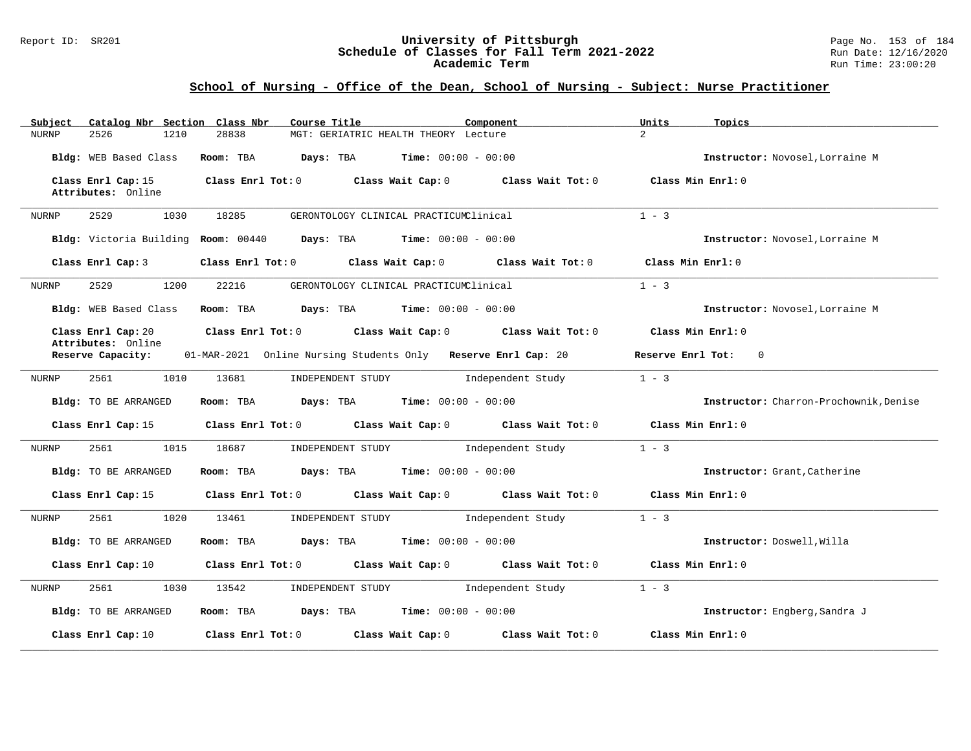#### Report ID: SR201 **University of Pittsburgh** Page No. 153 of 184 **Schedule of Classes for Fall Term 2021-2022** Run Date: 12/16/2020 **Academic Term** Run Time: 23:00:20

| Catalog Nbr Section Class Nbr<br>Subject | Course Title                                                            | Component         | Units<br>Topics                       |
|------------------------------------------|-------------------------------------------------------------------------|-------------------|---------------------------------------|
| 2526<br><b>NURNP</b><br>1210             | 28838<br>MGT: GERIATRIC HEALTH THEORY Lecture                           |                   | $\overline{2}$                        |
| Bldg: WEB Based Class                    | Room: TBA<br><b>Days:</b> TBA <b>Time:</b> $00:00 - 00:00$              |                   | Instructor: Novosel, Lorraine M       |
| Class Enrl Cap: 15<br>Attributes: Online | Class Enrl Tot: 0 Class Wait Cap: 0 Class Wait Tot: 0                   |                   | Class Min Enrl: 0                     |
| 2529<br>1030<br>NURNP                    | 18285<br>GERONTOLOGY CLINICAL PRACTICUMClinical                         |                   | $1 - 3$                               |
|                                          | Bldg: Victoria Building Room: 00440 Days: TBA Time: 00:00 - 00:00       |                   | Instructor: Novosel, Lorraine M       |
| Class Enrl Cap:3                         | Class Enrl Tot: 0 Class Wait Cap: 0 Class Wait Tot: 0                   |                   | Class Min Enrl: 0                     |
| NURNP<br>2529<br>1200                    | 22216<br>GERONTOLOGY CLINICAL PRACTICUMClinical                         |                   | $1 - 3$                               |
| Bldg: WEB Based Class                    | Room: TBA $Days:$ TBA $Time: 00:00 - 00:00$                             |                   | Instructor: Novosel, Lorraine M       |
| Class Enrl Cap: 20<br>Attributes: Online | Class Enrl Tot: 0 Class Wait Cap: 0 Class Wait Tot: 0                   |                   | Class Min Enrl: 0                     |
| Reserve Capacity:                        | 01-MAR-2021 Online Nursing Students Only Reserve Enrl Cap: 20           |                   | Reserve Enrl Tot:<br>$\overline{0}$   |
| 2561<br>1010<br>NURNP                    | 13681<br>INDEPENDENT STUDY                                              | Independent Study | $1 - 3$                               |
| Bldg: TO BE ARRANGED                     | <b>Days:</b> TBA <b>Time:</b> $00:00 - 00:00$<br>Room: TBA              |                   | Instructor: Charron-Prochownik.Denise |
| Class Enrl Cap: 15                       | Class Enrl Tot: 0 Class Wait Cap: 0 Class Wait Tot: 0                   |                   | Class Min Enrl: 0                     |
| 1015<br>NURNP<br>2561                    | 18687<br>INDEPENDENT STUDY                                              | Independent Study | $1 - 3$                               |
| Bldg: TO BE ARRANGED                     | Room: TBA<br><b>Days:</b> TBA <b>Time:</b> $00:00 - 00:00$              |                   | Instructor: Grant, Catherine          |
| Class Enrl Cap: 15                       | Class Enrl Tot: 0 Class Wait Cap: 0 Class Wait Tot: 0                   |                   | Class Min Enrl: 0                     |
| 2561<br>1020<br>NURNP                    | 13461<br>INDEPENDENT STUDY Independent Study                            |                   | $1 - 3$                               |
| Bldg: TO BE ARRANGED                     | Room: TBA $Days:$ TBA $Time: 00:00 - 00:00$                             |                   | Instructor: Doswell, Willa            |
| Class Enrl Cap: 10                       | Class Enrl Tot: 0 Class Wait Cap: 0 Class Wait Tot: 0 Class Min Enrl: 0 |                   |                                       |
| 2561<br>1030<br>NURNP                    | INDEPENDENT STUDY 1ndependent Study<br>13542                            |                   | $1 - 3$                               |
| Bldg: TO BE ARRANGED                     | Room: TBA $Days: TBA$ Time: $00:00 - 00:00$                             |                   | Instructor: Engberg, Sandra J         |
| Class Enrl Cap: 10                       | Class Enrl Tot: 0 Class Wait Cap: 0                                     | Class Wait Tot: 0 | Class Min Enrl: 0                     |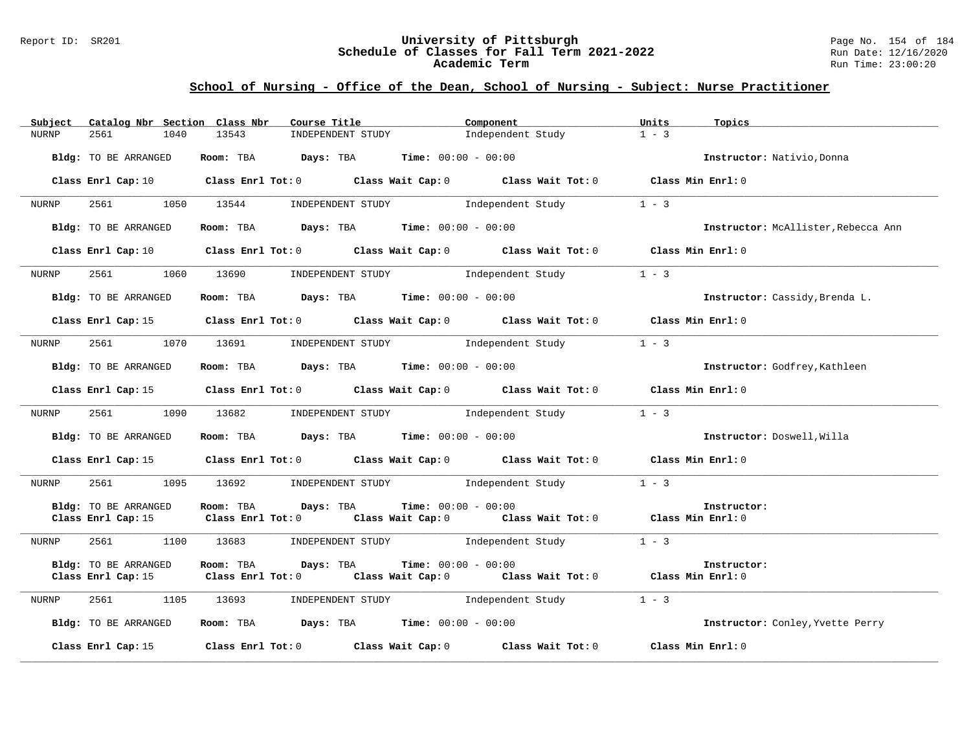#### Report ID: SR201 **University of Pittsburgh** Page No. 154 of 184 **Schedule of Classes for Fall Term 2021-2022** Run Date: 12/16/2020 **Academic Term** Run Time: 23:00:20

| Catalog Nbr Section Class Nbr<br>Subject | Course Title                                                                                                         | Component                    | Topics<br>Units                     |
|------------------------------------------|----------------------------------------------------------------------------------------------------------------------|------------------------------|-------------------------------------|
| 2561<br>1040<br><b>NURNP</b>             | 13543<br>INDEPENDENT STUDY                                                                                           | Independent Study            | $1 - 3$                             |
| Bldg: TO BE ARRANGED                     | Room: TBA $Days:$ TBA $Time: 00:00 - 00:00$                                                                          |                              | Instructor: Nativio, Donna          |
|                                          | Class Enrl Cap: 10 Class Enrl Tot: 0 Class Wait Cap: 0 Class Wait Tot: 0 Class Min Enrl: 0                           |                              |                                     |
| 2561<br>NURNP                            | INDEPENDENT STUDY 1ndependent Study<br>1050 13544                                                                    |                              | $1 - 3$                             |
| Bldg: TO BE ARRANGED                     | Room: TBA $Days:$ TBA $Time: 00:00 - 00:00$                                                                          |                              | Instructor: McAllister, Rebecca Ann |
|                                          | Class Enrl Cap: 10 Class Enrl Tot: 0 Class Wait Cap: 0 Class Wait Tot: 0 Class Min Enrl: 0                           |                              |                                     |
| NURNP                                    | 2561 1060 13690 INDEPENDENT STUDY 1ndependent Study                                                                  |                              | $1 - 3$                             |
| Bldg: TO BE ARRANGED                     | Room: TBA $Days:$ TBA $Time: 00:00 - 00:00$                                                                          |                              | Instructor: Cassidy, Brenda L.      |
|                                          | Class Enrl Cap: 15 Class Enrl Tot: 0 Class Wait Cap: 0 Class Wait Tot: 0 Class Min Enrl: 0                           |                              |                                     |
| NURNP                                    | 2561 1070 13691<br>INDEPENDENT STUDY 1ndependent Study                                                               |                              | $1 - 3$                             |
| Bldg: TO BE ARRANGED                     | Room: TBA $Days:$ TBA $Time: 00:00 - 00:00$                                                                          |                              | Instructor: Godfrey, Kathleen       |
|                                          | Class Enrl Cap: 15 Class Enrl Tot: 0 Class Wait Cap: 0 Class Wait Tot: 0 Class Min Enrl: 0                           |                              |                                     |
| 2561<br>NURNP                            | 1090 13682 INDEPENDENT STUDY                                                                                         | Independent Study            | $1 - 3$                             |
| Bldg: TO BE ARRANGED                     | Room: TBA $\rule{1em}{0.15mm}$ Days: TBA $\rule{1.15mm}{0.15mm}$ Time: $00:00 - 00:00$                               |                              | Instructor: Doswell, Willa          |
|                                          | Class Enrl Cap: 15 Class Enrl Tot: 0 Class Wait Cap: 0 Class Wait Tot: 0 Class Min Enrl: 0                           |                              |                                     |
| 2561<br>1095<br>NURNP                    | 13692        INDEPENDENT STUDY                Independent Study                                                      |                              | $1 - 3$                             |
| Bldg: TO BE ARRANGED                     | Room: TBA<br>Days: TBA<br>Class Enrl Cap: 15 Class Enrl Tot: 0 Class Wait Cap: 0 Class Wait Tot: 0 Class Min Enrl: 0 | <b>Time:</b> $00:00 - 00:00$ | Instructor:                         |
| 2561<br>NURNP                            | 1100 13683 INDEPENDENT STUDY Independent Study                                                                       |                              | $1 - 3$                             |
| Bldg: TO BE ARRANGED                     | Room: TBA<br>Days: TBA<br>Class Enrl Cap: 15 Class Enrl Tot: 0 Class Wait Cap: 0 Class Wait Tot: 0 Class Min Enrl: 0 | <b>Time:</b> $00:00 - 00:00$ | Instructor:                         |
| 2561<br>NURNP                            | 1105 13693<br>INDEPENDENT STUDY 1ndependent Study                                                                    |                              | $1 - 3$                             |
| Bldg: TO BE ARRANGED                     | Room: TBA $Days:$ TBA $Time:$ 00:00 - 00:00                                                                          |                              | Instructor: Conley, Yvette Perry    |
| Class Enrl Cap: 15                       | Class Enrl Tot: $0$ Class Wait Cap: $0$ Class Wait Tot: $0$ Class Min Enrl: $0$                                      |                              |                                     |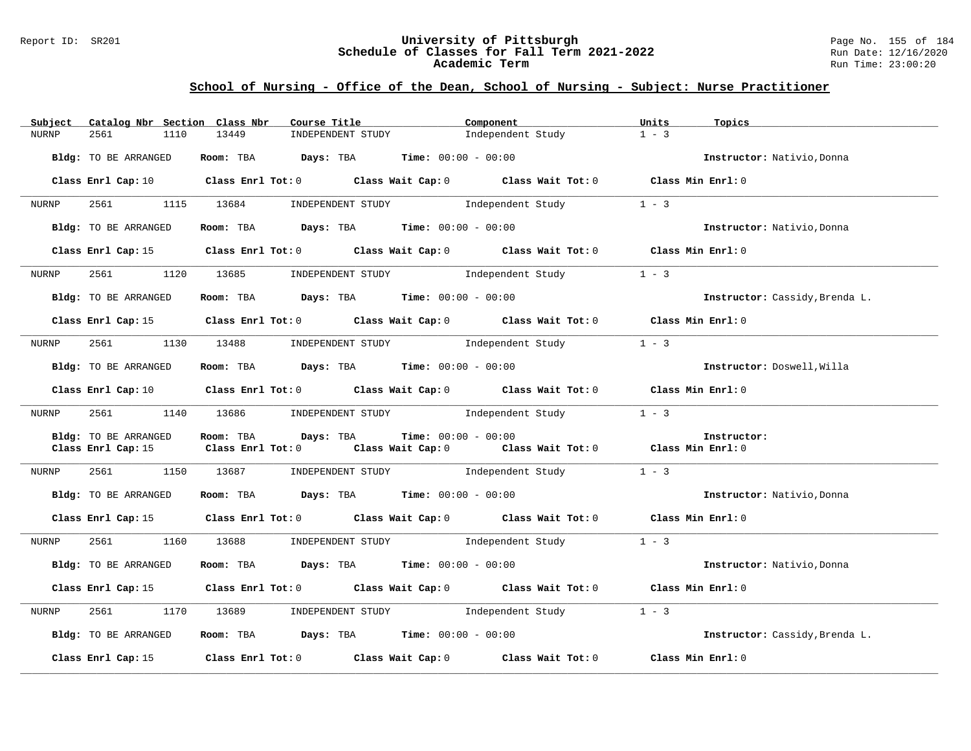#### Report ID: SR201 **University of Pittsburgh** Page No. 155 of 184 **Schedule of Classes for Fall Term 2021-2022** Run Date: 12/16/2020 **Academic Term** Run Time: 23:00:20

| Subject      | Catalog Nbr Section Class Nbr | Course Title                                        | Component                                                                                                                      | Units<br>Topics                |
|--------------|-------------------------------|-----------------------------------------------------|--------------------------------------------------------------------------------------------------------------------------------|--------------------------------|
| <b>NURNP</b> | 1110<br>2561                  | 13449<br>INDEPENDENT STUDY                          | Independent Study                                                                                                              | $1 - 3$                        |
|              | Bldg: TO BE ARRANGED          | Room: TBA $Days:$ TBA $Time: 00:00 - 00:00$         |                                                                                                                                | Instructor: Nativio. Donna     |
|              |                               |                                                     | Class Enrl Cap: 10 $\qquad$ Class Enrl Tot: 0 $\qquad$ Class Wait Cap: 0 $\qquad$ Class Wait Tot: 0 $\qquad$ Class Min Enrl: 0 |                                |
| NURNP        | 2561 200                      | 1115 13684                                          | INDEPENDENT STUDY 1ndependent Study                                                                                            | $1 - 3$                        |
|              | Bldg: TO BE ARRANGED          | Room: TBA $Days:$ TBA $Time: 00:00 - 00:00$         |                                                                                                                                | Instructor: Nativio, Donna     |
|              |                               |                                                     | Class Enrl Cap: 15 Class Enrl Tot: 0 Class Wait Cap: 0 Class Wait Tot: 0 Class Min Enrl: 0                                     |                                |
| NURNP        | 2561 200                      | 1120 13685                                          | INDEPENDENT STUDY 1 - 3                                                                                                        |                                |
|              | Bldg: TO BE ARRANGED          | Room: TBA $Days:$ TBA Time: $00:00 - 00:00$         |                                                                                                                                | Instructor: Cassidy, Brenda L. |
|              |                               |                                                     | Class Enrl Cap: 15 Class Enrl Tot: 0 Class Wait Cap: 0 Class Wait Tot: 0 Class Min Enrl: 0                                     |                                |
| NURNP        | 1130<br>2561                  | 13488 INDEPENDENT STUDY Independent Study           |                                                                                                                                | $1 - 3$                        |
|              | Bldg: TO BE ARRANGED          | Room: TBA $Days:$ TBA $Time: 00:00 - 00:00$         |                                                                                                                                | Instructor: Doswell, Willa     |
|              |                               |                                                     | Class Enrl Cap: 10 $\qquad$ Class Enrl Tot: 0 $\qquad$ Class Wait Cap: 0 $\qquad$ Class Wait Tot: 0 $\qquad$ Class Min Enrl: 0 |                                |
| NURNP        |                               | 2561 1140 13686 INDEPENDENT STUDY Independent Study |                                                                                                                                | $1 - 3$                        |
|              | Bldg: TO BE ARRANGED          | Days: TBA<br>Room: TBA                              | <b>Time:</b> $00:00 - 00:00$                                                                                                   | Instructor:                    |
|              | Class Enrl Cap: 15            | $Class$ $Enr1$ $Tot: 0$                             | Class Wait Cap: 0 Class Wait Tot: 0 Class Min Enrl: 0                                                                          |                                |
| NURNP        | 2561                          | 1150 13687                                          | INDEPENDENT STUDY 1 - 3                                                                                                        |                                |
|              | Bldg: TO BE ARRANGED          | Room: TBA $Days:$ TBA $Time: 00:00 - 00:00$         |                                                                                                                                | Instructor: Nativio, Donna     |
|              |                               |                                                     | Class Enrl Cap: 15 Class Enrl Tot: 0 Class Wait Cap: 0 Class Wait Tot: 0 Class Min Enrl: 0                                     |                                |
| NURNP        | 2561 1160 13688               |                                                     | INDEPENDENT STUDY 1ndependent Study                                                                                            | $1 - 3$                        |
|              | Bldg: TO BE ARRANGED          | Room: TBA $Days:$ TBA $Time:$ $00:00 - 00:00$       |                                                                                                                                | Instructor: Nativio, Donna     |
|              |                               |                                                     | Class Enrl Cap: 15 (Class Enrl Tot: 0 (Class Wait Cap: 0 (Class Wait Tot: 0 (Class Min Enrl: 0                                 |                                |
| NURNP        | 2561                          | 1170 13689                                          | INDEPENDENT STUDY 1ndependent Study                                                                                            | $1 - 3$                        |
|              | Bldg: TO BE ARRANGED          | Room: TBA $Days:$ TBA $Time:$ 00:00 - 00:00         |                                                                                                                                | Instructor: Cassidy, Brenda L. |
|              |                               |                                                     | Class Enrl Cap: 15 $\qquad$ Class Enrl Tot: 0 $\qquad$ Class Wait Cap: 0 $\qquad$ Class Wait Tot: 0                            | Class Min Enrl: 0              |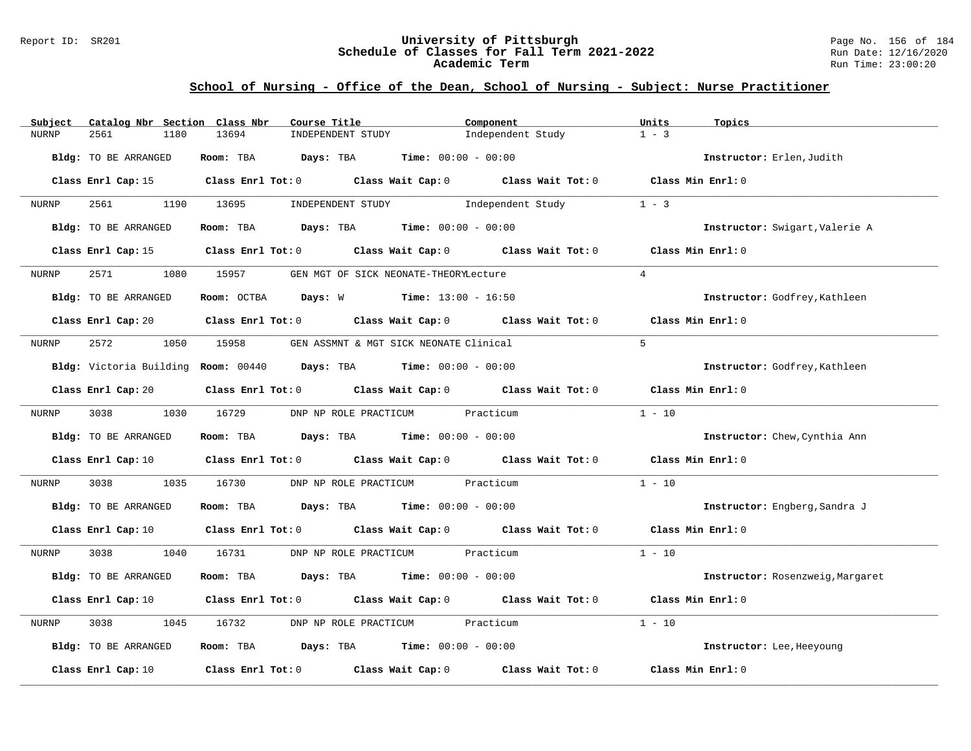#### Report ID: SR201 **University of Pittsburgh** Page No. 156 of 184 **Schedule of Classes for Fall Term 2021-2022** Run Date: 12/16/2020 **Academic Term** Run Time: 23:00:20

| Subject              | Catalog Nbr Section Class Nbr<br>Course Title                                                                                  | Component                                             | Units<br>Topics                  |
|----------------------|--------------------------------------------------------------------------------------------------------------------------------|-------------------------------------------------------|----------------------------------|
| 2561<br><b>NURNP</b> | 1180<br>13694<br>INDEPENDENT STUDY                                                                                             | Independent Study                                     | $1 - 3$                          |
| Bldg: TO BE ARRANGED | Room: TBA $Days:$ TBA $Time: 00:00 - 00:00$                                                                                    |                                                       | Instructor: Erlen, Judith        |
|                      | Class Enrl Cap: 15 Class Enrl Tot: 0 Class Wait Cap: 0 Class Wait Tot: 0 Class Min Enrl: 0                                     |                                                       |                                  |
| 2561 200<br>NURNP    | 1190 13695                                                                                                                     | INDEPENDENT STUDY The Independent Study               | $1 - 3$                          |
| Bldg: TO BE ARRANGED | Room: TBA $Days:$ TBA $Time: 00:00 - 00:00$                                                                                    |                                                       | Instructor: Swigart, Valerie A   |
|                      | Class Enrl Cap: 15 (class Enrl Tot: 0) (class Wait Cap: 0) (class Wait Tot: 0)                                                 |                                                       | Class Min Enrl: 0                |
| 2571 257<br>NURNP    | 1080 15957                                                                                                                     | GEN MGT OF SICK NEONATE-THEORYLecture                 | $\overline{4}$                   |
| Bldg: TO BE ARRANGED | Room: OCTBA Days: W Time: $13:00 - 16:50$                                                                                      |                                                       | Instructor: Godfrey, Kathleen    |
|                      | Class Enrl Cap: 20 $\qquad$ Class Enrl Tot: 0 $\qquad$ Class Wait Cap: 0 $\qquad$ Class Wait Tot: 0                            |                                                       | Class Min Enrl: 0                |
| 2572 200<br>NURNP    | 1050 15958                                                                                                                     | GEN ASSMNT & MGT SICK NEONATE Clinical                | $5^{\circ}$                      |
|                      | Bldg: Victoria Building Room: 00440 Days: TBA Time: 00:00 - 00:00                                                              |                                                       | Instructor: Godfrey, Kathleen    |
| Class Enrl Cap: 20   |                                                                                                                                | Class Enrl Tot: 0 Class Wait Cap: 0 Class Wait Tot: 0 | Class Min Enrl: 0                |
| 3038 300<br>NURNP    | 1030 16729                                                                                                                     | DNP NP ROLE PRACTICUM Practicum                       | $1 - 10$                         |
| Bldg: TO BE ARRANGED | Room: TBA $Days:$ TBA $Time: 00:00 - 00:00$                                                                                    |                                                       | Instructor: Chew, Cynthia Ann    |
|                      | Class Enrl Cap: 10 $\qquad$ Class Enrl Tot: 0 $\qquad$ Class Wait Cap: 0 $\qquad$ Class Wait Tot: 0 $\qquad$ Class Min Enrl: 0 |                                                       |                                  |
| 3038<br>NURNP        | 1035<br>16730                                                                                                                  | DNP NP ROLE PRACTICUM Practicum                       | $1 - 10$                         |
| Bldg: TO BE ARRANGED | Room: TBA $Days:$ TBA $Time: 00:00 - 00:00$                                                                                    |                                                       | Instructor: Engberg, Sandra J    |
|                      | Class Enrl Cap: 10 $\qquad$ Class Enrl Tot: 0 $\qquad$ Class Wait Cap: 0 $\qquad$ Class Wait Tot: 0 $\qquad$ Class Min Enrl: 0 |                                                       |                                  |
| NURNP<br>3038 300    | 1040 16731                                                                                                                     | DNP NP ROLE PRACTICUM Practicum                       | $1 - 10$                         |
| Bldg: TO BE ARRANGED | Room: TBA $Days:$ TBA $Time: 00:00 - 00:00$                                                                                    |                                                       | Instructor: Rosenzweig, Margaret |
|                      | Class Enrl Cap: 10 $\qquad$ Class Enrl Tot: 0 $\qquad$ Class Wait Cap: 0 $\qquad$ Class Wait Tot: 0                            |                                                       | Class Min $Err1:0$               |
| 3038<br>NURNP        | 1045<br>16732                                                                                                                  | DNP NP ROLE PRACTICUM Practicum                       | $1 - 10$                         |
| Bldg: TO BE ARRANGED | Room: TBA $Days:$ TBA $Time: 00:00 - 00:00$                                                                                    |                                                       | Instructor: Lee, Heeyoung        |
| Class Enrl Cap: 10   | Class Enrl Tot: $0$ $Class$ Wait Cap: $0$ $Class$ Wait Tot: $0$                                                                |                                                       | Class Min Enrl: 0                |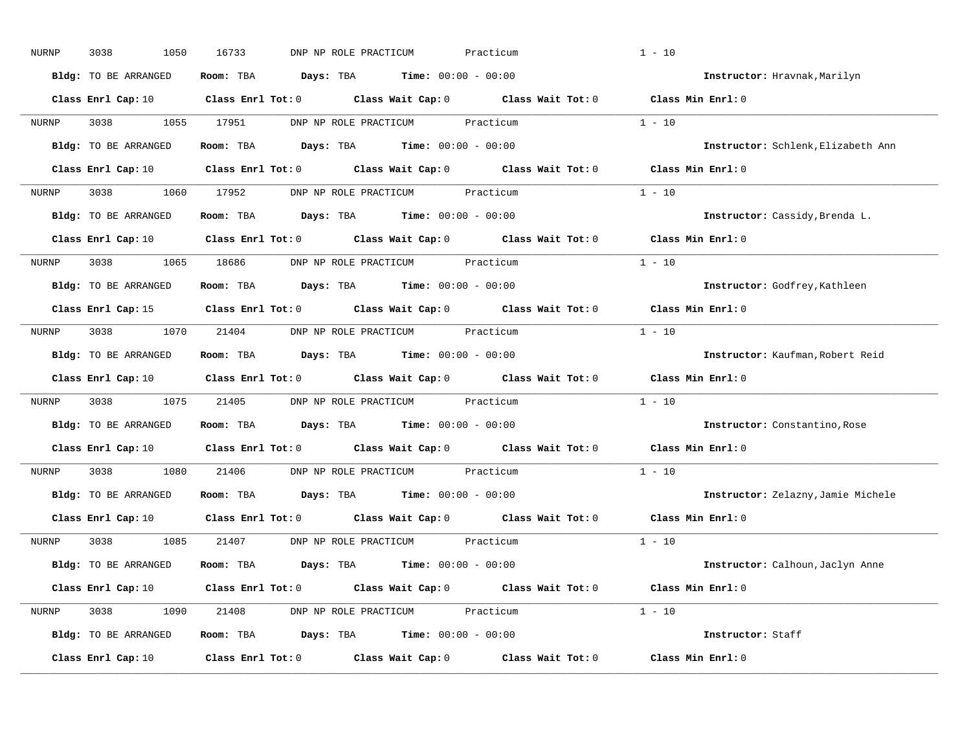| NURNP | 3038<br>1050         | 16733<br>DNP NP ROLE PRACTICUM                                                                                                 | Practicum | $1 - 10$                           |
|-------|----------------------|--------------------------------------------------------------------------------------------------------------------------------|-----------|------------------------------------|
|       | Bldg: TO BE ARRANGED | Room: TBA $Days:$ TBA $Time: 00:00 - 00:00$                                                                                    |           | Instructor: Hravnak, Marilyn       |
|       |                      | Class Enrl Cap: 10 $\qquad$ Class Enrl Tot: 0 $\qquad$ Class Wait Cap: 0 $\qquad$ Class Wait Tot: 0 $\qquad$ Class Min Enrl: 0 |           |                                    |
| NURNP | 3038 1055 17951      | DNP NP ROLE PRACTICUM Practicum                                                                                                |           | $1 - 10$                           |
|       | Bldg: TO BE ARRANGED | Room: TBA $Days:$ TBA $Time: 00:00 - 00:00$                                                                                    |           | Instructor: Schlenk, Elizabeth Ann |
|       |                      | Class Enrl Cap: 10 $\qquad$ Class Enrl Tot: 0 $\qquad$ Class Wait Cap: 0 $\qquad$ Class Wait Tot: 0 $\qquad$ Class Min Enrl: 0 |           |                                    |
| NURNP |                      | 3038 1060 17952 DNP NP ROLE PRACTICUM Practicum                                                                                |           | $1 - 10$                           |
|       | Bldg: TO BE ARRANGED | Room: TBA $\rule{1em}{0.15mm}$ Days: TBA Time: $00:00 - 00:00$                                                                 |           | Instructor: Cassidy, Brenda L.     |
|       |                      | Class Enrl Cap: 10 $\qquad$ Class Enrl Tot: 0 $\qquad$ Class Wait Cap: 0 $\qquad$ Class Wait Tot: 0                            |           | Class Min Enrl: 0                  |
| NURNP |                      | 3038 1065 18686 DNP NP ROLE PRACTICUM Practicum                                                                                |           | $1 - 10$                           |
|       | Bldg: TO BE ARRANGED | Room: TBA $\rule{1em}{0.15mm}$ Days: TBA $\rule{1.15mm}]{0.15mm}$ Time: $0.000 - 0.0000$                                       |           | Instructor: Godfrey, Kathleen      |
|       |                      | Class Enrl Cap: 15 (class Enrl Tot: 0 (class Wait Cap: 0 (class Wait Tot: 0)                                                   |           | Class Min Enrl: 0                  |
| NURNP |                      | 3038 1070 21404 DNP NP ROLE PRACTICUM Practicum                                                                                |           | $1 - 10$                           |
|       | Bldg: TO BE ARRANGED | Room: TBA $\rule{1em}{0.15mm}$ Days: TBA Time: $00:00 - 00:00$                                                                 |           | Instructor: Kaufman, Robert Reid   |
|       |                      | Class Enrl Cap: 10 $\qquad$ Class Enrl Tot: 0 $\qquad$ Class Wait Cap: 0 $\qquad$ Class Wait Tot: 0                            |           | Class Min Enrl: 0                  |
| NURNP |                      | 3038 1075 21405 DNP NP ROLE PRACTICUM Practicum                                                                                |           | $1 - 10$                           |
|       | Bldg: TO BE ARRANGED | Room: TBA $Days:$ TBA $Time: 00:00 - 00:00$                                                                                    |           | Instructor: Constantino, Rose      |
|       |                      | Class Enrl Cap: 10 Class Enrl Tot: 0 Class Wait Cap: 0 Class Wait Tot: 0                                                       |           | Class Min Enrl: 0                  |
| NURNP | 3038                 | 1080 21406 DNP NP ROLE PRACTICUM Practicum                                                                                     |           | $1 - 10$                           |
|       | Bldg: TO BE ARRANGED | Room: TBA $\rule{1em}{0.15mm}$ Days: TBA $\rule{1.15mm}]{0.15mm}$ Time: $0.000 - 0.0000$                                       |           | Instructor: Zelazny, Jamie Michele |
|       | Class Enrl Cap: 10   | Class Enrl Tot: $0$ Class Wait Cap: $0$ Class Wait Tot: $0$                                                                    |           | Class Min Enrl: 0                  |
| NURNP |                      | 3038 1085 21407 DNP NP ROLE PRACTICUM Practicum                                                                                |           | $1 - 10$                           |
|       | Bldg: TO BE ARRANGED | Room: TBA $Days:$ TBA $Time: 00:00 - 00:00$                                                                                    |           | Instructor: Calhoun, Jaclyn Anne   |
|       |                      | Class Enrl Cap: 10 Class Enrl Tot: 0 Class Wait Cap: 0 Class Wait Tot: 0 Class Min Enrl: 0                                     |           |                                    |
| NURNP |                      | 3038 1090 21408 DNP NP ROLE PRACTICUM Practicum                                                                                |           | $1 - 10$                           |
|       | Bldg: TO BE ARRANGED | Room: TBA $Days: TBA$ Time: $00:00 - 00:00$                                                                                    |           | Instructor: Staff                  |
|       | Class Enrl Cap: 10   | Class Enrl Tot: $0$ Class Wait Cap: $0$ Class Wait Tot: $0$                                                                    |           | Class Min Enrl: 0                  |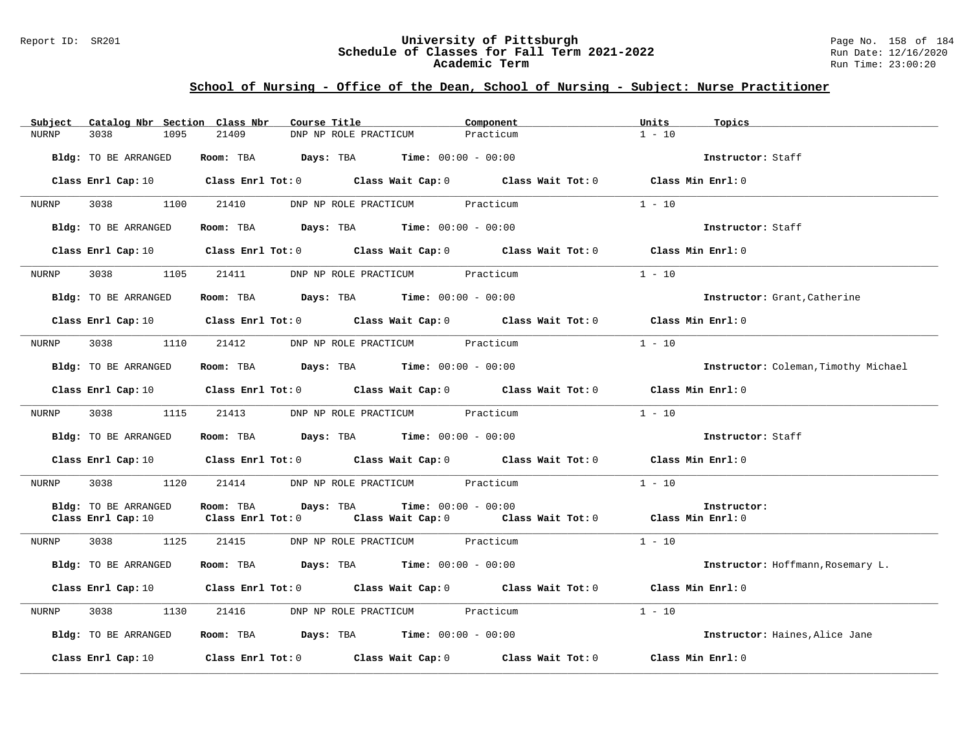#### Report ID: SR201 **University of Pittsburgh** Page No. 158 of 184 **Schedule of Classes for Fall Term 2021-2022** Run Date: 12/16/2020 **Academic Term** Run Time: 23:00:20

| Subject      | Catalog Nbr Section Class Nbr | Course Title                                                                                                                   | Component | Units<br>Topics                      |
|--------------|-------------------------------|--------------------------------------------------------------------------------------------------------------------------------|-----------|--------------------------------------|
| <b>NURNP</b> | 3038<br>1095                  | 21409<br>DNP NP ROLE PRACTICUM                                                                                                 | Practicum | $1 - 10$                             |
|              | Bldg: TO BE ARRANGED          | Room: TBA $Days:$ TBA $Time: 00:00 - 00:00$                                                                                    |           | Instructor: Staff                    |
|              |                               | Class Enrl Cap: 10 $\qquad$ Class Enrl Tot: 0 $\qquad$ Class Wait Cap: 0 $\qquad$ Class Wait Tot: 0 $\qquad$ Class Min Enrl: 0 |           |                                      |
| NURNP        | 3038 300<br>1100              | 21410<br>DNP NP ROLE PRACTICUM Practicum                                                                                       |           | $1 - 10$                             |
|              | Bldg: TO BE ARRANGED          | Room: TBA $\rule{1em}{0.15mm}$ Days: TBA $\rule{1.5mm}{0.15mm}$ Time: $00:00 - 00:00$                                          |           | Instructor: Staff                    |
|              |                               | Class Enrl Cap: 10 Class Enrl Tot: 0 Class Wait Cap: 0 Class Wait Tot: 0 Class Min Enrl: 0                                     |           |                                      |
| NURNP        | 3038 1105                     | 21411<br>DNP NP ROLE PRACTICUM Practicum                                                                                       |           | $1 - 10$                             |
|              | Bldg: TO BE ARRANGED          | Room: TBA $Days:$ TBA $Time: 00:00 - 00:00$                                                                                    |           | Instructor: Grant, Catherine         |
|              |                               | Class Enrl Cap: 10 $\qquad$ Class Enrl Tot: 0 $\qquad$ Class Wait Cap: 0 $\qquad$ Class Wait Tot: 0 $\qquad$ Class Min Enrl: 0 |           |                                      |
| NURNP        | 3038<br>1110                  | DNP NP ROLE PRACTICUM Practicum<br>21412                                                                                       |           | $1 - 10$                             |
|              | Bldg: TO BE ARRANGED          | Room: TBA $Days: TBA$ Time: $00:00 - 00:00$                                                                                    |           | Instructor: Coleman, Timothy Michael |
|              |                               | Class Enrl Cap: 10 $\qquad$ Class Enrl Tot: 0 $\qquad$ Class Wait Cap: 0 $\qquad$ Class Wait Tot: 0 $\qquad$ Class Min Enrl: 0 |           |                                      |
| NURNP        |                               | 3038 1115 21413 DNP NP ROLE PRACTICUM Practicum                                                                                |           | $1 - 10$                             |
|              | Bldg: TO BE ARRANGED          | Room: TBA $Days:$ TBA $Time: 00:00 - 00:00$                                                                                    |           | Instructor: Staff                    |
|              |                               | Class Enrl Cap: 10 $\qquad$ Class Enrl Tot: 0 $\qquad$ Class Wait Cap: 0 $\qquad$ Class Wait Tot: 0 $\qquad$ Class Min Enrl: 0 |           |                                      |
| NURNP        | 3038 1120                     | 21414 DNP NP ROLE PRACTICUM Practicum                                                                                          |           | $1 - 10$                             |
|              | Bldg: TO BE ARRANGED          | <b>Time:</b> $00:00 - 00:00$<br>Room: TBA<br>Days: TBA                                                                         |           | Instructor:                          |
|              | Class Enrl Cap: 10            | Class Enrl Tot: $0$ Class Wait Cap: $0$ Class Wait Tot: $0$ Class Min Enrl: $0$                                                |           |                                      |
| NURNP        | 3038 1125                     | 21415<br>DNP NP ROLE PRACTICUM Practicum                                                                                       |           | $1 - 10$                             |
|              | Bldg: TO BE ARRANGED          | Room: TBA $Days:$ TBA $Time:$ $00:00 - 00:00$                                                                                  |           | Instructor: Hoffmann, Rosemary L.    |
|              |                               | Class Enrl Cap: 10 $\qquad$ Class Enrl Tot: 0 $\qquad$ Class Wait Cap: 0 $\qquad$ Class Wait Tot: 0 $\qquad$ Class Min Enrl: 0 |           |                                      |
| NURNP        | 3038<br>1130                  | 21416<br>DNP NP ROLE PRACTICUM Practicum                                                                                       |           | $1 - 10$                             |
|              | Bldg: TO BE ARRANGED          | Room: TBA $Days:$ TBA $Time: 00:00 - 00:00$                                                                                    |           | Instructor: Haines, Alice Jane       |
|              | Class Enrl Cap: 10            | Class Enrl Tot: $0$ Class Wait Cap: $0$ Class Wait Tot: $0$                                                                    |           | Class Min Enrl: 0                    |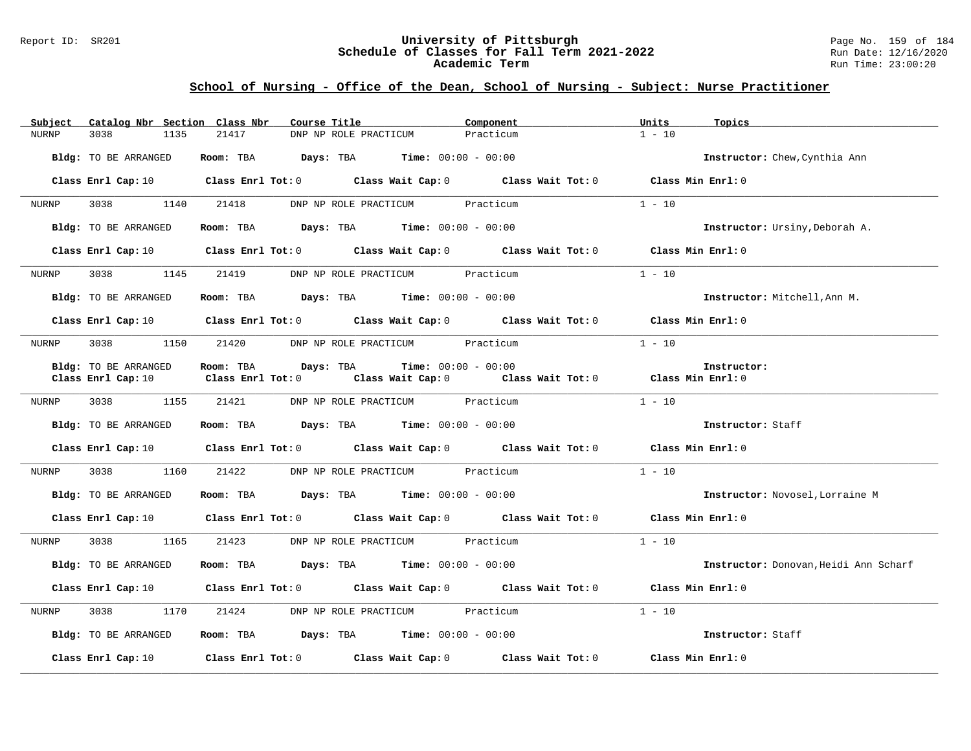#### Report ID: SR201 **University of Pittsburgh** Page No. 159 of 184 **Schedule of Classes for Fall Term 2021-2022** Run Date: 12/16/2020 **Academic Term** Run Time: 23:00:20

| Catalog Nbr Section Class Nbr<br>Subject | Course Title                                                                                                                   | Component | Units<br>Topics                       |
|------------------------------------------|--------------------------------------------------------------------------------------------------------------------------------|-----------|---------------------------------------|
| 3038<br>1135<br>NURNP                    | 21417<br>DNP NP ROLE PRACTICUM                                                                                                 | Practicum | $1 - 10$                              |
| Bldg: TO BE ARRANGED                     | Room: TBA $Days:$ TBA $Time: 00:00 - 00:00$                                                                                    |           | Instructor: Chew, Cynthia Ann         |
|                                          | Class Enrl Cap: 10 Class Enrl Tot: 0 Class Wait Cap: 0 Class Wait Tot: 0 Class Min Enrl: 0                                     |           |                                       |
| 3038 1140 21418<br>NURNP                 | DNP NP ROLE PRACTICUM Practicum                                                                                                |           | $1 - 10$                              |
| Bldg: TO BE ARRANGED                     | Room: TBA $Days:$ TBA $Time: 00:00 - 00:00$                                                                                    |           | Instructor: Ursiny, Deborah A.        |
|                                          | Class Enrl Cap: 10 $\qquad$ Class Enrl Tot: 0 $\qquad$ Class Wait Cap: 0 $\qquad$ Class Wait Tot: 0 $\qquad$ Class Min Enrl: 0 |           |                                       |
| 3038 1145 21419<br>NURNP                 | DNP NP ROLE PRACTICUM Practicum                                                                                                |           | $1 - 10$                              |
| Bldg: TO BE ARRANGED                     | Room: TBA $Days: TBA$ Time: $00:00 - 00:00$                                                                                    |           | Instructor: Mitchell, Ann M.          |
|                                          | Class Enrl Cap: 10 $\qquad$ Class Enrl Tot: 0 $\qquad$ Class Wait Cap: 0 $\qquad$ Class Wait Tot: 0 $\qquad$ Class Min Enrl: 0 |           |                                       |
| NURNP<br>3038<br>1150                    | 21420 DNP NP ROLE PRACTICUM Practicum                                                                                          |           | $1 - 10$                              |
| Bldg: TO BE ARRANGED                     | Room: TBA $Days:$ TBA $Time: 00:00 - 00:00$                                                                                    |           | Instructor:                           |
| Class Enrl Cap: 10                       | Class Enrl Tot: 0 $\qquad$ Class Wait Cap: 0 $\qquad$ Class Wait Tot: 0 $\qquad$ Class Min Enrl: 0                             |           |                                       |
| 3038<br>1155<br>NURNP                    | 21421<br>DNP NP ROLE PRACTICUM Practicum                                                                                       |           | $1 - 10$                              |
| Bldg: TO BE ARRANGED                     | Room: TBA $Days:$ TBA $Time: 00:00 - 00:00$                                                                                    |           | Instructor: Staff                     |
|                                          | Class Enrl Cap: 10 Class Enrl Tot: 0 Class Wait Cap: 0 Class Wait Tot: 0 Class Min Enrl: 0                                     |           |                                       |
| 3038<br>1160<br>NURNP                    | 21422 DNP NP ROLE PRACTICUM Practicum                                                                                          |           | $1 - 10$                              |
| Bldg: TO BE ARRANGED                     | Room: TBA $Days:$ TBA $Time: 00:00 - 00:00$                                                                                    |           | Instructor: Novosel, Lorraine M       |
|                                          | Class Enrl Cap: 10 Class Enrl Tot: 0 Class Wait Cap: 0 Class Wait Tot: 0 Class Min Enrl: 0                                     |           |                                       |
| 3038 30<br>1165<br>NURNP                 | 21423<br>DNP NP ROLE PRACTICUM Practicum                                                                                       |           | $1 - 10$                              |
| Bldg: TO BE ARRANGED                     | Room: TBA $Days:$ TBA $Time: 00:00 - 00:00$                                                                                    |           | Instructor: Donovan, Heidi Ann Scharf |
|                                          | Class Enrl Cap: 10 $\qquad$ Class Enrl Tot: 0 $\qquad$ Class Wait Cap: 0 $\qquad$ Class Wait Tot: 0 $\qquad$ Class Min Enrl: 0 |           |                                       |
| 3038<br>1170<br>NURNP                    | 21424<br>DNP NP ROLE PRACTICUM Practicum                                                                                       |           | $1 - 10$                              |
| Bldg: TO BE ARRANGED                     | Room: TBA $Days:$ TBA $Time: 00:00 - 00:00$                                                                                    |           | Instructor: Staff                     |
| Class Enrl Cap: 10                       | Class Enrl Tot: $0$ Class Wait Cap: $0$ Class Wait Tot: $0$                                                                    |           | Class Min Enrl: 0                     |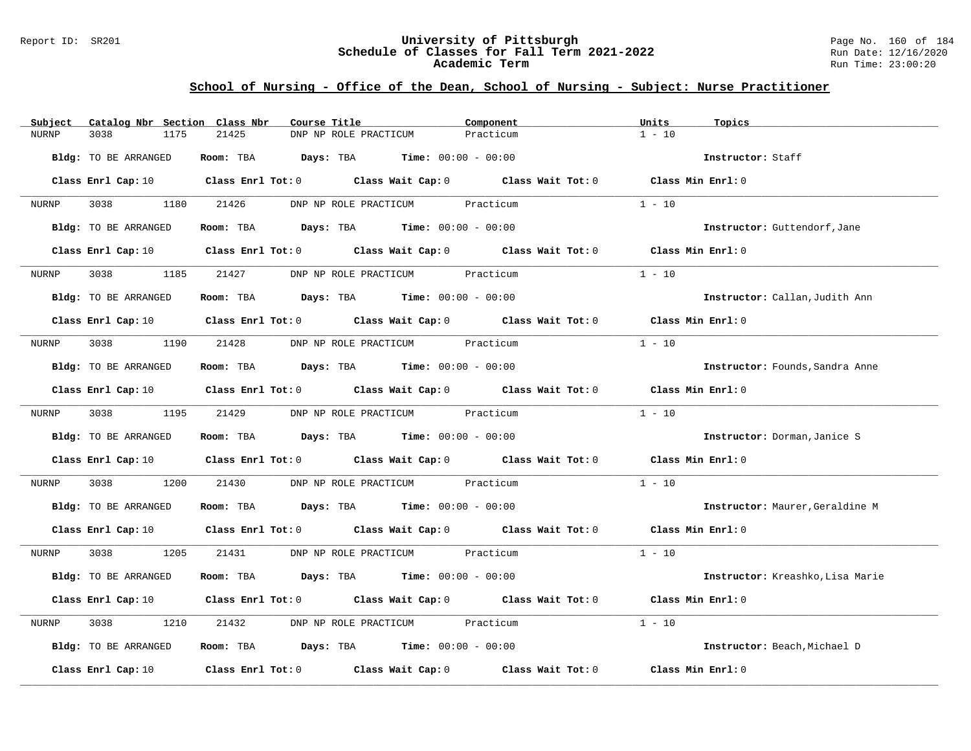#### Report ID: SR201 **University of Pittsburgh** Page No. 160 of 184 **Schedule of Classes for Fall Term 2021-2022** Run Date: 12/16/2020 **Academic Term** Run Time: 23:00:20

| Subject              | Catalog Nbr Section Class Nbr<br>Course Title                                                                                  | Component | Units<br>Topics                  |
|----------------------|--------------------------------------------------------------------------------------------------------------------------------|-----------|----------------------------------|
| 3038<br><b>NURNP</b> | 21425<br>1175<br>DNP NP ROLE PRACTICUM                                                                                         | Practicum | $1 - 10$                         |
| Bldg: TO BE ARRANGED | Room: TBA $Days:$ TBA $Time: 00:00 - 00:00$                                                                                    |           | Instructor: Staff                |
|                      | Class Enrl Cap: 10 $\qquad$ Class Enrl Tot: 0 $\qquad$ Class Wait Cap: 0 $\qquad$ Class Wait Tot: 0 $\qquad$ Class Min Enrl: 0 |           |                                  |
| 3038 300<br>NURNP    | 1180<br>21426<br>DNP NP ROLE PRACTICUM Practicum                                                                               |           | $1 - 10$                         |
| Bldg: TO BE ARRANGED | Room: TBA $Days:$ TBA $Time: 00:00 - 00:00$                                                                                    |           | Instructor: Guttendorf, Jane     |
|                      | Class Enrl Cap: 10 $\qquad$ Class Enrl Tot: 0 $\qquad$ Class Wait Cap: 0 $\qquad$ Class Wait Tot: 0                            |           | Class Min Enrl: 0                |
| 3038<br>NURNP        | 1185<br>21427<br>DNP NP ROLE PRACTICUM Practicum                                                                               |           | $1 - 10$                         |
| Bldg: TO BE ARRANGED | Room: TBA $Days:$ TBA $Time: 00:00 - 00:00$                                                                                    |           | Instructor: Callan, Judith Ann   |
|                      | Class Enrl Cap: 10 $\qquad$ Class Enrl Tot: 0 $\qquad$ Class Wait Cap: 0 $\qquad$ Class Wait Tot: 0 $\qquad$ Class Min Enrl: 0 |           |                                  |
| 3038<br>NURNP        | 1190<br>21428<br>DNP NP ROLE PRACTICUM Practicum                                                                               |           | $1 - 10$                         |
| Bldg: TO BE ARRANGED | Room: TBA $\rule{1em}{0.15mm}$ Days: TBA $\rule{1.5mm}{0.15mm}$ Time: $00:00 - 00:00$                                          |           | Instructor: Founds, Sandra Anne  |
|                      | Class Enrl Cap: 10 $\qquad$ Class Enrl Tot: 0 $\qquad$ Class Wait Cap: 0 $\qquad$ Class Wait Tot: 0                            |           | Class Min Enrl: 0                |
| 3038<br>NURNP        | 1195 21429<br>DNP NP ROLE PRACTICUM Practicum                                                                                  |           | $1 - 10$                         |
| Bldg: TO BE ARRANGED | Room: TBA $\rule{1em}{0.15mm}$ Days: TBA Time: $00:00 - 00:00$                                                                 |           | Instructor: Dorman, Janice S     |
|                      | Class Enrl Cap: 10 $\qquad$ Class Enrl Tot: 0 $\qquad$ Class Wait Cap: 0 $\qquad$ Class Wait Tot: 0                            |           | Class Min Enrl: 0                |
| 3038<br>NURNP        | 1200<br>21430<br>DNP NP ROLE PRACTICUM Practicum                                                                               |           | $1 - 10$                         |
| Bldg: TO BE ARRANGED | Room: TBA $Days:$ TBA $Time: 00:00 - 00:00$                                                                                    |           | Instructor: Maurer, Geraldine M  |
|                      | Class Enrl Cap: 10 Class Enrl Tot: 0 Class Wait Cap: 0 Class Wait Tot: 0 Class Min Enrl: 0                                     |           |                                  |
| 3038<br>NURNP        | 1205<br>21431<br>DNP NP ROLE PRACTICUM Practicum                                                                               |           | $1 - 10$                         |
| Bldg: TO BE ARRANGED | Room: TBA $Days: TBA$ Time: $00:00 - 00:00$                                                                                    |           | Instructor: Kreashko, Lisa Marie |
|                      | Class Enrl Cap: 10 Class Enrl Tot: 0 Class Wait Cap: 0 Class Wait Tot: 0                                                       |           | Class Min Enrl: 0                |
| 3038<br>NURNP        | 1210<br>21432<br>DNP NP ROLE PRACTICUM Practicum                                                                               |           | $1 - 10$                         |
| Bldg: TO BE ARRANGED | Room: TBA $Days:$ TBA $Time: 00:00 - 00:00$                                                                                    |           | Instructor: Beach, Michael D     |
| Class Enrl Cap: 10   | Class Enrl Tot: $0$ Class Wait Cap: $0$ Class Wait Tot: $0$                                                                    |           | Class Min Enrl: 0                |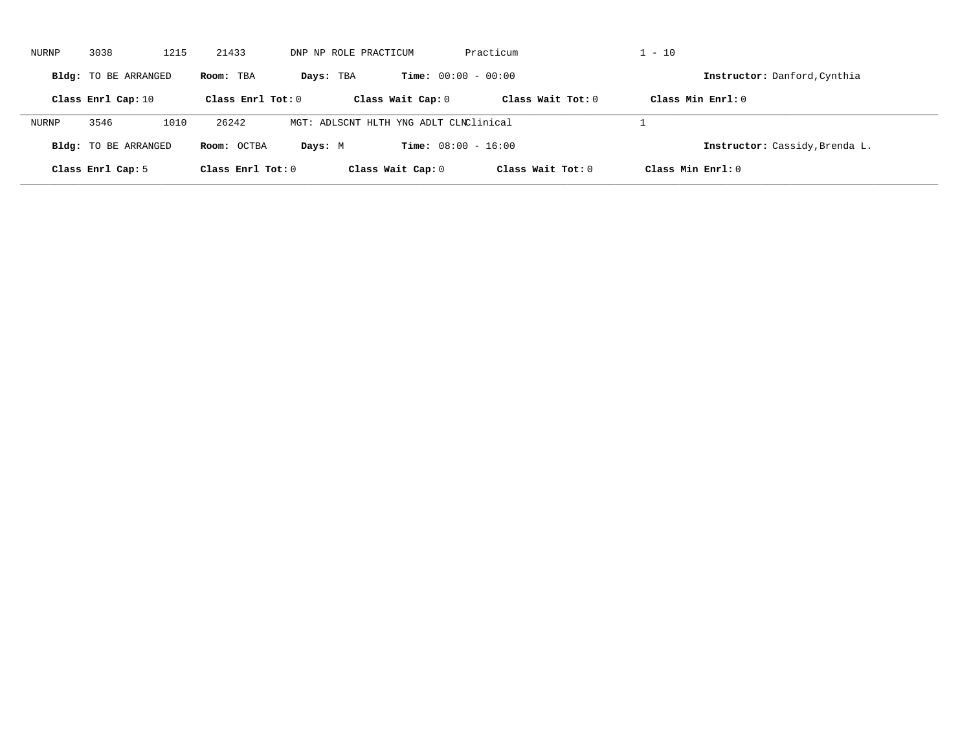| NURNP | 3038                        | 1215 | 21433               | DNP NP ROLE PRACTICUM                  |                              | Practicum           | $1 - 10$                       |  |
|-------|-----------------------------|------|---------------------|----------------------------------------|------------------------------|---------------------|--------------------------------|--|
|       | Bldg: TO BE ARRANGED        |      | Room: TBA           | Days: TBA                              | <b>Time:</b> $00:00 - 00:00$ |                     | Instructor: Danford, Cynthia   |  |
|       | Class Enrl Cap: 10          |      | Class Enrl Tot: $0$ |                                        | Class Wait Cap: 0            | Class Wait Tot: 0   | Class Min Enrl: 0              |  |
| NURNP | 3546                        | 1010 | 26242               | MGT: ADLSCNT HLTH YNG ADLT CLNClinical |                              |                     |                                |  |
|       | <b>Bldg:</b> TO BE ARRANGED |      | Room: OCTBA         | Days: M                                | <b>Time:</b> $08:00 - 16:00$ |                     | Instructor: Cassidy, Brenda L. |  |
|       | Class Enrl Cap: 5           |      | Class Enrl Tot: $0$ |                                        | Class Wait Cap: 0            | Class Wait $Tot: 0$ | Class Min $Enrl: 0$            |  |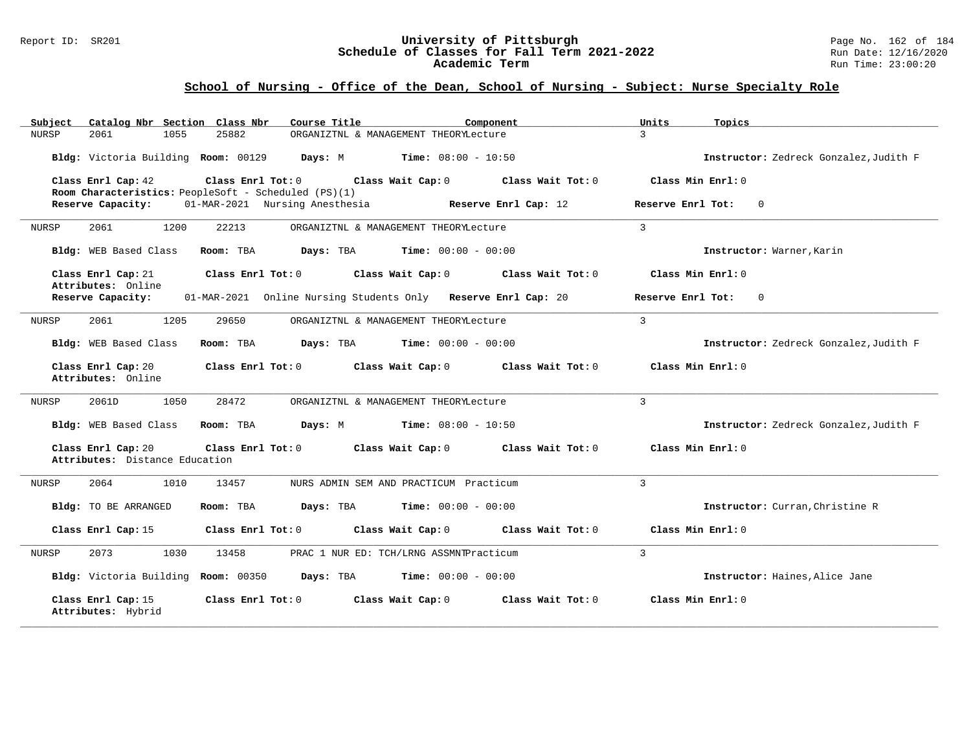| Catalog Nbr Section Class Nbr<br>Subject             | Course Title                                                              | Component                                     | Units<br>Topics                        |
|------------------------------------------------------|---------------------------------------------------------------------------|-----------------------------------------------|----------------------------------------|
| <b>NURSP</b><br>2061<br>1055                         | 25882                                                                     | ORGANIZTNL & MANAGEMENT THEORYLecture         | 3                                      |
| Bldg: Victoria Building Room: 00129                  | Days: M                                                                   | $Time: 08:00 - 10:50$                         | Instructor: Zedreck Gonzalez, Judith F |
| Class Enrl Cap: 42                                   | Class Enrl Tot: 0<br>Room Characteristics: PeopleSoft - Scheduled (PS)(1) | Class Wait Cap: 0 Class Wait Tot: 0           | Class Min Enrl: 0                      |
| Reserve Capacity:                                    | 01-MAR-2021 Nursing Anesthesia                                            | Reserve Enrl Cap: 12                          | Reserve Enrl Tot:<br>$\mathbf 0$       |
| 2061<br>1200<br>NURSP                                | 22213                                                                     | ORGANIZTNL & MANAGEMENT THEORYLecture         | $\overline{3}$                         |
| Bldg: WEB Based Class                                | Room: TBA                                                                 | <b>Days:</b> TBA <b>Time:</b> $00:00 - 00:00$ | Instructor: Warner, Karin              |
| Class Enrl Cap: 21<br>Attributes: Online             | Class Enrl Tot: 0                                                         | Class Wait Cap: 0<br>Class Wait Tot: 0        | Class Min Enrl: 0                      |
| Reserve Capacity:                                    | 01-MAR-2021 Online Nursing Students Only Reserve Enrl Cap: 20             |                                               | Reserve Enrl Tot:<br>$\mathbf 0$       |
| 2061<br>1205<br>NURSP                                | 29650                                                                     | ORGANIZTNL & MANAGEMENT THEORYLecture         | $\overline{3}$                         |
| <b>Bldg:</b> WEB Based Class                         | Room: TBA<br>Days: TBA                                                    | $Time: 00:00 - 00:00$                         | Instructor: Zedreck Gonzalez, Judith F |
| Class Enrl Cap: 20<br>Attributes: Online             | Class Enrl Tot: 0                                                         | Class Wait Cap: 0<br>Class Wait Tot: 0        | Class Min Enrl: 0                      |
| 1050<br>2061D<br>NURSP                               | 28472                                                                     | ORGANIZTNL & MANAGEMENT THEORYLecture         | $\overline{3}$                         |
| Bldg: WEB Based Class                                | Room: TBA<br>Days: M                                                      | $Time: 08:00 - 10:50$                         | Instructor: Zedreck Gonzalez, Judith F |
| Class Enrl Cap: 20<br>Attributes: Distance Education | Class Enrl Tot: 0                                                         | Class Wait Cap: 0<br>Class Wait Tot: 0        | Class Min Enrl: 0                      |
| 2064<br>1010<br>NURSP                                | 13457                                                                     | NURS ADMIN SEM AND PRACTICUM Practicum        | 3                                      |
| Bldg: TO BE ARRANGED                                 | Room: TBA<br>Days: TBA                                                    | <b>Time:</b> $00:00 - 00:00$                  | Instructor: Curran, Christine R        |
| Class Enrl Cap: 15                                   | Class Enrl Tot: 0                                                         | Class Wait Cap: 0<br>Class Wait Tot: 0        | Class Min Enrl: 0                      |
| 2073<br>1030<br>NURSP                                | 13458                                                                     | PRAC 1 NUR ED: TCH/LRNG ASSMNTPracticum       | $\overline{3}$                         |
| Bldg: Victoria Building Room: 00350                  | Days: TBA                                                                 | $Time: 00:00 - 00:00$                         | Instructor: Haines, Alice Jane         |
| Class Enrl Cap: 15<br>Attributes: Hybrid             | Class Enrl Tot: 0                                                         | Class Wait Cap: 0<br>Class Wait Tot: 0        | Class Min Enrl: 0                      |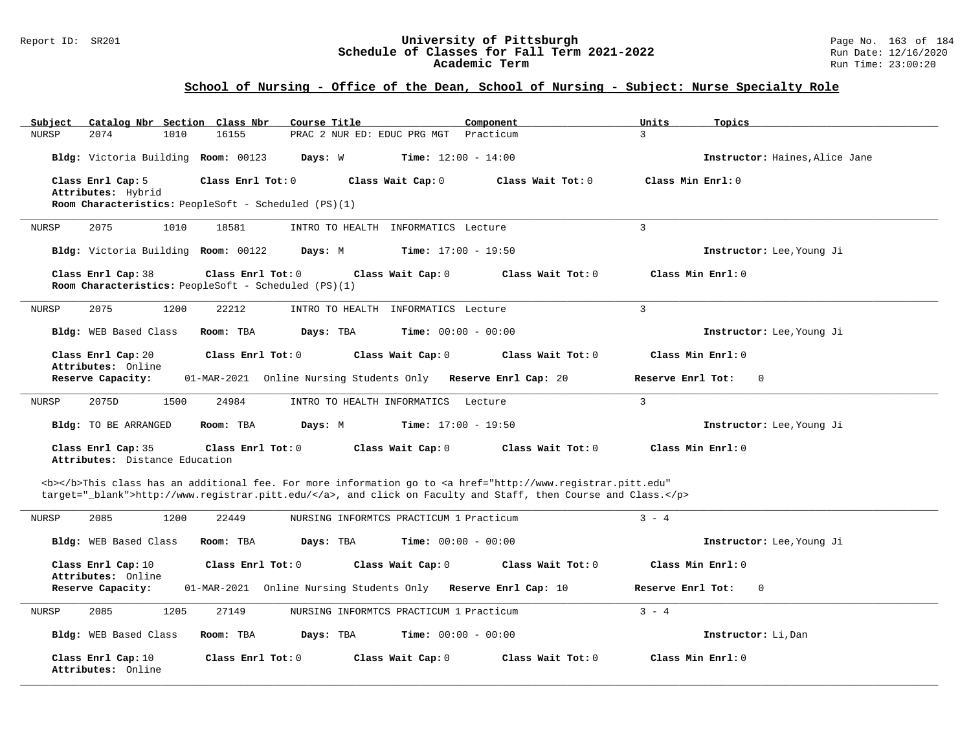#### Report ID: SR201 **University of Pittsburgh** Page No. 163 of 184 **Schedule of Classes for Fall Term 2021-2022** Run Date: 12/16/2020 **Academic Term** Run Time: 23:00:20

| Subject      | Catalog Nbr Section Class Nbr                        |                                                                           | Course Title                                                  |                              | Component                                                                                                                                                                                                                          | Units               | Topics                         |
|--------------|------------------------------------------------------|---------------------------------------------------------------------------|---------------------------------------------------------------|------------------------------|------------------------------------------------------------------------------------------------------------------------------------------------------------------------------------------------------------------------------------|---------------------|--------------------------------|
| <b>NURSP</b> | 2074<br>1010                                         | 16155                                                                     | PRAC 2 NUR ED: EDUC PRG MGT                                   |                              | Practicum                                                                                                                                                                                                                          | $\overline{3}$      |                                |
|              | Bldg: Victoria Building Room: 00123                  |                                                                           | Days: W                                                       | <b>Time:</b> $12:00 - 14:00$ |                                                                                                                                                                                                                                    |                     | Instructor: Haines, Alice Jane |
|              | Class Enrl Cap: 5                                    | Class Enrl Tot: 0                                                         |                                                               | Class Wait Cap: 0            | Class Wait Tot: 0                                                                                                                                                                                                                  | Class Min $Enrl: 0$ |                                |
|              | Attributes: Hybrid                                   |                                                                           |                                                               |                              |                                                                                                                                                                                                                                    |                     |                                |
|              |                                                      | Room Characteristics: PeopleSoft - Scheduled (PS)(1)                      |                                                               |                              |                                                                                                                                                                                                                                    |                     |                                |
| NURSP        | 2075<br>1010                                         | 18581                                                                     | INTRO TO HEALTH INFORMATICS Lecture                           |                              |                                                                                                                                                                                                                                    | $\overline{3}$      |                                |
|              | Bldg: Victoria Building Room: 00122                  |                                                                           | Days: M                                                       | <b>Time:</b> $17:00 - 19:50$ |                                                                                                                                                                                                                                    |                     | Instructor: Lee, Young Ji      |
|              | Class Enrl Cap: 38                                   | Class Enrl Tot: 0<br>Room Characteristics: PeopleSoft - Scheduled (PS)(1) |                                                               | Class Wait Cap: 0            | Class Wait Tot: 0                                                                                                                                                                                                                  | Class Min Enrl: 0   |                                |
| NURSP        | 2075<br>1200                                         | 22212                                                                     | INTRO TO HEALTH INFORMATICS Lecture                           |                              |                                                                                                                                                                                                                                    | $\overline{3}$      |                                |
|              | Bldg: WEB Based Class                                | Room: TBA                                                                 | Days: TBA                                                     | <b>Time:</b> $00:00 - 00:00$ |                                                                                                                                                                                                                                    |                     | Instructor: Lee, Young Ji      |
|              | Class Enrl Cap: 20<br>Attributes: Online             | Class $Enr1 Tot: 0$                                                       |                                                               | Class Wait Cap: 0            | Class Wait $Tot: 0$                                                                                                                                                                                                                | Class Min Enrl: 0   |                                |
|              | Reserve Capacity:                                    |                                                                           | 01-MAR-2021 Online Nursing Students Only Reserve Enrl Cap: 20 |                              |                                                                                                                                                                                                                                    | Reserve Enrl Tot:   | $\mathbf 0$                    |
| NURSP        | 2075D<br>1500                                        | 24984                                                                     | INTRO TO HEALTH INFORMATICS Lecture                           |                              |                                                                                                                                                                                                                                    | $\overline{3}$      |                                |
|              | Bldg: TO BE ARRANGED                                 | Room: TBA                                                                 | Days: M                                                       | <b>Time:</b> $17:00 - 19:50$ |                                                                                                                                                                                                                                    |                     | Instructor: Lee, Young Ji      |
|              | Class Enrl Cap: 35<br>Attributes: Distance Education | Class Enrl Tot: 0                                                         |                                                               | Class Wait Cap: 0            | Class Wait Tot: 0                                                                                                                                                                                                                  | Class Min Enrl: 0   |                                |
|              |                                                      |                                                                           |                                                               |                              | <b></b> This class has an additional fee. For more information go to <a <br="" href="http://www.registrar.pitt.edu">target="_blank"&gt;http://www.registrar.pitt.edu/</a> , and click on Faculty and Staff, then Course and Class. |                     |                                |
| <b>NURSP</b> | 2085<br>1200                                         | 22449                                                                     | NURSING INFORMTCS PRACTICUM 1 Practicum                       |                              |                                                                                                                                                                                                                                    | $3 - 4$             |                                |
|              | Bldg: WEB Based Class                                | Room: TBA                                                                 | Days: TBA                                                     | <b>Time:</b> $00:00 - 00:00$ |                                                                                                                                                                                                                                    |                     | Instructor: Lee, Young Ji      |
|              | Class Enrl Cap: 10<br>Attributes: Online             | Class Enrl Tot: 0                                                         |                                                               | Class Wait Cap: 0            | Class Wait Tot: 0                                                                                                                                                                                                                  | Class Min Enrl: 0   |                                |
|              | Reserve Capacity:                                    |                                                                           | 01-MAR-2021 Online Nursing Students Only Reserve Enrl Cap: 10 |                              |                                                                                                                                                                                                                                    | Reserve Enrl Tot:   | $\mathbf 0$                    |
| <b>NURSP</b> | 2085<br>1205                                         | 27149                                                                     | NURSING INFORMTCS PRACTICUM 1 Practicum                       |                              |                                                                                                                                                                                                                                    | $3 - 4$             |                                |
|              | Bldg: WEB Based Class                                | Room: TBA                                                                 | Days: TBA                                                     | <b>Time:</b> $00:00 - 00:00$ |                                                                                                                                                                                                                                    |                     | Instructor: Li, Dan            |
|              | Class Enrl Cap: 10<br>Attributes: Online             | Class Enrl Tot: 0                                                         |                                                               | Class Wait Cap: 0            | Class Wait Tot: 0                                                                                                                                                                                                                  | Class Min Enrl: 0   |                                |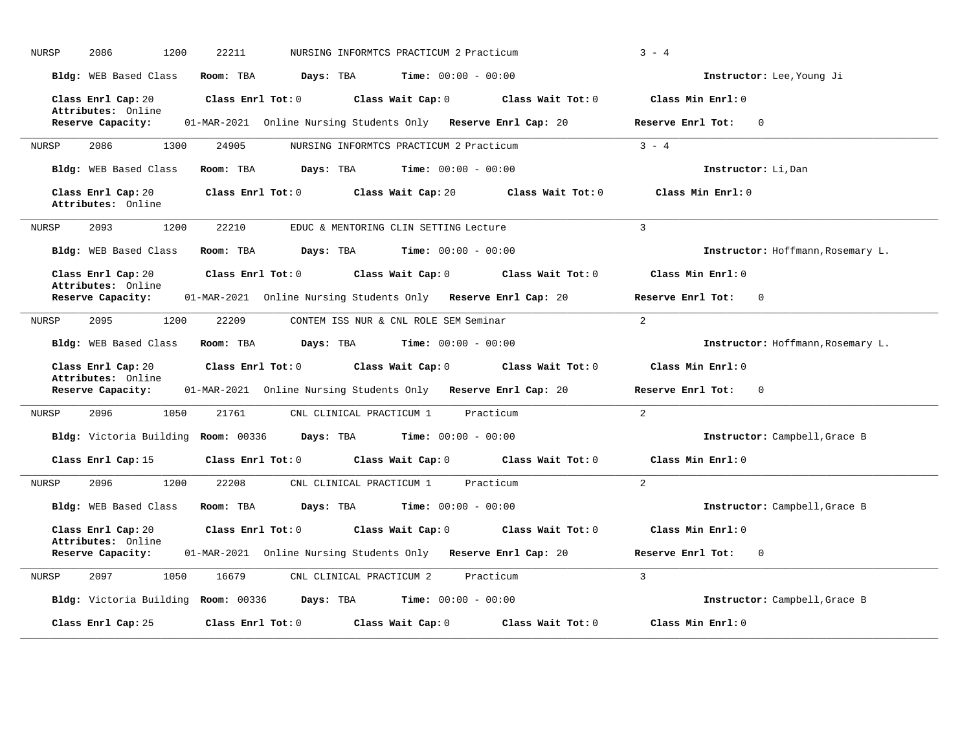| <b>NURSP</b> | 2086<br>1200                             | 22211             |                                                               |                                         |                   | $3 - 4$                           |
|--------------|------------------------------------------|-------------------|---------------------------------------------------------------|-----------------------------------------|-------------------|-----------------------------------|
|              | Bldg: WEB Based Class                    | Room: TBA         | Days: TBA                                                     | <b>Time:</b> $00:00 - 00:00$            |                   | Instructor: Lee, Young Ji         |
|              | Class Enrl Cap: 20                       | Class Enrl Tot: 0 |                                                               | Class Wait Cap: 0                       | Class Wait Tot: 0 | Class Min Enrl: 0                 |
|              | Attributes: Online<br>Reserve Capacity:  |                   | 01-MAR-2021 Online Nursing Students Only Reserve Enrl Cap: 20 |                                         |                   | Reserve Enrl Tot:<br>$\mathbf 0$  |
| <b>NURSP</b> | 2086<br>1300                             | 24905             |                                                               | NURSING INFORMTCS PRACTICUM 2 Practicum |                   | $3 - 4$                           |
|              | Bldg: WEB Based Class                    | Room: TBA         | Days: TBA                                                     | <b>Time:</b> $00:00 - 00:00$            |                   | Instructor: Li, Dan               |
|              | Class Enrl Cap: 20<br>Attributes: Online | Class Enrl Tot: 0 |                                                               | Class Wait Cap: 20                      | Class Wait Tot: 0 | Class Min Enrl: 0                 |
| <b>NURSP</b> | 2093<br>1200                             | 22210             |                                                               | EDUC & MENTORING CLIN SETTING Lecture   |                   | $\overline{3}$                    |
|              | Bldg: WEB Based Class                    | Room: TBA         | Days: TBA                                                     | <b>Time:</b> $00:00 - 00:00$            |                   | Instructor: Hoffmann, Rosemary L. |
|              | Class Enrl Cap: 20                       | Class Enrl Tot: 0 |                                                               | Class Wait Cap: 0                       | Class Wait Tot: 0 | Class Min Enrl: 0                 |
|              | Attributes: Online<br>Reserve Capacity:  |                   | 01-MAR-2021 Online Nursing Students Only Reserve Enrl Cap: 20 |                                         |                   | Reserve Enrl Tot:<br>$\Omega$     |
|              |                                          |                   |                                                               |                                         |                   |                                   |
| <b>NURSP</b> | 2095<br>1200                             | 22209             |                                                               | CONTEM ISS NUR & CNL ROLE SEM Seminar   |                   | $\overline{2}$                    |
|              | Bldg: WEB Based Class                    | Room: TBA         | Days: TBA                                                     | <b>Time:</b> $00:00 - 00:00$            |                   | Instructor: Hoffmann, Rosemary L. |
|              | Class Enrl Cap: 20                       | Class Enrl Tot: 0 |                                                               | Class Wait Cap: 0                       | Class Wait Tot: 0 | Class Min Enrl: 0                 |
|              | Attributes: Online<br>Reserve Capacity:  |                   | 01-MAR-2021 Online Nursing Students Only Reserve Enrl Cap: 20 |                                         |                   | Reserve Enrl Tot:<br>$\mathbf 0$  |
| NURSP        | 1050<br>2096                             | 21761             | CNL CLINICAL PRACTICUM 1                                      |                                         | Practicum         | 2                                 |
|              | Bldg: Victoria Building Room: 00336      |                   | Days: TBA                                                     | <b>Time:</b> $00:00 - 00:00$            |                   | Instructor: Campbell, Grace B     |
|              | Class Enrl Cap: 15                       | Class Enrl Tot: 0 |                                                               | Class Wait Cap: 0                       | Class Wait Tot: 0 | Class Min Enrl: 0                 |
| <b>NURSP</b> | 2096<br>1200                             | 22208             | CNL CLINICAL PRACTICUM 1                                      |                                         | Practicum         | $\overline{2}$                    |
|              | Bldg: WEB Based Class                    | Room: TBA         | Days: TBA                                                     | <b>Time:</b> $00:00 - 00:00$            |                   | Instructor: Campbell, Grace B     |
|              | Class Enrl Cap: 20                       | Class Enrl Tot: 0 |                                                               | Class Wait Cap: 0                       | Class Wait Tot: 0 | Class Min Enrl: 0                 |
|              | Attributes: Online<br>Reserve Capacity:  |                   | 01-MAR-2021 Online Nursing Students Only Reserve Enrl Cap: 20 |                                         |                   | Reserve Enrl Tot:<br>$\mathbf 0$  |
| <b>NURSP</b> | 2097<br>1050                             | 16679             | CNL CLINICAL PRACTICUM 2                                      |                                         | Practicum         | $\mathcal{L}$                     |
|              | Bldg: Victoria Building Room: 00336      |                   | Days: TBA                                                     | <b>Time:</b> $00:00 - 00:00$            |                   | Instructor: Campbell, Grace B     |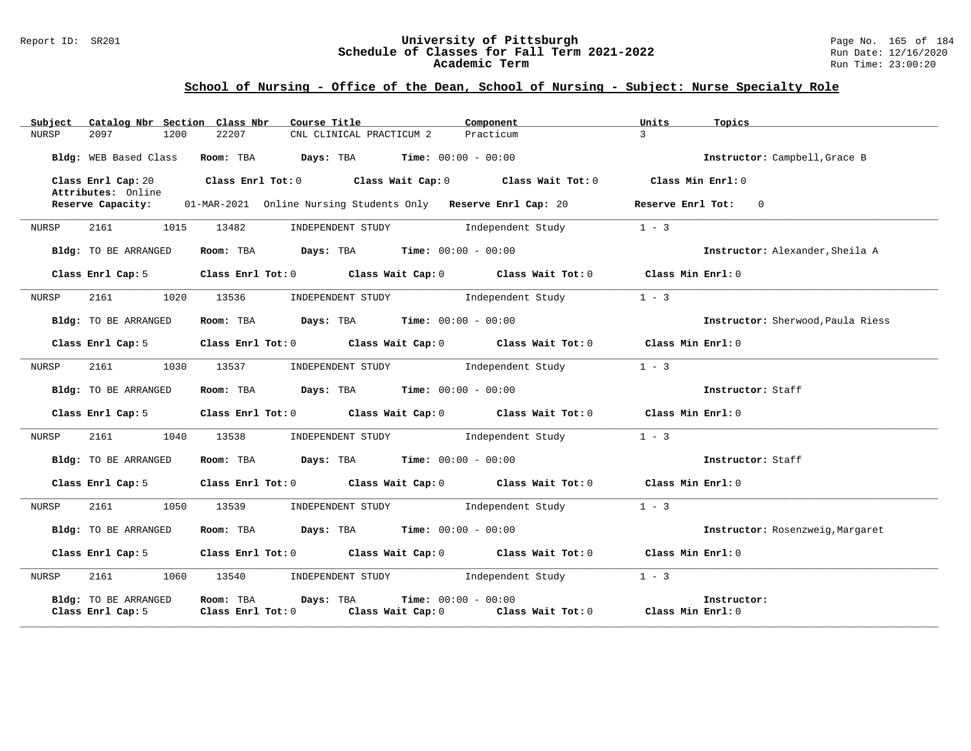#### Report ID: SR201 **University of Pittsburgh** Page No. 165 of 184 **Schedule of Classes for Fall Term 2021-2022** Run Date: 12/16/2020 **Academic Term** Run Time: 23:00:20

| Catalog Nbr Section Class Nbr<br>Subject         | Course Title<br>Component                                                                                          | Units<br>Topics                   |
|--------------------------------------------------|--------------------------------------------------------------------------------------------------------------------|-----------------------------------|
| NURSP<br>2097<br>1200                            | 22207<br>CNL CLINICAL PRACTICUM 2<br>Practicum                                                                     | $\mathcal{L}$                     |
| Bldg: WEB Based Class                            | Room: TBA $Days:$ TBA $Time: 00:00 - 00:00$                                                                        | Instructor: Campbell, Grace B     |
| Class Enrl Cap: 20<br>Attributes: Online         | Class Enrl Tot: $0$ Class Wait Cap: $0$ Class Wait Tot: $0$ Class Min Enrl: $0$                                    |                                   |
| Reserve Capacity:                                | 01-MAR-2021 Online Nursing Students Only Reserve Enrl Cap: 20                                                      | Reserve Enrl Tot: 0               |
| 1015<br>2161<br>NURSP                            | INDEPENDENT STUDY 1ndependent Study<br>13482                                                                       | $1 - 3$                           |
| Bldg: TO BE ARRANGED                             | Room: TBA $Days:$ TBA $Time: 00:00 - 00:00$                                                                        | Instructor: Alexander, Sheila A   |
| Class Enrl Cap: 5                                | Class Enrl Tot: $0$ Class Wait Cap: $0$ Class Wait Tot: $0$ Class Min Enrl: $0$                                    |                                   |
| 2161<br>1020<br>NURSP                            | 13536<br>INDEPENDENT STUDY 1ndependent Study                                                                       | $1 - 3$                           |
| Bldg: TO BE ARRANGED                             | Room: TBA $Days:$ TBA $Time: 00:00 - 00:00$                                                                        | Instructor: Sherwood, Paula Riess |
| Class Enrl Cap: 5                                | Class Enrl Tot: 0 Class Wait Cap: 0 Class Wait Tot: 0 Class Min Enrl: 0                                            |                                   |
| NURSP<br>2161<br>1030                            | 13537<br>INDEPENDENT STUDY 1ndependent Study                                                                       | $1 - 3$                           |
| Bldg: TO BE ARRANGED                             | Room: TBA $Days:$ TBA $Time: 00:00 - 00:00$                                                                        | Instructor: Staff                 |
| Class Enrl Cap: 5                                | Class Enrl Tot: 0 Class Wait Cap: 0 Class Wait Tot: 0                                                              | Class Min Enrl: 0                 |
| 2161<br>1040<br>NURSP                            | INDEPENDENT STUDY<br>13538<br>Independent Study                                                                    | $1 - 3$                           |
| Bldg: TO BE ARRANGED                             | Room: TBA $Days:$ TBA $Time: 00:00 - 00:00$                                                                        | Instructor: Staff                 |
| Class Enrl Cap: 5                                | Class Enrl Tot: 0 Class Wait Cap: 0 Class Wait Tot: 0                                                              | Class Min Enrl: 0                 |
| 1050<br>2161 200<br>NURSP                        | Independent Study<br>13539<br>INDEPENDENT STUDY                                                                    | $1 - 3$                           |
| Bldg: TO BE ARRANGED                             | Room: TBA $Days: TBA$ Time: $00:00 - 00:00$                                                                        | Instructor: Rosenzweig, Margaret  |
| Class Enrl Cap: 5                                | Class Enrl Tot: 0 Class Wait Cap: 0 Class Wait Tot: 0                                                              | Class Min Enrl: 0                 |
| 2161<br>1060<br>NURSP                            | 13540<br>INDEPENDENT STUDY 1ndependent Study                                                                       | $1 - 3$                           |
| <b>Bldg:</b> TO BE ARRANGED<br>Class Enrl Cap: 5 | <b>Time:</b> $00:00 - 00:00$<br>Room: TBA<br>Days: TBA<br>Class Enrl Tot: 0<br>Class Wait Cap: 0 Class Wait Tot: 0 | Instructor:<br>Class Min Enrl: 0  |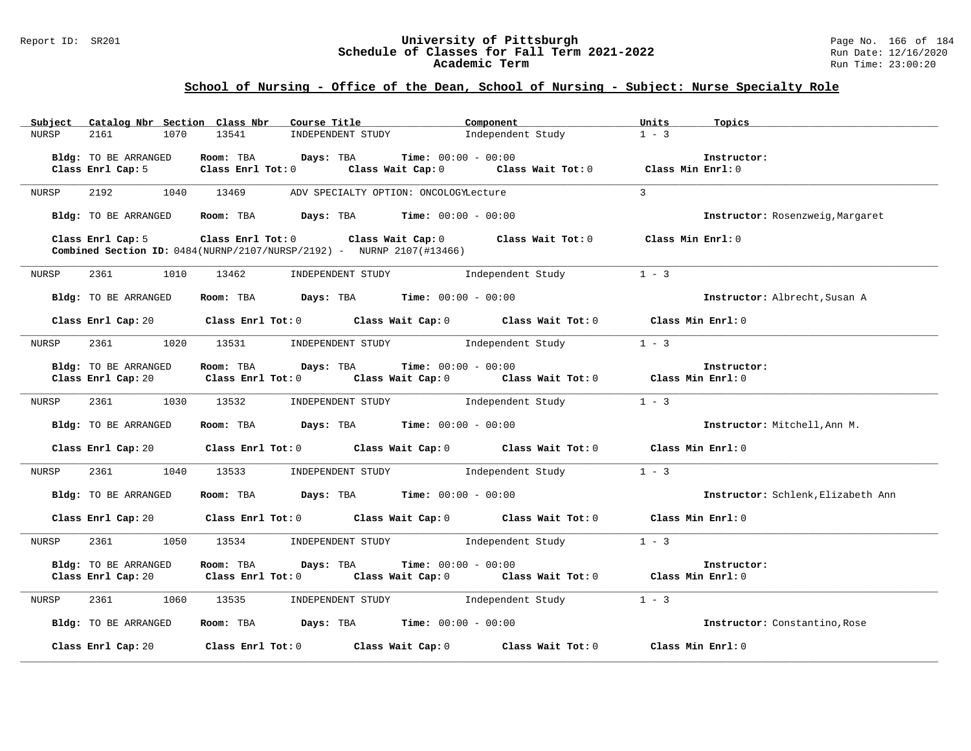### Report ID: SR201 **1988 Chedule of Classes for Fall Term 2021-2022** Page No. 166 of 184 **Schedule of Classes for Fall Term 2021-2022** Run Date: 12/16/2020 **Academic Term** Run Time: 23:00:20

| Catalog Nbr Section Class Nbr<br>Subject   | Course Title                                                                                                                                   | Component                    | Units<br>Topics                    |
|--------------------------------------------|------------------------------------------------------------------------------------------------------------------------------------------------|------------------------------|------------------------------------|
| <b>NURSP</b><br>2161<br>1070               | 13541<br>INDEPENDENT STUDY                                                                                                                     | Independent Study            | $1 - 3$                            |
| Bldg: TO BE ARRANGED                       | Days: TBA<br>Room: TBA                                                                                                                         | <b>Time:</b> $00:00 - 00:00$ | Instructor:                        |
| Class Enrl Cap: 5                          | Class Enrl Tot: 0 Class Wait Cap: 0                                                                                                            | Class Wait Tot: 0            | Class Min Enrl: 0                  |
| 2192<br>1040<br>NURSP                      | 13469<br>ADV SPECIALTY OPTION: ONCOLOGYLecture                                                                                                 |                              | $\overline{3}$                     |
| Bldg: TO BE ARRANGED                       | Room: TBA $Days: TBA$ Time: $00:00 - 00:00$                                                                                                    |                              | Instructor: Rosenzweig, Margaret   |
| Class Enrl Cap: 5                          | Class Enrl Tot: 0 Class Wait Cap: 0 Class Wait Tot: 0<br><b>Combined Section ID:</b> $0484(NURNP/2107/NURSP/2192) - NURNP 2107(\text{#13466})$ |                              | Class Min Enrl: 0                  |
| 2361<br>NURSP<br>1010                      | 13462<br>INDEPENDENT STUDY                                                                                                                     | Independent Study            | $1 - 3$                            |
| Bldg: TO BE ARRANGED                       | Room: TBA $Days:$ TBA $Time: 00:00 - 00:00$                                                                                                    |                              | Instructor: Albrecht, Susan A      |
|                                            | Class Enrl Cap: 20 Class Enrl Tot: 0 Class Wait Cap: 0 Class Wait Tot: 0                                                                       |                              | Class Min Enrl: 0                  |
| 2361 236<br>NURSP                          | 1020 13531<br>INDEPENDENT STUDY                                                                                                                | Independent Study            | $1 - 3$                            |
| Bldg: TO BE ARRANGED<br>Class Enrl Cap: 20 | Room: TBA Days: TBA<br>Class Enrl Tot: 0 $\qquad$ Class Wait Cap: 0 $\qquad$ Class Wait Tot: 0 $\qquad$ Class Min Enrl: 0                      | <b>Time:</b> $00:00 - 00:00$ | Instructor:                        |
| 2361 1030 13532<br>NURSP                   | INDEPENDENT STUDY 1ndependent Study                                                                                                            |                              | $1 - 3$                            |
| Bldg: TO BE ARRANGED                       | Room: TBA $Days: TBA$ Time: $00:00 - 00:00$                                                                                                    |                              | Instructor: Mitchell, Ann M.       |
| Class Enrl Cap: 20                         | Class Enrl Tot: 0 Class Wait Cap: 0 Class Wait Tot: 0                                                                                          |                              | Class Min Enrl: 0                  |
| 2361<br>1040<br>NURSP                      | INDEPENDENT STUDY<br>13533                                                                                                                     | Independent Study            | $1 - 3$                            |
| Bldg: TO BE ARRANGED                       | Room: TBA $\rule{1em}{0.15mm}$ Days: TBA Time: $00:00 - 00:00$                                                                                 |                              | Instructor: Schlenk, Elizabeth Ann |
| Class Enrl Cap: 20                         | Class Enrl Tot: $0$ Class Wait Cap: $0$ Class Wait Tot: $0$ Class Min Enrl: $0$                                                                |                              |                                    |
| 2361<br>1050<br>NURSP                      | 13534 INDEPENDENT STUDY Independent Study                                                                                                      |                              | $1 - 3$                            |
| Bldg: TO BE ARRANGED                       | Room: TBA<br>Days: TBA<br>Class Enrl Cap: 20 		 Class Enrl Tot: 0 		 Class Wait Cap: 0 		 Class Wait Tot: 0 		 Class Min Enrl: 0               | <b>Time:</b> $00:00 - 00:00$ | Instructor:                        |
| 2361<br>1060<br>NURSP                      | 13535 INDEPENDENT STUDY 1ndependent Study                                                                                                      |                              | $1 - 3$                            |
| Bldg: TO BE ARRANGED                       | Room: TBA $\rule{1em}{0.15mm}$ Days: TBA Time: $00:00 - 00:00$                                                                                 |                              | Instructor: Constantino, Rose      |
| Class Enrl Cap: 20                         | Class Enrl Tot: $0$ Class Wait Cap: $0$ Class Wait Tot: $0$                                                                                    |                              | Class Min Enrl: 0                  |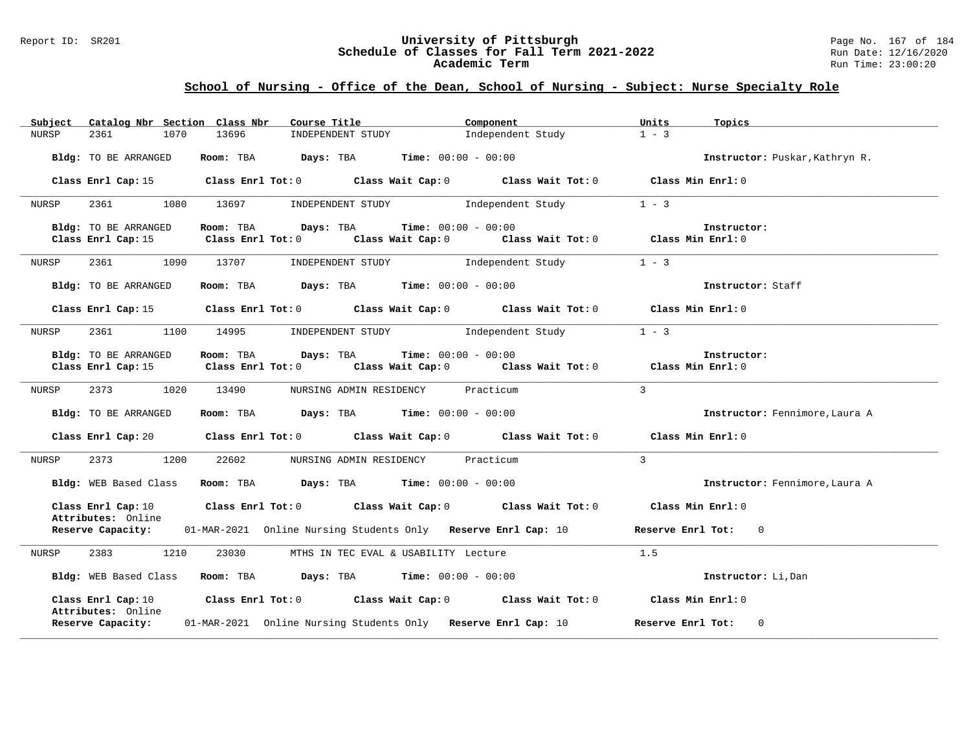#### Report ID: SR201 **University of Pittsburgh** Page No. 167 of 184 **Schedule of Classes for Fall Term 2021-2022** Run Date: 12/16/2020 **Academic Term** Run Time: 23:00:20

| Subject |                                          | Catalog Nbr Section Class Nbr | Course Title <b>Course Title</b>                              | Component                                                                                           | Units<br>Topics                     |
|---------|------------------------------------------|-------------------------------|---------------------------------------------------------------|-----------------------------------------------------------------------------------------------------|-------------------------------------|
| NURSP   | 2361<br>1070                             | 13696                         | INDEPENDENT STUDY                                             | Independent Study                                                                                   | $1 - 3$                             |
|         | Bldg: TO BE ARRANGED                     |                               | Room: TBA $Days: TBA$ Time: $00:00 - 00:00$                   |                                                                                                     | Instructor: Puskar, Kathryn R.      |
|         | Class Enrl Cap: 15                       |                               |                                                               | Class Enrl Tot: 0 Class Wait Cap: 0 Class Wait Tot: 0 Class Min Enrl: 0                             |                                     |
| NURSP   | 2361<br>1080                             | 13697                         | INDEPENDENT STUDY                                             | Independent Study                                                                                   | $1 - 3$                             |
|         | Bldg: TO BE ARRANGED                     | Room: TBA Days: TBA           |                                                               | <b>Time:</b> $00:00 - 00:00$                                                                        | Instructor:                         |
|         | Class Enrl Cap: 15                       |                               |                                                               | Class Enrl Tot: 0 $\qquad$ Class Wait Cap: 0 $\qquad$ Class Wait Tot: 0 $\qquad$ Class Min Enrl: 0  |                                     |
| NURSP   |                                          | 2361 1090 13707               |                                                               | INDEPENDENT STUDY 1ndependent Study                                                                 | $1 - 3$                             |
|         | Bldg: TO BE ARRANGED                     |                               | Room: TBA $Days:$ TBA $Time: 00:00 - 00:00$                   |                                                                                                     | Instructor: Staff                   |
|         |                                          |                               |                                                               | Class Enrl Cap: 15 $\qquad$ Class Enrl Tot: 0 $\qquad$ Class Wait Cap: 0 $\qquad$ Class Wait Tot: 0 | Class Min Enrl: 0                   |
| NURSP   | 2361 236<br>1100                         | 14995                         | INDEPENDENT STUDY                                             | Independent Study                                                                                   | $1 - 3$                             |
|         | Bldg: TO BE ARRANGED                     | Room: TBA                     | Days: TBA                                                     | <b>Time:</b> $00:00 - 00:00$                                                                        | Instructor:                         |
|         |                                          |                               |                                                               | Class Enrl Cap: 15 Class Enrl Tot: 0 Class Wait Cap: 0 Class Wait Tot: 0 Class Min Enrl: 0          |                                     |
| NURSP   | 2373 1020 13490                          |                               | NURSING ADMIN RESIDENCY Practicum                             |                                                                                                     | $\mathbf{3}$                        |
|         | Bldg: TO BE ARRANGED                     |                               | <b>Room:</b> TBA <b>Days:</b> TBA <b>Time:</b> 00:00 - 00:00  |                                                                                                     | Instructor: Fennimore, Laura A      |
|         |                                          |                               |                                                               | Class Enrl Cap: 20 Class Enrl Tot: 0 Class Wait Cap: 0 Class Wait Tot: 0 Class Min Enrl: 0          |                                     |
| NURSP   | 2373 1200                                | 22602                         | NURSING ADMIN RESIDENCY                                       | Practicum                                                                                           | $\overline{3}$                      |
|         | Bldg: WEB Based Class                    |                               | Room: TBA $Days:$ TBA $Time: 00:00 - 00:00$                   |                                                                                                     | Instructor: Fennimore, Laura A      |
|         | Class Enrl Cap: 10                       |                               |                                                               | Class Enrl Tot: $0$ Class Wait Cap: $0$ Class Wait Tot: $0$                                         | Class Min Enrl: 0                   |
|         | Attributes: Online                       |                               |                                                               | <b>Reserve Capacity:</b> 01-MAR-2021 Online Nursing Students Only Reserve Enrl Cap: 10              | Reserve Enrl Tot: 0                 |
| NURSP   | 1210<br>2383                             | 23030                         | MTHS IN TEC EVAL & USABILITY Lecture                          |                                                                                                     | 1.5                                 |
|         |                                          |                               | Bldg: WEB Based Class Room: TBA Days: TBA Time: 00:00 - 00:00 |                                                                                                     | Instructor: Li, Dan                 |
|         | Class Enrl Cap: 10<br>Attributes: Online |                               |                                                               | Class Enrl Tot: $0$ Class Wait Cap: $0$ Class Wait Tot: $0$                                         | Class Min Enrl: 0                   |
|         | Reserve Capacity:                        |                               | 01-MAR-2021 Online Nursing Students Only Reserve Enrl Cap: 10 |                                                                                                     | Reserve Enrl Tot:<br>$\overline{0}$ |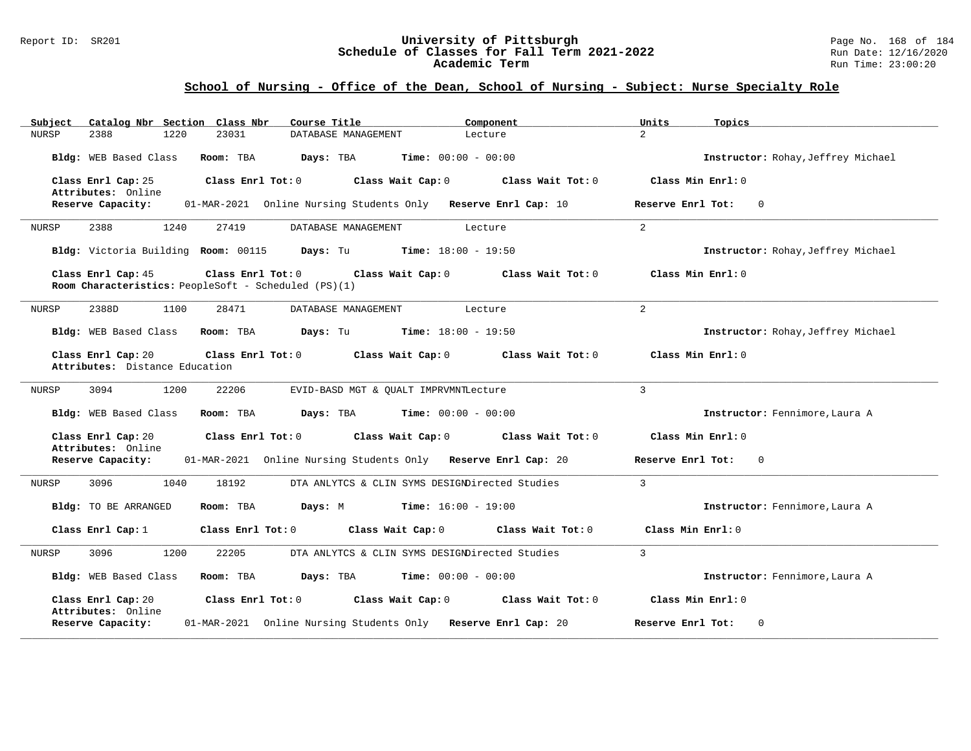#### Report ID: SR201 **University of Pittsburgh** Page No. 168 of 184 **Schedule of Classes for Fall Term 2021-2022** Run Date: 12/16/2020 **Academic Term** Run Time: 23:00:20

| Catalog Nbr Section Class Nbr<br>Course Title<br>Subject<br>Component                                                                     | Units<br>Topics                    |
|-------------------------------------------------------------------------------------------------------------------------------------------|------------------------------------|
| <b>NURSP</b><br>2388<br>1220<br>23031<br>DATABASE MANAGEMENT<br>Lecture                                                                   | $\overline{2}$                     |
| Bldg: WEB Based Class<br>Room: TBA<br>Days: TBA<br><b>Time:</b> $00:00 - 00:00$                                                           | Instructor: Rohay, Jeffrey Michael |
| Class Enrl Cap: 25<br>Class Enrl Tot: 0<br>Class Wait Cap: 0<br>Class Wait Tot: 0<br>Attributes: Online                                   | Class Min Enrl: 0                  |
| 01-MAR-2021 Online Nursing Students Only Reserve Enrl Cap: 10<br>Reserve Capacity:                                                        | $\mathbf 0$<br>Reserve Enrl Tot:   |
| 2388<br>1240<br>27419<br>DATABASE MANAGEMENT<br>NURSP<br>Lecture                                                                          | 2                                  |
| Bldg: Victoria Building Room: 00115<br><b>Days:</b> Tu <b>Time:</b> $18:00 - 19:50$                                                       | Instructor: Rohay, Jeffrey Michael |
| Class Enrl Cap: 45<br>Class Enrl Tot: 0<br>Class Wait Cap: 0<br>Class Wait Tot: 0<br>Room Characteristics: PeopleSoft - Scheduled (PS)(1) | Class Min Enrl: 0                  |
| 2388D<br>1100<br>28471<br>NURSP<br>DATABASE MANAGEMENT<br>Lecture                                                                         | 2                                  |
| <b>Days:</b> Tu <b>Time:</b> $18:00 - 19:50$<br>Bldg: WEB Based Class<br>Room: TBA                                                        | Instructor: Rohay, Jeffrey Michael |
| Class Enrl Cap: 20<br>Class Enrl Tot: 0<br>Class Wait Cap: 0<br>Class Wait Tot: 0<br>Attributes: Distance Education                       | Class Min Enrl: 0                  |
| 1200<br>22206<br>NURSP<br>3094<br>EVID-BASD MGT & QUALT IMPRVMNTLecture                                                                   | $\overline{3}$                     |
| Bldg: WEB Based Class<br>Room: TBA<br>Days: TBA<br><b>Time:</b> $00:00 - 00:00$                                                           | Instructor: Fennimore, Laura A     |
| Class Enrl Cap: 20<br>Class Enrl Tot: 0<br>Class Wait Cap: 0<br>Class Wait Tot: 0<br>Attributes: Online                                   | Class Min Enrl: 0                  |
| Reserve Capacity:<br>01-MAR-2021 Online Nursing Students Only Reserve Enrl Cap: 20                                                        | Reserve Enrl Tot:<br>0             |
| 3096<br>1040<br>18192<br>DTA ANLYTCS & CLIN SYMS DESIGNDirected Studies<br>NURSP                                                          | $\overline{3}$                     |
| Bldg: TO BE ARRANGED<br>Room: TBA<br>Days: M<br>$Time: 16:00 - 19:00$                                                                     | Instructor: Fennimore, Laura A     |
| Class Enrl Tot: 0<br>Class Wait Cap: 0<br>Class Wait Tot: 0<br>Class Enrl Cap: 1                                                          | Class Min Enrl: 0                  |
| DTA ANLYTCS & CLIN SYMS DESIGNDirected Studies<br>3096<br>1200<br>22205<br>NURSP                                                          | $\overline{3}$                     |
| Bldg: WEB Based Class<br>Room: TBA<br>Days: TBA<br>$Time: 00:00 - 00:00$                                                                  | Instructor: Fennimore, Laura A     |
| Class Enrl Cap: 20<br>Class Enrl Tot: 0<br>Class Wait Cap: 0<br>Class Wait Tot: 0<br>Attributes: Online                                   | Class Min Enrl: 0                  |
| 01-MAR-2021 Online Nursing Students Only Reserve Enrl Cap: 20<br>Reserve Capacity:                                                        | Reserve Enrl Tot:<br>0             |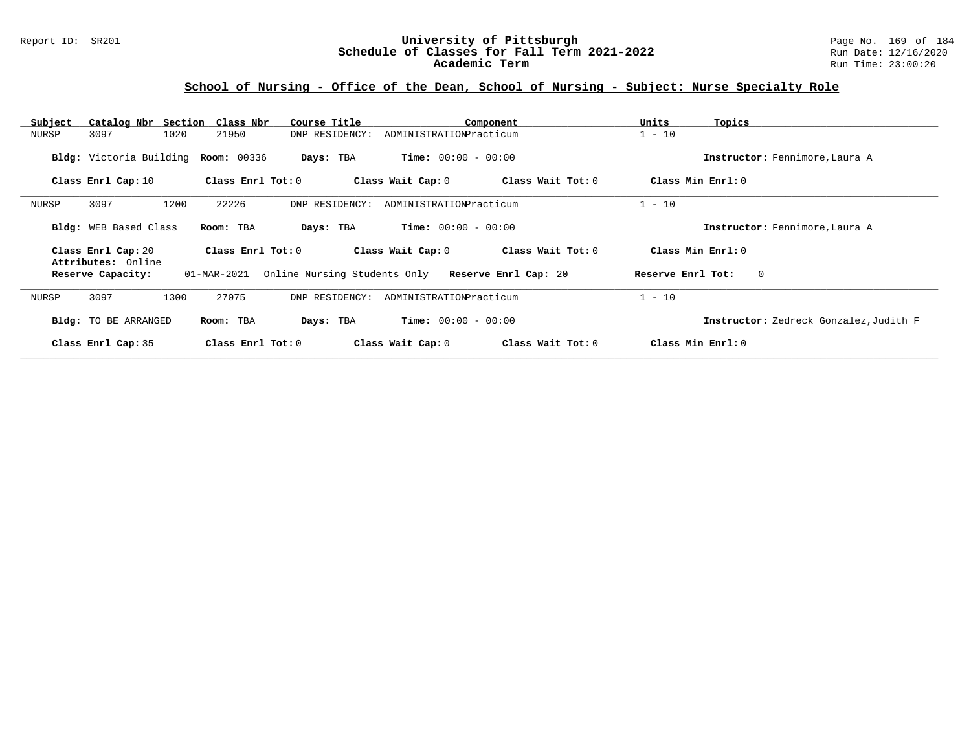### Report ID: SR201 **University of Pittsburgh** Page No. 169 of 184 **Schedule of Classes for Fall Term 2021-2022** Run Date: 12/16/2020 **Academic Term** Run Time: 23:00:20

| Subject | Catalog Nbr Section                      | Class Nbr                           | Course Title                                      |                              | Component         | Units<br>Topics                        |  |
|---------|------------------------------------------|-------------------------------------|---------------------------------------------------|------------------------------|-------------------|----------------------------------------|--|
| NURSP   | 3097                                     | 1020<br>21950                       | DNP RESIDENCY:                                    | ADMINISTRATIONPracticum      |                   | $1 - 10$                               |  |
|         |                                          | Bldg: Victoria Building Room: 00336 | Days: TBA                                         | <b>Time:</b> $00:00 - 00:00$ |                   | Instructor: Fennimore, Laura A         |  |
|         | Class Enrl Cap: 10                       | Class $Enr1$ Tot: $0$               |                                                   | Class Wait Cap: 0            | Class Wait Tot: 0 | Class Min Enrl: 0                      |  |
| NURSP   | 3097                                     | 22226<br>1200                       | DNP RESIDENCY:                                    | ADMINISTRATIONPracticum      |                   | $1 - 10$                               |  |
|         | <b>Bldg:</b> WEB Based Class             | Room: TBA                           | Days: TBA                                         | <b>Time:</b> $00:00 - 00:00$ |                   | Instructor: Fennimore, Laura A         |  |
|         | Class Enrl Cap: 20<br>Attributes: Online | Class $Enr1$ Tot: $0$               |                                                   | Class Wait Cap: 0            | Class Wait Tot: 0 | Class Min Enrl: 0                      |  |
|         | Reserve Capacity:                        | 01-MAR-2021                         | Online Nursing Students Only Reserve Enrl Cap: 20 |                              |                   | Reserve Enrl Tot:<br>$\Omega$          |  |
| NURSP   | 3097                                     | 27075<br>1300                       | DNP RESIDENCY:                                    | ADMINISTRATIONPracticum      |                   | $1 - 10$                               |  |
|         | <b>Bldg:</b> TO BE ARRANGED              | Room: TBA                           | Days: TBA                                         | <b>Time:</b> $00:00 - 00:00$ |                   | Instructor: Zedreck Gonzalez, Judith F |  |
|         | Class Enrl Cap: 35                       | Class Enrl Tot: $0$                 |                                                   | Class Wait Cap: 0            | Class Wait Tot: 0 | Class Min Enrl: 0                      |  |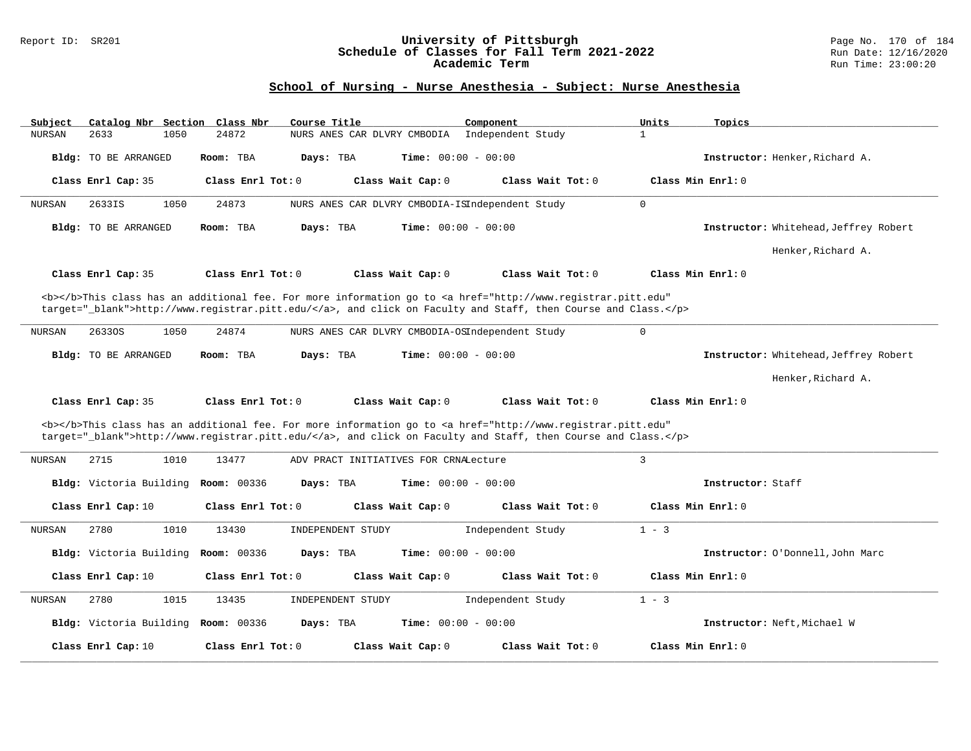#### Report ID: SR201 **University of Pittsburgh** Page No. 170 of 184 **Schedule of Classes for Fall Term 2021-2022** Run Date: 12/16/2020 **Academic Term** Run Time: 23:00:20

| 2633<br>24872<br>Independent Study<br>$\mathbf{1}$<br><b>NURSAN</b><br>1050<br>NURS ANES CAR DLVRY CMBODIA                                                                                                                         |  |
|------------------------------------------------------------------------------------------------------------------------------------------------------------------------------------------------------------------------------------|--|
|                                                                                                                                                                                                                                    |  |
| Days: TBA<br><b>Time:</b> $00:00 - 00:00$<br>Instructor: Henker, Richard A.<br>Bldg: TO BE ARRANGED<br>Room: TBA                                                                                                                   |  |
| Class Enrl Cap: 35<br>Class Enrl Tot: 0<br>Class Wait Cap: 0<br>Class Wait Tot: 0<br>Class Min Enrl: 0                                                                                                                             |  |
| $\mathbf 0$<br>2633IS<br>1050<br>24873<br>NURS ANES CAR DLVRY CMBODIA-ISIndependent Study<br><b>NURSAN</b>                                                                                                                         |  |
| Bldg: TO BE ARRANGED<br>Room: TBA<br>Days: TBA<br><b>Time:</b> $00:00 - 00:00$<br>Instructor: Whitehead, Jeffrey Robert                                                                                                            |  |
| Henker, Richard A.                                                                                                                                                                                                                 |  |
| Class Min Enrl: 0<br>Class Enrl Cap: 35<br>Class Enrl Tot: 0<br>Class Wait Cap: 0<br>Class Wait Tot: 0                                                                                                                             |  |
| <b></b> This class has an additional fee. For more information go to <a <="" href="http://www.registrar.pitt.edu" td=""><td></td></a>                                                                                              |  |
| target=" blank">http://www.registrar.pitt.edu/, and click on Faculty and Staff, then Course and Class.                                                                                                                             |  |
| $\Omega$                                                                                                                                                                                                                           |  |
| <b>NURSAN</b><br>26330S<br>1050<br>24874<br>NURS ANES CAR DLVRY CMBODIA-OSIndependent Study                                                                                                                                        |  |
| Days: TBA<br><b>Time:</b> $00:00 - 00:00$<br>Instructor: Whitehead, Jeffrey Robert<br>Bldg: TO BE ARRANGED<br>Room: TBA                                                                                                            |  |
| Henker, Richard A.                                                                                                                                                                                                                 |  |
| Class Enrl Cap: 35<br>Class Enrl Tot: 0<br>Class Wait Cap: 0<br>Class Wait Tot: 0<br>Class Min Enrl: 0                                                                                                                             |  |
| <b></b> This class has an additional fee. For more information go to <a <br="" href="http://www.registrar.pitt.edu">target="_blank"&gt;http://www.registrar.pitt.edu/</a> , and click on Faculty and Staff, then Course and Class. |  |
| 3<br>2715<br>1010<br>13477<br>NURSAN<br>ADV PRACT INITIATIVES FOR CRNALecture                                                                                                                                                      |  |
| Bldg: Victoria Building<br><b>Room: 00336</b><br>Days: TBA<br><b>Time:</b> $00:00 - 00:00$<br>Instructor: Staff                                                                                                                    |  |
| Class Enrl Cap: 10<br>Class Enrl Tot: 0<br>Class Wait Cap: 0<br>Class Wait Tot: 0<br>Class Min Enrl: 0                                                                                                                             |  |
| 2780<br>$1 - 3$<br><b>NURSAN</b><br>1010<br>13430<br>INDEPENDENT STUDY<br>Independent Study                                                                                                                                        |  |
| Bldg: Victoria Building<br><b>Room: 00336</b><br><b>Time:</b> $00:00 - 00:00$<br>Days: TBA<br>Instructor: O'Donnell, John Marc                                                                                                     |  |
| Class Enrl Cap: 10<br>Class Wait Tot: 0<br>Class Min Enrl: 0<br>Class Enrl Tot: 0<br>Class Wait Cap: 0                                                                                                                             |  |
| 2780<br>1015<br>13435<br>INDEPENDENT STUDY<br>Independent Study<br>$1 - 3$<br>NURSAN                                                                                                                                               |  |
| <b>Bldg:</b> Victoria Building<br><b>Room:</b> 00336<br>Days: TBA<br><b>Time:</b> $00:00 - 00:00$<br>Instructor: Neft, Michael W                                                                                                   |  |
| Class Enrl Tot: 0<br>Class Wait Tot: 0<br>Class Min Enrl: 0<br>Class Enrl Cap: 10<br>Class Wait Cap: 0                                                                                                                             |  |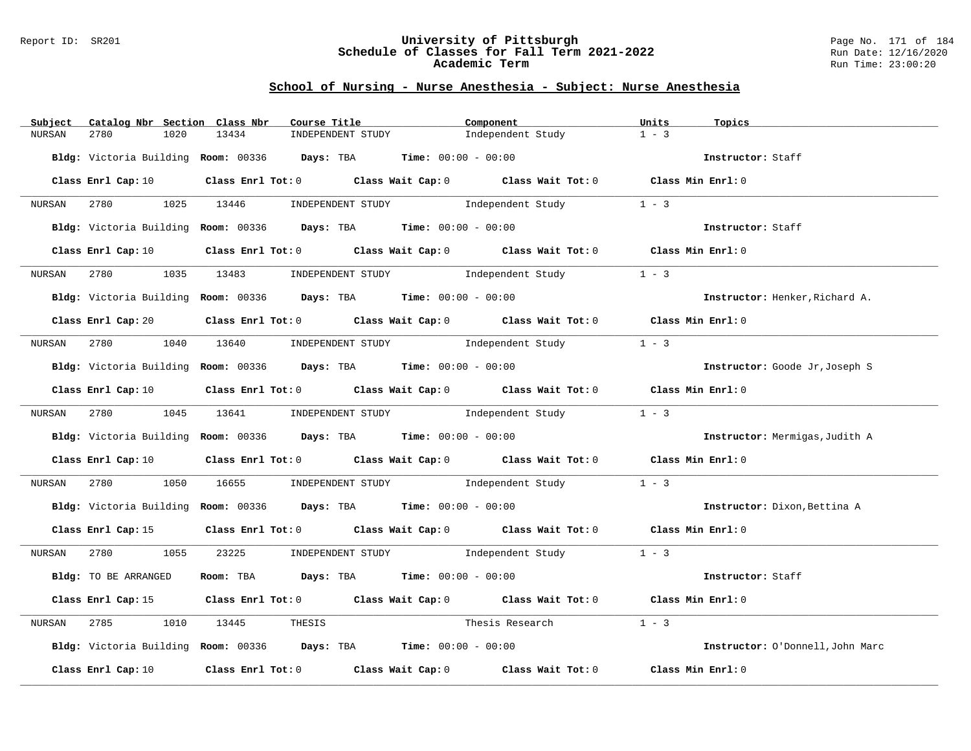#### Report ID: SR201 **University of Pittsburgh** Page No. 171 of 184 **Schedule of Classes for Fall Term 2021-2022** Run Date: 12/16/2020 **Academic Term** Run Time: 23:00:20

| Subject | Catalog Nbr Section Class Nbr |       | Course Title                                                                               | Component         | Units<br>Topics                  |
|---------|-------------------------------|-------|--------------------------------------------------------------------------------------------|-------------------|----------------------------------|
| NURSAN  | 2780<br>1020                  | 13434 | INDEPENDENT STUDY                                                                          | Independent Study | $1 - 3$                          |
|         |                               |       | Bldg: Victoria Building Room: 00336 Days: TBA Time: 00:00 - 00:00                          |                   | Instructor: Staff                |
|         |                               |       |                                                                                            |                   |                                  |
|         | Class Enrl Cap: 10            |       | Class Enrl Tot: 0 Class Wait Cap: 0 Class Wait Tot: 0 Class Min Enrl: 0                    |                   |                                  |
| NURSAN  | 2780 1025 13446               |       | INDEPENDENT STUDY 1 - 3                                                                    |                   |                                  |
|         |                               |       | Bldg: Victoria Building Room: 00336 Days: TBA Time: 00:00 - 00:00                          |                   | Instructor: Staff                |
|         | Class Enrl Cap: 10            |       | Class Enrl Tot: 0 Class Wait Cap: 0 Class Wait Tot: 0 Class Min Enrl: 0                    |                   |                                  |
| NURSAN  | 2780<br>1035                  |       | 13483 INDEPENDENT STUDY Independent Study                                                  |                   | $1 - 3$                          |
|         |                               |       | Bldg: Victoria Building Room: 00336 Days: TBA Time: 00:00 - 00:00                          |                   | Instructor: Henker, Richard A.   |
|         | Class Enrl Cap: 20            |       | Class Enrl Tot: 0 Class Wait Cap: 0 Class Wait Tot: 0 Class Min Enrl: 0                    |                   |                                  |
|         |                               |       | NURSAN 2780 1040 13640 INDEPENDENT STUDY        Independent Study                          |                   | $1 - 3$                          |
|         |                               |       | Bldg: Victoria Building Room: 00336 Days: TBA Time: 00:00 - 00:00                          |                   | Instructor: Goode Jr, Joseph S   |
|         | Class Enrl Cap: 10            |       | Class Enrl Tot: 0 Class Wait Cap: 0 Class Wait Tot: 0 Class Min Enrl: 0                    |                   |                                  |
| NURSAN  |                               |       | 2780 1045 13641 INDEPENDENT STUDY                                                          | Independent Study | $1 - 3$                          |
|         |                               |       | Bldg: Victoria Building Room: 00336 Days: TBA Time: 00:00 - 00:00                          |                   | Instructor: Mermigas, Judith A   |
|         | Class Enrl Cap: 10            |       | Class Enrl Tot: 0 Class Wait Cap: 0 Class Wait Tot: 0 Class Min Enrl: 0                    |                   |                                  |
| NURSAN  |                               |       | 2780 1050 16655 INDEPENDENT STUDY Independent Study                                        |                   | $1 - 3$                          |
|         |                               |       | Bldg: Victoria Building Room: 00336 Days: TBA Time: 00:00 - 00:00                          |                   | Instructor: Dixon, Bettina A     |
|         |                               |       | Class Enrl Cap: 15 Class Enrl Tot: 0 Class Wait Cap: 0 Class Wait Tot: 0 Class Min Enrl: 0 |                   |                                  |
|         |                               |       | NURSAN 2780 1055 23225 INDEPENDENT STUDY Independent Study 1 - 3                           |                   |                                  |
|         | Bldg: TO BE ARRANGED          |       | Room: TBA $Days:$ TBA $Time: 00:00 - 00:00$                                                |                   | Instructor: Staff                |
|         |                               |       | Class Enrl Cap: 15 Class Enrl Tot: 0 Class Wait Cap: 0 Class Wait Tot: 0 Class Min Enrl: 0 |                   |                                  |
| NURSAN  | 2785<br>1010                  | 13445 | THESIS                                                                                     | Thesis Research   | $1 - 3$                          |
|         |                               |       | Bldg: Victoria Building Room: 00336 Days: TBA Time: 00:00 - 00:00                          |                   | Instructor: O'Donnell, John Marc |
|         | Class Enrl Cap: 10            |       | Class Enrl Tot: 0 Class Wait Cap: 0 Class Wait Tot: 0                                      |                   | Class Min Enrl: 0                |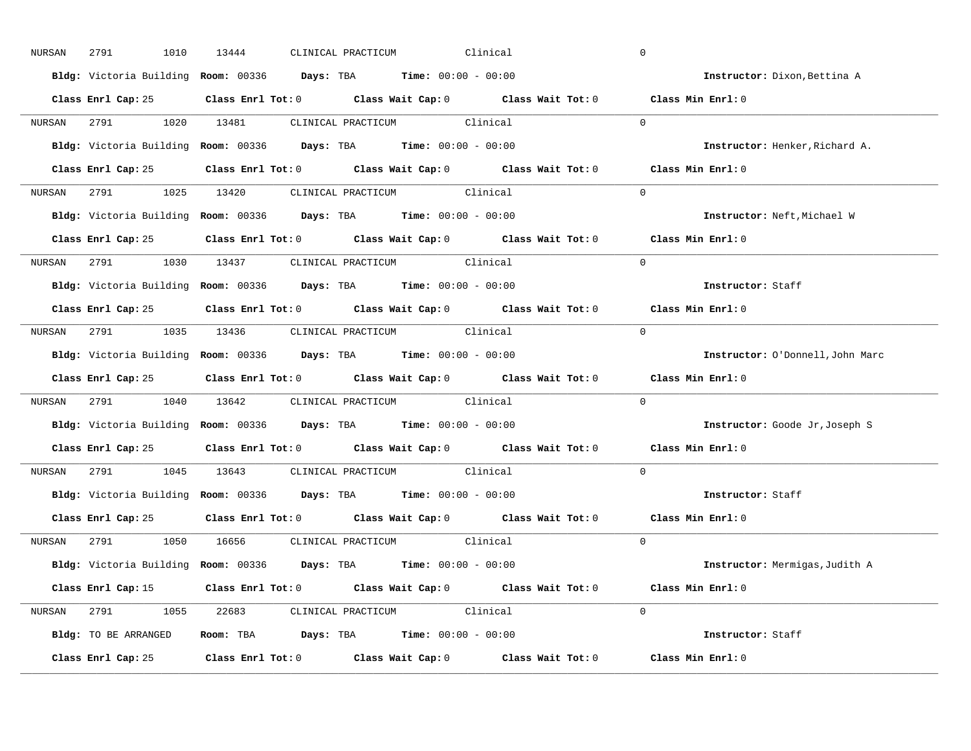| NURSAN | 2791<br>1010       | 13444 | CLINICAL PRACTICUM<br>Clinical                                                             | $\mathbf 0$                           |
|--------|--------------------|-------|--------------------------------------------------------------------------------------------|---------------------------------------|
|        |                    |       | Bldg: Victoria Building Room: 00336 Days: TBA Time: 00:00 - 00:00                          | Instructor: Dixon, Bettina A          |
|        |                    |       | Class Enrl Cap: 25 Class Enrl Tot: 0 Class Wait Cap: 0 Class Wait Tot: 0 Class Min Enrl: 0 |                                       |
|        |                    |       | NURSAN 2791 1020 13481 CLINICAL PRACTICUM Clinical                                         | $\Omega$                              |
|        |                    |       | Bldg: Victoria Building Room: 00336 Days: TBA Time: 00:00 - 00:00                          | Instructor: Henker, Richard A.        |
|        |                    |       | Class Enrl Cap: 25 Class Enrl Tot: 0 Class Wait Cap: 0 Class Wait Tot: 0 Class Min Enrl: 0 |                                       |
|        |                    |       | NURSAN 2791 1025 13420 CLINICAL PRACTICUM Clinical                                         | $\Omega$                              |
|        |                    |       | Bldg: Victoria Building Room: 00336 Days: TBA Time: 00:00 - 00:00                          | Instructor: Neft, Michael W           |
|        |                    |       | Class Enrl Cap: 25 Class Enrl Tot: 0 Class Wait Cap: 0 Class Wait Tot: 0 Class Min Enrl: 0 |                                       |
|        |                    |       | NURSAN 2791 1030 13437 CLINICAL PRACTICUM Clinical                                         | $\Omega$                              |
|        |                    |       | Bldg: Victoria Building Room: 00336 Days: TBA Time: 00:00 - 00:00                          | Instructor: Staff                     |
|        |                    |       | Class Enrl Cap: 25 Class Enrl Tot: 0 Class Wait Cap: 0 Class Wait Tot: 0 Class Min Enrl: 0 |                                       |
|        |                    |       | NURSAN 2791 1035 13436 CLINICAL PRACTICUM Clinical                                         | $\Omega$                              |
|        |                    |       | Bldg: Victoria Building Room: 00336 Days: TBA Time: 00:00 - 00:00                          | Instructor: O'Donnell, John Marc      |
|        |                    |       | Class Enrl Cap: 25 Class Enrl Tot: 0 Class Wait Cap: 0 Class Wait Tot: 0 Class Min Enrl: 0 |                                       |
| NURSAN |                    |       | 2791 1040 13642 CLINICAL PRACTICUM Clinical                                                | $\Omega$                              |
|        |                    |       | Bldg: Victoria Building Room: 00336 Days: TBA Time: 00:00 - 00:00                          | Instructor: Goode Jr, Joseph S        |
|        |                    |       | Class Enrl Cap: 25 Class Enrl Tot: 0 Class Wait Cap: 0 Class Wait Tot: 0                   | Class Min Enrl: 0                     |
| NURSAN |                    |       | 2791 1045 13643 CLINICAL PRACTICUM Clinical                                                | $\Omega$                              |
|        |                    |       | Bldg: Victoria Building Room: 00336 Days: TBA Time: 00:00 - 00:00                          | Instructor: Staff                     |
|        |                    |       |                                                                                            |                                       |
|        | Class Enrl Cap: 25 |       | Class Enrl Tot: 0 Class Wait Cap: 0 Class Wait Tot: 0 Class Min Enrl: 0                    |                                       |
|        |                    |       | NURSAN 2791 1050 16656 CLINICAL PRACTICUM Clinical                                         | $\Omega$                              |
|        |                    |       | Bldg: Victoria Building Room: 00336 Days: TBA Time: 00:00 - 00:00                          | <b>Instructor:</b> Mermigas, Judith A |
|        |                    |       | Class Enrl Cap: 15 Class Enrl Tot: 0 Class Wait Cap: 0 Class Wait Tot: 0 Class Min Enrl: 0 |                                       |
|        |                    |       | NURSAN 2791 1055 22683 CLINICAL PRACTICUM Clinical                                         | $\Omega$                              |
|        |                    |       | Bldg: TO BE ARRANGED Room: TBA Days: TBA Time: 00:00 - 00:00                               | Instructor: Staff                     |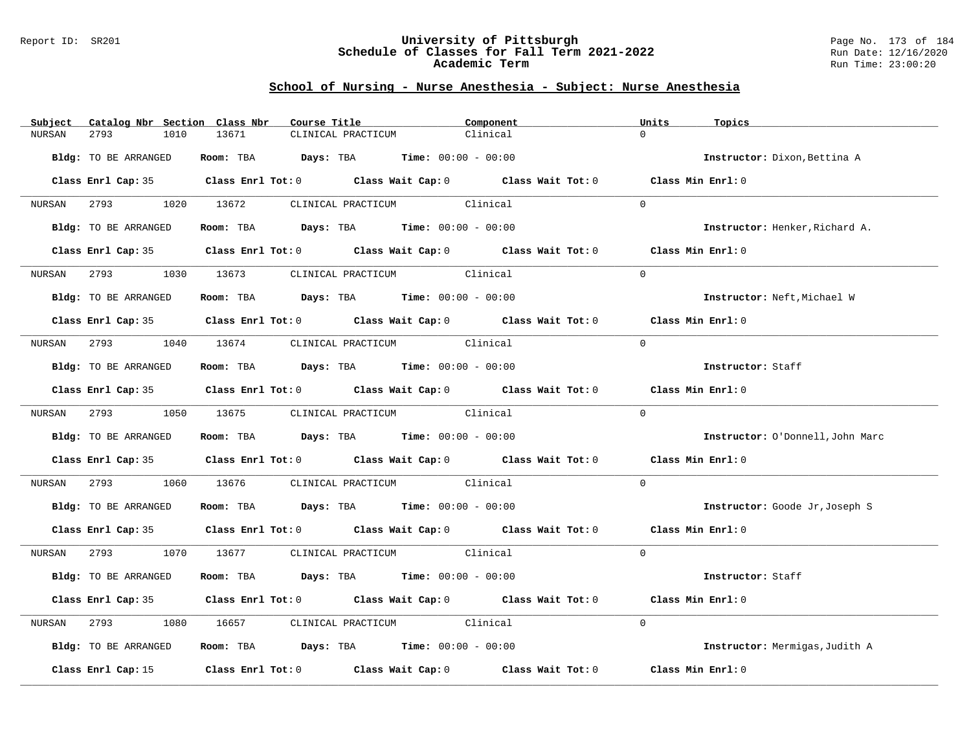#### Report ID: SR201 **University of Pittsburgh** Page No. 173 of 184 **Schedule of Classes for Fall Term 2021-2022** Run Date: 12/16/2020 **Academic Term** Run Time: 23:00:20

| Subject | Catalog Nbr Section Class Nbr | Course Title                                                             |                                   | Component                                                                                  | Units<br>Topics                  |
|---------|-------------------------------|--------------------------------------------------------------------------|-----------------------------------|--------------------------------------------------------------------------------------------|----------------------------------|
| NURSAN  | 2793<br>1010                  | 13671                                                                    | CLINICAL PRACTICUM                | Clinical                                                                                   | $\Omega$                         |
|         | Bldg: TO BE ARRANGED          | Room: TBA $Days: TBA$ Time: $00:00 - 00:00$                              |                                   |                                                                                            | Instructor: Dixon, Bettina A     |
|         |                               |                                                                          |                                   | Class Enrl Cap: 35 Class Enrl Tot: 0 Class Wait Cap: 0 Class Wait Tot: 0 Class Min Enrl: 0 |                                  |
|         |                               | NURSAN 2793 1020 13672 CLINICAL PRACTICUM Clinical                       |                                   |                                                                                            | $\Omega$                         |
|         | Bldg: TO BE ARRANGED          | Room: TBA $Days:$ TBA $Time: 00:00 - 00:00$                              |                                   |                                                                                            | Instructor: Henker, Richard A.   |
|         | Class Enrl Cap: 35            |                                                                          |                                   | Class Enrl Tot: $0$ Class Wait Cap: $0$ Class Wait Tot: $0$ Class Min Enrl: $0$            |                                  |
| NURSAN  | 2793 and $\sim$               | 1030 13673 CLINICAL PRACTICUM Clinical                                   |                                   |                                                                                            | $\Omega$                         |
|         | Bldg: TO BE ARRANGED          | Room: TBA $Days:$ TBA Time: $00:00 - 00:00$                              |                                   |                                                                                            | Instructor: Neft, Michael W      |
|         |                               |                                                                          |                                   | Class Enrl Cap: 35 Class Enrl Tot: 0 Class Wait Cap: 0 Class Wait Tot: 0 Class Min Enrl: 0 |                                  |
| NURSAN  |                               | 2793 1040 13674 CLINICAL PRACTICUM Clinical                              |                                   |                                                                                            | $\Omega$                         |
|         | Bldg: TO BE ARRANGED          | Room: TBA $Days:$ TBA Time: $00:00 - 00:00$                              |                                   |                                                                                            | Instructor: Staff                |
|         |                               |                                                                          |                                   | Class Enrl Cap: 35 Class Enrl Tot: 0 Class Wait Cap: 0 Class Wait Tot: 0 Class Min Enrl: 0 |                                  |
|         |                               | NURSAN 2793 1050 13675 CLINICAL PRACTICUM Clinical                       |                                   |                                                                                            | $\Omega$                         |
|         | Bldg: TO BE ARRANGED          | Room: TBA $Days:$ TBA Time: $00:00 - 00:00$                              |                                   |                                                                                            | Instructor: O'Donnell, John Marc |
|         |                               | Class Enrl Cap: 35 Class Enrl Tot: 0 Class Wait Cap: 0 Class Wait Tot: 0 |                                   |                                                                                            | Class Min Enrl: 0                |
| NURSAN  | 1060                          | 13676 CLINICAL PRACTICUM Clinical                                        |                                   |                                                                                            | $\Omega$                         |
|         | Bldg: TO BE ARRANGED          | Room: TBA $Days:$ TBA $Time: 00:00 - 00:00$                              |                                   |                                                                                            | Instructor: Goode Jr, Joseph S   |
|         |                               |                                                                          |                                   | Class Enrl Cap: 35 Class Enrl Tot: 0 Class Wait Cap: 0 Class Wait Tot: 0 Class Min Enrl: 0 |                                  |
|         |                               | NURSAN 2793 1070 13677 CLINICAL PRACTICUM Clinical                       |                                   |                                                                                            | $\Omega$                         |
|         | Bldg: TO BE ARRANGED          | Room: TBA $Days:$ TBA $Time: 00:00 - 00:00$                              |                                   |                                                                                            | Instructor: Staff                |
|         |                               |                                                                          |                                   | Class Enrl Cap: 35 Class Enrl Tot: 0 Class Wait Cap: 0 Class Wait Tot: 0                   | Class Min Enrl: 0                |
| NURSAN  | 2793<br>1080                  |                                                                          | 16657 CLINICAL PRACTICUM Clinical |                                                                                            | $\Omega$                         |
|         | Bldg: TO BE ARRANGED          | Room: TBA $Days:$ TBA Time: $00:00 - 00:00$                              |                                   |                                                                                            | Instructor: Mermigas, Judith A   |
|         | Class Enrl Cap: 15            |                                                                          |                                   | Class Enrl Tot: $0$ Class Wait Cap: $0$ Class Wait Tot: $0$                                | Class Min Enrl: 0                |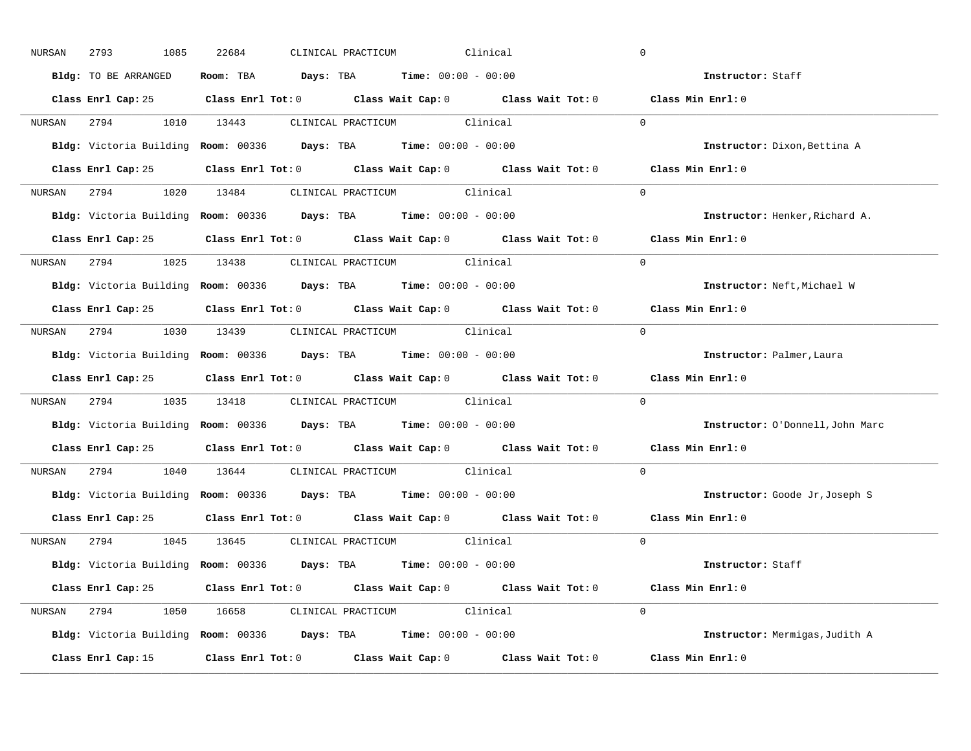|        | 2793<br>1085         | 22684 | CLINICAL PRACTICUM<br>Clinical                                                             | $\mathbf 0$                      |
|--------|----------------------|-------|--------------------------------------------------------------------------------------------|----------------------------------|
|        | Bldg: TO BE ARRANGED |       | Room: TBA $Days: TBA$ Time: $00:00 - 00:00$                                                | Instructor: Staff                |
|        |                      |       | Class Enrl Cap: 25 Class Enrl Tot: 0 Class Wait Cap: 0 Class Wait Tot: 0 Class Min Enrl: 0 |                                  |
|        |                      |       | NURSAN 2794 1010 13443 CLINICAL PRACTICUM Clinical                                         | $\Omega$                         |
|        |                      |       | Bldg: Victoria Building Room: 00336 Days: TBA Time: 00:00 - 00:00                          | Instructor: Dixon, Bettina A     |
|        |                      |       | Class Enrl Cap: 25 Class Enrl Tot: 0 Class Wait Cap: 0 Class Wait Tot: 0 Class Min Enrl: 0 |                                  |
|        |                      |       | NURSAN 2794 1020 13484 CLINICAL PRACTICUM Clinical                                         | $\Omega$                         |
|        |                      |       | Bldg: Victoria Building Room: 00336 Days: TBA Time: 00:00 - 00:00                          | Instructor: Henker, Richard A.   |
|        |                      |       | Class Enrl Cap: 25 Class Enrl Tot: 0 Class Wait Cap: 0 Class Wait Tot: 0 Class Min Enrl: 0 |                                  |
|        |                      |       | NURSAN 2794 1025 13438 CLINICAL PRACTICUM Clinical                                         | $\Omega$                         |
|        |                      |       | Bldg: Victoria Building Room: 00336 Days: TBA Time: 00:00 - 00:00                          | Instructor: Neft, Michael W      |
|        |                      |       | Class Enrl Cap: 25 Class Enrl Tot: 0 Class Wait Cap: 0 Class Wait Tot: 0 Class Min Enrl: 0 |                                  |
|        |                      |       | NURSAN 2794 1030 13439 CLINICAL PRACTICUM Clinical                                         | $\Omega$                         |
|        |                      |       | Bldg: Victoria Building Room: 00336 Days: TBA Time: 00:00 - 00:00                          | Instructor: Palmer, Laura        |
|        |                      |       | Class Enrl Cap: 25 Class Enrl Tot: 0 Class Wait Cap: 0 Class Wait Tot: 0 Class Min Enrl: 0 |                                  |
|        |                      |       | NURSAN 2794 1035 13418 CLINICAL PRACTICUM Clinical                                         | $\Omega$                         |
|        |                      |       | Bldg: Victoria Building Room: 00336 Days: TBA Time: 00:00 - 00:00                          | Instructor: O'Donnell, John Marc |
|        |                      |       |                                                                                            |                                  |
|        |                      |       | Class Enrl Cap: 25 Class Enrl Tot: 0 Class Wait Cap: 0 Class Wait Tot: 0                   | Class Min Enrl: 0                |
| NURSAN |                      |       | 2794 1040 13644 CLINICAL PRACTICUM Clinical                                                | $\Omega$                         |
|        |                      |       | Bldg: Victoria Building Room: 00336 Days: TBA Time: 00:00 - 00:00                          | Instructor: Goode Jr, Joseph S   |
|        |                      |       | Class Enrl Cap: 25 Class Enrl Tot: 0 Class Wait Cap: 0 Class Wait Tot: 0 Class Min Enrl: 0 |                                  |
|        |                      |       | NURSAN 2794 1045 13645 CLINICAL PRACTICUM Clinical                                         | $\Omega$                         |
|        |                      |       | Bldg: Victoria Building Room: 00336 Days: TBA Time: 00:00 - 00:00                          | Instructor: Staff                |
|        |                      |       | Class Enrl Cap: 25 Class Enrl Tot: 0 Class Wait Cap: 0 Class Wait Tot: 0 Class Min Enrl: 0 |                                  |
|        |                      |       | NURSAN 2794 1050 16658 CLINICAL PRACTICUM Clinical                                         | $\Omega$                         |
|        |                      |       | Bldg: Victoria Building Room: 00336 Days: TBA Time: 00:00 - 00:00                          | Instructor: Mermigas, Judith A   |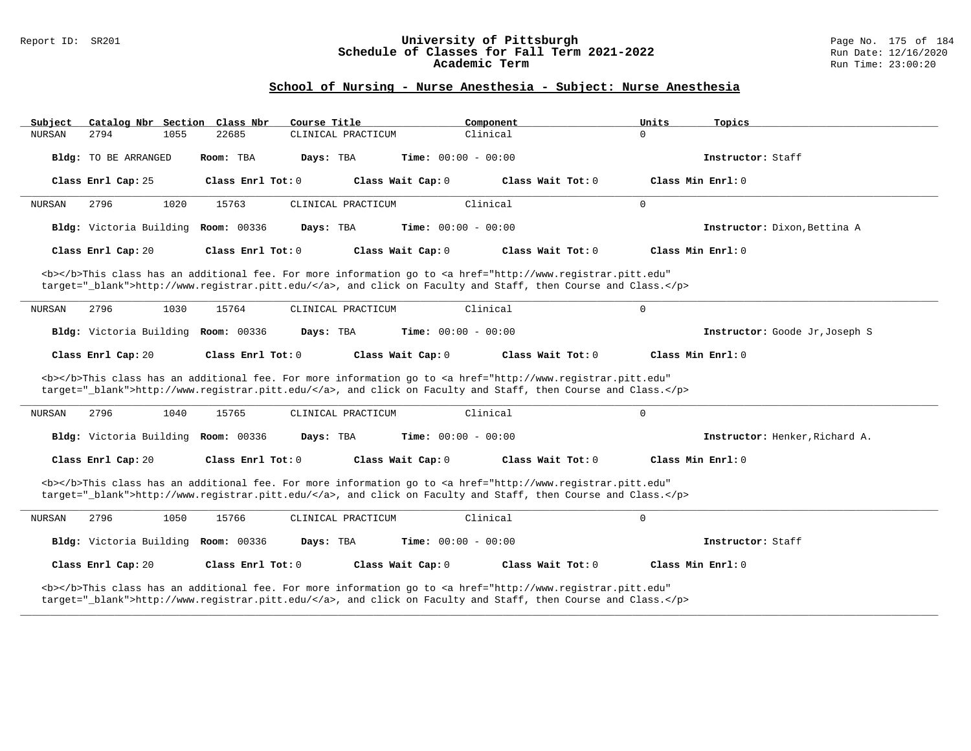#### Report ID: SR201 **University of Pittsburgh** Page No. 175 of 184 **Schedule of Classes for Fall Term 2021-2022** Run Date: 12/16/2020 **Academic Term** Run Time: 23:00:20

| Subject                                                                                                                                                                                                                            |                                                                                                                                                                                                                                    |      | Catalog Nbr Section Class Nbr | Course Title |                    |                              | Component |                                                                                                                                                                                                                                    | Units        | Topics                         |
|------------------------------------------------------------------------------------------------------------------------------------------------------------------------------------------------------------------------------------|------------------------------------------------------------------------------------------------------------------------------------------------------------------------------------------------------------------------------------|------|-------------------------------|--------------|--------------------|------------------------------|-----------|------------------------------------------------------------------------------------------------------------------------------------------------------------------------------------------------------------------------------------|--------------|--------------------------------|
| <b>NURSAN</b>                                                                                                                                                                                                                      | 2794                                                                                                                                                                                                                               | 1055 | 22685                         |              | CLINICAL PRACTICUM |                              | Clinical  |                                                                                                                                                                                                                                    | $\Omega$     |                                |
|                                                                                                                                                                                                                                    | Bldg: TO BE ARRANGED                                                                                                                                                                                                               |      | Room: TBA                     | Days: TBA    |                    | Time: $00:00 - 00:00$        |           |                                                                                                                                                                                                                                    |              | Instructor: Staff              |
|                                                                                                                                                                                                                                    | Class Enrl Cap: 25                                                                                                                                                                                                                 |      | Class Enrl Tot: $0$           |              |                    | Class Wait Cap: 0            |           | Class Wait $Tot: 0$                                                                                                                                                                                                                |              | Class Min Enrl: 0              |
| NURSAN                                                                                                                                                                                                                             | 2796                                                                                                                                                                                                                               | 1020 | 15763                         |              | CLINICAL PRACTICUM |                              | Clinical  |                                                                                                                                                                                                                                    | $\mathbf{0}$ |                                |
|                                                                                                                                                                                                                                    | <b>Bldg:</b> Victoria Building                                                                                                                                                                                                     |      | <b>Room: 00336</b>            | Days: TBA    |                    | <b>Time:</b> $00:00 - 00:00$ |           |                                                                                                                                                                                                                                    |              | Instructor: Dixon, Bettina A   |
|                                                                                                                                                                                                                                    | Class Enrl Cap: 20                                                                                                                                                                                                                 |      | Class Enrl Tot: 0             |              |                    | Class Wait Cap: 0            |           | Class Wait Tot: 0                                                                                                                                                                                                                  |              | Class Min Enrl: 0              |
|                                                                                                                                                                                                                                    |                                                                                                                                                                                                                                    |      |                               |              |                    |                              |           | <b></b> This class has an additional fee. For more information go to <a <br="" href="http://www.registrar.pitt.edu">target="_blank"&gt;http://www.registrar.pitt.edu/</a> , and click on Faculty and Staff, then Course and Class. |              |                                |
| NURSAN                                                                                                                                                                                                                             | 2796                                                                                                                                                                                                                               | 1030 | 15764                         |              | CLINICAL PRACTICUM |                              | Clinical  |                                                                                                                                                                                                                                    | $\mathbf 0$  |                                |
|                                                                                                                                                                                                                                    | Bldg: Victoria Building                                                                                                                                                                                                            |      | <b>Room: 00336</b>            | Days: TBA    |                    | <b>Time:</b> $00:00 - 00:00$ |           |                                                                                                                                                                                                                                    |              | Instructor: Goode Jr, Joseph S |
|                                                                                                                                                                                                                                    | Class Enrl Cap: 20                                                                                                                                                                                                                 |      | Class Enrl Tot: 0             |              |                    | Class Wait Cap: 0            |           | Class Wait Tot: 0                                                                                                                                                                                                                  |              | Class Min Enrl: 0              |
|                                                                                                                                                                                                                                    |                                                                                                                                                                                                                                    |      |                               |              |                    |                              |           | <b></b> This class has an additional fee. For more information go to <a <br="" href="http://www.registrar.pitt.edu">target=" blank"&gt;http://www.registrar.pitt.edu/</a> , and click on Faculty and Staff, then Course and Class. |              |                                |
| NURSAN                                                                                                                                                                                                                             | 2796                                                                                                                                                                                                                               | 1040 | 15765                         |              | CLINICAL PRACTICUM |                              | Clinical  |                                                                                                                                                                                                                                    | $\mathbf 0$  |                                |
|                                                                                                                                                                                                                                    | Bldg: Victoria Building Room: 00336                                                                                                                                                                                                |      |                               | Days: TBA    |                    | <b>Time:</b> $00:00 - 00:00$ |           |                                                                                                                                                                                                                                    |              | Instructor: Henker, Richard A. |
|                                                                                                                                                                                                                                    | Class Enrl Cap: 20                                                                                                                                                                                                                 |      | Class Enrl Tot: 0             |              |                    | Class Wait Cap: 0            |           | Class Wait Tot: 0                                                                                                                                                                                                                  |              | Class Min Enrl: 0              |
| <b></b> This class has an additional fee. For more information go to <a <br="" href="http://www.registrar.pitt.edu">target=" blank"&gt;http://www.registrar.pitt.edu/</a> , and click on Faculty and Staff, then Course and Class. |                                                                                                                                                                                                                                    |      |                               |              |                    |                              |           |                                                                                                                                                                                                                                    |              |                                |
| <b>NURSAN</b>                                                                                                                                                                                                                      | 2796                                                                                                                                                                                                                               | 1050 | 15766                         |              | CLINICAL PRACTICUM |                              | Clinical  |                                                                                                                                                                                                                                    | $\mathbf{0}$ |                                |
|                                                                                                                                                                                                                                    | Bldg: Victoria Building Room: 00336                                                                                                                                                                                                |      |                               | Days: TBA    |                    | Time: $00:00 - 00:00$        |           |                                                                                                                                                                                                                                    |              | Instructor: Staff              |
|                                                                                                                                                                                                                                    | Class Enrl Cap: 20                                                                                                                                                                                                                 |      | Class Enrl Tot: $0$           |              |                    | Class Wait Cap: 0            |           | Class Wait Tot: 0                                                                                                                                                                                                                  |              | $Class Min Ernst: 0$           |
|                                                                                                                                                                                                                                    | <b></b> This class has an additional fee. For more information go to <a <br="" href="http://www.registrar.pitt.edu">target="_blank"&gt;http://www.registrar.pitt.edu/</a> , and click on Faculty and Staff, then Course and Class. |      |                               |              |                    |                              |           |                                                                                                                                                                                                                                    |              |                                |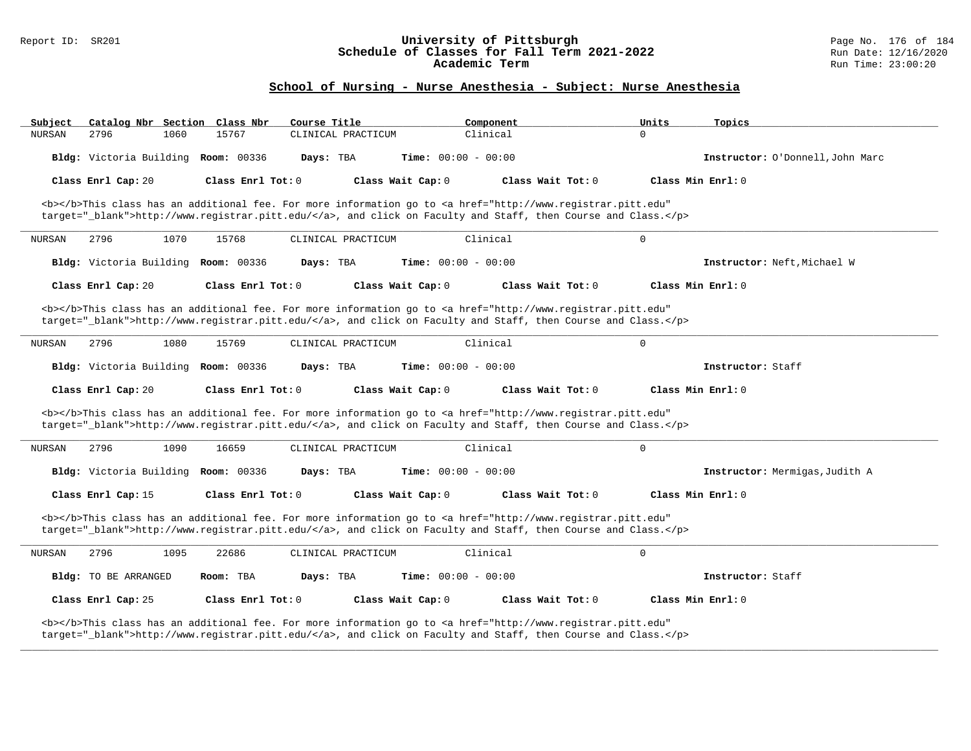#### Report ID: SR201 **University of Pittsburgh** Page No. 176 of 184 **Schedule of Classes for Fall Term 2021-2022** Run Date: 12/16/2020 **Academic Term** Run Time: 23:00:20

| Catalog Nbr Section Class Nbr<br>Subject                                                                                                                                                                                           | Course Title                                                                                                                                                                                                                       | Component            | Units<br>Topics                  |  |  |  |
|------------------------------------------------------------------------------------------------------------------------------------------------------------------------------------------------------------------------------------|------------------------------------------------------------------------------------------------------------------------------------------------------------------------------------------------------------------------------------|----------------------|----------------------------------|--|--|--|
| <b>NURSAN</b><br>2796<br>1060                                                                                                                                                                                                      | 15767<br>CLINICAL PRACTICUM                                                                                                                                                                                                        | Clinical<br>$\Omega$ |                                  |  |  |  |
| Bldg: Victoria Building Room: 00336                                                                                                                                                                                                | <b>Time:</b> $00:00 - 00:00$<br>Days: TBA                                                                                                                                                                                          |                      | Instructor: O'Donnell, John Marc |  |  |  |
| Class Enrl Cap: 20                                                                                                                                                                                                                 | Class Enrl Tot: 0<br>Class Wait Cap: 0                                                                                                                                                                                             | Class Wait Tot: 0    | Class Min Enrl: 0                |  |  |  |
|                                                                                                                                                                                                                                    | <b></b> This class has an additional fee. For more information go to <a <br="" href="http://www.registrar.pitt.edu">target="_blank"&gt;http://www.registrar.pitt.edu/</a> , and click on Faculty and Staff, then Course and Class. |                      |                                  |  |  |  |
| 2796<br>1070<br>NURSAN                                                                                                                                                                                                             | 15768<br>CLINICAL PRACTICUM                                                                                                                                                                                                        | Clinical<br>$\Omega$ |                                  |  |  |  |
| Bldg: Victoria Building Room: 00336                                                                                                                                                                                                | <b>Time:</b> $00:00 - 00:00$<br>Days: TBA                                                                                                                                                                                          |                      | Instructor: Neft, Michael W      |  |  |  |
| Class Enrl Cap: 20                                                                                                                                                                                                                 | Class Enrl Tot: 0<br>Class Wait Cap: 0                                                                                                                                                                                             | Class Wait Tot: 0    | Class Min Enrl: 0                |  |  |  |
|                                                                                                                                                                                                                                    | <b></b> This class has an additional fee. For more information go to <a <br="" href="http://www.registrar.pitt.edu">target="_blank"&gt;http://www.registrar.pitt.edu/</a> , and click on Faculty and Staff, then Course and Class. |                      |                                  |  |  |  |
| 2796<br>1080<br>NURSAN                                                                                                                                                                                                             | 15769<br>CLINICAL PRACTICUM                                                                                                                                                                                                        | Clinical<br>0        |                                  |  |  |  |
| Bldg: Victoria Building Room: 00336                                                                                                                                                                                                | Days: TBA<br><b>Time:</b> $00:00 - 00:00$                                                                                                                                                                                          |                      | Instructor: Staff                |  |  |  |
| Class Enrl Cap: 20                                                                                                                                                                                                                 | Class Enrl Tot: 0<br>Class Wait Cap: 0                                                                                                                                                                                             | Class Wait Tot: 0    | Class Min Enrl: 0                |  |  |  |
|                                                                                                                                                                                                                                    | <b></b> This class has an additional fee. For more information go to <a <br="" href="http://www.registrar.pitt.edu">target="_blank"&gt;http://www.registrar.pitt.edu/</a> , and click on Faculty and Staff, then Course and Class. |                      |                                  |  |  |  |
| 2796<br>1090<br>NURSAN                                                                                                                                                                                                             | 16659<br>CLINICAL PRACTICUM                                                                                                                                                                                                        | Clinical<br>0        |                                  |  |  |  |
| Bldg: Victoria Building Room: 00336                                                                                                                                                                                                | Days: TBA<br><b>Time:</b> $00:00 - 00:00$                                                                                                                                                                                          |                      | Instructor: Mermigas, Judith A   |  |  |  |
| Class Enrl Cap: 15                                                                                                                                                                                                                 | Class Enrl Tot: $0$<br>Class Wait Cap: 0                                                                                                                                                                                           | Class Wait Tot: 0    | Class Min Enrl: 0                |  |  |  |
| <b></b> This class has an additional fee. For more information go to <a <br="" href="http://www.registrar.pitt.edu">target="_blank"&gt;http://www.registrar.pitt.edu/</a> , and click on Faculty and Staff, then Course and Class. |                                                                                                                                                                                                                                    |                      |                                  |  |  |  |
| 2796<br>1095<br><b>NURSAN</b>                                                                                                                                                                                                      | 22686<br>CLINICAL PRACTICUM                                                                                                                                                                                                        | Clinical<br>0        |                                  |  |  |  |
| Bldg: TO BE ARRANGED                                                                                                                                                                                                               | Room: TBA<br>Days: TBA<br><b>Time:</b> $00:00 - 00:00$                                                                                                                                                                             |                      | Instructor: Staff                |  |  |  |
| Class Enrl Cap: 25                                                                                                                                                                                                                 | Class Enrl Tot: 0<br>Class Wait Cap: 0                                                                                                                                                                                             | Class Wait Tot: 0    | Class Min Enrl: 0                |  |  |  |
| <b></b> This class has an additional fee. For more information go to <a <br="" href="http://www.registrar.pitt.edu">target="_blank"&gt;http://www.registrar.pitt.edu/</a> , and click on Faculty and Staff, then Course and Class. |                                                                                                                                                                                                                                    |                      |                                  |  |  |  |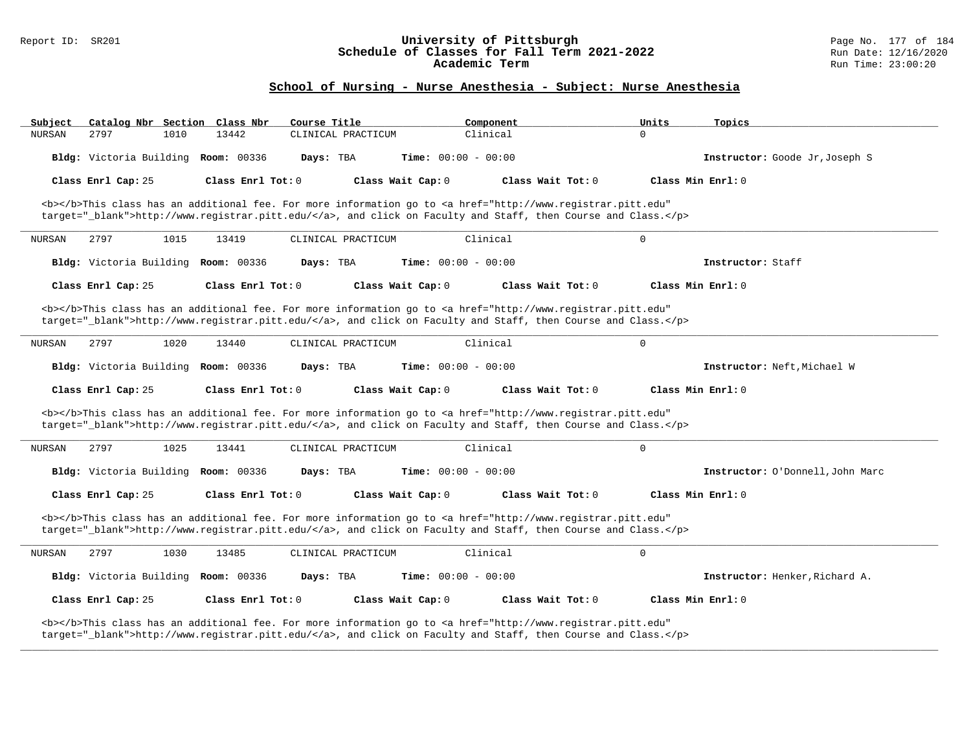#### Report ID: SR201 **University of Pittsburgh** Page No. 177 of 184 **Schedule of Classes for Fall Term 2021-2022** Run Date: 12/16/2020 **Academic Term** Run Time: 23:00:20

| Subject<br>Catalog Nbr Section Class Nbr                                                                                                                                                                                           | Course Title                | Component                                                                                                                                                                                                                          | Units<br>Topics                  |  |  |  |
|------------------------------------------------------------------------------------------------------------------------------------------------------------------------------------------------------------------------------------|-----------------------------|------------------------------------------------------------------------------------------------------------------------------------------------------------------------------------------------------------------------------------|----------------------------------|--|--|--|
| 2797<br><b>NURSAN</b><br>1010                                                                                                                                                                                                      | 13442<br>CLINICAL PRACTICUM | Clinical                                                                                                                                                                                                                           | $\Omega$                         |  |  |  |
| Bldg: Victoria Building Room: 00336                                                                                                                                                                                                | Days: TBA                   | <b>Time:</b> $00:00 - 00:00$                                                                                                                                                                                                       | Instructor: Goode Jr, Joseph S   |  |  |  |
| Class Enrl Cap: 25                                                                                                                                                                                                                 | Class Enrl Tot: 0           | Class Wait Cap: 0<br>Class Wait Tot: 0                                                                                                                                                                                             | Class Min Enrl: 0                |  |  |  |
|                                                                                                                                                                                                                                    |                             | <b></b> This class has an additional fee. For more information go to <a <br="" href="http://www.registrar.pitt.edu">target=" blank"&gt;http://www.registrar.pitt.edu/</a> , and click on Faculty and Staff, then Course and Class. |                                  |  |  |  |
| 2797<br>1015<br><b>NURSAN</b>                                                                                                                                                                                                      | 13419<br>CLINICAL PRACTICUM | Clinical                                                                                                                                                                                                                           | $\Omega$                         |  |  |  |
| Bldg: Victoria Building Room: 00336                                                                                                                                                                                                | Days: TBA                   | <b>Time:</b> $00:00 - 00:00$                                                                                                                                                                                                       | Instructor: Staff                |  |  |  |
| Class Enrl Cap: 25                                                                                                                                                                                                                 | Class Enrl Tot: 0           | Class Wait Cap: 0<br>Class Wait Tot: 0                                                                                                                                                                                             | Class Min Enrl: 0                |  |  |  |
|                                                                                                                                                                                                                                    |                             | <b></b> This class has an additional fee. For more information go to <a <br="" href="http://www.registrar.pitt.edu">target="_blank"&gt;http://www.registrar.pitt.edu/</a> , and click on Faculty and Staff, then Course and Class. |                                  |  |  |  |
| 2797<br>1020<br>NURSAN                                                                                                                                                                                                             | 13440<br>CLINICAL PRACTICUM | Clinical                                                                                                                                                                                                                           | $\mathbf 0$                      |  |  |  |
| Bldg: Victoria Building Room: 00336                                                                                                                                                                                                | Days: TBA                   | Time: $00:00 - 00:00$                                                                                                                                                                                                              | Instructor: Neft, Michael W      |  |  |  |
| Class Enrl Cap: 25                                                                                                                                                                                                                 | Class Enrl Tot: 0           | Class Wait Cap: 0<br>Class Wait Tot: 0                                                                                                                                                                                             | Class Min Enrl: 0                |  |  |  |
|                                                                                                                                                                                                                                    |                             | <b></b> This class has an additional fee. For more information go to <a <br="" href="http://www.registrar.pitt.edu">target="_blank"&gt;http://www.registrar.pitt.edu/</a> , and click on Faculty and Staff, then Course and Class. |                                  |  |  |  |
| 1025<br><b>NURSAN</b><br>2797                                                                                                                                                                                                      | 13441<br>CLINICAL PRACTICUM | Clinical                                                                                                                                                                                                                           | $\mathbf 0$                      |  |  |  |
| Bldg: Victoria Building Room: 00336                                                                                                                                                                                                | Days: TBA                   | Time: $00:00 - 00:00$                                                                                                                                                                                                              | Instructor: O'Donnell, John Marc |  |  |  |
| Class Enrl Cap: 25                                                                                                                                                                                                                 | Class Enrl Tot: $0$         | Class Wait Cap: 0<br>Class Wait Tot: 0                                                                                                                                                                                             | Class Min Enrl: 0                |  |  |  |
| <b></b> This class has an additional fee. For more information go to <a <br="" href="http://www.registrar.pitt.edu">target="_blank"&gt;http://www.registrar.pitt.edu/</a> , and click on Faculty and Staff, then Course and Class. |                             |                                                                                                                                                                                                                                    |                                  |  |  |  |
| 2797<br>1030<br><b>NURSAN</b>                                                                                                                                                                                                      | 13485<br>CLINICAL PRACTICUM | Clinical                                                                                                                                                                                                                           | $\mathbf 0$                      |  |  |  |
| Bldg: Victoria Building Room: 00336                                                                                                                                                                                                | Days: TBA                   | Time: $00:00 - 00:00$                                                                                                                                                                                                              | Instructor: Henker, Richard A.   |  |  |  |
| Class Enrl Cap: 25                                                                                                                                                                                                                 | Class Enrl Tot: 0           | Class Wait Cap: 0<br>Class Wait Tot: 0                                                                                                                                                                                             | Class Min Enrl: 0                |  |  |  |
| <b></b> This class has an additional fee. For more information go to <a <br="" href="http://www.registrar.pitt.edu">target="_blank"&gt;http://www.registrar.pitt.edu/</a> , and click on Faculty and Staff, then Course and Class. |                             |                                                                                                                                                                                                                                    |                                  |  |  |  |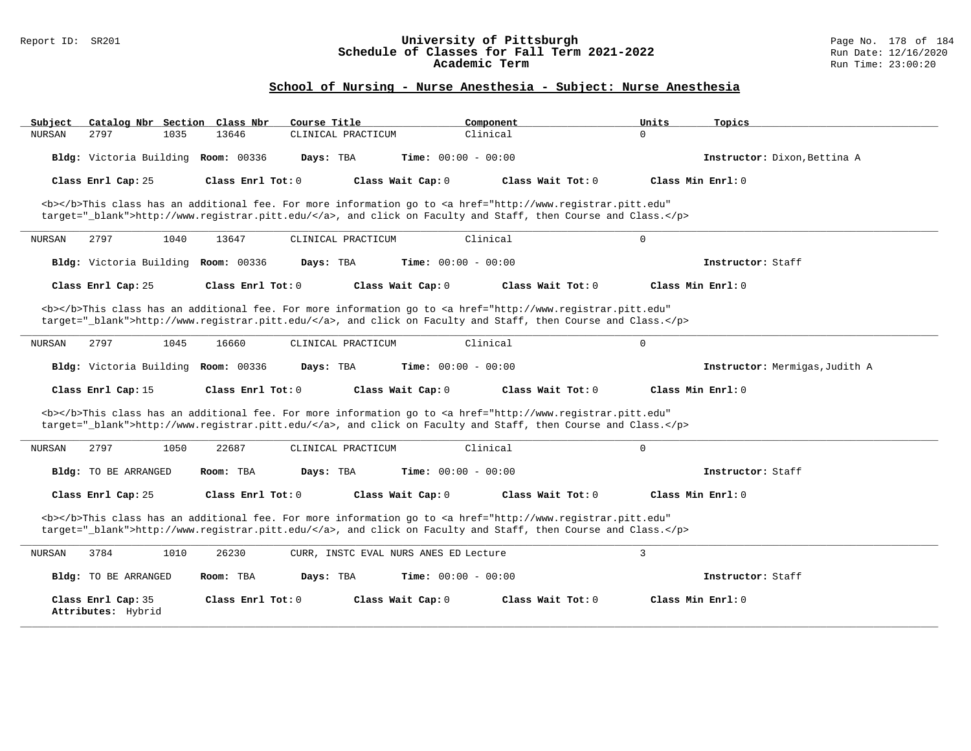#### Report ID: SR201 **University of Pittsburgh** Page No. 178 of 184 **Schedule of Classes for Fall Term 2021-2022** Run Date: 12/16/2020 **Academic Term** Run Time: 23:00:20

| Catalog Nbr Section Class Nbr<br>Subject                                                                                                                                                                                           | Course Title                                                                                                                                                                                                                       | Component                    | Units<br>Topics                |  |  |  |
|------------------------------------------------------------------------------------------------------------------------------------------------------------------------------------------------------------------------------------|------------------------------------------------------------------------------------------------------------------------------------------------------------------------------------------------------------------------------------|------------------------------|--------------------------------|--|--|--|
| 2797<br>1035<br><b>NURSAN</b>                                                                                                                                                                                                      | 13646<br>CLINICAL PRACTICUM                                                                                                                                                                                                        | Clinical<br>$\Omega$         |                                |  |  |  |
| Bldg: Victoria Building Room: 00336                                                                                                                                                                                                | Days: TBA                                                                                                                                                                                                                          | Time: $00:00 - 00:00$        | Instructor: Dixon, Bettina A   |  |  |  |
| Class Enrl Cap: 25                                                                                                                                                                                                                 | Class Enrl Tot: 0<br>Class Wait Cap: 0                                                                                                                                                                                             | Class Wait Tot: 0            | Class Min $Enr1: 0$            |  |  |  |
|                                                                                                                                                                                                                                    | <b></b> This class has an additional fee. For more information go to <a <br="" href="http://www.registrar.pitt.edu">target="_blank"&gt;http://www.registrar.pitt.edu/</a> , and click on Faculty and Staff, then Course and Class. |                              |                                |  |  |  |
| 2797<br>1040<br>NURSAN                                                                                                                                                                                                             | 13647<br>CLINICAL PRACTICUM                                                                                                                                                                                                        | Clinical<br>$\mathsf{O}$     |                                |  |  |  |
| Bldg: Victoria Building Room: 00336                                                                                                                                                                                                | Days: TBA                                                                                                                                                                                                                          | Time: $00:00 - 00:00$        | Instructor: Staff              |  |  |  |
| Class Enrl Cap: 25                                                                                                                                                                                                                 | Class Enrl Tot: $0$<br>Class Wait Cap: 0                                                                                                                                                                                           | Class Wait Tot: 0            | Class Min Enrl: 0              |  |  |  |
|                                                                                                                                                                                                                                    | <b></b> This class has an additional fee. For more information go to <a <br="" href="http://www.registrar.pitt.edu">target="_blank"&gt;http://www.registrar.pitt.edu/</a> , and click on Faculty and Staff, then Course and Class. |                              |                                |  |  |  |
| <b>NURSAN</b><br>2797<br>1045                                                                                                                                                                                                      | 16660<br>CLINICAL PRACTICUM                                                                                                                                                                                                        | Clinical<br>$\mathbf 0$      |                                |  |  |  |
| Bldg: Victoria Building                                                                                                                                                                                                            | <b>Room: 00336</b><br>Days: TBA                                                                                                                                                                                                    | <b>Time:</b> $00:00 - 00:00$ | Instructor: Mermigas, Judith A |  |  |  |
| Class Enrl Cap: 15                                                                                                                                                                                                                 | Class Enrl Tot: 0<br>Class Wait Cap: 0                                                                                                                                                                                             | Class Wait Tot: 0            | Class Min Enrl: 0              |  |  |  |
|                                                                                                                                                                                                                                    | <b></b> This class has an additional fee. For more information go to <a <br="" href="http://www.registrar.pitt.edu">target="_blank"&gt;http://www.registrar.pitt.edu/</a> , and click on Faculty and Staff, then Course and Class. |                              |                                |  |  |  |
| 2797<br>1050<br><b>NURSAN</b>                                                                                                                                                                                                      | 22687<br>CLINICAL PRACTICUM                                                                                                                                                                                                        | Clinical<br>$\mathbf 0$      |                                |  |  |  |
| Bldg: TO BE ARRANGED                                                                                                                                                                                                               | Room: TBA<br>Days: TBA                                                                                                                                                                                                             | <b>Time:</b> $00:00 - 00:00$ | Instructor: Staff              |  |  |  |
| Class Enrl Cap: 25                                                                                                                                                                                                                 | Class Enrl Tot: 0<br>Class Wait Cap: 0                                                                                                                                                                                             | Class Wait Tot: 0            | Class Min Enrl: 0              |  |  |  |
| <b></b> This class has an additional fee. For more information go to <a <br="" href="http://www.registrar.pitt.edu">target=" blank"&gt;http://www.registrar.pitt.edu/</a> , and click on Faculty and Staff, then Course and Class. |                                                                                                                                                                                                                                    |                              |                                |  |  |  |
| 3784<br>NURSAN<br>1010                                                                                                                                                                                                             | 26230<br>CURR, INSTC EVAL NURS ANES ED Lecture                                                                                                                                                                                     | $\overline{3}$               |                                |  |  |  |
| Bldg: TO BE ARRANGED                                                                                                                                                                                                               | Room: TBA<br>Days: TBA                                                                                                                                                                                                             | <b>Time:</b> $00:00 - 00:00$ | Instructor: Staff              |  |  |  |
| Class Enrl Cap: 35<br>Attributes: Hybrid                                                                                                                                                                                           | Class Enrl Tot: $0$<br>Class Wait Cap: 0                                                                                                                                                                                           | Class Wait Tot: 0            | Class Min Enrl: 0              |  |  |  |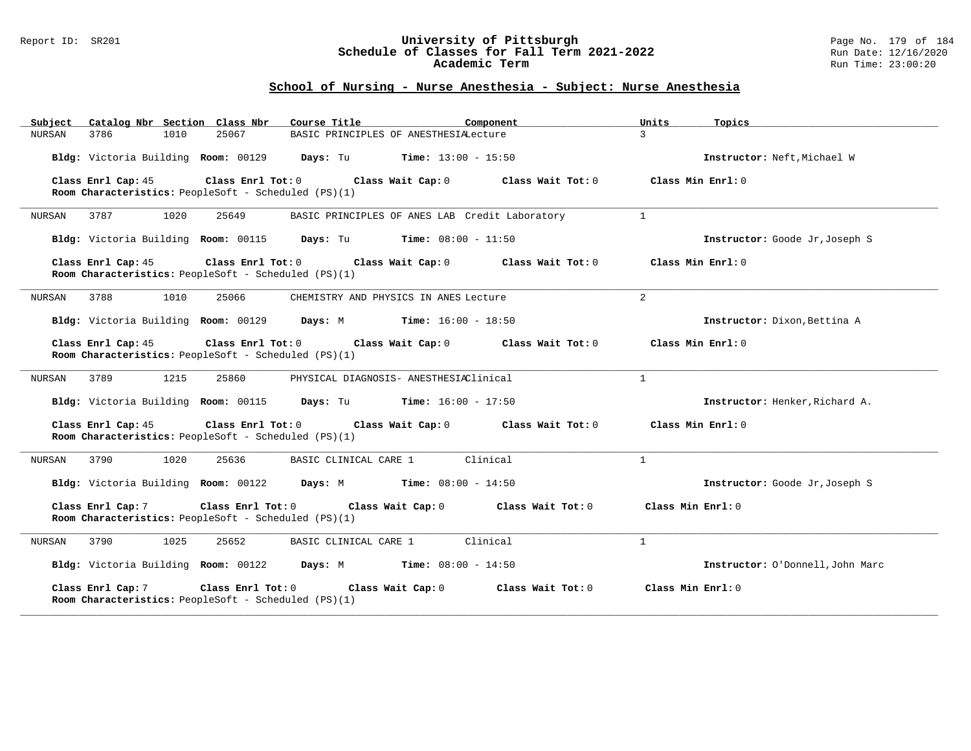#### Report ID: SR201 **University of Pittsburgh** Page No. 179 of 184 **Schedule of Classes for Fall Term 2021-2022** Run Date: 12/16/2020 **Academic Term** Run Time: 23:00:20

| Catalog Nbr Section Class Nbr<br>Subject                                                        | Course Title<br>Component                                   | Units<br>Topics                  |
|-------------------------------------------------------------------------------------------------|-------------------------------------------------------------|----------------------------------|
| 3786<br>1010<br>25067<br>NURSAN                                                                 | BASIC PRINCIPLES OF ANESTHESIALecture                       | $\mathcal{E}$                    |
| Bldg: Victoria Building Room: 00129                                                             | Days: Tu<br><b>Time:</b> $13:00 - 15:50$                    | Instructor: Neft, Michael W      |
| Class Enrl Cap: 45<br>Class Enrl Tot: 0<br>Room Characteristics: PeopleSoft - Scheduled (PS)(1) | Class Wait Cap: 0<br>Class Wait Tot: 0                      | Class Min Enrl: 0                |
| 3787<br>1020<br>25649<br>NURSAN                                                                 | BASIC PRINCIPLES OF ANES LAB Credit Laboratory              | $\mathbf{1}$                     |
| Bldg: Victoria Building Room: 00115                                                             | <b>Days:</b> Tu <b>Time:</b> $08:00 - 11:50$                | Instructor: Goode Jr, Joseph S   |
| Class Enrl Cap: 45<br>Room Characteristics: PeopleSoft - Scheduled (PS)(1)                      | Class Enrl Tot: 0<br>Class Wait Cap: 0<br>Class Wait Tot: 0 | Class Min $Enrl: 0$              |
| NURSAN<br>3788<br>1010<br>25066                                                                 | CHEMISTRY AND PHYSICS IN ANES Lecture                       | 2                                |
| Bldg: Victoria Building Room: 00129                                                             | <b>Days:</b> M <b>Time:</b> $16:00 - 18:50$                 | Instructor: Dixon, Bettina A     |
| Class Enrl Cap: 45<br>Room Characteristics: PeopleSoft - Scheduled (PS)(1)                      | Class Enrl Tot: 0<br>Class Wait Cap: 0<br>Class Wait Tot: 0 | Class Min Enrl: 0                |
| 3789<br>1215<br>25860<br>NURSAN                                                                 | PHYSICAL DIAGNOSIS- ANESTHESIAClinical                      | $\mathbf{1}$                     |
| Bldg: Victoria Building Room: 00115                                                             | <b>Days:</b> Tu <b>Time:</b> $16:00 - 17:50$                | Instructor: Henker, Richard A.   |
| Class Enrl Cap: 45<br>Room Characteristics: PeopleSoft - Scheduled (PS)(1)                      | Class Enrl Tot: 0 Class Wait Cap: 0<br>Class Wait Tot: 0    | Class Min Enrl: 0                |
| 3790<br>1020<br>25636<br>NURSAN                                                                 | BASIC CLINICAL CARE 1<br>Clinical                           | $\mathbf{1}$                     |
| Bldg: Victoria Building Room: 00122                                                             | <b>Days:</b> M <b>Time:</b> $08:00 - 14:50$                 | Instructor: Goode Jr, Joseph S   |
| Class Enrl Cap: 7<br>Class Enrl Tot: 0<br>Room Characteristics: PeopleSoft - Scheduled (PS)(1)  | Class Wait Cap: 0<br>Class Wait Tot: 0                      | Class Min Enrl: 0                |
| <b>NURSAN</b><br>3790<br>1025<br>25652                                                          | Clinical<br>BASIC CLINICAL CARE 1                           | $\mathbf{1}$                     |
| Bldg: Victoria Building Room: 00122                                                             | Days: M<br><b>Time:</b> $08:00 - 14:50$                     | Instructor: O'Donnell, John Marc |
| Class Enrl Cap: 7<br>Class Enrl Tot: 0<br>Room Characteristics: PeopleSoft - Scheduled (PS)(1)  | Class Wait Cap: 0<br>Class Wait Tot: 0                      | Class Min Enrl: 0                |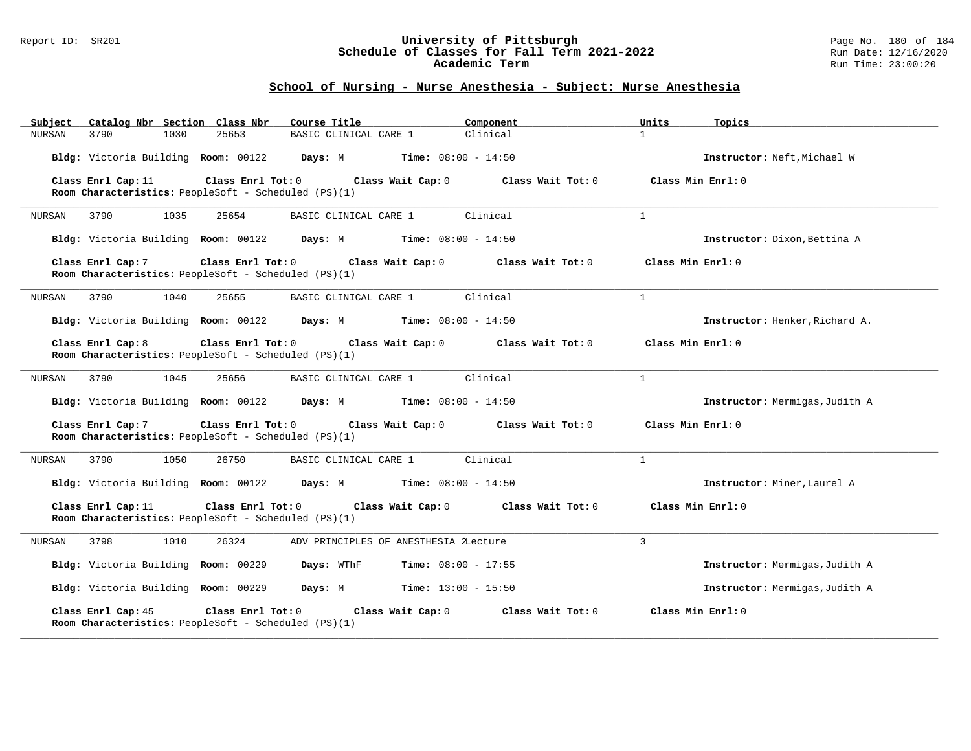#### Report ID: SR201 **University of Pittsburgh** Page No. 180 of 184 **Schedule of Classes for Fall Term 2021-2022** Run Date: 12/16/2020 **Academic Term** Run Time: 23:00:20

| Catalog Nbr Section Class Nbr<br>Subject                                                                                                                       | Course Title                                      | Component         | Units              | Topics                         |  |  |
|----------------------------------------------------------------------------------------------------------------------------------------------------------------|---------------------------------------------------|-------------------|--------------------|--------------------------------|--|--|
| 25653<br><b>NURSAN</b><br>3790<br>1030                                                                                                                         | BASIC CLINICAL CARE 1                             | Clinical          | $\mathbf{1}$       |                                |  |  |
| Bldg: Victoria Building Room: 00122                                                                                                                            | Days: M<br><b>Time:</b> $08:00 - 14:50$           |                   |                    | Instructor: Neft, Michael W    |  |  |
| Class Enrl Cap: 11<br>Class Enrl Tot: 0                                                                                                                        | Class Wait Cap: 0                                 | Class Wait Tot: 0 | Class Min $Err1:0$ |                                |  |  |
| Room Characteristics: PeopleSoft - Scheduled (PS)(1)                                                                                                           |                                                   |                   |                    |                                |  |  |
| 1035<br>25654<br>NURSAN<br>3790                                                                                                                                | BASIC CLINICAL CARE 1                             | Clinical          | $\mathbf{1}$       |                                |  |  |
| Bldg: Victoria Building Room: 00122                                                                                                                            | Days: M<br><b>Time:</b> $08:00 - 14:50$           |                   |                    | Instructor: Dixon, Bettina A   |  |  |
| Class Enrl Cap: 7<br>Class Enrl Tot: 0                                                                                                                         | Class Wait Cap: 0                                 | Class Wait Tot: 0 | Class Min Enrl: 0  |                                |  |  |
| Room Characteristics: PeopleSoft - Scheduled (PS)(1)                                                                                                           |                                                   |                   |                    |                                |  |  |
| 3790<br>1040<br>25655<br>NURSAN                                                                                                                                | BASIC CLINICAL CARE 1                             | Clinical          | $\mathbf{1}$       |                                |  |  |
| Bldg: Victoria Building Room: 00122                                                                                                                            | Days: M<br><b>Time:</b> $08:00 - 14:50$           |                   |                    | Instructor: Henker, Richard A. |  |  |
| Class Enrl Cap: 8<br>Class Enrl Tot: 0<br>Room Characteristics: PeopleSoft - Scheduled (PS)(1)                                                                 | Class Wait Cap: 0                                 | Class Wait Tot: 0 | Class Min Enrl: 0  |                                |  |  |
| 3790<br>1045<br>25656<br>NURSAN                                                                                                                                | BASIC CLINICAL CARE 1                             | Clinical          | $\mathbf{1}$       |                                |  |  |
| Bldg: Victoria Building Room: 00122                                                                                                                            | <b>Days:</b> M <b>Time:</b> $08:00 - 14:50$       |                   |                    | Instructor: Mermigas, Judith A |  |  |
| Class Enrl Cap: 7<br>Class Enrl Tot: 0<br>Room Characteristics: PeopleSoft - Scheduled (PS)(1)                                                                 | Class Wait Cap: 0                                 | Class Wait Tot: 0 | Class Min Enrl: 0  |                                |  |  |
| 3790<br>1050<br>26750<br>NURSAN                                                                                                                                | BASIC CLINICAL CARE 1                             | Clinical          | $\mathbf{1}$       |                                |  |  |
| Bldg: Victoria Building Room: 00122                                                                                                                            | <b>Days:</b> M <b>Time:</b> $08:00 - 14:50$       |                   |                    | Instructor: Miner, Laurel A    |  |  |
| Class Enrl Cap: 11<br>Class Enrl Tot: 0<br>Class Min Enrl: 0<br>Class Wait Cap: 0<br>Class Wait Tot: 0<br>Room Characteristics: PeopleSoft - Scheduled (PS)(1) |                                                   |                   |                    |                                |  |  |
| 3798<br>1010<br>26324<br>NURSAN                                                                                                                                | ADV PRINCIPLES OF ANESTHESIA ZLecture             |                   | 3                  |                                |  |  |
| Bldg: Victoria Building Room: 00229                                                                                                                            | <b>Days:</b> WThF<br><b>Time:</b> $08:00 - 17:55$ |                   |                    | Instructor: Mermigas, Judith A |  |  |
| Bldg: Victoria Building Room: 00229                                                                                                                            | <b>Days:</b> M <b>Time:</b> $13:00 - 15:50$       |                   |                    | Instructor: Mermigas, Judith A |  |  |
| Class Enrl Tot: 0<br>Class Enrl Cap: 45<br>Room Characteristics: PeopleSoft - Scheduled (PS)(1)                                                                | Class Wait Cap: 0                                 | Class Wait Tot: 0 | Class Min Enrl: 0  |                                |  |  |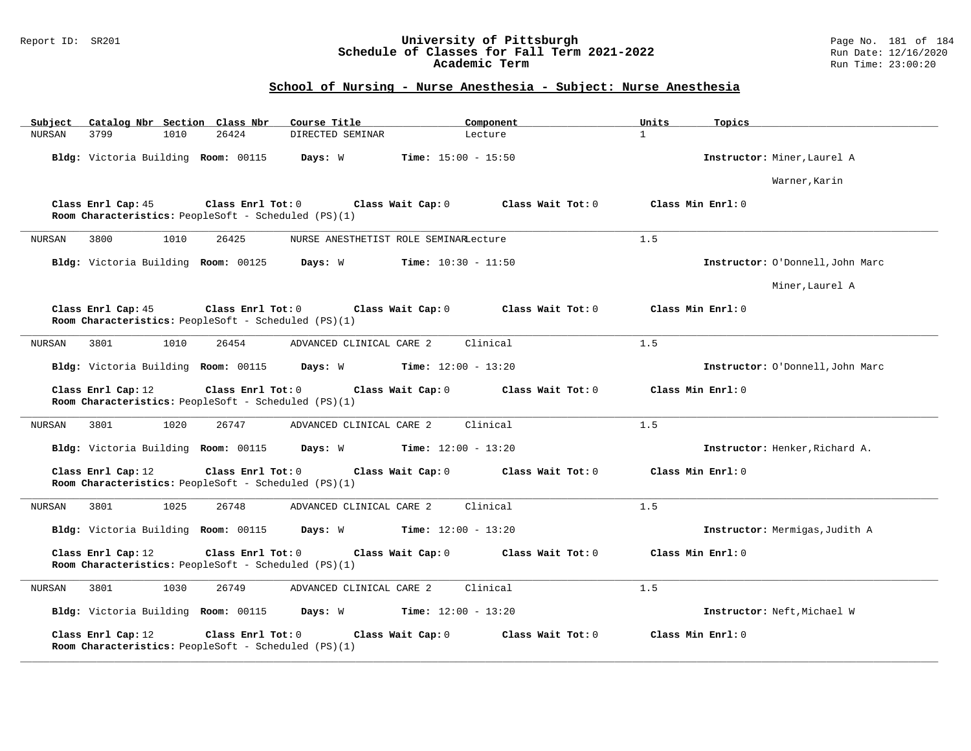### Report ID: SR201 **University of Pittsburgh** Page No. 181 of 184 **Schedule of Classes for Fall Term 2021-2022** Run Date: 12/16/2020 **Academic Term** Run Time: 23:00:20

# **School of Nursing - Nurse Anesthesia - Subject: Nurse Anesthesia**

| Subject               | Catalog Nbr Section Class Nbr                                             | Course Title                                | Component                    | Units<br>Topics   |                                  |
|-----------------------|---------------------------------------------------------------------------|---------------------------------------------|------------------------------|-------------------|----------------------------------|
| 3799<br><b>NURSAN</b> | 26424<br>1010                                                             | DIRECTED SEMINAR                            | Lecture                      | $\mathbf{1}$      |                                  |
|                       | Bldg: Victoria Building Room: 00115                                       | Days: W                                     | <b>Time:</b> $15:00 - 15:50$ |                   | Instructor: Miner, Laurel A      |
|                       |                                                                           |                                             |                              |                   | Warner, Karin                    |
| Class Enrl Cap: 45    | Class Enrl Tot: 0<br>Room Characteristics: PeopleSoft - Scheduled (PS)(1) | Class Wait Cap: 0                           | Class Wait Tot: 0            | Class Min Enrl: 0 |                                  |
| 3800<br>NURSAN        | 1010<br>26425                                                             | NURSE ANESTHETIST ROLE SEMINARLecture       |                              | 1.5               |                                  |
|                       | Bldg: Victoria Building Room: 00125 Days: W                               |                                             | <b>Time:</b> $10:30 - 11:50$ |                   | Instructor: O'Donnell, John Marc |
|                       |                                                                           |                                             |                              |                   | Miner, Laurel A                  |
| Class Enrl Cap: 45    | Class Enrl Tot: 0<br>Room Characteristics: PeopleSoft - Scheduled (PS)(1) | Class Wait Cap: 0                           | Class Wait Tot: 0            | Class Min Enrl: 0 |                                  |
| NURSAN<br>3801        | 1010<br>26454                                                             | ADVANCED CLINICAL CARE 2                    | Clinical                     | 1.5               |                                  |
|                       | Bldg: Victoria Building Room: 00115                                       | Days: W                                     | <b>Time:</b> $12:00 - 13:20$ |                   | Instructor: O'Donnell, John Marc |
| Class Enrl Cap: 12    | Class Enrl Tot: 0<br>Room Characteristics: PeopleSoft - Scheduled (PS)(1) | Class Wait Cap: 0                           | Class Wait Tot: 0            | Class Min Enrl: 0 |                                  |
| 3801<br>NURSAN        | 1020<br>26747                                                             | ADVANCED CLINICAL CARE 2                    | Clinical                     | 1.5               |                                  |
|                       | Bldg: Victoria Building Room: 00115                                       | <b>Days:</b> W <b>Time:</b> $12:00 - 13:20$ |                              |                   | Instructor: Henker, Richard A.   |
| Class Enrl Cap: 12    | Class Enrl Tot: 0<br>Room Characteristics: PeopleSoft - Scheduled (PS)(1) | Class Wait Cap: 0                           | Class Wait Tot: 0            | Class Min Enrl: 0 |                                  |
| 3801<br>NURSAN        | 1025<br>26748                                                             | ADVANCED CLINICAL CARE 2                    | Clinical                     | 1.5               |                                  |
|                       | Bldg: Victoria Building Room: 00115                                       | Days: W                                     | <b>Time:</b> $12:00 - 13:20$ |                   | Instructor: Mermigas, Judith A   |
| Class Enrl Cap: 12    | Class Enrl Tot: 0<br>Room Characteristics: PeopleSoft - Scheduled (PS)(1) | Class Wait Cap: 0                           | Class Wait Tot: 0            | Class Min Enrl: 0 |                                  |
| 3801<br>NURSAN        | 1030<br>26749                                                             | ADVANCED CLINICAL CARE 2                    | Clinical                     | 1.5               |                                  |
|                       | Bldg: Victoria Building Room: 00115                                       | Days: W                                     | <b>Time:</b> $12:00 - 13:20$ |                   | Instructor: Neft, Michael W      |
| Class Enrl Cap: 12    | Class Enrl Tot: 0<br>Room Characteristics: PeopleSoft - Scheduled (PS)(1) | Class Wait Cap: 0                           | Class Wait Tot: 0            | Class Min Enrl: 0 |                                  |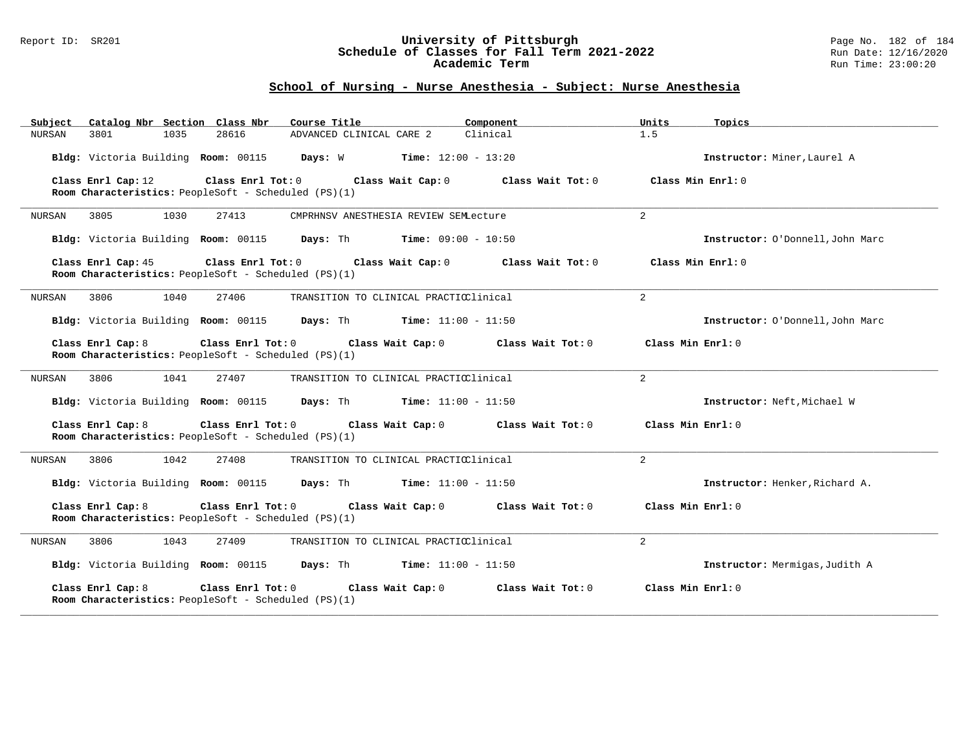#### Report ID: SR201 **University of Pittsburgh** Page No. 182 of 184 **Schedule of Classes for Fall Term 2021-2022** Run Date: 12/16/2020 **Academic Term** Run Time: 23:00:20

### **School of Nursing - Nurse Anesthesia - Subject: Nurse Anesthesia**

| Catalog Nbr Section Class Nbr<br>Subject                                                                                                                      | Component<br>Course Title                | Units<br>Topics                  |  |  |
|---------------------------------------------------------------------------------------------------------------------------------------------------------------|------------------------------------------|----------------------------------|--|--|
| 3801<br>1035<br>28616<br>NURSAN                                                                                                                               | Clinical<br>ADVANCED CLINICAL CARE 2     | 1.5                              |  |  |
| Bldg: Victoria Building Room: 00115                                                                                                                           | Days: W<br><b>Time:</b> $12:00 - 13:20$  | Instructor: Miner, Laurel A      |  |  |
| Class Enrl Cap: 12<br>Class Enrl Tot: 0                                                                                                                       | Class Wait Cap: 0<br>Class Wait Tot: $0$ | Class Min $Enrl: 0$              |  |  |
| Room Characteristics: PeopleSoft - Scheduled (PS)(1)                                                                                                          |                                          |                                  |  |  |
| 1030<br>3805<br>27413<br>NURSAN                                                                                                                               | CMPRHNSV ANESTHESIA REVIEW SEMLecture    | 2                                |  |  |
| Bldg: Victoria Building Room: 00115                                                                                                                           | Days: Th<br>$Time: 09:00 - 10:50$        | Instructor: O'Donnell, John Marc |  |  |
| Class Enrl Cap: 45<br>Class Enrl Tot: 0<br>Room Characteristics: PeopleSoft - Scheduled (PS)(1)                                                               | Class Wait Tot: 0<br>Class Min Enrl: 0   |                                  |  |  |
| 3806<br>1040<br>27406<br>NURSAN                                                                                                                               | TRANSITION TO CLINICAL PRACTICClinical   | 2                                |  |  |
| Bldg: Victoria Building Room: 00115                                                                                                                           | Days: Th<br><b>Time:</b> $11:00 - 11:50$ | Instructor: O'Donnell, John Marc |  |  |
| Class Enrl Cap: 8<br>Class Enrl Tot: 0<br>Room Characteristics: PeopleSoft - Scheduled (PS)(1)                                                                | Class Min Enrl: 0                        |                                  |  |  |
| 3806<br>1041<br>27407<br>NURSAN                                                                                                                               | TRANSITION TO CLINICAL PRACTICClinical   | 2                                |  |  |
| Bldg: Victoria Building Room: 00115                                                                                                                           | Days: Th<br><b>Time:</b> $11:00 - 11:50$ | Instructor: Neft, Michael W      |  |  |
| Class Enrl Cap: 8<br>Class Enrl Tot: 0<br>Room Characteristics: PeopleSoft - Scheduled (PS)(1)                                                                | Class Min $Enr1: 0$                      |                                  |  |  |
| 1042<br>3806<br>27408<br>NURSAN                                                                                                                               | TRANSITION TO CLINICAL PRACTICClinical   | 2                                |  |  |
| Bldg: Victoria Building Room: 00115                                                                                                                           | Days: Th<br><b>Time:</b> $11:00 - 11:50$ | Instructor: Henker, Richard A.   |  |  |
| Class Enrl Cap: 8<br>Class Enrl Tot: 0<br>Class Wait Cap: 0<br>Class Wait Tot: 0<br>Class Min Enrl: 0<br>Room Characteristics: PeopleSoft - Scheduled (PS)(1) |                                          |                                  |  |  |
| 1043<br>27409<br>NURSAN<br>3806                                                                                                                               | TRANSITION TO CLINICAL PRACTICClinical   | $\overline{a}$                   |  |  |
| Bldg: Victoria Building Room: 00115                                                                                                                           | Days: Th<br><b>Time:</b> $11:00 - 11:50$ | Instructor: Mermigas, Judith A   |  |  |
| Class Enrl Cap: 8<br>Class Enrl Tot: 0<br>Room Characteristics: PeopleSoft - Scheduled (PS)(1)                                                                | Class Wait Cap: 0<br>Class Wait Tot: 0   | Class Min Enrl: 0                |  |  |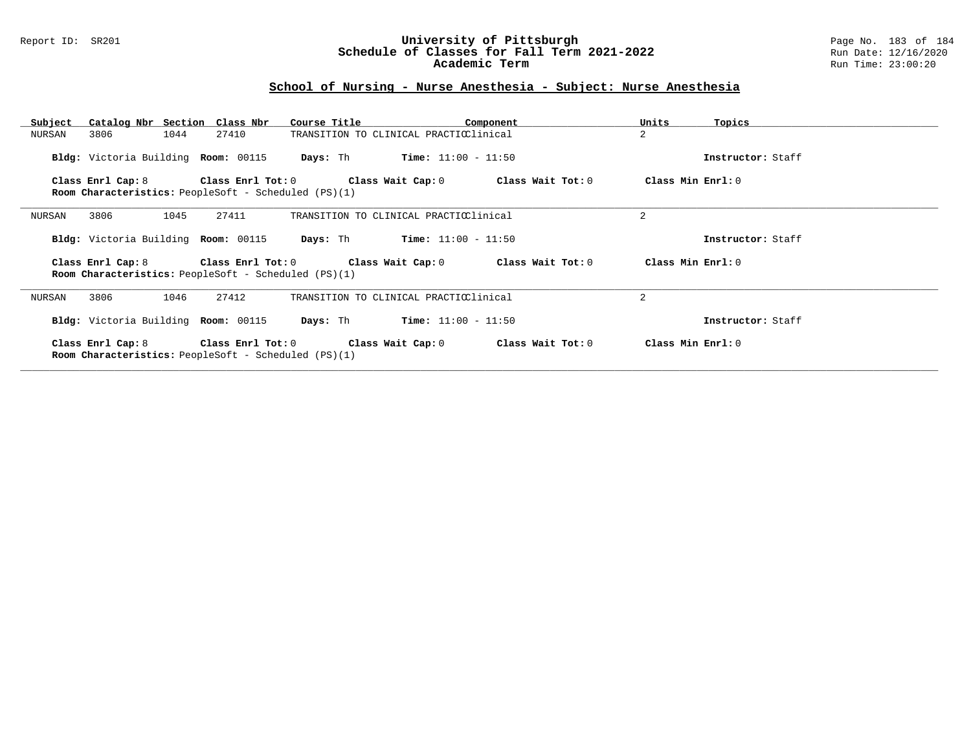### Report ID: SR201 **University of Pittsburgh** Page No. 183 of 184 **Schedule of Classes for Fall Term 2021-2022** Run Date: 12/16/2020 **Academic Term** Run Time: 23:00:20

# **School of Nursing - Nurse Anesthesia - Subject: Nurse Anesthesia**

| Subject                                                                                                                                         | Catalog Nbr Section Class Nbr | Course Title                           | Component                                                               | Units             | Topics            |
|-------------------------------------------------------------------------------------------------------------------------------------------------|-------------------------------|----------------------------------------|-------------------------------------------------------------------------|-------------------|-------------------|
| NURSAN<br>3806                                                                                                                                  | 1044<br>27410                 | TRANSITION TO CLINICAL PRACTICClinical |                                                                         | $\overline{2}$    |                   |
| Bldg: Victoria Building Room: 00115                                                                                                             |                               | Days: Th                               | $Time: 11:00 - 11:50$                                                   |                   | Instructor: Staff |
| Class Enrl Cap: 8 $\qquad$ Class Enrl Tot: 0 $\qquad$ Class Wait Cap: 0<br>Room Characteristics: PeopleSoft - Scheduled (PS)(1)                 | Class Min Enrl: 0             |                                        |                                                                         |                   |                   |
| 3806<br>NURSAN                                                                                                                                  | 1045<br>27411                 | TRANSITION TO CLINICAL PRACTICClinical |                                                                         | 2                 |                   |
| Bldg: Victoria Building Room: 00115                                                                                                             |                               | Days: Th                               | $Time: 11:00 - 11:50$                                                   |                   | Instructor: Staff |
| Class Enrl Tot: $0$ Class Wait Cap: $0$ Class Wait Tot: $0$<br>Class Enrl Cap: 8<br><b>Room Characteristics:</b> PeopleSoft - Scheduled (PS)(1) | Class Min Enrl: 0             |                                        |                                                                         |                   |                   |
| 3806<br>NURSAN                                                                                                                                  | 27412<br>1046                 | TRANSITION TO CLINICAL PRACTICClinical |                                                                         | 2                 |                   |
| Bldg: Victoria Building Room: 00115                                                                                                             |                               | Days: Th                               | $Time: 11:00 - 11:50$                                                   |                   | Instructor: Staff |
| Room Characteristics: PeopleSoft - Scheduled (PS)(1)                                                                                            |                               |                                        | Class Enrl Cap: 8 Class Enrl Tot: 0 Class Wait Cap: 0 Class Wait Tot: 0 | Class Min Enrl: 0 |                   |